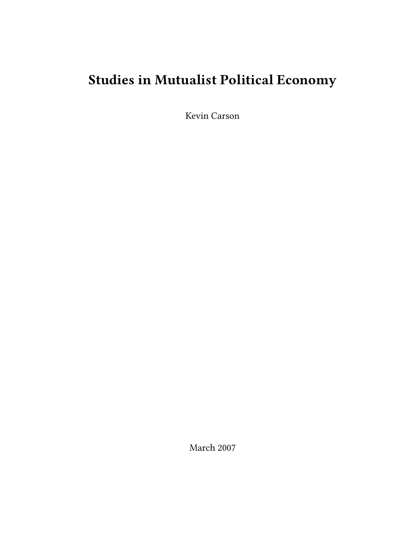# **Studies in Mutualist Political Economy**

Kevin Carson

March 2007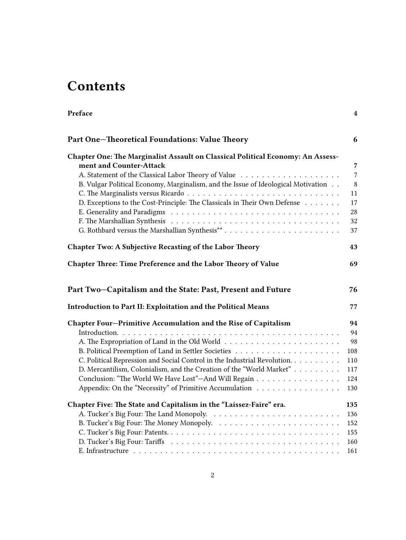# **Contents**

| Preface                                                                           | 4              |
|-----------------------------------------------------------------------------------|----------------|
| Part One-Theoretical Foundations: Value Theory                                    | 6              |
| Chapter One: The Marginalist Assault on Classical Political Economy: An Assess-   |                |
| ment and Counter-Attack                                                           | $\overline{7}$ |
|                                                                                   | $\overline{7}$ |
| B. Vulgar Political Economy, Marginalism, and the Issue of Ideological Motivation | 8              |
|                                                                                   | 11             |
| D. Exceptions to the Cost-Principle: The Classicals in Their Own Defense          | 17             |
|                                                                                   | 28             |
|                                                                                   | 32             |
| G. Rothbard versus the Marshallian Synthesis**                                    | 37             |
| Chapter Two: A Subjective Recasting of the Labor Theory                           | 43             |
| Chapter Three: Time Preference and the Labor Theory of Value                      | 69             |
|                                                                                   |                |
| Part Two-Capitalism and the State: Past, Present and Future                       | 76             |
| Introduction to Part II: Exploitation and the Political Means                     | 77             |
| Chapter Four-Primitive Accumulation and the Rise of Capitalism                    | 94             |
|                                                                                   | 94             |
|                                                                                   | 98             |
|                                                                                   | 108            |
| C. Political Repression and Social Control in the Industrial Revolution.          | 110            |
| D. Mercantilism, Colonialism, and the Creation of the "World Market"              | 117            |
| Conclusion: "The World We Have Lost"-And Will Regain                              | 124            |
| Appendix: On the "Necessity" of Primitive Accumulation                            | 130            |
| Chapter Five: The State and Capitalism in the "Laissez-Faire" era.                | 135            |
|                                                                                   | 136            |
|                                                                                   | 152            |
|                                                                                   | 155            |
|                                                                                   | 160            |
|                                                                                   | 161            |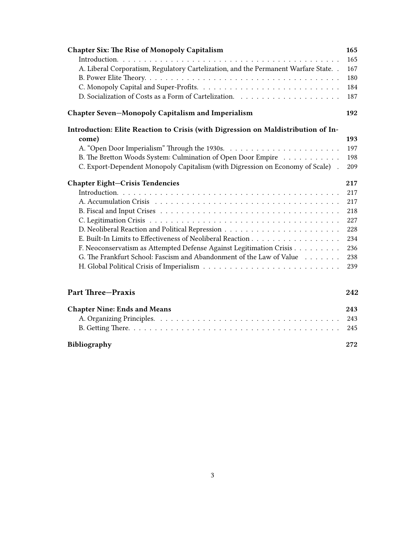| <b>Chapter Six: The Rise of Monopoly Capitalism</b>                                  | 165 |
|--------------------------------------------------------------------------------------|-----|
|                                                                                      | 165 |
| A. Liberal Corporatism, Regulatory Cartelization, and the Permanent Warfare State. . | 167 |
|                                                                                      | 180 |
|                                                                                      | 184 |
|                                                                                      | 187 |
| Chapter Seven-Monopoly Capitalism and Imperialism                                    | 192 |
| Introduction: Elite Reaction to Crisis (with Digression on Maldistribution of In-    |     |
| come)                                                                                | 193 |
|                                                                                      | 197 |
| B. The Bretton Woods System: Culmination of Open Door Empire                         | 198 |
| C. Export-Dependent Monopoly Capitalism (with Digression on Economy of Scale).       | 209 |
| <b>Chapter Eight-Crisis Tendencies</b>                                               | 217 |
|                                                                                      | 217 |
|                                                                                      | 217 |
|                                                                                      | 218 |
|                                                                                      | 227 |
|                                                                                      | 228 |
| E. Built-In Limits to Effectiveness of Neoliberal Reaction                           | 234 |
| F. Neoconservatism as Attempted Defense Against Legitimation Crisis                  | 236 |
| G. The Frankfurt School: Fascism and Abandonment of the Law of Value                 | 238 |
|                                                                                      | 239 |
| <b>Part Three-Praxis</b>                                                             | 242 |
| <b>Chapter Nine: Ends and Means</b>                                                  | 243 |
|                                                                                      | 243 |
|                                                                                      | 245 |
| Bibliography                                                                         | 272 |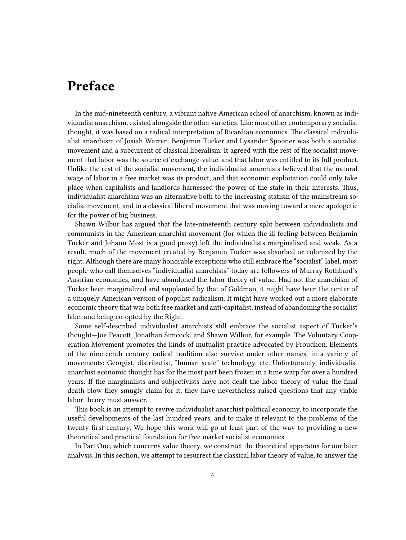## <span id="page-3-0"></span>**Preface**

In the mid-nineteenth century, a vibrant native American school of anarchism, known as individualist anarchism, existed alongside the other varieties. Like most other contemporary socialist thought, it was based on a radical interpretation of Ricardian economics. The classical individualist anarchism of Josiah Warren, Benjamin Tucker and Lysander Spooner was both a socialist movement and a subcurrent of classical liberalism. It agreed with the rest of the socialist movement that labor was the source of exchange-value, and that labor was entitled to its full product. Unlike the rest of the socialist movement, the individualist anarchists believed that the natural wage of labor in a free market was its product, and that economic exploitation could only take place when capitalists and landlords harnessed the power of the state in their interests. Thus, individualist anarchism was an alternative both to the increasing statism of the mainstream socialist movement, and to a classical liberal movement that was moving toward a mere apologetic for the power of big business.

Shawn Wilbur has argued that the late-nineteenth century split between individualists and communists in the American anarchist movement (for which the ill-feeling between Benjamin Tucker and Johann Most is a good proxy) left the individualists marginalized and weak. As a result, much of the movement created by Benjamin Tucker was absorbed or colonized by the right. Although there are many honorable exceptions who still embrace the "socialist" label, most people who call themselves "individualist anarchists" today are followers of Murray Rothbard's Austrian economics, and have abandoned the labor theory of value. Had not the anarchism of Tucker been marginalized and supplanted by that of Goldman, it might have been the center of a uniquely American version of populist radicalism. It might have worked out a more elaborate economic theory that was both free market and anti-capitalist, instead of abandoning the socialist label and being co-opted by the Right.

Some self-described individualist anarchists still embrace the socialist aspect of Tucker's thought—Joe Peacott, Jonathan Simcock, and Shawn Wilbur, for example. The Voluntary Cooperation Movement promotes the kinds of mutualist practice advocated by Proudhon. Elements of the nineteenth century radical tradition also survive under other names, in a variety of movements: Georgist, distributist, "human scale" technology, etc. Unfortunately, individualist anarchist economic thought has for the most part been frozen in a time warp for over a hundred years. If the marginalists and subjectivists have not dealt the labor theory of value the final death blow they smugly claim for it, they have nevertheless raised questions that any viable labor theory must answer.

This book is an attempt to revive individualist anarchist political economy, to incorporate the useful developments of the last hundred years, and to make it relevant to the problems of the twenty-first century. We hope this work will go at least part of the way to providing a new theoretical and practical foundation for free market socialist economics.

In Part One, which concerns value theory, we construct the theoretical apparatus for our later analysis. In this section, we attempt to resurrect the classical labor theory of value, to answer the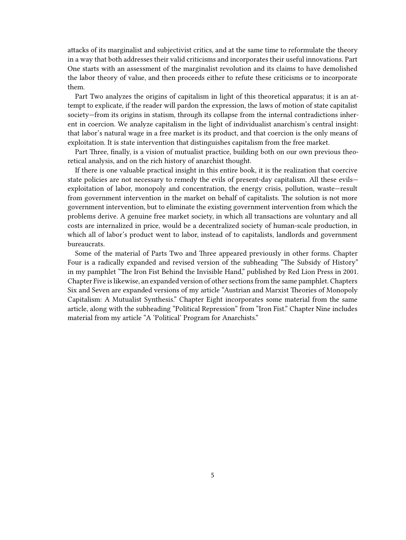attacks of its marginalist and subjectivist critics, and at the same time to reformulate the theory in a way that both addresses their valid criticisms and incorporates their useful innovations. Part One starts with an assessment of the marginalist revolution and its claims to have demolished the labor theory of value, and then proceeds either to refute these criticisms or to incorporate them.

Part Two analyzes the origins of capitalism in light of this theoretical apparatus; it is an attempt to explicate, if the reader will pardon the expression, the laws of motion of state capitalist society—from its origins in statism, through its collapse from the internal contradictions inherent in coercion. We analyze capitalism in the light of individualist anarchism's central insight: that labor's natural wage in a free market is its product, and that coercion is the only means of exploitation. It is state intervention that distinguishes capitalism from the free market.

Part Three, finally, is a vision of mutualist practice, building both on our own previous theoretical analysis, and on the rich history of anarchist thought.

If there is one valuable practical insight in this entire book, it is the realization that coercive state policies are not necessary to remedy the evils of present-day capitalism. All these evils exploitation of labor, monopoly and concentration, the energy crisis, pollution, waste—result from government intervention in the market on behalf of capitalists. The solution is not more government intervention, but to eliminate the existing government intervention from which the problems derive. A genuine free market society, in which all transactions are voluntary and all costs are internalized in price, would be a decentralized society of human-scale production, in which all of labor's product went to labor, instead of to capitalists, landlords and government bureaucrats.

Some of the material of Parts Two and Three appeared previously in other forms. Chapter Four is a radically expanded and revised version of the subheading "The Subsidy of History" in my pamphlet "The Iron Fist Behind the Invisible Hand," published by Red Lion Press in 2001. Chapter Five is likewise, an expanded version of other sections from the same pamphlet. Chapters Six and Seven are expanded versions of my article "Austrian and Marxist Theories of Monopoly Capitalism: A Mutualist Synthesis." Chapter Eight incorporates some material from the same article, along with the subheading "Political Repression" from "Iron Fist." Chapter Nine includes material from my article "A 'Political' Program for Anarchists."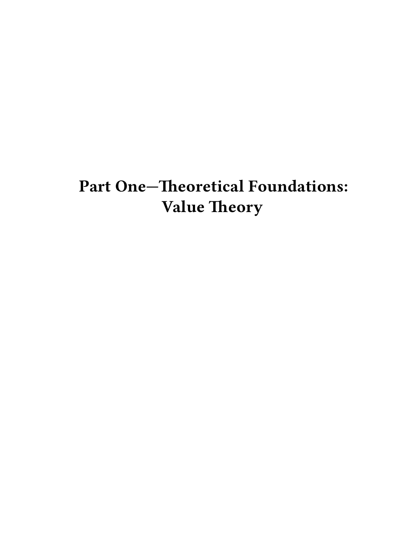# <span id="page-5-0"></span>**Part One—Theoretical Foundations: Value Theory**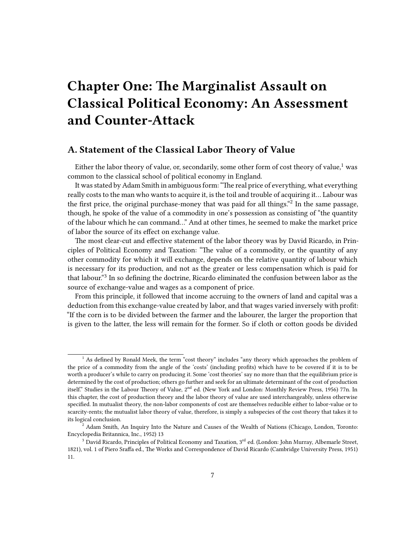# <span id="page-6-0"></span>**Chapter One: The Marginalist Assault on Classical Political Economy: An Assessment and Counter-Attack**

## <span id="page-6-1"></span>**A. Statement of the Classical Labor Theory of Value**

Either the labor theory of value, or, secondarily, some other form of cost theory of value, $<sup>1</sup>$  was</sup> common to the classical school of political economy in England.

It was stated by Adam Smith in ambiguous form: "The real price of everything, what everything really costs to the man who wants to acquire it, is the toil and trouble of acquiring it… Labour was the first price, the original purchase-money that was paid for all things.<sup>"2</sup> In the same passage, though, he spoke of the value of a commodity in one's possession as consisting of "the quantity of the labour which he can command…" And at other times, he seemed to make the market price of labor the source of its effect on exchange value.

The most clear-cut and effective statement of the labor theory was by David Ricardo, in Principles of Political Economy and Taxation: "The value of a commodity, or the quantity of any other commodity for which it will exchange, depends on the relative quantity of labour which is necessary for its production, and not as the greater or less compensation which is paid for that labour.<sup>"3</sup> In so defining the doctrine, Ricardo eliminated the confusion between labor as the source of exchange-value and wages as a component of price.

From this principle, it followed that income accruing to the owners of land and capital was a deduction from this exchange-value created by labor, and that wages varied inversely with profit: "If the corn is to be divided between the farmer and the labourer, the larger the proportion that is given to the latter, the less will remain for the former. So if cloth or cotton goods be divided

<sup>&</sup>lt;sup>1</sup> As defined by Ronald Meek, the term "cost theory" includes "any theory which approaches the problem of the price of a commodity from the angle of the 'costs' (including profits) which have to be covered if it is to be worth a producer's while to carry on producing it. Some 'cost theories' say no more than that the equilibrium price is determined by the cost of production; others go further and seek for an ultimate determinant of the cost of production itself." Studies in the Labour Theory of Value, 2<sup>nd</sup> ed. (New York and London: Monthly Review Press, 1956) 77n. In this chapter, the cost of production theory and the labor theory of value are used interchangeably, unless otherwise specified. In mutualist theory, the non-labor components of cost are themselves reducible either to labor-value or to scarcity-rents; the mutualist labor theory of value, therefore, is simply a subspecies of the cost theory that takes it to its logical conclusion.

 $<sup>2</sup>$  Adam Smith, An Inquiry Into the Nature and Causes of the Wealth of Nations (Chicago, London, Toronto:</sup> Encyclopedia Britannica, Inc., 1952) 13

<sup>&</sup>lt;sup>3</sup> David Ricardo, Principles of Political Economy and Taxation, 3<sup>rd</sup> ed. (London: John Murray, Albemarle Street, 1821), vol. 1 of Piero Sraffa ed., The Works and Correspondence of David Ricardo (Cambridge University Press, 1951) 11.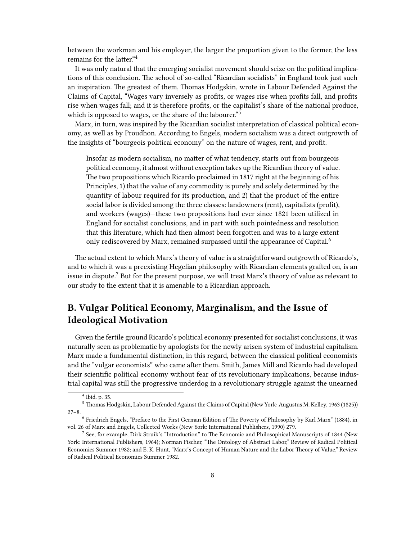between the workman and his employer, the larger the proportion given to the former, the less remains for the latter."<sup>4</sup>

It was only natural that the emerging socialist movement should seize on the political implications of this conclusion. The school of so-called "Ricardian socialists" in England took just such an inspiration. The greatest of them, Thomas Hodgskin, wrote in Labour Defended Against the Claims of Capital, "Wages vary inversely as profits, or wages rise when profits fall, and profits rise when wages fall; and it is therefore profits, or the capitalist's share of the national produce, which is opposed to wages, or the share of the labourer.<sup>"5</sup>

Marx, in turn, was inspired by the Ricardian socialist interpretation of classical political economy, as well as by Proudhon. According to Engels, modern socialism was a direct outgrowth of the insights of "bourgeois political economy" on the nature of wages, rent, and profit.

Insofar as modern socialism, no matter of what tendency, starts out from bourgeois political economy, it almost without exception takes up the Ricardian theory of value. The two propositions which Ricardo proclaimed in 1817 right at the beginning of his Principles, 1) that the value of any commodity is purely and solely determined by the quantity of labour required for its production, and 2) that the product of the entire social labor is divided among the three classes: landowners (rent), capitalists (profit), and workers (wages)—these two propositions had ever since 1821 been utilized in England for socialist conclusions, and in part with such pointedness and resolution that this literature, which had then almost been forgotten and was to a large extent only rediscovered by Marx, remained surpassed until the appearance of Capital.<sup>6</sup>

The actual extent to which Marx's theory of value is a straightforward outgrowth of Ricardo's, and to which it was a preexisting Hegelian philosophy with Ricardian elements grafted on, is an issue in dispute.<sup>7</sup> But for the present purpose, we will treat Marx's theory of value as relevant to our study to the extent that it is amenable to a Ricardian approach.

## <span id="page-7-0"></span>**B. Vulgar Political Economy, Marginalism, and the Issue of Ideological Motivation**

Given the fertile ground Ricardo's political economy presented for socialist conclusions, it was naturally seen as problematic by apologists for the newly arisen system of industrial capitalism. Marx made a fundamental distinction, in this regard, between the classical political economists and the "vulgar economists" who came after them. Smith, James Mill and Ricardo had developed their scientific political economy without fear of its revolutionary implications, because industrial capital was still the progressive underdog in a revolutionary struggle against the unearned

<sup>4</sup> Ibid. p. 35.

<sup>5</sup> Thomas Hodgskin, Labour Defended Against the Claims of Capital (New York: Augustus M. Kelley, 1963 (1825)) 27–8. 6 Friedrich Engels, "Preface to the First German Edition of The Poverty of Philosophy by Karl Marx" (1884), in

vol. 26 of Marx and Engels, Collected Works (New York: International Publishers, 1990) 279.

<sup>7</sup> See, for example, Dirk Struik's "Introduction" to The Economic and Philosophical Manuscripts of 1844 (New York: International Publishers, 1964); Norman Fischer, "The Ontology of Abstract Labor," Review of Radical Political Economics Summer 1982; and E. K. Hunt, "Marx's Concept of Human Nature and the Labor Theory of Value," Review of Radical Political Economics Summer 1982.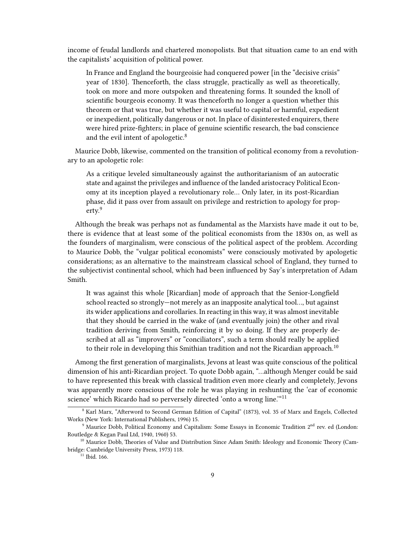income of feudal landlords and chartered monopolists. But that situation came to an end with the capitalists' acquisition of political power.

In France and England the bourgeoisie had conquered power [in the "decisive crisis" year of 1830]. Thenceforth, the class struggle, practically as well as theoretically, took on more and more outspoken and threatening forms. It sounded the knoll of scientific bourgeois economy. It was thenceforth no longer a question whether this theorem or that was true, but whether it was useful to capital or harmful, expedient or inexpedient, politically dangerous or not. In place of disinterested enquirers, there were hired prize-fighters; in place of genuine scientific research, the bad conscience and the evil intent of apologetic.<sup>8</sup>

Maurice Dobb, likewise, commented on the transition of political economy from a revolutionary to an apologetic role:

As a critique leveled simultaneously against the authoritarianism of an autocratic state and against the privileges and influence of the landed aristocracy Political Economy at its inception played a revolutionary role… Only later, in its post-Ricardian phase, did it pass over from assault on privilege and restriction to apology for property.<sup>9</sup>

Although the break was perhaps not as fundamental as the Marxists have made it out to be, there is evidence that at least some of the political economists from the 1830s on, as well as the founders of marginalism, were conscious of the political aspect of the problem. According to Maurice Dobb, the "vulgar political economists" were consciously motivated by apologetic considerations; as an alternative to the mainstream classical school of England, they turned to the subjectivist continental school, which had been influenced by Say's interpretation of Adam Smith.

It was against this whole [Ricardian] mode of approach that the Senior-Longfield school reacted so strongly—not merely as an inapposite analytical tool…, but against its wider applications and corollaries. In reacting in this way, it was almost inevitable that they should be carried in the wake of (and eventually join) the other and rival tradition deriving from Smith, reinforcing it by so doing. If they are properly described at all as "improvers" or "conciliators", such a term should really be applied to their role in developing this Smithian tradition and not the Ricardian approach.<sup>10</sup>

Among the first generation of marginalists, Jevons at least was quite conscious of the political dimension of his anti-Ricardian project. To quote Dobb again, "…although Menger could be said to have represented this break with classical tradition even more clearly and completely, Jevons was apparently more conscious of the role he was playing in reshunting the 'car of economic science' which Ricardo had so perversely directed 'onto a wrong line.'<sup>"11</sup>

<sup>8</sup> Karl Marx, "Afterword to Second German Edition of Capital" (1873), vol. 35 of Marx and Engels, Collected Works (New York: International Publishers, 1996) 15.

<sup>&</sup>lt;sup>9</sup> Maurice Dobb, Political Economy and Capitalism: Some Essays in Economic Tradition 2<sup>nd</sup> rev. ed (London: Routledge & Kegan Paul Ltd, 1940, 1960) 53.

<sup>&</sup>lt;sup>10</sup> Maurice Dobb, Theories of Value and Distribution Since Adam Smith: Ideology and Economic Theory (Cambridge: Cambridge University Press, 1973) 118.

 $11$  Ibid. 166.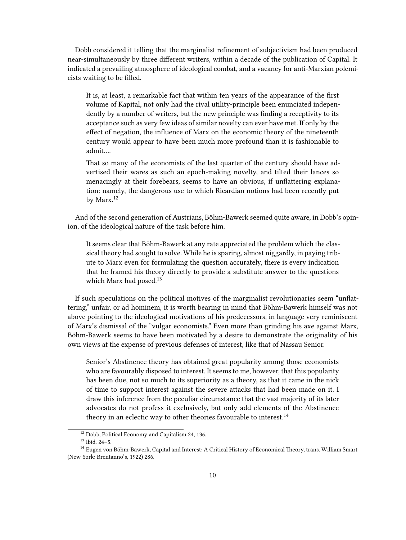Dobb considered it telling that the marginalist refinement of subjectivism had been produced near-simultaneously by three different writers, within a decade of the publication of Capital. It indicated a prevailing atmosphere of ideological combat, and a vacancy for anti-Marxian polemicists waiting to be filled.

It is, at least, a remarkable fact that within ten years of the appearance of the first volume of Kapital, not only had the rival utility-principle been enunciated independently by a number of writers, but the new principle was finding a receptivity to its acceptance such as very few ideas of similar novelty can ever have met. If only by the effect of negation, the influence of Marx on the economic theory of the nineteenth century would appear to have been much more profound than it is fashionable to admit….

That so many of the economists of the last quarter of the century should have advertised their wares as such an epoch-making novelty, and tilted their lances so menacingly at their forebears, seems to have an obvious, if unflattering explanation: namely, the dangerous use to which Ricardian notions had been recently put by Marx.<sup>12</sup>

And of the second generation of Austrians, Böhm-Bawerk seemed quite aware, in Dobb's opinion, of the ideological nature of the task before him.

It seems clear that Böhm-Bawerk at any rate appreciated the problem which the classical theory had sought to solve. While he is sparing, almost niggardly, in paying tribute to Marx even for formulating the question accurately, there is every indication that he framed his theory directly to provide a substitute answer to the questions which Marx had posed.<sup>13</sup>

If such speculations on the political motives of the marginalist revolutionaries seem "unflattering," unfair, or ad hominem, it is worth bearing in mind that Böhm-Bawerk himself was not above pointing to the ideological motivations of his predecessors, in language very reminiscent of Marx's dismissal of the "vulgar economists." Even more than grinding his axe against Marx, Böhm-Bawerk seems to have been motivated by a desire to demonstrate the originality of his own views at the expense of previous defenses of interest, like that of Nassau Senior.

Senior's Abstinence theory has obtained great popularity among those economists who are favourably disposed to interest. It seems to me, however, that this popularity has been due, not so much to its superiority as a theory, as that it came in the nick of time to support interest against the severe attacks that had been made on it. I draw this inference from the peculiar circumstance that the vast majority of its later advocates do not profess it exclusively, but only add elements of the Abstinence theory in an eclectic way to other theories favourable to interest.<sup>14</sup>

<sup>&</sup>lt;sup>12</sup> Dobb, Political Economy and Capitalism 24, 136.

<sup>13</sup> Ibid. 24–5.

<sup>&</sup>lt;sup>14</sup> Eugen von Böhm-Bawerk, Capital and Interest: A Critical History of Economical Theory, trans. William Smart (New York: Brentanno's, 1922) 286.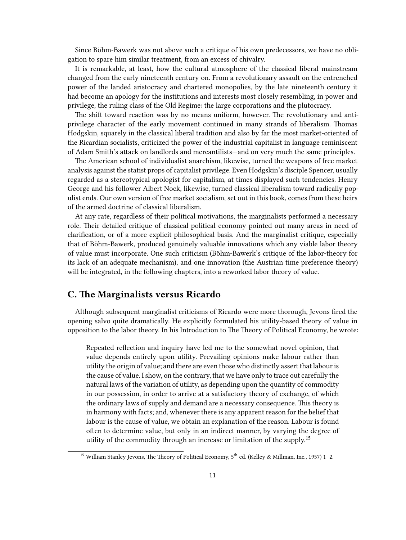Since Böhm-Bawerk was not above such a critique of his own predecessors, we have no obligation to spare him similar treatment, from an excess of chivalry.

It is remarkable, at least, how the cultural atmosphere of the classical liberal mainstream changed from the early nineteenth century on. From a revolutionary assault on the entrenched power of the landed aristocracy and chartered monopolies, by the late nineteenth century it had become an apology for the institutions and interests most closely resembling, in power and privilege, the ruling class of the Old Regime: the large corporations and the plutocracy.

The shift toward reaction was by no means uniform, however. The revolutionary and antiprivilege character of the early movement continued in many strands of liberalism. Thomas Hodgskin, squarely in the classical liberal tradition and also by far the most market-oriented of the Ricardian socialists, criticized the power of the industrial capitalist in language reminiscent of Adam Smith's attack on landlords and mercantilists—and on very much the same principles.

The American school of individualist anarchism, likewise, turned the weapons of free market analysis against the statist props of capitalist privilege. Even Hodgskin's disciple Spencer, usually regarded as a stereotypical apologist for capitalism, at times displayed such tendencies. Henry George and his follower Albert Nock, likewise, turned classical liberalism toward radically populist ends. Our own version of free market socialism, set out in this book, comes from these heirs of the armed doctrine of classical liberalism.

At any rate, regardless of their political motivations, the marginalists performed a necessary role. Their detailed critique of classical political economy pointed out many areas in need of clarification, or of a more explicit philosophical basis. And the marginalist critique, especially that of Böhm-Bawerk, produced genuinely valuable innovations which any viable labor theory of value must incorporate. One such criticism (Böhm-Bawerk's critique of the labor-theory for its lack of an adequate mechanism), and one innovation (the Austrian time preference theory) will be integrated, in the following chapters, into a reworked labor theory of value.

## <span id="page-10-0"></span>**C. The Marginalists versus Ricardo**

Although subsequent marginalist criticisms of Ricardo were more thorough, Jevons fired the opening salvo quite dramatically. He explicitly formulated his utility-based theory of value in opposition to the labor theory. In his Introduction to The Theory of Political Economy, he wrote:

Repeated reflection and inquiry have led me to the somewhat novel opinion, that value depends entirely upon utility. Prevailing opinions make labour rather than utility the origin of value; and there are even those who distinctly assert that labour is the cause of value. I show, on the contrary, that we have only to trace out carefully the natural laws of the variation of utility, as depending upon the quantity of commodity in our possession, in order to arrive at a satisfactory theory of exchange, of which the ordinary laws of supply and demand are a necessary consequence. This theory is in harmony with facts; and, whenever there is any apparent reason for the belief that labour is the cause of value, we obtain an explanation of the reason. Labour is found often to determine value, but only in an indirect manner, by varying the degree of utility of the commodity through an increase or limitation of the supply.<sup>15</sup>

<sup>&</sup>lt;sup>15</sup> William Stanley Jevons, The Theory of Political Economy,  $5<sup>th</sup>$  ed. (Kelley & Millman, Inc., 1957) 1–2.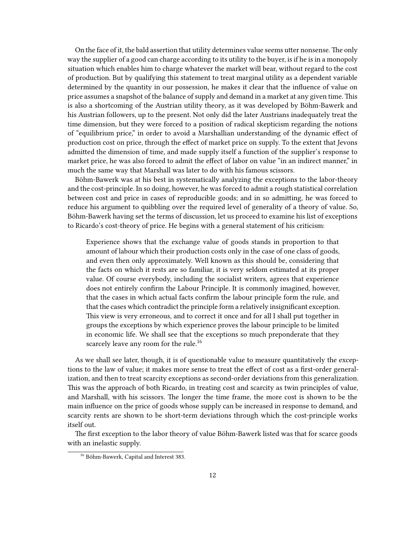On the face of it, the bald assertion that utility determines value seems utter nonsense. The only way the supplier of a good can charge according to its utility to the buyer, is if he is in a monopoly situation which enables him to charge whatever the market will bear, without regard to the cost of production. But by qualifying this statement to treat marginal utility as a dependent variable determined by the quantity in our possession, he makes it clear that the influence of value on price assumes a snapshot of the balance of supply and demand in a market at any given time. This is also a shortcoming of the Austrian utility theory, as it was developed by Böhm-Bawerk and his Austrian followers, up to the present. Not only did the later Austrians inadequately treat the time dimension, but they were forced to a position of radical skepticism regarding the notions of "equilibrium price," in order to avoid a Marshallian understanding of the dynamic effect of production cost on price, through the effect of market price on supply. To the extent that Jevons admitted the dimension of time, and made supply itself a function of the supplier's response to market price, he was also forced to admit the effect of labor on value "in an indirect manner," in much the same way that Marshall was later to do with his famous scissors.

Böhm-Bawerk was at his best in systematically analyzing the exceptions to the labor-theory and the cost-principle. In so doing, however, he was forced to admit a rough statistical correlation between cost and price in cases of reproducible goods; and in so admitting, he was forced to reduce his argument to quibbling over the required level of generality of a theory of value. So, Böhm-Bawerk having set the terms of discussion, let us proceed to examine his list of exceptions to Ricardo's cost-theory of price. He begins with a general statement of his criticism:

Experience shows that the exchange value of goods stands in proportion to that amount of labour which their production costs only in the case of one class of goods, and even then only approximately. Well known as this should be, considering that the facts on which it rests are so familiar, it is very seldom estimated at its proper value. Of course everybody, including the socialist writers, agrees that experience does not entirely confirm the Labour Principle. It is commonly imagined, however, that the cases in which actual facts confirm the labour principle form the rule, and that the cases which contradict the principle form a relatively insignificant exception. This view is very erroneous, and to correct it once and for all I shall put together in groups the exceptions by which experience proves the labour principle to be limited in economic life. We shall see that the exceptions so much preponderate that they scarcely leave any room for the rule.<sup>16</sup>

As we shall see later, though, it is of questionable value to measure quantitatively the exceptions to the law of value; it makes more sense to treat the effect of cost as a first-order generalization, and then to treat scarcity exceptions as second-order deviations from this generalization. This was the approach of both Ricardo, in treating cost and scarcity as twin principles of value, and Marshall, with his scissors. The longer the time frame, the more cost is shown to be the main influence on the price of goods whose supply can be increased in response to demand, and scarcity rents are shown to be short-term deviations through which the cost-principle works itself out.

The first exception to the labor theory of value Böhm-Bawerk listed was that for scarce goods with an inelastic supply.

<sup>&</sup>lt;sup>16</sup> Böhm-Bawerk, Capital and Interest 383.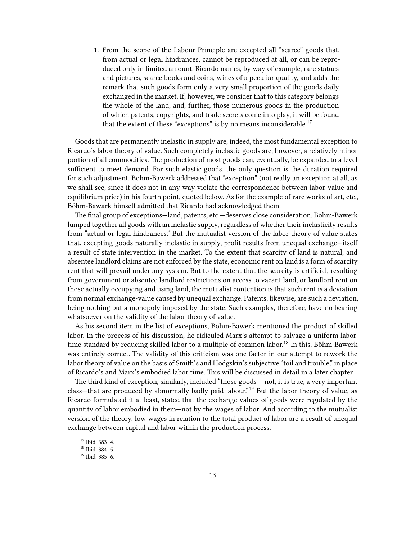1. From the scope of the Labour Principle are excepted all "scarce" goods that, from actual or legal hindrances, cannot be reproduced at all, or can be reproduced only in limited amount. Ricardo names, by way of example, rare statues and pictures, scarce books and coins, wines of a peculiar quality, and adds the remark that such goods form only a very small proportion of the goods daily exchanged in the market. If, however, we consider that to this category belongs the whole of the land, and, further, those numerous goods in the production of which patents, copyrights, and trade secrets come into play, it will be found that the extent of these "exceptions" is by no means inconsiderable.<sup>17</sup>

Goods that are permanently inelastic in supply are, indeed, the most fundamental exception to Ricardo's labor theory of value. Such completely inelastic goods are, however, a relatively minor portion of all commodities. The production of most goods can, eventually, be expanded to a level sufficient to meet demand. For such elastic goods, the only question is the duration required for such adjustment. Böhm-Bawerk addressed that "exception" (not really an exception at all, as we shall see, since it does not in any way violate the correspondence between labor-value and equilibrium price) in his fourth point, quoted below. As for the example of rare works of art, etc., Böhm-Bawark himself admitted that Ricardo had acknowledged them.

The final group of exceptions—land, patents, etc.—deserves close consideration. Böhm-Bawerk lumped together all goods with an inelastic supply, regardless of whether their inelasticity results from "actual or legal hindrances." But the mutualist version of the labor theory of value states that, excepting goods naturally inelastic in supply, profit results from unequal exchange—itself a result of state intervention in the market. To the extent that scarcity of land is natural, and absentee landlord claims are not enforced by the state, economic rent on land is a form of scarcity rent that will prevail under any system. But to the extent that the scarcity is artificial, resulting from government or absentee landlord restrictions on access to vacant land, or landlord rent on those actually occupying and using land, the mutualist contention is that such rent is a deviation from normal exchange-value caused by unequal exchange. Patents, likewise, are such a deviation, being nothing but a monopoly imposed by the state. Such examples, therefore, have no bearing whatsoever on the validity of the labor theory of value.

As his second item in the list of exceptions, Böhm-Bawerk mentioned the product of skilled labor. In the process of his discussion, he ridiculed Marx's attempt to salvage a uniform labortime standard by reducing skilled labor to a multiple of common labor.<sup>18</sup> In this, Böhm-Bawerk was entirely correct. The validity of this criticism was one factor in our attempt to rework the labor theory of value on the basis of Smith's and Hodgskin's subjective "toil and trouble," in place of Ricardo's and Marx's embodied labor time. This will be discussed in detail in a later chapter.

The third kind of exception, similarly, included "those goods—-not, it is true, a very important class—that are produced by abnormally badly paid labour."<sup>19</sup> But the labor theory of value, as Ricardo formulated it at least, stated that the exchange values of goods were regulated by the quantity of labor embodied in them—not by the wages of labor. And according to the mutualist version of the theory, low wages in relation to the total product of labor are a result of unequal exchange between capital and labor within the production process.

<sup>17</sup> Ibid. 383–4.

<sup>18</sup> Ibid. 384–5.

<sup>19</sup> Ibid. 385–6.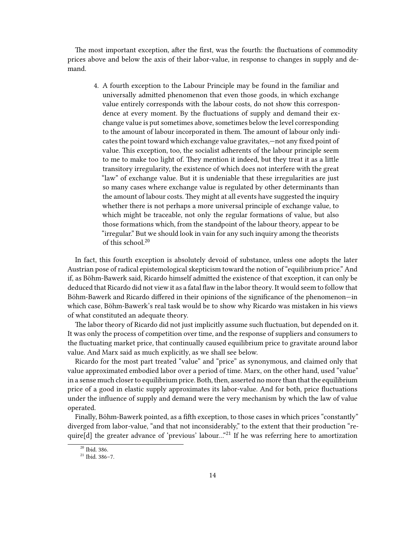The most important exception, after the first, was the fourth: the fluctuations of commodity prices above and below the axis of their labor-value, in response to changes in supply and demand.

4. A fourth exception to the Labour Principle may be found in the familiar and universally admitted phenomenon that even those goods, in which exchange value entirely corresponds with the labour costs, do not show this correspondence at every moment. By the fluctuations of supply and demand their exchange value is put sometimes above, sometimes below the level corresponding to the amount of labour incorporated in them. The amount of labour only indicates the point toward which exchange value gravitates,—not any fixed point of value. This exception, too, the socialist adherents of the labour principle seem to me to make too light of. They mention it indeed, but they treat it as a little transitory irregularity, the existence of which does not interfere with the great "law" of exchange value. But it is undeniable that these irregularities are just so many cases where exchange value is regulated by other determinants than the amount of labour costs. They might at all events have suggested the inquiry whether there is not perhaps a more universal principle of exchange value, to which might be traceable, not only the regular formations of value, but also those formations which, from the standpoint of the labour theory, appear to be "irregular." But we should look in vain for any such inquiry among the theorists of this school.<sup>20</sup>

In fact, this fourth exception is absolutely devoid of substance, unless one adopts the later Austrian pose of radical epistemological skepticism toward the notion of "equilibrium price." And if, as Böhm-Bawerk said, Ricardo himself admitted the existence of that exception, it can only be deduced that Ricardo did not view it as a fatal flaw in the labor theory. It would seem to follow that Böhm-Bawerk and Ricardo differed in their opinions of the significance of the phenomenon—in which case, Böhm-Bawerk's real task would be to show why Ricardo was mistaken in his views of what constituted an adequate theory.

The labor theory of Ricardo did not just implicitly assume such fluctuation, but depended on it. It was only the process of competition over time, and the response of suppliers and consumers to the fluctuating market price, that continually caused equilibrium price to gravitate around labor value. And Marx said as much explicitly, as we shall see below.

Ricardo for the most part treated "value" and "price" as synonymous, and claimed only that value approximated embodied labor over a period of time. Marx, on the other hand, used "value" in a sense much closer to equilibrium price. Both, then, asserted no more than that the equilibrium price of a good in elastic supply approximates its labor-value. And for both, price fluctuations under the influence of supply and demand were the very mechanism by which the law of value operated.

Finally, Böhm-Bawerk pointed, as a fifth exception, to those cases in which prices "constantly" diverged from labor-value, "and that not inconsiderably," to the extent that their production "require[d] the greater advance of 'previous' labour...<sup>"21</sup> If he was referring here to amortization

 $\overline{20}$  Ibid. 386.

<sup>21</sup> Ibid. 386–7.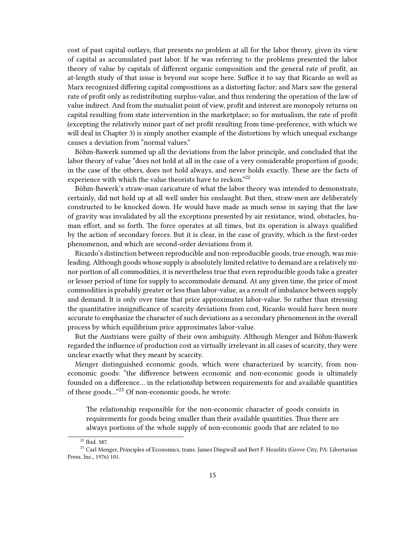cost of past capital outlays, that presents no problem at all for the labor theory, given its view of capital as accumulated past labor. If he was referring to the problems presented the labor theory of value by capitals of different organic composition and the general rate of profit, an at-length study of that issue is beyond our scope here. Suffice it to say that Ricardo as well as Marx recognized differing capital compositions as a distorting factor; and Marx saw the general rate of profit only as redistributing surplus-value, and thus rendering the operation of the law of value indirect. And from the mutualist point of view, profit and interest are monopoly returns on capital resulting from state intervention in the marketplace; so for mutualism, the rate of profit (excepting the relatively minor part of net profit resulting from time-preference, with which we will deal in Chapter 3) is simply another example of the distortions by which unequal exchange causes a deviation from "normal values."

Böhm-Bawerk summed up all the deviations from the labor principle, and concluded that the labor theory of value "does not hold at all in the case of a very considerable proportion of goods; in the case of the others, does not hold always, and never holds exactly. These are the facts of experience with which the value theorists have to reckon."22

Böhm-Bawerk's straw-man caricature of what the labor theory was intended to demonstrate, certainly, did not hold up at all well under his onslaught. But then, straw-men are deliberately constructed to be knocked down. He would have made as much sense in saying that the law of gravity was invalidated by all the exceptions presented by air resistance, wind, obstacles, human effort, and so forth. The force operates at all times, but its operation is always qualified by the action of secondary forces. But it is clear, in the case of gravity, which is the first-order phenomenon, and which are second-order deviations from it.

Ricardo's distinction between reproducible and non-reproducible goods, true enough, was misleading. Although goods whose supply is absolutely limited relative to demand are a relatively minor portion of all commodities, it is nevertheless true that even reproducible goods take a greater or lesser period of time for supply to accommodate demand. At any given time, the price of most commodities is probably greater or less than labor-value, as a result of imbalance between supply and demand. It is only over time that price approximates labor-value. So rather than stressing the quantitative insignificance of scarcity deviations from cost, Ricardo would have been more accurate to emphasize the character of such deviations as a secondary phenomenon in the overall process by which equilibrium price approximates labor-value.

But the Austrians were guilty of their own ambiguity. Although Menger and Böhm-Bawerk regarded the influence of production cost as virtually irrelevant in all cases of scarcity, they were unclear exactly what they meant by scarcity.

Menger distinguished economic goods, which were characterized by scarcity, from noneconomic goods: "the difference between economic and non-economic goods is ultimately founded on a difference… in the relationship between requirements for and available quantities of these goods…"<sup>23</sup> Of non-economic goods, he wrote:

The relationship responsible for the non-economic character of goods consists in requirements for goods being smaller than their available quantities. Thus there are always portions of the whole supply of non-economic goods that are related to no

 $22$  Ibid. 387.

<sup>&</sup>lt;sup>23</sup> Carl Menger, Principles of Economics, trans. James Dingwall and Bert F. Hozelitz (Grove City, PA: Libertarian Press, Inc., 1976) 101.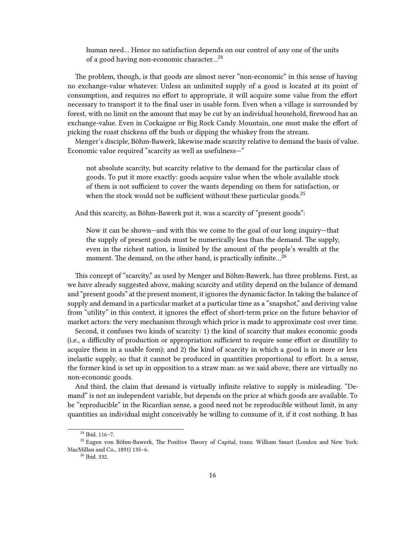human need… Hence no satisfaction depends on our control of any one of the units of a good having non-economic character…<sup>24</sup>

The problem, though, is that goods are almost never "non-economic" in this sense of having no exchange-value whatever. Unless an unlimited supply of a good is located at its point of consumption, and requires no effort to appropriate, it will acquire some value from the effort necessary to transport it to the final user in usable form. Even when a village is surrounded by forest, with no limit on the amount that may be cut by an individual household, firewood has an exchange-value. Even in Cockaigne or Big Rock Candy Mountain, one must make the effort of picking the roast chickens off the bush or dipping the whiskey from the stream.

Menger's disciple, Böhm-Bawerk, likewise made scarcity relative to demand the basis of value. Economic value required "scarcity as well as usefulness—"

not absolute scarcity, but scarcity relative to the demand for the particular class of goods. To put it more exactly: goods acquire value when the whole available stock of them is not sufficient to cover the wants depending on them for satisfaction, or when the stock would not be sufficient without these particular goods.<sup>25</sup>

And this scarcity, as Böhm-Bawerk put it, was a scarcity of "present goods":

Now it can be shown—and with this we come to the goal of our long inquiry—that the supply of present goods must be numerically less than the demand. The supply, even in the richest nation, is limited by the amount of the people's wealth at the moment. The demand, on the other hand, is practically infinite...<sup>26</sup>

This concept of "scarcity," as used by Menger and Böhm-Bawerk, has three problems. First, as we have already suggested above, making scarcity and utility depend on the balance of demand and "present goods" at the present moment, it ignores the dynamic factor. In taking the balance of supply and demand in a particular market at a particular time as a "snapshot," and deriving value from "utility" in this context, it ignores the effect of short-term price on the future behavior of market actors: the very mechanism through which price is made to approximate cost over time.

Second, it confuses two kinds of scarcity: 1) the kind of scarcity that makes economic goods (i.e., a difficulty of production or appropriation sufficient to require some effort or disutility to acquire them in a usable form); and 2) the kind of scarcity in which a good is in more or less inelastic supply, so that it cannot be produced in quantities proportional to effort. In a sense, the former kind is set up in opposition to a straw man: as we said above, there are virtually no non-economic goods.

And third, the claim that demand is virtually infinite relative to supply is misleading. "Demand" is not an independent variable, but depends on the price at which goods are available. To be "reproducible" in the Ricardian sense, a good need not be reproducible without limit, in any quantities an individual might conceivably be willing to consume of it, if it cost nothing. It has

<sup>24</sup> Ibid. 116–7.

<sup>&</sup>lt;sup>25</sup> Eugen von Böhm-Bawerk, The Positive Theory of Capital, trans. William Smart (London and New York: MacMillan and Co., 1891) 135–6.

<sup>26</sup> Ibid. 332.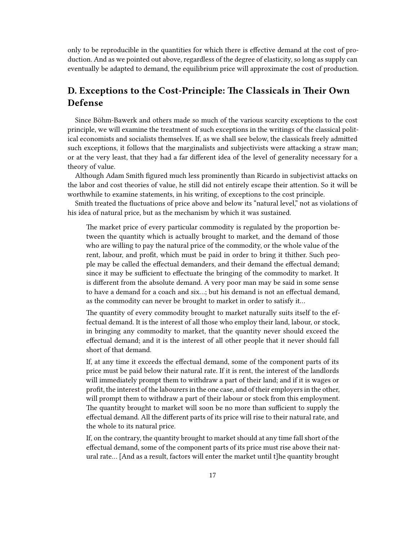only to be reproducible in the quantities for which there is effective demand at the cost of production. And as we pointed out above, regardless of the degree of elasticity, so long as supply can eventually be adapted to demand, the equilibrium price will approximate the cost of production.

## <span id="page-16-0"></span>**D. Exceptions to the Cost-Principle: The Classicals in Their Own Defense**

Since Böhm-Bawerk and others made so much of the various scarcity exceptions to the cost principle, we will examine the treatment of such exceptions in the writings of the classical political economists and socialists themselves. If, as we shall see below, the classicals freely admitted such exceptions, it follows that the marginalists and subjectivists were attacking a straw man; or at the very least, that they had a far different idea of the level of generality necessary for a theory of value.

Although Adam Smith figured much less prominently than Ricardo in subjectivist attacks on the labor and cost theories of value, he still did not entirely escape their attention. So it will be worthwhile to examine statements, in his writing, of exceptions to the cost principle.

Smith treated the fluctuations of price above and below its "natural level," not as violations of his idea of natural price, but as the mechanism by which it was sustained.

The market price of every particular commodity is regulated by the proportion between the quantity which is actually brought to market, and the demand of those who are willing to pay the natural price of the commodity, or the whole value of the rent, labour, and profit, which must be paid in order to bring it thither. Such people may be called the effectual demanders, and their demand the effectual demand; since it may be sufficient to effectuate the bringing of the commodity to market. It is different from the absolute demand. A very poor man may be said in some sense to have a demand for a coach and six…; but his demand is not an effectual demand, as the commodity can never be brought to market in order to satisfy it…

The quantity of every commodity brought to market naturally suits itself to the effectual demand. It is the interest of all those who employ their land, labour, or stock, in bringing any commodity to market, that the quantity never should exceed the effectual demand; and it is the interest of all other people that it never should fall short of that demand.

If, at any time it exceeds the effectual demand, some of the component parts of its price must be paid below their natural rate. If it is rent, the interest of the landlords will immediately prompt them to withdraw a part of their land; and if it is wages or profit, the interest of the labourers in the one case, and of their employers in the other, will prompt them to withdraw a part of their labour or stock from this employment. The quantity brought to market will soon be no more than sufficient to supply the effectual demand. All the different parts of its price will rise to their natural rate, and the whole to its natural price.

If, on the contrary, the quantity brought to market should at any time fall short of the effectual demand, some of the component parts of its price must rise above their natural rate… [And as a result, factors will enter the market until t]he quantity brought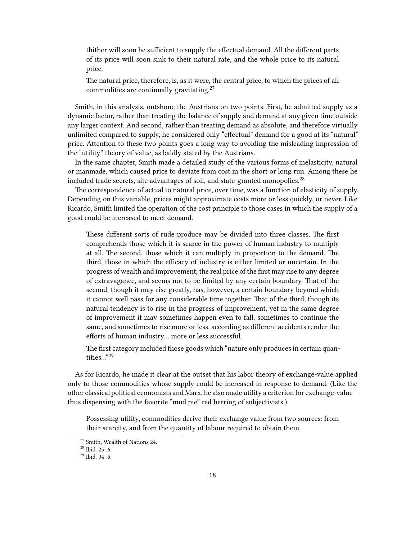thither will soon be sufficient to supply the effectual demand. All the different parts of its price will soon sink to their natural rate, and the whole price to its natural price.

The natural price, therefore, is, as it were, the central price, to which the prices of all commodities are continually gravitating.<sup>27</sup>

Smith, in this analysis, outshone the Austrians on two points. First, he admitted supply as a dynamic factor, rather than treating the balance of supply and demand at any given time outside any larger context. And second, rather than treating demand as absolute, and therefore virtually unlimited compared to supply, he considered only "effectual" demand for a good at its "natural" price. Attention to these two points goes a long way to avoiding the misleading impression of the "utility" theory of value, as baldly stated by the Austrians.

In the same chapter, Smith made a detailed study of the various forms of inelasticity, natural or manmade, which caused price to deviate from cost in the short or long run. Among these he included trade secrets, site advantages of soil, and state-granted monopolies.<sup>28</sup>

The correspondence of actual to natural price, over time, was a function of elasticity of supply. Depending on this variable, prices might approximate costs more or less quickly, or never. Like Ricardo, Smith limited the operation of the cost principle to those cases in which the supply of a good could be increased to meet demand.

These different sorts of rude produce may be divided into three classes. The first comprehends those which it is scarce in the power of human industry to multiply at all. The second, those which it can multiply in proportion to the demand. The third, those in which the efficacy of industry is either limited or uncertain. In the progress of wealth and improvement, the real price of the first may rise to any degree of extravagance, and seems not to be limited by any certain boundary. That of the second, though it may rise greatly, has, however, a certain boundary beyond which it cannot well pass for any considerable time together. That of the third, though its natural tendency is to rise in the progress of improvement, yet in the same degree of improvement it may sometimes happen even to fall, sometimes to continue the same, and sometimes to rise more or less, according as different accidents render the efforts of human industry… more or less successful.

The first category included those goods which "nature only produces in certain quantities…"<sup>29</sup>

As for Ricardo, he made it clear at the outset that his labor theory of exchange-value applied only to those commodities whose supply could be increased in response to demand. (Like the other classical political economists and Marx, he also made utility a criterion for exchange-value thus dispensing with the favorite "mud pie" red herring of subjectivists.)

Possessing utility, commodities derive their exchange value from two sources: from their scarcity, and from the quantity of labour required to obtain them.

<sup>&</sup>lt;sup>27</sup> Smith, Wealth of Nations 24.

<sup>28</sup> Ibid. 25–6.

 $29$  Ibid. 94–5.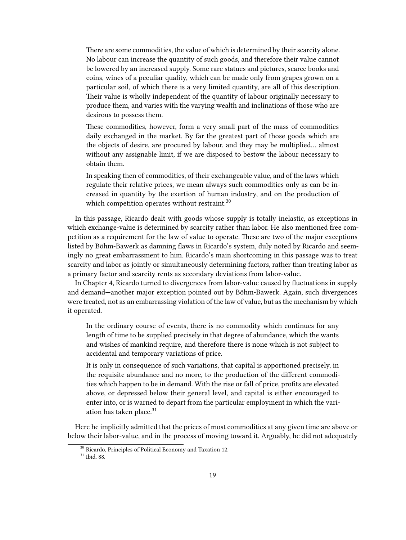There are some commodities, the value of which is determined by their scarcity alone. No labour can increase the quantity of such goods, and therefore their value cannot be lowered by an increased supply. Some rare statues and pictures, scarce books and coins, wines of a peculiar quality, which can be made only from grapes grown on a particular soil, of which there is a very limited quantity, are all of this description. Their value is wholly independent of the quantity of labour originally necessary to produce them, and varies with the varying wealth and inclinations of those who are desirous to possess them.

These commodities, however, form a very small part of the mass of commodities daily exchanged in the market. By far the greatest part of those goods which are the objects of desire, are procured by labour, and they may be multiplied… almost without any assignable limit, if we are disposed to bestow the labour necessary to obtain them.

In speaking then of commodities, of their exchangeable value, and of the laws which regulate their relative prices, we mean always such commodities only as can be increased in quantity by the exertion of human industry, and on the production of which competition operates without restraint.<sup>30</sup>

In this passage, Ricardo dealt with goods whose supply is totally inelastic, as exceptions in which exchange-value is determined by scarcity rather than labor. He also mentioned free competition as a requirement for the law of value to operate. These are two of the major exceptions listed by Böhm-Bawerk as damning flaws in Ricardo's system, duly noted by Ricardo and seemingly no great embarrassment to him. Ricardo's main shortcoming in this passage was to treat scarcity and labor as jointly or simultaneously determining factors, rather than treating labor as a primary factor and scarcity rents as secondary deviations from labor-value.

In Chapter 4, Ricardo turned to divergences from labor-value caused by fluctuations in supply and demand—another major exception pointed out by Böhm-Bawerk. Again, such divergences were treated, not as an embarrassing violation of the law of value, but as the mechanism by which it operated.

In the ordinary course of events, there is no commodity which continues for any length of time to be supplied precisely in that degree of abundance, which the wants and wishes of mankind require, and therefore there is none which is not subject to accidental and temporary variations of price.

It is only in consequence of such variations, that capital is apportioned precisely, in the requisite abundance and no more, to the production of the different commodities which happen to be in demand. With the rise or fall of price, profits are elevated above, or depressed below their general level, and capital is either encouraged to enter into, or is warned to depart from the particular employment in which the variation has taken place.<sup>31</sup>

Here he implicitly admitted that the prices of most commodities at any given time are above or below their labor-value, and in the process of moving toward it. Arguably, he did not adequately

<sup>30</sup> Ricardo, Principles of Political Economy and Taxation 12.

<sup>31</sup> Ibid. 88.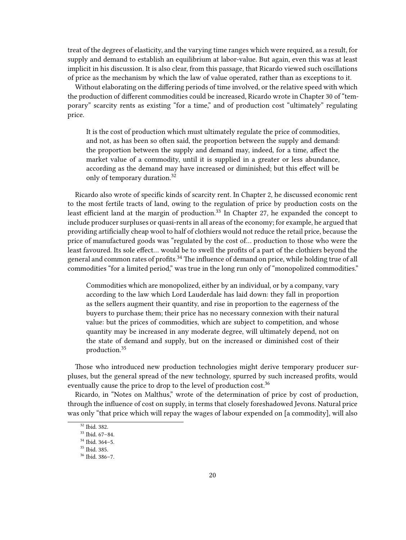treat of the degrees of elasticity, and the varying time ranges which were required, as a result, for supply and demand to establish an equilibrium at labor-value. But again, even this was at least implicit in his discussion. It is also clear, from this passage, that Ricardo viewed such oscillations of price as the mechanism by which the law of value operated, rather than as exceptions to it.

Without elaborating on the differing periods of time involved, or the relative speed with which the production of different commodities could be increased, Ricardo wrote in Chapter 30 of "temporary" scarcity rents as existing "for a time," and of production cost "ultimately" regulating price.

It is the cost of production which must ultimately regulate the price of commodities, and not, as has been so often said, the proportion between the supply and demand: the proportion between the supply and demand may, indeed, for a time, affect the market value of a commodity, until it is supplied in a greater or less abundance, according as the demand may have increased or diminished; but this effect will be only of temporary duration.<sup>32</sup>

Ricardo also wrote of specific kinds of scarcity rent. In Chapter 2, he discussed economic rent to the most fertile tracts of land, owing to the regulation of price by production costs on the least efficient land at the margin of production.<sup>33</sup> In Chapter 27, he expanded the concept to include producer surpluses or quasi-rents in all areas of the economy; for example, he argued that providing artificially cheap wool to half of clothiers would not reduce the retail price, because the price of manufactured goods was "regulated by the cost of… production to those who were the least favoured. Its sole effect… would be to swell the profits of a part of the clothiers beyond the general and common rates of profits.<sup>34</sup> The influence of demand on price, while holding true of all commodities "for a limited period," was true in the long run only of "monopolized commodities."

Commodities which are monopolized, either by an individual, or by a company, vary according to the law which Lord Lauderdale has laid down: they fall in proportion as the sellers augment their quantity, and rise in proportion to the eagerness of the buyers to purchase them; their price has no necessary connexion with their natural value: but the prices of commodities, which are subject to competition, and whose quantity may be increased in any moderate degree, will ultimately depend, not on the state of demand and supply, but on the increased or diminished cost of their production.<sup>35</sup>

Those who introduced new production technologies might derive temporary producer surpluses, but the general spread of the new technology, spurred by such increased profits, would eventually cause the price to drop to the level of production cost.<sup>36</sup>

Ricardo, in "Notes on Malthus," wrote of the determination of price by cost of production, through the influence of cost on supply, in terms that closely foreshadowed Jevons. Natural price was only "that price which will repay the wages of labour expended on [a commodity], will also

 $32$  Ibid. 382.

<sup>33</sup> Ibid. 67–84.

<sup>34</sup> Ibid. 364–5.

<sup>35</sup> Ibid. 385.

<sup>36</sup> Ibid. 386–7.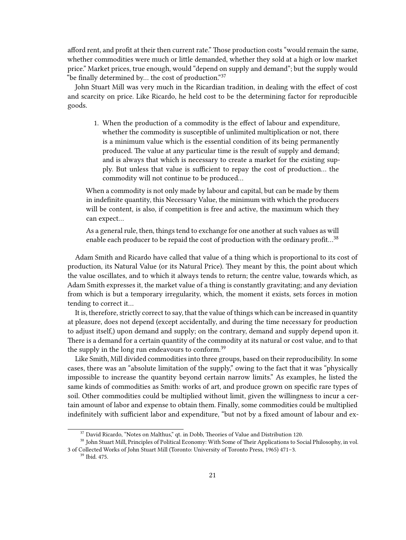afford rent, and profit at their then current rate." Those production costs "would remain the same, whether commodities were much or little demanded, whether they sold at a high or low market price." Market prices, true enough, would "depend on supply and demand"; but the supply would "be finally determined by... the cost of production."<sup>37</sup>

John Stuart Mill was very much in the Ricardian tradition, in dealing with the effect of cost and scarcity on price. Like Ricardo, he held cost to be the determining factor for reproducible goods.

1. When the production of a commodity is the effect of labour and expenditure, whether the commodity is susceptible of unlimited multiplication or not, there is a minimum value which is the essential condition of its being permanently produced. The value at any particular time is the result of supply and demand; and is always that which is necessary to create a market for the existing supply. But unless that value is sufficient to repay the cost of production… the commodity will not continue to be produced…

When a commodity is not only made by labour and capital, but can be made by them in indefinite quantity, this Necessary Value, the minimum with which the producers will be content, is also, if competition is free and active, the maximum which they can expect…

As a general rule, then, things tend to exchange for one another at such values as will enable each producer to be repaid the cost of production with the ordinary profit...<sup>38</sup>

Adam Smith and Ricardo have called that value of a thing which is proportional to its cost of production, its Natural Value (or its Natural Price). They meant by this, the point about which the value oscillates, and to which it always tends to return; the centre value, towards which, as Adam Smith expresses it, the market value of a thing is constantly gravitating; and any deviation from which is but a temporary irregularity, which, the moment it exists, sets forces in motion tending to correct it…

It is, therefore, strictly correct to say, that the value of things which can be increased in quantity at pleasure, does not depend (except accidentally, and during the time necessary for production to adjust itself,) upon demand and supply; on the contrary, demand and supply depend upon it. There is a demand for a certain quantity of the commodity at its natural or cost value, and to that the supply in the long run endeavours to conform.<sup>39</sup>

Like Smith, Mill divided commodities into three groups, based on their reproducibility. In some cases, there was an "absolute limitation of the supply," owing to the fact that it was "physically impossible to increase the quantity beyond certain narrow limits." As examples, he listed the same kinds of commodities as Smith: works of art, and produce grown on specific rare types of soil. Other commodities could be multiplied without limit, given the willingness to incur a certain amount of labor and expense to obtain them. Finally, some commodities could be multiplied indefinitely with sufficient labor and expenditure, "but not by a fixed amount of labour and ex-

<sup>39</sup> Ibid. 475.

<sup>&</sup>lt;sup>37</sup> David Ricardo, "Notes on Malthus," qt. in Dobb, Theories of Value and Distribution 120.

<sup>38</sup> John Stuart Mill, Principles of Political Economy: With Some of Their Applications to Social Philosophy, in vol. 3 of Collected Works of John Stuart Mill (Toronto: University of Toronto Press, 1965) 471–3.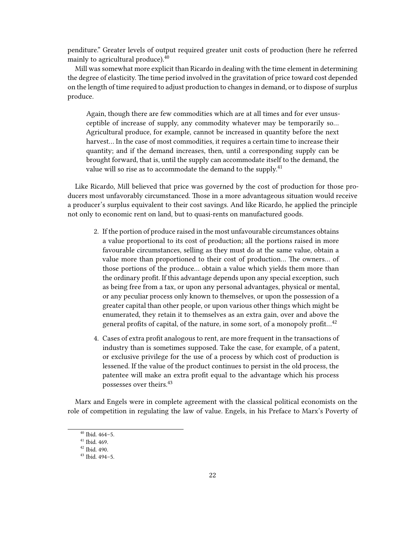penditure." Greater levels of output required greater unit costs of production (here he referred mainly to agricultural produce).<sup>40</sup>

Mill was somewhat more explicit than Ricardo in dealing with the time element in determining the degree of elasticity. The time period involved in the gravitation of price toward cost depended on the length of time required to adjust production to changes in demand, or to dispose of surplus produce.

Again, though there are few commodities which are at all times and for ever unsusceptible of increase of supply, any commodity whatever may be temporarily so… Agricultural produce, for example, cannot be increased in quantity before the next harvest… In the case of most commodities, it requires a certain time to increase their quantity; and if the demand increases, then, until a corresponding supply can be brought forward, that is, until the supply can accommodate itself to the demand, the value will so rise as to accommodate the demand to the supply.<sup>41</sup>

Like Ricardo, Mill believed that price was governed by the cost of production for those producers most unfavorably circumstanced. Those in a more advantageous situation would receive a producer's surplus equivalent to their cost savings. And like Ricardo, he applied the principle not only to economic rent on land, but to quasi-rents on manufactured goods.

- 2. If the portion of produce raised in the most unfavourable circumstances obtains a value proportional to its cost of production; all the portions raised in more favourable circumstances, selling as they must do at the same value, obtain a value more than proportioned to their cost of production… The owners… of those portions of the produce… obtain a value which yields them more than the ordinary profit. If this advantage depends upon any special exception, such as being free from a tax, or upon any personal advantages, physical or mental, or any peculiar process only known to themselves, or upon the possession of a greater capital than other people, or upon various other things which might be enumerated, they retain it to themselves as an extra gain, over and above the general profits of capital, of the nature, in some sort, of a monopoly profit…<sup>42</sup>
- 4. Cases of extra profit analogous to rent, are more frequent in the transactions of industry than is sometimes supposed. Take the case, for example, of a patent, or exclusive privilege for the use of a process by which cost of production is lessened. If the value of the product continues to persist in the old process, the patentee will make an extra profit equal to the advantage which his process possesses over theirs.<sup>43</sup>

Marx and Engels were in complete agreement with the classical political economists on the role of competition in regulating the law of value. Engels, in his Preface to Marx's Poverty of

<sup>40</sup> Ibid. 464–5.

<sup>41</sup> Ibid. 469.

<sup>42</sup> Ibid. 490.

 $43$  Ibid.  $494-5$ .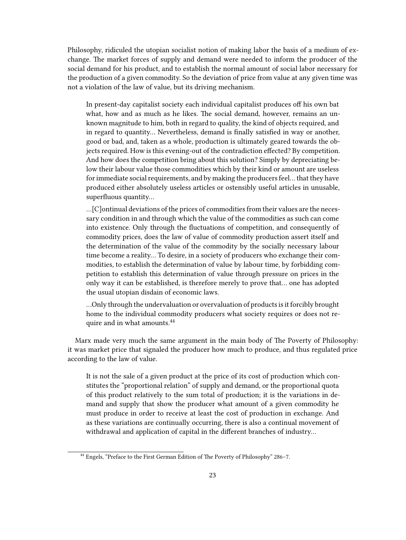Philosophy, ridiculed the utopian socialist notion of making labor the basis of a medium of exchange. The market forces of supply and demand were needed to inform the producer of the social demand for his product, and to establish the normal amount of social labor necessary for the production of a given commodity. So the deviation of price from value at any given time was not a violation of the law of value, but its driving mechanism.

In present-day capitalist society each individual capitalist produces off his own bat what, how and as much as he likes. The social demand, however, remains an unknown magnitude to him, both in regard to quality, the kind of objects required, and in regard to quantity… Nevertheless, demand is finally satisfied in way or another, good or bad, and, taken as a whole, production is ultimately geared towards the objects required. How is this evening-out of the contradiction effected? By competition. And how does the competition bring about this solution? Simply by depreciating below their labour value those commodities which by their kind or amount are useless for immediate social requirements, and by making the producers feel… that they have produced either absolutely useless articles or ostensibly useful articles in unusable, superfluous quantity…

…[C]ontinual deviations of the prices of commodities from their values are the necessary condition in and through which the value of the commodities as such can come into existence. Only through the fluctuations of competition, and consequently of commodity prices, does the law of value of commodity production assert itself and the determination of the value of the commodity by the socially necessary labour time become a reality… To desire, in a society of producers who exchange their commodities, to establish the determination of value by labour time, by forbidding competition to establish this determination of value through pressure on prices in the only way it can be established, is therefore merely to prove that… one has adopted the usual utopian disdain of economic laws.

…Only through the undervaluation or overvaluation of products is it forcibly brought home to the individual commodity producers what society requires or does not require and in what amounts.<sup>44</sup>

Marx made very much the same argument in the main body of The Poverty of Philosophy: it was market price that signaled the producer how much to produce, and thus regulated price according to the law of value.

It is not the sale of a given product at the price of its cost of production which constitutes the "proportional relation" of supply and demand, or the proportional quota of this product relatively to the sum total of production; it is the variations in demand and supply that show the producer what amount of a given commodity he must produce in order to receive at least the cost of production in exchange. And as these variations are continually occurring, there is also a continual movement of withdrawal and application of capital in the different branches of industry…

<sup>44</sup> Engels, "Preface to the First German Edition of The Poverty of Philosophy" 286–7.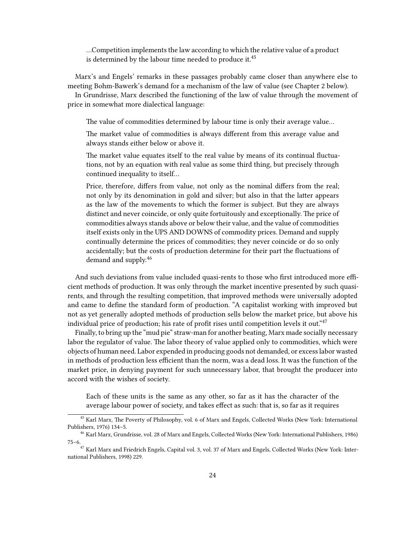…Competition implements the law according to which the relative value of a product is determined by the labour time needed to produce it.<sup>45</sup>

Marx's and Engels' remarks in these passages probably came closer than anywhere else to meeting Bohm-Bawerk's demand for a mechanism of the law of value (see Chapter 2 below). In Grundrisse, Marx described the functioning of the law of value through the movement of

price in somewhat more dialectical language:

The value of commodities determined by labour time is only their average value…

The market value of commodities is always different from this average value and always stands either below or above it.

The market value equates itself to the real value by means of its continual fluctuations, not by an equation with real value as some third thing, but precisely through continued inequality to itself…

Price, therefore, differs from value, not only as the nominal differs from the real; not only by its denomination in gold and silver; but also in that the latter appears as the law of the movements to which the former is subject. But they are always distinct and never coincide, or only quite fortuitously and exceptionally. The price of commodities always stands above or below their value, and the value of commodities itself exists only in the UPS AND DOWNS of commodity prices. Demand and supply continually determine the prices of commodities; they never coincide or do so only accidentally; but the costs of production determine for their part the fluctuations of demand and supply.<sup>46</sup>

And such deviations from value included quasi-rents to those who first introduced more efficient methods of production. It was only through the market incentive presented by such quasirents, and through the resulting competition, that improved methods were universally adopted and came to define the standard form of production. "A capitalist working with improved but not as yet generally adopted methods of production sells below the market price, but above his individual price of production; his rate of profit rises until competition levels it out."<sup>47</sup>

Finally, to bring up the "mud pie" straw-man for another beating, Marx made socially necessary labor the regulator of value. The labor theory of value applied only to commodities, which were objects of human need. Labor expended in producing goods not demanded, or excess labor wasted in methods of production less efficient than the norm, was a dead loss. It was the function of the market price, in denying payment for such unnecessary labor, that brought the producer into accord with the wishes of society.

Each of these units is the same as any other, so far as it has the character of the average labour power of society, and takes effect as such: that is, so far as it requires

<sup>45</sup> Karl Marx, The Poverty of Philosophy, vol. 6 of Marx and Engels, Collected Works (New York: International Publishers, 1976) 134–5.

<sup>46</sup> Karl Marx, Grundrisse, vol. 28 of Marx and Engels, Collected Works (New York: International Publishers, 1986) 75–6.

<sup>&</sup>lt;sup>47</sup> Karl Marx and Friedrich Engels, Capital vol. 3, vol. 37 of Marx and Engels, Collected Works (New York: International Publishers, 1998) 229.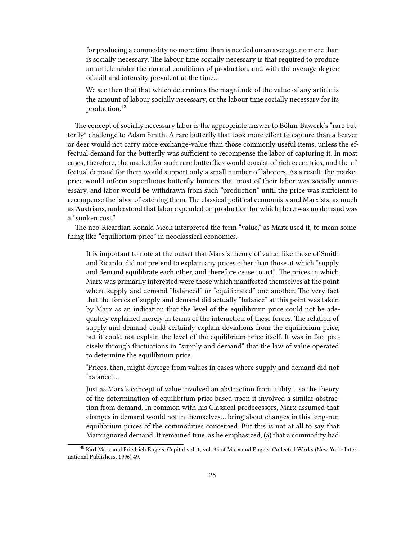for producing a commodity no more time than is needed on an average, no more than is socially necessary. The labour time socially necessary is that required to produce an article under the normal conditions of production, and with the average degree of skill and intensity prevalent at the time…

We see then that that which determines the magnitude of the value of any article is the amount of labour socially necessary, or the labour time socially necessary for its production.<sup>48</sup>

The concept of socially necessary labor is the appropriate answer to Böhm-Bawerk's "rare butterfly" challenge to Adam Smith. A rare butterfly that took more effort to capture than a beaver or deer would not carry more exchange-value than those commonly useful items, unless the effectual demand for the butterfly was sufficient to recompense the labor of capturing it. In most cases, therefore, the market for such rare butterflies would consist of rich eccentrics, and the effectual demand for them would support only a small number of laborers. As a result, the market price would inform superfluous butterfly hunters that most of their labor was socially unnecessary, and labor would be withdrawn from such "production" until the price was sufficient to recompense the labor of catching them. The classical political economists and Marxists, as much as Austrians, understood that labor expended on production for which there was no demand was a "sunken cost."

The neo-Ricardian Ronald Meek interpreted the term "value," as Marx used it, to mean something like "equilibrium price" in neoclassical economics.

It is important to note at the outset that Marx's theory of value, like those of Smith and Ricardo, did not pretend to explain any prices other than those at which "supply and demand equilibrate each other, and therefore cease to act". The prices in which Marx was primarily interested were those which manifested themselves at the point where supply and demand "balanced" or "equilibrated" one another. The very fact that the forces of supply and demand did actually "balance" at this point was taken by Marx as an indication that the level of the equilibrium price could not be adequately explained merely in terms of the interaction of these forces. The relation of supply and demand could certainly explain deviations from the equilibrium price, but it could not explain the level of the equilibrium price itself. It was in fact precisely through fluctuations in "supply and demand" that the law of value operated to determine the equilibrium price.

"Prices, then, might diverge from values in cases where supply and demand did not "balance"…

Just as Marx's concept of value involved an abstraction from utility… so the theory of the determination of equilibrium price based upon it involved a similar abstraction from demand. In common with his Classical predecessors, Marx assumed that changes in demand would not in themselves… bring about changes in this long-run equilibrium prices of the commodities concerned. But this is not at all to say that Marx ignored demand. It remained true, as he emphasized, (a) that a commodity had

<sup>48</sup> Karl Marx and Friedrich Engels, Capital vol. 1, vol. 35 of Marx and Engels, Collected Works (New York: International Publishers, 1996) 49.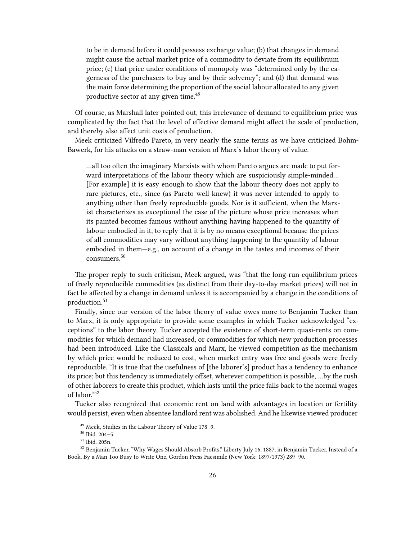to be in demand before it could possess exchange value; (b) that changes in demand might cause the actual market price of a commodity to deviate from its equilibrium price; (c) that price under conditions of monopoly was "determined only by the eagerness of the purchasers to buy and by their solvency"; and (d) that demand was the main force determining the proportion of the social labour allocated to any given productive sector at any given time.<sup>49</sup>

Of course, as Marshall later pointed out, this irrelevance of demand to equilibrium price was complicated by the fact that the level of effective demand might affect the scale of production, and thereby also affect unit costs of production.

Meek criticized Vilfredo Pareto, in very nearly the same terms as we have criticized Bohm-Bawerk, for his attacks on a straw-man version of Marx's labor theory of value.

…all too often the imaginary Marxists with whom Pareto argues are made to put forward interpretations of the labour theory which are suspiciously simple-minded… [For example] it is easy enough to show that the labour theory does not apply to rare pictures, etc., since (as Pareto well knew) it was never intended to apply to anything other than freely reproducible goods. Nor is it sufficient, when the Marxist characterizes as exceptional the case of the picture whose price increases when its painted becomes famous without anything having happened to the quantity of labour embodied in it, to reply that it is by no means exceptional because the prices of all commodities may vary without anything happening to the quantity of labour embodied in them—e.g., on account of a change in the tastes and incomes of their consumers.<sup>50</sup>

The proper reply to such criticism, Meek argued, was "that the long-run equilibrium prices of freely reproducible commodities (as distinct from their day-to-day market prices) will not in fact be affected by a change in demand unless it is accompanied by a change in the conditions of production.<sup>51</sup>

Finally, since our version of the labor theory of value owes more to Benjamin Tucker than to Marx, it is only appropriate to provide some examples in which Tucker acknowledged "exceptions" to the labor theory. Tucker accepted the existence of short-term quasi-rents on commodities for which demand had increased, or commodities for which new production processes had been introduced. Like the Classicals and Marx, he viewed competition as the mechanism by which price would be reduced to cost, when market entry was free and goods were freely reproducible. "It is true that the usefulness of [the laborer's] product has a tendency to enhance its price; but this tendency is immediately offset, wherever competition is possible, …by the rush of other laborers to create this product, which lasts until the price falls back to the normal wages of labor."<sup>52</sup>

Tucker also recognized that economic rent on land with advantages in location or fertility would persist, even when absentee landlord rent was abolished. And he likewise viewed producer

<sup>49</sup> Meek, Studies in the Labour Theory of Value 178–9.

<sup>50</sup> Ibid. 204–5.

<sup>51</sup> Ibid. 205n.

<sup>52</sup> Benjamin Tucker, "Why Wages Should Absorb Profits," Liberty July 16, 1887, in Benjamin Tucker, Instead of a Book, By a Man Too Busy to Write One, Gordon Press Facsimile (New York: 1897/1973) 289–90.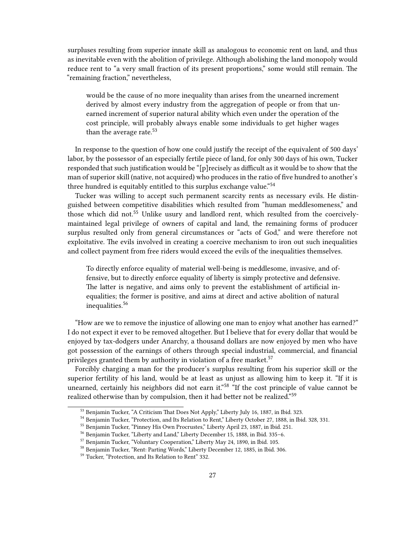surpluses resulting from superior innate skill as analogous to economic rent on land, and thus as inevitable even with the abolition of privilege. Although abolishing the land monopoly would reduce rent to "a very small fraction of its present proportions," some would still remain. The "remaining fraction," nevertheless,

would be the cause of no more inequality than arises from the unearned increment derived by almost every industry from the aggregation of people or from that unearned increment of superior natural ability which even under the operation of the cost principle, will probably always enable some individuals to get higher wages than the average rate.<sup>53</sup>

In response to the question of how one could justify the receipt of the equivalent of 500 days' labor, by the possessor of an especially fertile piece of land, for only 300 days of his own, Tucker responded that such justification would be "[p]recisely as difficult as it would be to show that the man of superior skill (native, not acquired) who produces in the ratio of five hundred to another's three hundred is equitably entitled to this surplus exchange value.<sup>54</sup>

Tucker was willing to accept such permanent scarcity rents as necessary evils. He distinguished between competitive disabilities which resulted from "human meddlesomeness," and those which did not.<sup>55</sup> Unlike usury and landlord rent, which resulted from the coercivelymaintained legal privilege of owners of capital and land, the remaining forms of producer surplus resulted only from general circumstances or "acts of God," and were therefore not exploitative. The evils involved in creating a coercive mechanism to iron out such inequalities and collect payment from free riders would exceed the evils of the inequalities themselves.

To directly enforce equality of material well-being is meddlesome, invasive, and offensive, but to directly enforce equality of liberty is simply protective and defensive. The latter is negative, and aims only to prevent the establishment of artificial inequalities; the former is positive, and aims at direct and active abolition of natural inequalities.<sup>56</sup>

"How are we to remove the injustice of allowing one man to enjoy what another has earned?" I do not expect it ever to be removed altogether. But I believe that for every dollar that would be enjoyed by tax-dodgers under Anarchy, a thousand dollars are now enjoyed by men who have got possession of the earnings of others through special industrial, commercial, and financial privileges granted them by authority in violation of a free market.<sup>57</sup>

Forcibly charging a man for the producer's surplus resulting from his superior skill or the superior fertility of his land, would be at least as unjust as allowing him to keep it. "If it is unearned, certainly his neighbors did not earn it."<sup>58</sup> "If the cost principle of value cannot be realized otherwise than by compulsion, then it had better not be realized."<sup>59</sup>

<sup>53</sup> Benjamin Tucker, "A Criticism That Does Not Apply," Liberty July 16, 1887, in Ibid. 323.

<sup>54</sup> Benjamin Tucker, "Protection, and Its Relation to Rent," Liberty October 27, 1888, in Ibid. 328, 331.

<sup>55</sup> Benjamin Tucker, "Pinney His Own Procrustes," Liberty April 23, 1887, in Ibid. 251.

<sup>56</sup> Benjamin Tucker, "Liberty and Land," Liberty December 15, 1888, in Ibid. 335–6.

<sup>&</sup>lt;sup>57</sup> Benjamin Tucker, "Voluntary Cooperation," Liberty May 24, 1890, in Ibid. 105.

<sup>&</sup>lt;sup>58</sup> Benjamin Tucker, "Rent: Parting Words," Liberty December 12, 1885, in Ibid. 306.

<sup>59</sup> Tucker, "Protection, and Its Relation to Rent" 332.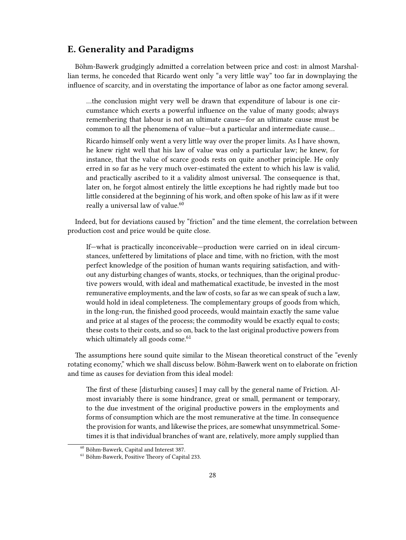#### <span id="page-27-0"></span>**E. Generality and Paradigms**

Böhm-Bawerk grudgingly admitted a correlation between price and cost: in almost Marshallian terms, he conceded that Ricardo went only "a very little way" too far in downplaying the influence of scarcity, and in overstating the importance of labor as one factor among several.

…the conclusion might very well be drawn that expenditure of labour is one circumstance which exerts a powerful influence on the value of many goods; always remembering that labour is not an ultimate cause—for an ultimate cause must be common to all the phenomena of value—but a particular and intermediate cause…

Ricardo himself only went a very little way over the proper limits. As I have shown, he knew right well that his law of value was only a particular law; he knew, for instance, that the value of scarce goods rests on quite another principle. He only erred in so far as he very much over-estimated the extent to which his law is valid, and practically ascribed to it a validity almost universal. The consequence is that, later on, he forgot almost entirely the little exceptions he had rightly made but too little considered at the beginning of his work, and often spoke of his law as if it were really a universal law of value.<sup>60</sup>

Indeed, but for deviations caused by "friction" and the time element, the correlation between production cost and price would be quite close.

If—what is practically inconceivable—production were carried on in ideal circumstances, unfettered by limitations of place and time, with no friction, with the most perfect knowledge of the position of human wants requiring satisfaction, and without any disturbing changes of wants, stocks, or techniques, than the original productive powers would, with ideal and mathematical exactitude, be invested in the most remunerative employments, and the law of costs, so far as we can speak of such a law, would hold in ideal completeness. The complementary groups of goods from which, in the long-run, the finished good proceeds, would maintain exactly the same value and price at al stages of the process; the commodity would be exactly equal to costs; these costs to their costs, and so on, back to the last original productive powers from which ultimately all goods come.<sup>61</sup>

The assumptions here sound quite similar to the Misean theoretical construct of the "evenly rotating economy," which we shall discuss below. Böhm-Bawerk went on to elaborate on friction and time as causes for deviation from this ideal model:

The first of these [disturbing causes] I may call by the general name of Friction. Almost invariably there is some hindrance, great or small, permanent or temporary, to the due investment of the original productive powers in the employments and forms of consumption which are the most remunerative at the time. In consequence the provision for wants, and likewise the prices, are somewhat unsymmetrical. Sometimes it is that individual branches of want are, relatively, more amply supplied than

<sup>60</sup> Böhm-Bawerk, Capital and Interest 387.

<sup>61</sup> Böhm-Bawerk, Positive Theory of Capital 233.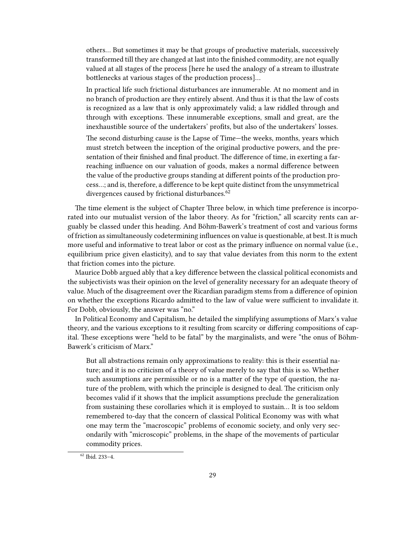others… But sometimes it may be that groups of productive materials, successively transformed till they are changed at last into the finished commodity, are not equally valued at all stages of the process [here he used the analogy of a stream to illustrate bottlenecks at various stages of the production process]…

In practical life such frictional disturbances are innumerable. At no moment and in no branch of production are they entirely absent. And thus it is that the law of costs is recognized as a law that is only approximately valid; a law riddled through and through with exceptions. These innumerable exceptions, small and great, are the inexhaustible source of the undertakers' profits, but also of the undertakers' losses.

The second disturbing cause is the Lapse of Time—the weeks, months, years which must stretch between the inception of the original productive powers, and the presentation of their finished and final product. The difference of time, in exerting a farreaching influence on our valuation of goods, makes a normal difference between the value of the productive groups standing at different points of the production process…; and is, therefore, a difference to be kept quite distinct from the unsymmetrical divergences caused by frictional disturbances.<sup>62</sup>

The time element is the subject of Chapter Three below, in which time preference is incorporated into our mutualist version of the labor theory. As for "friction," all scarcity rents can arguably be classed under this heading. And Böhm-Bawerk's treatment of cost and various forms of friction as simultaneously codetermining influences on value is questionable, at best. It is much more useful and informative to treat labor or cost as the primary influence on normal value (i.e., equilibrium price given elasticity), and to say that value deviates from this norm to the extent that friction comes into the picture.

Maurice Dobb argued ably that a key difference between the classical political economists and the subjectivists was their opinion on the level of generality necessary for an adequate theory of value. Much of the disagreement over the Ricardian paradigm stems from a difference of opinion on whether the exceptions Ricardo admitted to the law of value were sufficient to invalidate it. For Dobb, obviously, the answer was "no."

In Political Economy and Capitalism, he detailed the simplifying assumptions of Marx's value theory, and the various exceptions to it resulting from scarcity or differing compositions of capital. These exceptions were "held to be fatal" by the marginalists, and were "the onus of Böhm-Bawerk's criticism of Marx."

But all abstractions remain only approximations to reality: this is their essential nature; and it is no criticism of a theory of value merely to say that this is so. Whether such assumptions are permissible or no is a matter of the type of question, the nature of the problem, with which the principle is designed to deal. The criticism only becomes valid if it shows that the implicit assumptions preclude the generalization from sustaining these corollaries which it is employed to sustain… It is too seldom remembered to-day that the concern of classical Political Economy was with what one may term the "macroscopic" problems of economic society, and only very secondarily with "microscopic" problems, in the shape of the movements of particular commodity prices.

<sup>62</sup> Ibid. 233–4.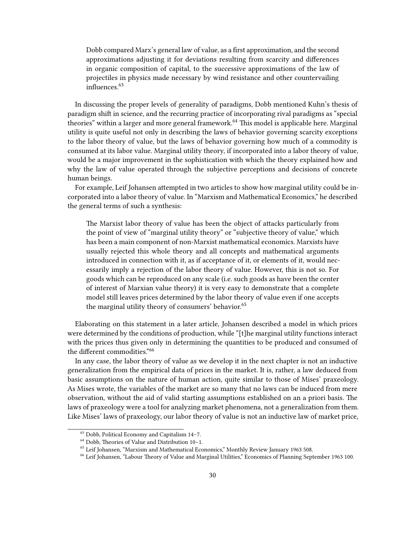Dobb compared Marx's general law of value, as a first approximation, and the second approximations adjusting it for deviations resulting from scarcity and differences in organic composition of capital, to the successive approximations of the law of projectiles in physics made necessary by wind resistance and other countervailing influences.<sup>63</sup>

In discussing the proper levels of generality of paradigms, Dobb mentioned Kuhn's thesis of paradigm shift in science, and the recurring practice of incorporating rival paradigms as "special theories" within a larger and more general framework.<sup>64</sup> This model is applicable here. Marginal utility is quite useful not only in describing the laws of behavior governing scarcity exceptions to the labor theory of value, but the laws of behavior governing how much of a commodity is consumed at its labor value. Marginal utility theory, if incorporated into a labor theory of value, would be a major improvement in the sophistication with which the theory explained how and why the law of value operated through the subjective perceptions and decisions of concrete human beings.

For example, Leif Johansen attempted in two articles to show how marginal utility could be incorporated into a labor theory of value. In "Marxism and Mathematical Economics," he described the general terms of such a synthesis:

The Marxist labor theory of value has been the object of attacks particularly from the point of view of "marginal utility theory" or "subjective theory of value," which has been a main component of non-Marxist mathematical economics. Marxists have usually rejected this whole theory and all concepts and mathematical arguments introduced in connection with it, as if acceptance of it, or elements of it, would necessarily imply a rejection of the labor theory of value. However, this is not so. For goods which can be reproduced on any scale (i.e. such goods as have been the center of interest of Marxian value theory) it is very easy to demonstrate that a complete model still leaves prices determined by the labor theory of value even if one accepts the marginal utility theory of consumers' behavior.<sup>65</sup>

Elaborating on this statement in a later article, Johansen described a model in which prices were determined by the conditions of production, while "[t]he marginal utility functions interact with the prices thus given only in determining the quantities to be produced and consumed of the different commodities."<sup>66</sup>

In any case, the labor theory of value as we develop it in the next chapter is not an inductive generalization from the empirical data of prices in the market. It is, rather, a law deduced from basic assumptions on the nature of human action, quite similar to those of Mises' praxeology. As Mises wrote, the variables of the market are so many that no laws can be induced from mere observation, without the aid of valid starting assumptions established on an a priori basis. The laws of praxeology were a tool for analyzing market phenomena, not a generalization from them. Like Mises' laws of praxeology, our labor theory of value is not an inductive law of market price,

<sup>63</sup> Dobb, Political Economy and Capitalism 14–7.

<sup>64</sup> Dobb, Theories of Value and Distribution 10–1.

<sup>65</sup> Leif Johansen, "Marxism and Mathematical Economics," Monthly Review January 1963 508.

<sup>66</sup> Leif Johansen, "Labour Theory of Value and Marginal Utilities," Economics of Planning September 1963 100.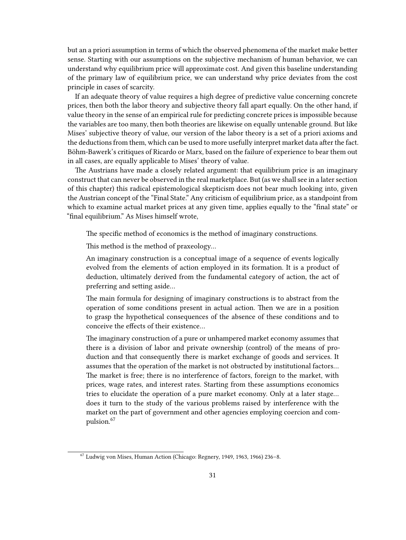but an a priori assumption in terms of which the observed phenomena of the market make better sense. Starting with our assumptions on the subjective mechanism of human behavior, we can understand why equilibrium price will approximate cost. And given this baseline understanding of the primary law of equilibrium price, we can understand why price deviates from the cost principle in cases of scarcity.

If an adequate theory of value requires a high degree of predictive value concerning concrete prices, then both the labor theory and subjective theory fall apart equally. On the other hand, if value theory in the sense of an empirical rule for predicting concrete prices is impossible because the variables are too many, then both theories are likewise on equally untenable ground. But like Mises' subjective theory of value, our version of the labor theory is a set of a priori axioms and the deductions from them, which can be used to more usefully interpret market data after the fact. Böhm-Bawerk's critiques of Ricardo or Marx, based on the failure of experience to bear them out in all cases, are equally applicable to Mises' theory of value.

The Austrians have made a closely related argument: that equilibrium price is an imaginary construct that can never be observed in the real marketplace. But (as we shall see in a later section of this chapter) this radical epistemological skepticism does not bear much looking into, given the Austrian concept of the "Final State." Any criticism of equilibrium price, as a standpoint from which to examine actual market prices at any given time, applies equally to the "final state" or "final equilibrium." As Mises himself wrote,

The specific method of economics is the method of imaginary constructions.

This method is the method of praxeology…

An imaginary construction is a conceptual image of a sequence of events logically evolved from the elements of action employed in its formation. It is a product of deduction, ultimately derived from the fundamental category of action, the act of preferring and setting aside…

The main formula for designing of imaginary constructions is to abstract from the operation of some conditions present in actual action. Then we are in a position to grasp the hypothetical consequences of the absence of these conditions and to conceive the effects of their existence…

The imaginary construction of a pure or unhampered market economy assumes that there is a division of labor and private ownership (control) of the means of production and that consequently there is market exchange of goods and services. It assumes that the operation of the market is not obstructed by institutional factors… The market is free; there is no interference of factors, foreign to the market, with prices, wage rates, and interest rates. Starting from these assumptions economics tries to elucidate the operation of a pure market economy. Only at a later stage… does it turn to the study of the various problems raised by interference with the market on the part of government and other agencies employing coercion and compulsion.<sup>67</sup>

<sup>67</sup> Ludwig von Mises, Human Action (Chicago: Regnery, 1949, 1963, 1966) 236–8.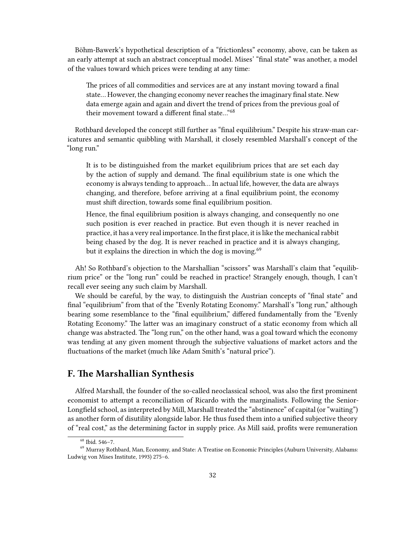Böhm-Bawerk's hypothetical description of a "frictionless" economy, above, can be taken as an early attempt at such an abstract conceptual model. Mises' "final state" was another, a model of the values toward which prices were tending at any time:

The prices of all commodities and services are at any instant moving toward a final state… However, the changing economy never reaches the imaginary final state. New data emerge again and again and divert the trend of prices from the previous goal of their movement toward a different final state…"<sup>68</sup>

Rothbard developed the concept still further as "final equilibrium." Despite his straw-man caricatures and semantic quibbling with Marshall, it closely resembled Marshall's concept of the "long run."

It is to be distinguished from the market equilibrium prices that are set each day by the action of supply and demand. The final equilibrium state is one which the economy is always tending to approach… In actual life, however, the data are always changing, and therefore, before arriving at a final equilibrium point, the economy must shift direction, towards some final equilibrium position.

Hence, the final equilibrium position is always changing, and consequently no one such position is ever reached in practice. But even though it is never reached in practice, it has a very real importance. In the first place, it is like the mechanical rabbit being chased by the dog. It is never reached in practice and it is always changing, but it explains the direction in which the dog is moving.<sup>69</sup>

Ah! So Rothbard's objection to the Marshallian "scissors" was Marshall's claim that "equilibrium price" or the "long run" could be reached in practice! Strangely enough, though, I can't recall ever seeing any such claim by Marshall.

We should be careful, by the way, to distinguish the Austrian concepts of "final state" and final "equilibrium" from that of the "Evenly Rotating Economy." Marshall's "long run," although bearing some resemblance to the "final equilibrium," differed fundamentally from the "Evenly Rotating Economy." The latter was an imaginary construct of a static economy from which all change was abstracted. The "long run," on the other hand, was a goal toward which the economy was tending at any given moment through the subjective valuations of market actors and the fluctuations of the market (much like Adam Smith's "natural price").

#### <span id="page-31-0"></span>**F. The Marshallian Synthesis**

Alfred Marshall, the founder of the so-called neoclassical school, was also the first prominent economist to attempt a reconciliation of Ricardo with the marginalists. Following the Senior-Longfield school, as interpreted by Mill, Marshall treated the "abstinence" of capital (or "waiting") as another form of disutility alongside labor. He thus fused them into a unified subjective theory of "real cost," as the determining factor in supply price. As Mill said, profits were remuneration

 $68$  Ibid. 546–7.

<sup>&</sup>lt;sup>69</sup> Murray Rothbard, Man, Economy, and State: A Treatise on Economic Principles (Auburn University, Alabams: Ludwig von Mises Institute, 1993) 275–6.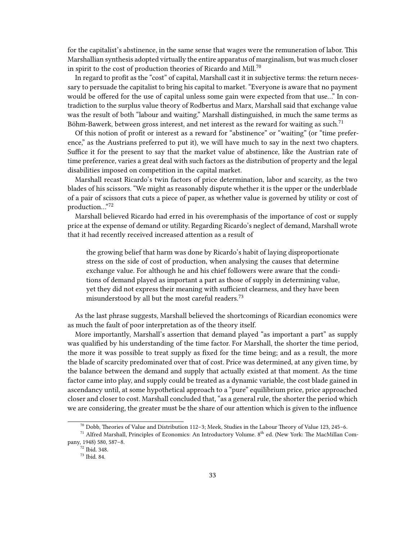for the capitalist's abstinence, in the same sense that wages were the remuneration of labor. This Marshallian synthesis adopted virtually the entire apparatus of marginalism, but was much closer in spirit to the cost of production theories of Ricardo and Mill.<sup>70</sup>

In regard to profit as the "cost" of capital, Marshall cast it in subjective terms: the return necessary to persuade the capitalist to bring his capital to market. "Everyone is aware that no payment would be offered for the use of capital unless some gain were expected from that use…" In contradiction to the surplus value theory of Rodbertus and Marx, Marshall said that exchange value was the result of both "labour and waiting." Marshall distinguished, in much the same terms as Böhm-Bawerk, between gross interest, and net interest as the reward for waiting as such.<sup>71</sup>

Of this notion of profit or interest as a reward for "abstinence" or "waiting" (or "time preference," as the Austrians preferred to put it), we will have much to say in the next two chapters. Suffice it for the present to say that the market value of abstinence, like the Austrian rate of time preference, varies a great deal with such factors as the distribution of property and the legal disabilities imposed on competition in the capital market.

Marshall recast Ricardo's twin factors of price determination, labor and scarcity, as the two blades of his scissors. "We might as reasonably dispute whether it is the upper or the underblade of a pair of scissors that cuts a piece of paper, as whether value is governed by utility or cost of production…"<sup>72</sup>

Marshall believed Ricardo had erred in his overemphasis of the importance of cost or supply price at the expense of demand or utility. Regarding Ricardo's neglect of demand, Marshall wrote that it had recently received increased attention as a result of

the growing belief that harm was done by Ricardo's habit of laying disproportionate stress on the side of cost of production, when analysing the causes that determine exchange value. For although he and his chief followers were aware that the conditions of demand played as important a part as those of supply in determining value, yet they did not express their meaning with sufficient clearness, and they have been misunderstood by all but the most careful readers. $73$ 

As the last phrase suggests, Marshall believed the shortcomings of Ricardian economics were as much the fault of poor interpretation as of the theory itself.

More importantly, Marshall's assertion that demand played "as important a part" as supply was qualified by his understanding of the time factor. For Marshall, the shorter the time period, the more it was possible to treat supply as fixed for the time being; and as a result, the more the blade of scarcity predominated over that of cost. Price was determined, at any given time, by the balance between the demand and supply that actually existed at that moment. As the time factor came into play, and supply could be treated as a dynamic variable, the cost blade gained in ascendancy until, at some hypothetical approach to a "pure" equilibrium price, price approached closer and closer to cost. Marshall concluded that, "as a general rule, the shorter the period which we are considering, the greater must be the share of our attention which is given to the influence

 $^{70}$  Dobb, Theories of Value and Distribution 112-3; Meek, Studies in the Labour Theory of Value 123, 245-6.

 $71$  Alfred Marshall, Principles of Economics: An Introductory Volume. 8<sup>th</sup> ed. (New York: The MacMillan Company, 1948) 580, 587–8.

<sup>72</sup> Ibid. 348.

<sup>73</sup> Ibid. 84.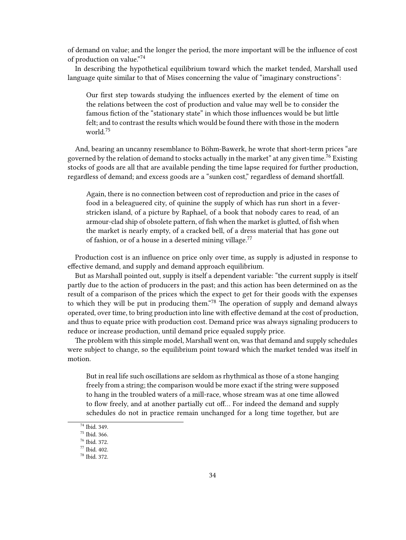of demand on value; and the longer the period, the more important will be the influence of cost of production on value."<sup>74</sup>

In describing the hypothetical equilibrium toward which the market tended, Marshall used language quite similar to that of Mises concerning the value of "imaginary constructions":

Our first step towards studying the influences exerted by the element of time on the relations between the cost of production and value may well be to consider the famous fiction of the "stationary state" in which those influences would be but little felt; and to contrast the results which would be found there with those in the modern world.<sup>75</sup>

And, bearing an uncanny resemblance to Böhm-Bawerk, he wrote that short-term prices "are governed by the relation of demand to stocks actually in the market" at any given time.<sup>76</sup> Existing stocks of goods are all that are available pending the time lapse required for further production, regardless of demand; and excess goods are a "sunken cost," regardless of demand shortfall.

Again, there is no connection between cost of reproduction and price in the cases of food in a beleaguered city, of quinine the supply of which has run short in a feverstricken island, of a picture by Raphael, of a book that nobody cares to read, of an armour-clad ship of obsolete pattern, of fish when the market is glutted, of fish when the market is nearly empty, of a cracked bell, of a dress material that has gone out of fashion, or of a house in a deserted mining village.<sup>77</sup>

Production cost is an influence on price only over time, as supply is adjusted in response to effective demand, and supply and demand approach equilibrium.

But as Marshall pointed out, supply is itself a dependent variable: "the current supply is itself partly due to the action of producers in the past; and this action has been determined on as the result of a comparison of the prices which the expect to get for their goods with the expenses to which they will be put in producing them."<sup>78</sup> The operation of supply and demand always operated, over time, to bring production into line with effective demand at the cost of production, and thus to equate price with production cost. Demand price was always signaling producers to reduce or increase production, until demand price equaled supply price.

The problem with this simple model, Marshall went on, was that demand and supply schedules were subject to change, so the equilibrium point toward which the market tended was itself in motion.

But in real life such oscillations are seldom as rhythmical as those of a stone hanging freely from a string; the comparison would be more exact if the string were supposed to hang in the troubled waters of a mill-race, whose stream was at one time allowed to flow freely, and at another partially cut off… For indeed the demand and supply schedules do not in practice remain unchanged for a long time together, but are

 $74$  Ibid. 349.

<sup>75</sup> Ibid. 366. <sup>76</sup> Ibid. 372.

<sup>77</sup> Ibid. 402. <sup>78</sup> Ibid. 372.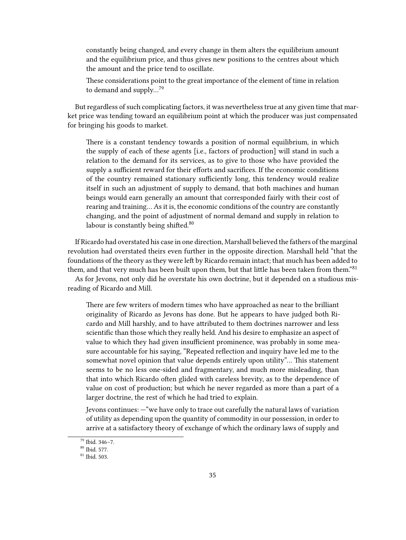constantly being changed, and every change in them alters the equilibrium amount and the equilibrium price, and thus gives new positions to the centres about which the amount and the price tend to oscillate.

These considerations point to the great importance of the element of time in relation to demand and supply…<sup>79</sup>

But regardless of such complicating factors, it was nevertheless true at any given time that market price was tending toward an equilibrium point at which the producer was just compensated for bringing his goods to market.

There is a constant tendency towards a position of normal equilibrium, in which the supply of each of these agents [i.e., factors of production] will stand in such a relation to the demand for its services, as to give to those who have provided the supply a sufficient reward for their efforts and sacrifices. If the economic conditions of the country remained stationary sufficiently long, this tendency would realize itself in such an adjustment of supply to demand, that both machines and human beings would earn generally an amount that corresponded fairly with their cost of rearing and training… As it is, the economic conditions of the country are constantly changing, and the point of adjustment of normal demand and supply in relation to labour is constantly being shifted.<sup>80</sup>

If Ricardo had overstated his case in one direction, Marshall believed the fathers of the marginal revolution had overstated theirs even further in the opposite direction. Marshall held "that the foundations of the theory as they were left by Ricardo remain intact; that much has been added to them, and that very much has been built upon them, but that little has been taken from them. <sup>"81</sup>

As for Jevons, not only did he overstate his own doctrine, but it depended on a studious misreading of Ricardo and Mill.

There are few writers of modern times who have approached as near to the brilliant originality of Ricardo as Jevons has done. But he appears to have judged both Ricardo and Mill harshly, and to have attributed to them doctrines narrower and less scientific than those which they really held. And his desire to emphasize an aspect of value to which they had given insufficient prominence, was probably in some measure accountable for his saying, "Repeated reflection and inquiry have led me to the somewhat novel opinion that value depends entirely upon utility"… This statement seems to be no less one-sided and fragmentary, and much more misleading, than that into which Ricardo often glided with careless brevity, as to the dependence of value on cost of production; but which he never regarded as more than a part of a larger doctrine, the rest of which he had tried to explain.

Jevons continues: —"we have only to trace out carefully the natural laws of variation of utility as depending upon the quantity of commodity in our possession, in order to arrive at a satisfactory theory of exchange of which the ordinary laws of supply and

<sup>79</sup> Ibid. 346–7.

<sup>80</sup> Ibid. 577.

<sup>81</sup> Ibid. 503.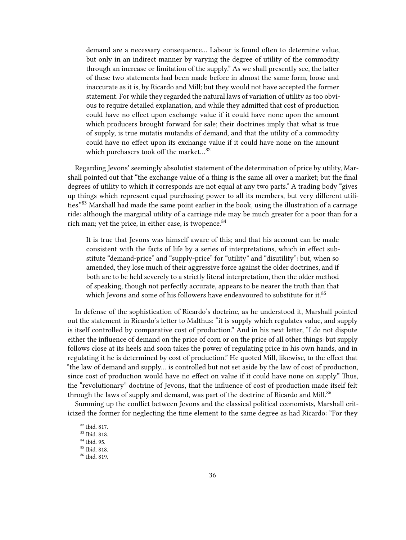demand are a necessary consequence… Labour is found often to determine value, but only in an indirect manner by varying the degree of utility of the commodity through an increase or limitation of the supply." As we shall presently see, the latter of these two statements had been made before in almost the same form, loose and inaccurate as it is, by Ricardo and Mill; but they would not have accepted the former statement. For while they regarded the natural laws of variation of utility as too obvious to require detailed explanation, and while they admitted that cost of production could have no effect upon exchange value if it could have none upon the amount which producers brought forward for sale; their doctrines imply that what is true of supply, is true mutatis mutandis of demand, and that the utility of a commodity could have no effect upon its exchange value if it could have none on the amount which purchasers took off the market...<sup>82</sup>

Regarding Jevons' seemingly absolutist statement of the determination of price by utility, Marshall pointed out that "the exchange value of a thing is the same all over a market; but the final degrees of utility to which it corresponds are not equal at any two parts." A trading body "gives up things which represent equal purchasing power to all its members, but very different utilities."<sup>83</sup> Marshall had made the same point earlier in the book, using the illustration of a carriage ride: although the marginal utility of a carriage ride may be much greater for a poor than for a rich man; yet the price, in either case, is two pence. $84$ 

It is true that Jevons was himself aware of this; and that his account can be made consistent with the facts of life by a series of interpretations, which in effect substitute "demand-price" and "supply-price" for "utility" and "disutility": but, when so amended, they lose much of their aggressive force against the older doctrines, and if both are to be held severely to a strictly literal interpretation, then the older method of speaking, though not perfectly accurate, appears to be nearer the truth than that which Jevons and some of his followers have endeavoured to substitute for it.<sup>85</sup>

In defense of the sophistication of Ricardo's doctrine, as he understood it, Marshall pointed out the statement in Ricardo's letter to Malthus: "it is supply which regulates value, and supply is itself controlled by comparative cost of production." And in his next letter, "I do not dispute either the influence of demand on the price of corn or on the price of all other things: but supply follows close at its heels and soon takes the power of regulating price in his own hands, and in regulating it he is determined by cost of production." He quoted Mill, likewise, to the effect that "the law of demand and supply… is controlled but not set aside by the law of cost of production, since cost of production would have no effect on value if it could have none on supply." Thus, the "revolutionary" doctrine of Jevons, that the influence of cost of production made itself felt through the laws of supply and demand, was part of the doctrine of Ricardo and Mill.<sup>86</sup>

Summing up the conflict between Jevons and the classical political economists, Marshall criticized the former for neglecting the time element to the same degree as had Ricardo: "For they

<sup>82</sup> Ibid. 817.

<sup>83</sup> Ibid. 818.

<sup>84</sup> Ibid. 95.

<sup>85</sup> Ibid. 818.

<sup>86</sup> Ibid. 819.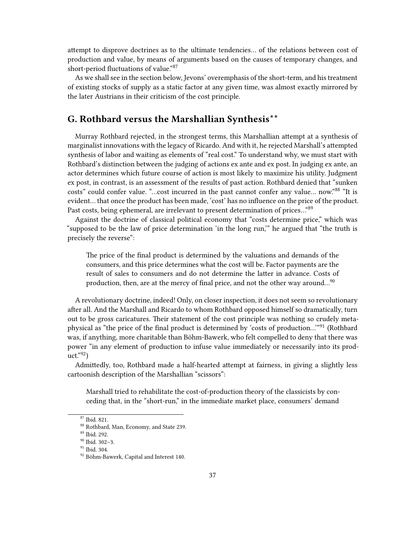attempt to disprove doctrines as to the ultimate tendencies… of the relations between cost of production and value, by means of arguments based on the causes of temporary changes, and short-period fluctuations of value."<sup>87</sup>

As we shall see in the section below, Jevons' overemphasis of the short-term, and his treatment of existing stocks of supply as a static factor at any given time, was almost exactly mirrored by the later Austrians in their criticism of the cost principle.

## **G. Rothbard versus the Marshallian Synthesis\*\***

Murray Rothbard rejected, in the strongest terms, this Marshallian attempt at a synthesis of marginalist innovations with the legacy of Ricardo. And with it, he rejected Marshall's attempted synthesis of labor and waiting as elements of "real cost." To understand why, we must start with Rothbard's distinction between the judging of actions ex ante and ex post. In judging ex ante, an actor determines which future course of action is most likely to maximize his utility. Judgment ex post, in contrast, is an assessment of the results of past action. Rothbard denied that "sunken costs" could confer value. "…cost incurred in the past cannot confer any value… now."<sup>88</sup> "It is evident… that once the product has been made, 'cost' has no influence on the price of the product. Past costs, being ephemeral, are irrelevant to present determination of prices…"<sup>89</sup>

Against the doctrine of classical political economy that "costs determine price," which was "supposed to be the law of price determination 'in the long run,'" he argued that "the truth is precisely the reverse":

The price of the final product is determined by the valuations and demands of the consumers, and this price determines what the cost will be. Factor payments are the result of sales to consumers and do not determine the latter in advance. Costs of production, then, are at the mercy of final price, and not the other way around...<sup>90</sup>

A revolutionary doctrine, indeed! Only, on closer inspection, it does not seem so revolutionary after all. And the Marshall and Ricardo to whom Rothbard opposed himself so dramatically, turn out to be gross caricatures. Their statement of the cost principle was nothing so crudely metaphysical as "the price of the final product is determined by 'costs of production…'"<sup>91</sup> (Rothbard was, if anything, more charitable than Böhm-Bawerk, who felt compelled to deny that there was power "in any element of production to infuse value immediately or necessarily into its product."92)

Admittedly, too, Rothbard made a half-hearted attempt at fairness, in giving a slightly less cartoonish description of the Marshallian "scissors":

Marshall tried to rehabilitate the cost-of-production theory of the classicists by conceding that, in the "short-run," in the immediate market place, consumers' demand

 $\overline{\begin{array}{c} 87 \end{array}}$  Ibid. 821.

<sup>88</sup> Rothbard, Man, Economy, and State 239.

<sup>89</sup> Ibid. 292.

 $90$  Ibid. 302–3.

<sup>&</sup>lt;sup>91</sup> Ibid. 304.

<sup>&</sup>lt;sup>92</sup> Böhm-Bawerk, Capital and Interest 140.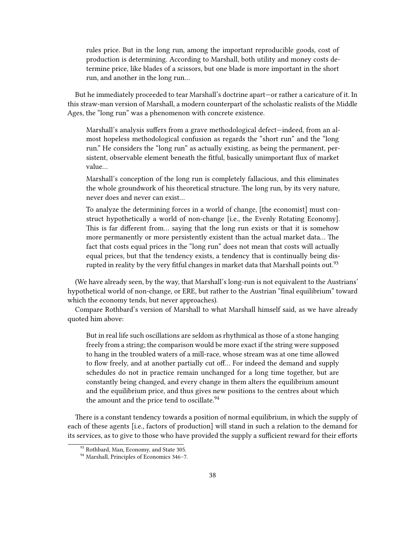rules price. But in the long run, among the important reproducible goods, cost of production is determining. According to Marshall, both utility and money costs determine price, like blades of a scissors, but one blade is more important in the short run, and another in the long run…

But he immediately proceeded to tear Marshall's doctrine apart—or rather a caricature of it. In this straw-man version of Marshall, a modern counterpart of the scholastic realists of the Middle Ages, the "long run" was a phenomenon with concrete existence.

Marshall's analysis suffers from a grave methodological defect—indeed, from an almost hopeless methodological confusion as regards the "short run" and the "long run." He considers the "long run" as actually existing, as being the permanent, persistent, observable element beneath the fitful, basically unimportant flux of market value…

Marshall's conception of the long run is completely fallacious, and this eliminates the whole groundwork of his theoretical structure. The long run, by its very nature, never does and never can exist…

To analyze the determining forces in a world of change, [the economist] must construct hypothetically a world of non-change [i.e., the Evenly Rotating Economy]. This is far different from… saying that the long run exists or that it is somehow more permanently or more persistently existent than the actual market data… The fact that costs equal prices in the "long run" does not mean that costs will actually equal prices, but that the tendency exists, a tendency that is continually being disrupted in reality by the very fitful changes in market data that Marshall points out.<sup>93</sup>

(We have already seen, by the way, that Marshall's long-run is not equivalent to the Austrians' hypothetical world of non-change, or ERE, but rather to the Austrian "final equilibrium" toward which the economy tends, but never approaches).

Compare Rothbard's version of Marshall to what Marshall himself said, as we have already quoted him above:

But in real life such oscillations are seldom as rhythmical as those of a stone hanging freely from a string; the comparison would be more exact if the string were supposed to hang in the troubled waters of a mill-race, whose stream was at one time allowed to flow freely, and at another partially cut off… For indeed the demand and supply schedules do not in practice remain unchanged for a long time together, but are constantly being changed, and every change in them alters the equilibrium amount and the equilibrium price, and thus gives new positions to the centres about which the amount and the price tend to oscillate.<sup>94</sup>

There is a constant tendency towards a position of normal equilibrium, in which the supply of each of these agents [i.e., factors of production] will stand in such a relation to the demand for its services, as to give to those who have provided the supply a sufficient reward for their efforts

<sup>&</sup>lt;sup>93</sup> Rothbard, Man, Economy, and State 305.

<sup>94</sup> Marshall, Principles of Economics 346–7.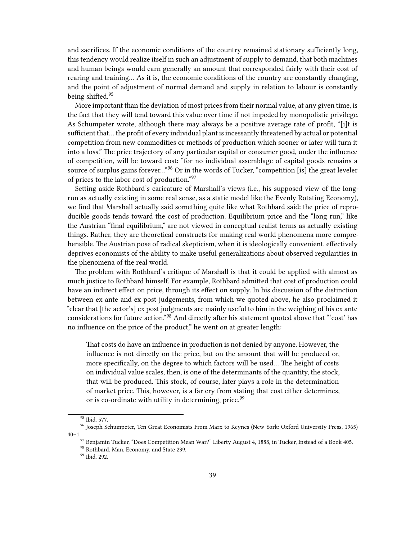and sacrifices. If the economic conditions of the country remained stationary sufficiently long, this tendency would realize itself in such an adjustment of supply to demand, that both machines and human beings would earn generally an amount that corresponded fairly with their cost of rearing and training… As it is, the economic conditions of the country are constantly changing, and the point of adjustment of normal demand and supply in relation to labour is constantly being shifted.<sup>95</sup>

More important than the deviation of most prices from their normal value, at any given time, is the fact that they will tend toward this value over time if not impeded by monopolistic privilege. As Schumpeter wrote, although there may always be a positive average rate of profit, "[i]t is sufficient that… the profit of every individual plant is incessantly threatened by actual or potential competition from new commodities or methods of production which sooner or later will turn it into a loss." The price trajectory of any particular capital or consumer good, under the influence of competition, will be toward cost: "for no individual assemblage of capital goods remains a source of surplus gains forever…"<sup>96</sup> Or in the words of Tucker, "competition [is] the great leveler of prices to the labor cost of production."<sup>97</sup>

Setting aside Rothbard's caricature of Marshall's views (i.e., his supposed view of the longrun as actually existing in some real sense, as a static model like the Evenly Rotating Economy), we find that Marshall actually said something quite like what Rothbard said: the price of reproducible goods tends toward the cost of production. Equilibrium price and the "long run," like the Austrian "final equilibrium," are not viewed in conceptual realist terms as actually existing things. Rather, they are theoretical constructs for making real world phenomena more comprehensible. The Austrian pose of radical skepticism, when it is ideologically convenient, effectively deprives economists of the ability to make useful generalizations about observed regularities in the phenomena of the real world.

The problem with Rothbard's critique of Marshall is that it could be applied with almost as much justice to Rothbard himself. For example, Rothbard admitted that cost of production could have an indirect effect on price, through its effect on supply. In his discussion of the distinction between ex ante and ex post judgements, from which we quoted above, he also proclaimed it "clear that [the actor's] ex post judgments are mainly useful to him in the weighing of his ex ante considerations for future action."<sup>98</sup> And directly after his statement quoted above that "'cost' has no influence on the price of the product," he went on at greater length:

That costs do have an influence in production is not denied by anyone. However, the influence is not directly on the price, but on the amount that will be produced or, more specifically, on the degree to which factors will be used… The height of costs on individual value scales, then, is one of the determinants of the quantity, the stock, that will be produced. This stock, of course, later plays a role in the determination of market price. This, however, is a far cry from stating that cost either determines, or is co-ordinate with utility in determining, price.<sup>99</sup>

<sup>95</sup> Ibid. 577.

<sup>96</sup> Joseph Schumpeter, Ten Great Economists From Marx to Keynes (New York: Oxford University Press, 1965) 40–1.

 $^{97}$  Benjamin Tucker, "Does Competition Mean War?" Liberty August 4, 1888, in Tucker, Instead of a Book 405.

<sup>98</sup> Rothbard, Man, Economy, and State 239.

<sup>99</sup> Ibid. 292.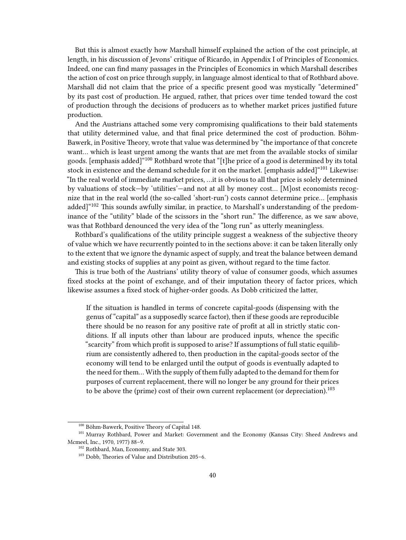But this is almost exactly how Marshall himself explained the action of the cost principle, at length, in his discussion of Jevons' critique of Ricardo, in Appendix I of Principles of Economics. Indeed, one can find many passages in the Principles of Economics in which Marshall describes the action of cost on price through supply, in language almost identical to that of Rothbard above. Marshall did not claim that the price of a specific present good was mystically "determined" by its past cost of production. He argued, rather, that prices over time tended toward the cost of production through the decisions of producers as to whether market prices justified future production.

And the Austrians attached some very compromising qualifications to their bald statements that utility determined value, and that final price determined the cost of production. Böhm-Bawerk, in Positive Theory, wrote that value was determined by "the importance of that concrete want… which is least urgent among the wants that are met from the available stocks of similar goods. [emphasis added]"<sup>100</sup> Rothbard wrote that "[t]he price of a good is determined by its total stock in existence and the demand schedule for it on the market. [emphasis added]<sup>"101</sup> Likewise: "In the real world of immediate market prices, …it is obvious to all that price is solely determined by valuations of stock—by 'utilities'—and not at all by money cost… [M]ost economists recognize that in the real world (the so-called 'short-run') costs cannot determine price… [emphasis added]<sup>"102</sup> This sounds awfully similar, in practice, to Marshall's understanding of the predominance of the "utility" blade of the scissors in the "short run." The difference, as we saw above, was that Rothbard denounced the very idea of the "long run" as utterly meaningless.

Rothbard's qualifications of the utility principle suggest a weakness of the subjective theory of value which we have recurrently pointed to in the sections above: it can be taken literally only to the extent that we ignore the dynamic aspect of supply, and treat the balance between demand and existing stocks of supplies at any point as given, without regard to the time factor.

This is true both of the Austrians' utility theory of value of consumer goods, which assumes fixed stocks at the point of exchange, and of their imputation theory of factor prices, which likewise assumes a fixed stock of higher-order goods. As Dobb criticized the latter,

If the situation is handled in terms of concrete capital-goods (dispensing with the genus of "capital" as a supposedly scarce factor), then if these goods are reproducible there should be no reason for any positive rate of profit at all in strictly static conditions. If all inputs other than labour are produced inputs, whence the specific "scarcity" from which profit is supposed to arise? If assumptions of full static equilibrium are consistently adhered to, then production in the capital-goods sector of the economy will tend to be enlarged until the output of goods is eventually adapted to the need for them… With the supply of them fully adapted to the demand for them for purposes of current replacement, there will no longer be any ground for their prices to be above the (prime) cost of their own current replacement (or depreciation).<sup>103</sup>

<sup>100</sup> Böhm-Bawerk, Positive Theory of Capital 148.

<sup>&</sup>lt;sup>101</sup> Murray Rothbard, Power and Market: Government and the Economy (Kansas City: Sheed Andrews and Mcmeel, Inc., 1970, 1977) 88–9.

<sup>&</sup>lt;sup>102</sup> Rothbard, Man, Economy, and State 303.

<sup>103</sup> Dobb, Theories of Value and Distribution 205–6.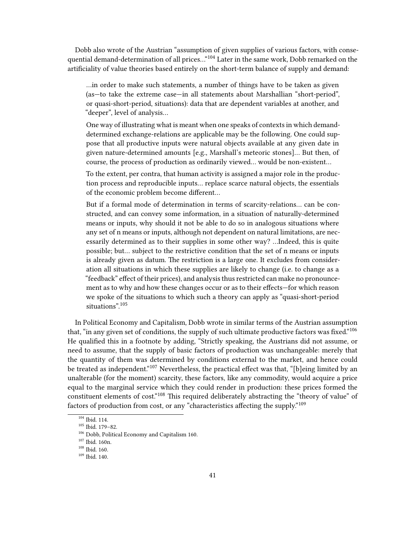Dobb also wrote of the Austrian "assumption of given supplies of various factors, with consequential demand-determination of all prices..."<sup>104</sup> Later in the same work, Dobb remarked on the artificiality of value theories based entirely on the short-term balance of supply and demand:

…in order to make such statements, a number of things have to be taken as given (as—to take the extreme case—in all statements about Marshallian "short-period", or quasi-short-period, situations): data that are dependent variables at another, and "deeper", level of analysis…

One way of illustrating what is meant when one speaks of contexts in which demanddetermined exchange-relations are applicable may be the following. One could suppose that all productive inputs were natural objects available at any given date in given nature-determined amounts [e.g., Marshall's meteoric stones]… But then, of course, the process of production as ordinarily viewed… would be non-existent…

To the extent, per contra, that human activity is assigned a major role in the production process and reproducible inputs… replace scarce natural objects, the essentials of the economic problem become different…

But if a formal mode of determination in terms of scarcity-relations… can be constructed, and can convey some information, in a situation of naturally-determined means or inputs, why should it not be able to do so in analogous situations where any set of n means or inputs, although not dependent on natural limitations, are necessarily determined as to their supplies in some other way? …Indeed, this is quite possible; but… subject to the restrictive condition that the set of n means or inputs is already given as datum. The restriction is a large one. It excludes from consideration all situations in which these supplies are likely to change (i.e. to change as a "feedback" effect of their prices), and analysis thus restricted can make no pronouncement as to why and how these changes occur or as to their effects—for which reason we spoke of the situations to which such a theory can apply as "quasi-short-period situations".<sup>105</sup>

In Political Economy and Capitalism, Dobb wrote in similar terms of the Austrian assumption that, "in any given set of conditions, the supply of such ultimate productive factors was fixed."<sup>106</sup> He qualified this in a footnote by adding, "Strictly speaking, the Austrians did not assume, or need to assume, that the supply of basic factors of production was unchangeable: merely that the quantity of them was determined by conditions external to the market, and hence could be treated as independent.<sup>"107</sup> Nevertheless, the practical effect was that, "[b]eing limited by an unalterable (for the moment) scarcity, these factors, like any commodity, would acquire a price equal to the marginal service which they could render in production: these prices formed the constituent elements of cost."<sup>108</sup> This required deliberately abstracting the "theory of value" of factors of production from cost, or any "characteristics affecting the supply."<sup>109</sup>

 $\overline{\frac{104}{104}}$  Ibid. 114.

<sup>105</sup> Ibid. 179–82.

<sup>106</sup> Dobb, Political Economy and Capitalism 160.

<sup>107</sup> Ibid. 160n.

 $^{108}$  Ibid. 160.

<sup>109</sup> Ibid. 140.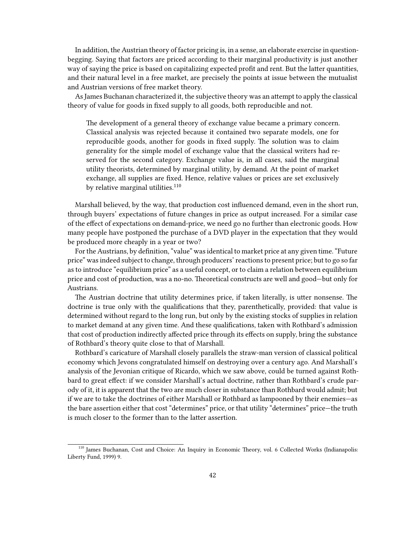In addition, the Austrian theory of factor pricing is, in a sense, an elaborate exercise in questionbegging. Saying that factors are priced according to their marginal productivity is just another way of saying the price is based on capitalizing expected profit and rent. But the latter quantities, and their natural level in a free market, are precisely the points at issue between the mutualist and Austrian versions of free market theory.

As James Buchanan characterized it, the subjective theory was an attempt to apply the classical theory of value for goods in fixed supply to all goods, both reproducible and not.

The development of a general theory of exchange value became a primary concern. Classical analysis was rejected because it contained two separate models, one for reproducible goods, another for goods in fixed supply. The solution was to claim generality for the simple model of exchange value that the classical writers had reserved for the second category. Exchange value is, in all cases, said the marginal utility theorists, determined by marginal utility, by demand. At the point of market exchange, all supplies are fixed. Hence, relative values or prices are set exclusively by relative marginal utilities. $110$ 

Marshall believed, by the way, that production cost influenced demand, even in the short run, through buyers' expectations of future changes in price as output increased. For a similar case of the effect of expectations on demand-price, we need go no further than electronic goods. How many people have postponed the purchase of a DVD player in the expectation that they would be produced more cheaply in a year or two?

For the Austrians, by definition, "value" was identical to market price at any given time. "Future price" was indeed subject to change, through producers' reactions to present price; but to go so far as to introduce "equilibrium price" as a useful concept, or to claim a relation between equilibrium price and cost of production, was a no-no. Theoretical constructs are well and good—but only for Austrians.

The Austrian doctrine that utility determines price, if taken literally, is utter nonsense. The doctrine is true only with the qualifications that they, parenthetically, provided: that value is determined without regard to the long run, but only by the existing stocks of supplies in relation to market demand at any given time. And these qualifications, taken with Rothbard's admission that cost of production indirectly affected price through its effects on supply, bring the substance of Rothbard's theory quite close to that of Marshall.

Rothbard's caricature of Marshall closely parallels the straw-man version of classical political economy which Jevons congratulated himself on destroying over a century ago. And Marshall's analysis of the Jevonian critique of Ricardo, which we saw above, could be turned against Rothbard to great effect: if we consider Marshall's actual doctrine, rather than Rothbard's crude parody of it, it is apparent that the two are much closer in substance than Rothbard would admit; but if we are to take the doctrines of either Marshall or Rothbard as lampooned by their enemies—as the bare assertion either that cost "determines" price, or that utility "determines" price—the truth is much closer to the former than to the latter assertion.

<sup>110</sup> James Buchanan, Cost and Choice: An Inquiry in Economic Theory, vol. 6 Collected Works (Indianapolis: Liberty Fund, 1999) 9.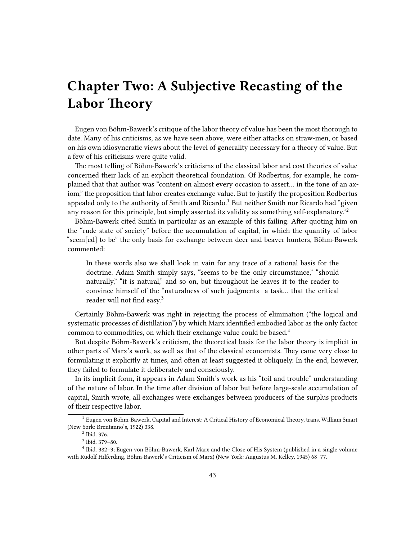## **Chapter Two: A Subjective Recasting of the Labor Theory**

Eugen von Böhm-Bawerk's critique of the labor theory of value has been the most thorough to date. Many of his criticisms, as we have seen above, were either attacks on straw-men, or based on his own idiosyncratic views about the level of generality necessary for a theory of value. But a few of his criticisms were quite valid.

The most telling of Böhm-Bawerk's criticisms of the classical labor and cost theories of value concerned their lack of an explicit theoretical foundation. Of Rodbertus, for example, he complained that that author was "content on almost every occasion to assert… in the tone of an axiom," the proposition that labor creates exchange value. But to justify the proposition Rodbertus appealed only to the authority of Smith and Ricardo.<sup>1</sup> But neither Smith nor Ricardo had "given any reason for this principle, but simply asserted its validity as something self-explanatory.<sup>"2</sup>

Böhm-Bawerk cited Smith in particular as an example of this failing. After quoting him on the "rude state of society" before the accumulation of capital, in which the quantity of labor "seem[ed] to be" the only basis for exchange between deer and beaver hunters, Böhm-Bawerk commented:

In these words also we shall look in vain for any trace of a rational basis for the doctrine. Adam Smith simply says, "seems to be the only circumstance," "should naturally," "it is natural," and so on, but throughout he leaves it to the reader to convince himself of the "naturalness of such judgments—a task… that the critical reader will not find easy.<sup>3</sup>

Certainly Böhm-Bawerk was right in rejecting the process of elimination ("the logical and systematic processes of distillation") by which Marx identified embodied labor as the only factor common to commodities, on which their exchange value could be based.<sup>4</sup>

But despite Böhm-Bawerk's criticism, the theoretical basis for the labor theory is implicit in other parts of Marx's work, as well as that of the classical economists. They came very close to formulating it explicitly at times, and often at least suggested it obliquely. In the end, however, they failed to formulate it deliberately and consciously.

In its implicit form, it appears in Adam Smith's work as his "toil and trouble" understanding of the nature of labor. In the time after division of labor but before large-scale accumulation of capital, Smith wrote, all exchanges were exchanges between producers of the surplus products of their respective labor.

<sup>1</sup> Eugen von Böhm-Bawerk, Capital and Interest: A Critical History of Economical Theory, trans. William Smart (New York: Brentanno's, 1922) 338.

<sup>2</sup> Ibid. 376.

<sup>3</sup> Ibid. 379–80.

<sup>4</sup> Ibid. 382–3; Eugen von Böhm-Bawerk, Karl Marx and the Close of His System (published in a single volume with Rudolf Hilferding, Böhm-Bawerk's Criticism of Marx) (New York: Augustus M. Kelley, 1945) 68–77.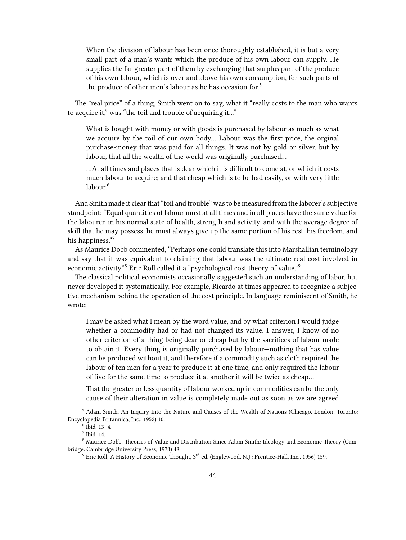When the division of labour has been once thoroughly established, it is but a very small part of a man's wants which the produce of his own labour can supply. He supplies the far greater part of them by exchanging that surplus part of the produce of his own labour, which is over and above his own consumption, for such parts of the produce of other men's labour as he has occasion for.<sup>5</sup>

The "real price" of a thing, Smith went on to say, what it "really costs to the man who wants to acquire it," was "the toil and trouble of acquiring it…"

What is bought with money or with goods is purchased by labour as much as what we acquire by the toil of our own body… Labour was the first price, the orginal purchase-money that was paid for all things. It was not by gold or silver, but by labour, that all the wealth of the world was originally purchased…

…At all times and places that is dear which it is difficult to come at, or which it costs much labour to acquire; and that cheap which is to be had easily, or with very little labour.<sup>6</sup>

And Smith made it clear that "toil and trouble" was to be measured from the laborer's subjective standpoint: "Equal quantities of labour must at all times and in all places have the same value for the labourer. in his normal state of health, strength and activity, and with the average degree of skill that he may possess, he must always give up the same portion of his rest, his freedom, and his happiness."7

As Maurice Dobb commented, "Perhaps one could translate this into Marshallian terminology and say that it was equivalent to claiming that labour was the ultimate real cost involved in economic activity."<sup>8</sup> Eric Roll called it a "psychological cost theory of value."<sup>9</sup>

The classical political economists occasionally suggested such an understanding of labor, but never developed it systematically. For example, Ricardo at times appeared to recognize a subjective mechanism behind the operation of the cost principle. In language reminiscent of Smith, he wrote:

I may be asked what I mean by the word value, and by what criterion I would judge whether a commodity had or had not changed its value. I answer, I know of no other criterion of a thing being dear or cheap but by the sacrifices of labour made to obtain it. Every thing is originally purchased by labour—nothing that has value can be produced without it, and therefore if a commodity such as cloth required the labour of ten men for a year to produce it at one time, and only required the labour of five for the same time to produce it at another it will be twice as cheap…

That the greater or less quantity of labour worked up in commodities can be the only cause of their alteration in value is completely made out as soon as we are agreed

<sup>5</sup> Adam Smith, An Inquiry Into the Nature and Causes of the Wealth of Nations (Chicago, London, Toronto: Encyclopedia Britannica, Inc., 1952) 10.

<sup>6</sup> Ibid. 13–4.

 $<sup>7</sup>$  Ibid. 14.</sup>

<sup>8</sup> Maurice Dobb, Theories of Value and Distribution Since Adam Smith: Ideology and Economic Theory (Cambridge: Cambridge University Press, 1973) 48.

 $^9$  Eric Roll, A History of Economic Thought,  $3^{\text{rd}}$  ed. (Englewood, N.J.: Prentice-Hall, Inc., 1956) 159.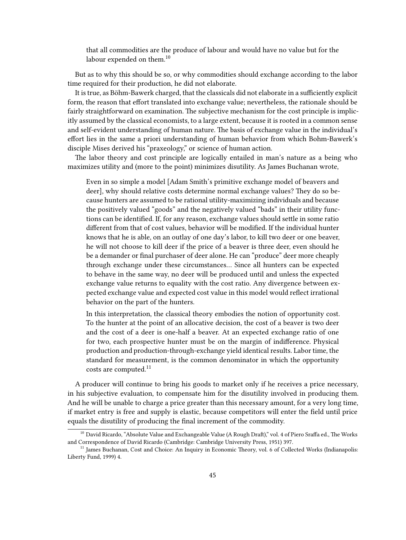that all commodities are the produce of labour and would have no value but for the labour expended on them.<sup>10</sup>

But as to why this should be so, or why commodities should exchange according to the labor time required for their production, he did not elaborate.

It is true, as Böhm-Bawerk charged, that the classicals did not elaborate in a sufficiently explicit form, the reason that effort translated into exchange value; nevertheless, the rationale should be fairly straightforward on examination. The subjective mechanism for the cost principle is implicitly assumed by the classical economists, to a large extent, because it is rooted in a common sense and self-evident understanding of human nature. The basis of exchange value in the individual's effort lies in the same a priori understanding of human behavior from which Bohm-Bawerk's disciple Mises derived his "praxeology," or science of human action.

The labor theory and cost principle are logically entailed in man's nature as a being who maximizes utility and (more to the point) minimizes disutility. As James Buchanan wrote,

Even in so simple a model [Adam Smith's primitive exchange model of beavers and deer], why should relative costs determine normal exchange values? They do so because hunters are assumed to be rational utility-maximizing individuals and because the positively valued "goods" and the negatively valued "bads" in their utility functions can be identified. If, for any reason, exchange values should settle in some ratio different from that of cost values, behavior will be modified. If the individual hunter knows that he is able, on an outlay of one day's labor, to kill two deer or one beaver, he will not choose to kill deer if the price of a beaver is three deer, even should he be a demander or final purchaser of deer alone. He can "produce" deer more cheaply through exchange under these circumstances… Since all hunters can be expected to behave in the same way, no deer will be produced until and unless the expected exchange value returns to equality with the cost ratio. Any divergence between expected exchange value and expected cost value in this model would reflect irrational behavior on the part of the hunters.

In this interpretation, the classical theory embodies the notion of opportunity cost. To the hunter at the point of an allocative decision, the cost of a beaver is two deer and the cost of a deer is one-half a beaver. At an expected exchange ratio of one for two, each prospective hunter must be on the margin of indifference. Physical production and production-through-exchange yield identical results. Labor time, the standard for measurement, is the common denominator in which the opportunity costs are computed.<sup>11</sup>

A producer will continue to bring his goods to market only if he receives a price necessary, in his subjective evaluation, to compensate him for the disutility involved in producing them. And he will be unable to charge a price greater than this necessary amount, for a very long time, if market entry is free and supply is elastic, because competitors will enter the field until price equals the disutility of producing the final increment of the commodity.

<sup>&</sup>lt;sup>10</sup> David Ricardo, "Absolute Value and Exchangeable Value (A Rough Draft)," vol. 4 of Piero Sraffa ed., The Works and Correspondence of David Ricardo (Cambridge: Cambridge University Press, 1951) 397.

<sup>&</sup>lt;sup>11</sup> James Buchanan, Cost and Choice: An Inquiry in Economic Theory, vol. 6 of Collected Works (Indianapolis: Liberty Fund, 1999) 4.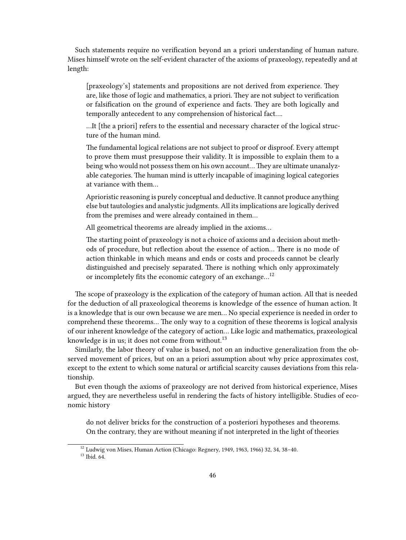Such statements require no verification beyond an a priori understanding of human nature. Mises himself wrote on the self-evident character of the axioms of praxeology, repeatedly and at length:

[praxeology's] statements and propositions are not derived from experience. They are, like those of logic and mathematics, a priori. They are not subject to verification or falsification on the ground of experience and facts. They are both logically and temporally antecedent to any comprehension of historical fact….

…It [the a priori] refers to the essential and necessary character of the logical structure of the human mind.

The fundamental logical relations are not subject to proof or disproof. Every attempt to prove them must presuppose their validity. It is impossible to explain them to a being who would not possess them on his own account… They are ultimate unanalyzable categories. The human mind is utterly incapable of imagining logical categories at variance with them…

Aprioristic reasoning is purely conceptual and deductive. It cannot produce anything else but tautologies and analystic judgments. All its implications are logically derived from the premises and were already contained in them…

All geometrical theorems are already implied in the axioms…

The starting point of praxeology is not a choice of axioms and a decision about methods of procedure, but reflection about the essence of action… There is no mode of action thinkable in which means and ends or costs and proceeds cannot be clearly distinguished and precisely separated. There is nothing which only approximately or incompletely fits the economic category of an exchange...<sup>12</sup>

The scope of praxeology is the explication of the category of human action. All that is needed for the deduction of all praxeological theorems is knowledge of the essence of human action. It is a knowledge that is our own because we are men… No special experience is needed in order to comprehend these theorems… The only way to a cognition of these theorems is logical analysis of our inherent knowledge of the category of action… Like logic and mathematics, praxeological knowledge is in us; it does not come from without.<sup>13</sup>

Similarly, the labor theory of value is based, not on an inductive generalization from the observed movement of prices, but on an a priori assumption about why price approximates cost, except to the extent to which some natural or artificial scarcity causes deviations from this relationship.

But even though the axioms of praxeology are not derived from historical experience, Mises argued, they are nevertheless useful in rendering the facts of history intelligible. Studies of economic history

do not deliver bricks for the construction of a posteriori hypotheses and theorems. On the contrary, they are without meaning if not interpreted in the light of theories

<sup>12</sup> Ludwig von Mises, Human Action (Chicago: Regnery, 1949, 1963, 1966) 32, 34, 38–40.

 $13$  Ibid. 64.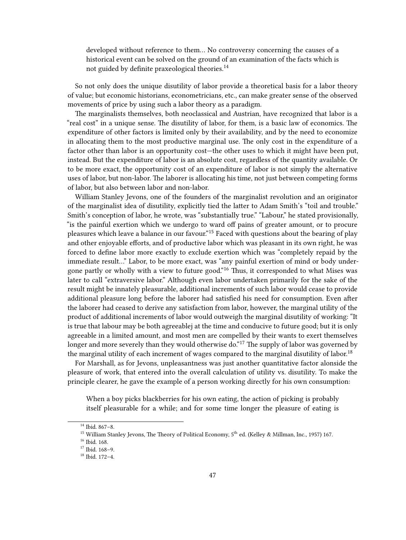developed without reference to them… No controversy concerning the causes of a historical event can be solved on the ground of an examination of the facts which is not guided by definite praxeological theories.<sup>14</sup>

So not only does the unique disutility of labor provide a theoretical basis for a labor theory of value; but economic historians, econometricians, etc., can make greater sense of the observed movements of price by using such a labor theory as a paradigm.

The marginalists themselves, both neoclassical and Austrian, have recognized that labor is a "real cost" in a unique sense. The disutility of labor, for them, is a basic law of economics. The expenditure of other factors is limited only by their availability, and by the need to economize in allocating them to the most productive marginal use. The only cost in the expenditure of a factor other than labor is an opportunity cost—the other uses to which it might have been put, instead. But the expenditure of labor is an absolute cost, regardless of the quantity available. Or to be more exact, the opportunity cost of an expenditure of labor is not simply the alternative uses of labor, but non-labor. The laborer is allocating his time, not just between competing forms of labor, but also between labor and non-labor.

William Stanley Jevons, one of the founders of the marginalist revolution and an originator of the marginalist idea of disutility, explicitly tied the latter to Adam Smith's "toil and trouble." Smith's conception of labor, he wrote, was "substantially true." "Labour," he stated provisionally, "is the painful exertion which we undergo to ward off pains of greater amount, or to procure pleasures which leave a balance in our favour."<sup>15</sup> Faced with questions about the bearing of play and other enjoyable efforts, and of productive labor which was pleasant in its own right, he was forced to define labor more exactly to exclude exertion which was "completely repaid by the immediate result…" Labor, to be more exact, was "any painful exertion of mind or body undergone partly or wholly with a view to future good.<sup>"16</sup> Thus, it corresponded to what Mises was later to call "extraversive labor." Although even labor undertaken primarily for the sake of the result might be innately pleasurable, additional increments of such labor would cease to provide additional pleasure long before the laborer had satisfied his need for consumption. Even after the laborer had ceased to derive any satisfaction from labor, however, the marginal utility of the product of additional increments of labor would outweigh the marginal disutility of working: "It is true that labour may be both agreeablej at the time and conducive to future good; but it is only agreeable in a limited amount, and most men are compelled by their wants to exert themselves longer and more severely than they would otherwise do."<sup>17</sup> The supply of labor was governed by the marginal utility of each increment of wages compared to the marginal disutility of labor.<sup>18</sup>

For Marshall, as for Jevons, unpleasantness was just another quantitative factor alonside the pleasure of work, that entered into the overall calculation of utility vs. disutility. To make the principle clearer, he gave the example of a person working directly for his own consumption:

When a boy picks blackberries for his own eating, the action of picking is probably itself pleasurable for a while; and for some time longer the pleasure of eating is

<sup>14</sup> Ibid. 867–8.

<sup>&</sup>lt;sup>15</sup> William Stanley Jevons, The Theory of Political Economy, 5<sup>th</sup> ed. (Kelley & Millman, Inc., 1957) 167.

<sup>16</sup> Ibid. 168.

 $17$  Ibid.  $168 - 9$ .

<sup>18</sup> Ibid. 172–4.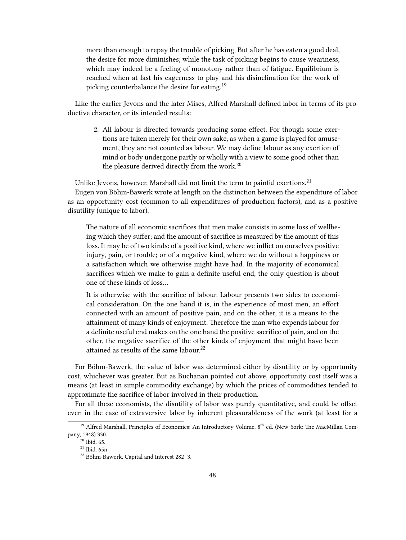more than enough to repay the trouble of picking. But after he has eaten a good deal, the desire for more diminishes; while the task of picking begins to cause weariness, which may indeed be a feeling of monotony rather than of fatigue. Equilibrium is reached when at last his eagerness to play and his disinclination for the work of picking counterbalance the desire for eating.<sup>19</sup>

Like the earlier Jevons and the later Mises, Alfred Marshall defined labor in terms of its productive character, or its intended results:

2. All labour is directed towards producing some effect. For though some exertions are taken merely for their own sake, as when a game is played for amusement, they are not counted as labour. We may define labour as any exertion of mind or body undergone partly or wholly with a view to some good other than the pleasure derived directly from the work.<sup>20</sup>

Unlike Jevons, however, Marshall did not limit the term to painful exertions.<sup>21</sup>

Eugen von Böhm-Bawerk wrote at length on the distinction between the expenditure of labor as an opportunity cost (common to all expenditures of production factors), and as a positive disutility (unique to labor).

The nature of all economic sacrifices that men make consists in some loss of wellbeing which they suffer; and the amount of sacrifice is measured by the amount of this loss. It may be of two kinds: of a positive kind, where we inflict on ourselves positive injury, pain, or trouble; or of a negative kind, where we do without a happiness or a satisfaction which we otherwise might have had. In the majority of economical sacrifices which we make to gain a definite useful end, the only question is about one of these kinds of loss…

It is otherwise with the sacrifice of labour. Labour presents two sides to economical consideration. On the one hand it is, in the experience of most men, an effort connected with an amount of positive pain, and on the other, it is a means to the attainment of many kinds of enjoyment. Therefore the man who expends labour for a definite useful end makes on the one hand the positive sacrifice of pain, and on the other, the negative sacrifice of the other kinds of enjoyment that might have been attained as results of the same labour.<sup>22</sup>

For Böhm-Bawerk, the value of labor was determined either by disutility or by opportunity cost, whichever was greater. But as Buchanan pointed out above, opportunity cost itself was a means (at least in simple commodity exchange) by which the prices of commodities tended to approximate the sacrifice of labor involved in their production.

For all these economists, the disutility of labor was purely quantitative, and could be offset even in the case of extraversive labor by inherent pleasurableness of the work (at least for a

 $19$  Alfred Marshall, Principles of Economics: An Introductory Volume,  $8<sup>th</sup>$  ed. (New York: The MacMillan Company, 1948) 330.

 $^{20}$  Ibid. 65.

 $21$  Ibid. 65n.

<sup>22</sup> Böhm-Bawerk, Capital and Interest 282–3.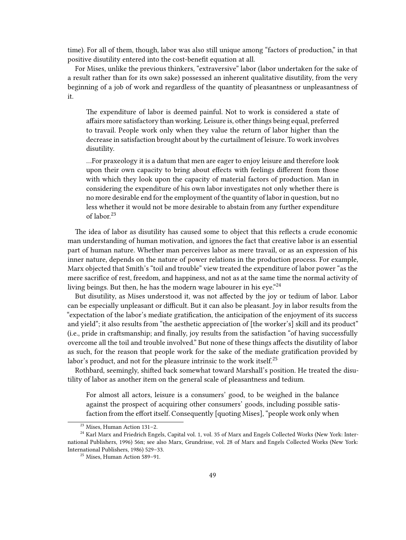time). For all of them, though, labor was also still unique among "factors of production," in that positive disutility entered into the cost-benefit equation at all.

For Mises, unlike the previous thinkers, "extraversive" labor (labor undertaken for the sake of a result rather than for its own sake) possessed an inherent qualitative disutility, from the very beginning of a job of work and regardless of the quantity of pleasantness or unpleasantness of it.

The expenditure of labor is deemed painful. Not to work is considered a state of affairs more satisfactory than working. Leisure is, other things being equal, preferred to travail. People work only when they value the return of labor higher than the decrease in satisfaction brought about by the curtailment of leisure. To work involves disutility.

…For praxeology it is a datum that men are eager to enjoy leisure and therefore look upon their own capacity to bring about effects with feelings different from those with which they look upon the capacity of material factors of production. Man in considering the expenditure of his own labor investigates not only whether there is no more desirable end for the employment of the quantity of labor in question, but no less whether it would not be more desirable to abstain from any further expenditure of labor.<sup>23</sup>

The idea of labor as disutility has caused some to object that this reflects a crude economic man understanding of human motivation, and ignores the fact that creative labor is an essential part of human nature. Whether man perceives labor as mere travail, or as an expression of his inner nature, depends on the nature of power relations in the production process. For example, Marx objected that Smith's "toil and trouble" view treated the expenditure of labor power "as the mere sacrifice of rest, freedom, and happiness, and not as at the same time the normal activity of living beings. But then, he has the modern wage labourer in his eye."<sup>24</sup>

But disutility, as Mises understood it, was not affected by the joy or tedium of labor. Labor can be especially unpleasant or difficult. But it can also be pleasant. Joy in labor results from the "expectation of the labor's mediate gratification, the anticipation of the enjoyment of its success and yield"; it also results from "the aesthetic appreciation of [the worker's] skill and its product" (i.e., pride in craftsmanship; and finally, joy results from the satisfaction "of having successfully overcome all the toil and trouble involved." But none of these things affects the disutility of labor as such, for the reason that people work for the sake of the mediate gratification provided by labor's product, and not for the pleasure intrinsic to the work itself.<sup>25</sup>

Rothbard, seemingly, shifted back somewhat toward Marshall's position. He treated the disutility of labor as another item on the general scale of pleasantness and tedium.

For almost all actors, leisure is a consumers' good, to be weighed in the balance against the prospect of acquiring other consumers' goods, including possible satisfaction from the effort itself. Consequently [quoting Mises], "people work only when

<sup>23</sup> Mises, Human Action 131–2.

<sup>&</sup>lt;sup>24</sup> Karl Marx and Friedrich Engels, Capital vol. 1, vol. 35 of Marx and Engels Collected Works (New York: International Publishers, 1996) 56n; see also Marx, Grundrisse, vol. 28 of Marx and Engels Collected Works (New York: International Publishers, 1986) 529–33.

<sup>25</sup> Mises, Human Action 589–91.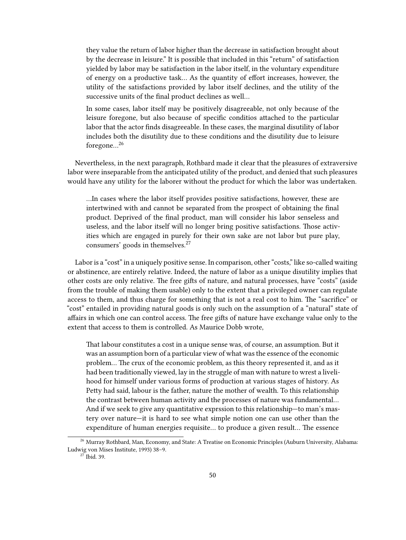they value the return of labor higher than the decrease in satisfaction brought about by the decrease in leisure." It is possible that included in this "return" of satisfaction yielded by labor may be satisfaction in the labor itself, in the voluntary expenditure of energy on a productive task… As the quantity of effort increases, however, the utility of the satisfactions provided by labor itself declines, and the utility of the successive units of the final product declines as well…

In some cases, labor itself may be positively disagreeable, not only because of the leisure foregone, but also because of specific conditios attached to the particular labor that the actor finds disagreeable. In these cases, the marginal disutility of labor includes both the disutility due to these conditions and the disutility due to leisure foregone…<sup>26</sup>

Nevertheless, in the next paragraph, Rothbard made it clear that the pleasures of extraversive labor were inseparable from the anticipated utility of the product, and denied that such pleasures would have any utility for the laborer without the product for which the labor was undertaken.

…In cases where the labor itself provides positive satisfactions, however, these are intertwined with and cannot be separated from the prospect of obtaining the final product. Deprived of the final product, man will consider his labor senseless and useless, and the labor itself will no longer bring positive satisfactions. Those activities which are engaged in purely for their own sake are not labor but pure play, consumers' goods in themselves.<sup>27</sup>

Labor is a "cost" in a uniquely positive sense. In comparison, other "costs," like so-called waiting or abstinence, are entirely relative. Indeed, the nature of labor as a unique disutility implies that other costs are only relative. The free gifts of nature, and natural processes, have "costs" (aside from the trouble of making them usable) only to the extent that a privileged owner can regulate access to them, and thus charge for something that is not a real cost to him. The "sacrifice" or "cost" entailed in providing natural goods is only such on the assumption of a "natural" state of affairs in which one can control access. The free gifts of nature have exchange value only to the extent that access to them is controlled. As Maurice Dobb wrote,

That labour constitutes a cost in a unique sense was, of course, an assumption. But it was an assumption born of a particular view of what was the essence of the economic problem… The crux of the economic problem, as this theory represented it, and as it had been traditionally viewed, lay in the struggle of man with nature to wrest a livelihood for himself under various forms of production at various stages of history. As Petty had said, labour is the father, nature the mother of wealth. To this relationship the contrast between human activity and the processes of nature was fundamental… And if we seek to give any quantitative exprssion to this relationship—to man's mastery over nature—it is hard to see what simple notion one can use other than the expenditure of human energies requisite… to produce a given result… The essence

<sup>&</sup>lt;sup>26</sup> Murray Rothbard, Man, Economy, and State: A Treatise on Economic Principles (Auburn University, Alabama: Ludwig von Mises Institute, 1993) 38–9.

 $27$  Ibid. 39.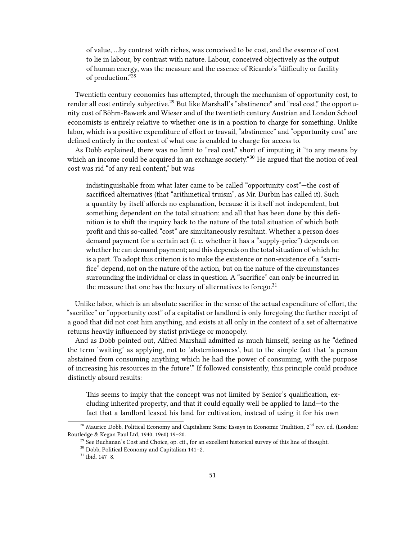of value, …by contrast with riches, was conceived to be cost, and the essence of cost to lie in labour, by contrast with nature. Labour, conceived objectively as the output of human energy, was the measure and the essence of Ricardo's "difficulty or facility of production."<sup>28</sup>

Twentieth century economics has attempted, through the mechanism of opportunity cost, to render all cost entirely subjective.<sup>29</sup> But like Marshall's "abstinence" and "real cost," the opportunity cost of Böhm-Bawerk and Wieser and of the twentieth century Austrian and London School economists is entirely relative to whether one is in a position to charge for something. Unlike labor, which is a positive expenditure of effort or travail, "abstinence" and "opportunity cost" are defined entirely in the context of what one is enabled to charge for access to.

As Dobb explained, there was no limit to "real cost," short of imputing it "to any means by which an income could be acquired in an exchange society.<sup>"30</sup> He argued that the notion of real cost was rid "of any real content," but was

indistinguishable from what later came to be called "opportunity cost"—the cost of sacrificed alternatives (that "arithmetical truism", as Mr. Durbin has called it). Such a quantity by itself affords no explanation, because it is itself not independent, but something dependent on the total situation; and all that has been done by this definition is to shift the inquiry back to the nature of the total situation of which both profit and this so-called "cost" are simultaneously resultant. Whether a person does demand payment for a certain act (i. e. whether it has a "supply-price") depends on whether he can demand payment; and this depends on the total situation of which he is a part. To adopt this criterion is to make the existence or non-existence of a "sacrifice" depend, not on the nature of the action, but on the nature of the circumstances surrounding the individual or class in question. A "sacrifice" can only be incurred in the measure that one has the luxury of alternatives to forego.<sup>31</sup>

Unlike labor, which is an absolute sacrifice in the sense of the actual expenditure of effort, the "sacrifice" or "opportunity cost" of a capitalist or landlord is only foregoing the further receipt of a good that did not cost him anything, and exists at all only in the context of a set of alternative returns heavily influenced by statist privilege or monopoly.

And as Dobb pointed out, Alfred Marshall admitted as much himself, seeing as he "defined the term 'waiting' as applying, not to 'abstemiousness', but to the simple fact that 'a person abstained from consuming anything which he had the power of consuming, with the purpose of increasing his resources in the future'." If followed consistently, this principle could produce distinctly absurd results:

This seems to imply that the concept was not limited by Senior's qualification, excluding inherited property, and that it could equally well be applied to land—to the fact that a landlord leased his land for cultivation, instead of using it for his own

<sup>&</sup>lt;sup>28</sup> Maurice Dobb, Political Economy and Capitalism: Some Essays in Economic Tradition, 2<sup>nd</sup> rev. ed. (London: Routledge & Kegan Paul Ltd, 1940, 1960) 19–20.

<sup>&</sup>lt;sup>29</sup> See Buchanan's Cost and Choice, op. cit., for an excellent historical survey of this line of thought.

<sup>30</sup> Dobb, Political Economy and Capitalism 141–2.

<sup>31</sup> Ibid. 147–8.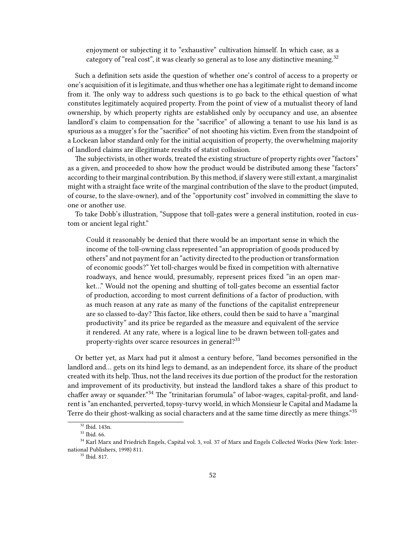enjoyment or subjecting it to "exhaustive" cultivation himself. In which case, as a category of "real cost", it was clearly so general as to lose any distinctive meaning. $32$ 

Such a definition sets aside the question of whether one's control of access to a property or one's acquisition of it is legitimate, and thus whether one has a legitimate right to demand income from it. The only way to address such questions is to go back to the ethical question of what constitutes legitimately acquired property. From the point of view of a mutualist theory of land ownership, by which property rights are established only by occupancy and use, an absentee landlord's claim to compensation for the "sacrifice" of allowing a tenant to use his land is as spurious as a mugger's for the "sacrifice" of not shooting his victim. Even from the standpoint of a Lockean labor standard only for the initial acquisition of property, the overwhelming majority of landlord claims are illegitimate results of statist collusion.

The subjectivists, in other words, treated the existing structure of property rights over "factors" as a given, and proceeded to show how the product would be distributed among these "factors" according to their marginal contribution. By this method, if slavery were still extant, a marginalist might with a straight face write of the marginal contribution of the slave to the product (imputed, of course, to the slave-owner), and of the "opportunity cost" involved in committing the slave to one or another use.

To take Dobb's illustration, "Suppose that toll-gates were a general institution, rooted in custom or ancient legal right."

Could it reasonably be denied that there would be an important sense in which the income of the toll-owning class represented "an appropriation of goods produced by others" and not payment for an "activity directed to the production or transformation of economic goods?" Yet toll-charges would be fixed in competition with alternative roadways, and hence would, presumably, represent prices fixed "in an open market…" Would not the opening and shutting of toll-gates become an essential factor of production, according to most current definitions of a factor of production, with as much reason at any rate as many of the functions of the capitalist entrepreneur are so classed to-day? This factor, like others, could then be said to have a "marginal productivity" and its price be regarded as the measure and equivalent of the service it rendered. At any rate, where is a logical line to be drawn between toll-gates and property-rights over scarce resources in general?<sup>33</sup>

Or better yet, as Marx had put it almost a century before, "land becomes personified in the landlord and… gets on its hind legs to demand, as an independent force, its share of the product created with its help. Thus, not the land receives its due portion of the product for the restoration and improvement of its productivity, but instead the landlord takes a share of this product to chaffer away or squander."<sup>34</sup> The "trinitarian forumula" of labor-wages, capital-profit, and landrent is "an enchanted, perverted, topsy-turvy world, in which Monsieur le Capital and Madame la Terre do their ghost-walking as social characters and at the same time directly as mere things."<sup>35</sup>

<sup>&</sup>lt;sup>32</sup> Ibid. 143n.

<sup>33</sup> Ibid. 66.

<sup>&</sup>lt;sup>34</sup> Karl Marx and Friedrich Engels, Capital vol. 3, vol. 37 of Marx and Engels Collected Works (New York: International Publishers, 1998) 811.

<sup>35</sup> Ibid. 817.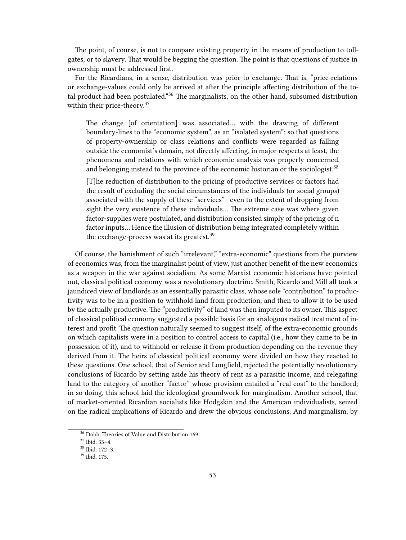The point, of course, is not to compare existing property in the means of production to tollgates, or to slavery. That would be begging the question. The point is that questions of justice in ownership must be addressed first.

For the Ricardians, in a sense, distribution was prior to exchange. That is, "price-relations or exchange-values could only be arrived at after the principle affecting distribution of the total product had been postulated."<sup>36</sup> The marginalists, on the other hand, subsumed distribution within their price-theory.<sup>37</sup>

The change [of orientation] was associated… with the drawing of different boundary-lines to the "economic system", as an "isolated system"; so that questions of property-ownership or class relations and conflicts were regarded as falling outside the economist's domain, not directly affecting, in major respects at least, the phenomena and relations with which economic analysis was properly concerned, and belonging instead to the province of the economic historian or the sociologist.<sup>38</sup>

[T]he reduction of distribution to the pricing of productive services or factors had the result of excluding the social circumstances of the individuals (or social groups) associated with the supply of these "services"—even to the extent of dropping from sight the very existence of these individuals… The extreme case was where given factor-supplies were postulated, and distribution consisted simply of the pricing of n factor inputs… Hence the illusion of distribution being integrated completely within the exchange-process was at its greatest.<sup>39</sup>

Of course, the banishment of such "irrelevant," "extra-economic" questions from the purview of economics was, from the marginalist point of view, just another benefit of the new economics as a weapon in the war against socialism. As some Marxist economic historians have pointed out, classical political economy was a revolutionary doctrine. Smith, Ricardo and Mill all took a jaundiced view of landlords as an essentially parasitic class, whose sole "contribution" to productivity was to be in a position to withhold land from production, and then to allow it to be used by the actually productive. The "productivity" of land was then imputed to its owner. This aspect of classical political economy suggested a possible basis for an analogous radical treatment of interest and profit. The question naturally seemed to suggest itself, of the extra-economic grounds on which capitalists were in a position to control access to capital (i.e., how they came to be in possession of it), and to withhold or release it from production depending on the revenue they derived from it. The heirs of classical political economy were divided on how they reacted to these questions. One school, that of Senior and Longfield, rejected the potentially revolutionary conclusions of Ricardo by setting aside his theory of rent as a parasitic income, and relegating land to the category of another "factor" whose provision entailed a "real cost" to the landlord; in so doing, this school laid the ideological groundwork for marginalism. Another school, that of market-oriented Ricardian socialists like Hodgskin and the American individualists, seized on the radical implications of Ricardo and drew the obvious conclusions. And marginalism, by

<sup>36</sup> Dobb, Theories of Value and Distribution 169.

<sup>37</sup> Ibid. 33–4.

<sup>38</sup> Ibid. 172–3.

<sup>39</sup> Ibid. 175.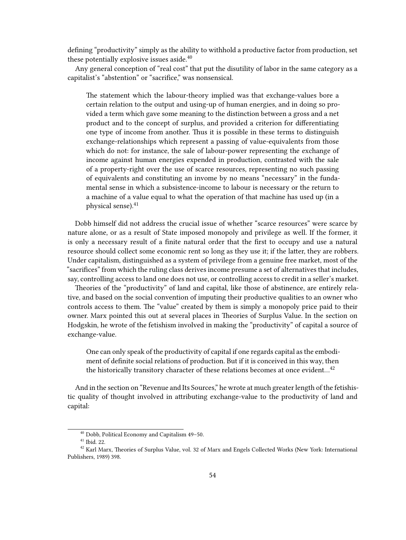defining "productivity" simply as the ability to withhold a productive factor from production, set these potentially explosive issues aside. $40$ 

Any general conception of "real cost" that put the disutility of labor in the same category as a capitalist's "abstention" or "sacrifice," was nonsensical.

The statement which the labour-theory implied was that exchange-values bore a certain relation to the output and using-up of human energies, and in doing so provided a term which gave some meaning to the distinction between a gross and a net product and to the concept of surplus, and provided a criterion for differentiating one type of income from another. Thus it is possible in these terms to distinguish exchange-relationships which represent a passing of value-equivalents from those which do not: for instance, the sale of labour-power representing the exchange of income against human energies expended in production, contrasted with the sale of a property-right over the use of scarce resources, representing no such passing of equivalents and constituting an invome by no means "necessary" in the fundamental sense in which a subsistence-income to labour is necessary or the return to a machine of a value equal to what the operation of that machine has used up (in a physical sense).<sup>41</sup>

Dobb himself did not address the crucial issue of whether "scarce resources" were scarce by nature alone, or as a result of State imposed monopoly and privilege as well. If the former, it is only a necessary result of a finite natural order that the first to occupy and use a natural resource should collect some economic rent so long as they use it; if the latter, they are robbers. Under capitalism, distinguished as a system of privilege from a genuine free market, most of the "sacrifices" from which the ruling class derives income presume a set of alternatives that includes, say, controlling access to land one does not use, or controlling access to credit in a seller's market.

Theories of the "productivity" of land and capital, like those of abstinence, are entirely relative, and based on the social convention of imputing their productive qualities to an owner who controls access to them. The "value" created by them is simply a monopoly price paid to their owner. Marx pointed this out at several places in Theories of Surplus Value. In the section on Hodgskin, he wrote of the fetishism involved in making the "productivity" of capital a source of exchange-value.

One can only speak of the productivity of capital if one regards capital as the embodiment of definite social relations of production. But if it is conceived in this way, then the historically transitory character of these relations becomes at once evident...<sup>42</sup>

And in the section on "Revenue and Its Sources," he wrote at much greater length of the fetishistic quality of thought involved in attributing exchange-value to the productivity of land and capital:

<sup>40</sup> Dobb, Political Economy and Capitalism 49–50.

<sup>41</sup> Ibid. 22.

<sup>&</sup>lt;sup>42</sup> Karl Marx, Theories of Surplus Value, vol. 32 of Marx and Engels Collected Works (New York: International Publishers, 1989) 398.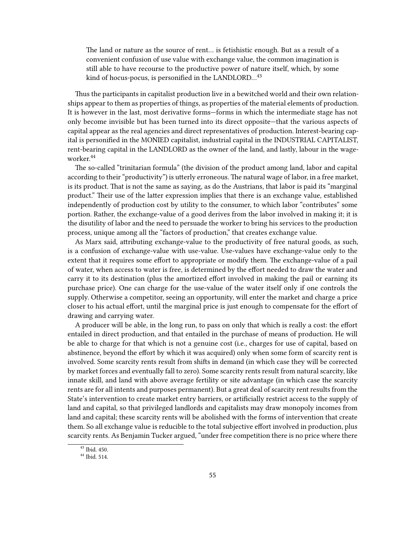The land or nature as the source of rent… is fetishistic enough. But as a result of a convenient confusion of use value with exchange value, the common imagination is still able to have recourse to the productive power of nature itself, which, by some kind of hocus-pocus, is personified in the LANDLORD...<sup>43</sup>

Thus the participants in capitalist production live in a bewitched world and their own relationships appear to them as properties of things, as properties of the material elements of production. It is however in the last, most derivative forms—forms in which the intermediate stage has not only become invisible but has been turned into its direct opposite—that the various aspects of capital appear as the real agencies and direct representatives of production. Interest-bearing capital is personified in the MONIED capitalist, industrial capital in the INDUSTRIAL CAPITALIST, rent-bearing capital in the LANDLORD as the owner of the land, and lastly, labour in the wageworker.<sup>44</sup>

The so-called "trinitarian formula" (the division of the product among land, labor and capital according to their "productivity") is utterly erroneous. The natural wage of labor, in a free market, is its product. That is not the same as saying, as do the Austrians, that labor is paid its "marginal product." Their use of the latter expression implies that there is an exchange value, established independently of production cost by utility to the consumer, to which labor "contributes" some portion. Rather, the exchange-value of a good derives from the labor involved in making it; it is the disutility of labor and the need to persuade the worker to bring his services to the production process, unique among all the "factors of production," that creates exchange value.

As Marx said, attributing exchange-value to the productivity of free natural goods, as such, is a confusion of exchange-value with use-value. Use-values have exchange-value only to the extent that it requires some effort to appropriate or modify them. The exchange-value of a pail of water, when access to water is free, is determined by the effort needed to draw the water and carry it to its destination (plus the amortized effort involved in making the pail or earning its purchase price). One can charge for the use-value of the water itself only if one controls the supply. Otherwise a competitor, seeing an opportunity, will enter the market and charge a price closer to his actual effort, until the marginal price is just enough to compensate for the effort of drawing and carrying water.

A producer will be able, in the long run, to pass on only that which is really a cost: the effort entailed in direct production, and that entailed in the purchase of means of production. He will be able to charge for that which is not a genuine cost (i.e., charges for use of capital, based on abstinence, beyond the effort by which it was acquired) only when some form of scarcity rent is involved. Some scarcity rents result from shifts in demand (in which case they will be corrected by market forces and eventually fall to zero). Some scarcity rents result from natural scarcity, like innate skill, and land with above average fertility or site advantage (in which case the scarcity rents are for all intents and purposes permanent). But a great deal of scarcity rent results from the State's intervention to create market entry barriers, or artificially restrict access to the supply of land and capital, so that privileged landlords and capitalists may draw monopoly incomes from land and capital; these scarcity rents will be abolished with the forms of intervention that create them. So all exchange value is reducible to the total subjective effort involved in production, plus scarcity rents. As Benjamin Tucker argued, "under free competition there is no price where there

 $\overline{^{43}}$  Ibid. 450.

<sup>44</sup> Ibid. 514.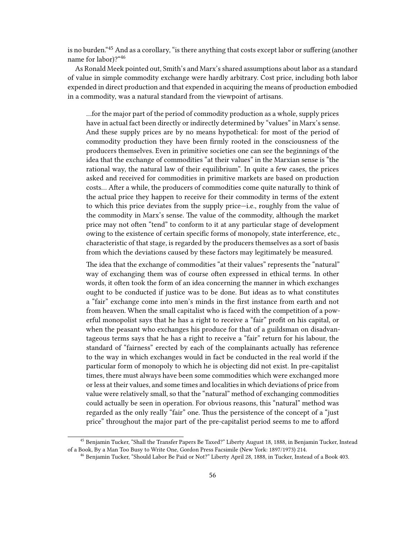is no burden."<sup>45</sup> And as a corollary, "is there anything that costs except labor or suffering (another name for labor)?"<sup>46</sup>

As Ronald Meek pointed out, Smith's and Marx's shared assumptions about labor as a standard of value in simple commodity exchange were hardly arbitrary. Cost price, including both labor expended in direct production and that expended in acquiring the means of production embodied in a commodity, was a natural standard from the viewpoint of artisans.

…for the major part of the period of commodity production as a whole, supply prices have in actual fact been directly or indirectly determined by "values" in Marx's sense. And these supply prices are by no means hypothetical: for most of the period of commodity production they have been firmly rooted in the consciousness of the producers themselves. Even in primitive societies one can see the beginnings of the idea that the exchange of commodities "at their values" in the Marxian sense is "the rational way, the natural law of their equilibrium". In quite a few cases, the prices asked and received for commodities in primitive markets are based on production costs… After a while, the producers of commodities come quite naturally to think of the actual price they happen to receive for their commodity in terms of the extent to which this price deviates from the supply price—i.e., roughly from the value of the commodity in Marx's sense. The value of the commodity, although the market price may not often "tend" to conform to it at any particular stage of development owing to the existence of certain specific forms of monopoly, state interference, etc., characteristic of that stage, is regarded by the producers themselves as a sort of basis from which the deviations caused by these factors may legitimately be measured.

The idea that the exchange of commodities "at their values" represents the "natural" way of exchanging them was of course often expressed in ethical terms. In other words, it often took the form of an idea concerning the manner in which exchanges ought to be conducted if justice was to be done. But ideas as to what constitutes a "fair" exchange come into men's minds in the first instance from earth and not from heaven. When the small capitalist who is faced with the competition of a powerful monopolist says that he has a right to receive a "fair" profit on his capital, or when the peasant who exchanges his produce for that of a guildsman on disadvantageous terms says that he has a right to receive a "fair" return for his labour, the standard of "fairness" erected by each of the complainants actually has reference to the way in which exchanges would in fact be conducted in the real world if the particular form of monopoly to which he is objecting did not exist. In pre-capitalist times, there must always have been some commodities which were exchanged more or less at their values, and some times and localities in which deviations of price from value were relatively small, so that the "natural" method of exchanging commodities could actually be seen in operation. For obvious reasons, this "natural" method was regarded as the only really "fair" one. Thus the persistence of the concept of a "just price" throughout the major part of the pre-capitalist period seems to me to afford

<sup>45</sup> Benjamin Tucker, "Shall the Transfer Papers Be Taxed?" Liberty August 18, 1888, in Benjamin Tucker, Instead of a Book, By a Man Too Busy to Write One, Gordon Press Facsimile (New York: 1897/1973) 214.

<sup>46</sup> Benjamin Tucker, "Should Labor Be Paid or Not?" Liberty April 28, 1888, in Tucker, Instead of a Book 403.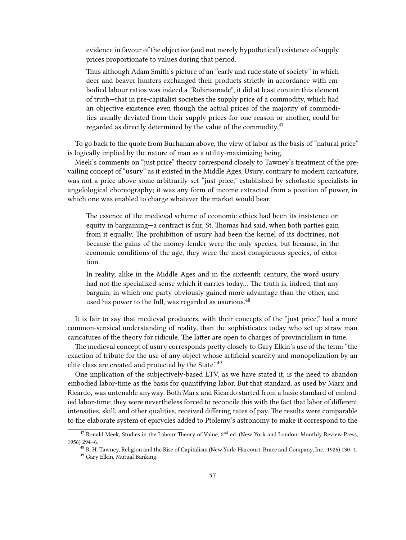evidence in favour of the objective (and not merely hypothetical) existence of supply prices proportionate to values during that period.

Thus although Adam Smith's picture of an "early and rude state of society" in which deer and beaver hunters exchanged their products strictly in accordance with embodied labour ratios was indeed a "Robinsonade", it did at least contain this element of truth—that in pre-capitalist societies the supply price of a commodity, which had an objective existence even though the actual prices of the majority of commodities usually deviated from their supply prices for one reason or another, could be regarded as directly determined by the value of the commodity.<sup>47</sup>

To go back to the quote from Buchanan above, the view of labor as the basis of "natural price" is logically implied by the nature of man as a utility-maximizing being.

Meek's comments on "just price" theory correspond closely to Tawney's treatment of the prevailing concept of "usury" as it existed in the Middle Ages. Usury, contrary to modern caricature, was not a price above some arbitrarily set "just price," established by scholastic specialists in angelological choreography; it was any form of income extracted from a position of power, in which one was enabled to charge whatever the market would bear.

The essence of the medieval scheme of economic ethics had been its insistence on equity in bargaining—a contract is fair, St. Thomas had said, when both parties gain from it equally. The prohibition of usury had been the kernel of its doctrines, not because the gains of the money-lender were the only species, but because, in the economic conditions of the age, they were the most conspicuous species, of extortion.

In reality, alike in the Middle Ages and in the sixteenth century, the word usury had not the specialized sense which it carries today… The truth is, indeed, that any bargain, in which one party obviously gained more advantage than the other, and used his power to the full, was regarded as usurious.<sup>48</sup>

It is fair to say that medieval producers, with their concepts of the "just price," had a more common-sensical understanding of reality, than the sophisticates today who set up straw man caricatures of the theory for ridicule. The latter are open to charges of provincialism in time.

The medieval concept of usury corresponds pretty closely to Gary Elkin's use of the term: "the exaction of tribute for the use of any object whose artificial scarcity and monopolization by an elite class are created and protected by the State.<sup>"49</sup>

One implication of the subjectively-based LTV, as we have stated it, is the need to abandon embodied labor-time as the basis for quantifying labor. But that standard, as used by Marx and Ricardo, was untenable anyway. Both Marx and Ricardo started from a basic standard of embodied labor-time; they were nevertheless forced to reconcile this with the fact that labor of different intensities, skill, and other qualities, received differing rates of pay. The results were comparable to the elaborate system of epicycles added to Ptolemy's astronomy to make it correspond to the

<sup>&</sup>lt;sup>47</sup> Ronald Meek, Studies in the Labour Theory of Value, 2<sup>nd</sup> ed. (New York and London: Monthly Review Press, 1956) 294–6.

<sup>48</sup> R. H. Tawney, Religion and the Rise of Capitalism (New York: Harcourt, Brace and Company, Inc., 1926) 130–1.

<sup>49</sup> Gary Elkin, Mutual Banking.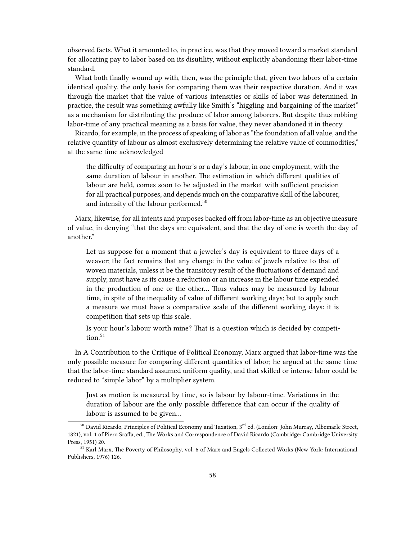observed facts. What it amounted to, in practice, was that they moved toward a market standard for allocating pay to labor based on its disutility, without explicitly abandoning their labor-time standard.

What both finally wound up with, then, was the principle that, given two labors of a certain identical quality, the only basis for comparing them was their respective duration. And it was through the market that the value of various intensities or skills of labor was determined. In practice, the result was something awfully like Smith's "higgling and bargaining of the market" as a mechanism for distributing the produce of labor among laborers. But despite thus robbing labor-time of any practical meaning as a basis for value, they never abandoned it in theory.

Ricardo, for example, in the process of speaking of labor as "the foundation of all value, and the relative quantity of labour as almost exclusively determining the relative value of commodities," at the same time acknowledged

the difficulty of comparing an hour's or a day's labour, in one employment, with the same duration of labour in another. The estimation in which different qualities of labour are held, comes soon to be adjusted in the market with sufficient precision for all practical purposes, and depends much on the comparative skill of the labourer, and intensity of the labour performed.<sup>50</sup>

Marx, likewise, for all intents and purposes backed off from labor-time as an objective measure of value, in denying "that the days are equivalent, and that the day of one is worth the day of another."

Let us suppose for a moment that a jeweler's day is equivalent to three days of a weaver; the fact remains that any change in the value of jewels relative to that of woven materials, unless it be the transitory result of the fluctuations of demand and supply, must have as its cause a reduction or an increase in the labour time expended in the production of one or the other… Thus values may be measured by labour time, in spite of the inequality of value of different working days; but to apply such a measure we must have a comparative scale of the different working days: it is competition that sets up this scale.

Is your hour's labour worth mine? That is a question which is decided by competi $t$ <sub>ion.</sub> $51$ 

In A Contribution to the Critique of Political Economy, Marx argued that labor-time was the only possible measure for comparing different quantities of labor; he argued at the same time that the labor-time standard assumed uniform quality, and that skilled or intense labor could be reduced to "simple labor" by a multiplier system.

Just as motion is measured by time, so is labour by labour-time. Variations in the duration of labour are the only possible difference that can occur if the quality of labour is assumed to be given…

<sup>&</sup>lt;sup>50</sup> David Ricardo, Principles of Political Economy and Taxation, 3<sup>rd</sup> ed. (London: John Murray, Albemarle Street, 1821), vol. 1 of Piero Sraffa, ed., The Works and Correspondence of David Ricardo (Cambridge: Cambridge University Press, 1951) 20.

<sup>51</sup> Karl Marx, The Poverty of Philosophy, vol. 6 of Marx and Engels Collected Works (New York: International Publishers, 1976) 126.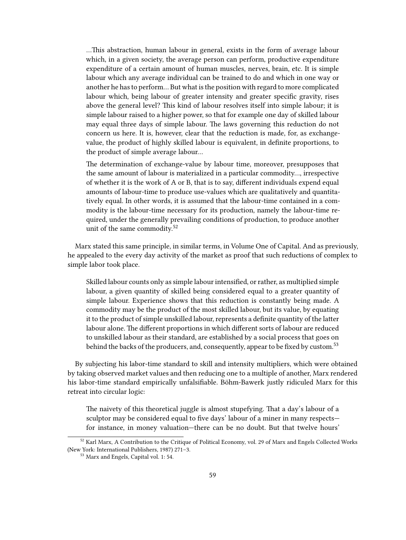…This abstraction, human labour in general, exists in the form of average labour which, in a given society, the average person can perform, productive expenditure expenditure of a certain amount of human muscles, nerves, brain, etc. It is simple labour which any average individual can be trained to do and which in one way or another he has to perform… But what is the position with regard to more complicated labour which, being labour of greater intensity and greater specific gravity, rises above the general level? This kind of labour resolves itself into simple labour; it is simple labour raised to a higher power, so that for example one day of skilled labour may equal three days of simple labour. The laws governing this reduction do not concern us here. It is, however, clear that the reduction is made, for, as exchangevalue, the product of highly skilled labour is equivalent, in definite proportions, to the product of simple average labour…

The determination of exchange-value by labour time, moreover, presupposes that the same amount of labour is materialized in a particular commodity…, irrespective of whether it is the work of A or B, that is to say, different individuals expend equal amounts of labour-time to produce use-values which are qualitatively and quantitatively equal. In other words, it is assumed that the labour-time contained in a commodity is the labour-time necessary for its production, namely the labour-time required, under the generally prevailing conditions of production, to produce another unit of the same commodity. $52$ 

Marx stated this same principle, in similar terms, in Volume One of Capital. And as previously, he appealed to the every day activity of the market as proof that such reductions of complex to simple labor took place.

Skilled labour counts only as simple labour intensified, or rather, as multiplied simple labour, a given quantity of skilled being considered equal to a greater quantity of simple labour. Experience shows that this reduction is constantly being made. A commodity may be the product of the most skilled labour, but its value, by equating it to the product of simple unskilled labour, represents a definite quantity of the latter labour alone. The different proportions in which different sorts of labour are reduced to unskilled labour as their standard, are established by a social process that goes on behind the backs of the producers, and, consequently, appear to be fixed by custom.<sup>53</sup>

By subjecting his labor-time standard to skill and intensity multipliers, which were obtained by taking observed market values and then reducing one to a multiple of another, Marx rendered his labor-time standard empirically unfalsifiable. Böhm-Bawerk justly ridiculed Marx for this retreat into circular logic:

The naivety of this theoretical juggle is almost stupefying. That a day's labour of a sculptor may be considered equal to five days' labour of a miner in many respects for instance, in money valuation—there can be no doubt. But that twelve hours'

<sup>52</sup> Karl Marx, A Contribution to the Critique of Political Economy, vol. 29 of Marx and Engels Collected Works (New York: International Publishers, 1987) 271–3.

<sup>53</sup> Marx and Engels, Capital vol. 1: 54.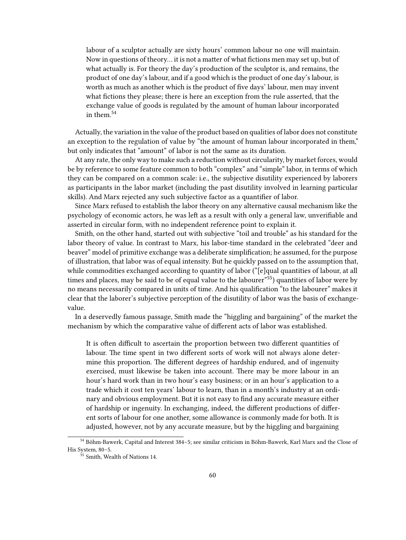labour of a sculptor actually are sixty hours' common labour no one will maintain. Now in questions of theory… it is not a matter of what fictions men may set up, but of what actually is. For theory the day's production of the sculptor is, and remains, the product of one day's labour, and if a good which is the product of one day's labour, is worth as much as another which is the product of five days' labour, men may invent what fictions they please; there is here an exception from the rule asserted, that the exchange value of goods is regulated by the amount of human labour incorporated in them.<sup>54</sup>

Actually, the variation in the value of the product based on qualities of labor does not constitute an exception to the regulation of value by "the amount of human labour incorporated in them," but only indicates that "amount" of labor is not the same as its duration.

At any rate, the only way to make such a reduction without circularity, by market forces, would be by reference to some feature common to both "complex" and "simple" labor, in terms of which they can be compared on a common scale: i.e., the subjective disutility experienced by laborers as participants in the labor market (including the past disutility involved in learning particular skills). And Marx rejected any such subjective factor as a quantifier of labor.

Since Marx refused to establish the labor theory on any alternative causal mechanism like the psychology of economic actors, he was left as a result with only a general law, unverifiable and asserted in circular form, with no independent reference point to explain it.

Smith, on the other hand, started out with subjective "toil and trouble" as his standard for the labor theory of value. In contrast to Marx, his labor-time standard in the celebrated "deer and beaver" model of primitive exchange was a deliberate simplification; he assumed, for the purpose of illustration, that labor was of equal intensity. But he quickly passed on to the assumption that, while commodities exchanged according to quantity of labor ("[e]qual quantities of labour, at all times and places, may be said to be of equal value to the labourer"<sup>55</sup>) quantities of labor were by no means necessarily compared in units of time. And his qualification "to the labourer" makes it clear that the laborer's subjective perception of the disutility of labor was the basis of exchangevalue.

In a deservedly famous passage, Smith made the "higgling and bargaining" of the market the mechanism by which the comparative value of different acts of labor was established.

It is often difficult to ascertain the proportion between two different quantities of labour. The time spent in two different sorts of work will not always alone determine this proportion. The different degrees of hardship endured, and of ingenuity exercised, must likewise be taken into account. There may be more labour in an hour's hard work than in two hour's easy business; or in an hour's application to a trade which it cost ten years' labour to learn, than in a month's industry at an ordinary and obvious employment. But it is not easy to find any accurate measure either of hardship or ingenuity. In exchanging, indeed, the different productions of different sorts of labour for one another, some allowance is commonly made for both. It is adjusted, however, not by any accurate measure, but by the higgling and bargaining

<sup>54</sup> Böhm-Bawerk, Capital and Interest 384–5; see similar criticism in Böhm-Bawerk, Karl Marx and the Close of His System, 80–5.

 $55$  Smith, Wealth of Nations 14.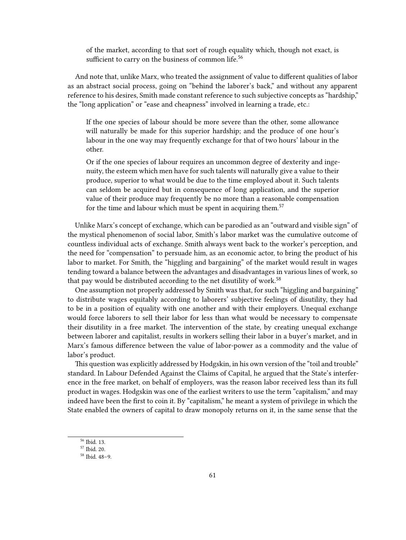of the market, according to that sort of rough equality which, though not exact, is sufficient to carry on the business of common life.<sup>56</sup>

And note that, unlike Marx, who treated the assignment of value to different qualities of labor as an abstract social process, going on "behind the laborer's back," and without any apparent reference to his desires, Smith made constant reference to such subjective concepts as "hardship," the "long application" or "ease and cheapness" involved in learning a trade, etc.:

If the one species of labour should be more severe than the other, some allowance will naturally be made for this superior hardship; and the produce of one hour's labour in the one way may frequently exchange for that of two hours' labour in the other.

Or if the one species of labour requires an uncommon degree of dexterity and ingenuity, the esteem which men have for such talents will naturally give a value to their produce, superior to what would be due to the time employed about it. Such talents can seldom be acquired but in consequence of long application, and the superior value of their produce may frequently be no more than a reasonable compensation for the time and labour which must be spent in acquiring them.<sup>57</sup>

Unlike Marx's concept of exchange, which can be parodied as an "outward and visible sign" of the mystical phenomenon of social labor, Smith's labor market was the cumulative outcome of countless individual acts of exchange. Smith always went back to the worker's perception, and the need for "compensation" to persuade him, as an economic actor, to bring the product of his labor to market. For Smith, the "higgling and bargaining" of the market would result in wages tending toward a balance between the advantages and disadvantages in various lines of work, so that pay would be distributed according to the net disutility of work.<sup>58</sup>

One assumption not properly addressed by Smith was that, for such "higgling and bargaining" to distribute wages equitably according to laborers' subjective feelings of disutility, they had to be in a position of equality with one another and with their employers. Unequal exchange would force laborers to sell their labor for less than what would be necessary to compensate their disutility in a free market. The intervention of the state, by creating unequal exchange between laborer and capitalist, results in workers selling their labor in a buyer's market, and in Marx's famous difference between the value of labor-power as a commodity and the value of labor's product.

This question was explicitly addressed by Hodgskin, in his own version of the "toil and trouble" standard. In Labour Defended Against the Claims of Capital, he argued that the State's interference in the free market, on behalf of employers, was the reason labor received less than its full product in wages. Hodgskin was one of the earliest writers to use the term "capitalism," and may indeed have been the first to coin it. By "capitalism," he meant a system of privilege in which the State enabled the owners of capital to draw monopoly returns on it, in the same sense that the

<sup>56</sup> Ibid. 13.

<sup>57</sup> Ibid. 20.

<sup>58</sup> Ibid. 48–9.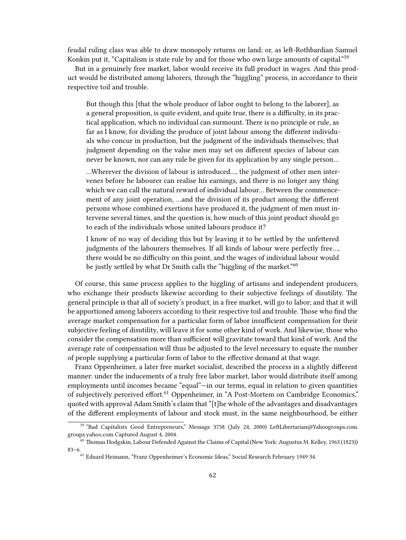feudal ruling class was able to draw monopoly returns on land; or, as left-Rothbardian Samuel Konkin put it, "Capitalism is state rule by and for those who own large amounts of capital."<sup>59</sup>

But in a genuinely free market, labor would receive its full product in wages. And this product would be distributed among laborers, through the "higgling" process, in accordance to their respective toil and trouble.

But though this [that the whole produce of labor ought to belong to the laborer], as a general proposition, is quite evident, and quite true, there is a difficulty, in its practical application, which no individual can surmount. There is no principle or rule, as far as I know, for dividing the produce of joint labour among the different individuals who concur in production, but the judgment of the individuals themselves; that judgment depending on the value men may set on different species of labour can never be known, nor can any rule be given for its application by any single person…

…Wherever the division of labour is introduced…, the judgment of other men intervenes before he labourer can realise his earnings, and there is no longer any thing which we can call the natural reward of individual labour… Between the commencement of any joint operation, …and the division of its product among the different persons whose combined exertions have produced it, the judgment of men must intervene several times, and the question is, how much of this joint product should go to each of the individuals whose united labours produce it?

I know of no way of deciding this but by leaving it to be settled by the unfettered judgments of the labourers themselves. If all kinds of labour were perfectly free…, there would be no difficulty on this point, and the wages of individual labour would be justly settled by what Dr Smith calls the "higgling of the market."<sup>60</sup>

Of course, this same process applies to the higgling of artisans and independent producers, who exchange their products likewise according to their subjective feelings of disutility. The general principle is that all of society's product, in a free market, will go to labor; and that it will be apportioned among laborers according to their respective toil and trouble. Those who find the average market compensation for a particular form of labor insufficient compensation for their subjective feeling of disutility, will leave it for some other kind of work. And likewise, those who consider the compensation more than sufficient will gravitate toward that kind of work. And the average rate of compensation will thus be adjusted to the level necessary to equate the number of people supplying a particular form of labor to the effective demand at that wage.

Franz Oppenheimer, a later free market socialist, described the process in a slightly different manner: under the inducements of a truly free labor market, labor would distribute itself among employments until incomes became "equal"—in our terms, equal in relation to given quantities of subjectively perceived effort.<sup>61</sup> Oppenheimer, in "A Post-Mortem on Cambridge Economics," quoted with approval Adam Smith's claim that "[t]he whole of the advantages and disadvantages of the different employments of labour and stock must, in the same neighbourhood, be either

<sup>59</sup> "Bad Capitalists Good Entrepreneurs," Message 3758 (July 24, 2000) LeftLibertarian@Yahoogroups.com. [groups.yahoo.com](http://groups.yahoo.com/group/LeftLibertarian/message/3758) Captured August 4, 2004.

 $^{60}$  Thomas Hodgskin, Labour Defended Against the Claims of Capital (New York: Augustus M. Kelley, 1963 (1823)) 83–6.

<sup>61</sup> Eduard Heimann, "Franz Oppenheimer's Economic Ideas," Social Research February 1949 34.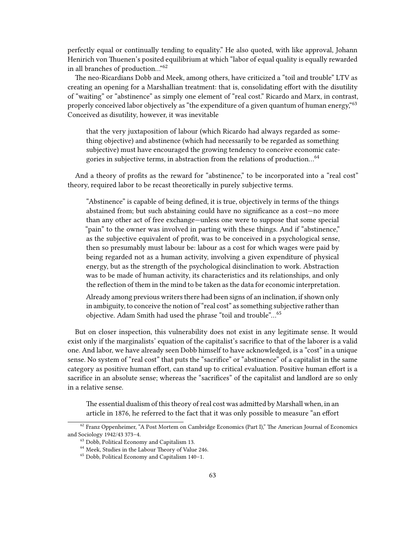perfectly equal or continually tending to equality." He also quoted, with like approval, Johann Henirich von Thuenen's posited equilibrium at which "labor of equal quality is equally rewarded in all branches of production…"<sup>62</sup>

The neo-Ricardians Dobb and Meek, among others, have criticized a "toil and trouble" LTV as creating an opening for a Marshallian treatment: that is, consolidating effort with the disutility of "waiting" or "abstinence" as simply one element of "real cost." Ricardo and Marx, in contrast, properly conceived labor objectively as "the expenditure of a given quantum of human energy,"<sup>63</sup> Conceived as disutility, however, it was inevitable

that the very juxtaposition of labour (which Ricardo had always regarded as something objective) and abstinence (which had necessarily to be regarded as something subjective) must have encouraged the growing tendency to conceive economic categories in subjective terms, in abstraction from the relations of production…<sup>64</sup>

And a theory of profits as the reward for "abstinence," to be incorporated into a "real cost" theory, required labor to be recast theoretically in purely subjective terms.

"Abstinence" is capable of being defined, it is true, objectively in terms of the things abstained from; but such abstaining could have no significance as a cost—no more than any other act of free exchange—unless one were to suppose that some special "pain" to the owner was involved in parting with these things. And if "abstinence," as the subjective equivalent of profit, was to be conceived in a psychological sense, then so presumably must labour be: labour as a cost for which wages were paid by being regarded not as a human activity, involving a given expenditure of physical energy, but as the strength of the psychological disinclination to work. Abstraction was to be made of human activity, its characteristics and its relationships, and only the reflection of them in the mind to be taken as the data for economic interpretation.

Already among previous writers there had been signs of an inclination, if shown only in ambiguity, to conceive the notion of "real cost" as something subjective rather than objective. Adam Smith had used the phrase "toil and trouble"…<sup>65</sup>

But on closer inspection, this vulnerability does not exist in any legitimate sense. It would exist only if the marginalists' equation of the capitalist's sacrifice to that of the laborer is a valid one. And labor, we have already seen Dobb himself to have acknowledged, is a "cost" in a unique sense. No system of "real cost" that puts the "sacrifice" or "abstinence" of a capitalist in the same category as positive human effort, can stand up to critical evaluation. Positive human effort is a sacrifice in an absolute sense; whereas the "sacrifices" of the capitalist and landlord are so only in a relative sense.

The essential dualism of this theory of real cost was admitted by Marshall when, in an article in 1876, he referred to the fact that it was only possible to measure "an effort

 $62$  Franz Oppenheimer, "A Post Mortem on Cambridge Economics (Part I)," The American Journal of Economics and Sociology 1942/43 373–4.

<sup>63</sup> Dobb, Political Economy and Capitalism 13.

<sup>64</sup> Meek, Studies in the Labour Theory of Value 246.

<sup>65</sup> Dobb, Political Economy and Capitalism 140–1.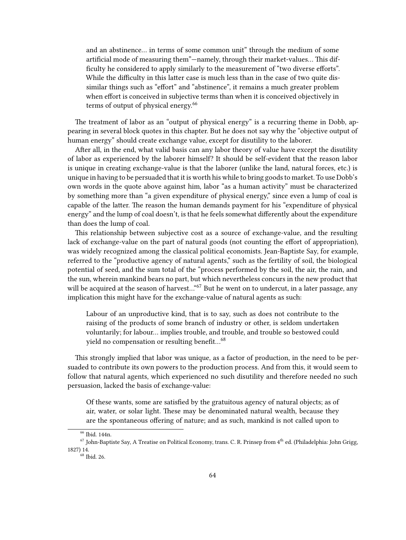and an abstinence… in terms of some common unit" through the medium of some artificial mode of measuring them"—namely, through their market-values… This difficulty he considered to apply similarly to the measurement of "two diverse efforts". While the difficulty in this latter case is much less than in the case of two quite dissimilar things such as "effort" and "abstinence", it remains a much greater problem when effort is conceived in subjective terms than when it is conceived objectively in terms of output of physical energy.<sup>66</sup>

The treatment of labor as an "output of physical energy" is a recurring theme in Dobb, appearing in several block quotes in this chapter. But he does not say why the "objective output of human energy" should create exchange value, except for disutility to the laborer.

After all, in the end, what valid basis can any labor theory of value have except the disutility of labor as experienced by the laborer himself? It should be self-evident that the reason labor is unique in creating exchange-value is that the laborer (unlike the land, natural forces, etc.) is unique in having to be persuaded that it is worth his while to bring goods to market. To use Dobb's own words in the quote above against him, labor "as a human activity" must be characterized by something more than "a given expenditure of physical energy," since even a lump of coal is capable of the latter. The reason the human demands payment for his "expenditure of physical energy" and the lump of coal doesn't, is that he feels somewhat differently about the expenditure than does the lump of coal.

This relationship between subjective cost as a source of exchange-value, and the resulting lack of exchange-value on the part of natural goods (not counting the effort of appropriation), was widely recognized among the classical political economists. Jean-Baptiste Say, for example, referred to the "productive agency of natural agents," such as the fertility of soil, the biological potential of seed, and the sum total of the "process performed by the soil, the air, the rain, and the sun, wherein mankind bears no part, but which nevertheless concurs in the new product that will be acquired at the season of harvest... "67 But he went on to undercut, in a later passage, any implication this might have for the exchange-value of natural agents as such:

Labour of an unproductive kind, that is to say, such as does not contribute to the raising of the products of some branch of industry or other, is seldom undertaken voluntarily; for labour… implies trouble, and trouble, and trouble so bestowed could yield no compensation or resulting benefit…<sup>68</sup>

This strongly implied that labor was unique, as a factor of production, in the need to be persuaded to contribute its own powers to the production process. And from this, it would seem to follow that natural agents, which experienced no such disutility and therefore needed no such persuasion, lacked the basis of exchange-value:

Of these wants, some are satisfied by the gratuitous agency of natural objects; as of air, water, or solar light. These may be denominated natural wealth, because they are the spontaneous offering of nature; and as such, mankind is not called upon to

<sup>66</sup> Ibid. 144n.

 $67$  John-Baptiste Say, A Treatise on Political Economy, trans. C. R. Prinsep from  $4<sup>th</sup>$  ed. (Philadelphia: John Grigg, 1827) 14.

<sup>68</sup> Ibid. 26.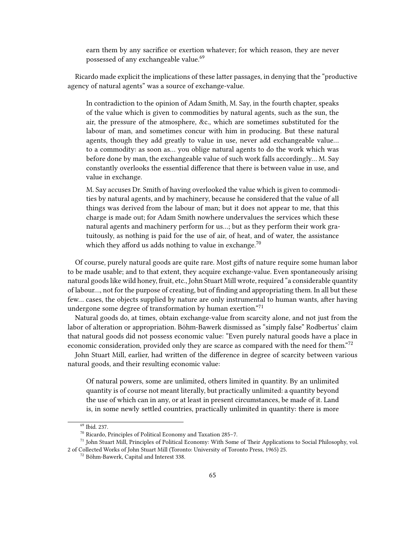earn them by any sacrifice or exertion whatever; for which reason, they are never possessed of any exchangeable value.<sup>69</sup>

Ricardo made explicit the implications of these latter passages, in denying that the "productive agency of natural agents" was a source of exchange-value.

In contradiction to the opinion of Adam Smith, M. Say, in the fourth chapter, speaks of the value which is given to commodities by natural agents, such as the sun, the air, the pressure of the atmosphere, &c., which are sometimes substituted for the labour of man, and sometimes concur with him in producing. But these natural agents, though they add greatly to value in use, never add exchangeable value… to a commodity: as soon as… you oblige natural agents to do the work which was before done by man, the exchangeable value of such work falls accordingly… M. Say constantly overlooks the essential difference that there is between value in use, and value in exchange.

M. Say accuses Dr. Smith of having overlooked the value which is given to commodities by natural agents, and by machinery, because he considered that the value of all things was derived from the labour of man; but it does not appear to me, that this charge is made out; for Adam Smith nowhere undervalues the services which these natural agents and machinery perform for us…; but as they perform their work gratuitously, as nothing is paid for the use of air, of heat, and of water, the assistance which they afford us adds nothing to value in exchange.<sup>70</sup>

Of course, purely natural goods are quite rare. Most gifts of nature require some human labor to be made usable; and to that extent, they acquire exchange-value. Even spontaneously arising natural goods like wild honey, fruit, etc., John Stuart Mill wrote, required "a considerable quantity of labour…, not for the purpose of creating, but of finding and appropriating them. In all but these few… cases, the objects supplied by nature are only instrumental to human wants, after having undergone some degree of transformation by human exertion. "71"

Natural goods do, at times, obtain exchange-value from scarcity alone, and not just from the labor of alteration or appropriation. Böhm-Bawerk dismissed as "simply false" Rodbertus' claim that natural goods did not possess economic value: "Even purely natural goods have a place in economic consideration, provided only they are scarce as compared with the need for them.<sup>"72</sup>

John Stuart Mill, earlier, had written of the difference in degree of scarcity between various natural goods, and their resulting economic value:

Of natural powers, some are unlimited, others limited in quantity. By an unlimited quantity is of course not meant literally, but practically unlimited: a quantity beyond the use of which can in any, or at least in present circumstances, be made of it. Land is, in some newly settled countries, practically unlimited in quantity: there is more

 $69$  Ibid. 237.

<sup>70</sup> Ricardo, Principles of Political Economy and Taxation 285–7.

<sup>&</sup>lt;sup>71</sup> John Stuart Mill, Principles of Political Economy: With Some of Their Applications to Social Philosophy, vol. 2 of Collected Works of John Stuart Mill (Toronto: University of Toronto Press, 1965) 25.

<sup>72</sup> Böhm-Bawerk, Capital and Interest 338.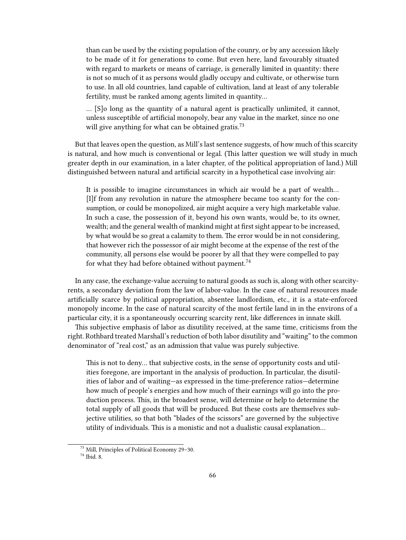than can be used by the existing population of the counry, or by any accession likely to be made of it for generations to come. But even here, land favourably situated with regard to markets or means of carriage, is generally limited in quantity: there is not so much of it as persons would gladly occupy and cultivate, or otherwise turn to use. In all old countries, land capable of cultivation, land at least of any tolerable fertility, must be ranked among agents limited in quantity…

… [S]o long as the quantity of a natural agent is practically unlimited, it cannot, unless susceptible of artificial monopoly, bear any value in the market, since no one will give anything for what can be obtained gratis.<sup>73</sup>

But that leaves open the question, as Mill's last sentence suggests, of how much of this scarcity is natural, and how much is conventional or legal. (This latter question we will study in much greater depth in our examination, in a later chapter, of the political appropriation of land.) Mill distinguished between natural and artificial scarcity in a hypothetical case involving air:

It is possible to imagine circumstances in which air would be a part of wealth… [I]f from any revolution in nature the atmosphere became too scanty for the consumption, or could be monopolized, air might acquire a very high marketable value. In such a case, the possession of it, beyond his own wants, would be, to its owner, wealth; and the general wealth of mankind might at first sight appear to be increased, by what would be so great a calamity to them. The error would be in not considering, that however rich the possessor of air might become at the expense of the rest of the community, all persons else would be poorer by all that they were compelled to pay for what they had before obtained without payment.<sup>74</sup>

In any case, the exchange-value accruing to natural goods as such is, along with other scarcityrents, a secondary deviation from the law of labor-value. In the case of natural resources made artificially scarce by political appropriation, absentee landlordism, etc., it is a state-enforced monopoly income. In the case of natural scarcity of the most fertile land in in the environs of a particular city, it is a spontaneously occurring scarcity rent, like differences in innate skill.

This subjective emphasis of labor as disutility received, at the same time, criticisms from the right. Rothbard treated Marshall's reduction of both labor disutility and "waiting" to the common denominator of "real cost," as an admission that value was purely subjective.

This is not to deny… that subjective costs, in the sense of opportunity costs and utilities foregone, are important in the analysis of production. In particular, the disutilities of labor and of waiting—as expressed in the time-preference ratios—determine how much of people's energies and how much of their earnings will go into the production process. This, in the broadest sense, will determine or help to determine the total supply of all goods that will be produced. But these costs are themselves subjective utilities, so that both "blades of the scissors" are governed by the subjective utility of individuals. This is a monistic and not a dualistic causal explanation…

<sup>73</sup> Mill, Principles of Political Economy 29–30.

<sup>74</sup> Ibid. 8.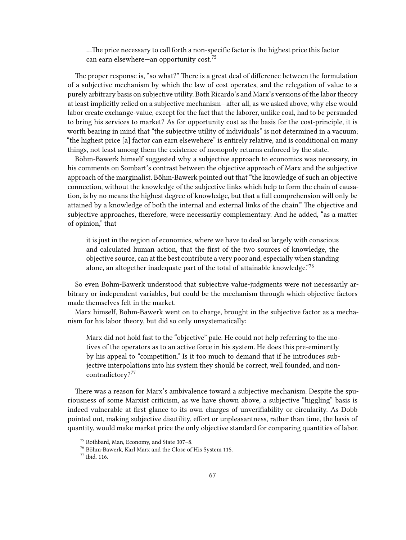…The price necessary to call forth a non-specific factor is the highest price this factor can earn elsewhere—an opportunity cost.<sup>75</sup>

The proper response is, "so what?" There is a great deal of difference between the formulation of a subjective mechanism by which the law of cost operates, and the relegation of value to a purely arbitrary basis on subjective utility. Both Ricardo's and Marx's versions of the labor theory at least implicitly relied on a subjective mechanism—after all, as we asked above, why else would labor create exchange-value, except for the fact that the laborer, unlike coal, had to be persuaded to bring his services to market? As for opportunity cost as the basis for the cost-principle, it is worth bearing in mind that "the subjective utility of individuals" is not determined in a vacuum; "the highest price [a] factor can earn elsewehere" is entirely relative, and is conditional on many things, not least among them the existence of monopoly returns enforced by the state.

Böhm-Bawerk himself suggested why a subjective approach to economics was necessary, in his comments on Sombart's contrast between the objective approach of Marx and the subjective approach of the marginalist. Böhm-Bawerk pointed out that "the knowledge of such an objective connection, without the knowledge of the subjective links which help to form the chain of causation, is by no means the highest degree of knowledge, but that a full comprehension will only be attained by a knowledge of both the internal and external links of the chain." The objective and subjective approaches, therefore, were necessarily complementary. And he added, "as a matter of opinion," that

it is just in the region of economics, where we have to deal so largely with conscious and calculated human action, that the first of the two sources of knowledge, the objective source, can at the best contribute a very poor and, especially when standing alone, an altogether inadequate part of the total of attainable knowledge. "76

So even Bohm-Bawerk understood that subjective value-judgments were not necessarily arbitrary or independent variables, but could be the mechanism through which objective factors made themselves felt in the market.

Marx himself, Bohm-Bawerk went on to charge, brought in the subjective factor as a mechanism for his labor theory, but did so only unsystematically:

Marx did not hold fast to the "objective" pale. He could not help referring to the motives of the operators as to an active force in his system. He does this pre-eminently by his appeal to "competition." Is it too much to demand that if he introduces subjective interpolations into his system they should be correct, well founded, and noncontradictory?<sup>77</sup>

There was a reason for Marx's ambivalence toward a subjective mechanism. Despite the spuriousness of some Marxist criticism, as we have shown above, a subjective "higgling" basis is indeed vulnerable at first glance to its own charges of unverifiability or circularity. As Dobb pointed out, making subjective disutility, effort or unpleasantness, rather than time, the basis of quantity, would make market price the only objective standard for comparing quantities of labor.

<sup>75</sup> Rothbard, Man, Economy, and State 307–8.

 $^{76}$  Böhm-Bawerk, Karl Marx and the Close of His System 115.

<sup>77</sup> Ibid. 116.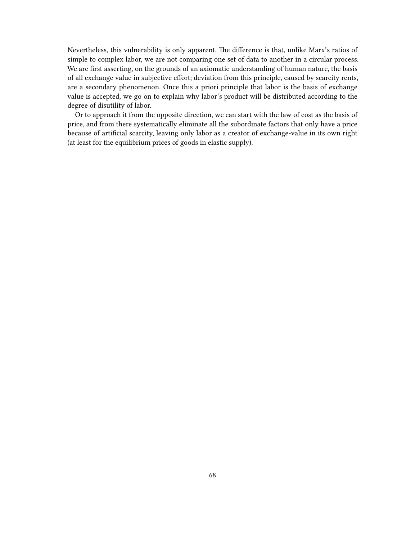Nevertheless, this vulnerability is only apparent. The difference is that, unlike Marx's ratios of simple to complex labor, we are not comparing one set of data to another in a circular process. We are first asserting, on the grounds of an axiomatic understanding of human nature, the basis of all exchange value in subjective effort; deviation from this principle, caused by scarcity rents, are a secondary phenomenon. Once this a priori principle that labor is the basis of exchange value is accepted, we go on to explain why labor's product will be distributed according to the degree of disutility of labor.

Or to approach it from the opposite direction, we can start with the law of cost as the basis of price, and from there systematically eliminate all the subordinate factors that only have a price because of artificial scarcity, leaving only labor as a creator of exchange-value in its own right (at least for the equilibrium prices of goods in elastic supply).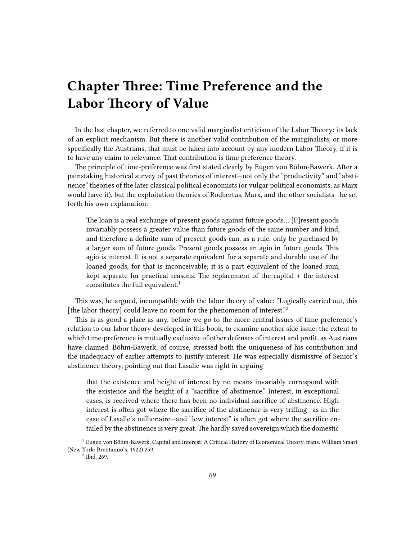## **Chapter Three: Time Preference and the Labor Theory of Value**

In the last chapter, we referred to one valid marginalist criticism of the Labor Theory: its lack of an explicit mechanism. But there is another valid contribution of the marginalists, or more specifically the Austrians, that must be taken into account by any modern Labor Theory, if it is to have any claim to relevance. That contribution is time preference theory.

The principle of time-preference was first stated clearly by Eugen von Böhm-Bawerk. After a painstaking historical survey of past theories of interest—not only the "productivity" and "abstinence" theories of the later classical political economists (or vulgar political economists, as Marx would have it), but the exploitation theories of Rodbertus, Marx, and the other socialists—he set forth his own explanation:

The loan is a real exchange of present goods against future goods… [P]resent goods invariably possess a greater value than future goods of the same number and kind, and therefore a definite sum of present goods can, as a rule, only be purchased by a larger sum of future goods. Present goods possess an agio in future goods. This agio is interest. It is not a separate equivalent for a separate and durable use of the loaned goods, for that is inconceivable; it is a part equivalent of the loaned sum, kept separate for practical reasons. The replacement of the capital + the interest constitutes the full equivalent.<sup>1</sup>

This was, he argued, incompatible with the labor theory of value: "Logically carried out, this [the labor theory] could leave no room for the phenomenon of interest.<sup>"2</sup>

This is as good a place as any, before we go to the more central issues of time-preference's relation to our labor theory developed in this book, to examine another side issue: the extent to which time-preference is mutually exclusive of other defenses of interest and profit, as Austrians have claimed. Böhm-Bawerk, of course, stressed both the uniqueness of his contribution and the inadequacy of earlier attempts to justify interest. He was especially dismissive of Senior's abstinence theory, pointing out that Lasalle was right in arguing

that the existence and height of interest by no means invariably correspond with the existence and the height of a "sacrifice of abstinence." Interest, in exceptional cases, is received where there has been no individual sacrifice of abstinence. High interest is often got where the sacrifice of the abstinence is very trifling—as in the case of Lasalle's millionaire—and "low interest" is often got where the sacrifice entailed by the abstinence is very great. The hardly saved sovereign which the domestic

 $^{\rm 1}$  Eugen von Böhm-Bawerk, Capital and Interest: A Critical History of Economical Theory, trans. William Smart (New York: Brentanno's, 1922) 259.

<sup>2</sup> Ibid. 269.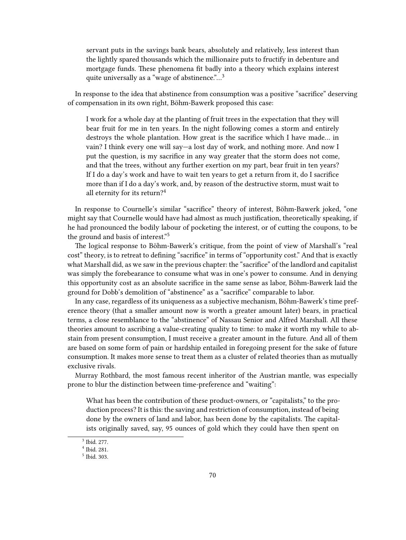servant puts in the savings bank bears, absolutely and relatively, less interest than the lightly spared thousands which the millionaire puts to fructify in debenture and mortgage funds. These phenomena fit badly into a theory which explains interest quite universally as a "wage of abstinence."...<sup>3</sup>

In response to the idea that abstinence from consumption was a positive "sacrifice" deserving of compensation in its own right, Böhm-Bawerk proposed this case:

I work for a whole day at the planting of fruit trees in the expectation that they will bear fruit for me in ten years. In the night following comes a storm and entirely destroys the whole plantation. How great is the sacrifice which I have made… in vain? I think every one will say—a lost day of work, and nothing more. And now I put the question, is my sacrifice in any way greater that the storm does not come, and that the trees, without any further exertion on my part, bear fruit in ten years? If I do a day's work and have to wait ten years to get a return from it, do I sacrifice more than if I do a day's work, and, by reason of the destructive storm, must wait to all eternity for its return?<sup>4</sup>

In response to Cournelle's similar "sacrifice" theory of interest, Böhm-Bawerk joked, "one might say that Cournelle would have had almost as much justification, theoretically speaking, if he had pronounced the bodily labour of pocketing the interest, or of cutting the coupons, to be the ground and basis of interest."<sup>5</sup>

The logical response to Böhm-Bawerk's critique, from the point of view of Marshall's "real cost" theory, is to retreat to defining "sacrifice" in terms of "opportunity cost." And that is exactly what Marshall did, as we saw in the previous chapter: the "sacrifice" of the landlord and capitalist was simply the forebearance to consume what was in one's power to consume. And in denying this opportunity cost as an absolute sacrifice in the same sense as labor, Böhm-Bawerk laid the ground for Dobb's demolition of "abstinence" as a "sacrifice" comparable to labor.

In any case, regardless of its uniqueness as a subjective mechanism, Böhm-Bawerk's time preference theory (that a smaller amount now is worth a greater amount later) bears, in practical terms, a close resemblance to the "abstinence" of Nassau Senior and Alfred Marshall. All these theories amount to ascribing a value-creating quality to time: to make it worth my while to abstain from present consumption, I must receive a greater amount in the future. And all of them are based on some form of pain or hardship entailed in foregoing present for the sake of future consumption. It makes more sense to treat them as a cluster of related theories than as mutually exclusive rivals.

Murray Rothbard, the most famous recent inheritor of the Austrian mantle, was especially prone to blur the distinction between time-preference and "waiting":

What has been the contribution of these product-owners, or "capitalists," to the production process? It is this: the saving and restriction of consumption, instead of being done by the owners of land and labor, has been done by the capitalists. The capitalists originally saved, say, 95 ounces of gold which they could have then spent on

<sup>3</sup> Ibid. 277.

<sup>4</sup> Ibid. 281.

<sup>5</sup> Ibid. 303.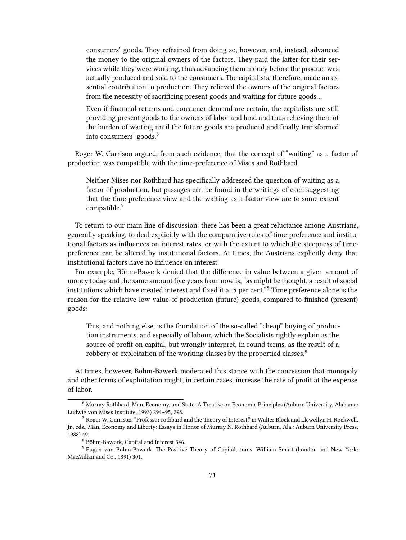consumers' goods. They refrained from doing so, however, and, instead, advanced the money to the original owners of the factors. They paid the latter for their services while they were working, thus advancing them money before the product was actually produced and sold to the consumers. The capitalists, therefore, made an essential contribution to production. They relieved the owners of the original factors from the necessity of sacrificing present goods and waiting for future goods…

Even if financial returns and consumer demand are certain, the capitalists are still providing present goods to the owners of labor and land and thus relieving them of the burden of waiting until the future goods are produced and finally transformed into consumers' goods.<sup>6</sup>

Roger W. Garrison argued, from such evidence, that the concept of "waiting" as a factor of production was compatible with the time-preference of Mises and Rothbard.

Neither Mises nor Rothbard has specifically addressed the question of waiting as a factor of production, but passages can be found in the writings of each suggesting that the time-preference view and the waiting-as-a-factor view are to some extent compatible.<sup>7</sup>

To return to our main line of discussion: there has been a great reluctance among Austrians, generally speaking, to deal explicitly with the comparative roles of time-preference and institutional factors as influences on interest rates, or with the extent to which the steepness of timepreference can be altered by institutional factors. At times, the Austrians explicitly deny that institutional factors have no influence on interest.

For example, Böhm-Bawerk denied that the difference in value between a given amount of money today and the same amount five years from now is, "as might be thought, a result of social institutions which have created interest and fixed it at 5 per cent."<sup>8</sup> Time preference alone is the reason for the relative low value of production (future) goods, compared to finished (present) goods:

This, and nothing else, is the foundation of the so-called "cheap" buying of production instruments, and especially of labour, which the Socialists rightly explain as the source of profit on capital, but wrongly interpret, in round terms, as the result of a robbery or exploitation of the working classes by the propertied classes.<sup>9</sup>

At times, however, Böhm-Bawerk moderated this stance with the concession that monopoly and other forms of exploitation might, in certain cases, increase the rate of profit at the expense of labor.

<sup>6</sup> Murray Rothbard, Man, Economy, and State: A Treatise on Economic Principles (Auburn University, Alabama: Ludwig von Mises Institute, 1993) 294–95, 298.

<sup>7</sup> Roger W. Garrison, "Professor rothbard and the Theory of Interest," in Walter Block and Llewellyn H. Rockwell, Jr., eds., Man, Economy and Liberty: Essays in Honor of Murray N. Rothbard (Auburn, Ala.: Auburn University Press, 1988) 49.

<sup>8</sup> Böhm-Bawerk, Capital and Interest 346.

<sup>9</sup> Eugen von Böhm-Bawerk, The Positive Theory of Capital, trans. William Smart (London and New York: MacMillan and Co., 1891) 301.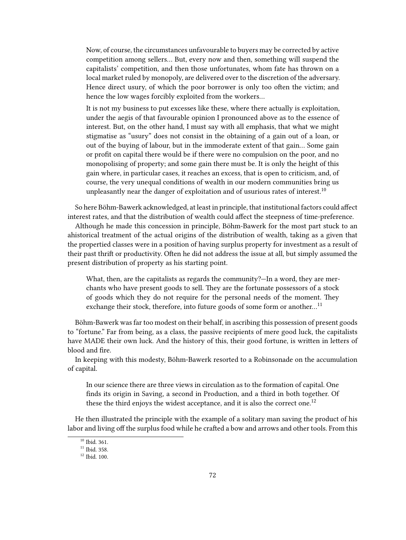Now, of course, the circumstances unfavourable to buyers may be corrected by active competition among sellers… But, every now and then, something will suspend the capitalists' competition, and then those unfortunates, whom fate has thrown on a local market ruled by monopoly, are delivered over to the discretion of the adversary. Hence direct usury, of which the poor borrower is only too often the victim; and hence the low wages forcibly exploited from the workers…

It is not my business to put excesses like these, where there actually is exploitation, under the aegis of that favourable opinion I pronounced above as to the essence of interest. But, on the other hand, I must say with all emphasis, that what we might stigmatise as "usury" does not consist in the obtaining of a gain out of a loan, or out of the buying of labour, but in the immoderate extent of that gain… Some gain or profit on capital there would be if there were no compulsion on the poor, and no monopolising of property; and some gain there must be. It is only the height of this gain where, in particular cases, it reaches an excess, that is open to criticism, and, of course, the very unequal conditions of wealth in our modern communities bring us unpleasantly near the danger of exploitation and of usurious rates of interest.<sup>10</sup>

So here Böhm-Bawerk acknowledged, at least in principle, that institutional factors could affect interest rates, and that the distribution of wealth could affect the steepness of time-preference. Although he made this concession in principle, Böhm-Bawerk for the most part stuck to an ahistorical treatment of the actual origins of the distribution of wealth, taking as a given that the propertied classes were in a position of having surplus property for investment as a result of their past thrift or productivity. Often he did not address the issue at all, but simply assumed the present distribution of property as his starting point.

What, then, are the capitalists as regards the community?—In a word, they are merchants who have present goods to sell. They are the fortunate possessors of a stock of goods which they do not require for the personal needs of the moment. They exchange their stock, therefore, into future goods of some form or another...<sup>11</sup>

Böhm-Bawerk was far too modest on their behalf, in ascribing this possession of present goods to "fortune." Far from being, as a class, the passive recipients of mere good luck, the capitalists have MADE their own luck. And the history of this, their good fortune, is written in letters of blood and fire.

In keeping with this modesty, Böhm-Bawerk resorted to a Robinsonade on the accumulation of capital.

In our science there are three views in circulation as to the formation of capital. One finds its origin in Saving, a second in Production, and a third in both together. Of these the third enjoys the widest acceptance, and it is also the correct one.<sup>12</sup>

He then illustrated the principle with the example of a solitary man saving the product of his labor and living off the surplus food while he crafted a bow and arrows and other tools. From this

 $10$  Ibid. 361.

 $11$  Ibid. 358.

 $12$  Ibid. 100.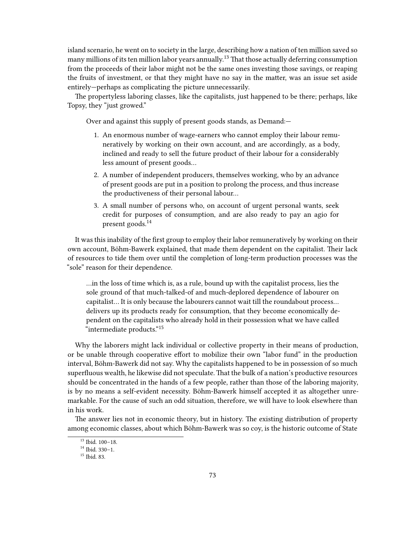island scenario, he went on to society in the large, describing how a nation of ten million saved so many millions of its ten million labor years annually.<sup>13</sup> That those actually deferring consumption from the proceeds of their labor might not be the same ones investing those savings, or reaping the fruits of investment, or that they might have no say in the matter, was an issue set aside entirely—perhaps as complicating the picture unnecessarily.

The propertyless laboring classes, like the capitalists, just happened to be there; perhaps, like Topsy, they "just growed."

Over and against this supply of present goods stands, as Demand:—

- 1. An enormous number of wage-earners who cannot employ their labour remuneratively by working on their own account, and are accordingly, as a body, inclined and ready to sell the future product of their labour for a considerably less amount of present goods…
- 2. A number of independent producers, themselves working, who by an advance of present goods are put in a position to prolong the process, and thus increase the productiveness of their personal labour…
- 3. A small number of persons who, on account of urgent personal wants, seek credit for purposes of consumption, and are also ready to pay an agio for present goods.<sup>14</sup>

It was this inability of the first group to employ their labor remuneratively by working on their own account, Böhm-Bawerk explained, that made them dependent on the capitalist. Their lack of resources to tide them over until the completion of long-term production processes was the "sole" reason for their dependence.

…in the loss of time which is, as a rule, bound up with the capitalist process, lies the sole ground of that much-talked-of and much-deplored dependence of labourer on capitalist… It is only because the labourers cannot wait till the roundabout process… delivers up its products ready for consumption, that they become economically dependent on the capitalists who already hold in their possession what we have called "intermediate products."<sup>15</sup>

Why the laborers might lack individual or collective property in their means of production, or be unable through cooperative effort to mobilize their own "labor fund" in the production interval, Böhm-Bawerk did not say. Why the capitalists happened to be in possession of so much superfluous wealth, he likewise did not speculate. That the bulk of a nation's productive resources should be concentrated in the hands of a few people, rather than those of the laboring majority, is by no means a self-evident necessity. Böhm-Bawerk himself accepted it as altogether unremarkable. For the cause of such an odd situation, therefore, we will have to look elsewhere than in his work.

The answer lies not in economic theory, but in history. The existing distribution of property among economic classes, about which Böhm-Bawerk was so coy, is the historic outcome of State

 $13$  Ibid.  $100-18$ .

 $14$  Ibid. 330–1.

<sup>15</sup> Ibid. 83.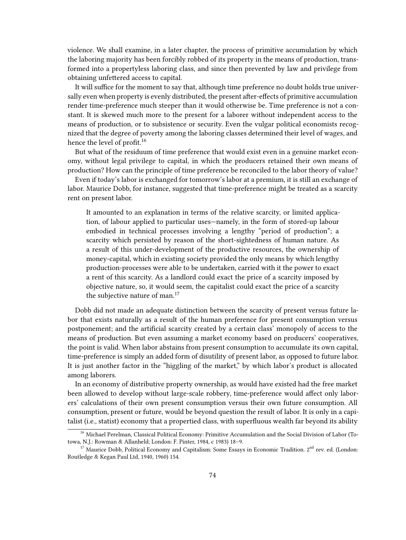violence. We shall examine, in a later chapter, the process of primitive accumulation by which the laboring majority has been forcibly robbed of its property in the means of production, transformed into a propertyless laboring class, and since then prevented by law and privilege from obtaining unfettered access to capital.

It will suffice for the moment to say that, although time preference no doubt holds true universally even when property is evenly distributed, the present after-effects of primitive accumulation render time-preference much steeper than it would otherwise be. Time preference is not a constant. It is skewed much more to the present for a laborer without independent access to the means of production, or to subsistence or security. Even the vulgar political economists recognized that the degree of poverty among the laboring classes determined their level of wages, and hence the level of profit.<sup>16</sup>

But what of the residuum of time preference that would exist even in a genuine market economy, without legal privilege to capital, in which the producers retained their own means of production? How can the principle of time preference be reconciled to the labor theory of value?

Even if today's labor is exchanged for tomorrow's labor at a premium, it is still an exchange of labor. Maurice Dobb, for instance, suggested that time-preference might be treated as a scarcity rent on present labor.

It amounted to an explanation in terms of the relative scarcity, or limited application, of labour applied to particular uses—namely, in the form of stored-up labour embodied in technical processes involving a lengthy "period of production"; a scarcity which persisted by reason of the short-sightedness of human nature. As a result of this under-development of the productive resources, the ownership of money-capital, which in existing society provided the only means by which lengthy production-processes were able to be undertaken, carried with it the power to exact a rent of this scarcity. As a landlord could exact the price of a scarcity imposed by objective nature, so, it would seem, the capitalist could exact the price of a scarcity the subjective nature of man.<sup>17</sup>

Dobb did not made an adequate distinction between the scarcity of present versus future labor that exists naturally as a result of the human preference for present consumption versus postponement; and the artificial scarcity created by a certain class' monopoly of access to the means of production. But even assuming a market economy based on producers' cooperatives, the point is valid. When labor abstains from present consumption to accumulate its own capital, time-preference is simply an added form of disutility of present labor, as opposed to future labor. It is just another factor in the "higgling of the market," by which labor's product is allocated among laborers.

In an economy of distributive property ownership, as would have existed had the free market been allowed to develop without large-scale robbery, time-preference would affect only laborers' calculations of their own present consumption versus their own future consumption. All consumption, present or future, would be beyond question the result of labor. It is only in a capitalist (i.e., statist) economy that a propertied class, with superfluous wealth far beyond its ability

<sup>&</sup>lt;sup>16</sup> Michael Perelman, Classical Political Economy: Primitive Accumulation and the Social Division of Labor (Totowa, N.J.: Rowman & Allanheld; London: F. Pinter, 1984, c 1983) 18–9.

<sup>&</sup>lt;sup>17</sup> Maurice Dobb, Political Economy and Capitalism: Some Essays in Economic Tradition. 2<sup>nd</sup> rev. ed. (London: Routledge & Kegan Paul Ltd, 1940, 1960) 154.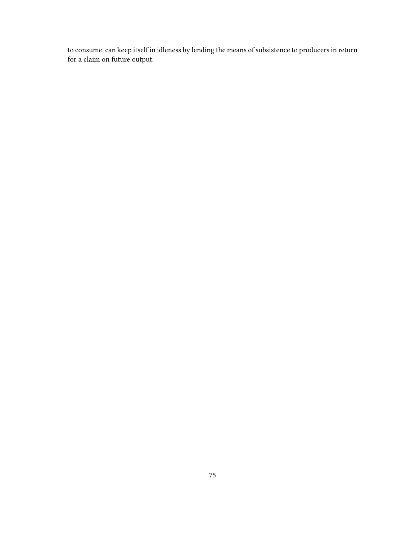to consume, can keep itself in idleness by lending the means of subsistence to producers in return for a claim on future output.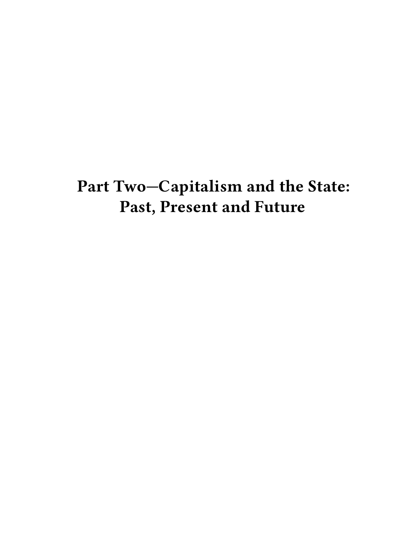# **Part Two—Capitalism and the State: Past, Present and Future**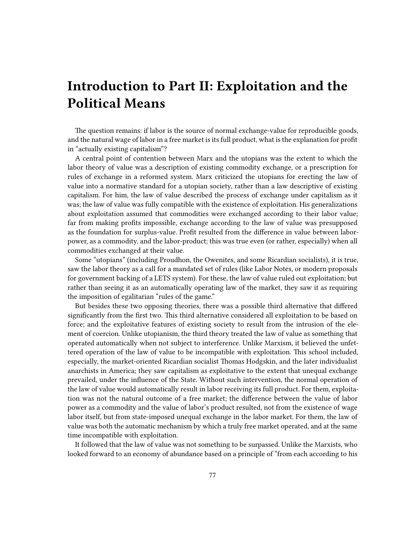### **Introduction to Part II: Exploitation and the Political Means**

The question remains: if labor is the source of normal exchange-value for reproducible goods, and the natural wage of labor in a free market is its full product, what is the explanation for profit in "actually existing capitalism"?

A central point of contention between Marx and the utopians was the extent to which the labor theory of value was a description of existing commodity exchange, or a prescription for rules of exchange in a reformed system. Marx criticized the utopians for erecting the law of value into a normative standard for a utopian society, rather than a law descriptive of existing capitalism. For him, the law of value described the process of exchange under capitalism as it was; the law of value was fully compatible with the existence of exploitation. His generalizations about exploitation assumed that commodities were exchanged according to their labor value; far from making profits impossible, exchange according to the law of value was presupposed as the foundation for surplus-value. Profit resulted from the difference in value between laborpower, as a commodity, and the labor-product; this was true even (or rather, especially) when all commodities exchanged at their value.

Some "utopians" (including Proudhon, the Owenites, and some Ricardian socialists), it is true, saw the labor theory as a call for a mandated set of rules (like Labor Notes, or modern proposals for government backing of a LETS system). For these, the law of value ruled out exploitation; but rather than seeing it as an automatically operating law of the market, they saw it as requiring the imposition of egalitarian "rules of the game."

But besides these two opposing theories, there was a possible third alternative that differed significantly from the first two. This third alternative considered all exploitation to be based on force; and the exploitative features of existing society to result from the intrusion of the element of coercion. Unlike utopianism, the third theory treated the law of value as something that operated automatically when not subject to interference. Unlike Marxism, it believed the unfettered operation of the law of value to be incompatible with exploitation. This school included, especially, the market-oriented Ricardian socialist Thomas Hodgskin, and the later individualist anarchists in America; they saw capitalism as exploitative to the extent that unequal exchange prevailed, under the influence of the State. Without such intervention, the normal operation of the law of value would automatically result in labor receiving its full product. For them, exploitation was not the natural outcome of a free market; the difference between the value of labor power as a commodity and the value of labor's product resulted, not from the existence of wage labor itself, but from state-imposed unequal exchange in the labor market. For them, the law of value was both the automatic mechanism by which a truly free market operated, and at the same time incompatible with exploitation.

It followed that the law of value was not something to be surpassed. Unlike the Marxists, who looked forward to an economy of abundance based on a principle of "from each according to his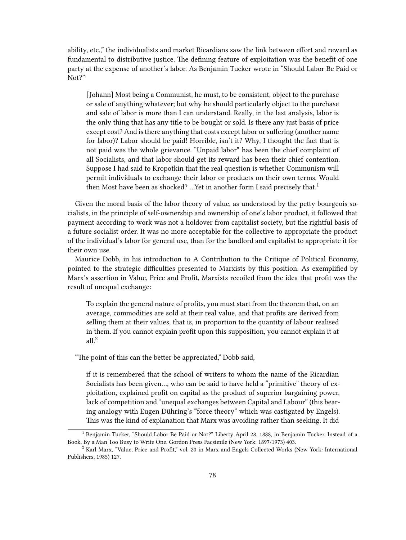ability, etc.," the individualists and market Ricardians saw the link between effort and reward as fundamental to distributive justice. The defining feature of exploitation was the benefit of one party at the expense of another's labor. As Benjamin Tucker wrote in "Should Labor Be Paid or Not?"

[Johann] Most being a Communist, he must, to be consistent, object to the purchase or sale of anything whatever; but why he should particularly object to the purchase and sale of labor is more than I can understand. Really, in the last analysis, labor is the only thing that has any title to be bought or sold. Is there any just basis of price except cost? And is there anything that costs except labor or suffering (another name for labor)? Labor should be paid! Horrible, isn't it? Why, I thought the fact that is not paid was the whole grievance. "Unpaid labor" has been the chief complaint of all Socialists, and that labor should get its reward has been their chief contention. Suppose I had said to Kropotkin that the real question is whether Communism will permit individuals to exchange their labor or products on their own terms. Would then Most have been as shocked? ...Yet in another form I said precisely that.<sup>1</sup>

Given the moral basis of the labor theory of value, as understood by the petty bourgeois socialists, in the principle of self-ownership and ownership of one's labor product, it followed that payment according to work was not a holdover from capitalist society, but the rightful basis of a future socialist order. It was no more acceptable for the collective to appropriate the product of the individual's labor for general use, than for the landlord and capitalist to appropriate it for their own use.

Maurice Dobb, in his introduction to A Contribution to the Critique of Political Economy, pointed to the strategic difficulties presented to Marxists by this position. As exemplified by Marx's assertion in Value, Price and Profit, Marxists recoiled from the idea that profit was the result of unequal exchange:

To explain the general nature of profits, you must start from the theorem that, on an average, commodities are sold at their real value, and that profits are derived from selling them at their values, that is, in proportion to the quantity of labour realised in them. If you cannot explain profit upon this supposition, you cannot explain it at  $all.<sup>2</sup>$ 

"The point of this can the better be appreciated," Dobb said,

if it is remembered that the school of writers to whom the name of the Ricardian Socialists has been given…, who can be said to have held a "primitive" theory of exploitation, explained profit on capital as the product of superior bargaining power, lack of competition and "unequal exchanges between Capital and Labour" (this bearing analogy with Eugen Dühring's "force theory" which was castigated by Engels). This was the kind of explanation that Marx was avoiding rather than seeking. It did

<sup>1</sup> Benjamin Tucker, "Should Labor Be Paid or Not?" Liberty April 28, 1888, in Benjamin Tucker, Instead of a Book, By a Man Too Busy to Write One. Gordon Press Facsimile (New York: 1897/1973) 403.

<sup>2</sup> Karl Marx, "Value, Price and Profit," vol. 20 in Marx and Engels Collected Works (New York: International Publishers, 1985) 127.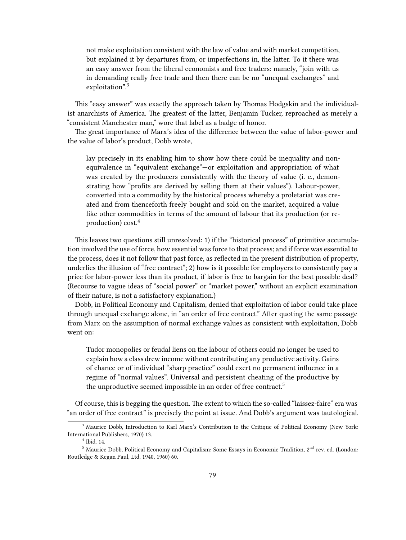not make exploitation consistent with the law of value and with market competition, but explained it by departures from, or imperfections in, the latter. To it there was an easy answer from the liberal economists and free traders: namely, "join with us in demanding really free trade and then there can be no "unequal exchanges" and exploitation".<sup>3</sup>

This "easy answer" was exactly the approach taken by Thomas Hodgskin and the individualist anarchists of America. The greatest of the latter, Benjamin Tucker, reproached as merely a "consistent Manchester man," wore that label as a badge of honor.

The great importance of Marx's idea of the difference between the value of labor-power and the value of labor's product, Dobb wrote,

lay precisely in its enabling him to show how there could be inequality and nonequivalence in "equivalent exchange"—or exploitation and appropriation of what was created by the producers consistently with the theory of value (i. e., demonstrating how "profits are derived by selling them at their values"). Labour-power, converted into a commodity by the historical process whereby a proletariat was created and from thenceforth freely bought and sold on the market, acquired a value like other commodities in terms of the amount of labour that its production (or reproduction) cost.<sup>4</sup>

This leaves two questions still unresolved: 1) if the "historical process" of primitive accumulation involved the use of force, how essential was force to that process; and if force was essential to the process, does it not follow that past force, as reflected in the present distribution of property, underlies the illusion of "free contract"; 2) how is it possible for employers to consistently pay a price for labor-power less than its product, if labor is free to bargain for the best possible deal? (Recourse to vague ideas of "social power" or "market power," without an explicit examination of their nature, is not a satisfactory explanation.)

Dobb, in Political Economy and Capitalism, denied that exploitation of labor could take place through unequal exchange alone, in "an order of free contract." After quoting the same passage from Marx on the assumption of normal exchange values as consistent with exploitation, Dobb went on:

Tudor monopolies or feudal liens on the labour of others could no longer be used to explain how a class drew income without contributing any productive activity. Gains of chance or of individual "sharp practice" could exert no permanent influence in a regime of "normal values". Universal and persistent cheating of the productive by the unproductive seemed impossible in an order of free contract.<sup>5</sup>

Of course, this is begging the question. The extent to which the so-called "laissez-faire" era was "an order of free contract" is precisely the point at issue. And Dobb's argument was tautological.

<sup>&</sup>lt;sup>3</sup> Maurice Dobb, Introduction to Karl Marx's Contribution to the Critique of Political Economy (New York: International Publishers, 1970) 13.

<sup>4</sup> Ibid. 14.

<sup>&</sup>lt;sup>5</sup> Maurice Dobb, Political Economy and Capitalism: Some Essays in Economic Tradition, 2<sup>nd</sup> rev. ed. (London: Routledge & Kegan Paul, Ltd, 1940, 1960) 60.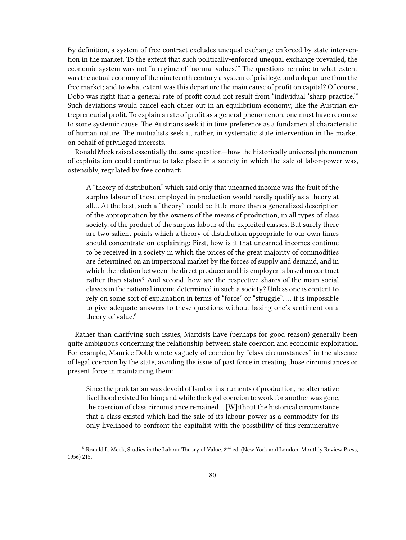By definition, a system of free contract excludes unequal exchange enforced by state intervention in the market. To the extent that such politically-enforced unequal exchange prevailed, the economic system was not "a regime of 'normal values.'" The questions remain: to what extent was the actual economy of the nineteenth century a system of privilege, and a departure from the free market; and to what extent was this departure the main cause of profit on capital? Of course, Dobb was right that a general rate of profit could not result from "individual 'sharp practice.'" Such deviations would cancel each other out in an equilibrium economy, like the Austrian entrepreneurial profit. To explain a rate of profit as a general phenomenon, one must have recourse to some systemic cause. The Austrians seek it in time preference as a fundamental characteristic of human nature. The mutualists seek it, rather, in systematic state intervention in the market on behalf of privileged interests.

Ronald Meek raised essentially the same question—how the historically universal phenomenon of exploitation could continue to take place in a society in which the sale of labor-power was, ostensibly, regulated by free contract:

A "theory of distribution" which said only that unearned income was the fruit of the surplus labour of those employed in production would hardly qualify as a theory at all… At the best, such a "theory" could be little more than a generalized description of the appropriation by the owners of the means of production, in all types of class society, of the product of the surplus labour of the exploited classes. But surely there are two salient points which a theory of distribution appropriate to our own times should concentrate on explaining: First, how is it that unearned incomes continue to be received in a society in which the prices of the great majority of commodities are determined on an impersonal market by the forces of supply and demand, and in which the relation between the direct producer and his employer is based on contract rather than status? And second, how are the respective shares of the main social classes in the national income determined in such a society? Unless one is content to rely on some sort of explanation in terms of "force" or "struggle", … it is impossible to give adequate answers to these questions without basing one's sentiment on a theory of value.<sup>6</sup>

Rather than clarifying such issues, Marxists have (perhaps for good reason) generally been quite ambiguous concerning the relationship between state coercion and economic exploitation. For example, Maurice Dobb wrote vaguely of coercion by "class circumstances" in the absence of legal coercion by the state, avoiding the issue of past force in creating those circumstances or present force in maintaining them:

Since the proletarian was devoid of land or instruments of production, no alternative livelihood existed for him; and while the legal coercion to work for another was gone, the coercion of class circumstance remained… [W]ithout the historical circumstance that a class existed which had the sale of its labour-power as a commodity for its only livelihood to confront the capitalist with the possibility of this remunerative

 $6$  Ronald L. Meek, Studies in the Labour Theory of Value,  $2^{nd}$  ed. (New York and London: Monthly Review Press, 1956) 215.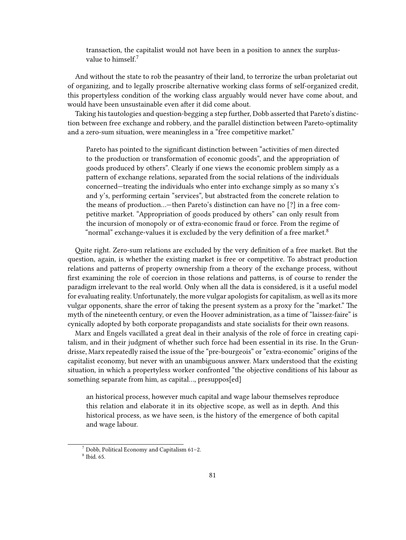transaction, the capitalist would not have been in a position to annex the surplusvalue to himself.<sup>7</sup>

And without the state to rob the peasantry of their land, to terrorize the urban proletariat out of organizing, and to legally proscribe alternative working class forms of self-organized credit, this propertyless condition of the working class arguably would never have come about, and would have been unsustainable even after it did come about.

Taking his tautologies and question-begging a step further, Dobb asserted that Pareto's distinction between free exchange and robbery, and the parallel distinction between Pareto-optimality and a zero-sum situation, were meaningless in a "free competitive market."

Pareto has pointed to the significant distinction between "activities of men directed to the production or transformation of economic goods", and the appropriation of goods produced by others". Clearly if one views the economic problem simply as a pattern of exchange relations, separated from the social relations of the individuals concerned—treating the individuals who enter into exchange simply as so many x's and y's, performing certain "services", but abstracted from the concrete relation to the means of production…—then Pareto's distinction can have no [?] in a free competitive market. "Appropriation of goods produced by others" can only result from the incursion of monopoly or of extra-economic fraud or force. From the regime of "normal" exchange-values it is excluded by the very definition of a free market.<sup>8</sup>

Quite right. Zero-sum relations are excluded by the very definition of a free market. But the question, again, is whether the existing market is free or competitive. To abstract production relations and patterns of property ownership from a theory of the exchange process, without first examining the role of coercion in those relations and patterns, is of course to render the paradigm irrelevant to the real world. Only when all the data is considered, is it a useful model for evaluating reality. Unfortunately, the more vulgar apologists for capitalism, as well as its more vulgar opponents, share the error of taking the present system as a proxy for the "market." The myth of the nineteenth century, or even the Hoover administration, as a time of "laissez-faire" is cynically adopted by both corporate propagandists and state socialists for their own reasons.

Marx and Engels vacillated a great deal in their analysis of the role of force in creating capitalism, and in their judgment of whether such force had been essential in its rise. In the Grundrisse, Marx repeatedly raised the issue of the "pre-bourgeois" or "extra-economic" origins of the capitalist economy, but never with an unambiguous answer. Marx understood that the existing situation, in which a propertyless worker confronted "the objective conditions of his labour as something separate from him, as capital..., presuppos[ed]

an historical process, however much capital and wage labour themselves reproduce this relation and elaborate it in its objective scope, as well as in depth. And this historical process, as we have seen, is the history of the emergence of both capital and wage labour.

 $7$  Dobb, Political Economy and Capitalism 61-2.

<sup>8</sup> Ibid. 65.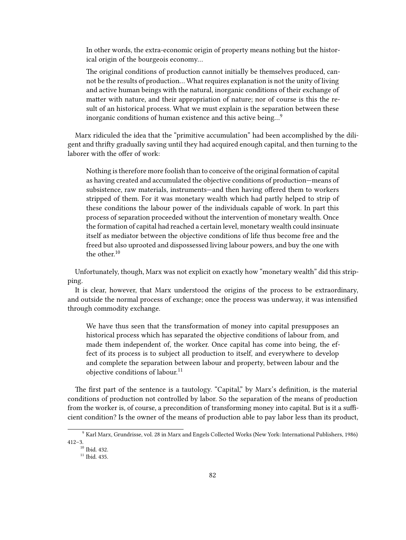In other words, the extra-economic origin of property means nothing but the historical origin of the bourgeois economy…

The original conditions of production cannot initially be themselves produced, cannot be the results of production… What requires explanation is not the unity of living and active human beings with the natural, inorganic conditions of their exchange of matter with nature, and their appropriation of nature; nor of course is this the result of an historical process. What we must explain is the separation between these inorganic conditions of human existence and this active being…<sup>9</sup>

Marx ridiculed the idea that the "primitive accumulation" had been accomplished by the diligent and thrifty gradually saving until they had acquired enough capital, and then turning to the laborer with the offer of work:

Nothing is therefore more foolish than to conceive of the original formation of capital as having created and accumulated the objective conditions of production—means of subsistence, raw materials, instruments—and then having offered them to workers stripped of them. For it was monetary wealth which had partly helped to strip of these conditions the labour power of the individuals capable of work. In part this process of separation proceeded without the intervention of monetary wealth. Once the formation of capital had reached a certain level, monetary wealth could insinuate itself as mediator between the objective conditions of life thus become free and the freed but also uprooted and dispossessed living labour powers, and buy the one with the other. $10$ 

Unfortunately, though, Marx was not explicit on exactly how "monetary wealth" did this stripping.

It is clear, however, that Marx understood the origins of the process to be extraordinary, and outside the normal process of exchange; once the process was underway, it was intensified through commodity exchange.

We have thus seen that the transformation of money into capital presupposes an historical process which has separated the objective conditions of labour from, and made them independent of, the worker. Once capital has come into being, the effect of its process is to subject all production to itself, and everywhere to develop and complete the separation between labour and property, between labour and the objective conditions of labour.<sup>11</sup>

The first part of the sentence is a tautology. "Capital," by Marx's definition, is the material conditions of production not controlled by labor. So the separation of the means of production from the worker is, of course, a precondition of transforming money into capital. But is it a sufficient condition? Is the owner of the means of production able to pay labor less than its product,

<sup>9</sup> Karl Marx, Grundrisse, vol. 28 in Marx and Engels Collected Works (New York: International Publishers, 1986) 412–3.

<sup>&</sup>lt;sup>10</sup> Ibid. 432.

 $11$  Ibid. 435.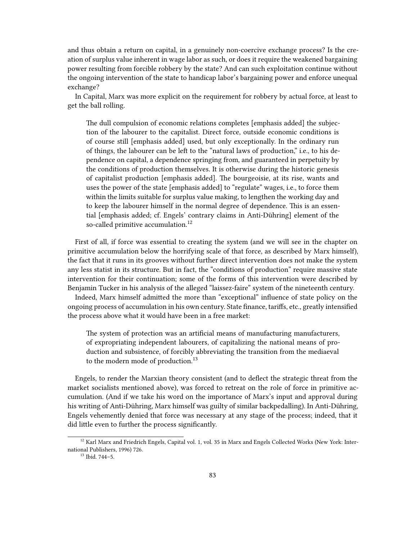and thus obtain a return on capital, in a genuinely non-coercive exchange process? Is the creation of surplus value inherent in wage labor as such, or does it require the weakened bargaining power resulting from forcible robbery by the state? And can such exploitation continue without the ongoing intervention of the state to handicap labor's bargaining power and enforce unequal exchange?

In Capital, Marx was more explicit on the requirement for robbery by actual force, at least to get the ball rolling.

The dull compulsion of economic relations completes [emphasis added] the subjection of the labourer to the capitalist. Direct force, outside economic conditions is of course still [emphasis added] used, but only exceptionally. In the ordinary run of things, the labourer can be left to the "natural laws of production," i.e., to his dependence on capital, a dependence springing from, and guaranteed in perpetuity by the conditions of production themselves. It is otherwise during the historic genesis of capitalist production [emphasis added]. The bourgeoisie, at its rise, wants and uses the power of the state [emphasis added] to "regulate" wages, i.e., to force them within the limits suitable for surplus value making, to lengthen the working day and to keep the labourer himself in the normal degree of dependence. This is an essential [emphasis added; cf. Engels' contrary claims in Anti-Dühring] element of the so-called primitive accumulation.<sup>12</sup>

First of all, if force was essential to creating the system (and we will see in the chapter on primitive accumulation below the horrifying scale of that force, as described by Marx himself), the fact that it runs in its grooves without further direct intervention does not make the system any less statist in its structure. But in fact, the "conditions of production" require massive state intervention for their continuation; some of the forms of this intervention were described by Benjamin Tucker in his analysis of the alleged "laissez-faire" system of the nineteenth century.

Indeed, Marx himself admitted the more than "exceptional" influence of state policy on the ongoing process of accumulation in his own century. State finance, tariffs, etc., greatly intensified the process above what it would have been in a free market:

The system of protection was an artificial means of manufacturing manufacturers, of expropriating independent labourers, of capitalizing the national means of production and subsistence, of forcibly abbreviating the transition from the mediaeval to the modern mode of production.<sup>13</sup>

Engels, to render the Marxian theory consistent (and to deflect the strategic threat from the market socialists mentioned above), was forced to retreat on the role of force in primitive accumulation. (And if we take his word on the importance of Marx's input and approval during his writing of Anti-Dühring, Marx himself was guilty of similar backpedalling). In Anti-Dühring, Engels vehemently denied that force was necessary at any stage of the process; indeed, that it did little even to further the process significantly.

<sup>&</sup>lt;sup>12</sup> Karl Marx and Friedrich Engels, Capital vol. 1, vol. 35 in Marx and Engels Collected Works (New York: International Publishers, 1996) 726.

<sup>13</sup> Ibid. 744–5.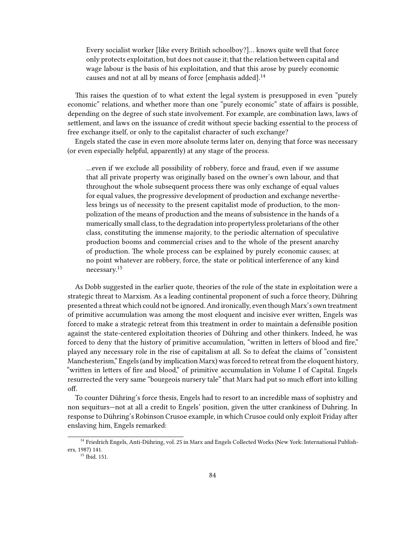Every socialist worker [like every British schoolboy?]… knows quite well that force only protects exploitation, but does not cause it; that the relation between capital and wage labour is the basis of his exploitation, and that this arose by purely economic causes and not at all by means of force [emphasis added]. $^{14}$ 

This raises the question of to what extent the legal system is presupposed in even "purely economic" relations, and whether more than one "purely economic" state of affairs is possible, depending on the degree of such state involvement. For example, are combination laws, laws of settlement, and laws on the issuance of credit without specie backing essential to the process of free exchange itself, or only to the capitalist character of such exchange?

Engels stated the case in even more absolute terms later on, denying that force was necessary (or even especially helpful, apparently) at any stage of the process.

…even if we exclude all possibility of robbery, force and fraud, even if we assume that all private property was originally based on the owner's own labour, and that throughout the whole subsequent process there was only exchange of equal values for equal values, the progressive development of production and exchange nevertheless brings us of necessity to the present capitalist mode of production, to the monpolization of the means of production and the means of subsistence in the hands of a numerically small class, to the degradation into propertyless proletarians of the other class, constituting the immense majority, to the periodic alternation of speculative production booms and commercial crises and to the whole of the present anarchy of production. The whole process can be explained by purely economic causes; at no point whatever are robbery, force, the state or political interference of any kind necessary.<sup>15</sup>

As Dobb suggested in the earlier quote, theories of the role of the state in exploitation were a strategic threat to Marxism. As a leading continental proponent of such a force theory, Dühring presented a threat which could not be ignored. And ironically, even though Marx's own treatment of primitive accumulation was among the most eloquent and incisive ever written, Engels was forced to make a strategic retreat from this treatment in order to maintain a defensible position against the state-centered exploitation theories of Dühring and other thinkers. Indeed, he was forced to deny that the history of primitive accumulation, "written in letters of blood and fire," played any necessary role in the rise of capitalism at all. So to defeat the claims of "consistent Manchesterism," Engels (and by implication Marx) was forced to retreat from the eloquent history, "written in letters of fire and blood," of primitive accumulation in Volume I of Capital. Engels resurrected the very same "bourgeois nursery tale" that Marx had put so much effort into killing off.

To counter Dühring's force thesis, Engels had to resort to an incredible mass of sophistry and non sequiturs—not at all a credit to Engels' position, given the utter crankiness of Duhring. In response to Dühring's Robinson Crusoe example, in which Crusoe could only exploit Friday after enslaving him, Engels remarked:

<sup>&</sup>lt;sup>14</sup> Friedrich Engels, Anti-Dühring, vol. 25 in Marx and Engels Collected Works (New York: International Publishers, 1987) 141.

<sup>&</sup>lt;sup>15</sup> Ibid. 151.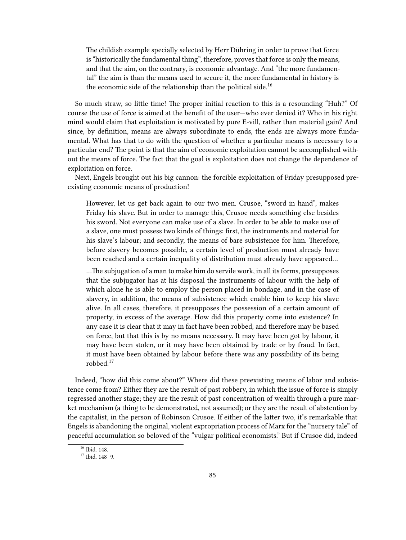The childish example specially selected by Herr Dühring in order to prove that force is "historically the fundamental thing", therefore, proves that force is only the means, and that the aim, on the contrary, is economic advantage. And "the more fundamental" the aim is than the means used to secure it, the more fundamental in history is the economic side of the relationship than the political side.<sup>16</sup>

So much straw, so little time! The proper initial reaction to this is a resounding "Huh?" Of course the use of force is aimed at the benefit of the user—who ever denied it? Who in his right mind would claim that exploitation is motivated by pure E-vill, rather than material gain? And since, by definition, means are always subordinate to ends, the ends are always more fundamental. What has that to do with the question of whether a particular means is necessary to a particular end? The point is that the aim of economic exploitation cannot be accomplished without the means of force. The fact that the goal is exploitation does not change the dependence of exploitation on force.

Next, Engels brought out his big cannon: the forcible exploitation of Friday presupposed preexisting economic means of production!

However, let us get back again to our two men. Crusoe, "sword in hand", makes Friday his slave. But in order to manage this, Crusoe needs something else besides his sword. Not everyone can make use of a slave. In order to be able to make use of a slave, one must possess two kinds of things: first, the instruments and material for his slave's labour; and secondly, the means of bare subsistence for him. Therefore, before slavery becomes possible, a certain level of production must already have been reached and a certain inequality of distribution must already have appeared…

…The subjugation of a man to make him do servile work, in all its forms, presupposes that the subjugator has at his disposal the instruments of labour with the help of which alone he is able to employ the person placed in bondage, and in the case of slavery, in addition, the means of subsistence which enable him to keep his slave alive. In all cases, therefore, it presupposes the possession of a certain amount of property, in excess of the average. How did this property come into existence? In any case it is clear that it may in fact have been robbed, and therefore may be based on force, but that this is by no means necessary. It may have been got by labour, it may have been stolen, or it may have been obtained by trade or by fraud. In fact, it must have been obtained by labour before there was any possibility of its being robbed.<sup>17</sup>

Indeed, "how did this come about?" Where did these preexisting means of labor and subsistence come from? Either they are the result of past robbery, in which the issue of force is simply regressed another stage; they are the result of past concentration of wealth through a pure market mechanism (a thing to be demonstrated, not assumed); or they are the result of abstention by the capitalist, in the person of Robinson Crusoe. If either of the latter two, it's remarkable that Engels is abandoning the original, violent expropriation process of Marx for the "nursery tale" of peaceful accumulation so beloved of the "vulgar political economists." But if Crusoe did, indeed

<sup>16</sup> Ibid. 148.

 $17$  Ibid.  $148-9$ .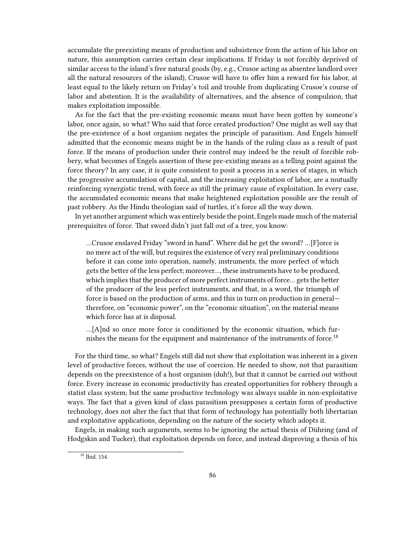accumulate the preexisting means of production and subsistence from the action of his labor on nature, this assumption carries certain clear implications. If Friday is not forcibly deprived of similar access to the island's free natural goods (by, e.g., Crusoe acting as absentee landlord over all the natural resources of the island), Crusoe will have to offer him a reward for his labor, at least equal to the likely return on Friday's toil and trouble from duplicating Crusoe's course of labor and abstention. It is the availability of alternatives, and the absence of compulsion, that makes exploitation impossible.

As for the fact that the pre-existing economic means must have been gotten by someone's labor, once again, so what? Who said that force created production? One might as well say that the pre-existence of a host organism negates the principle of parasitism. And Engels himself admitted that the economic means might be in the hands of the ruling class as a result of past force. If the means of production under their control may indeed be the result of forcible robbery, what becomes of Engels assertion of these pre-existing means as a telling point against the force theory? In any case, it is quite consistent to posit a process in a series of stages, in which the progressive accumulation of capital, and the increasing exploitation of labor, are a mutually reinforcing synergistic trend, with force as still the primary cause of exploitation. In every case, the accumulated economic means that make heightened exploitation possible are the result of past robbery. As the Hindu theologian said of turtles, it's force all the way down.

In yet another argument which was entirely beside the point, Engels made much of the material prerequisites of force. That sword didn't just fall out of a tree, you know:

…Crusoe enslaved Friday "sword in hand". Where did he get the sword? …[F]orce is no mere act of the will, but requires the existence of very real preliminary conditions before it can come into operation, namely, instruments, the more perfect of which gets the better of the less perfect; moreover…, these instruments have to be produced, which implies that the producer of more perfect instruments of force… gets the better of the producer of the less perfect instruments, and that, in a word, the triumph of force is based on the production of arms, and this in turn on production in general therefore, on "economic power", on the "economic situation", on the material means which force has at is disposal.

…[A]nd so once more force is conditioned by the economic situation, which furnishes the means for the equipment and maintenance of the instruments of force.<sup>18</sup>

For the third time, so what? Engels still did not show that exploitation was inherent in a given level of productive forces, without the use of coercion. He needed to show, not that parasitism depends on the preexistence of a host organism (duh!), but that it cannot be carried out without force. Every increase in economic productivity has created opportunities for robbery through a statist class system; but the same productive technology was always usable in non-exploitative ways. The fact that a given kind of class parasitism presupposes a certain form of productive technology, does not alter the fact that that form of technology has potentially both libertarian and exploitative applications, depending on the nature of the society which adopts it.

Engels, in making such arguments, seems to be ignoring the actual thesis of Dühring (and of Hodgskin and Tucker), that exploitation depends on force, and instead disproving a thesis of his

<sup>18</sup> Ibid. 154.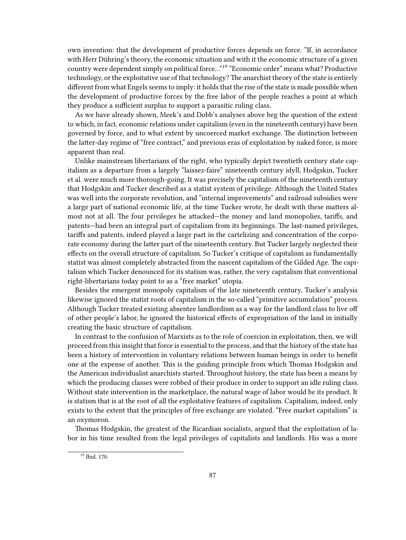own invention: that the development of productive forces depends on force. "If, in accordance with Herr Dühring's theory, the economic situation and with it the economic structure of a given country were dependent simply on political force…"<sup>19</sup> "Economic order" means what? Productive technology, or the exploitative use of that technology? The anarchist theory of the state is entirely different from what Engels seems to imply: it holds that the rise of the state is made possible when the development of productive forces by the free labor of the people reaches a point at which they produce a sufficient surplus to support a parasitic ruling class.

As we have already shown, Meek's and Dobb's analyses above beg the question of the extent to which, in fact, economic relations under capitalism (even in the nineteenth century) have been governed by force, and to what extent by uncoerced market exchange. The distinction between the latter-day regime of "free contract," and previous eras of exploitation by naked force, is more apparent than real.

Unlike mainstream libertarians of the right, who typically depict twentieth century state capitalism as a departure from a largely "laissez-faire" nineteenth century idyll, Hodgskin, Tucker et al. were much more thorough-going. It was precisely the capitalism of the nineteenth century that Hodgskin and Tucker described as a statist system of privilege. Although the United States was well into the corporate revolution, and "internal improvements" and railroad subsidies were a large part of national economic life, at the time Tucker wrote, he dealt with these matters almost not at all. The four privileges he attacked—the money and land monopolies, tariffs, and patents—had been an integral part of capitalism from its beginnings. The last-named privileges, tariffs and patents, indeed played a large part in the cartelizing and concentration of the corporate economy during the latter part of the nineteenth century. But Tucker largely neglected their effects on the overall structure of capitalism. So Tucker's critique of capitalism as fundamentally statist was almost completely abstracted from the nascent capitalism of the Gilded Age. The capitalism which Tucker denounced for its statism was, rather, the very capitalism that conventional right-libertarians today point to as a "free market" utopia.

Besides the emergent monopoly capitalism of the late nineteenth century, Tucker's analysis likewise ignored the statist roots of capitalism in the so-called "primitive accumulation" process. Although Tucker treated existing absentee landlordism as a way for the landlord class to live off of other people's labor, he ignored the historical effects of expropriation of the land in initially creating the basic structure of capitalism.

In contrast to the confusion of Marxists as to the role of coercion in exploitation, then, we will proceed from this insight that force is essential to the process, and that the history of the state has been a history of intervention in voluntary relations between human beings in order to benefit one at the expense of another. This is the guiding principle from which Thomas Hodgskin and the American individualist anarchists started. Throughout history, the state has been a means by which the producing classes were robbed of their produce in order to support an idle ruling class. Without state intervention in the marketplace, the natural wage of labor would be its product. It is statism that is at the root of all the exploitative features of capitalism. Capitalism, indeed, only exists to the extent that the principles of free exchange are violated. "Free market capitalism" is an oxymoron.

Thomas Hodgskin, the greatest of the Ricardian socialists, argued that the exploitation of labor in his time resulted from the legal privileges of capitalists and landlords. His was a more

<sup>19</sup> Ibid. 170.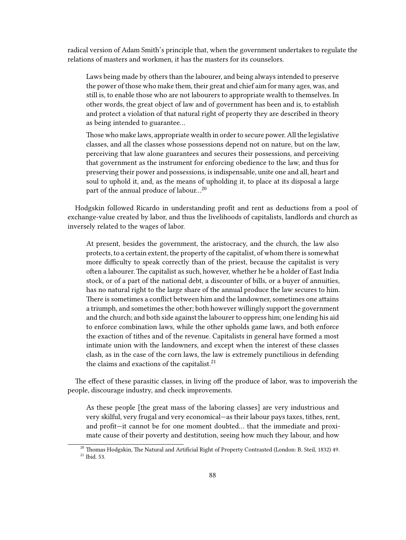radical version of Adam Smith's principle that, when the government undertakes to regulate the relations of masters and workmen, it has the masters for its counselors.

Laws being made by others than the labourer, and being always intended to preserve the power of those who make them, their great and chief aim for many ages, was, and still is, to enable those who are not labourers to appropriate wealth to themselves. In other words, the great object of law and of government has been and is, to establish and protect a violation of that natural right of property they are described in theory as being intended to guarantee…

Those who make laws, appropriate wealth in order to secure power. All the legislative classes, and all the classes whose possessions depend not on nature, but on the law, perceiving that law alone guarantees and secures their possessions, and perceiving that government as the instrument for enforcing obedience to the law, and thus for preserving their power and possessions, is indispensable, unite one and all, heart and soul to uphold it, and, as the means of upholding it, to place at its disposal a large part of the annual produce of labour…<sup>20</sup>

Hodgskin followed Ricardo in understanding profit and rent as deductions from a pool of exchange-value created by labor, and thus the livelihoods of capitalists, landlords and church as inversely related to the wages of labor.

At present, besides the government, the aristocracy, and the church, the law also protects, to a certain extent, the property of the capitalist, of whom there is somewhat more difficulty to speak correctly than of the priest, because the capitalist is very often a labourer. The capitalist as such, however, whether he be a holder of East India stock, or of a part of the national debt, a discounter of bills, or a buyer of annuities, has no natural right to the large share of the annual produce the law secures to him. There is sometimes a conflict between him and the landowner, sometimes one attains a triumph, and sometimes the other; both however willingly support the government and the church; and both side against the labourer to oppress him; one lending his aid to enforce combination laws, while the other upholds game laws, and both enforce the exaction of tithes and of the revenue. Capitalists in general have formed a most intimate union with the landowners, and except when the interest of these classes clash, as in the case of the corn laws, the law is extremely punctilious in defending the claims and exactions of the capitalist. $21$ 

The effect of these parasitic classes, in living off the produce of labor, was to impoverish the people, discourage industry, and check improvements.

As these people [the great mass of the laboring classes] are very industrious and very skilful, very frugal and very economical—as their labour pays taxes, tithes, rent, and profit—it cannot be for one moment doubted… that the immediate and proximate cause of their poverty and destitution, seeing how much they labour, and how

<sup>&</sup>lt;sup>20</sup> Thomas Hodgskin, The Natural and Artificial Right of Property Contrasted (London: B. Steil, 1832) 49.  $21$  Ibid. 53.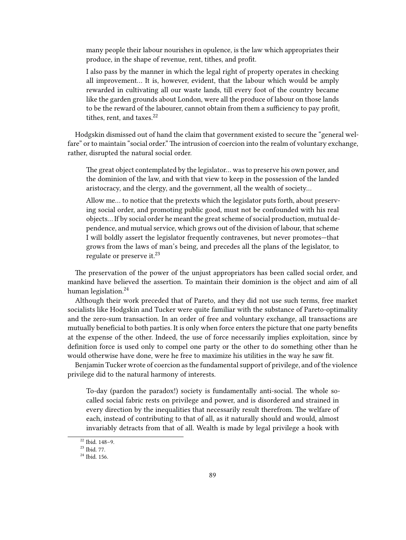many people their labour nourishes in opulence, is the law which appropriates their produce, in the shape of revenue, rent, tithes, and profit.

I also pass by the manner in which the legal right of property operates in checking all improvement… It is, however, evident, that the labour which would be amply rewarded in cultivating all our waste lands, till every foot of the country became like the garden grounds about London, were all the produce of labour on those lands to be the reward of the labourer, cannot obtain from them a sufficiency to pay profit, tithes, rent, and taxes. $22$ 

Hodgskin dismissed out of hand the claim that government existed to secure the "general welfare" or to maintain "social order." The intrusion of coercion into the realm of voluntary exchange, rather, disrupted the natural social order.

The great object contemplated by the legislator… was to preserve his own power, and the dominion of the law, and with that view to keep in the possession of the landed aristocracy, and the clergy, and the government, all the wealth of society…

Allow me… to notice that the pretexts which the legislator puts forth, about preserving social order, and promoting public good, must not be confounded with his real objects… If by social order he meant the great scheme of social production, mutual dependence, and mutual service, which grows out of the division of labour, that scheme I will boldly assert the legislator frequently contravenes, but never promotes—that grows from the laws of man's being, and precedes all the plans of the legislator, to regulate or preserve it.<sup>23</sup>

The preservation of the power of the unjust appropriators has been called social order, and mankind have believed the assertion. To maintain their dominion is the object and aim of all human legislation.<sup>24</sup>

Although their work preceded that of Pareto, and they did not use such terms, free market socialists like Hodgskin and Tucker were quite familiar with the substance of Pareto-optimality and the zero-sum transaction. In an order of free and voluntary exchange, all transactions are mutually beneficial to both parties. It is only when force enters the picture that one party benefits at the expense of the other. Indeed, the use of force necessarily implies exploitation, since by definition force is used only to compel one party or the other to do something other than he would otherwise have done, were he free to maximize his utilities in the way he saw fit.

Benjamin Tucker wrote of coercion as the fundamental support of privilege, and of the violence privilege did to the natural harmony of interests.

To-day (pardon the paradox!) society is fundamentally anti-social. The whole socalled social fabric rests on privilege and power, and is disordered and strained in every direction by the inequalities that necessarily result therefrom. The welfare of each, instead of contributing to that of all, as it naturally should and would, almost invariably detracts from that of all. Wealth is made by legal privilege a hook with

<sup>22</sup> Ibid. 148–9.

<sup>23</sup> Ibid. 77.

<sup>&</sup>lt;sup>24</sup> Ibid. 156.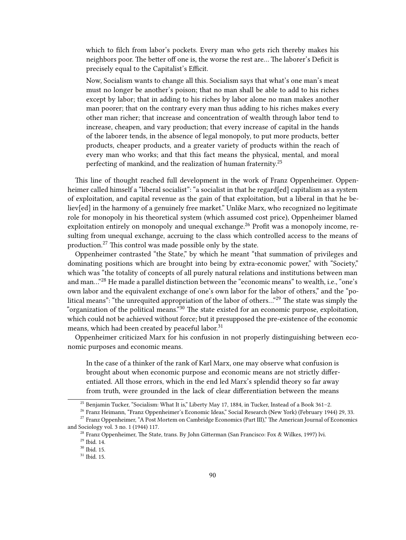which to filch from labor's pockets. Every man who gets rich thereby makes his neighbors poor. The better off one is, the worse the rest are… The laborer's Deficit is precisely equal to the Capitalist's Efficit.

Now, Socialism wants to change all this. Socialism says that what's one man's meat must no longer be another's poison; that no man shall be able to add to his riches except by labor; that in adding to his riches by labor alone no man makes another man poorer; that on the contrary every man thus adding to his riches makes every other man richer; that increase and concentration of wealth through labor tend to increase, cheapen, and vary production; that every increase of capital in the hands of the laborer tends, in the absence of legal monopoly, to put more products, better products, cheaper products, and a greater variety of products within the reach of every man who works; and that this fact means the physical, mental, and moral perfecting of mankind, and the realization of human fraternity.<sup>25</sup>

This line of thought reached full development in the work of Franz Oppenheimer. Oppenheimer called himself a "liberal socialist": "a socialist in that he regard[ed] capitalism as a system of exploitation, and capital revenue as the gain of that exploitation, but a liberal in that he believ[ed] in the harmony of a genuinely free market." Unlike Marx, who recognized no legitimate role for monopoly in his theoretical system (which assumed cost price), Oppenheimer blamed exploitation entirely on monopoly and unequal exchange.<sup>26</sup> Profit was a monopoly income, resulting from unequal exchange, accruing to the class which controlled access to the means of production.<sup>27</sup> This control was made possible only by the state.

Oppenheimer contrasted "the State," by which he meant "that summation of privileges and dominating positions which are brought into being by extra-economic power," with "Society," which was "the totality of concepts of all purely natural relations and institutions between man and man…"<sup>28</sup> He made a parallel distinction between the "economic means" to wealth, i.e., "one's own labor and the equivalent exchange of one's own labor for the labor of others," and the "political means": "the unrequited appropriation of the labor of others…"<sup>29</sup> The state was simply the "organization of the political means."<sup>30</sup> The state existed for an economic purpose, exploitation, which could not be achieved without force; but it presupposed the pre-existence of the economic means, which had been created by peaceful labor.<sup>31</sup>

Oppenheimer criticized Marx for his confusion in not properly distinguishing between economic purposes and economic means.

In the case of a thinker of the rank of Karl Marx, one may observe what confusion is brought about when economic purpose and economic means are not strictly differentiated. All those errors, which in the end led Marx's splendid theory so far away from truth, were grounded in the lack of clear differentiation between the means

 $^{25}$  Benjamin Tucker, "Socialism: What It is," Liberty May 17, 1884, in Tucker, Instead of a Book 361-2.

<sup>&</sup>lt;sup>26</sup> Franz Heimann, "Franz Oppenheimer's Economic Ideas," Social Research (New York) (February 1944) 29, 33.

<sup>&</sup>lt;sup>27</sup> Franz Oppenheimer, "A Post Mortem on Cambridge Economics (Part III)," The American Journal of Economics and Sociology vol. 3 no. 1 (1944) 117.

<sup>&</sup>lt;sup>28</sup> Franz Oppenheimer, The State, trans. By John Gitterman (San Francisco: Fox & Wilkes, 1997) lvi.

 $^{\rm 29}$  Ibid. 14.

<sup>30</sup> Ibid. 15.

<sup>31</sup> Ibid. 15.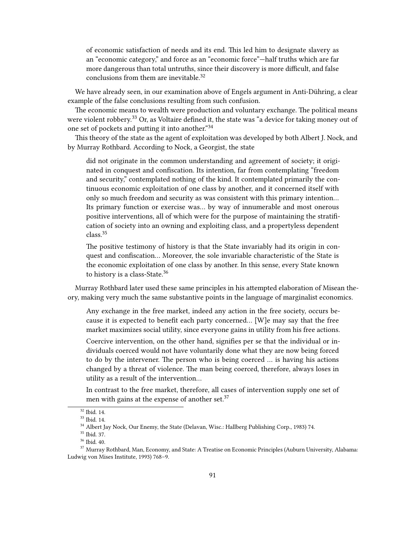of economic satisfaction of needs and its end. This led him to designate slavery as an "economic category," and force as an "economic force"—half truths which are far more dangerous than total untruths, since their discovery is more difficult, and false conclusions from them are inevitable.<sup>32</sup>

We have already seen, in our examination above of Engels argument in Anti-Dühring, a clear example of the false conclusions resulting from such confusion.

The economic means to wealth were production and voluntary exchange. The political means were violent robbery.<sup>33</sup> Or, as Voltaire defined it, the state was "a device for taking money out of one set of pockets and putting it into another."<sup>34</sup>

This theory of the state as the agent of exploitation was developed by both Albert J. Nock, and by Murray Rothbard. According to Nock, a Georgist, the state

did not originate in the common understanding and agreement of society; it originated in conquest and confiscation. Its intention, far from contemplating "freedom and security," contemplated nothing of the kind. It contemplated primarily the continuous economic exploitation of one class by another, and it concerned itself with only so much freedom and security as was consistent with this primary intention… Its primary function or exercise was… by way of innumerable and most onerous positive interventions, all of which were for the purpose of maintaining the stratification of society into an owning and exploiting class, and a propertyless dependent class.<sup>35</sup>

The positive testimony of history is that the State invariably had its origin in conquest and confiscation… Moreover, the sole invariable characteristic of the State is the economic exploitation of one class by another. In this sense, every State known to history is a class-State.<sup>36</sup>

Murray Rothbard later used these same principles in his attempted elaboration of Misean theory, making very much the same substantive points in the language of marginalist economics.

Any exchange in the free market, indeed any action in the free society, occurs because it is expected to benefit each party concerned… [W]e may say that the free market maximizes social utility, since everyone gains in utility from his free actions.

Coercive intervention, on the other hand, signifies per se that the individual or individuals coerced would not have voluntarily done what they are now being forced to do by the intervener. The person who is being coerced … is having his actions changed by a threat of violence. The man being coerced, therefore, always loses in utility as a result of the intervention…

In contrast to the free market, therefore, all cases of intervention supply one set of men with gains at the expense of another set.<sup>37</sup>

<sup>32</sup> Ibid. 14.

<sup>33</sup> Ibid. 14.

<sup>&</sup>lt;sup>34</sup> Albert Jay Nock, Our Enemy, the State (Delavan, Wisc.: Hallberg Publishing Corp., 1983) 74.

<sup>35</sup> Ibid. 37.

<sup>36</sup> Ibid. 40.

<sup>&</sup>lt;sup>37</sup> Murray Rothbard, Man, Economy, and State: A Treatise on Economic Principles (Auburn University, Alabama: Ludwig von Mises Institute, 1993) 768–9.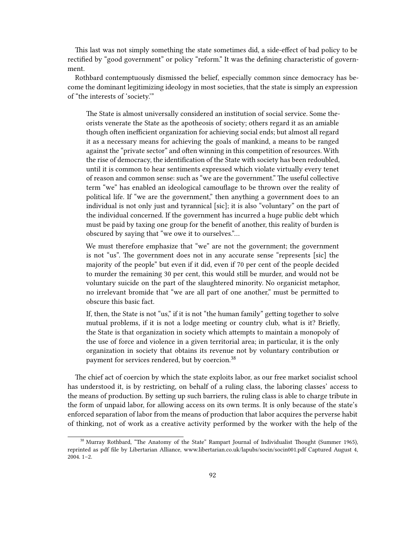This last was not simply something the state sometimes did, a side-effect of bad policy to be rectified by "good government" or policy "reform." It was the defining characteristic of government.

Rothbard contemptuously dismissed the belief, especially common since democracy has become the dominant legitimizing ideology in most societies, that the state is simply an expression of "the interests of 'society.'"

The State is almost universally considered an institution of social service. Some theorists venerate the State as the apotheosis of society; others regard it as an amiable though often inefficient organization for achieving social ends; but almost all regard it as a necessary means for achieving the goals of mankind, a means to be ranged against the "private sector" and often winning in this competition of resources. With the rise of democracy, the identification of the State with society has been redoubled, until it is common to hear sentiments expressed which violate virtually every tenet of reason and common sense: such as "we are the government." The useful collective term "we" has enabled an ideological camouflage to be thrown over the reality of political life. If "we are the government," then anything a government does to an individual is not only just and tyrannical [sic]; it is also "voluntary" on the part of the individual concerned. If the government has incurred a huge public debt which must be paid by taxing one group for the benefit of another, this reality of burden is obscured by saying that "we owe it to ourselves."…

We must therefore emphasize that "we" are not the government; the government is not "us". The government does not in any accurate sense "represents [sic] the majority of the people" but even if it did, even if 70 per cent of the people decided to murder the remaining 30 per cent, this would still be murder, and would not be voluntary suicide on the part of the slaughtered minority. No organicist metaphor, no irrelevant bromide that "we are all part of one another," must be permitted to obscure this basic fact.

If, then, the State is not "us," if it is not "the human family" getting together to solve mutual problems, if it is not a lodge meeting or country club, what is it? Briefly, the State is that organization in society which attempts to maintain a monopoly of the use of force and violence in a given territorial area; in particular, it is the only organization in society that obtains its revenue not by voluntary contribution or payment for services rendered, but by coercion.<sup>38</sup>

The chief act of coercion by which the state exploits labor, as our free market socialist school has understood it, is by restricting, on behalf of a ruling class, the laboring classes' access to the means of production. By setting up such barriers, the ruling class is able to charge tribute in the form of unpaid labor, for allowing access on its own terms. It is only because of the state's enforced separation of labor from the means of production that labor acquires the perverse habit of thinking, not of work as a creative activity performed by the worker with the help of the

<sup>&</sup>lt;sup>38</sup> Murray Rothbard, "The Anatomy of the State" Rampart Journal of Individualist Thought (Summer 1965), reprinted as pdf file by Libertarian Alliance, www.libertarian.co.uk/lapubs/socin/socin001.pdf Captured August 4, 2004. 1–2.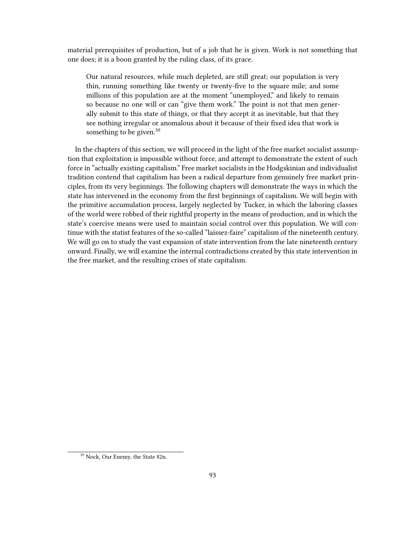material prerequisites of production, but of a job that he is given. Work is not something that one does; it is a boon granted by the ruling class, of its grace.

Our natural resources, while much depleted, are still great; our population is very thin, running something like twenty or twenty-five to the square mile; and some millions of this population are at the moment "unemployed," and likely to remain so because no one will or can "give them work." The point is not that men generally submit to this state of things, or that they accept it as inevitable, but that they see nothing irregular or anomalous about it because of their fixed idea that work is something to be given.<sup>39</sup>

In the chapters of this section, we will proceed in the light of the free market socialist assumption that exploitation is impossible without force, and attempt to demonstrate the extent of such force in "actually existing capitalism." Free market socialists in the Hodgskinian and individualist tradition contend that capitalism has been a radical departure from genuinely free market principles, from its very beginnings. The following chapters will demonstrate the ways in which the state has intervened in the economy from the first beginnings of capitalism. We will begin with the primitive accumulation process, largely neglected by Tucker, in which the laboring classes of the world were robbed of their rightful property in the means of production, and in which the state's coercive means were used to maintain social control over this population. We will continue with the statist features of the so-called "laissez-faire" capitalism of the nineteenth century. We will go on to study the vast expansion of state intervention from the late nineteenth century onward. Finally, we will examine the internal contradictions created by this state intervention in the free market, and the resulting crises of state capitalism.

<sup>39</sup> Nock, Our Enemy, the State 82n.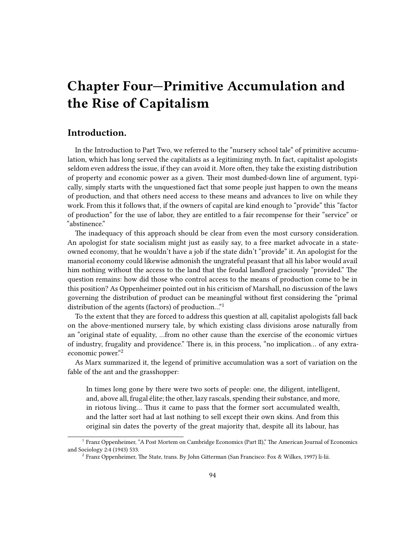## **Chapter Four—Primitive Accumulation and the Rise of Capitalism**

### **Introduction.**

In the Introduction to Part Two, we referred to the "nursery school tale" of primitive accumulation, which has long served the capitalists as a legitimizing myth. In fact, capitalist apologists seldom even address the issue, if they can avoid it. More often, they take the existing distribution of property and economic power as a given. Their most dumbed-down line of argument, typically, simply starts with the unquestioned fact that some people just happen to own the means of production, and that others need access to these means and advances to live on while they work. From this it follows that, if the owners of capital are kind enough to "provide" this "factor of production" for the use of labor, they are entitled to a fair recompense for their "service" or "abstinence."

The inadequacy of this approach should be clear from even the most cursory consideration. An apologist for state socialism might just as easily say, to a free market advocate in a stateowned economy, that he wouldn't have a job if the state didn't "provide" it. An apologist for the manorial economy could likewise admonish the ungrateful peasant that all his labor would avail him nothing without the access to the land that the feudal landlord graciously "provided." The question remains: how did those who control access to the means of production come to be in this position? As Oppenheimer pointed out in his criticism of Marshall, no discussion of the laws governing the distribution of product can be meaningful without first considering the "primal distribution of the agents (factors) of production…"<sup>1</sup>

To the extent that they are forced to address this question at all, capitalist apologists fall back on the above-mentioned nursery tale, by which existing class divisions arose naturally from an "original state of equality, …from no other cause than the exercise of the economic virtues of industry, frugality and providence." There is, in this process, "no implication… of any extraeconomic power."<sup>2</sup>

As Marx summarized it, the legend of primitive accumulation was a sort of variation on the fable of the ant and the grasshopper:

In times long gone by there were two sorts of people: one, the diligent, intelligent, and, above all, frugal élite; the other, lazy rascals, spending their substance, and more, in riotous living… Thus it came to pass that the former sort accumulated wealth, and the latter sort had at last nothing to sell except their own skins. And from this original sin dates the poverty of the great majority that, despite all its labour, has

<sup>&</sup>lt;sup>1</sup> Franz Oppenheimer, "A Post Mortem on Cambridge Economics (Part II)," The American Journal of Economics and Sociology 2:4 (1943) 533.

 $^2$  Franz Oppenheimer, The State, trans. By John Gitterman (San Francisco: Fox & Wilkes, 1997) li-lii.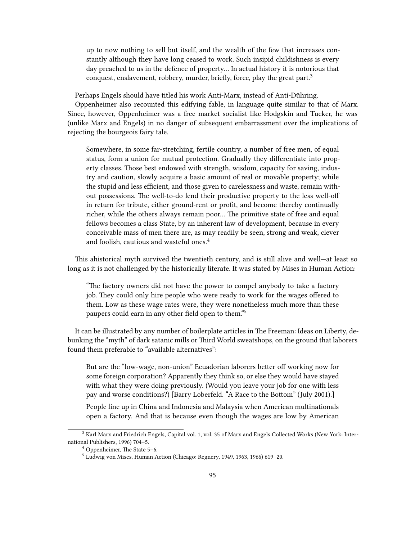up to now nothing to sell but itself, and the wealth of the few that increases constantly although they have long ceased to work. Such insipid childishness is every day preached to us in the defence of property… In actual history it is notorious that conquest, enslavement, robbery, murder, briefly, force, play the great part.<sup>3</sup>

Perhaps Engels should have titled his work Anti-Marx, instead of Anti-Dühring.

Oppenheimer also recounted this edifying fable, in language quite similar to that of Marx. Since, however, Oppenheimer was a free market socialist like Hodgskin and Tucker, he was (unlike Marx and Engels) in no danger of subsequent embarrassment over the implications of rejecting the bourgeois fairy tale.

Somewhere, in some far-stretching, fertile country, a number of free men, of equal status, form a union for mutual protection. Gradually they differentiate into property classes. Those best endowed with strength, wisdom, capacity for saving, industry and caution, slowly acquire a basic amount of real or movable property; while the stupid and less efficient, and those given to carelessness and waste, remain without possessions. The well-to-do lend their productive property to the less well-off in return for tribute, either ground-rent or profit, and become thereby continually richer, while the others always remain poor… The primitive state of free and equal fellows becomes a class State, by an inherent law of development, because in every conceivable mass of men there are, as may readily be seen, strong and weak, clever and foolish, cautious and wasteful ones.<sup>4</sup>

This ahistorical myth survived the twentieth century, and is still alive and well—at least so long as it is not challenged by the historically literate. It was stated by Mises in Human Action:

"The factory owners did not have the power to compel anybody to take a factory job. They could only hire people who were ready to work for the wages offered to them. Low as these wage rates were, they were nonetheless much more than these paupers could earn in any other field open to them."<sup>5</sup>

It can be illustrated by any number of boilerplate articles in The Freeman: Ideas on Liberty, debunking the "myth" of dark satanic mills or Third World sweatshops, on the ground that laborers found them preferable to "available alternatives":

But are the "low-wage, non-union" Ecuadorian laborers better off working now for some foreign corporation? Apparently they think so, or else they would have stayed with what they were doing previously. (Would you leave your job for one with less pay and worse conditions?) [Barry Loberfeld. "A Race to the Bottom" (July 2001).]

People line up in China and Indonesia and Malaysia when American multinationals open a factory. And that is because even though the wages are low by American

<sup>3</sup> Karl Marx and Friedrich Engels, Capital vol. 1, vol. 35 of Marx and Engels Collected Works (New York: International Publishers, 1996) 704–5.

<sup>4</sup> Oppenheimer, The State 5–6.

<sup>5</sup> Ludwig von Mises, Human Action (Chicago: Regnery, 1949, 1963, 1966) 619–20.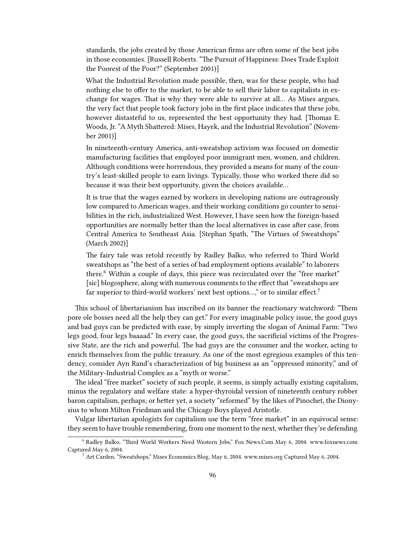standards, the jobs created by those American firms are often some of the best jobs in those economies. [Russell Roberts. "The Pursuit of Happiness: Does Trade Exploit the Poorest of the Poor?" (September 2001)]

What the Industrial Revolution made possible, then, was for these people, who had nothing else to offer to the market, to be able to sell their labor to capitalists in exchange for wages. That is why they were able to survive at all… As Mises argues, the very fact that people took factory jobs in the first place indicates that these jobs, however distasteful to us, represented the best opportunity they had. [Thomas E. Woods, Jr. "A Myth Shattered: Mises, Hayek, and the Industrial Revolution" (November 2001)]

In nineteenth-century America, anti-sweatshop activism was focused on domestic manufacturing facilities that employed poor immigrant men, women, and children. Although conditions were horrendous, they provided a means for many of the country's least-skilled people to earn livings. Typically, those who worked there did so because it was their best opportunity, given the choices available…

It is true that the wages earned by workers in developing nations are outrageously low compared to American wages, and their working conditions go counter to sensibilities in the rich, industrialized West. However, I have seen how the foreign-based opportunities are normally better than the local alternatives in case after case, from Central America to Southeast Asia. [Stephan Spath, "The Virtues of Sweatshops" (March 2002)]

The fairy tale was retold recently by Radley Balko, who referred to Third World sweatshops as "the best of a series of bad employment options available" to laborers there.<sup>6</sup> Within a couple of days, this piece was recirculated over the "free market" [sic] blogosphere, along with numerous comments to the effect that "sweatshops are far superior to third-world workers' next best options...," or to similar effect.<sup>7</sup>

This school of libertarianism has inscribed on its banner the reactionary watchword: "Them pore ole bosses need all the help they can get." For every imaginable policy issue, the good guys and bad guys can be predicted with ease, by simply inverting the slogan of Animal Farm: "Two legs good, four legs baaaad." In every case, the good guys, the sacrificial victims of the Progressive State, are the rich and powerful. The bad guys are the consumer and the worker, acting to enrich themselves from the public treasury. As one of the most egregious examples of this tendency, consider Ayn Rand's characterization of big business as an "oppressed minority," and of the Military-Industrial Complex as a "myth or worse."

The ideal "free market" society of such people, it seems, is simply actually existing capitalism, minus the regulatory and welfare state: a hyper-thyroidal version of nineteenth century robber baron capitalism, perhaps; or better yet, a society "reformed" by the likes of Pinochet, the Dionysius to whom Milton Friedman and the Chicago Boys played Aristotle.

Vulgar libertarian apologists for capitalism use the term "free market" in an equivocal sense: they seem to have trouble remembering, from one moment to the next, whether they're defending

<sup>6</sup> Radley Balko, "Third World Workers Need Western Jobs," Fox News.Com May 6, 2004. [www.foxnews.com](http://www.foxnews.com/story/0%2C2933%2C119125%2C00.htm) Captured May 6, 2004.

<sup>7</sup> Art Carden, "Sweatshops," Mises Economics Blog, May 6, 2004. [www.mises.org](http://www.mises.org/blog/archives/001956.asp#more) Captured May 6, 2004.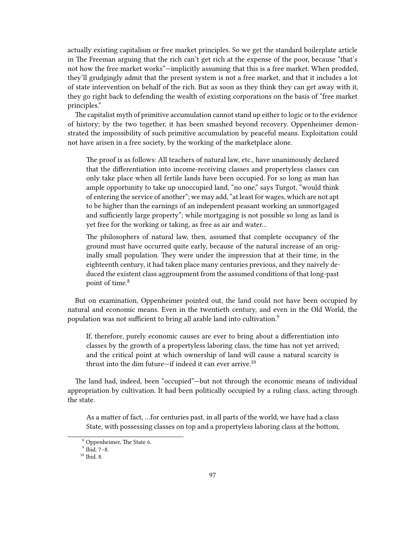actually existing capitalism or free market principles. So we get the standard boilerplate article in The Freeman arguing that the rich can't get rich at the expense of the poor, because "that's not how the free market works"—implicitly assuming that this is a free market. When prodded, they'll grudgingly admit that the present system is not a free market, and that it includes a lot of state intervention on behalf of the rich. But as soon as they think they can get away with it, they go right back to defending the wealth of existing corporations on the basis of "free market principles."

The capitalist myth of primitive accumulation cannot stand up either to logic or to the evidence of history; by the two together, it has been smashed beyond recovery. Oppenheimer demonstrated the impossibility of such primitive accumulation by peaceful means. Exploitation could not have arisen in a free society, by the working of the marketplace alone.

The proof is as follows: All teachers of natural law, etc., have unanimously declared that the differentiation into income-receiving classes and propertyless classes can only take place when all fertile lands have been occupied. For so long as man has ample opportunity to take up unoccupied land, "no one," says Turgot, "would think of entering the service of another"; we may add, "at least for wages, which are not apt to be higher than the earnings of an independent peasant working an unmortgaged and sufficiently large property"; while mortgaging is not possible so long as land is yet free for the working or taking, as free as air and water…

The philosophers of natural law, then, assumed that complete occupancy of the ground must have occurred quite early, because of the natural increase of an originally small population. They were under the impression that at their time, in the eighteenth century, it had taken place many centuries previous, and they naively deduced the existent class aggroupment from the assumed conditions of that long-past point of time.<sup>8</sup>

But on examination, Oppenheimer pointed out, the land could not have been occupied by natural and economic means. Even in the twentieth century, and even in the Old World, the population was not sufficient to bring all arable land into cultivation.<sup>9</sup>

If, therefore, purely economic causes are ever to bring about a differentiation into classes by the growth of a propertyless laboring class, the time has not yet arrived; and the critical point at which ownership of land will cause a natural scarcity is thrust into the dim future—if indeed it can ever arrive.<sup>10</sup>

The land had, indeed, been "occupied"—but not through the economic means of individual appropriation by cultivation. It had been politically occupied by a ruling class, acting through the state.

As a matter of fact, …for centuries past, in all parts of the world, we have had a class State, with possessing classes on top and a propertyless laboring class at the bottom,

<sup>8</sup> Oppenheimer, The State 6.

<sup>9</sup> Ibid. 7–8.

 $10$  Ibid. 8.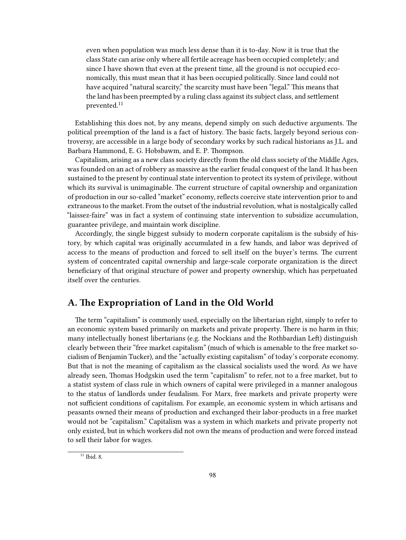even when population was much less dense than it is to-day. Now it is true that the class State can arise only where all fertile acreage has been occupied completely; and since I have shown that even at the present time, all the ground is not occupied economically, this must mean that it has been occupied politically. Since land could not have acquired "natural scarcity," the scarcity must have been "legal." This means that the land has been preempted by a ruling class against its subject class, and settlement prevented.<sup>11</sup>

Establishing this does not, by any means, depend simply on such deductive arguments. The political preemption of the land is a fact of history. The basic facts, largely beyond serious controversy, are accessible in a large body of secondary works by such radical historians as J.L. and Barbara Hammond, E. G. Hobsbawm, and E. P. Thompson.

Capitalism, arising as a new class society directly from the old class society of the Middle Ages, was founded on an act of robbery as massive as the earlier feudal conquest of the land. It has been sustained to the present by continual state intervention to protect its system of privilege, without which its survival is unimaginable. The current structure of capital ownership and organization of production in our so-called "market" economy, reflects coercive state intervention prior to and extraneous to the market. From the outset of the industrial revolution, what is nostalgically called "laissez-faire" was in fact a system of continuing state intervention to subsidize accumulation, guarantee privilege, and maintain work discipline.

Accordingly, the single biggest subsidy to modern corporate capitalism is the subsidy of history, by which capital was originally accumulated in a few hands, and labor was deprived of access to the means of production and forced to sell itself on the buyer's terms. The current system of concentrated capital ownership and large-scale corporate organization is the direct beneficiary of that original structure of power and property ownership, which has perpetuated itself over the centuries.

#### **A. The Expropriation of Land in the Old World**

The term "capitalism" is commonly used, especially on the libertarian right, simply to refer to an economic system based primarily on markets and private property. There is no harm in this; many intellectually honest libertarians (e.g. the Nockians and the Rothbardian Left) distinguish clearly between their "free market capitalism" (much of which is amenable to the free market socialism of Benjamin Tucker), and the "actually existing capitalism" of today's corporate economy. But that is not the meaning of capitalism as the classical socialists used the word. As we have already seen, Thomas Hodgskin used the term "capitalism" to refer, not to a free market, but to a statist system of class rule in which owners of capital were privileged in a manner analogous to the status of landlords under feudalism. For Marx, free markets and private property were not sufficient conditions of capitalism. For example, an economic system in which artisans and peasants owned their means of production and exchanged their labor-products in a free market would not be "capitalism." Capitalism was a system in which markets and private property not only existed, but in which workers did not own the means of production and were forced instead to sell their labor for wages.

 $\overline{11}$  Ibid. 8.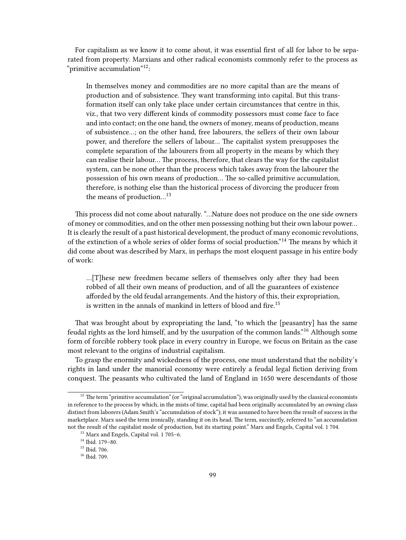For capitalism as we know it to come about, it was essential first of all for labor to be separated from property. Marxians and other radical economists commonly refer to the process as "primitive accumulation"<sup>12</sup>:

In themselves money and commodities are no more capital than are the means of production and of subsistence. They want transforming into capital. But this transformation itself can only take place under certain circumstances that centre in this, viz., that two very different kinds of commodity possessors must come face to face and into contact; on the one hand, the owners of money, means of production, means of subsistence…; on the other hand, free labourers, the sellers of their own labour power, and therefore the sellers of labour… The capitalist system presupposes the complete separation of the labourers from all property in the means by which they can realise their labour… The process, therefore, that clears the way for the capitalist system, can be none other than the process which takes away from the labourer the possession of his own means of production… The so-called primitive accumulation, therefore, is nothing else than the historical process of divorcing the producer from the means of production…<sup>13</sup>

This process did not come about naturally. "…Nature does not produce on the one side owners of money or commodities, and on the other men possessing nothing but their own labour power… It is clearly the result of a past historical development, the product of many economic revolutions, of the extinction of a whole series of older forms of social production."<sup>14</sup> The means by which it did come about was described by Marx, in perhaps the most eloquent passage in his entire body of work:

…[T]hese new freedmen became sellers of themselves only after they had been robbed of all their own means of production, and of all the guarantees of existence afforded by the old feudal arrangements. And the history of this, their expropriation, is written in the annals of mankind in letters of blood and fire.<sup>15</sup>

That was brought about by expropriating the land, "to which the [peasantry] has the same feudal rights as the lord himself, and by the usurpation of the common lands."<sup>16</sup> Although some form of forcible robbery took place in every country in Europe, we focus on Britain as the case most relevant to the origins of industrial capitalism.

To grasp the enormity and wickedness of the process, one must understand that the nobility's rights in land under the manorial economy were entirely a feudal legal fiction deriving from conquest. The peasants who cultivated the land of England in 1650 were descendants of those

 $12$  The term "primitive accumulation" (or "original accumulation"), was originally used by the classical economists in reference to the process by which, in the mists of time, capital had been originally accumulated by an owning class distinct from laborers (Adam Smith's "accumulation of stock"); it was assumed to have been the result of success in the marketplace. Marx used the term ironically, standing it on its head. The term, succinctly, referred to "an accumulation not the result of the capitalist mode of production, but its starting point." Marx and Engels, Capital vol. 1 704.

<sup>&</sup>lt;sup>13</sup> Marx and Engels, Capital vol. 1 705-6.

<sup>14</sup> Ibid. 179–80.

<sup>&</sup>lt;sup>15</sup> Ibid. 706.

<sup>16</sup> Ibid. 709.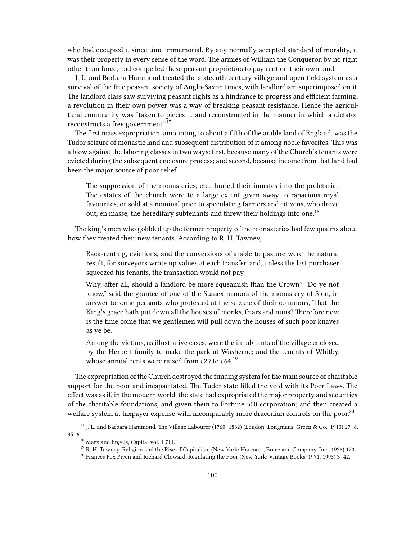who had occupied it since time immemorial. By any normally accepted standard of morality, it was their property in every sense of the word. The armies of William the Conqueror, by no right other than force, had compelled these peasant proprietors to pay rent on their own land.

J. L. and Barbara Hammond treated the sixteenth century village and open field system as a survival of the free peasant society of Anglo-Saxon times, with landlordism superimposed on it. The landlord class saw surviving peasant rights as a hindrance to progress and efficient farming; a revolution in their own power was a way of breaking peasant resistance. Hence the agricultural community was "taken to pieces … and reconstructed in the manner in which a dictator reconstructs a free government."<sup>17</sup>

The first mass expropriation, amounting to about a fifth of the arable land of England, was the Tudor seizure of monastic land and subsequent distribution of it among noble favorites. This was a blow against the laboring classes in two ways: first, because many of the Church's tenants were evicted during the subsequent enclosure process; and second, because income from that land had been the major source of poor relief.

The suppression of the monasteries, etc., hurled their inmates into the proletariat. The estates of the church were to a large extent given away to rapacious royal favourites, or sold at a nominal price to speculating farmers and citizens, who drove out, en masse, the hereditary subtenants and threw their holdings into one.<sup>18</sup>

The king's men who gobbled up the former property of the monasteries had few qualms about how they treated their new tenants. According to R. H. Tawney,

Rack-renting, evictions, and the conversions of arable to pasture were the natural result, for surveyors wrote up values at each transfer, and, unless the last purchaser squeezed his tenants, the transaction would not pay.

Why, after all, should a landlord be more squeamish than the Crown? "Do ye not know," said the grantee of one of the Sussex manors of the monastery of Sion, in answer to some peasants who protested at the seizure of their commons, "that the King's grace hath put down all the houses of monks, friars and nuns? Therefore now is the time come that we gentlemen will pull down the houses of such poor knaves as ye be."

Among the victims, as illustrative cases, were the inhabitants of the village enclosed by the Herbert family to make the park at Washerne; and the tenants of Whitby, whose annual rents were raised from £29 to £64.<sup>19</sup>

The expropriation of the Church destroyed the funding system for the main source of charitable support for the poor and incapacitated. The Tudor state filled the void with its Poor Laws. The effect was as if, in the modern world, the state had expropriated the major property and securities of the charitable foundations, and given them to Fortune 500 corporation; and then created a welfare system at taxpayer expense with incomparably more draconian controls on the poor.<sup>20</sup>

<sup>17</sup> J. L. and Barbara Hammond, The Village Labourer (1760–1832) (London: Longmans, Green & Co., 1913) 27–8, 35–6.

<sup>.&</sup>lt;br><sup>18</sup> Marx and Engels, Capital vol. 1 711.

<sup>19</sup> R. H. Tawney, Religion and the Rise of Capitalism (New York: Harcourt, Brace and Company, Inc., 1926) 120.

<sup>&</sup>lt;sup>20</sup> Frances Fox Piven and Richard Cloward, Regulating the Poor (New York: Vintage Books, 1971, 1993) 3-42.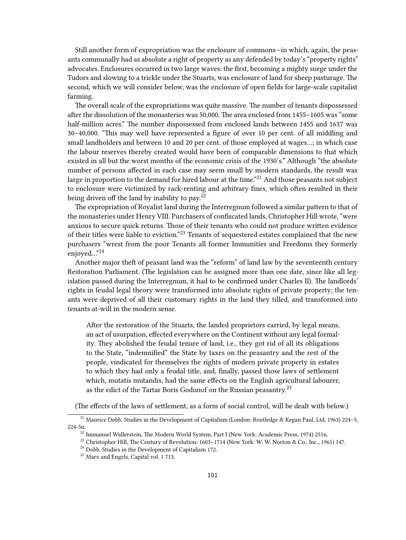Still another form of expropriation was the enclosure of commons—in which, again, the peasants communally had as absolute a right of property as any defended by today's "property rights" advocates. Enclosures occurred in two large waves: the first, becoming a mighty surge under the Tudors and slowing to a trickle under the Stuarts, was enclosure of land for sheep pasturage. The second, which we will consider below, was the enclosure of open fields for large-scale capitalist farming.

The overall scale of the expropriations was quite massive. The number of tenants dispossessed after the dissolution of the monasteries was 50,000. The area enclosed from 1455–1605 was "some half-million acres." The number dispossessed from enclosed lands between 1455 and 1637 was 30–40,000. "This may well have represented a figure of over 10 per cent. of all middling and small landholders and between 10 and 20 per cent. of those employed at wages…; in which case the labour reserves thereby created would have been of comparable dimensions to that which existed in all but the worst months of the economic crisis of the 1930's." Although "the absolute number of persons affected in each case may seem small by modern standards, the result was large in proportion to the demand for hired labour at the time.<sup>"21</sup> And those peasants not subject to enclosure were victimized by rack-renting and arbitrary fines, which often resulted in their being driven off the land by inability to pay.<sup>22</sup>

The expropriation of Royalist land during the Interregnum followed a similar pattern to that of the monasteries under Henry VIII. Purchasers of confiscated lands, Christopher Hill wrote, "were anxious to secure quick returns. Those of their tenants who could not produce written evidence of their titles were liable to eviction."<sup>23</sup> Tenants of sequestered estates complained that the new purchasers "wrest from the poor Tenants all former Immunities and Freedoms they formerly enjoyed…"<sup>24</sup>

Another major theft of peasant land was the "reform" of land law by the seventeenth century Restoration Parliament. (The legislation can be assigned more than one date, since like all legislation passed during the Interregnum, it had to be confirmed under Charles II). The landlords' rights in feudal legal theory were transformed into absolute rights of private property; the tenants were deprived of all their customary rights in the land they tilled, and transformed into tenants at-will in the modern sense.

After the restoration of the Stuarts, the landed proprietors carried, by legal means, an act of usurpation, effected everywhere on the Continent without any legal formality. They abolished the feudal tenure of land, i.e., they got rid of all its obligations to the State, "indemnified" the State by taxes on the peasantry and the rest of the people, vindicated for themselves the rights of modern private property in estates to which they had only a feudal title, and, finally, passed those laws of settlement which, mutatis mutandis, had the same effects on the English agricultural labourer, as the edict of the Tartar Boris Godunof on the Russian peasantry.<sup>25</sup>

(The effects of the laws of settlement, as a form of social control, will be dealt with below.)

<sup>&</sup>lt;sup>21</sup> Maurice Dobb, Studies in the Development of Capitalism (London: Routledge & Kegan Paul, Ltd, 1963) 224-5, 224-5n.

<sup>&</sup>lt;sup>22</sup> Immanuel Wallerstein, The Modern World System, Part I (New York: Academic Press, 1974) 251n.

 $^{23}$  Christopher Hill, The Century of Revolution: 1603-1714 (New York: W. W. Norton & Co., Inc., 1961) 147.

<sup>&</sup>lt;sup>24</sup> Dobb, Studies in the Development of Capitalism 172.

<sup>&</sup>lt;sup>25</sup> Marx and Engels, Capital vol. 1 713.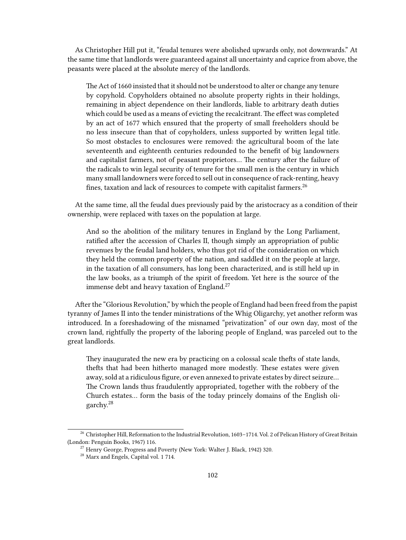As Christopher Hill put it, "feudal tenures were abolished upwards only, not downwards." At the same time that landlords were guaranteed against all uncertainty and caprice from above, the peasants were placed at the absolute mercy of the landlords.

The Act of 1660 insisted that it should not be understood to alter or change any tenure by copyhold. Copyholders obtained no absolute property rights in their holdings, remaining in abject dependence on their landlords, liable to arbitrary death duties which could be used as a means of evicting the recalcitrant. The effect was completed by an act of 1677 which ensured that the property of small freeholders should be no less insecure than that of copyholders, unless supported by written legal title. So most obstacles to enclosures were removed: the agricultural boom of the late seventeenth and eighteenth centuries redounded to the benefit of big landowners and capitalist farmers, not of peasant proprietors… The century after the failure of the radicals to win legal security of tenure for the small men is the century in which many small landowners were forced to sell out in consequence of rack-renting, heavy fines, taxation and lack of resources to compete with capitalist farmers.<sup>26</sup>

At the same time, all the feudal dues previously paid by the aristocracy as a condition of their ownership, were replaced with taxes on the population at large.

And so the abolition of the military tenures in England by the Long Parliament, ratified after the accession of Charles II, though simply an appropriation of public revenues by the feudal land holders, who thus got rid of the consideration on which they held the common property of the nation, and saddled it on the people at large, in the taxation of all consumers, has long been characterized, and is still held up in the law books, as a triumph of the spirit of freedom. Yet here is the source of the immense debt and heavy taxation of England. $27$ 

After the "Glorious Revolution," by which the people of England had been freed from the papist tyranny of James II into the tender ministrations of the Whig Oligarchy, yet another reform was introduced. In a foreshadowing of the misnamed "privatization" of our own day, most of the crown land, rightfully the property of the laboring people of England, was parceled out to the great landlords.

They inaugurated the new era by practicing on a colossal scale thefts of state lands, thefts that had been hitherto managed more modestly. These estates were given away, sold at a ridiculous figure, or even annexed to private estates by direct seizure… The Crown lands thus fraudulently appropriated, together with the robbery of the Church estates… form the basis of the today princely domains of the English oligarchy.<sup>28</sup>

<sup>&</sup>lt;sup>26</sup> Christopher Hill, Reformation to the Industrial Revolution, 1603-1714. Vol. 2 of Pelican History of Great Britain (London: Penguin Books, 1967) 116.

<sup>&</sup>lt;sup>27</sup> Henry George, Progress and Poverty (New York: Walter J. Black, 1942) 320.

<sup>&</sup>lt;sup>28</sup> Marx and Engels, Capital vol. 1 714.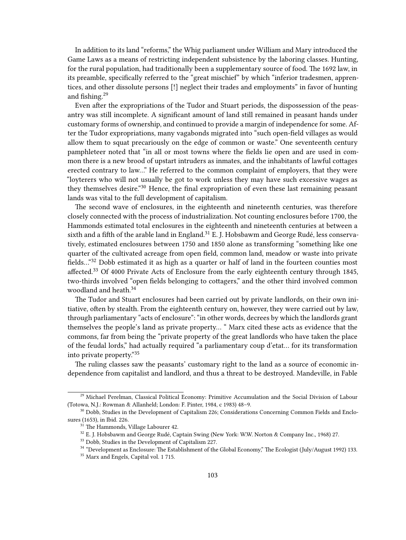In addition to its land "reforms," the Whig parliament under William and Mary introduced the Game Laws as a means of restricting independent subsistence by the laboring classes. Hunting, for the rural population, had traditionally been a supplementary source of food. The 1692 law, in its preamble, specifically referred to the "great mischief" by which "inferior tradesmen, apprentices, and other dissolute persons [!] neglect their trades and employments" in favor of hunting and fishing.<sup>29</sup>

Even after the expropriations of the Tudor and Stuart periods, the dispossession of the peasantry was still incomplete. A significant amount of land still remained in peasant hands under customary forms of ownership, and continued to provide a margin of independence for some. After the Tudor expropriations, many vagabonds migrated into "such open-field villages as would allow them to squat precariously on the edge of common or waste." One seventeenth century pamphleteer noted that "in all or most towns where the fields lie open and are used in common there is a new brood of upstart intruders as inmates, and the inhabitants of lawful cottages erected contrary to law…" He referred to the common complaint of employers, that they were "loyterers who will not usually be got to work unless they may have such excessive wages as they themselves desire."<sup>30</sup> Hence, the final expropriation of even these last remaining peasant lands was vital to the full development of capitalism.

The second wave of enclosures, in the eighteenth and nineteenth centuries, was therefore closely connected with the process of industrialization. Not counting enclosures before 1700, the Hammonds estimated total enclosures in the eighteenth and nineteenth centuries at between a sixth and a fifth of the arable land in England.<sup>31</sup> E. J. Hobsbawm and George Rudé, less conservatively, estimated enclosures between 1750 and 1850 alone as transforming "something like one quarter of the cultivated acreage from open field, common land, meadow or waste into private fields…"<sup>32</sup> Dobb estimated it as high as a quarter or half of land in the fourteen counties most affected.<sup>33</sup> Of 4000 Private Acts of Enclosure from the early eighteenth century through 1845, two-thirds involved "open fields belonging to cottagers," and the other third involved common woodland and heath.<sup>34</sup>

The Tudor and Stuart enclosures had been carried out by private landlords, on their own initiative, often by stealth. From the eighteenth century on, however, they were carried out by law, through parliamentary "acts of enclosure": "in other words, decrees by which the landlords grant themselves the people's land as private property… " Marx cited these acts as evidence that the commons, far from being the "private property of the great landlords who have taken the place of the feudal lords," had actually required "a parliamentary coup d'etat… for its transformation into private property."<sup>35</sup>

The ruling classes saw the peasants' customary right to the land as a source of economic independence from capitalist and landlord, and thus a threat to be destroyed. Mandeville, in Fable

<sup>&</sup>lt;sup>29</sup> Michael Perelman, Classical Political Economy: Primitive Accumulation and the Social Division of Labour (Totowa, N.J.: Rowman & Allanheld; London: F. Pinter, 1984, c 1983) 48–9.

<sup>&</sup>lt;sup>30</sup> Dobb, Studies in the Development of Capitalism 226; Considerations Concerning Common Fields and Enclosures (1653), in Ibid. 226.

<sup>&</sup>lt;sup>31</sup> The Hammonds, Village Labourer 42.

<sup>32</sup> E. J. Hobsbawm and George Rudé, Captain Swing (New York: W.W. Norton & Company Inc., 1968) 27.

<sup>&</sup>lt;sup>33</sup> Dobb, Studies in the Development of Capitalism 227.

<sup>&</sup>lt;sup>34</sup> "Development as Enclosure: The Establishment of the Global Economy," The Ecologist (July/August 1992) 133.

<sup>&</sup>lt;sup>35</sup> Marx and Engels, Capital vol. 1 715.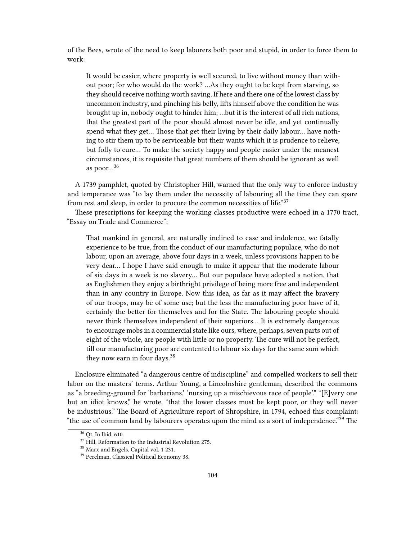of the Bees, wrote of the need to keep laborers both poor and stupid, in order to force them to work:

It would be easier, where property is well secured, to live without money than without poor; for who would do the work? …As they ought to be kept from starving, so they should receive nothing worth saving. If here and there one of the lowest class by uncommon industry, and pinching his belly, lifts himself above the condition he was brought up in, nobody ought to hinder him; …but it is the interest of all rich nations, that the greatest part of the poor should almost never be idle, and yet continually spend what they get… Those that get their living by their daily labour… have nothing to stir them up to be serviceable but their wants which it is prudence to relieve, but folly to cure… To make the society happy and people easier under the meanest circumstances, it is requisite that great numbers of them should be ignorant as well as poor…<sup>36</sup>

A 1739 pamphlet, quoted by Christopher Hill, warned that the only way to enforce industry and temperance was "to lay them under the necessity of labouring all the time they can spare from rest and sleep, in order to procure the common necessities of life."<sup>37</sup>

These prescriptions for keeping the working classes productive were echoed in a 1770 tract, "Essay on Trade and Commerce":

That mankind in general, are naturally inclined to ease and indolence, we fatally experience to be true, from the conduct of our manufacturing populace, who do not labour, upon an average, above four days in a week, unless provisions happen to be very dear… I hope I have said enough to make it appear that the moderate labour of six days in a week is no slavery… But our populace have adopted a notion, that as Englishmen they enjoy a birthright privilege of being more free and independent than in any country in Europe. Now this idea, as far as it may affect the bravery of our troops, may be of some use; but the less the manufacturing poor have of it, certainly the better for themselves and for the State. The labouring people should never think themselves independent of their superiors… It is extremely dangerous to encourage mobs in a commercial state like ours, where, perhaps, seven parts out of eight of the whole, are people with little or no property. The cure will not be perfect, till our manufacturing poor are contented to labour six days for the same sum which they now earn in four days.<sup>38</sup>

Enclosure eliminated "a dangerous centre of indiscipline" and compelled workers to sell their labor on the masters' terms. Arthur Young, a Lincolnshire gentleman, described the commons as "a breeding-ground for 'barbarians,' 'nursing up a mischievous race of people'." "[E]very one but an idiot knows," he wrote, "that the lower classes must be kept poor, or they will never be industrious." The Board of Agriculture report of Shropshire, in 1794, echoed this complaint: "the use of common land by labourers operates upon the mind as a sort of independence."<sup>39</sup> The

<sup>36</sup> Qt. In Ibid. 610.

 $^{37}$  Hill, Reformation to the Industrial Revolution 275.

<sup>38</sup> Marx and Engels, Capital vol. 1 231.

<sup>39</sup> Perelman, Classical Political Economy 38.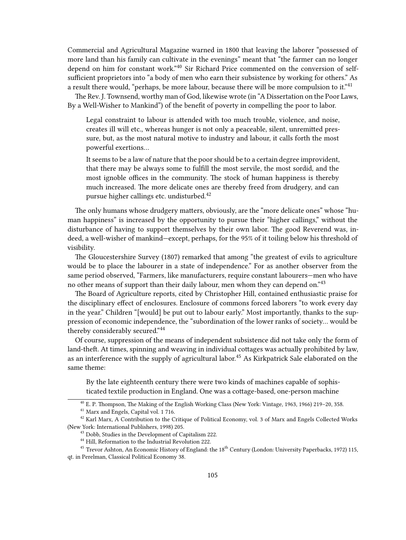Commercial and Agricultural Magazine warned in 1800 that leaving the laborer "possessed of more land than his family can cultivate in the evenings" meant that "the farmer can no longer depend on him for constant work."<sup>40</sup> Sir Richard Price commented on the conversion of selfsufficient proprietors into "a body of men who earn their subsistence by working for others." As a result there would, "perhaps, be more labour, because there will be more compulsion to it."<sup>41</sup>

The Rev. J. Townsend, worthy man of God, likewise wrote (in "A Dissertation on the Poor Laws, By a Well-Wisher to Mankind") of the benefit of poverty in compelling the poor to labor.

Legal constraint to labour is attended with too much trouble, violence, and noise, creates ill will etc., whereas hunger is not only a peaceable, silent, unremitted pressure, but, as the most natural motive to industry and labour, it calls forth the most powerful exertions…

It seems to be a law of nature that the poor should be to a certain degree improvident, that there may be always some to fulfill the most servile, the most sordid, and the most ignoble offices in the community. The stock of human happiness is thereby much increased. The more delicate ones are thereby freed from drudgery, and can pursue higher callings etc. undisturbed.<sup>42</sup>

The only humans whose drudgery matters, obviously, are the "more delicate ones" whose "human happiness" is increased by the opportunity to pursue their "higher callings," without the disturbance of having to support themselves by their own labor. The good Reverend was, indeed, a well-wisher of mankind—except, perhaps, for the 95% of it toiling below his threshold of visibility.

The Gloucestershire Survey (1807) remarked that among "the greatest of evils to agriculture would be to place the labourer in a state of independence." For as another observer from the same period observed, "Farmers, like manufacturers, require constant labourers—men who have no other means of support than their daily labour, men whom they can depend on.<sup>43</sup>

The Board of Agriculture reports, cited by Christopher Hill, contained enthusiastic praise for the disciplinary effect of enclosures. Enclosure of commons forced laborers "to work every day in the year." Children "[would] be put out to labour early." Most importantly, thanks to the suppression of economic independence, the "subordination of the lower ranks of society… would be thereby considerably secured."<sup>44</sup>

Of course, suppression of the means of independent subsistence did not take only the form of land-theft. At times, spinning and weaving in individual cottages was actually prohibited by law, as an interference with the supply of agricultural labor.<sup>45</sup> As Kirkpatrick Sale elaborated on the same theme:

By the late eighteenth century there were two kinds of machines capable of sophisticated textile production in England. One was a cottage-based, one-person machine

<sup>40</sup> E. P. Thompson, The Making of the English Working Class (New York: Vintage, 1963, 1966) 219–20, 358.

<sup>41</sup> Marx and Engels, Capital vol. 1 716.

<sup>&</sup>lt;sup>42</sup> Karl Marx, A Contribution to the Critique of Political Economy, vol. 3 of Marx and Engels Collected Works (New York: International Publishers, 1998) 205.

<sup>43</sup> Dobb, Studies in the Development of Capitalism 222.

 $\rm ^{44}$  Hill, Reformation to the Industrial Revolution 222.

<sup>&</sup>lt;sup>45</sup> Trevor Ashton, An Economic History of England: the 18<sup>th</sup> Century (London: University Paperbacks, 1972) 115, qt. in Perelman, Classical Political Economy 38.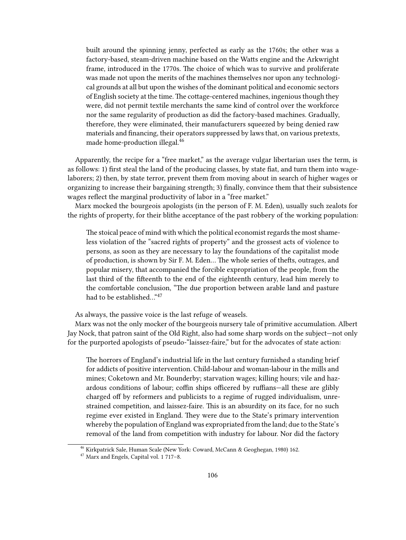built around the spinning jenny, perfected as early as the 1760s; the other was a factory-based, steam-driven machine based on the Watts engine and the Arkwright frame, introduced in the 1770s. The choice of which was to survive and proliferate was made not upon the merits of the machines themselves nor upon any technological grounds at all but upon the wishes of the dominant political and economic sectors of English society at the time. The cottage-centered machines, ingenious though they were, did not permit textile merchants the same kind of control over the workforce nor the same regularity of production as did the factory-based machines. Gradually, therefore, they were eliminated, their manufacturers squeezed by being denied raw materials and financing, their operators suppressed by laws that, on various pretexts, made home-production illegal.<sup>46</sup>

Apparently, the recipe for a "free market," as the average vulgar libertarian uses the term, is as follows: 1) first steal the land of the producing classes, by state fiat, and turn them into wagelaborers; 2) then, by state terror, prevent them from moving about in search of higher wages or organizing to increase their bargaining strength; 3) finally, convince them that their subsistence wages reflect the marginal productivity of labor in a "free market."

Marx mocked the bourgeois apologists (in the person of F. M. Eden), usually such zealots for the rights of property, for their blithe acceptance of the past robbery of the working population:

The stoical peace of mind with which the political economist regards the most shameless violation of the "sacred rights of property" and the grossest acts of violence to persons, as soon as they are necessary to lay the foundations of the capitalist mode of production, is shown by Sir F. M. Eden… The whole series of thefts, outrages, and popular misery, that accompanied the forcible expropriation of the people, from the last third of the fifteenth to the end of the eighteenth century, lead him merely to the comfortable conclusion, "The due proportion between arable land and pasture had to be established…"<sup>47</sup>

As always, the passive voice is the last refuge of weasels.

Marx was not the only mocker of the bourgeois nursery tale of primitive accumulation. Albert Jay Nock, that patron saint of the Old Right, also had some sharp words on the subject—not only for the purported apologists of pseudo-"laissez-faire," but for the advocates of state action:

The horrors of England's industrial life in the last century furnished a standing brief for addicts of positive intervention. Child-labour and woman-labour in the mills and mines; Coketown and Mr. Bounderby; starvation wages; killing hours; vile and hazardous conditions of labour; coffin ships officered by ruffians—all these are glibly charged off by reformers and publicists to a regime of rugged individualism, unrestrained competition, and laissez-faire. This is an absurdity on its face, for no such regime ever existed in England. They were due to the State's primary intervention whereby the population of England was expropriated from the land; due to the State's removal of the land from competition with industry for labour. Nor did the factory

<sup>46</sup> Kirkpatrick Sale, Human Scale (New York: Coward, McCann & Geoghegan, 1980) 162.

<sup>47</sup> Marx and Engels, Capital vol. 1 717–8.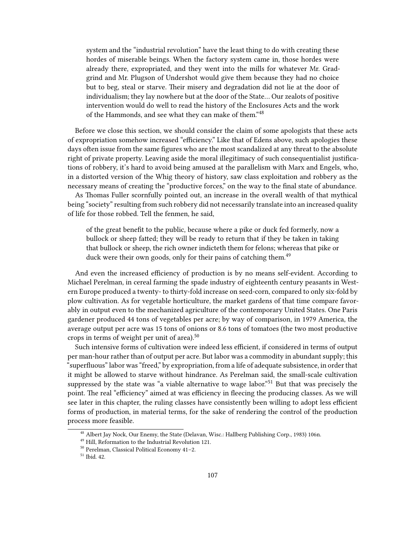system and the "industrial revolution" have the least thing to do with creating these hordes of miserable beings. When the factory system came in, those hordes were already there, expropriated, and they went into the mills for whatever Mr. Gradgrind and Mr. Plugson of Undershot would give them because they had no choice but to beg, steal or starve. Their misery and degradation did not lie at the door of individualism; they lay nowhere but at the door of the State… Our zealots of positive intervention would do well to read the history of the Enclosures Acts and the work of the Hammonds, and see what they can make of them."<sup>48</sup>

Before we close this section, we should consider the claim of some apologists that these acts of expropriation somehow increased "efficiency." Like that of Edens above, such apologies these days often issue from the same figures who are the most scandalized at any threat to the absolute right of private property. Leaving aside the moral illegitimacy of such consequentialist justifications of robbery, it's hard to avoid being amused at the parallelism with Marx and Engels, who, in a distorted version of the Whig theory of history, saw class exploitation and robbery as the necessary means of creating the "productive forces," on the way to the final state of abundance.

As Thomas Fuller scornfully pointed out, an increase in the overall wealth of that mythical being "society" resulting from such robbery did not necessarily translate into an increased quality of life for those robbed. Tell the fenmen, he said,

of the great benefit to the public, because where a pike or duck fed formerly, now a bullock or sheep fatted; they will be ready to return that if they be taken in taking that bullock or sheep, the rich owner indicteth them for felons; whereas that pike or duck were their own goods, only for their pains of catching them.<sup>49</sup>

And even the increased efficiency of production is by no means self-evident. According to Michael Perelman, in cereal farming the spade industry of eighteenth century peasants in Western Europe produced a twenty- to thirty-fold increase on seed-corn, compared to only six-fold by plow cultivation. As for vegetable horticulture, the market gardens of that time compare favorably in output even to the mechanized agriculture of the contemporary United States. One Paris gardener produced 44 tons of vegetables per acre; by way of comparison, in 1979 America, the average output per acre was 15 tons of onions or 8.6 tons of tomatoes (the two most productive crops in terms of weight per unit of area).<sup>50</sup>

Such intensive forms of cultivation were indeed less efficient, if considered in terms of output per man-hour rather than of output per acre. But labor was a commodity in abundant supply; this "superfluous" labor was "freed," by expropriation, from a life of adequate subsistence, in order that it might be allowed to starve without hindrance. As Perelman said, the small-scale cultivation suppressed by the state was "a viable alternative to wage labor."<sup>51</sup> But that was precisely the point. The real "efficiency" aimed at was efficiency in fleecing the producing classes. As we will see later in this chapter, the ruling classes have consistently been willing to adopt less efficient forms of production, in material terms, for the sake of rendering the control of the production process more feasible.

<sup>&</sup>lt;sup>48</sup> Albert Jay Nock, Our Enemy, the State (Delavan, Wisc.: Hallberg Publishing Corp., 1983) 106n.

<sup>49</sup> Hill, Reformation to the Industrial Revolution 121.

<sup>50</sup> Perelman, Classical Political Economy 41–2.

<sup>51</sup> Ibid. 42.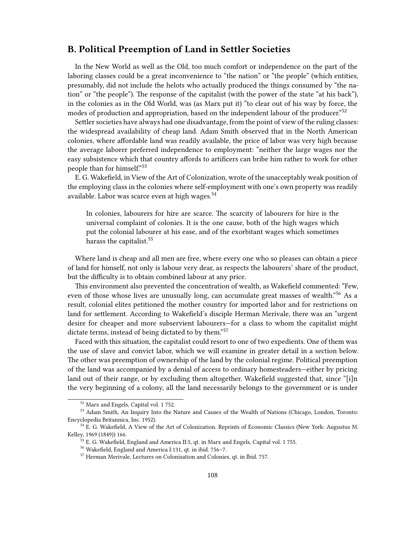#### **B. Political Preemption of Land in Settler Societies**

In the New World as well as the Old, too much comfort or independence on the part of the laboring classes could be a great inconvenience to "the nation" or "the people" (which entities, presumably, did not include the helots who actually produced the things consumed by "the nation" or "the people"). The response of the capitalist (with the power of the state "at his back"), in the colonies as in the Old World, was (as Marx put it) "to clear out of his way by force, the modes of production and appropriation, based on the independent labour of the producer. <sup>"52</sup>

Settler societies have always had one disadvantage, from the point of view of the ruling classes: the widespread availability of cheap land. Adam Smith observed that in the North American colonies, where affordable land was readily available, the price of labor was very high because the average laborer preferred independence to employment: "neither the large wages nor the easy subsistence which that country affords to artificers can bribe him rather to work for other people than for himself."<sup>53</sup>

E. G. Wakefield, in View of the Art of Colonization, wrote of the unacceptably weak position of the employing class in the colonies where self-employment with one's own property was readily available. Labor was scarce even at high wages.<sup>54</sup>

In colonies, labourers for hire are scarce. The scarcity of labourers for hire is the universal complaint of colonies. It is the one cause, both of the high wages which put the colonial labourer at his ease, and of the exorbitant wages which sometimes harass the capitalist.<sup>55</sup>

Where land is cheap and all men are free, where every one who so pleases can obtain a piece of land for himself, not only is labour very dear, as respects the labourers' share of the product, but the difficulty is to obtain combined labour at any price.

This environment also prevented the concentration of wealth, as Wakefield commented: "Few, even of those whose lives are unusually long, can accumulate great masses of wealth."<sup>56</sup> As a result, colonial elites petitioned the mother country for imported labor and for restrictions on land for settlement. According to Wakefield's disciple Herman Merivale, there was an "urgent desire for cheaper and more subservient labourers—for a class to whom the capitalist might dictate terms, instead of being dictated to by them."<sup>57</sup>

Faced with this situation, the capitalist could resort to one of two expedients. One of them was the use of slave and convict labor, which we will examine in greater detail in a section below. The other was preemption of ownership of the land by the colonial regime. Political preemption of the land was accompanied by a denial of access to ordinary homesteaders—either by pricing land out of their range, or by excluding them altogether. Wakefield suggested that, since "[i]n the very beginning of a colony, all the land necessarily belongs to the government or is under

<sup>52</sup> Marx and Engels, Capital vol. 1 752.

<sup>53</sup> Adam Smith, An Inquiry Into the Nature and Causes of the Wealth of Nations (Chicago, London, Toronto: Encyclopedia Britannica, Inc. 1952).

<sup>&</sup>lt;sup>54</sup> E. G. Wakefield, A View of the Art of Colonization. Reprints of Economic Classics (New York: Augustus M. Kelley, 1969 (1849)) 166.

<sup>55</sup> E. G. Wakefield, England and America II:5, qt. in Marx and Engels, Capital vol. 1 755.

<sup>56</sup> Wakefield, England and America I:131, qt. in ibid. 756–7.

<sup>57</sup> Herman Merivale, Lectures on Colonisation and Colonies, qt. in Ibid. 757.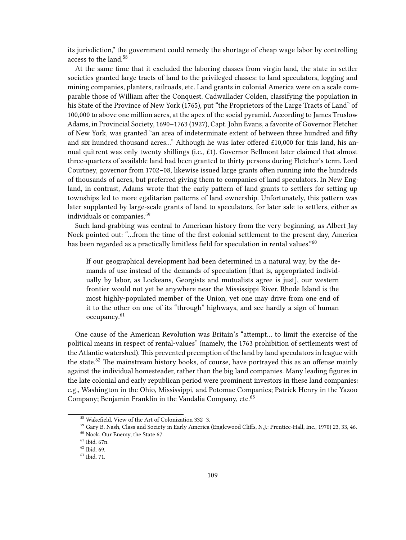its jurisdiction," the government could remedy the shortage of cheap wage labor by controlling access to the land.<sup>58</sup>

At the same time that it excluded the laboring classes from virgin land, the state in settler societies granted large tracts of land to the privileged classes: to land speculators, logging and mining companies, planters, railroads, etc. Land grants in colonial America were on a scale comparable those of William after the Conquest. Cadwallader Colden, classifying the population in his State of the Province of New York (1765), put "the Proprietors of the Large Tracts of Land" of 100,000 to above one million acres, at the apex of the social pyramid. According to James Truslow Adams, in Provincial Society, 1690–1763 (1927), Capt. John Evans, a favorite of Governor Fletcher of New York, was granted "an area of indeterminate extent of between three hundred and fifty and six hundred thousand acres…" Although he was later offered £10,000 for this land, his annual quitrent was only twenty shillings (i.e., £1). Governor Bellmont later claimed that almost three-quarters of available land had been granted to thirty persons during Fletcher's term. Lord Courtney, governor from 1702–08, likewise issued large grants often running into the hundreds of thousands of acres, but preferred giving them to companies of land speculators. In New England, in contrast, Adams wrote that the early pattern of land grants to settlers for setting up townships led to more egalitarian patterns of land ownership. Unfortunately, this pattern was later supplanted by large-scale grants of land to speculators, for later sale to settlers, either as individuals or companies.<sup>59</sup>

Such land-grabbing was central to American history from the very beginning, as Albert Jay Nock pointed out: "…from the time of the first colonial settlement to the present day, America has been regarded as a practically limitless field for speculation in rental values."<sup>60</sup>

If our geographical development had been determined in a natural way, by the demands of use instead of the demands of speculation [that is, appropriated individually by labor, as Lockeans, Georgists and mutualists agree is just], our western frontier would not yet be anywhere near the Mississippi River. Rhode Island is the most highly-populated member of the Union, yet one may drive from one end of it to the other on one of its "through" highways, and see hardly a sign of human occupancy.<sup>61</sup>

One cause of the American Revolution was Britain's "attempt… to limit the exercise of the political means in respect of rental-values" (namely, the 1763 prohibition of settlements west of the Atlantic watershed). This prevented preemption of the land by land speculators in league with the state.<sup>62</sup> The mainstream history books, of course, have portrayed this as an offense mainly against the individual homesteader, rather than the big land companies. Many leading figures in the late colonial and early republican period were prominent investors in these land companies: e.g., Washington in the Ohio, Mississippi, and Potomac Companies; Patrick Henry in the Yazoo Company; Benjamin Franklin in the Vandalia Company, etc.<sup>63</sup>

<sup>58</sup> Wakefield, View of the Art of Colonization 332–3.

<sup>59</sup> Gary B. Nash, Class and Society in Early America (Englewood Cliffs, N.J.: Prentice-Hall, Inc., 1970) 23, 33, 46.

<sup>60</sup> Nock, Our Enemy, the State 67.

<sup>61</sup> Ibid. 67n.

<sup>62</sup> Ibid. 69.

<sup>63</sup> Ibid. 71.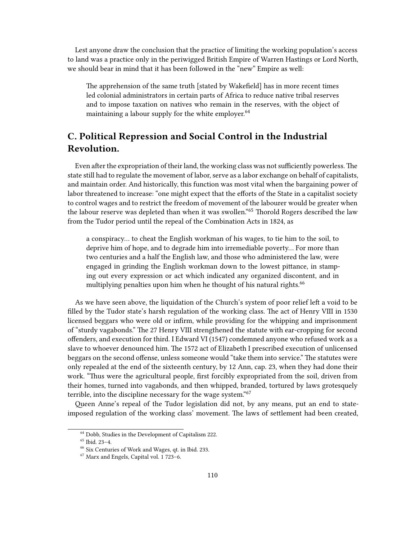Lest anyone draw the conclusion that the practice of limiting the working population's access to land was a practice only in the periwigged British Empire of Warren Hastings or Lord North, we should bear in mind that it has been followed in the "new" Empire as well:

The apprehension of the same truth [stated by Wakefield] has in more recent times led colonial administrators in certain parts of Africa to reduce native tribal reserves and to impose taxation on natives who remain in the reserves, with the object of maintaining a labour supply for the white employer.<sup>64</sup>

## **C. Political Repression and Social Control in the Industrial Revolution.**

Even after the expropriation of their land, the working class was not sufficiently powerless. The state still had to regulate the movement of labor, serve as a labor exchange on behalf of capitalists, and maintain order. And historically, this function was most vital when the bargaining power of labor threatened to increase: "one might expect that the efforts of the State in a capitalist society to control wages and to restrict the freedom of movement of the labourer would be greater when the labour reserve was depleted than when it was swollen."<sup>65</sup> Thorold Rogers described the law from the Tudor period until the repeal of the Combination Acts in 1824, as

a conspiracy… to cheat the English workman of his wages, to tie him to the soil, to deprive him of hope, and to degrade him into irremediable poverty… For more than two centuries and a half the English law, and those who administered the law, were engaged in grinding the English workman down to the lowest pittance, in stamping out every expression or act which indicated any organized discontent, and in multiplying penalties upon him when he thought of his natural rights.<sup>66</sup>

As we have seen above, the liquidation of the Church's system of poor relief left a void to be filled by the Tudor state's harsh regulation of the working class. The act of Henry VIII in 1530 licensed beggars who were old or infirm, while providing for the whipping and imprisonment of "sturdy vagabonds." The 27 Henry VIII strengthened the statute with ear-cropping for second offenders, and execution for third. I Edward VI (1547) condemned anyone who refused work as a slave to whoever denounced him. The 1572 act of Elizabeth I prescribed execution of unlicensed beggars on the second offense, unless someone would "take them into service." The statutes were only repealed at the end of the sixteenth century, by 12 Ann, cap. 23, when they had done their work. "Thus were the agricultural people, first forcibly expropriated from the soil, driven from their homes, turned into vagabonds, and then whipped, branded, tortured by laws grotesquely terrible, into the discipline necessary for the wage system.<sup>"67</sup>

Queen Anne's repeal of the Tudor legislation did not, by any means, put an end to stateimposed regulation of the working class' movement. The laws of settlement had been created,

<sup>64</sup> Dobb, Studies in the Development of Capitalism 222.

<sup>65</sup> Ibid. 23–4.

<sup>66</sup> Six Centuries of Work and Wages, qt. in Ibid. 233.

<sup>67</sup> Marx and Engels, Capital vol. 1 723–6.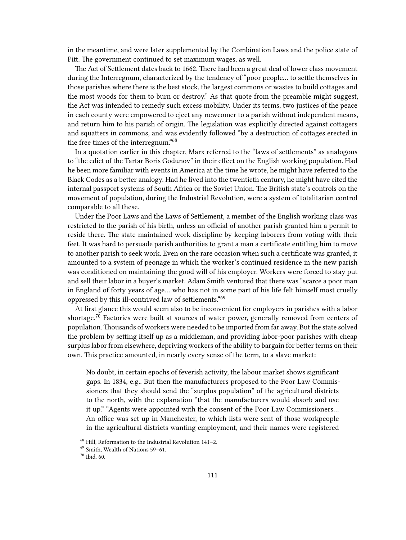in the meantime, and were later supplemented by the Combination Laws and the police state of Pitt. The government continued to set maximum wages, as well.

The Act of Settlement dates back to 1662. There had been a great deal of lower class movement during the Interregnum, characterized by the tendency of "poor people… to settle themselves in those parishes where there is the best stock, the largest commons or wastes to build cottages and the most woods for them to burn or destroy." As that quote from the preamble might suggest, the Act was intended to remedy such excess mobility. Under its terms, two justices of the peace in each county were empowered to eject any newcomer to a parish without independent means, and return him to his parish of origin. The legislation was explicitly directed against cottagers and squatters in commons, and was evidently followed "by a destruction of cottages erected in the free times of the interregnum."<sup>68</sup>

In a quotation earlier in this chapter, Marx referred to the "laws of settlements" as analogous to "the edict of the Tartar Boris Godunov" in their effect on the English working population. Had he been more familiar with events in America at the time he wrote, he might have referred to the Black Codes as a better analogy. Had he lived into the twentieth century, he might have cited the internal passport systems of South Africa or the Soviet Union. The British state's controls on the movement of population, during the Industrial Revolution, were a system of totalitarian control comparable to all these.

Under the Poor Laws and the Laws of Settlement, a member of the English working class was restricted to the parish of his birth, unless an official of another parish granted him a permit to reside there. The state maintained work discipline by keeping laborers from voting with their feet. It was hard to persuade parish authorities to grant a man a certificate entitling him to move to another parish to seek work. Even on the rare occasion when such a certificate was granted, it amounted to a system of peonage in which the worker's continued residence in the new parish was conditioned on maintaining the good will of his employer. Workers were forced to stay put and sell their labor in a buyer's market. Adam Smith ventured that there was "scarce a poor man in England of forty years of age… who has not in some part of his life felt himself most cruelly oppressed by this ill-contrived law of settlements."<sup>69</sup>

At first glance this would seem also to be inconvenient for employers in parishes with a labor shortage.<sup>70</sup> Factories were built at sources of water power, generally removed from centers of population. Thousands of workers were needed to be imported from far away. But the state solved the problem by setting itself up as a middleman, and providing labor-poor parishes with cheap surplus labor from elsewhere, depriving workers of the ability to bargain for better terms on their own. This practice amounted, in nearly every sense of the term, to a slave market:

No doubt, in certain epochs of feverish activity, the labour market shows significant gaps. In 1834, e.g.. But then the manufacturers proposed to the Poor Law Commissioners that they should send the "surplus population" of the agricultural districts to the north, with the explanation "that the manufacturers would absorb and use it up." "Agents were appointed with the consent of the Poor Law Commissioners… An office was set up in Manchester, to which lists were sent of those workpeople in the agricultural districts wanting employment, and their names were registered

 $68$  Hill, Reformation to the Industrial Revolution 141-2.

<sup>69</sup> Smith, Wealth of Nations 59–61.

<sup>70</sup> Ibid. 60.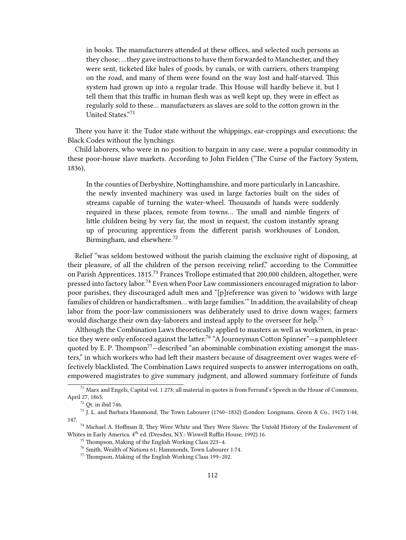in books. The manufacturers attended at these offices, and selected such persons as they chose; …they gave instructions to have them forwarded to Manchester, and they were sent, ticketed like bales of goods, by canals, or with carriers, others tramping on the road, and many of them were found on the way lost and half-starved. This system had grown up into a regular trade. This House will hardly believe it, but I tell them that this traffic in human flesh was as well kept up, they were in effect as regularly sold to these… manufacturers as slaves are sold to the cotton grown in the United States."<sup>71</sup>

There you have it: the Tudor state without the whippings, ear-croppings and executions; the Black Codes without the lynchings.

Child laborers, who were in no position to bargain in any case, were a popular commodity in these poor-house slave markets. According to John Fielden ("The Curse of the Factory System, 1836),

In the counties of Derbyshire, Nottinghamshire, and more particularly in Lancashire, the newly invented machinery was used in large factories built on the sides of streams capable of turning the water-wheel. Thousands of hands were suddenly required in these places, remote from towns… The small and nimble fingers of little children being by very far, the most in request, the custom instantly sprang up of procuring apprentices from the different parish workhouses of London, Birmingham, and elsewhere.<sup>72</sup>

Relief "was seldom bestowed without the parish claiming the exclusive right of disposing, at their pleasure, of all the children of the person receiving relief," according to the Committee on Parish Apprentices, 1815.<sup>73</sup> Frances Trollope estimated that 200,000 children, altogether, were pressed into factory labor.<sup>74</sup> Even when Poor Law commissioners encouraged migration to laborpoor parishes, they discouraged adult men and "[p]reference was given to 'widows with large families of children or handicraftsmen… with large families.'" In addition, the availability of cheap labor from the poor-law commissioners was deliberately used to drive down wages; farmers would discharge their own day-laborers and instead apply to the overseer for help.<sup>75</sup>

Although the Combination Laws theoretically applied to masters as well as workmen, in practice they were only enforced against the latter.<sup>76</sup> "A Journeyman Cotton Spinner"—a pamphleteer quoted by E. P. Thompson<sup>77</sup>—described "an abominable combination existing amongst the masters," in which workers who had left their masters because of disagreement over wages were effectively blacklisted. The Combination Laws required suspects to answer interrogations on oath, empowered magistrates to give summary judgment, and allowed summary forfeiture of funds

 $71$  Marx and Engels, Capital vol. 1 273; all material in quotes is from Ferrand's Speech in the House of Commons, April 27, 1863.

 $72$  Qt. in ibid 746.

<sup>73</sup> J. L. and Barbara Hammond, The Town Labourer (1760–1832) (London: Longmans, Green & Co., 1917) 1:44, 147.

<sup>74</sup> Michael A. Hoffman II, They Were White and They Were Slaves: The Untold History of the Enslavement of Whites in Early America. 4<sup>th</sup> ed. (Dresden, N.Y.: Wiswell Ruffin House, 1992) 16.

<sup>75</sup> Thompson, Making of the English Working Class 223–4.

<sup>76</sup> Smith, Wealth of Nations 61; Hammonds, Town Labourer 1:74.

<sup>77</sup> Thompson, Making of the English Working Class 199–202.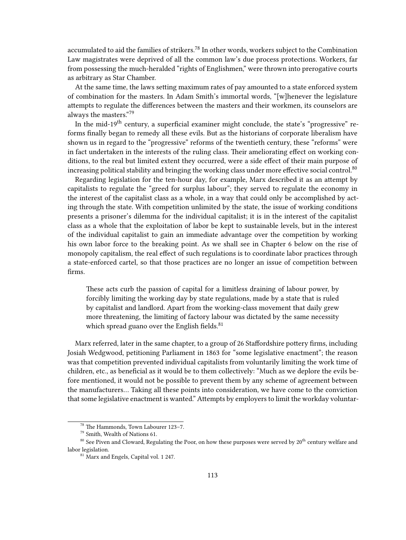accumulated to aid the families of strikers.<sup>78</sup> In other words, workers subject to the Combination Law magistrates were deprived of all the common law's due process protections. Workers, far from possessing the much-heralded "rights of Englishmen," were thrown into prerogative courts as arbitrary as Star Chamber.

At the same time, the laws setting maximum rates of pay amounted to a state enforced system of combination for the masters. In Adam Smith's immortal words, "[w]henever the legislature attempts to regulate the differences between the masters and their workmen, its counselors are always the masters."<sup>79</sup>

In the mid-19<sup>th</sup> century, a superficial examiner might conclude, the state's "progressive" reforms finally began to remedy all these evils. But as the historians of corporate liberalism have shown us in regard to the "progressive" reforms of the twentieth century, these "reforms" were in fact undertaken in the interests of the ruling class. Their ameliorating effect on working conditions, to the real but limited extent they occurred, were a side effect of their main purpose of increasing political stability and bringing the working class under more effective social control.<sup>80</sup>

Regarding legislation for the ten-hour day, for example, Marx described it as an attempt by capitalists to regulate the "greed for surplus labour"; they served to regulate the economy in the interest of the capitalist class as a whole, in a way that could only be accomplished by acting through the state. With competition unlimited by the state, the issue of working conditions presents a prisoner's dilemma for the individual capitalist; it is in the interest of the capitalist class as a whole that the exploitation of labor be kept to sustainable levels, but in the interest of the individual capitalist to gain an immediate advantage over the competition by working his own labor force to the breaking point. As we shall see in Chapter 6 below on the rise of monopoly capitalism, the real effect of such regulations is to coordinate labor practices through a state-enforced cartel, so that those practices are no longer an issue of competition between firms.

These acts curb the passion of capital for a limitless draining of labour power, by forcibly limiting the working day by state regulations, made by a state that is ruled by capitalist and landlord. Apart from the working-class movement that daily grew more threatening, the limiting of factory labour was dictated by the same necessity which spread guano over the English fields. $81$ 

Marx referred, later in the same chapter, to a group of 26 Staffordshire pottery firms, including Josiah Wedgwood, petitioning Parliament in 1863 for "some legislative enactment"; the reason was that competition prevented individual capitalists from voluntarily limiting the work time of children, etc., as beneficial as it would be to them collectively: "Much as we deplore the evils before mentioned, it would not be possible to prevent them by any scheme of agreement between the manufacturers… Taking all these points into consideration, we have come to the conviction that some legislative enactment is wanted." Attempts by employers to limit the workday voluntar-

<sup>78</sup> The Hammonds, Town Labourer 123–7.

<sup>79</sup> Smith, Wealth of Nations 61.

 $80$  See Piven and Cloward, Regulating the Poor, on how these purposes were served by 20<sup>th</sup> century welfare and labor legislation.

<sup>&</sup>lt;sup>81</sup> Marx and Engels, Capital vol. 1 247.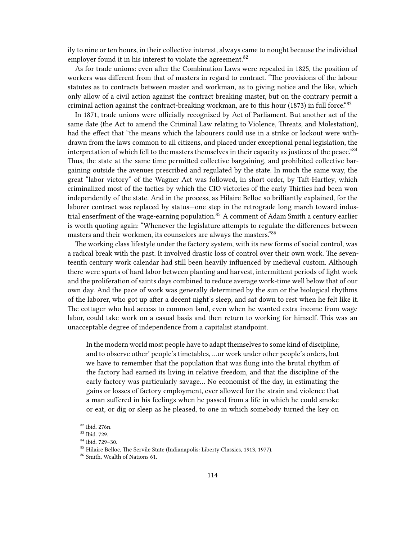ily to nine or ten hours, in their collective interest, always came to nought because the individual employer found it in his interest to violate the agreement.<sup>82</sup>

As for trade unions: even after the Combination Laws were repealed in 1825, the position of workers was different from that of masters in regard to contract. "The provisions of the labour statutes as to contracts between master and workman, as to giving notice and the like, which only allow of a civil action against the contract breaking master, but on the contrary permit a criminal action against the contract-breaking workman, are to this hour (1873) in full force."<sup>83</sup>

In 1871, trade unions were officially recognized by Act of Parliament. But another act of the same date (the Act to amend the Criminal Law relating to Violence, Threats, and Molestation), had the effect that "the means which the labourers could use in a strike or lockout were withdrawn from the laws common to all citizens, and placed under exceptional penal legislation, the interpretation of which fell to the masters themselves in their capacity as justices of the peace. <sup>"84</sup> Thus, the state at the same time permitted collective bargaining, and prohibited collective bargaining outside the avenues prescribed and regulated by the state. In much the same way, the great "labor victory" of the Wagner Act was followed, in short order, by Taft-Hartley, which criminalized most of the tactics by which the CIO victories of the early Thirties had been won independently of the state. And in the process, as Hilaire Belloc so brilliantly explained, for the laborer contract was replaced by status—one step in the retrograde long march toward industrial enserfment of the wage-earning population.<sup>85</sup> A comment of Adam Smith a century earlier is worth quoting again: "Whenever the legislature attempts to regulate the differences between masters and their workmen, its counselors are always the masters. <sup>86</sup>

The working class lifestyle under the factory system, with its new forms of social control, was a radical break with the past. It involved drastic loss of control over their own work. The seventeenth century work calendar had still been heavily influenced by medieval custom. Although there were spurts of hard labor between planting and harvest, intermittent periods of light work and the proliferation of saints days combined to reduce average work-time well below that of our own day. And the pace of work was generally determined by the sun or the biological rhythms of the laborer, who got up after a decent night's sleep, and sat down to rest when he felt like it. The cottager who had access to common land, even when he wanted extra income from wage labor, could take work on a casual basis and then return to working for himself. This was an unacceptable degree of independence from a capitalist standpoint.

In the modern world most people have to adapt themselves to some kind of discipline, and to observe other' people's timetables, …or work under other people's orders, but we have to remember that the population that was flung into the brutal rhythm of the factory had earned its living in relative freedom, and that the discipline of the early factory was particularly savage… No economist of the day, in estimating the gains or losses of factory employment, ever allowed for the strain and violence that a man suffered in his feelings when he passed from a life in which he could smoke or eat, or dig or sleep as he pleased, to one in which somebody turned the key on

 $32$  Ibid. 276n.

<sup>83</sup> Ibid. 729.

<sup>84</sup> Ibid. 729–30.

<sup>&</sup>lt;sup>85</sup> Hilaire Belloc, The Servile State (Indianapolis: Liberty Classics, 1913, 1977).

<sup>86</sup> Smith, Wealth of Nations 61.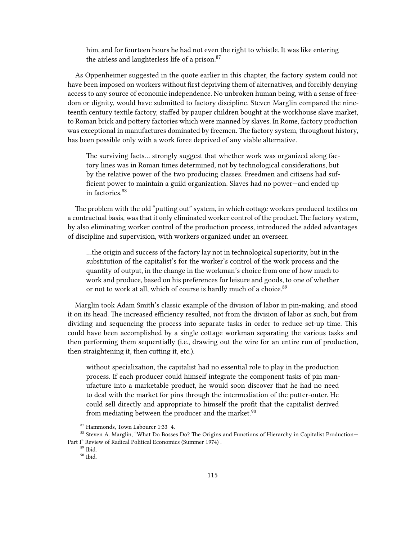him, and for fourteen hours he had not even the right to whistle. It was like entering the airless and laughterless life of a prison.<sup>87</sup>

As Oppenheimer suggested in the quote earlier in this chapter, the factory system could not have been imposed on workers without first depriving them of alternatives, and forcibly denying access to any source of economic independence. No unbroken human being, with a sense of freedom or dignity, would have submitted to factory discipline. Steven Marglin compared the nineteenth century textile factory, staffed by pauper children bought at the workhouse slave market, to Roman brick and pottery factories which were manned by slaves. In Rome, factory production was exceptional in manufactures dominated by freemen. The factory system, throughout history, has been possible only with a work force deprived of any viable alternative.

The surviving facts… strongly suggest that whether work was organized along factory lines was in Roman times determined, not by technological considerations, but by the relative power of the two producing classes. Freedmen and citizens had sufficient power to maintain a guild organization. Slaves had no power—and ended up in factories.<sup>88</sup>

The problem with the old "putting out" system, in which cottage workers produced textiles on a contractual basis, was that it only eliminated worker control of the product. The factory system, by also eliminating worker control of the production process, introduced the added advantages of discipline and supervision, with workers organized under an overseer.

…the origin and success of the factory lay not in technological superiority, but in the substitution of the capitalist's for the worker's control of the work process and the quantity of output, in the change in the workman's choice from one of how much to work and produce, based on his preferences for leisure and goods, to one of whether or not to work at all, which of course is hardly much of a choice.<sup>89</sup>

Marglin took Adam Smith's classic example of the division of labor in pin-making, and stood it on its head. The increased efficiency resulted, not from the division of labor as such, but from dividing and sequencing the process into separate tasks in order to reduce set-up time. This could have been accomplished by a single cottage workman separating the various tasks and then performing them sequentially (i.e., drawing out the wire for an entire run of production, then straightening it, then cutting it, etc.).

without specialization, the capitalist had no essential role to play in the production process. If each producer could himself integrate the component tasks of pin manufacture into a marketable product, he would soon discover that he had no need to deal with the market for pins through the intermediation of the putter-outer. He could sell directly and appropriate to himself the profit that the capitalist derived from mediating between the producer and the market.<sup>90</sup>

<sup>87</sup> Hammonds, Town Labourer 1:33–4.

<sup>88</sup> Steven A. Marglin, "What Do Bosses Do? The Origins and Functions of Hierarchy in Capitalist Production-Part I" Review of Radical Political Economics (Summer 1974) .

 $89$  Ibid.

 $90$  Ibid.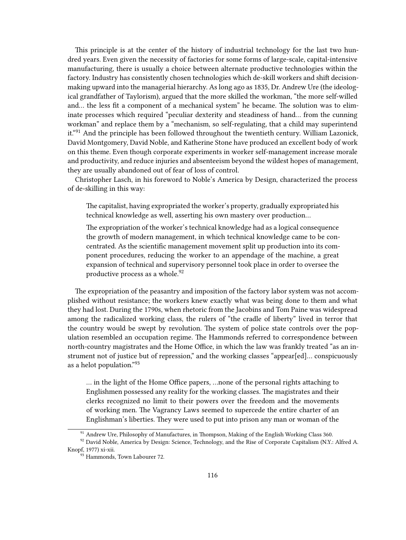This principle is at the center of the history of industrial technology for the last two hundred years. Even given the necessity of factories for some forms of large-scale, capital-intensive manufacturing, there is usually a choice between alternate productive technologies within the factory. Industry has consistently chosen technologies which de-skill workers and shift decisionmaking upward into the managerial hierarchy. As long ago as 1835, Dr. Andrew Ure (the ideological grandfather of Taylorism), argued that the more skilled the workman, "the more self-willed and… the less fit a component of a mechanical system" he became. The solution was to eliminate processes which required "peculiar dexterity and steadiness of hand… from the cunning workman" and replace them by a "mechanism, so self-regulating, that a child may superintend it."91 And the principle has been followed throughout the twentieth century. William Lazonick, David Montgomery, David Noble, and Katherine Stone have produced an excellent body of work on this theme. Even though corporate experiments in worker self-management increase morale and productivity, and reduce injuries and absenteeism beyond the wildest hopes of management, they are usually abandoned out of fear of loss of control.

Christopher Lasch, in his foreword to Noble's America by Design, characterized the process of de-skilling in this way:

The capitalist, having expropriated the worker's property, gradually expropriated his technical knowledge as well, asserting his own mastery over production…

The expropriation of the worker's technical knowledge had as a logical consequence the growth of modern management, in which technical knowledge came to be concentrated. As the scientific management movement split up production into its component procedures, reducing the worker to an appendage of the machine, a great expansion of technical and supervisory personnel took place in order to oversee the productive process as a whole.<sup>92</sup>

The expropriation of the peasantry and imposition of the factory labor system was not accomplished without resistance; the workers knew exactly what was being done to them and what they had lost. During the 1790s, when rhetoric from the Jacobins and Tom Paine was widespread among the radicalized working class, the rulers of "the cradle of liberty" lived in terror that the country would be swept by revolution. The system of police state controls over the population resembled an occupation regime. The Hammonds referred to correspondence between north-country magistrates and the Home Office, in which the law was frankly treated "as an instrument not of justice but of repression," and the working classes "appear[ed]… conspicuously as a helot population."<sup>93</sup>

… in the light of the Home Office papers, …none of the personal rights attaching to Englishmen possessed any reality for the working classes. The magistrates and their clerks recognized no limit to their powers over the freedom and the movements of working men. The Vagrancy Laws seemed to supercede the entire charter of an Englishman's liberties. They were used to put into prison any man or woman of the

 $^{91}$  Andrew Ure, Philosophy of Manufactures, in Thompson, Making of the English Working Class 360.

 $92$  David Noble, America by Design: Science, Technology, and the Rise of Corporate Capitalism (N.Y.: Alfred A. Knopf, 1977) xi-xii.

<sup>&</sup>lt;sup>93</sup> Hammonds, Town Labourer 72.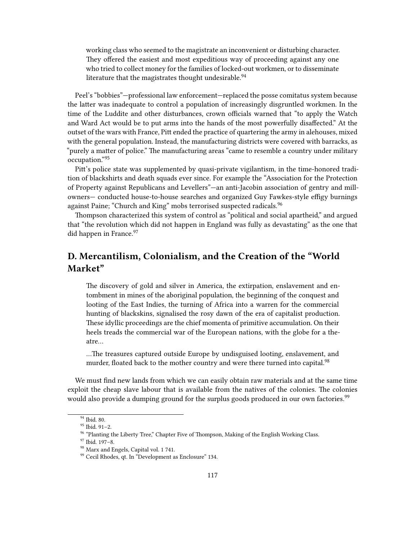working class who seemed to the magistrate an inconvenient or disturbing character. They offered the easiest and most expeditious way of proceeding against any one who tried to collect money for the families of locked-out workmen, or to disseminate literature that the magistrates thought undesirable. $94$ 

Peel's "bobbies"—professional law enforcement—replaced the posse comitatus system because the latter was inadequate to control a population of increasingly disgruntled workmen. In the time of the Luddite and other disturbances, crown officials warned that "to apply the Watch and Ward Act would be to put arms into the hands of the most powerfully disaffected." At the outset of the wars with France, Pitt ended the practice of quartering the army in alehouses, mixed with the general population. Instead, the manufacturing districts were covered with barracks, as "purely a matter of police." The manufacturing areas "came to resemble a country under military occupation."<sup>95</sup>

Pitt's police state was supplemented by quasi-private vigilantism, in the time-honored tradition of blackshirts and death squads ever since. For example the "Association for the Protection of Property against Republicans and Levellers"—an anti-Jacobin association of gentry and millowners— conducted house-to-house searches and organized Guy Fawkes-style effigy burnings against Paine; "Church and King" mobs terrorised suspected radicals.<sup>96</sup>

Thompson characterized this system of control as "political and social apartheid," and argued that "the revolution which did not happen in England was fully as devastating" as the one that did happen in France.<sup>97</sup>

### **D. Mercantilism, Colonialism, and the Creation of the "World Market"**

The discovery of gold and silver in America, the extirpation, enslavement and entombment in mines of the aboriginal population, the beginning of the conquest and looting of the East Indies, the turning of Africa into a warren for the commercial hunting of blackskins, signalised the rosy dawn of the era of capitalist production. These idyllic proceedings are the chief momenta of primitive accumulation. On their heels treads the commercial war of the European nations, with the globe for a theatre…

…The treasures captured outside Europe by undisguised looting, enslavement, and murder, floated back to the mother country and were there turned into capital.<sup>98</sup>

We must find new lands from which we can easily obtain raw materials and at the same time exploit the cheap slave labour that is available from the natives of the colonies. The colonies would also provide a dumping ground for the surplus goods produced in our own factories.<sup>99</sup>

<sup>94</sup> Ibid. 80.

<sup>95</sup> Ibid. 91–2.

<sup>&</sup>lt;sup>96</sup> "Planting the Liberty Tree," Chapter Five of Thompson, Making of the English Working Class.

<sup>97</sup> Ibid. 197–8.

<sup>98</sup> Marx and Engels, Capital vol. 1 741.

<sup>99</sup> Cecil Rhodes, qt. In "Development as Enclosure" 134.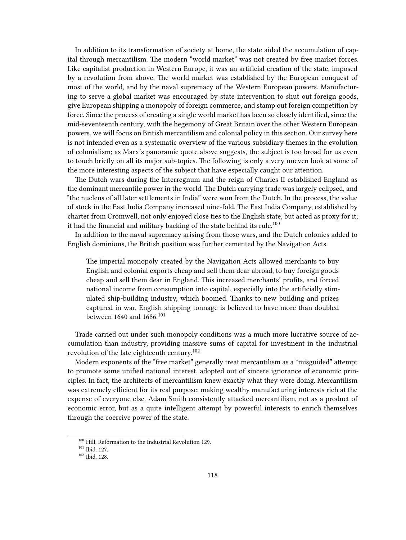In addition to its transformation of society at home, the state aided the accumulation of capital through mercantilism. The modern "world market" was not created by free market forces. Like capitalist production in Western Europe, it was an artificial creation of the state, imposed by a revolution from above. The world market was established by the European conquest of most of the world, and by the naval supremacy of the Western European powers. Manufacturing to serve a global market was encouraged by state intervention to shut out foreign goods, give European shipping a monopoly of foreign commerce, and stamp out foreign competition by force. Since the process of creating a single world market has been so closely identified, since the mid-seventeenth century, with the hegemony of Great Britain over the other Western European powers, we will focus on British mercantilism and colonial policy in this section. Our survey here is not intended even as a systematic overview of the various subsidiary themes in the evolution of colonialism; as Marx's panoramic quote above suggests, the subject is too broad for us even to touch briefly on all its major sub-topics. The following is only a very uneven look at some of the more interesting aspects of the subject that have especially caught our attention.

The Dutch wars during the Interregnum and the reign of Charles II established England as the dominant mercantile power in the world. The Dutch carrying trade was largely eclipsed, and "the nucleus of all later settlements in India" were won from the Dutch. In the process, the value of stock in the East India Company increased nine-fold. The East India Company, established by charter from Cromwell, not only enjoyed close ties to the English state, but acted as proxy for it; it had the financial and military backing of the state behind its rule.<sup>100</sup>

In addition to the naval supremacy arising from those wars, and the Dutch colonies added to English dominions, the British position was further cemented by the Navigation Acts.

The imperial monopoly created by the Navigation Acts allowed merchants to buy English and colonial exports cheap and sell them dear abroad, to buy foreign goods cheap and sell them dear in England. This increased merchants' profits, and forced national income from consumption into capital, especially into the artificially stimulated ship-building industry, which boomed. Thanks to new building and prizes captured in war, English shipping tonnage is believed to have more than doubled between 1640 and 1686<sup>101</sup>

Trade carried out under such monopoly conditions was a much more lucrative source of accumulation than industry, providing massive sums of capital for investment in the industrial revolution of the late eighteenth century.<sup>102</sup>

Modern exponents of the "free market" generally treat mercantilism as a "misguided" attempt to promote some unified national interest, adopted out of sincere ignorance of economic principles. In fact, the architects of mercantilism knew exactly what they were doing. Mercantilism was extremely efficient for its real purpose: making wealthy manufacturing interests rich at the expense of everyone else. Adam Smith consistently attacked mercantilism, not as a product of economic error, but as a quite intelligent attempt by powerful interests to enrich themselves through the coercive power of the state.

<sup>100</sup> Hill, Reformation to the Industrial Revolution 129.

<sup>101</sup> Ibid. 127.

<sup>102</sup> Ibid. 128.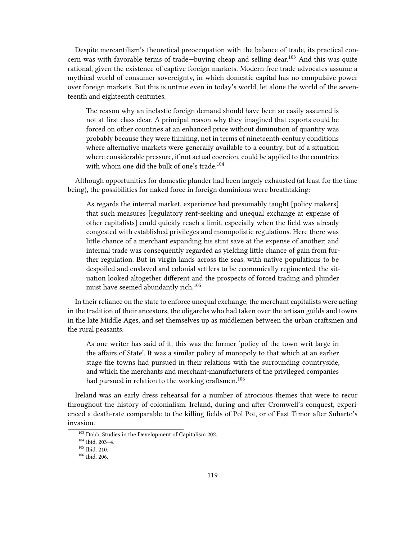Despite mercantilism's theoretical preoccupation with the balance of trade, its practical concern was with favorable terms of trade—buying cheap and selling dear.<sup>103</sup> And this was quite rational, given the existence of captive foreign markets. Modern free trade advocates assume a mythical world of consumer sovereignty, in which domestic capital has no compulsive power over foreign markets. But this is untrue even in today's world, let alone the world of the seventeenth and eighteenth centuries.

The reason why an inelastic foreign demand should have been so easily assumed is not at first class clear. A principal reason why they imagined that exports could be forced on other countries at an enhanced price without diminution of quantity was probably because they were thinking, not in terms of nineteenth-century conditions where alternative markets were generally available to a country, but of a situation where considerable pressure, if not actual coercion, could be applied to the countries with whom one did the bulk of one's trade.<sup>104</sup>

Although opportunities for domestic plunder had been largely exhausted (at least for the time being), the possibilities for naked force in foreign dominions were breathtaking:

As regards the internal market, experience had presumably taught [policy makers] that such measures [regulatory rent-seeking and unequal exchange at expense of other capitalists] could quickly reach a limit, especially when the field was already congested with established privileges and monopolistic regulations. Here there was little chance of a merchant expanding his stint save at the expense of another; and internal trade was consequently regarded as yielding little chance of gain from further regulation. But in virgin lands across the seas, with native populations to be despoiled and enslaved and colonial settlers to be economically regimented, the situation looked altogether different and the prospects of forced trading and plunder must have seemed abundantly rich.<sup>105</sup>

In their reliance on the state to enforce unequal exchange, the merchant capitalists were acting in the tradition of their ancestors, the oligarchs who had taken over the artisan guilds and towns in the late Middle Ages, and set themselves up as middlemen between the urban craftsmen and the rural peasants.

As one writer has said of it, this was the former 'policy of the town writ large in the affairs of State'. It was a similar policy of monopoly to that which at an earlier stage the towns had pursued in their relations with the surrounding countryside, and which the merchants and merchant-manufacturers of the privileged companies had pursued in relation to the working craftsmen.<sup>106</sup>

Ireland was an early dress rehearsal for a number of atrocious themes that were to recur throughout the history of colonialism. Ireland, during and after Cromwell's conquest, experienced a death-rate comparable to the killing fields of Pol Pot, or of East Timor after Suharto's invasion.

<sup>&</sup>lt;sup>103</sup> Dobb, Studies in the Development of Capitalism 202.

<sup>104</sup> Ibid. 203–4.

<sup>105</sup> Ibid. 210.

<sup>106</sup> Ibid. 206.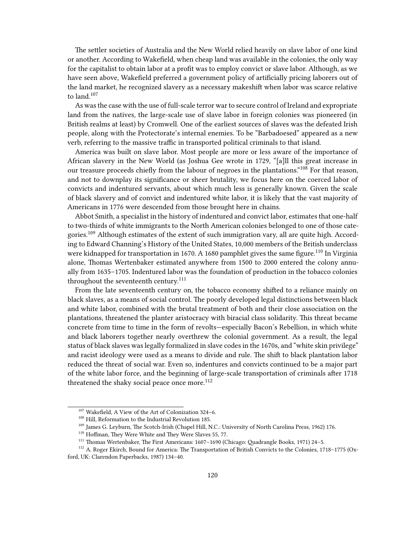The settler societies of Australia and the New World relied heavily on slave labor of one kind or another. According to Wakefield, when cheap land was available in the colonies, the only way for the capitalist to obtain labor at a profit was to employ convict or slave labor. Although, as we have seen above, Wakefield preferred a government policy of artificially pricing laborers out of the land market, he recognized slavery as a necessary makeshift when labor was scarce relative to land. $107$ 

As was the case with the use of full-scale terror war to secure control of Ireland and expropriate land from the natives, the large-scale use of slave labor in foreign colonies was pioneered (in British realms at least) by Cromwell. One of the earliest sources of slaves was the defeated Irish people, along with the Protectorate's internal enemies. To be "Barbadoesed" appeared as a new verb, referring to the massive traffic in transported political criminals to that island.

America was built on slave labor. Most people are more or less aware of the importance of African slavery in the New World (as Joshua Gee wrote in 1729, "[a]ll this great increase in our treasure proceeds chiefly from the labour of negroes in the plantations.<sup>"108</sup> For that reason, and not to downplay its significance or sheer brutality, we focus here on the coerced labor of convicts and indentured servants, about which much less is generally known. Given the scale of black slavery and of convict and indentured white labor, it is likely that the vast majority of Americans in 1776 were descended from those brought here in chains.

Abbot Smith, a specialist in the history of indentured and convict labor, estimates that one-half to two-thirds of white immigrants to the North American colonies belonged to one of those categories.<sup>109</sup> Although estimates of the extent of such immigration vary, all are quite high. According to Edward Channing's History of the United States, 10,000 members of the British underclass were kidnapped for transportation in 1670. A 1680 pamphlet gives the same figure.<sup>110</sup> In Virginia alone, Thomas Wertenbaker estimated anywhere from 1500 to 2000 entered the colony annually from 1635–1705. Indentured labor was the foundation of production in the tobacco colonies throughout the seventeenth century.<sup>111</sup>

From the late seventeenth century on, the tobacco economy shifted to a reliance mainly on black slaves, as a means of social control. The poorly developed legal distinctions between black and white labor, combined with the brutal treatment of both and their close association on the plantations, threatened the planter aristocracy with biracial class solidarity. This threat became concrete from time to time in the form of revolts—especially Bacon's Rebellion, in which white and black laborers together nearly overthrew the colonial government. As a result, the legal status of black slaves was legally formalized in slave codes in the 1670s, and "white skin privilege" and racist ideology were used as a means to divide and rule. The shift to black plantation labor reduced the threat of social war. Even so, indentures and convicts continued to be a major part of the white labor force, and the beginning of large-scale transportation of criminals after 1718 threatened the shaky social peace once more. $112$ 

<sup>107</sup> Wakefield, A View of the Art of Colonization 324–6.

 $^{108}$  Hill, Reformation to the Industrial Revolution 185.

<sup>109</sup> James G. Leyburn, The Scotch-Irish (Chapel Hill, N.C.: University of North Carolina Press, 1962) 176.

<sup>&</sup>lt;sup>110</sup> Hoffman, They Were White and They Were Slaves 55, 77.

<sup>111</sup> Thomas Wertenbaker, The First Americans: 1607–1690 (Chicago: Quadrangle Books, 1971) 24–5.

<sup>&</sup>lt;sup>112</sup> A. Roger Ekirch, Bound for America: The Transportation of British Convicts to the Colonies, 1718–1775 (Oxford, UK: Clarendon Paperbacks, 1987) 134–40.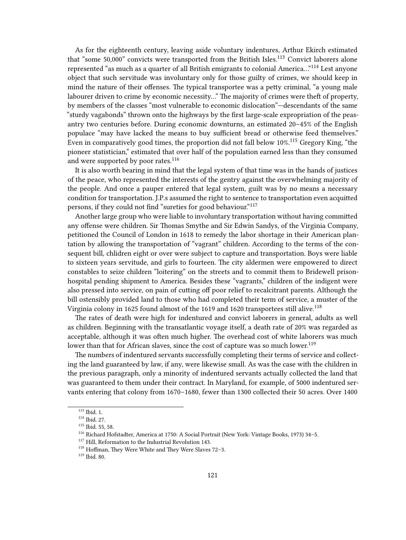As for the eighteenth century, leaving aside voluntary indentures, Arthur Ekirch estimated that "some 50,000" convicts were transported from the British Isles.<sup>113</sup> Convict laborers alone represented "as much as a quarter of all British emigrants to colonial America…"<sup>114</sup> Lest anyone object that such servitude was involuntary only for those guilty of crimes, we should keep in mind the nature of their offenses. The typical transportee was a petty criminal, "a young male labourer driven to crime by economic necessity…" The majority of crimes were theft of property, by members of the classes "most vulnerable to economic dislocation"—descendants of the same "sturdy vagabonds" thrown onto the highways by the first large-scale expropriation of the peasantry two centuries before. During economic downturns, an estimated 20–45% of the English populace "may have lacked the means to buy sufficient bread or otherwise feed themselves." Even in comparatively good times, the proportion did not fall below  $10\%$ <sup>115</sup> Gregory King, "the pioneer statistician," estimated that over half of the population earned less than they consumed and were supported by poor rates.<sup>116</sup>

It is also worth bearing in mind that the legal system of that time was in the hands of justices of the peace, who represented the interests of the gentry against the overwhelming majority of the people. And once a pauper entered that legal system, guilt was by no means a necessary condition for transportation. J.P.s assumed the right to sentence to transportation even acquitted persons, if they could not find "sureties for good behaviour."<sup>117</sup>

Another large group who were liable to involuntary transportation without having committed any offense were children. Sir Thomas Smythe and Sir Edwin Sandys, of the Virginia Company, petitioned the Council of London in 1618 to remedy the labor shortage in their American plantation by allowing the transportation of "vagrant" children. According to the terms of the consequent bill, chlidren eight or over were subject to capture and transportation. Boys were liable to sixteen years servitude, and girls to fourteen. The city aldermen were empowered to direct constables to seize children "loitering" on the streets and to commit them to Bridewell prisonhospital pending shipment to America. Besides these "vagrants," children of the indigent were also pressed into service, on pain of cutting off poor relief to recalcitrant parents. Although the bill ostensibly provided land to those who had completed their term of service, a muster of the Virginia colony in 1625 found almost of the 1619 and 1620 transportees still alive.<sup>118</sup>

The rates of death were high for indentured and convict laborers in general, adults as well as children. Beginning with the transatlantic voyage itself, a death rate of 20% was regarded as acceptable, although it was often much higher. The overhead cost of white laborers was much lower than that for African slaves, since the cost of capture was so much lower.<sup>119</sup>

The numbers of indentured servants successfully completing their terms of service and collecting the land guaranteed by law, if any, were likewise small. As was the case with the children in the previous paragraph, only a minority of indentured servants actually collected the land that was guaranteed to them under their contract. In Maryland, for example, of 5000 indentured servants entering that colony from 1670–1680, fewer than 1300 collected their 50 acres. Over 1400

<sup>113</sup> Ibid. 1.

<sup>114</sup> Ibid. 27.

<sup>115</sup> Ibid. 55, 58.

<sup>116</sup> Richard Hofstadter, America at 1750: A Social Portrait (New York: Vintage Books, 1973) 34–5.

<sup>&</sup>lt;sup>117</sup> Hill, Reformation to the Industrial Revolution 143.

<sup>118</sup> Hoffman, They Were White and They Were Slaves 72–3.

<sup>119</sup> Ibid. 80.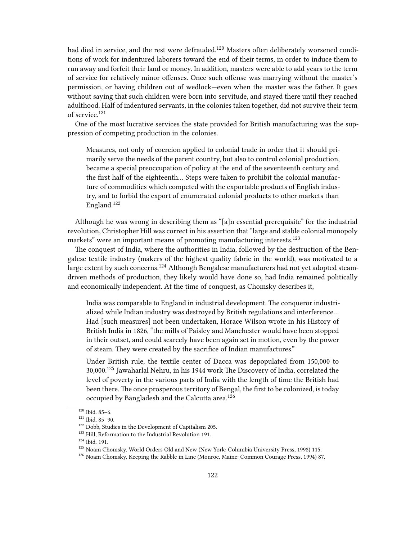had died in service, and the rest were defrauded.<sup>120</sup> Masters often deliberately worsened conditions of work for indentured laborers toward the end of their terms, in order to induce them to run away and forfeit their land or money. In addition, masters were able to add years to the term of service for relatively minor offenses. Once such offense was marrying without the master's permission, or having children out of wedlock—even when the master was the father. It goes without saying that such children were born into servitude, and stayed there until they reached adulthood. Half of indentured servants, in the colonies taken together, did not survive their term of service.<sup>121</sup>

One of the most lucrative services the state provided for British manufacturing was the suppression of competing production in the colonies.

Measures, not only of coercion applied to colonial trade in order that it should primarily serve the needs of the parent country, but also to control colonial production, became a special preoccupation of policy at the end of the seventeenth century and the first half of the eighteenth… Steps were taken to prohibit the colonial manufacture of commodities which competed with the exportable products of English industry, and to forbid the export of enumerated colonial products to other markets than England.<sup>122</sup>

Although he was wrong in describing them as "[a]n essential prerequisite" for the industrial revolution, Christopher Hill was correct in his assertion that "large and stable colonial monopoly markets" were an important means of promoting manufacturing interests.<sup>123</sup>

The conquest of India, where the authorities in India, followed by the destruction of the Bengalese textile industry (makers of the highest quality fabric in the world), was motivated to a large extent by such concerns.<sup>124</sup> Although Bengalese manufacturers had not yet adopted steamdriven methods of production, they likely would have done so, had India remained politically and economically independent. At the time of conquest, as Chomsky describes it,

India was comparable to England in industrial development. The conqueror industrialized while Indian industry was destroyed by British regulations and interference… Had [such measures] not been undertaken, Horace Wilson wrote in his History of British India in 1826, "the mills of Paisley and Manchester would have been stopped in their outset, and could scarcely have been again set in motion, even by the power of steam. They were created by the sacrifice of Indian manufactures."

Under British rule, the textile center of Dacca was depopulated from 150,000 to 30,000.<sup>125</sup> Jawaharlal Nehru, in his 1944 work The Discovery of India, correlated the level of poverty in the various parts of India with the length of time the British had been there. The once prosperous territory of Bengal, the first to be colonized, is today occupied by Bangladesh and the Calcutta area.<sup>126</sup>

 $120$  Ibid. 85-6.

<sup>121</sup> Ibid. 85–90.

<sup>122</sup> Dobb, Studies in the Development of Capitalism 205.

<sup>&</sup>lt;sup>123</sup> Hill, Reformation to the Industrial Revolution 191.

<sup>124</sup> Ibid. 191.

<sup>125</sup> Noam Chomsky, World Orders Old and New (New York: Columbia University Press, 1998) 115.

<sup>126</sup> Noam Chomsky, Keeping the Rabble in Line (Monroe, Maine: Common Courage Press, 1994) 87.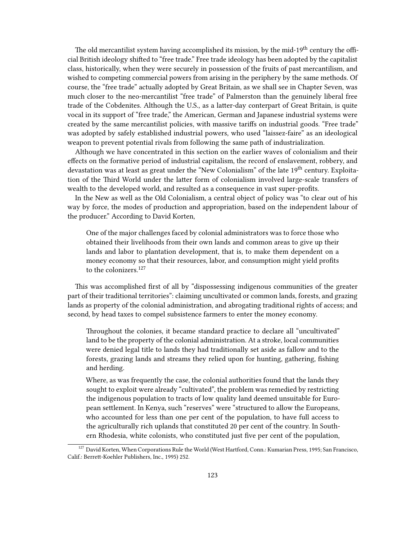The old mercantilist system having accomplished its mission, by the mid-19<sup>th</sup> century the official British ideology shifted to "free trade." Free trade ideology has been adopted by the capitalist class, historically, when they were securely in possession of the fruits of past mercantilism, and wished to competing commercial powers from arising in the periphery by the same methods. Of course, the "free trade" actually adopted by Great Britain, as we shall see in Chapter Seven, was much closer to the neo-mercantilist "free trade" of Palmerston than the genuinely liberal free trade of the Cobdenites. Although the U.S., as a latter-day conterpart of Great Britain, is quite vocal in its support of "free trade," the American, German and Japanese industrial systems were created by the same mercantilist policies, with massive tariffs on industrial goods. "Free trade" was adopted by safely established industrial powers, who used "laissez-faire" as an ideological weapon to prevent potential rivals from following the same path of industrialization.

Although we have concentrated in this section on the earlier waves of colonialism and their effects on the formative period of industrial capitalism, the record of enslavement, robbery, and devastation was at least as great under the "New Colonialism" of the late 19<sup>th</sup> century. Exploitation of the Third World under the latter form of colonialism involved large-scale transfers of wealth to the developed world, and resulted as a consequence in vast super-profits.

In the New as well as the Old Colonialism, a central object of policy was "to clear out of his way by force, the modes of production and appropriation, based on the independent labour of the producer." According to David Korten,

One of the major challenges faced by colonial administrators was to force those who obtained their livelihoods from their own lands and common areas to give up their lands and labor to plantation development, that is, to make them dependent on a money economy so that their resources, labor, and consumption might yield profits to the colonizers.<sup>127</sup>

This was accomplished first of all by "dispossessing indigenous communities of the greater part of their traditional territories": claiming uncultivated or common lands, forests, and grazing lands as property of the colonial administration, and abrogating traditional rights of access; and second, by head taxes to compel subsistence farmers to enter the money economy.

Throughout the colonies, it became standard practice to declare all "uncultivated" land to be the property of the colonial administration. At a stroke, local communities were denied legal title to lands they had traditionally set aside as fallow and to the forests, grazing lands and streams they relied upon for hunting, gathering, fishing and herding.

Where, as was frequently the case, the colonial authorities found that the lands they sought to exploit were already "cultivated", the problem was remedied by restricting the indigenous population to tracts of low quality land deemed unsuitable for European settlement. In Kenya, such "reserves" were "structured to allow the Europeans, who accounted for less than one per cent of the population, to have full access to the agriculturally rich uplands that constituted 20 per cent of the country. In Southern Rhodesia, white colonists, who constituted just five per cent of the population,

<sup>&</sup>lt;sup>127</sup> David Korten, When Corporations Rule the World (West Hartford, Conn.: Kumarian Press, 1995; San Francisco, Calif.: Berrett-Koehler Publishers, Inc., 1995) 252.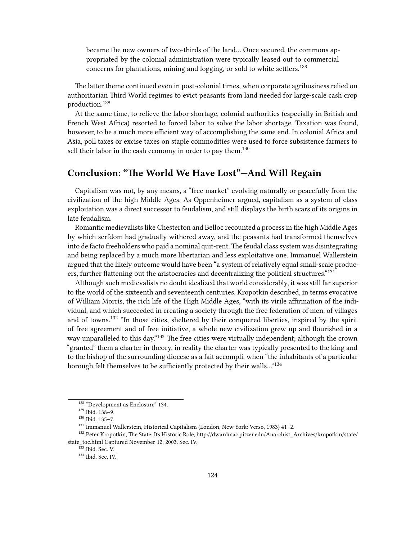became the new owners of two-thirds of the land… Once secured, the commons appropriated by the colonial administration were typically leased out to commercial concerns for plantations, mining and logging, or sold to white settlers.<sup>128</sup>

The latter theme continued even in post-colonial times, when corporate agribusiness relied on authoritarian Third World regimes to evict peasants from land needed for large-scale cash crop production.<sup>129</sup>

At the same time, to relieve the labor shortage, colonial authorities (especially in British and French West Africa) resorted to forced labor to solve the labor shortage. Taxation was found, however, to be a much more efficient way of accomplishing the same end. In colonial Africa and Asia, poll taxes or excise taxes on staple commodities were used to force subsistence farmers to sell their labor in the cash economy in order to pay them.<sup>130</sup>

#### **Conclusion: "The World We Have Lost"—And Will Regain**

Capitalism was not, by any means, a "free market" evolving naturally or peacefully from the civilization of the high Middle Ages. As Oppenheimer argued, capitalism as a system of class exploitation was a direct successor to feudalism, and still displays the birth scars of its origins in late feudalism.

Romantic medievalists like Chesterton and Belloc recounted a process in the high Middle Ages by which serfdom had gradually withered away, and the peasants had transformed themselves into de facto freeholders who paid a nominal quit-rent. The feudal class system was disintegrating and being replaced by a much more libertarian and less exploitative one. Immanuel Wallerstein argued that the likely outcome would have been "a system of relatively equal small-scale producers, further flattening out the aristocracies and decentralizing the political structures."<sup>131</sup>

Although such medievalists no doubt idealized that world considerably, it was still far superior to the world of the sixteenth and seventeenth centuries. Kropotkin described, in terms evocative of William Morris, the rich life of the High Middle Ages, "with its virile affirmation of the individual, and which succeeded in creating a society through the free federation of men, of villages and of towns.<sup>132</sup> "In those cities, sheltered by their conquered liberties, inspired by the spirit of free agreement and of free initiative, a whole new civilization grew up and flourished in a way unparalleled to this day.<sup>"133</sup> The free cities were virtually independent; although the crown "granted" them a charter in theory, in reality the charter was typically presented to the king and to the bishop of the surrounding diocese as a fait accompli, when "the inhabitants of a particular borough felt themselves to be sufficiently protected by their walls…"<sup>134</sup>

<sup>&</sup>lt;sup>128</sup> "Development as Enclosure" 134.

<sup>129</sup> Ibid. 138–9.

<sup>130</sup> Ibid. 135–7.

<sup>131</sup> Immanuel Wallerstein, Historical Capitalism (London, New York: Verso, 1983) 41–2.

 $^{132}$  Peter Kropotkin, The State: Its Historic Role, [http://dwardmac.pitzer.edu/Anarchist\\_Archives/kropotkin/state/](http://dwardmac.pitzer.edu/Anarchist_Archives/kropotkin/state/state_toc.html) [state\\_toc.html](http://dwardmac.pitzer.edu/Anarchist_Archives/kropotkin/state/state_toc.html) Captured November 12, 2003. Sec. IV.

 $133$  Ibid. Sec. V.

<sup>&</sup>lt;sup>134</sup> Ibid. Sec. IV.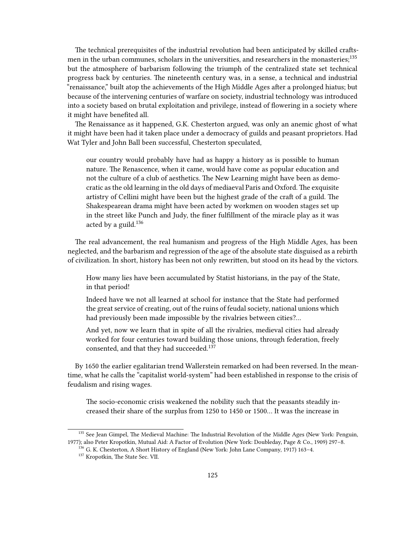The technical prerequisites of the industrial revolution had been anticipated by skilled craftsmen in the urban communes, scholars in the universities, and researchers in the monasteries;<sup>135</sup> but the atmosphere of barbarism following the triumph of the centralized state set technical progress back by centuries. The nineteenth century was, in a sense, a technical and industrial "renaissance," built atop the achievements of the High Middle Ages after a prolonged hiatus; but because of the intervening centuries of warfare on society, industrial technology was introduced into a society based on brutal exploitation and privilege, instead of flowering in a society where it might have benefited all.

The Renaissance as it happened, G.K. Chesterton argued, was only an anemic ghost of what it might have been had it taken place under a democracy of guilds and peasant proprietors. Had Wat Tyler and John Ball been successful, Chesterton speculated,

our country would probably have had as happy a history as is possible to human nature. The Renascence, when it came, would have come as popular education and not the culture of a club of aesthetics. The New Learning might have been as democratic as the old learning in the old days of mediaeval Paris and Oxford. The exquisite artistry of Cellini might have been but the highest grade of the craft of a guild. The Shakespearean drama might have been acted by workmen on wooden stages set up in the street like Punch and Judy, the finer fulfillment of the miracle play as it was acted by a guild.<sup>136</sup>

The real advancement, the real humanism and progress of the High Middle Ages, has been neglected, and the barbarism and regression of the age of the absolute state disguised as a rebirth of civilization. In short, history has been not only rewritten, but stood on its head by the victors.

How many lies have been accumulated by Statist historians, in the pay of the State, in that period!

Indeed have we not all learned at school for instance that the State had performed the great service of creating, out of the ruins of feudal society, national unions which had previously been made impossible by the rivalries between cities?…

And yet, now we learn that in spite of all the rivalries, medieval cities had already worked for four centuries toward building those unions, through federation, freely consented, and that they had succeeded.<sup>137</sup>

By 1650 the earlier egalitarian trend Wallerstein remarked on had been reversed. In the meantime, what he calls the "capitalist world-system" had been established in response to the crisis of feudalism and rising wages.

The socio-economic crisis weakened the nobility such that the peasants steadily increased their share of the surplus from 1250 to 1450 or 1500… It was the increase in

<sup>&</sup>lt;sup>135</sup> See Jean Gimpel, The Medieval Machine: The Industrial Revolution of the Middle Ages (New York: Penguin, 1977); also Peter Kropotkin, Mutual Aid: A Factor of Evolution (New York: Doubleday, Page & Co., 1909) 297–8.

<sup>136</sup> G. K. Chesterton, A Short History of England (New York: John Lane Company, 1917) 163–4.

<sup>&</sup>lt;sup>137</sup> Kropotkin, The State Sec. VII.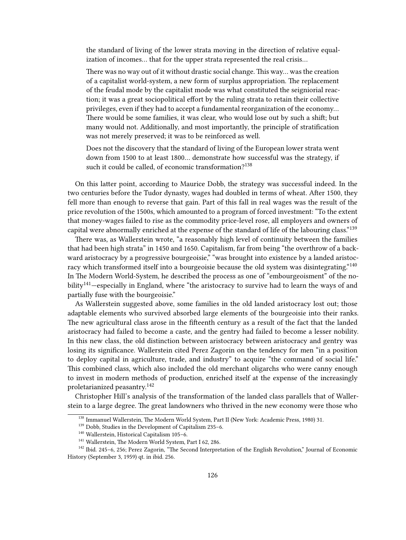the standard of living of the lower strata moving in the direction of relative equalization of incomes… that for the upper strata represented the real crisis…

There was no way out of it without drastic social change. This way… was the creation of a capitalist world-system, a new form of surplus appropriation. The replacement of the feudal mode by the capitalist mode was what constituted the seigniorial reaction; it was a great sociopolitical effort by the ruling strata to retain their collective privileges, even if they had to accept a fundamental reorganization of the economy… There would be some families, it was clear, who would lose out by such a shift; but many would not. Additionally, and most importantly, the principle of stratification was not merely preserved; it was to be reinforced as well.

Does not the discovery that the standard of living of the European lower strata went down from 1500 to at least 1800… demonstrate how successful was the strategy, if such it could be called, of economic transformation?<sup>138</sup>

On this latter point, according to Maurice Dobb, the strategy was successful indeed. In the two centuries before the Tudor dynasty, wages had doubled in terms of wheat. After 1500, they fell more than enough to reverse that gain. Part of this fall in real wages was the result of the price revolution of the 1500s, which amounted to a program of forced investment: "To the extent that money-wages failed to rise as the commodity price-level rose, all employers and owners of capital were abnormally enriched at the expense of the standard of life of the labouring class."<sup>139</sup>

There was, as Wallerstein wrote, "a reasonably high level of continuity between the families that had been high strata" in 1450 and 1650. Capitalism, far from being "the overthrow of a backward aristocracy by a progressive bourgeoisie," "was brought into existence by a landed aristocracy which transformed itself into a bourgeoisie because the old system was disintegrating.<sup>"140</sup> In The Modern World-System, he described the process as one of "embourgeoisment" of the nobility<sup>141</sup> –especially in England, where "the aristocracy to survive had to learn the ways of and partially fuse with the bourgeoisie."

As Wallerstein suggested above, some families in the old landed aristocracy lost out; those adaptable elements who survived absorbed large elements of the bourgeoisie into their ranks. The new agricultural class arose in the fifteenth century as a result of the fact that the landed aristocracy had failed to become a caste, and the gentry had failed to become a lesser nobility. In this new class, the old distinction between aristocracy between aristocracy and gentry was losing its significance. Wallerstein cited Perez Zagorin on the tendency for men "in a position to deploy capital in agriculture, trade, and industry" to acquire "the command of social life." This combined class, which also included the old merchant oligarchs who were canny enough to invest in modern methods of production, enriched itself at the expense of the increasingly proletarianized peasantry.<sup>142</sup>

Christopher Hill's analysis of the transformation of the landed class parallels that of Wallerstein to a large degree. The great landowners who thrived in the new economy were those who

<sup>138</sup> Immanuel Wallerstein, The Modern World System, Part II (New York: Academic Press, 1980) 31.

<sup>139</sup> Dobb, Studies in the Development of Capitalism 235–6.

 $^{140}$  Wallerstein, Historical Capitalism 105–6.

<sup>&</sup>lt;sup>141</sup> Wallerstein, The Modern World System, Part I 62, 286.

<sup>142</sup> Ibid. 245–6, 256; Perez Zagorin, "The Second Interpretation of the English Revolution," Journal of Economic History (September 3, 1959) qt. in ibid. 256.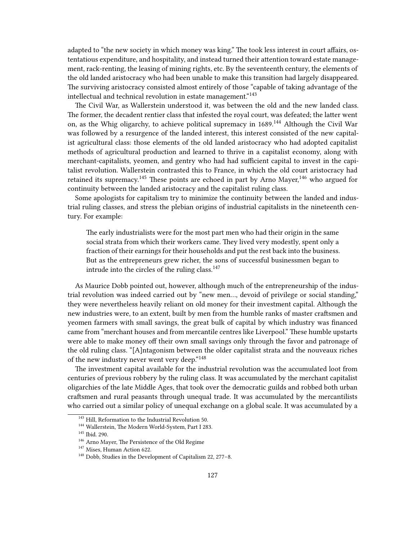adapted to "the new society in which money was king." The took less interest in court affairs, ostentatious expenditure, and hospitality, and instead turned their attention toward estate management, rack-renting, the leasing of mining rights, etc. By the seventeenth century, the elements of the old landed aristocracy who had been unable to make this transition had largely disappeared. The surviving aristocracy consisted almost entirely of those "capable of taking advantage of the intellectual and technical revolution in estate management.<sup>"143</sup>

The Civil War, as Wallerstein understood it, was between the old and the new landed class. The former, the decadent rentier class that infested the royal court, was defeated; the latter went on, as the Whig oligarchy, to achieve political supremacy in 1689.<sup>144</sup> Although the Civil War was followed by a resurgence of the landed interest, this interest consisted of the new capitalist agricultural class: those elements of the old landed aristocracy who had adopted capitalist methods of agricultural production and learned to thrive in a capitalist economy, along with merchant-capitalists, yeomen, and gentry who had had sufficient capital to invest in the capitalist revolution. Wallerstein contrasted this to France, in which the old court aristocracy had retained its supremacy.<sup>145</sup> These points are echoed in part by Arno Mayer,<sup>146</sup> who argued for continuity between the landed aristocracy and the capitalist ruling class.

Some apologists for capitalism try to minimize the continuity between the landed and industrial ruling classes, and stress the plebian origins of industrial capitalists in the nineteenth century. For example:

The early industrialists were for the most part men who had their origin in the same social strata from which their workers came. They lived very modestly, spent only a fraction of their earnings for their households and put the rest back into the business. But as the entrepreneurs grew richer, the sons of successful businessmen began to intrude into the circles of the ruling class.<sup>147</sup>

As Maurice Dobb pointed out, however, although much of the entrepreneurship of the industrial revolution was indeed carried out by "new men…, devoid of privilege or social standing," they were nevertheless heavily reliant on old money for their investment capital. Although the new industries were, to an extent, built by men from the humble ranks of master craftsmen and yeomen farmers with small savings, the great bulk of capital by which industry was financed came from "merchant houses and from mercantile centres like Liverpool." These humble upstarts were able to make money off their own small savings only through the favor and patronage of the old ruling class. "[A]ntagonism between the older capitalist strata and the nouveaux riches of the new industry never went very deep."<sup>148</sup>

The investment capital available for the industrial revolution was the accumulated loot from centuries of previous robbery by the ruling class. It was accumulated by the merchant capitalist oligarchies of the late Middle Ages, that took over the democratic guilds and robbed both urban craftsmen and rural peasants through unequal trade. It was accumulated by the mercantilists who carried out a similar policy of unequal exchange on a global scale. It was accumulated by a

<sup>143</sup> Hill, Reformation to the Industrial Revolution 50.

<sup>144</sup> Wallerstein, The Modern World-System, Part I 283.

<sup>145</sup> Ibid. 290.

<sup>&</sup>lt;sup>146</sup> Arno Mayer, The Persistence of the Old Regime

<sup>147</sup> Mises, Human Action 622.

<sup>148</sup> Dobb, Studies in the Development of Capitalism 22, 277–8.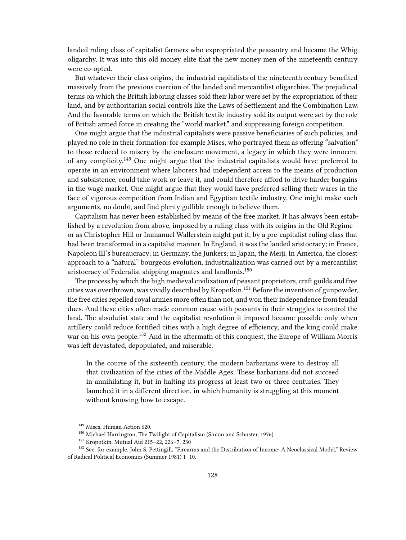landed ruling class of capitalist farmers who expropriated the peasantry and became the Whig oligarchy. It was into this old money elite that the new money men of the nineteenth century were co-opted.

But whatever their class origins, the industrial capitalists of the nineteenth century benefited massively from the previous coercion of the landed and mercantilist oligarchies. The prejudicial terms on which the British laboring classes sold their labor were set by the expropriation of their land, and by authoritarian social controls like the Laws of Settlement and the Combination Law. And the favorable terms on which the British textile industry sold its output were set by the role of British armed force in creating the "world market," and suppressing foreign competition.

One might argue that the industrial capitalists were passive beneficiaries of such policies, and played no role in their formation: for example Mises, who portrayed them as offering "salvation" to those reduced to misery by the enclosure movement, a legacy in which they were innocent of any complicity.<sup>149</sup> One might argue that the industrial capitalists would have preferred to operate in an environment where laborers had independent access to the means of production and subsistence, could take work or leave it, and could therefore afford to drive harder bargains in the wage market. One might argue that they would have preferred selling their wares in the face of vigorous competition from Indian and Egyptian textile industry. One might make such arguments, no doubt, and find plenty gullible enough to believe them.

Capitalism has never been established by means of the free market. It has always been established by a revolution from above, imposed by a ruling class with its origins in the Old Regime or as Christopher Hill or Immanuel Wallerstein might put it, by a pre-capitalist ruling class that had been transformed in a capitalist manner. In England, it was the landed aristocracy; in France, Napoleon III's bureaucracy; in Germany, the Junkers; in Japan, the Meiji. In America, the closest approach to a "natural" bourgeois evolution, industrialization was carried out by a mercantilist aristocracy of Federalist shipping magnates and landlords.<sup>150</sup>

The process by which the high medieval civilization of peasant proprietors, craft guilds and free cities was overthrown, was vividly described by Kropotkin.<sup>151</sup> Before the invention of gunpowder, the free cities repelled royal armies more often than not, and won their independence from feudal dues. And these cities often made common cause with peasants in their struggles to control the land. The absolutist state and the capitalist revolution it imposed became possible only when artillery could reduce fortified cities with a high degree of efficiency, and the king could make war on his own people.<sup>152</sup> And in the aftermath of this conquest, the Europe of William Morris was left devastated, depopulated, and miserable.

In the course of the sixteenth century, the modern barbarians were to destroy all that civilization of the cities of the Middle Ages. These barbarians did not succeed in annihilating it, but in halting its progress at least two or three centuries. They launched it in a different direction, in which humanity is struggling at this moment without knowing how to escape.

<sup>149</sup> Mises, Human Action 620.

<sup>&</sup>lt;sup>150</sup> Michael Harrington, The Twilight of Capitalism (Simon and Schuster, 1976)

<sup>151</sup> Kropotkin, Mutual Aid 215–22, 226–7, 230

<sup>&</sup>lt;sup>152</sup> See, for example, John S. Pettingill, "Firearms and the Distribution of Income: A Neoclassical Model," Review of Radical Political Economics (Summer 1981) 1–10.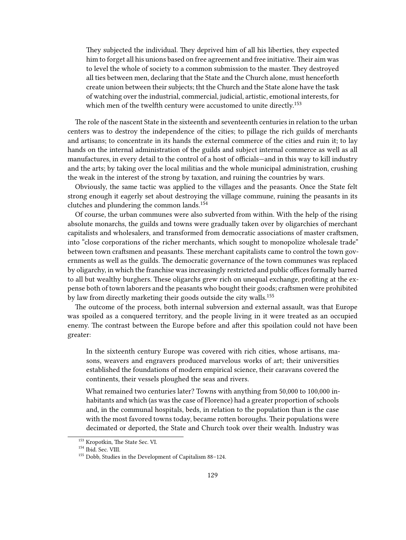They subjected the individual. They deprived him of all his liberties, they expected him to forget all his unions based on free agreement and free initiative. Their aim was to level the whole of society to a common submission to the master. They destroyed all ties between men, declaring that the State and the Church alone, must henceforth create union between their subjects; tht the Church and the State alone have the task of watching over the industrial, commercial, judicial, artistic, emotional interests, for which men of the twelfth century were accustomed to unite directly.<sup>153</sup>

The role of the nascent State in the sixteenth and seventeenth centuries in relation to the urban centers was to destroy the independence of the cities; to pillage the rich guilds of merchants and artisans; to concentrate in its hands the external commerce of the cities and ruin it; to lay hands on the internal administration of the guilds and subject internal commerce as well as all manufactures, in every detail to the control of a host of officials—and in this way to kill industry and the arts; by taking over the local militias and the whole municipal administration, crushing the weak in the interest of the strong by taxation, and ruining the countries by wars.

Obviously, the same tactic was applied to the villages and the peasants. Once the State felt strong enough it eagerly set about destroying the village commune, ruining the peasants in its clutches and plundering the common lands.<sup>154</sup>

Of course, the urban communes were also subverted from within. With the help of the rising absolute monarchs, the guilds and towns were gradually taken over by oligarchies of merchant capitalists and wholesalers, and transformed from democratic associations of master craftsmen, into "close corporations of the richer merchants, which sought to monopolize wholesale trade" between town craftsmen and peasants. These merchant capitalists came to control the town governments as well as the guilds. The democratic governance of the town communes was replaced by oligarchy, in which the franchise was increasingly restricted and public offices formally barred to all but wealthy burghers. These oligarchs grew rich on unequal exchange, profiting at the expense both of town laborers and the peasants who bought their goods; craftsmen were prohibited by law from directly marketing their goods outside the city walls.<sup>155</sup>

The outcome of the process, both internal subversion and external assault, was that Europe was spoiled as a conquered territory, and the people living in it were treated as an occupied enemy. The contrast between the Europe before and after this spoilation could not have been greater:

In the sixteenth century Europe was covered with rich cities, whose artisans, masons, weavers and engravers produced marvelous works of art; their universities established the foundations of modern empirical science, their caravans covered the continents, their vessels ploughed the seas and rivers.

What remained two centuries later? Towns with anything from 50,000 to 100,000 inhabitants and which (as was the case of Florence) had a greater proportion of schools and, in the communal hospitals, beds, in relation to the population than is the case with the most favored towns today, became rotten boroughs. Their populations were decimated or deported, the State and Church took over their wealth. Industry was

<sup>&</sup>lt;sup>153</sup> Kropotkin, The State Sec. VI.

<sup>&</sup>lt;sup>154</sup> Ibid. Sec. VIII.

<sup>155</sup> Dobb, Studies in the Development of Capitalism 88–124.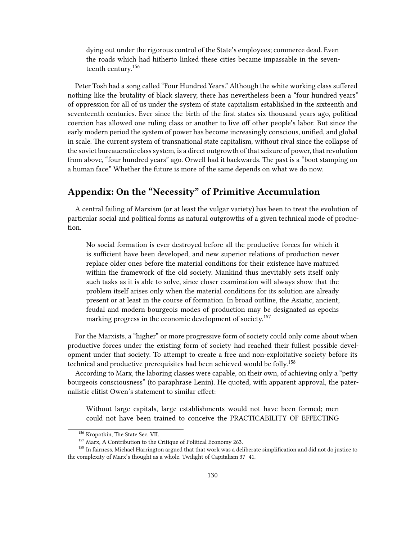dying out under the rigorous control of the State's employees; commerce dead. Even the roads which had hitherto linked these cities became impassable in the seventeenth century.<sup>156</sup>

Peter Tosh had a song called "Four Hundred Years." Although the white working class suffered nothing like the brutality of black slavery, there has nevertheless been a "four hundred years" of oppression for all of us under the system of state capitalism established in the sixteenth and seventeenth centuries. Ever since the birth of the first states six thousand years ago, political coercion has allowed one ruling class or another to live off other people's labor. But since the early modern period the system of power has become increasingly conscious, unified, and global in scale. The current system of transnational state capitalism, without rival since the collapse of the soviet bureaucratic class system, is a direct outgrowth of that seizure of power, that revolution from above, "four hundred years" ago. Orwell had it backwards. The past is a "boot stamping on a human face." Whether the future is more of the same depends on what we do now.

### **Appendix: On the "Necessity" of Primitive Accumulation**

A central failing of Marxism (or at least the vulgar variety) has been to treat the evolution of particular social and political forms as natural outgrowths of a given technical mode of production.

No social formation is ever destroyed before all the productive forces for which it is sufficient have been developed, and new superior relations of production never replace older ones before the material conditions for their existence have matured within the framework of the old society. Mankind thus inevitably sets itself only such tasks as it is able to solve, since closer examination will always show that the problem itself arises only when the material conditions for its solution are already present or at least in the course of formation. In broad outline, the Asiatic, ancient, feudal and modern bourgeois modes of production may be designated as epochs marking progress in the economic development of society.<sup>157</sup>

For the Marxists, a "higher" or more progressive form of society could only come about when productive forces under the existing form of society had reached their fullest possible development under that society. To attempt to create a free and non-exploitative society before its technical and productive prerequisites had been achieved would be folly.<sup>158</sup>

According to Marx, the laboring classes were capable, on their own, of achieving only a "petty bourgeois consciousness" (to paraphrase Lenin). He quoted, with apparent approval, the paternalistic elitist Owen's statement to similar effect:

Without large capitals, large establishments would not have been formed; men could not have been trained to conceive the PRACTICABILITY OF EFFECTING

<sup>156</sup> Kropotkin, The State Sec. VII.

<sup>&</sup>lt;sup>157</sup> Marx, A Contribution to the Critique of Political Economy 263.

 $^{158}$  In fairness, Michael Harrington argued that that work was a deliberate simplification and did not do justice to the complexity of Marx's thought as a whole. Twilight of Capitalism 37–41.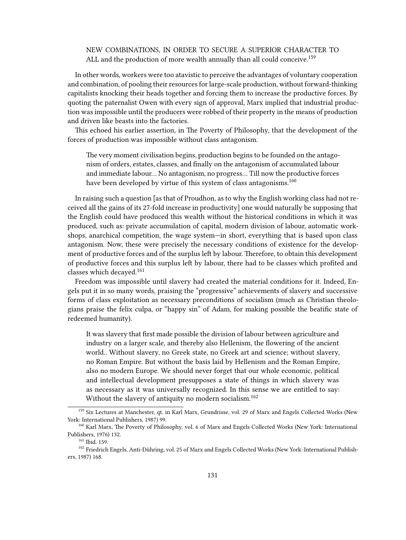#### NEW COMBINATIONS, IN ORDER TO SECURE A SUPERIOR CHARACTER TO ALL and the production of more wealth annually than all could conceive.<sup>159</sup>

In other words, workers were too atavistic to perceive the advantages of voluntary cooperation and combination, of pooling their resources for large-scale production, without forward-thinking capitalists knocking their heads together and forcing them to increase the productive forces. By quoting the paternalist Owen with every sign of approval, Marx implied that industrial production was impossible until the producers were robbed of their property in the means of production and driven like beasts into the factories.

This echoed his earlier assertion, in The Poverty of Philosophy, that the development of the forces of production was impossible without class antagonism.

The very moment civilisation begins, production begins to be founded on the antagonism of orders, estates, classes, and finally on the antagonism of accumulated labour and immediate labour… No antagonism, no progress… Till now the productive forces have been developed by virtue of this system of class antagonisms.<sup>160</sup>

In raising such a question [as that of Proudhon, as to why the English working class had not received all the gains of its 27-fold increase in productivity] one would naturally be supposing that the English could have produced this wealth without the historical conditions in which it was produced, such as: private accumulation of capital, modern division of labour, automatic workshops, anarchical competition, the wage system—in short, everything that is based upon class antagonism. Now, these were precisely the necessary conditions of existence for the development of productive forces and of the surplus left by labour. Therefore, to obtain this development of productive forces and this surplus left by labour, there had to be classes which profited and classes which decayed.<sup>161</sup>

Freedom was impossible until slavery had created the material conditions for it. Indeed, Engels put it in so many words, praising the "progressive" achievements of slavery and successive forms of class exploitation as necessary preconditions of socialism (much as Christian theologians praise the felix culpa, or "happy sin" of Adam, for making possible the beatific state of redeemed humanity).

It was slavery that first made possible the division of labour between agriculture and industry on a larger scale, and thereby also Hellenism, the flowering of the ancient world.. Without slavery, no Greek state, no Greek art and science; without slavery, no Roman Empire. But without the basis laid by Hellenism and the Roman Empire, also no modern Europe. We should never forget that our whole economic, political and intellectual development presupposes a state of things in which slavery was as necessary as it was universally recognized. In this sense we are entitled to say: Without the slavery of antiquity no modern socialism.<sup>162</sup>

<sup>&</sup>lt;sup>159</sup> Six Lectures at Manchester, qt. in Karl Marx, Grundrisse, vol. 29 of Marx and Engels Collected Works (New York: International Publishers, 1987) 99.

<sup>160</sup> Karl Marx, The Poverty of Philosophy, vol. 6 of Marx and Engels Collected Works (New York: International Publishers, 1976) 132.

<sup>161</sup> Ibid. 159.

<sup>&</sup>lt;sup>162</sup> Friedrich Engels, Anti-Dühring, vol. 25 of Marx and Engels Collected Works (New York: International Publishers, 1987) 168.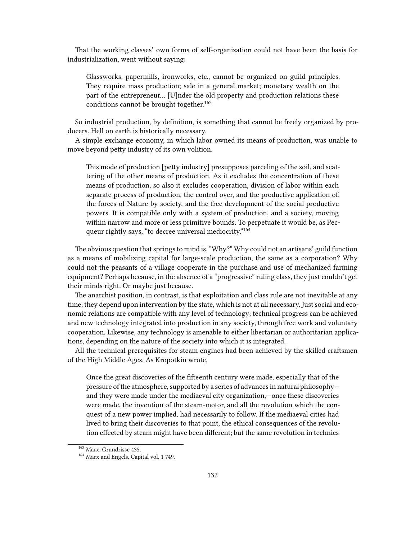That the working classes' own forms of self-organization could not have been the basis for industrialization, went without saying:

Glassworks, papermills, ironworks, etc., cannot be organized on guild principles. They require mass production; sale in a general market; monetary wealth on the part of the entrepreneur… [U]nder the old property and production relations these conditions cannot be brought together.<sup>163</sup>

So industrial production, by definition, is something that cannot be freely organized by producers. Hell on earth is historically necessary.

A simple exchange economy, in which labor owned its means of production, was unable to move beyond petty industry of its own volition.

This mode of production [petty industry] presupposes parceling of the soil, and scattering of the other means of production. As it excludes the concentration of these means of production, so also it excludes cooperation, division of labor within each separate process of production, the control over, and the productive application of, the forces of Nature by society, and the free development of the social productive powers. It is compatible only with a system of production, and a society, moving within narrow and more or less primitive bounds. To perpetuate it would be, as Pecqueur rightly says, "to decree universal mediocrity."<sup>164</sup>

The obvious question that springs to mind is, "Why?" Why could not an artisans' guild function as a means of mobilizing capital for large-scale production, the same as a corporation? Why could not the peasants of a village cooperate in the purchase and use of mechanized farming equipment? Perhaps because, in the absence of a "progressive" ruling class, they just couldn't get their minds right. Or maybe just because.

The anarchist position, in contrast, is that exploitation and class rule are not inevitable at any time; they depend upon intervention by the state, which is not at all necessary. Just social and economic relations are compatible with any level of technology; technical progress can be achieved and new technology integrated into production in any society, through free work and voluntary cooperation. Likewise, any technology is amenable to either libertarian or authoritarian applications, depending on the nature of the society into which it is integrated.

All the technical prerequisites for steam engines had been achieved by the skilled craftsmen of the High Middle Ages. As Kropotkin wrote,

Once the great discoveries of the fifteenth century were made, especially that of the pressure of the atmosphere, supported by a series of advances in natural philosophy and they were made under the mediaeval city organization,—once these discoveries were made, the invention of the steam-motor, and all the revolution which the conquest of a new power implied, had necessarily to follow. If the mediaeval cities had lived to bring their discoveries to that point, the ethical consequences of the revolution effected by steam might have been different; but the same revolution in technics

 $\overline{^{163}}$  Marx, Grundrisse 435.

<sup>&</sup>lt;sup>164</sup> Marx and Engels, Capital vol. 1 749.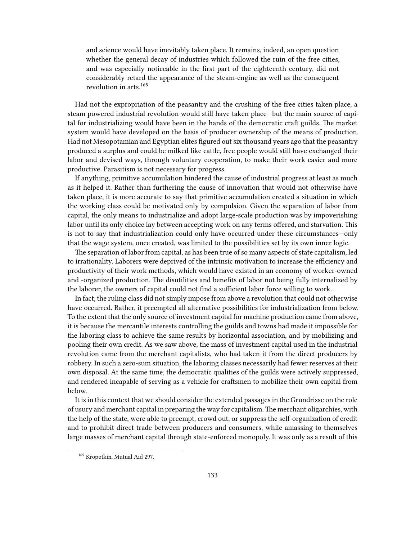and science would have inevitably taken place. It remains, indeed, an open question whether the general decay of industries which followed the ruin of the free cities, and was especially noticeable in the first part of the eighteenth century, did not considerably retard the appearance of the steam-engine as well as the consequent revolution in arts.<sup>165</sup>

Had not the expropriation of the peasantry and the crushing of the free cities taken place, a steam powered industrial revolution would still have taken place—but the main source of capital for industrializing would have been in the hands of the democratic craft guilds. The market system would have developed on the basis of producer ownership of the means of production. Had not Mesopotamian and Egyptian elites figured out six thousand years ago that the peasantry produced a surplus and could be milked like cattle, free people would still have exchanged their labor and devised ways, through voluntary cooperation, to make their work easier and more productive. Parasitism is not necessary for progress.

If anything, primitive accumulation hindered the cause of industrial progress at least as much as it helped it. Rather than furthering the cause of innovation that would not otherwise have taken place, it is more accurate to say that primitive accumulation created a situation in which the working class could be motivated only by compulsion. Given the separation of labor from capital, the only means to industrialize and adopt large-scale production was by impoverishing labor until its only choice lay between accepting work on any terms offered, and starvation. This is not to say that industrialization could only have occurred under these circumstances—only that the wage system, once created, was limited to the possibilities set by its own inner logic.

The separation of labor from capital, as has been true of so many aspects of state capitalism, led to irrationality. Laborers were deprived of the intrinsic motivation to increase the efficiency and productivity of their work methods, which would have existed in an economy of worker-owned and -organized production. The disutilities and benefits of labor not being fully internalized by the laborer, the owners of capital could not find a sufficient labor force willing to work.

In fact, the ruling class did not simply impose from above a revolution that could not otherwise have occurred. Rather, it preempted all alternative possibilities for industrialization from below. To the extent that the only source of investment capital for machine production came from above, it is because the mercantile interests controlling the guilds and towns had made it impossible for the laboring class to achieve the same results by horizontal association, and by mobilizing and pooling their own credit. As we saw above, the mass of investment capital used in the industrial revolution came from the merchant capitalists, who had taken it from the direct producers by robbery. In such a zero-sum situation, the laboring classes necessarily had fewer reserves at their own disposal. At the same time, the democratic qualities of the guilds were actively suppressed, and rendered incapable of serving as a vehicle for craftsmen to mobilize their own capital from below.

It is in this context that we should consider the extended passages in the Grundrisse on the role of usury and merchant capital in preparing the way for capitalism.The merchant oligarchies, with the help of the state, were able to preempt, crowd out, or suppress the self-organization of credit and to prohibit direct trade between producers and consumers, while amassing to themselves large masses of merchant capital through state-enforced monopoly. It was only as a result of this

<sup>165</sup> Kropotkin, Mutual Aid 297.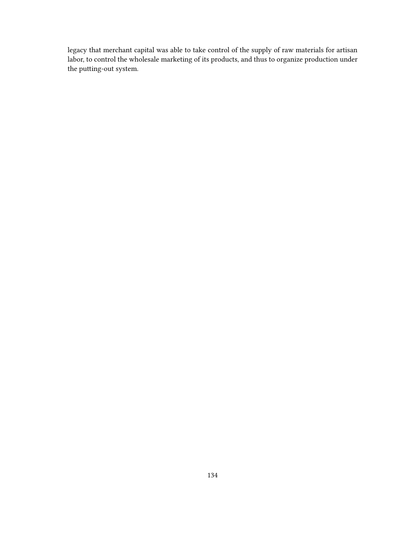legacy that merchant capital was able to take control of the supply of raw materials for artisan labor, to control the wholesale marketing of its products, and thus to organize production under the putting-out system.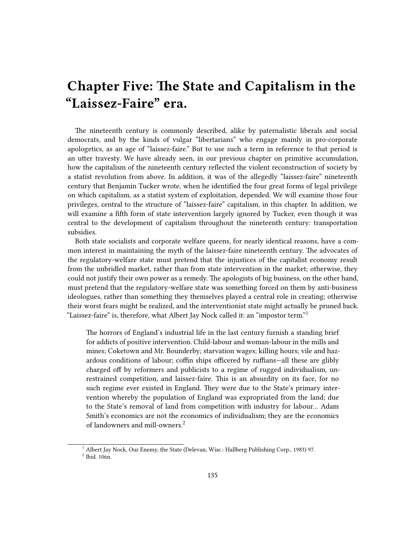# **Chapter Five: The State and Capitalism in the "Laissez-Faire" era.**

The nineteenth century is commonly described, alike by paternalistic liberals and social democrats, and by the kinds of vulgar "libertarians" who engage mainly in pro-corporate apologetics, as an age of "laissez-faire." But to use such a term in reference to that period is an utter travesty. We have already seen, in our previous chapter on primitive accumulation, how the capitalism of the nineteenth century reflected the violent reconstruction of society by a statist revolution from above. In addition, it was of the allegedly "laissez-faire" nineteenth century that Benjamin Tucker wrote, when he identified the four great forms of legal privilege on which capitalism, as a statist system of exploitation, depended. We will examine those four privileges, central to the structure of "laissez-faire" capitalism, in this chapter. In addition, we will examine a fifth form of state intervention largely ignored by Tucker, even though it was central to the development of capitalism throughout the nineteenth century: transportation subsidies.

Both state socialists and corporate welfare queens, for nearly identical reasons, have a common interest in maintaining the myth of the laissez-faire nineteenth century. The advocates of the regulatory-welfare state must pretend that the injustices of the capitalist economy result from the unbridled market, rather than from state intervention in the market; otherwise, they could not justify their own power as a remedy. The apologists of big business, on the other hand, must pretend that the regulatory-welfare state was something forced on them by anti-business ideologues, rather than something they themselves played a central role in creating; otherwise their worst fears might be realized, and the interventionist state might actually be pruned back. "Laissez-faire" is, therefore, what Albert Jay Nock called it: an "impostor term."<sup>1</sup>

The horrors of England's industrial life in the last century furnish a standing brief for addicts of positive intervention. Child-labour and woman-labour in the mills and mines; Coketown and Mr. Bounderby; starvation wages; killing hours; vile and hazardous conditions of labour; coffin ships officered by ruffians—all these are glibly charged off by reformers and publicists to a regime of rugged individualism, unrestrained competition, and laissez-faire. This is an absurdity on its face, for no such regime ever existed in England. They were due to the State's primary intervention whereby the population of England was expropriated from the land; due to the State's removal of land from competition with industry for labour… Adam Smith's economics are not the economics of individualism; they are the economics of landowners and mill-owners.<sup>2</sup>

<sup>&</sup>lt;sup>1</sup> Albert Jay Nock, Our Enemy, the State (Delevan, Wisc.: Hallberg Publishing Corp., 1983) 97. 2 Ibid. 106n.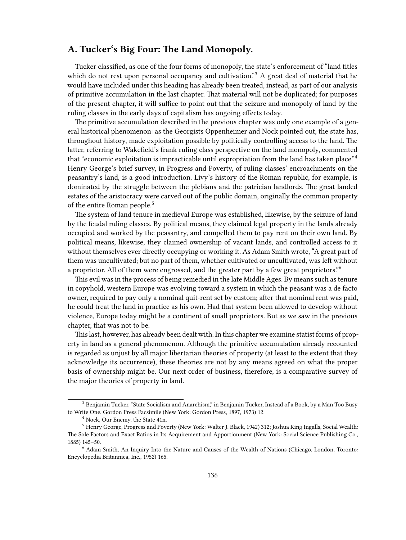#### **A. Tucker's Big Four: The Land Monopoly.**

Tucker classified, as one of the four forms of monopoly, the state's enforcement of "land titles which do not rest upon personal occupancy and cultivation.<sup>"3</sup> A great deal of material that he would have included under this heading has already been treated, instead, as part of our analysis of primitive accumulation in the last chapter. That material will not be duplicated; for purposes of the present chapter, it will suffice to point out that the seizure and monopoly of land by the ruling classes in the early days of capitalism has ongoing effects today.

The primitive accumulation described in the previous chapter was only one example of a general historical phenomenon: as the Georgists Oppenheimer and Nock pointed out, the state has, throughout history, made exploitation possible by politically controlling access to the land. The latter, referring to Wakefield's frank ruling class perspective on the land monopoly, commented that "economic exploitation is impracticable until expropriation from the land has taken place."<sup>4</sup> Henry George's brief survey, in Progress and Poverty, of ruling classes' encroachments on the peasantry's land, is a good introduction. Livy's history of the Roman republic, for example, is dominated by the struggle between the plebians and the patrician landlords. The great landed estates of the aristocracy were carved out of the public domain, originally the common property of the entire Roman people.<sup>5</sup>

The system of land tenure in medieval Europe was established, likewise, by the seizure of land by the feudal ruling classes. By political means, they claimed legal property in the lands already occupied and worked by the peasantry, and compelled them to pay rent on their own land. By political means, likewise, they claimed ownership of vacant lands, and controlled access to it without themselves ever directly occupying or working it. As Adam Smith wrote, "A great part of them was uncultivated; but no part of them, whether cultivated or uncultivated, was left without a proprietor. All of them were engrossed, and the greater part by a few great proprietors."<sup>6</sup>

This evil was in the process of being remedied in the late Middle Ages. By means such as tenure in copyhold, western Europe was evolving toward a system in which the peasant was a de facto owner, required to pay only a nominal quit-rent set by custom; after that nominal rent was paid, he could treat the land in practice as his own. Had that system been allowed to develop without violence, Europe today might be a continent of small proprietors. But as we saw in the previous chapter, that was not to be.

This last, however, has already been dealt with. In this chapter we examine statist forms of property in land as a general phenomenon. Although the primitive accumulation already recounted is regarded as unjust by all major libertarian theories of property (at least to the extent that they acknowledge its occurrence), these theories are not by any means agreed on what the proper basis of ownership might be. Our next order of business, therefore, is a comparative survey of the major theories of property in land.

<sup>&</sup>lt;sup>3</sup> Benjamin Tucker, "State Socialism and Anarchism," in Benjamin Tucker, Instead of a Book, by a Man Too Busy to Write One. Gordon Press Facsimile (New York: Gordon Press, 1897, 1973) 12.

<sup>4</sup> Nock, Our Enemy, the State 41n.

<sup>5</sup> Henry George, Progress and Poverty (New York: Walter J. Black, 1942) 312; Joshua King Ingalls, Social Wealth: The Sole Factors and Exact Ratios in Its Acquirement and Apportionment (New York: Social Science Publishing Co., 1885) 145–50.

<sup>6</sup> Adam Smith, An Inquiry Into the Nature and Causes of the Wealth of Nations (Chicago, London, Toronto: Encyclopedia Britannica, Inc., 1952) 165.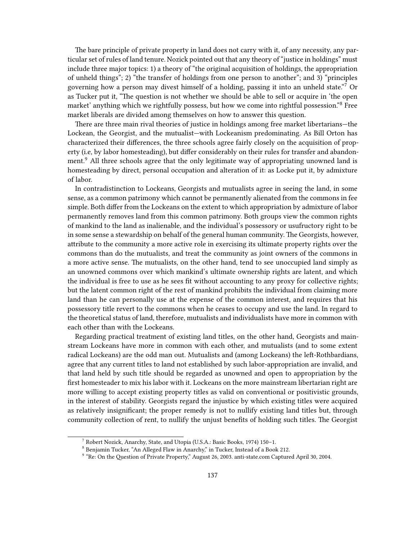The bare principle of private property in land does not carry with it, of any necessity, any particular set of rules of land tenure. Nozick pointed out that any theory of "justice in holdings" must include three major topics: 1) a theory of "the original acquisition of holdings, the appropriation of unheld things"; 2) "the transfer of holdings from one person to another"; and 3) "principles governing how a person may divest himself of a holding, passing it into an unheld state.  $\degree$  Or as Tucker put it, "The question is not whether we should be able to sell or acquire in 'the open market' anything which we rightfully possess, but how we come into rightful possession."<sup>8</sup> Free market liberals are divided among themselves on how to answer this question.

There are three main rival theories of justice in holdings among free market libertarians—the Lockean, the Georgist, and the mutualist—with Lockeanism predominating. As Bill Orton has characterized their differences, the three schools agree fairly closely on the acquisition of property (i.e, by labor homesteading), but differ considerably on their rules for transfer and abandonment.<sup>9</sup> All three schools agree that the only legitimate way of appropriating unowned land is homesteading by direct, personal occupation and alteration of it: as Locke put it, by admixture of labor.

In contradistinction to Lockeans, Georgists and mutualists agree in seeing the land, in some sense, as a common patrimony which cannot be permanently alienated from the commons in fee simple. Both differ from the Lockeans on the extent to which appropriation by admixture of labor permanently removes land from this common patrimony. Both groups view the common rights of mankind to the land as inalienable, and the individual's possessory or usufructory right to be in some sense a stewardship on behalf of the general human community. The Georgists, however, attribute to the community a more active role in exercising its ultimate property rights over the commons than do the mutualists, and treat the community as joint owners of the commons in a more active sense. The mutualists, on the other hand, tend to see unoccupied land simply as an unowned commons over which mankind's ultimate ownership rights are latent, and which the individual is free to use as he sees fit without accounting to any proxy for collective rights; but the latent common right of the rest of mankind prohibits the individual from claiming more land than he can personally use at the expense of the common interest, and requires that his possessory title revert to the commons when he ceases to occupy and use the land. In regard to the theoretical status of land, therefore, mutualists and individualists have more in common with each other than with the Lockeans.

Regarding practical treatment of existing land titles, on the other hand, Georgists and mainstream Lockeans have more in common with each other, and mutualists (and to some extent radical Lockeans) are the odd man out. Mutualists and (among Lockeans) the left-Rothbardians, agree that any current titles to land not established by such labor-appropriation are invalid, and that land held by such title should be regarded as unowned and open to appropriation by the first homesteader to mix his labor with it. Lockeans on the more mainstream libertarian right are more willing to accept existing property titles as valid on conventional or positivistic grounds, in the interest of stability. Georgists regard the injustice by which existing titles were acquired as relatively insignificant; the proper remedy is not to nullify existing land titles but, through community collection of rent, to nullify the unjust benefits of holding such titles. The Georgist

<sup>7</sup> Robert Nozick, Anarchy, State, and Utopia (U.S.A.: Basic Books, 1974) 150–1.

<sup>8</sup> Benjamin Tucker, "An Alleged Flaw in Anarchy," in Tucker, Instead of a Book 212.

<sup>&</sup>lt;sup>9</sup> "Re: On the Question of Private Property," August 26, 2003. [anti-state.com](http://anti-state.com/forum/index.php?board=6;action=display;threadid=6726;start=20) Captured April 30, 2004.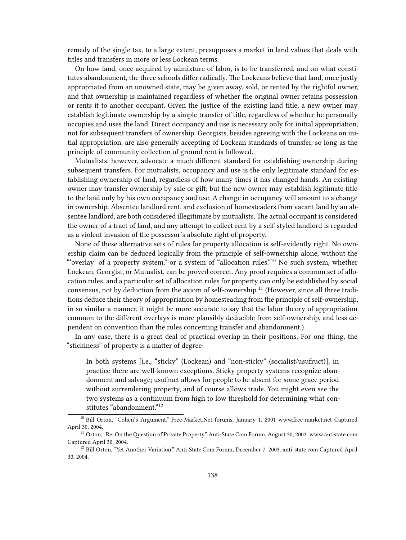remedy of the single tax, to a large extent, presupposes a market in land values that deals with titles and transfers in more or less Lockean terms.

On how land, once acquired by admixture of labor, is to be transferred, and on what constitutes abandonment, the three schools differ radically. The Lockeans believe that land, once justly appropriated from an unowned state, may be given away, sold, or rented by the rightful owner, and that ownership is maintained regardless of whether the original owner retains possession or rents it to another occupant. Given the justice of the existing land title, a new owner may establish legitimate ownership by a simple transfer of title, regardless of whether he personally occupies and uses the land. Direct occupancy and use is necessary only for initial appropriation, not for subsequent transfers of ownership. Georgists, besides agreeing with the Lockeans on initial appropriation, are also generally accepting of Lockean standards of transfer, so long as the principle of community collection of ground rent is followed.

Mutualists, however, advocate a much different standard for establishing ownership during subsequent transfers. For mutualists, occupancy and use is the only legitimate standard for establishing ownership of land, regardless of how many times it has changed hands. An existing owner may transfer ownership by sale or gift; but the new owner may establish legitimate title to the land only by his own occupancy and use. A change in occupancy will amount to a change in ownership. Absentee landlord rent, and exclusion of homesteaders from vacant land by an absentee landlord, are both considered illegitimate by mutualists. The actual occupant is considered the owner of a tract of land, and any attempt to collect rent by a self-styled landlord is regarded as a violent invasion of the possessor's absolute right of property.

None of these alternative sets of rules for property allocation is self-evidently right. No ownership claim can be deduced logically from the principle of self-ownership alone, without the "'overlay' of a property system," or a system of "allocation rules."<sup>10</sup> No such system, whether Lockean, Georgist, or Mutualist, can be proved correct. Any proof requires a common set of allocation rules, and a particular set of allocation rules for property can only be established by social consensus, not by deduction from the axiom of self-ownership.<sup>11</sup> (However, since all three traditions deduce their theory of appropriation by homesteading from the principle of self-ownership, in so similar a manner, it might be more accurate to say that the labor theory of appropriation common to the different overlays is more plausibly deducible from self-ownership, and less dependent on convention than the rules concerning transfer and abandonment.)

In any case, there is a great deal of practical overlap in their positions. For one thing, the "stickiness" of property is a matter of degree:

In both systems [i.e., "sticky" (Lockean) and "non-sticky" (socialist/usufruct)], in practice there are well-known exceptions. Sticky property systems recognize abandonment and salvage; usufruct allows for people to be absent for some grace period without surrendering property, and of course allows trade. You might even see the two systems as a continuum from high to low threshold for determining what constitutes "abandonment."<sup>12</sup>

 $10$  Bill Orton, "Cohen's Argument," Free-Market.Net forums, January 1, 2001 [www.free-market.net](http://www.free-market.net/forums/main0012/messages/807541545.html) Captured April 30, 2004.

<sup>&</sup>lt;sup>11</sup> Orton, "Re: On the Question of Private Property," Anti-State.Com Forum, August 30, 2003. [www.antistate.com](http://www.antistate.com/forum/index.php?board=6;action=display;threadid=6726;start=20) Captured April 30, 2004.

<sup>&</sup>lt;sup>12</sup> Bill Orton, "Yet Another Variation," Anti-State.Com Forum, December 7, 2003. [anti-state.com](http://anti-state.com/forum/index.php?board=1;action=display;threadid=7965;start=0) Captured April 30, 2004.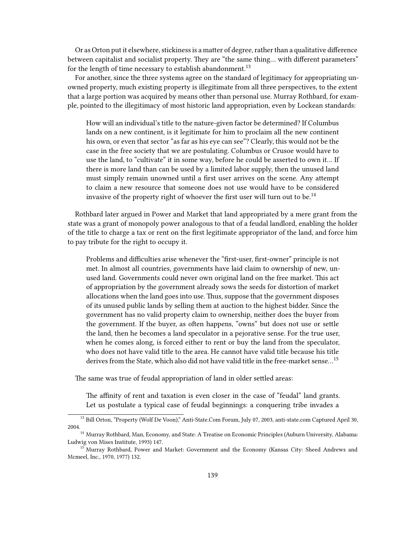Or as Orton put it elsewhere, stickiness is a matter of degree, rather than a qualitative difference between capitalist and socialist property. They are "the same thing… with different parameters" for the length of time necessary to establish abandonment.<sup>13</sup>

For another, since the three systems agree on the standard of legitimacy for appropriating unowned property, much existing property is illegitimate from all three perspectives, to the extent that a large portion was acquired by means other than personal use. Murray Rothbard, for example, pointed to the illegitimacy of most historic land appropriation, even by Lockean standards:

How will an individual's title to the nature-given factor be determined? If Columbus lands on a new continent, is it legitimate for him to proclaim all the new continent his own, or even that sector "as far as his eye can see"? Clearly, this would not be the case in the free society that we are postulating. Columbus or Crusoe would have to use the land, to "cultivate" it in some way, before he could be asserted to own it… If there is more land than can be used by a limited labor supply, then the unused land must simply remain unowned until a first user arrives on the scene. Any attempt to claim a new resource that someone does not use would have to be considered invasive of the property right of whoever the first user will turn out to be.<sup>14</sup>

Rothbard later argued in Power and Market that land appropriated by a mere grant from the state was a grant of monopoly power analogous to that of a feudal landlord, enabling the holder of the title to charge a tax or rent on the first legitimate appropriator of the land, and force him to pay tribute for the right to occupy it.

Problems and difficulties arise whenever the "first-user, first-owner" principle is not met. In almost all countries, governments have laid claim to ownership of new, unused land. Governments could never own original land on the free market. This act of appropriation by the government already sows the seeds for distortion of market allocations when the land goes into use. Thus, suppose that the government disposes of its unused public lands by selling them at auction to the highest bidder. Since the government has no valid property claim to ownership, neither does the buyer from the government. If the buyer, as often happens, "owns" but does not use or settle the land, then he becomes a land speculator in a pejorative sense. For the true user, when he comes along, is forced either to rent or buy the land from the speculator, who does not have valid title to the area. He cannot have valid title because his title derives from the State, which also did not have valid title in the free-market sense…<sup>15</sup>

The same was true of feudal appropriation of land in older settled areas:

The affinity of rent and taxation is even closer in the case of "feudal" land grants. Let us postulate a typical case of feudal beginnings: a conquering tribe invades a

<sup>&</sup>lt;sup>13</sup> Bill Orton, "Property (Wolf De Voon)," Anti-State.Com Forum, July 07, 2003, [anti-state.com](http://anti-state.com/forum/index.php?board=2;action=display;threadid=6072;start=0) Captured April 30, 2004.

<sup>&</sup>lt;sup>14</sup> Murray Rothbard, Man, Economy, and State: A Treatise on Economic Principles (Auburn University, Alabama: Ludwig von Mises Institute, 1993) 147.

<sup>&</sup>lt;sup>15</sup> Murray Rothbard, Power and Market: Government and the Economy (Kansas City: Sheed Andrews and Mcmeel, Inc., 1970, 1977) 132.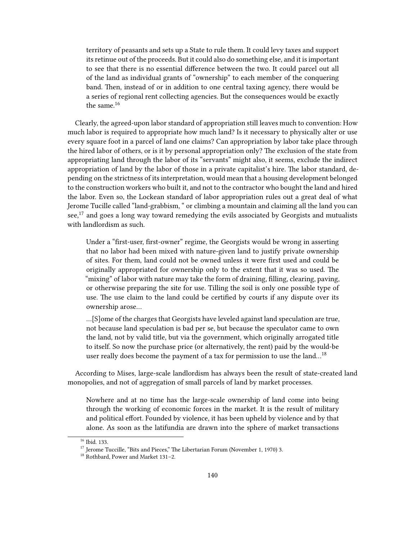territory of peasants and sets up a State to rule them. It could levy taxes and support its retinue out of the proceeds. But it could also do something else, and it is important to see that there is no essential difference between the two. It could parcel out all of the land as individual grants of "ownership" to each member of the conquering band. Then, instead of or in addition to one central taxing agency, there would be a series of regional rent collecting agencies. But the consequences would be exactly the same.<sup>16</sup>

Clearly, the agreed-upon labor standard of appropriation still leaves much to convention: How much labor is required to appropriate how much land? Is it necessary to physically alter or use every square foot in a parcel of land one claims? Can appropriation by labor take place through the hired labor of others, or is it by personal appropriation only? The exclusion of the state from appropriating land through the labor of its "servants" might also, it seems, exclude the indirect appropriation of land by the labor of those in a private capitalist's hire. The labor standard, depending on the strictness of its interpretation, would mean that a housing development belonged to the construction workers who built it, and not to the contractor who bought the land and hired the labor. Even so, the Lockean standard of labor appropriation rules out a great deal of what Jerome Tucille called "land-grabbism, " or climbing a mountain and claiming all the land you can see,<sup>17</sup> and goes a long way toward remedying the evils associated by Georgists and mutualists with landlordism as such.

Under a "first-user, first-owner" regime, the Georgists would be wrong in asserting that no labor had been mixed with nature-given land to justify private ownership of sites. For them, land could not be owned unless it were first used and could be originally appropriated for ownership only to the extent that it was so used. The "mixing" of labor with nature may take the form of draining, filling, clearing, paving, or otherwise preparing the site for use. Tilling the soil is only one possible type of use. The use claim to the land could be certified by courts if any dispute over its ownership arose…

…[S]ome of the charges that Georgists have leveled against land speculation are true, not because land speculation is bad per se, but because the speculator came to own the land, not by valid title, but via the government, which originally arrogated title to itself. So now the purchase price (or alternatively, the rent) paid by the would-be user really does become the payment of a tax for permission to use the land...<sup>18</sup>

According to Mises, large-scale landlordism has always been the result of state-created land monopolies, and not of aggregation of small parcels of land by market processes.

Nowhere and at no time has the large-scale ownership of land come into being through the working of economic forces in the market. It is the result of military and political effort. Founded by violence, it has been upheld by violence and by that alone. As soon as the latifundia are drawn into the sphere of market transactions

<sup>&</sup>lt;sup>16</sup> Ibid. 133.

<sup>&</sup>lt;sup>17</sup> Jerome Tuccille, "Bits and Pieces," The Libertarian Forum (November 1, 1970) 3.

<sup>18</sup> Rothbard, Power and Market 131–2.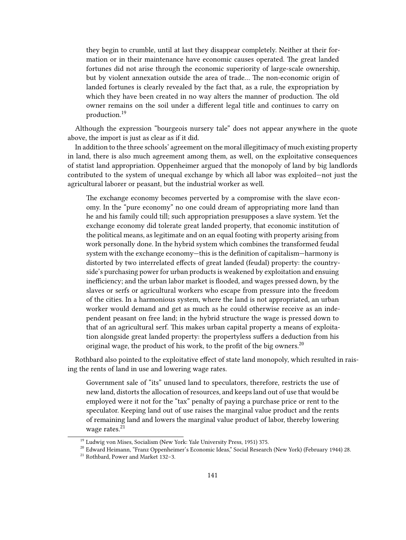they begin to crumble, until at last they disappear completely. Neither at their formation or in their maintenance have economic causes operated. The great landed fortunes did not arise through the economic superiority of large-scale ownership, but by violent annexation outside the area of trade… The non-economic origin of landed fortunes is clearly revealed by the fact that, as a rule, the expropriation by which they have been created in no way alters the manner of production. The old owner remains on the soil under a different legal title and continues to carry on production.<sup>19</sup>

Although the expression "bourgeois nursery tale" does not appear anywhere in the quote above, the import is just as clear as if it did.

In addition to the three schools' agreement on the moral illegitimacy of much existing property in land, there is also much agreement among them, as well, on the exploitative consequences of statist land appropriation. Oppenheimer argued that the monopoly of land by big landlords contributed to the system of unequal exchange by which all labor was exploited—not just the agricultural laborer or peasant, but the industrial worker as well.

The exchange economy becomes perverted by a compromise with the slave economy. In the "pure economy" no one could dream of appropriating more land than he and his family could till; such appropriation presupposes a slave system. Yet the exchange economy did tolerate great landed property, that economic institution of the political means, as legitimate and on an equal footing with property arising from work personally done. In the hybrid system which combines the transformed feudal system with the exchange economy—this is the definition of capitalism—harmony is distorted by two interrelated effects of great landed (feudal) property: the countryside's purchasing power for urban products is weakened by exploitation and ensuing inefficiency; and the urban labor market is flooded, and wages pressed down, by the slaves or serfs or agricultural workers who escape from pressure into the freedom of the cities. In a harmonious system, where the land is not appropriated, an urban worker would demand and get as much as he could otherwise receive as an independent peasant on free land; in the hybrid structure the wage is pressed down to that of an agricultural serf. This makes urban capital property a means of exploitation alongside great landed property: the propertyless suffers a deduction from his original wage, the product of his work, to the profit of the big owners.<sup>20</sup>

Rothbard also pointed to the exploitative effect of state land monopoly, which resulted in raising the rents of land in use and lowering wage rates.

Government sale of "its" unused land to speculators, therefore, restricts the use of new land, distorts the allocation of resources, and keeps land out of use that would be employed were it not for the "tax" penalty of paying a purchase price or rent to the speculator. Keeping land out of use raises the marginal value product and the rents of remaining land and lowers the marginal value product of labor, thereby lowering wage rates.<sup>21</sup>

<sup>19</sup> Ludwig von Mises, Socialism (New York: Yale University Press, 1951) 375.

<sup>&</sup>lt;sup>20</sup> Edward Heimann, "Franz Oppenheimer's Economic Ideas," Social Research (New York) (February 1944) 28.

<sup>21</sup> Rothbard, Power and Market 132–3.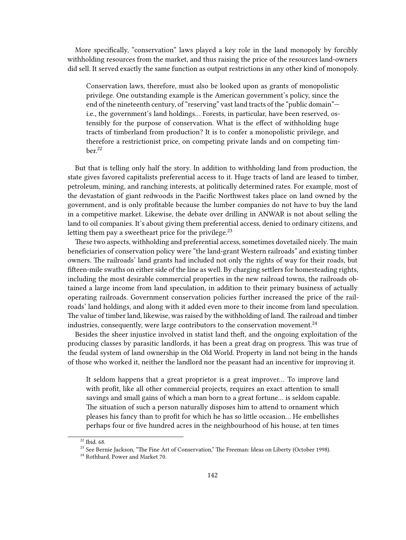More specifically, "conservation" laws played a key role in the land monopoly by forcibly withholding resources from the market, and thus raising the price of the resources land-owners did sell. It served exactly the same function as output restrictions in any other kind of monopoly.

Conservation laws, therefore, must also be looked upon as grants of monopolistic privilege. One outstanding example is the American government's policy, since the end of the nineteenth century, of "reserving" vast land tracts of the "public domain" i.e., the government's land holdings… Forests, in particular, have been reserved, ostensibly for the purpose of conservation. What is the effect of withholding huge tracts of timberland from production? It is to confer a monopolistic privilege, and therefore a restrictionist price, on competing private lands and on competing timber.<sup>22</sup>

But that is telling only half the story. In addition to withholding land from production, the state gives favored capitalists preferential access to it. Huge tracts of land are leased to timber, petroleum, mining, and ranching interests, at politically determined rates. For example, most of the devastation of giant redwoods in the Pacific Northwest takes place on land owned by the government, and is only profitable because the lumber companies do not have to buy the land in a competitive market. Likewise, the debate over drilling in ANWAR is not about selling the land to oil companies. It's about giving them preferential access, denied to ordinary citizens, and letting them pay a sweetheart price for the privilege.<sup>23</sup>

These two aspects, withholding and preferential access, sometimes dovetailed nicely. The main beneficiaries of conservation policy were "the land-grant Western railroads" and existing timber owners. The railroads' land grants had included not only the rights of way for their roads, but fifteen-mile swaths on either side of the line as well. By charging settlers for homesteading rights, including the most desirable commercial properties in the new railroad towns, the railroads obtained a large income from land speculation, in addition to their primary business of actually operating railroads. Government conservation policies further increased the price of the railroads' land holdings, and along with it added even more to their income from land speculation. The value of timber land, likewise, was raised by the withholding of land. The railroad and timber industries, consequently, were large contributors to the conservation movement.<sup>24</sup>

Besides the sheer injustice involved in statist land theft, and the ongoing exploitation of the producing classes by parasitic landlords, it has been a great drag on progress. This was true of the feudal system of land ownership in the Old World. Property in land not being in the hands of those who worked it, neither the landlord nor the peasant had an incentive for improving it.

It seldom happens that a great proprietor is a great improver… To improve land with profit, like all other commercial projects, requires an exact attention to small savings and small gains of which a man born to a great fortune… is seldom capable. The situation of such a person naturally disposes him to attend to ornament which pleases his fancy than to profit for which he has so little occasion… He embellishes perhaps four or five hundred acres in the neighbourhood of his house, at ten times

 $\overline{^{22}}$  Ibid. 68.

<sup>&</sup>lt;sup>23</sup> See Bernie Jackson, "The Fine Art of Conservation," The Freeman: Ideas on Liberty (October 1998).

<sup>24</sup> Rothbard, Power and Market 70.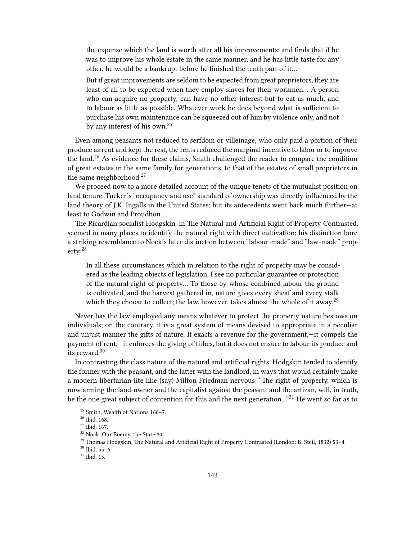the expense which the land is worth after all his improvements; and finds that if he was to improve his whole estate in the same manner, and he has little taste for any other, he would be a bankrupt before he finished the tenth part of it…

But if great improvements are seldom to be expected from great proprietors, they are least of all to be expected when they employ slaves for their workmen… A person who can acquire no property, can have no other interest but to eat as much, and to labour as little as possible. Whatever work he does beyond what is sufficient to purchase his own maintenance can be squeezed out of him by violence only, and not by any interest of his own.<sup>25</sup>

Even among peasants not reduced to serfdom or villeinage, who only paid a portion of their produce as rent and kept the rest, the rents reduced the marginal incentive to labor or to improve the land.<sup>26</sup> As evidence for these claims, Smith challenged the reader to compare the condition of great estates in the same family for generations, to that of the estates of small proprietors in the same neighborhood.<sup>27</sup>

We proceed now to a more detailed account of the unique tenets of the mutualist position on land tenure. Tucker's "occupancy and use" standard of ownership was directly influenced by the land theory of J.K. Ingalls in the United States; but its antecedents went back much further—at least to Godwin and Proudhon.

The Ricardian socialist Hodgskin, in The Natural and Artificial Right of Property Contrasted, seemed in many places to identify the natural right with direct cultivation; his distinction bore a striking resemblance to Nock's later distinction between "labour-made" and "law-made" property:<sup>28</sup>

In all these circumstances which in relation to the right of property may be considered as the leading objects of legislation, I see no particular guarantee or protection of the natural right of property… To those by whose combined labour the ground is cultivated, and the harvest gathered in, nature gives every sheaf and every stalk which they choose to collect; the law, however, takes almost the whole of it away.<sup>29</sup>

Never has the law employed any means whatever to protect the property nature bestows on individuals; on the contrary, it is a great system of means devised to appropriate in a peculiar and unjust manner the gifts of nature. It exacts a revenue for the government,—it compels the payment of rent,—it enforces the giving of tithes, but it does not ensure to labour its produce and its reward.<sup>30</sup>

In contrasting the class nature of the natural and artificial rights, Hodgskin tended to identify the former with the peasant, and the latter with the landlord, in ways that would certainly make a modern libertarian-lite like (say) Milton Friedman nervous: "The right of property, which is now arming the land-owner and the capitalist against the peasant and the artizan, will, in truth, be the one great subject of contention for this and the next generation…"<sup>31</sup> He went so far as to

<sup>25</sup> Smith, Wealth of Nations 166–7.

<sup>26</sup> Ibid. 168.

<sup>27</sup> Ibid. 167.

<sup>28</sup> Nock, Our Enemy, the State 80.

<sup>&</sup>lt;sup>29</sup> Thomas Hodgskin, The Natural and Artificial Right of Property Contrasted (London: B. Steil, 1832) 53-4.

 $30$  Ibid. 55-6.

<sup>31</sup> Ibid. 15.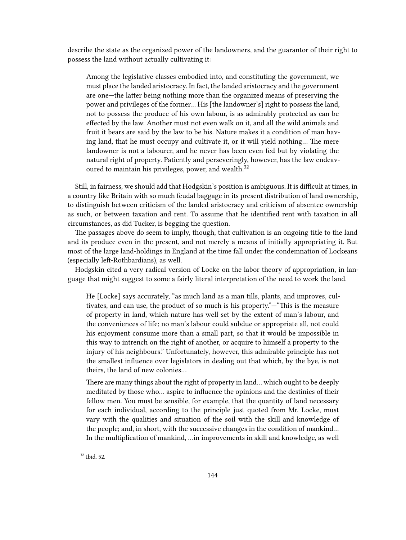describe the state as the organized power of the landowners, and the guarantor of their right to possess the land without actually cultivating it:

Among the legislative classes embodied into, and constituting the government, we must place the landed aristocracy. In fact, the landed aristocracy and the government are one—the latter being nothing more than the organized means of preserving the power and privileges of the former… His [the landowner's] right to possess the land, not to possess the produce of his own labour, is as admirably protected as can be effected by the law. Another must not even walk on it, and all the wild animals and fruit it bears are said by the law to be his. Nature makes it a condition of man having land, that he must occupy and cultivate it, or it will yield nothing… The mere landowner is not a labourer, and he never has been even fed but by violating the natural right of property. Patiently and perseveringly, however, has the law endeavoured to maintain his privileges, power, and wealth.<sup>32</sup>

Still, in fairness, we should add that Hodgskin's position is ambiguous. It is difficult at times, in a country like Britain with so much feudal baggage in its present distribution of land ownership, to distinguish between criticism of the landed aristocracy and criticism of absentee ownership as such, or between taxation and rent. To assume that he identified rent with taxation in all circumstances, as did Tucker, is begging the question.

The passages above do seem to imply, though, that cultivation is an ongoing title to the land and its produce even in the present, and not merely a means of initially appropriating it. But most of the large land-holdings in England at the time fall under the condemnation of Lockeans (especially left-Rothbardians), as well.

Hodgskin cited a very radical version of Locke on the labor theory of appropriation, in language that might suggest to some a fairly literal interpretation of the need to work the land.

He [Locke] says accurately, "as much land as a man tills, plants, and improves, cultivates, and can use, the product of so much is his property."—"This is the measure of property in land, which nature has well set by the extent of man's labour, and the conveniences of life; no man's labour could subdue or appropriate all, not could his enjoyment consume more than a small part, so that it would be impossible in this way to intrench on the right of another, or acquire to himself a property to the injury of his neighbours." Unfortunately, however, this admirable principle has not the smallest influence over legislators in dealing out that which, by the bye, is not theirs, the land of new colonies…

There are many things about the right of property in land… which ought to be deeply meditated by those who… aspire to influence the opinions and the destinies of their fellow men. You must be sensible, for example, that the quantity of land necessary for each individual, according to the principle just quoted from Mr. Locke, must vary with the qualities and situation of the soil with the skill and knowledge of the people; and, in short, with the successive changes in the condition of mankind… In the multiplication of mankind, …in improvements in skill and knowledge, as well

 $\overline{\frac{32}{}}$  Tbid. 52.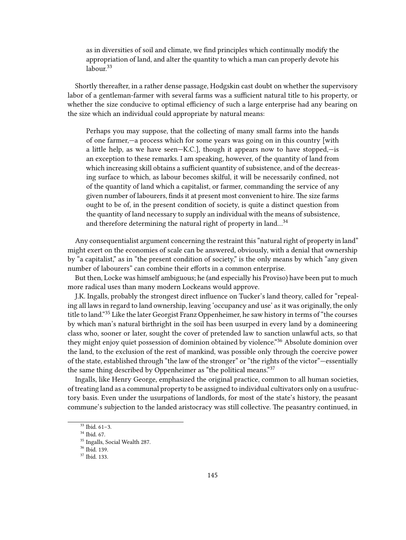as in diversities of soil and climate, we find principles which continually modify the appropriation of land, and alter the quantity to which a man can properly devote his labour.<sup>33</sup>

Shortly thereafter, in a rather dense passage, Hodgskin cast doubt on whether the supervisory labor of a gentleman-farmer with several farms was a sufficient natural title to his property, or whether the size conducive to optimal efficiency of such a large enterprise had any bearing on the size which an individual could appropriate by natural means:

Perhaps you may suppose, that the collecting of many small farms into the hands of one farmer,—a process which for some years was going on in this country [with a little help, as we have seen—K.C.], though it appears now to have stopped,—is an exception to these remarks. I am speaking, however, of the quantity of land from which increasing skill obtains a sufficient quantity of subsistence, and of the decreasing surface to which, as labour becomes skilful, it will be necessarily confined, not of the quantity of land which a capitalist, or farmer, commanding the service of any given number of labourers, finds it at present most convenient to hire. The size farms ought to be of, in the present condition of society, is quite a distinct question from the quantity of land necessary to supply an individual with the means of subsistence, and therefore determining the natural right of property in land…<sup>34</sup>

Any consequentialist argument concerning the restraint this "natural right of property in land" might exert on the economies of scale can be answered, obviously, with a denial that ownership by "a capitalist," as in "the present condition of society," is the only means by which "any given number of labourers" can combine their efforts in a common enterprise.

But then, Locke was himself ambiguous; he (and especially his Proviso) have been put to much more radical uses than many modern Lockeans would approve.

J.K. Ingalls, probably the strongest direct influence on Tucker's land theory, called for "repealing all laws in regard to land ownership, leaving 'occupancy and use' as it was originally, the only title to land."<sup>35</sup> Like the later Georgist Franz Oppenheimer, he saw history in terms of "the courses by which man's natural birthright in the soil has been usurped in every land by a domineering class who, sooner or later, sought the cover of pretended law to sanction unlawful acts, so that they might enjoy quiet possession of dominion obtained by violence. "36 Absolute dominion over the land, to the exclusion of the rest of mankind, was possible only through the coercive power of the state, established through "the law of the stronger" or "the rights of the victor"—essentially the same thing described by Oppenheimer as "the political means."37

Ingalls, like Henry George, emphasized the original practice, common to all human societies, of treating land as a communal property to be assigned to individual cultivators only on a usufructory basis. Even under the usurpations of landlords, for most of the state's history, the peasant commune's subjection to the landed aristocracy was still collective. The peasantry continued, in

 $33$  Ibid. 61-3.

<sup>34</sup> Ibid. 67.

<sup>&</sup>lt;sup>35</sup> Ingalls, Social Wealth 287.

<sup>36</sup> Ibid. 139.

<sup>37</sup> Ibid. 133.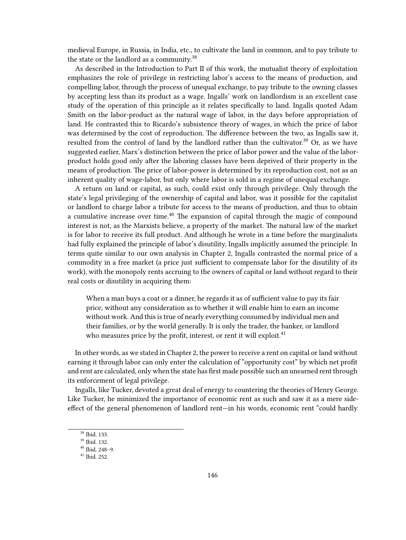medieval Europe, in Russia, in India, etc., to cultivate the land in common, and to pay tribute to the state or the landlord as a community.<sup>38</sup>

As described in the Introduction to Part II of this work, the mutualist theory of exploitation emphasizes the role of privilege in restricting labor's access to the means of production, and compelling labor, through the process of unequal exchange, to pay tribute to the owning classes by accepting less than its product as a wage. Ingalls' work on landlordism is an excellent case study of the operation of this principle as it relates specifically to land. Ingalls quoted Adam Smith on the labor-product as the natural wage of labor, in the days before appropriation of land. He contrasted this to Ricardo's subsistence theory of wages, in which the price of labor was determined by the cost of reproduction. The difference between the two, as Ingalls saw it, resulted from the control of land by the landlord rather than the cultivator.<sup>39</sup> Or, as we have suggested earlier, Marx's distinction between the price of labor power and the value of the laborproduct holds good only after the laboring classes have been deprived of their property in the means of production. The price of labor-power is determined by its reproduction cost, not as an inherent quality of wage-labor, but only where labor is sold in a regime of unequal exchange.

A return on land or capital, as such, could exist only through privilege. Only through the state's legal privileging of the ownership of capital and labor, was it possible for the capitalist or landlord to charge labor a tribute for access to the means of production, and thus to obtain a cumulative increase over time. $40$  The expansion of capital through the magic of compound interest is not, as the Marxists believe, a property of the market. The natural law of the market is for labor to receive its full product. And although he wrote in a time before the marginalists had fully explained the principle of labor's disutility, Ingalls implicitly assumed the principle. In terms quite similar to our own analysis in Chapter 2, Ingalls contrasted the normal price of a commodity in a free market (a price just sufficient to compensate labor for the disutility of its work), with the monopoly rents accruing to the owners of capital or land without regard to their real costs or disutility in acquiring them:

When a man buys a coat or a dinner, he regards it as of sufficient value to pay its fair price, without any consideration as to whether it will enable him to earn an income without work. And this is true of nearly everything consumed by individual men and their families, or by the world generally. It is only the trader, the banker, or landlord who measures price by the profit, interest, or rent it will exploit.<sup>41</sup>

In other words, as we stated in Chapter 2, the power to receive a rent on capital or land without earning it through labor can only enter the calculation of "opportunity cost" by which net profit and rent are calculated, only when the state has first made possible such an unearned rent through its enforcement of legal privilege.

Ingalls, like Tucker, devoted a great deal of energy to countering the theories of Henry George. Like Tucker, he minimized the importance of economic rent as such and saw it as a mere sideeffect of the general phenomenon of landlord rent—in his words, economic rent "could hardly

<sup>38</sup> Ibid. 133.

<sup>39</sup> Ibid. 132.

<sup>40</sup> Ibid. 248–9.

<sup>41</sup> Ibid. 252.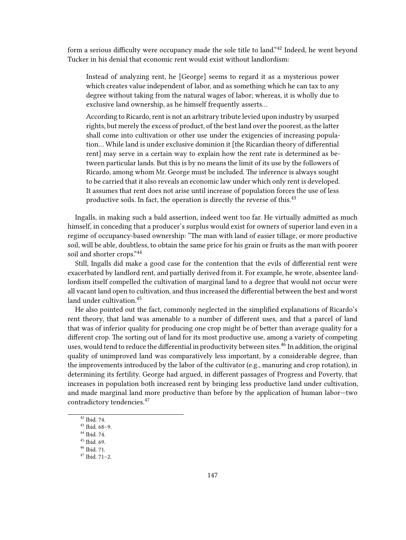form a serious difficulty were occupancy made the sole title to land.<sup>"42</sup> Indeed, he went beyond Tucker in his denial that economic rent would exist without landlordism:

Instead of analyzing rent, he [George] seems to regard it as a mysterious power which creates value independent of labor, and as something which he can tax to any degree without taking from the natural wages of labor; whereas, it is wholly due to exclusive land ownership, as he himself frequently asserts…

According to Ricardo, rent is not an arbitrary tribute levied upon industry by usurped rights, but merely the excess of product, of the best land over the poorest, as the latter shall come into cultivation or other use under the exigencies of increasing population… While land is under exclusive dominion it [the Ricardian theory of differential rent] may serve in a certain way to explain how the rent rate is determined as between particular lands. But this is by no means the limit of its use by the followers of Ricardo, among whom Mr. George must be included. The inference is always sought to be carried that it also reveals an economic law under which only rent is developed. It assumes that rent does not arise until increase of population forces the use of less productive soils. In fact, the operation is directly the reverse of this.<sup>43</sup>

Ingalls, in making such a bald assertion, indeed went too far. He virtually admitted as much himself, in conceding that a producer's surplus would exist for owners of superior land even in a regime of occupancy-based ownership: "The man with land of easier tillage, or more productive soil, will be able, doubtless, to obtain the same price for his grain or fruits as the man with poorer soil and shorter crops. "44

Still, Ingalls did make a good case for the contention that the evils of differential rent were exacerbated by landlord rent, and partially derived from it. For example, he wrote, absentee landlordism itself compelled the cultivation of marginal land to a degree that would not occur were all vacant land open to cultivation, and thus increased the differential between the best and worst land under cultivation.<sup>45</sup>

He also pointed out the fact, commonly neglected in the simplified explanations of Ricardo's rent theory, that land was amenable to a number of different uses, and that a parcel of land that was of inferior quality for producing one crop might be of better than average quality for a different crop. The sorting out of land for its most productive use, among a variety of competing uses, would tend to reduce the differential in productivity between sites.<sup>46</sup> In addition, the original quality of unimproved land was comparatively less important, by a considerable degree, than the improvements introduced by the labor of the cultivator (e.g., manuring and crop rotation), in determining its fertility. George had argued, in different passages of Progress and Poverty, that increases in population both increased rent by bringing less productive land under cultivation, and made marginal land more productive than before by the application of human labor—two contradictory tendencies.<sup>47</sup>

 $\overline{^{42}}$  Ibid. 74.

<sup>43</sup> Ibid. 68–9.

<sup>44</sup> Ibid. 74.

 $45$  Ibid. 69.

<sup>46</sup> Ibid. 71.

<sup>47</sup> Ibid. 71–2.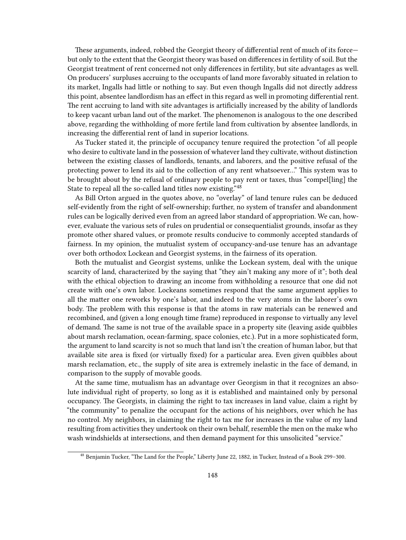These arguments, indeed, robbed the Georgist theory of differential rent of much of its force but only to the extent that the Georgist theory was based on differences in fertility of soil. But the Georgist treatment of rent concerned not only differences in fertility, but site advantages as well. On producers' surpluses accruing to the occupants of land more favorably situated in relation to its market, Ingalls had little or nothing to say. But even though Ingalls did not directly address this point, absentee landlordism has an effect in this regard as well in promoting differential rent. The rent accruing to land with site advantages is artificially increased by the ability of landlords to keep vacant urban land out of the market. The phenomenon is analogous to the one described above, regarding the withholding of more fertile land from cultivation by absentee landlords, in increasing the differential rent of land in superior locations.

As Tucker stated it, the principle of occupancy tenure required the protection "of all people who desire to cultivate land in the possession of whatever land they cultivate, without distinction between the existing classes of landlords, tenants, and laborers, and the positive refusal of the protecting power to lend its aid to the collection of any rent whatsoever…" This system was to be brought about by the refusal of ordinary people to pay rent or taxes, thus "compel[ling] the State to repeal all the so-called land titles now existing."48

As Bill Orton argued in the quotes above, no "overlay" of land tenure rules can be deduced self-evidently from the right of self-ownership; further, no system of transfer and abandonment rules can be logically derived even from an agreed labor standard of appropriation. We can, however, evaluate the various sets of rules on prudential or consequentialist grounds, insofar as they promote other shared values, or promote results conducive to commonly accepted standards of fairness. In my opinion, the mutualist system of occupancy-and-use tenure has an advantage over both orthodox Lockean and Georgist systems, in the fairness of its operation.

Both the mutualist and Georgist systems, unlike the Lockean system, deal with the unique scarcity of land, characterized by the saying that "they ain't making any more of it"; both deal with the ethical objection to drawing an income from withholding a resource that one did not create with one's own labor. Lockeans sometimes respond that the same argument applies to all the matter one reworks by one's labor, and indeed to the very atoms in the laborer's own body. The problem with this response is that the atoms in raw materials can be renewed and recombined, and (given a long enough time frame) reproduced in response to virtually any level of demand. The same is not true of the available space in a property site (leaving aside quibbles about marsh reclamation, ocean-farming, space colonies, etc.). Put in a more sophisticated form, the argument to land scarcity is not so much that land isn't the creation of human labor, but that available site area is fixed (or virtually fixed) for a particular area. Even given quibbles about marsh reclamation, etc., the supply of site area is extremely inelastic in the face of demand, in comparison to the supply of movable goods.

At the same time, mutualism has an advantage over Georgism in that it recognizes an absolute individual right of property, so long as it is established and maintained only by personal occupancy. The Georgists, in claiming the right to tax increases in land value, claim a right by "the community" to penalize the occupant for the actions of his neighbors, over which he has no control. My neighbors, in claiming the right to tax me for increases in the value of my land resulting from activities they undertook on their own behalf, resemble the men on the make who wash windshields at intersections, and then demand payment for this unsolicited "service."

<sup>&</sup>lt;sup>48</sup> Benjamin Tucker, "The Land for the People," Liberty June 22, 1882, in Tucker, Instead of a Book 299-300.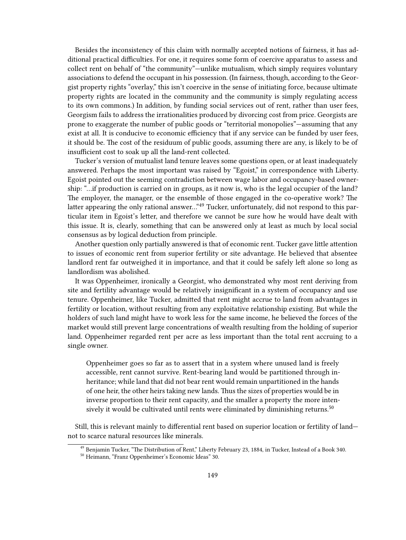Besides the inconsistency of this claim with normally accepted notions of fairness, it has additional practical difficulties. For one, it requires some form of coercive apparatus to assess and collect rent on behalf of "the community"—unlike mutualism, which simply requires voluntary associations to defend the occupant in his possession. (In fairness, though, according to the Georgist property rights "overlay," this isn't coercive in the sense of initiating force, because ultimate property rights are located in the community and the community is simply regulating access to its own commons.) In addition, by funding social services out of rent, rather than user fees, Georgism fails to address the irrationalities produced by divorcing cost from price. Georgists are prone to exaggerate the number of public goods or "territorial monopolies"—assuming that any exist at all. It is conducive to economic efficiency that if any service can be funded by user fees, it should be. The cost of the residuum of public goods, assuming there are any, is likely to be of insufficient cost to soak up all the land-rent collected.

Tucker's version of mutualist land tenure leaves some questions open, or at least inadequately answered. Perhaps the most important was raised by "Egoist," in correspondence with Liberty. Egoist pointed out the seeming contradiction between wage labor and occupancy-based ownership: "…if production is carried on in groups, as it now is, who is the legal occupier of the land? The employer, the manager, or the ensemble of those engaged in the co-operative work? The latter appearing the only rational answer...<sup>"49</sup> Tucker, unfortunately, did not respond to this particular item in Egoist's letter, and therefore we cannot be sure how he would have dealt with this issue. It is, clearly, something that can be answered only at least as much by local social consensus as by logical deduction from principle.

Another question only partially answered is that of economic rent. Tucker gave little attention to issues of economic rent from superior fertility or site advantage. He believed that absentee landlord rent far outweighed it in importance, and that it could be safely left alone so long as landlordism was abolished.

It was Oppenheimer, ironically a Georgist, who demonstrated why most rent deriving from site and fertility advantage would be relatively insignificant in a system of occupancy and use tenure. Oppenheimer, like Tucker, admitted that rent might accrue to land from advantages in fertility or location, without resulting from any exploitative relationship existing. But while the holders of such land might have to work less for the same income, he believed the forces of the market would still prevent large concentrations of wealth resulting from the holding of superior land. Oppenheimer regarded rent per acre as less important than the total rent accruing to a single owner.

Oppenheimer goes so far as to assert that in a system where unused land is freely accessible, rent cannot survive. Rent-bearing land would be partitioned through inheritance; while land that did not bear rent would remain unpartitioned in the hands of one heir, the other heirs taking new lands. Thus the sizes of properties would be in inverse proportion to their rent capacity, and the smaller a property the more intensively it would be cultivated until rents were eliminated by diminishing returns.<sup>50</sup>

Still, this is relevant mainly to differential rent based on superior location or fertility of land not to scarce natural resources like minerals.

<sup>&</sup>lt;sup>49</sup> Benjamin Tucker, "The Distribution of Rent," Liberty February 23, 1884, in Tucker, Instead of a Book 340.

<sup>50</sup> Heimann, "Franz Oppenheimer's Economic Ideas" 30.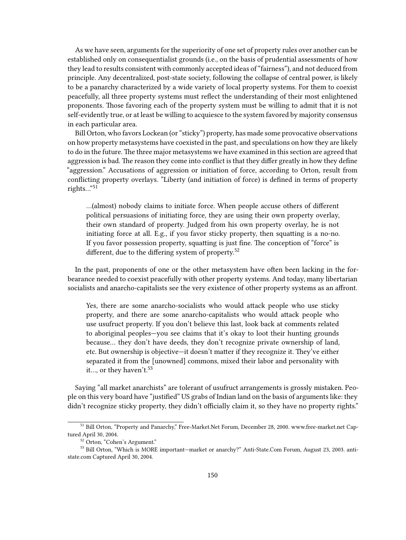As we have seen, arguments for the superiority of one set of property rules over another can be established only on consequentialist grounds (i.e., on the basis of prudential assessments of how they lead to results consistent with commonly accepted ideas of "fairness"), and not deduced from principle. Any decentralized, post-state society, following the collapse of central power, is likely to be a panarchy characterized by a wide variety of local property systems. For them to coexist peacefully, all three property systems must reflect the understanding of their most enlightened proponents. Those favoring each of the property system must be willing to admit that it is not self-evidently true, or at least be willing to acquiesce to the system favored by majority consensus in each particular area.

Bill Orton, who favors Lockean (or "sticky") property, has made some provocative observations on how property metasystems have coexisted in the past, and speculations on how they are likely to do in the future. The three major metasystems we have examined in this section are agreed that aggression is bad. The reason they come into conflict is that they differ greatly in how they define "aggression." Accusations of aggression or initiation of force, according to Orton, result from conflicting property overlays. "Liberty (and initiation of force) is defined in terms of property rights…"<sup>51</sup>

…(almost) nobody claims to initiate force. When people accuse others of different political persuasions of initiating force, they are using their own property overlay, their own standard of property. Judged from his own property overlay, he is not initiating force at all. E.g., if you favor sticky property, then squatting is a no-no. If you favor possession property, squatting is just fine. The conception of "force" is different, due to the differing system of property.<sup>52</sup>

In the past, proponents of one or the other metasystem have often been lacking in the forbearance needed to coexist peacefully with other property systems. And today, many libertarian socialists and anarcho-capitalists see the very existence of other property systems as an affront.

Yes, there are some anarcho-socialists who would attack people who use sticky property, and there are some anarcho-capitalists who would attack people who use usufruct property. If you don't believe this last, look back at comments related to aboriginal peoples—you see claims that it's okay to loot their hunting grounds because… they don't have deeds, they don't recognize private ownership of land, etc. But ownership is objective—it doesn't matter if they recognize it. They've either separated it from the [unowned] commons, mixed their labor and personality with it..., or they haven't.<sup>53</sup>

Saying "all market anarchists" are tolerant of usufruct arrangements is grossly mistaken. People on this very board have "justified" US grabs of Indian land on the basis of arguments like: they didn't recognize sticky property, they didn't officially claim it, so they have no property rights."

<sup>&</sup>lt;sup>51</sup> Bill Orton, "Property and Panarchy," Free-Market.Net Forum, December 28, 2000. [www.free-market.net](http://www.free-market.net/forums/main0012/messages/408156009.html) Captured April 30, 2004.

<sup>52</sup> Orton, "Cohen's Argument."

<sup>53</sup> Bill Orton, "Which is MORE important—market or anarchy?" Anti-State.Com Forum, August 23, 2003. [anti](http://anti-state.com/forum/index.php?board=1;action=display;threadid=6721;start=20)[state.com](http://anti-state.com/forum/index.php?board=1;action=display;threadid=6721;start=20) Captured April 30, 2004.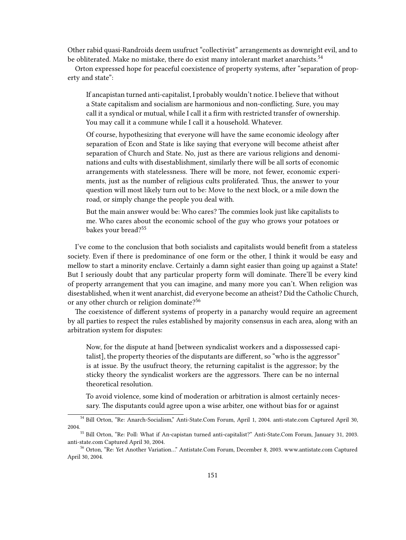Other rabid quasi-Randroids deem usufruct "collectivist" arrangements as downright evil, and to be obliterated. Make no mistake, there do exist many intolerant market anarchists.<sup>54</sup>

Orton expressed hope for peaceful coexistence of property systems, after "separation of property and state":

If ancapistan turned anti-capitalist, I probably wouldn't notice. I believe that without a State capitalism and socialism are harmonious and non-conflicting. Sure, you may call it a syndical or mutual, while I call it a firm with restricted transfer of ownership. You may call it a commune while I call it a household. Whatever.

Of course, hypothesizing that everyone will have the same economic ideology after separation of Econ and State is like saying that everyone will become atheist after separation of Church and State. No, just as there are various religions and denominations and cults with disestablishment, similarly there will be all sorts of economic arrangements with statelessness. There will be more, not fewer, economic experiments, just as the number of religious cults proliferated. Thus, the answer to your question will most likely turn out to be: Move to the next block, or a mile down the road, or simply change the people you deal with.

But the main answer would be: Who cares? The commies look just like capitalists to me. Who cares about the economic school of the guy who grows your potatoes or bakes your bread?<sup>55</sup>

I've come to the conclusion that both socialists and capitalists would benefit from a stateless society. Even if there is predominance of one form or the other, I think it would be easy and mellow to start a minority enclave. Certainly a damn sight easier than going up against a State! But I seriously doubt that any particular property form will dominate. There'll be every kind of property arrangement that you can imagine, and many more you can't. When religion was disestablished, when it went anarchist, did everyone become an atheist? Did the Catholic Church, or any other church or religion dominate?<sup>56</sup>

The coexistence of different systems of property in a panarchy would require an agreement by all parties to respect the rules established by majority consensus in each area, along with an arbitration system for disputes:

Now, for the dispute at hand [between syndicalist workers and a dispossessed capitalist], the property theories of the disputants are different, so "who is the aggressor" is at issue. By the usufruct theory, the returning capitalist is the aggressor; by the sticky theory the syndicalist workers are the aggressors. There can be no internal theoretical resolution.

To avoid violence, some kind of moderation or arbitration is almost certainly necessary. The disputants could agree upon a wise arbiter, one without bias for or against

<sup>54</sup> Bill Orton, "Re: Anarch-Socialism," Anti-State.Com Forum, April 1, 2004. [anti-state.com](http://anti-state.com/forum/index.php?board=6;action=display;threadid=9256;start=120) Captured April 30, 2004.

<sup>55</sup> Bill Orton, "Re: Poll: What if An-capistan turned anti-capitalist?" Anti-State.Com Forum, January 31, 2003. [anti-state.com](http://anti-state.com/forum/index.php?board=1;action=display;threadid=8702;start=140) Captured April 30, 2004.

<sup>56</sup> Orton, "Re: Yet Another Variation…" Antistate.Com Forum, December 8, 2003. [www.antistate.com](http://www.antistate.com/forum/index.php?board=1;action=display;threadid=7965;start=20) Captured April 30, 2004.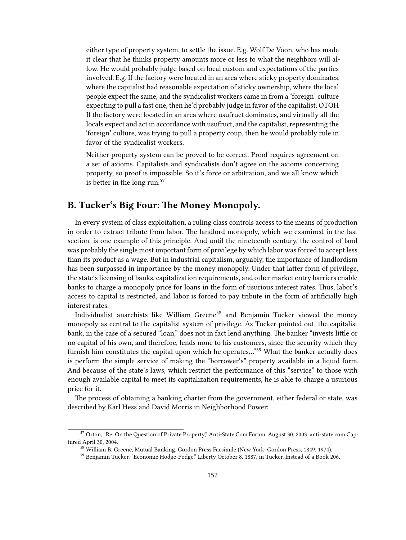either type of property system, to settle the issue. E.g. Wolf De Voon, who has made it clear that he thinks property amounts more or less to what the neighbors will allow. He would probably judge based on local custom and expectations of the parties involved. E.g. If the factory were located in an area where sticky property dominates, where the capitalist had reasonable expectation of sticky ownership, where the local people expect the same, and the syndicalist workers came in from a 'foreign' culture expecting to pull a fast one, then he'd probably judge in favor of the capitalist. OTOH If the factory were located in an area where usufruct dominates, and virtually all the locals expect and act in accordance with usufruct, and the capitalist, representing the 'foreign' culture, was trying to pull a property coup, then he would probably rule in favor of the syndicalist workers.

Neither property system can be proved to be correct. Proof requires agreement on a set of axioms. Capitalists and syndicalists don't agree on the axioms concerning property, so proof is impossible. So it's force or arbitration, and we all know which is better in the long run.<sup>57</sup>

## **B. Tucker's Big Four: The Money Monopoly.**

In every system of class exploitation, a ruling class controls access to the means of production in order to extract tribute from labor. The landlord monopoly, which we examined in the last section, is one example of this principle. And until the nineteenth century, the control of land was probably the single most important form of privilege by which labor was forced to accept less than its product as a wage. But in industrial capitalism, arguably, the importance of landlordism has been surpassed in importance by the money monopoly. Under that latter form of privilege, the state's licensing of banks, capitalization requirements, and other market entry barriers enable banks to charge a monopoly price for loans in the form of usurious interest rates. Thus, labor's access to capital is restricted, and labor is forced to pay tribute in the form of artificially high interest rates.

Individualist anarchists like William Greene<sup>58</sup> and Benjamin Tucker viewed the money monopoly as central to the capitalist system of privilege. As Tucker pointed out, the capitalist bank, in the case of a secured "loan," does not in fact lend anything. The banker "invests little or no capital of his own, and therefore, lends none to his customers, since the security which they furnish him constitutes the capital upon which he operates…"<sup>59</sup> What the banker actually does is perform the simple service of making the "borrower's" property available in a liquid form. And because of the state's laws, which restrict the performance of this "service" to those with enough available capital to meet its capitalization requirements, he is able to charge a usurious price for it.

The process of obtaining a banking charter from the government, either federal or state, was described by Karl Hess and David Morris in Neighborhood Power:

<sup>57</sup> Orton, "Re: On the Question of Private Property," Anti-State.Com Forum, August 30, 2003. [anti-state.com](http://anti-state.com/forum/index.php?board=6;action=display;threadid=6726;start=20) Captured April 30, 2004.

<sup>58</sup> William B. Greene, Mutual Banking. Gordon Press Facsimile (New York: Gordon Press, 1849, 1974).

<sup>59</sup> Benjamin Tucker, "Economic Hodge-Podge," Liberty October 8, 1887, in Tucker, Instead of a Book 206.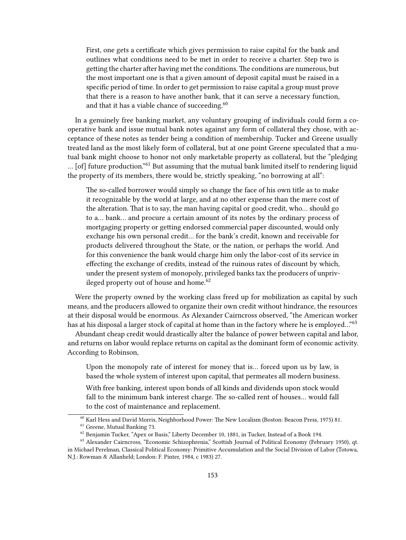First, one gets a certificate which gives permission to raise capital for the bank and outlines what conditions need to be met in order to receive a charter. Step two is getting the charter after having met the conditions. The conditions are numerous, but the most important one is that a given amount of deposit capital must be raised in a specific period of time. In order to get permission to raise capital a group must prove that there is a reason to have another bank, that it can serve a necessary function, and that it has a viable chance of succeeding.<sup>60</sup>

In a genuinely free banking market, any voluntary grouping of individuals could form a cooperative bank and issue mutual bank notes against any form of collateral they chose, with acceptance of these notes as tender being a condition of membership. Tucker and Greene usually treated land as the most likely form of collateral, but at one point Greene speculated that a mutual bank might choose to honor not only marketable property as collateral, but the "pledging … [of] future production."<sup>61</sup> But assuming that the mutual bank limited itself to rendering liquid the property of its members, there would be, strictly speaking, "no borrowing at all":

The so-called borrower would simply so change the face of his own title as to make it recognizable by the world at large, and at no other expense than the mere cost of the alteration. That is to say, the man having capital or good credit, who… should go to a… bank… and procure a certain amount of its notes by the ordinary process of mortgaging property or getting endorsed commercial paper discounted, would only exchange his own personal credit… for the bank's credit, known and receivable for products delivered throughout the State, or the nation, or perhaps the world. And for this convenience the bank would charge him only the labor-cost of its service in effecting the exchange of credits, instead of the ruinous rates of discount by which, under the present system of monopoly, privileged banks tax the producers of unprivileged property out of house and home.<sup>62</sup>

Were the property owned by the working class freed up for mobilization as capital by such means, and the producers allowed to organize their own credit without hindrance, the resources at their disposal would be enormous. As Alexander Cairncross observed, "the American worker has at his disposal a larger stock of capital at home than in the factory where he is employed..."<sup>63</sup>

Abundant cheap credit would drastically alter the balance of power between capital and labor, and returns on labor would replace returns on capital as the dominant form of economic activity. According to Robinson,

Upon the monopoly rate of interest for money that is… forced upon us by law, is based the whole system of interest upon capital, that permeates all modern business.

With free banking, interest upon bonds of all kinds and dividends upon stock would fall to the minimum bank interest charge. The so-called rent of houses… would fall to the cost of maintenance and replacement.

<sup>60</sup> Karl Hess and David Morris, Neighborhood Power: The New Localism (Boston: Beacon Press, 1975) 81.

<sup>61</sup> Greene, Mutual Banking 73.

<sup>62</sup> Benjamin Tucker, "Apex or Basis," Liberty December 10, 1881, in Tucker, Instead of a Book 194.

<sup>63</sup> Alexander Cairncross, "Economic Schizophrenia," Scottish Journal of Political Economy (February 1950), qt. in Michael Perelman, Classical Political Economy: Primitive Accumulation and the Social Division of Labor (Totowa, N.J.: Rowman & Allanheld; London: F. Pinter, 1984, c 1983) 27.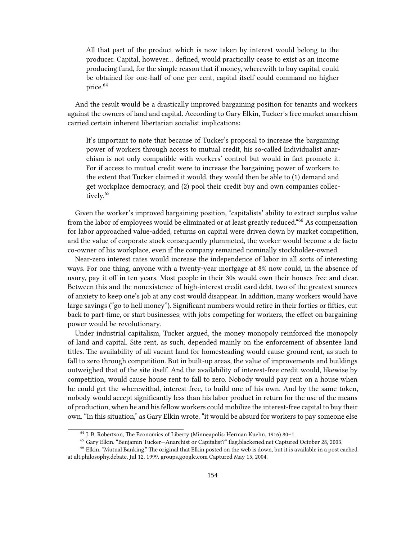All that part of the product which is now taken by interest would belong to the producer. Capital, however… defined, would practically cease to exist as an income producing fund, for the simple reason that if money, wherewith to buy capital, could be obtained for one-half of one per cent, capital itself could command no higher price.<sup>64</sup>

And the result would be a drastically improved bargaining position for tenants and workers against the owners of land and capital. According to Gary Elkin, Tucker's free market anarchism carried certain inherent libertarian socialist implications:

It's important to note that because of Tucker's proposal to increase the bargaining power of workers through access to mutual credit, his so-called Individualist anarchism is not only compatible with workers' control but would in fact promote it. For if access to mutual credit were to increase the bargaining power of workers to the extent that Tucker claimed it would, they would then be able to (1) demand and get workplace democracy, and (2) pool their credit buy and own companies collectively.<sup>65</sup>

Given the worker's improved bargaining position, "capitalists' ability to extract surplus value from the labor of employees would be eliminated or at least greatly reduced."<sup>66</sup> As compensation for labor approached value-added, returns on capital were driven down by market competition, and the value of corporate stock consequently plummeted, the worker would become a de facto co-owner of his workplace, even if the company remained nominally stockholder-owned.

Near-zero interest rates would increase the independence of labor in all sorts of interesting ways. For one thing, anyone with a twenty-year mortgage at 8% now could, in the absence of usury, pay it off in ten years. Most people in their 30s would own their houses free and clear. Between this and the nonexistence of high-interest credit card debt, two of the greatest sources of anxiety to keep one's job at any cost would disappear. In addition, many workers would have large savings ("go to hell money"). Significant numbers would retire in their forties or fifties, cut back to part-time, or start businesses; with jobs competing for workers, the effect on bargaining power would be revolutionary.

Under industrial capitalism, Tucker argued, the money monopoly reinforced the monopoly of land and capital. Site rent, as such, depended mainly on the enforcement of absentee land titles. The availability of all vacant land for homesteading would cause ground rent, as such to fall to zero through competition. But in built-up areas, the value of improvements and buildings outweighed that of the site itself. And the availability of interest-free credit would, likewise by competition, would cause house rent to fall to zero. Nobody would pay rent on a house when he could get the wherewithal, interest free, to build one of his own. And by the same token, nobody would accept significantly less than his labor product in return for the use of the means of production, when he and his fellow workers could mobilize the interest-free capital to buy their own. "In this situation," as Gary Elkin wrote, "it would be absurd for workers to pay someone else

<sup>64</sup> J. B. Robertson, The Economics of Liberty (Minneapolis: Herman Kuehn, 1916) 80–1.

<sup>65</sup> Gary Elkin. "Benjamin Tucker—Anarchist or Capitalist?" [flag.blackened.net](http://flag.blackened.net/daver/anarchism/tucker/an_or_cap.html) Captured October 28, 2003.

<sup>&</sup>lt;sup>66</sup> Elkin. "Mutual Banking." The original that Elkin posted on the web is down, but it is available in a post cached at alt.philosophy.debate, Jul 12, 1999. [groups.google.com](http://groups.google.com/groups?q=%22gary%2Belkin%22%2B%22mutual%2Bbanking%22&hl=en&lr=&ie=UTF-8&oe=UTF-8&safe=off&selm=37897B99.1B1E%40columbia-center.org&rnum=7&filter=0) Captured May 15, 2004.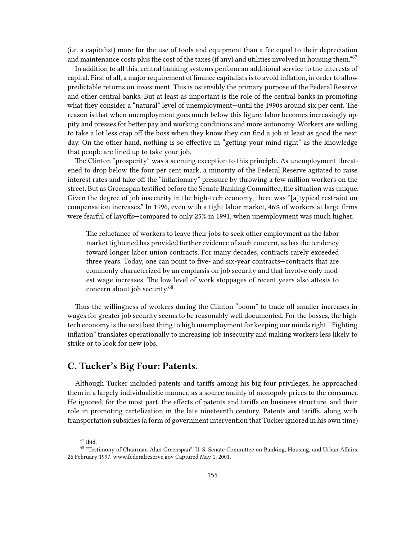(i.e. a capitalist) more for the use of tools and equipment than a fee equal to their depreciation and maintenance costs plus the cost of the taxes (if any) and utilities involved in housing them. "<sup>67</sup>

In addition to all this, central banking systems perform an additional service to the interests of capital. First of all, a major requirement of finance capitalists is to avoid inflation, in order to allow predictable returns on investment. This is ostensibly the primary purpose of the Federal Reserve and other central banks. But at least as important is the role of the central banks in promoting what they consider a "natural" level of unemployment—until the 1990s around six per cent. The reason is that when unemployment goes much below this figure, labor becomes increasingly uppity and presses for better pay and working conditions and more autonomy. Workers are willing to take a lot less crap off the boss when they know they can find a job at least as good the next day. On the other hand, nothing is so effective in "getting your mind right" as the knowledge that people are lined up to take your job.

The Clinton "prosperity" was a seeming exception to this principle. As unemployment threatened to drop below the four per cent mark, a minority of the Federal Reserve agitated to raise interest rates and take off the "inflationary" pressure by throwing a few million workers on the street. But as Greenspan testified before the Senate Banking Committee, the situation was unique. Given the degree of job insecurity in the high-tech economy, there was "[a]typical restraint on compensation increases." In 1996, even with a tight labor market, 46% of workers at large firms were fearful of layoffs—compared to only 25% in 1991, when unemployment was much higher.

The reluctance of workers to leave their jobs to seek other employment as the labor market tightened has provided further evidence of such concern, as has the tendency toward longer labor union contracts. For many decades, contracts rarely exceeded three years. Today, one can point to five- and six-year contracts—contracts that are commonly characterized by an emphasis on job security and that involve only modest wage increases. The low level of work stoppages of recent years also attests to concern about job security.<sup>68</sup>

Thus the willingness of workers during the Clinton "boom" to trade off smaller increases in wages for greater job security seems to be reasonably well documented. For the bosses, the hightech economy is the next best thing to high unemployment for keeping our minds right. "Fighting inflation" translates operationally to increasing job insecurity and making workers less likely to strike or to look for new jobs.

### **C. Tucker's Big Four: Patents.**

Although Tucker included patents and tariffs among his big four privileges, he approached them in a largely individualistic manner, as a source mainly of monopoly prices to the consumer. He ignored, for the most part, the effects of patents and tariffs on business structure, and their role in promoting cartelization in the late nineteenth century. Patents and tariffs, along with transportation subsidies (a form of government intervention that Tucker ignored in his own time)

 $67$  Ibid.

<sup>&</sup>lt;sup>68</sup> "Testimony of Chairman Alan Greenspan". U. S. Senate Committee on Banking, Housing, and Urban Affairs. 26 February 1997. [www.federalreserve.gov](http://www.federalreserve.gov//boarddocs/hh/1997/february/testimony/htm) Captured May 1, 2001.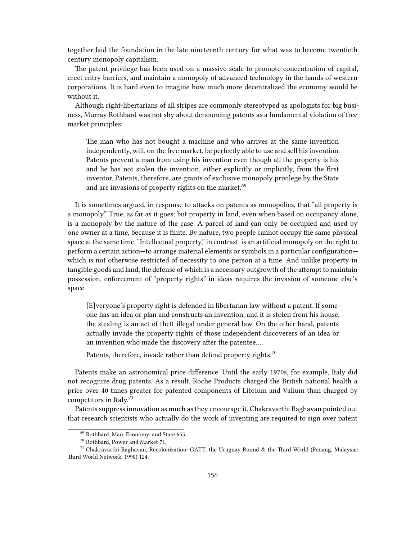together laid the foundation in the late nineteenth century for what was to become twentieth century monopoly capitalism.

The patent privilege has been used on a massive scale to promote concentration of capital, erect entry barriers, and maintain a monopoly of advanced technology in the hands of western corporations. It is hard even to imagine how much more decentralized the economy would be without it.

Although right-libertarians of all stripes are commonly stereotyped as apologists for big business, Murray Rothbard was not shy about denouncing patents as a fundamental violation of free market principles:

The man who has not bought a machine and who arrives at the same invention independently, will, on the free market, be perfectly able to use and sell his invention. Patents prevent a man from using his invention even though all the property is his and he has not stolen the invention, either explicitly or implicitly, from the first inventor. Patents, therefore, are grants of exclusive monopoly privilege by the State and are invasions of property rights on the market.<sup>69</sup>

It is sometimes argued, in response to attacks on patents as monopolies, that "all property is a monopoly." True, as far as it goes; but property in land, even when based on occupancy alone, is a monopoly by the nature of the case. A parcel of land can only be occupied and used by one owner at a time, because it is finite. By nature, two people cannot occupy the same physical space at the same time. "Intellectual property," in contrast, is an artificial monopoly on the right to perform a certain action—to arrange material elements or symbols in a particular configuration which is not otherwise restricted of necessity to one person at a time. And unlike property in tangible goods and land, the defense of which is a necessary outgrowth of the attempt to maintain possession, enforcement of "property rights" in ideas requires the invasion of someone else's space.

[E]veryone's property right is defended in libertarian law without a patent. If someone has an idea or plan and constructs an invention, and it is stolen from his house, the stealing is an act of theft illegal under general law. On the other hand, patents actually invade the property rights of those independent discoverers of an idea or an invention who made the discovery after the patentee….

Patents, therefore, invade rather than defend property rights.<sup>70</sup>

Patents make an astronomical price difference. Until the early 1970s, for example, Italy did not recognize drug patents. As a result, Roche Products charged the British national health a price over 40 times greater for patented components of Librium and Valium than charged by competitors in Italy.<sup>71</sup>

Patents suppress innovation as much as they encourage it. Chakravarthi Raghavan pointed out that research scientists who actually do the work of inventing are required to sign over patent

<sup>69</sup> Rothbard, Man, Economy, and State 655.

<sup>70</sup> Rothbard, Power and Market 71.

 $^{71}$  Chakravarthi Raghavan, Recolonization: GATT, the Uruguay Round & the Third World (Penang, Malaysia: Third World Network, 1990) 124.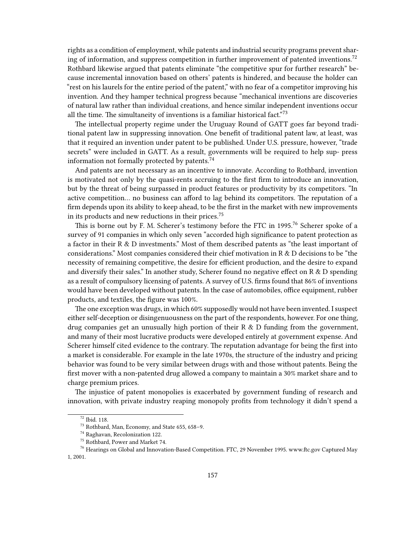rights as a condition of employment, while patents and industrial security programs prevent sharing of information, and suppress competition in further improvement of patented inventions.<sup>72</sup> Rothbard likewise argued that patents eliminate "the competitive spur for further research" because incremental innovation based on others' patents is hindered, and because the holder can "rest on his laurels for the entire period of the patent," with no fear of a competitor improving his invention. And they hamper technical progress because "mechanical inventions are discoveries of natural law rather than individual creations, and hence similar independent inventions occur all the time. The simultaneity of inventions is a familiar historical fact."<sup>73</sup>

The intellectual property regime under the Uruguay Round of GATT goes far beyond traditional patent law in suppressing innovation. One benefit of traditional patent law, at least, was that it required an invention under patent to be published. Under U.S. pressure, however, "trade secrets" were included in GATT. As a result, governments will be required to help sup- press information not formally protected by patents.<sup>74</sup>

And patents are not necessary as an incentive to innovate. According to Rothbard, invention is motivated not only by the quasi-rents accruing to the first firm to introduce an innovation, but by the threat of being surpassed in product features or productivity by its competitors. "In active competition… no business can afford to lag behind its competitors. The reputation of a firm depends upon its ability to keep ahead, to be the first in the market with new improvements in its products and new reductions in their prices.<sup>75</sup>

This is borne out by F. M. Scherer's testimony before the FTC in 1995.<sup>76</sup> Scherer spoke of a survey of 91 companies in which only seven "accorded high significance to patent protection as a factor in their R & D investments." Most of them described patents as "the least important of considerations." Most companies considered their chief motivation in  $R \& D$  decisions to be "the necessity of remaining competitive, the desire for efficient production, and the desire to expand and diversify their sales." In another study, Scherer found no negative effect on  $R \& D$  spending as a result of compulsory licensing of patents. A survey of U.S. firms found that 86% of inventions would have been developed without patents. In the case of automobiles, office equipment, rubber products, and textiles, the figure was 100%.

The one exception was drugs, in which 60% supposedly would not have been invented. I suspect either self-deception or disingenuousness on the part of the respondents, however. For one thing, drug companies get an unusually high portion of their  $R \& D$  funding from the government, and many of their most lucrative products were developed entirely at government expense. And Scherer himself cited evidence to the contrary. The reputation advantage for being the first into a market is considerable. For example in the late 1970s, the structure of the industry and pricing behavior was found to be very similar between drugs with and those without patents. Being the first mover with a non-patented drug allowed a company to maintain a 30% market share and to charge premium prices.

The injustice of patent monopolies is exacerbated by government funding of research and innovation, with private industry reaping monopoly profits from technology it didn't spend a

 $\overline{72}$  Ibid. 118.

<sup>73</sup> Rothbard, Man, Economy, and State 655, 658–9.

<sup>74</sup> Raghavan, Recolonization 122.

<sup>75</sup> Rothbard, Power and Market 74.

<sup>76</sup> Hearings on Global and Innovation-Based Competition. FTC, 29 November 1995. [www.ftc.gov](http://www.ftc.gov/opp/gc112195.pdf) Captured May 1, 2001.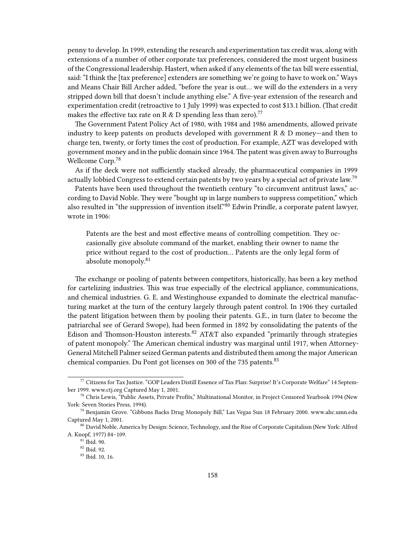penny to develop. In 1999, extending the research and experimentation tax credit was, along with extensions of a number of other corporate tax preferences, considered the most urgent business of the Congressional leadership. Hastert, when asked if any elements of the tax bill were essential, said: "I think the [tax preference] extenders are something we're going to have to work on." Ways and Means Chair Bill Archer added, "before the year is out… we will do the extenders in a very stripped down bill that doesn't include anything else." A five-year extension of the research and experimentation credit (retroactive to 1 July 1999) was expected to cost \$13.1 billion. (That credit makes the effective tax rate on R & D spending less than zero).<sup>77</sup>

The Government Patent Policy Act of 1980, with 1984 and 1986 amendments, allowed private industry to keep patents on products developed with government  $R \& D$  money—and then to charge ten, twenty, or forty times the cost of production. For example, AZT was developed with government money and in the public domain since 1964. The patent was given away to Burroughs Wellcome Corp.<sup>78</sup>

As if the deck were not sufficiently stacked already, the pharmaceutical companies in 1999 actually lobbied Congress to extend certain patents by two years by a special act of private law.<sup>79</sup>

Patents have been used throughout the twentieth century "to circumvent antitrust laws," according to David Noble. They were "bought up in large numbers to suppress competition," which also resulted in "the suppression of invention itself."<sup>80</sup> Edwin Prindle, a corporate patent lawyer, wrote in 1906:

Patents are the best and most effective means of controlling competition. They occasionally give absolute command of the market, enabling their owner to name the price without regard to the cost of production… Patents are the only legal form of absolute monopoly.<sup>81</sup>

The exchange or pooling of patents between competitors, historically, has been a key method for cartelizing industries. This was true especially of the electrical appliance, communications, and chemical industries. G. E. and Westinghouse expanded to dominate the electrical manufacturing market at the turn of the century largely through patent control. In 1906 they curtailed the patent litigation between them by pooling their patents. G.E., in turn (later to become the patriarchal see of Gerard Swope), had been formed in 1892 by consolidating the patents of the Edison and Thomson-Houston interests.<sup>82</sup> AT&T also expanded "primarily through strategies of patent monopoly." The American chemical industry was marginal until 1917, when Attorney-General Mitchell Palmer seized German patents and distributed them among the major American chemical companies. Du Pont got licenses on 300 of the 735 patents.<sup>83</sup>

<sup>77</sup> Citizens for Tax Justice. "GOP Leaders Distill Essence of Tax Plan: Surprise! It's Corporate Welfare" 14 September 1999. [www.ctj.org](http://www.ctj.org/pdf/corp0999.pdf) Captured May 1, 2001.

<sup>78</sup> Chris Lewis, "Public Assets, Private Profits," Multinational Monitor, in Project Censored Yearbook 1994 (New York: Seven Stories Press, 1994).

<sup>79</sup> Benjamin Grove. "Gibbons Backs Drug Monopoly Bill," Las Vegas Sun 18 February 2000. [www.ahc.umn.edu](http://www.ahc.umn.edu/NewsAlert/Feb00/022100NewsAlert/44500.htm) Captured May 1, 2001.

<sup>80</sup> David Noble, America by Design: Science, Technology, and the Rise of Corporate Capitalism (New York: Alfred A. Knopf, 1977) 84–109.

 $81$  Ibid. 90.

<sup>82</sup> Ibid. 92.

<sup>83</sup> Ibid. 10, 16.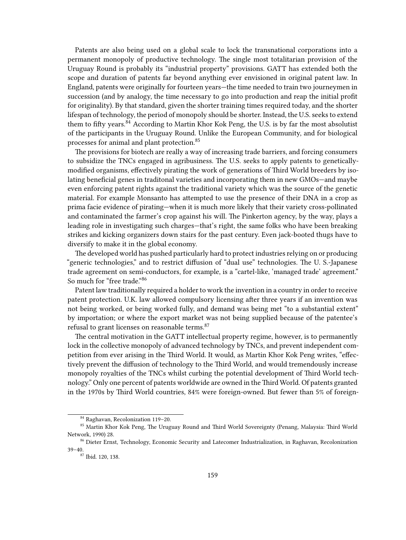Patents are also being used on a global scale to lock the transnational corporations into a permanent monopoly of productive technology. The single most totalitarian provision of the Uruguay Round is probably its "industrial property" provisions. GATT has extended both the scope and duration of patents far beyond anything ever envisioned in original patent law. In England, patents were originally for fourteen years—the time needed to train two journeymen in succession (and by analogy, the time necessary to go into production and reap the initial profit for originality). By that standard, given the shorter training times required today, and the shorter lifespan of technology, the period of monopoly should be shorter. Instead, the U.S. seeks to extend them to fifty years.<sup>84</sup> According to Martin Khor Kok Peng, the U.S. is by far the most absolutist of the participants in the Uruguay Round. Unlike the European Community, and for biological processes for animal and plant protection.<sup>85</sup>

The provisions for biotech are really a way of increasing trade barriers, and forcing consumers to subsidize the TNCs engaged in agribusiness. The U.S. seeks to apply patents to geneticallymodified organisms, effectively pirating the work of generations of Third World breeders by isolating beneficial genes in traditonal varieties and incorporating them in new GMOs—and maybe even enforcing patent rights against the traditional variety which was the source of the genetic material. For example Monsanto has attempted to use the presence of their DNA in a crop as prima facie evidence of pirating—when it is much more likely that their variety cross-pollinated and contaminated the farmer's crop against his will. The Pinkerton agency, by the way, plays a leading role in investigating such charges—that's right, the same folks who have been breaking strikes and kicking organizers down stairs for the past century. Even jack-booted thugs have to diversify to make it in the global economy.

The developed world has pushed particularly hard to protect industries relying on or producing "generic technologies," and to restrict diffusion of "dual use" technologies. The U. S.-Japanese trade agreement on semi-conductors, for example, is a "cartel-like, 'managed trade' agreement." So much for "free trade."<sup>86</sup>

Patent law traditionally required a holder to work the invention in a country in order to receive patent protection. U.K. law allowed compulsory licensing after three years if an invention was not being worked, or being worked fully, and demand was being met "to a substantial extent" by importation; or where the export market was not being supplied because of the patentee's refusal to grant licenses on reasonable terms.<sup>87</sup>

The central motivation in the GATT intellectual property regime, however, is to permanently lock in the collective monopoly of advanced technology by TNCs, and prevent independent competition from ever arising in the Third World. It would, as Martin Khor Kok Peng writes, "effectively prevent the diffusion of technology to the Third World, and would tremendously increase monopoly royalties of the TNCs whilst curbing the potential development of Third World technology." Only one percent of patents worldwide are owned in the Third World. Of patents granted in the 1970s by Third World countries, 84% were foreign-owned. But fewer than 5% of foreign-

<sup>84</sup> Raghavan, Recolonization 119–20.

<sup>&</sup>lt;sup>85</sup> Martin Khor Kok Peng, The Uruguay Round and Third World Sovereignty (Penang, Malaysia: Third World Network, 1990) 28.

<sup>86</sup> Dieter Ernst, Technology, Economic Security and Latecomer Industrialization, in Raghavan, Recolonization 39–40.

<sup>87</sup> Ibid. 120, 138.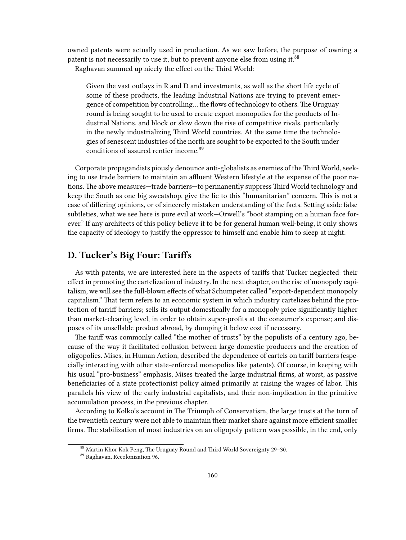owned patents were actually used in production. As we saw before, the purpose of owning a patent is not necessarily to use it, but to prevent anyone else from using it.<sup>88</sup> Raghavan summed up nicely the effect on the Third World:

Given the vast outlays in R and D and investments, as well as the short life cycle of some of these products, the leading Industrial Nations are trying to prevent emergence of competition by controlling… the flows of technology to others. The Uruguay round is being sought to be used to create export monopolies for the products of Industrial Nations, and block or slow down the rise of competitive rivals, particularly in the newly industrializing Third World countries. At the same time the technologies of senescent industries of the north are sought to be exported to the South under conditions of assured rentier income.<sup>89</sup>

Corporate propagandists piously denounce anti-globalists as enemies of the Third World, seeking to use trade barriers to maintain an affluent Western lifestyle at the expense of the poor nations. The above measures—trade barriers—to permanently suppress Third World technology and keep the South as one big sweatshop, give the lie to this "humanitarian" concern. This is not a case of differing opinions, or of sincerely mistaken understanding of the facts. Setting aside false subtleties, what we see here is pure evil at work—Orwell's "boot stamping on a human face forever." If any architects of this policy believe it to be for general human well-being, it only shows the capacity of ideology to justify the oppressor to himself and enable him to sleep at night.

### **D. Tucker's Big Four: Tariffs**

As with patents, we are interested here in the aspects of tariffs that Tucker neglected: their effect in promoting the cartelization of industry. In the next chapter, on the rise of monopoly capitalism, we will see the full-blown effects of what Schumpeter called "export-dependent monopoly capitalism." That term refers to an economic system in which industry cartelizes behind the protection of tarriff barriers; sells its output domestically for a monopoly price significantly higher than market-clearing level, in order to obtain super-profits at the consumer's expense; and disposes of its unsellable product abroad, by dumping it below cost if necessary.

The tariff was commonly called "the mother of trusts" by the populists of a century ago, because of the way it facilitated collusion between large domestic producers and the creation of oligopolies. Mises, in Human Action, described the dependence of cartels on tariff barriers (especially interacting with other state-enforced monopolies like patents). Of course, in keeping with his usual "pro-business" emphasis, Mises treated the large industrial firms, at worst, as passive beneficiaries of a state protectionist policy aimed primarily at raising the wages of labor. This parallels his view of the early industrial capitalists, and their non-implication in the primitive accumulation process, in the previous chapter.

According to Kolko's account in The Triumph of Conservatism, the large trusts at the turn of the twentieth century were not able to maintain their market share against more efficient smaller firms. The stabilization of most industries on an oligopoly pattern was possible, in the end, only

<sup>88</sup> Martin Khor Kok Peng, The Uruguay Round and Third World Sovereignty 29-30.

<sup>89</sup> Raghavan, Recolonization 96.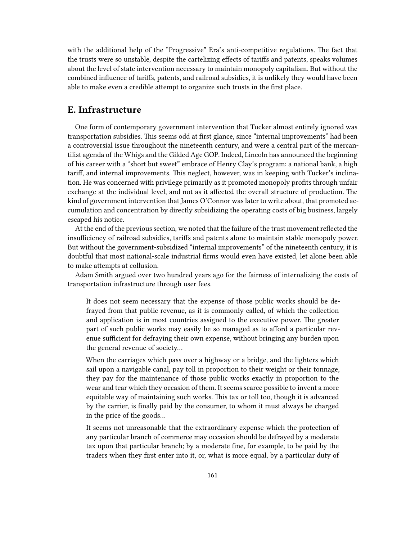with the additional help of the "Progressive" Era's anti-competitive regulations. The fact that the trusts were so unstable, despite the cartelizing effects of tariffs and patents, speaks volumes about the level of state intervention necessary to maintain monopoly capitalism. But without the combined influence of tariffs, patents, and railroad subsidies, it is unlikely they would have been able to make even a credible attempt to organize such trusts in the first place.

## **E. Infrastructure**

One form of contemporary government intervention that Tucker almost entirely ignored was transportation subsidies. This seems odd at first glance, since "internal improvements" had been a controversial issue throughout the nineteenth century, and were a central part of the mercantilist agenda of the Whigs and the Gilded Age GOP. Indeed, Lincoln has announced the beginning of his career with a "short but sweet" embrace of Henry Clay's program: a national bank, a high tariff, and internal improvements. This neglect, however, was in keeping with Tucker's inclination. He was concerned with privilege primarily as it promoted monopoly profits through unfair exchange at the individual level, and not as it affected the overall structure of production. The kind of government intervention that James O'Connor was later to write about, that promoted accumulation and concentration by directly subsidizing the operating costs of big business, largely escaped his notice.

At the end of the previous section, we noted that the failure of the trust movement reflected the insufficiency of railroad subsidies, tariffs and patents alone to maintain stable monopoly power. But without the government-subsidized "internal improvements" of the nineteenth century, it is doubtful that most national-scale industrial firms would even have existed, let alone been able to make attempts at collusion.

Adam Smith argued over two hundred years ago for the fairness of internalizing the costs of transportation infrastructure through user fees.

It does not seem necessary that the expense of those public works should be defrayed from that public revenue, as it is commonly called, of which the collection and application is in most countries assigned to the executive power. The greater part of such public works may easily be so managed as to afford a particular revenue sufficient for defraying their own expense, without bringing any burden upon the general revenue of society…

When the carriages which pass over a highway or a bridge, and the lighters which sail upon a navigable canal, pay toll in proportion to their weight or their tonnage, they pay for the maintenance of those public works exactly in proportion to the wear and tear which they occasion of them. It seems scarce possible to invent a more equitable way of maintaining such works. This tax or toll too, though it is advanced by the carrier, is finally paid by the consumer, to whom it must always be charged in the price of the goods…

It seems not unreasonable that the extraordinary expense which the protection of any particular branch of commerce may occasion should be defrayed by a moderate tax upon that particular branch; by a moderate fine, for example, to be paid by the traders when they first enter into it, or, what is more equal, by a particular duty of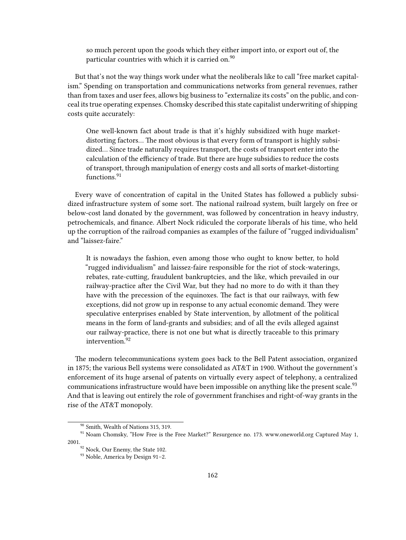so much percent upon the goods which they either import into, or export out of, the particular countries with which it is carried on.<sup>90</sup>

But that's not the way things work under what the neoliberals like to call "free market capitalism." Spending on transportation and communications networks from general revenues, rather than from taxes and user fees, allows big business to "externalize its costs" on the public, and conceal its true operating expenses. Chomsky described this state capitalist underwriting of shipping costs quite accurately:

One well-known fact about trade is that it's highly subsidized with huge marketdistorting factors… The most obvious is that every form of transport is highly subsidized… Since trade naturally requires transport, the costs of transport enter into the calculation of the efficiency of trade. But there are huge subsidies to reduce the costs of transport, through manipulation of energy costs and all sorts of market-distorting functions.<sup>91</sup>

Every wave of concentration of capital in the United States has followed a publicly subsidized infrastructure system of some sort. The national railroad system, built largely on free or below-cost land donated by the government, was followed by concentration in heavy industry, petrochemicals, and finance. Albert Nock ridiculed the corporate liberals of his time, who held up the corruption of the railroad companies as examples of the failure of "rugged individualism" and "laissez-faire."

It is nowadays the fashion, even among those who ought to know better, to hold "rugged individualism" and laissez-faire responsible for the riot of stock-waterings, rebates, rate-cutting, fraudulent bankruptcies, and the like, which prevailed in our railway-practice after the Civil War, but they had no more to do with it than they have with the precession of the equinoxes. The fact is that our railways, with few exceptions, did not grow up in response to any actual economic demand. They were speculative enterprises enabled by State intervention, by allotment of the political means in the form of land-grants and subsidies; and of all the evils alleged against our railway-practice, there is not one but what is directly traceable to this primary intervention.<sup>92</sup>

The modern telecommunications system goes back to the Bell Patent association, organized in 1875; the various Bell systems were consolidated as AT&T in 1900. Without the government's enforcement of its huge arsenal of patents on virtually every aspect of telephony, a centralized communications infrastructure would have been impossible on anything like the present scale.<sup>93</sup> And that is leaving out entirely the role of government franchises and right-of-way grants in the rise of the AT&T monopoly.

<sup>90</sup> Smith, Wealth of Nations 315, 319.

<sup>&</sup>lt;sup>91</sup> Noam Chomsky, "How Free is the Free Market?" Resurgence no. 173. [www.oneworld.org](http://www.oneworld.org/second_opinion/chomsky.html) Captured May 1, 2001.

 $^{92}$  Nock, Our Enemy, the State 102.

<sup>93</sup> Noble, America by Design 91–2.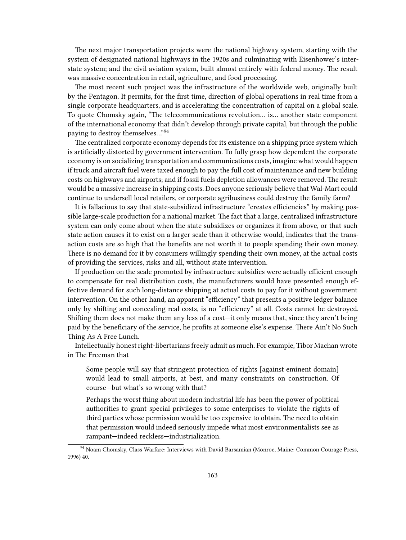The next major transportation projects were the national highway system, starting with the system of designated national highways in the 1920s and culminating with Eisenhower's interstate system; and the civil aviation system, built almost entirely with federal money. The result was massive concentration in retail, agriculture, and food processing.

The most recent such project was the infrastructure of the worldwide web, originally built by the Pentagon. It permits, for the first time, direction of global operations in real time from a single corporate headquarters, and is accelerating the concentration of capital on a global scale. To quote Chomsky again, "The telecommunications revolution… is… another state component of the international economy that didn't develop through private capital, but through the public paying to destroy themselves…"<sup>94</sup>

The centralized corporate economy depends for its existence on a shipping price system which is artificially distorted by government intervention. To fully grasp how dependent the corporate economy is on socializing transportation and communications costs, imagine what would happen if truck and aircraft fuel were taxed enough to pay the full cost of maintenance and new building costs on highways and airports; and if fossil fuels depletion allowances were removed. The result would be a massive increase in shipping costs. Does anyone seriously believe that Wal-Mart could continue to undersell local retailers, or corporate agribusiness could destroy the family farm?

It is fallacious to say that state-subsidized infrastructure "creates efficiencies" by making possible large-scale production for a national market. The fact that a large, centralized infrastructure system can only come about when the state subsidizes or organizes it from above, or that such state action causes it to exist on a larger scale than it otherwise would, indicates that the transaction costs are so high that the benefits are not worth it to people spending their own money. There is no demand for it by consumers willingly spending their own money, at the actual costs of providing the services, risks and all, without state intervention.

If production on the scale promoted by infrastructure subsidies were actually efficient enough to compensate for real distribution costs, the manufacturers would have presented enough effective demand for such long-distance shipping at actual costs to pay for it without government intervention. On the other hand, an apparent "efficiency" that presents a positive ledger balance only by shifting and concealing real costs, is no "efficiency" at all. Costs cannot be destroyed. Shifting them does not make them any less of a cost—it only means that, since they aren't being paid by the beneficiary of the service, he profits at someone else's expense. There Ain't No Such Thing As A Free Lunch.

Intellectually honest right-libertarians freely admit as much. For example, Tibor Machan wrote in The Freeman that

Some people will say that stringent protection of rights [against eminent domain] would lead to small airports, at best, and many constraints on construction. Of course—but what's so wrong with that?

Perhaps the worst thing about modern industrial life has been the power of political authorities to grant special privileges to some enterprises to violate the rights of third parties whose permission would be too expensive to obtain. The need to obtain that permission would indeed seriously impede what most environmentalists see as rampant—indeed reckless—industrialization.

<sup>94</sup> Noam Chomsky, Class Warfare: Interviews with David Barsamian (Monroe, Maine: Common Courage Press, 1996) 40.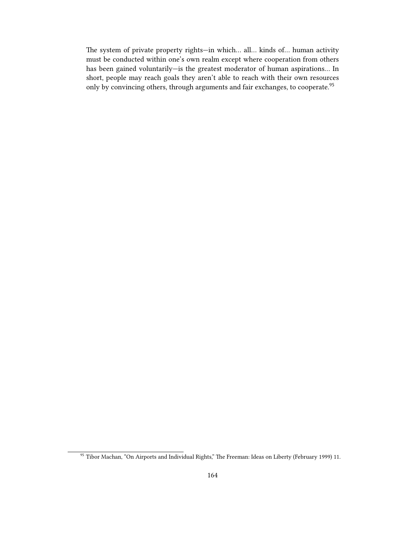The system of private property rights—in which… all… kinds of… human activity must be conducted within one's own realm except where cooperation from others has been gained voluntarily—is the greatest moderator of human aspirations… In short, people may reach goals they aren't able to reach with their own resources only by convincing others, through arguments and fair exchanges, to cooperate.<sup>95</sup>

<sup>95</sup> Tibor Machan, "On Airports and Individual Rights," The Freeman: Ideas on Liberty (February 1999) 11.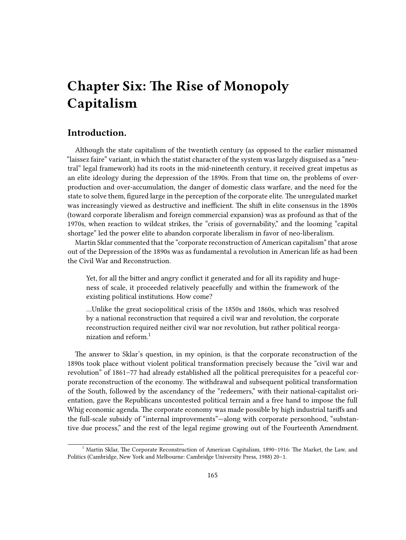# **Chapter Six: The Rise of Monopoly Capitalism**

## **Introduction.**

Although the state capitalism of the twentieth century (as opposed to the earlier misnamed "laissez faire" variant, in which the statist character of the system was largely disguised as a "neutral" legal framework) had its roots in the mid-nineteenth century, it received great impetus as an elite ideology during the depression of the 1890s. From that time on, the problems of overproduction and over-accumulation, the danger of domestic class warfare, and the need for the state to solve them, figured large in the perception of the corporate elite. The unregulated market was increasingly viewed as destructive and inefficient. The shift in elite consensus in the 1890s (toward corporate liberalism and foreign commercial expansion) was as profound as that of the 1970s, when reaction to wildcat strikes, the "crisis of governability," and the looming "capital shortage" led the power elite to abandon corporate liberalism in favor of neo-liberalism.

Martin Sklar commented that the "corporate reconstruction of American capitalism" that arose out of the Depression of the 1890s was as fundamental a revolution in American life as had been the Civil War and Reconstruction.

Yet, for all the bitter and angry conflict it generated and for all its rapidity and hugeness of scale, it proceeded relatively peacefully and within the framework of the existing political institutions. How come?

…Unlike the great sociopolitical crisis of the 1850s and 1860s, which was resolved by a national reconstruction that required a civil war and revolution, the corporate reconstruction required neither civil war nor revolution, but rather political reorganization and reform.<sup>1</sup>

The answer to Sklar's question, in my opinion, is that the corporate reconstruction of the 1890s took place without violent political transformation precisely because the "civil war and revolution" of 1861–77 had already established all the political prerequisites for a peaceful corporate reconstruction of the economy. The withdrawal and subsequent political transformation of the South, followed by the ascendancy of the "redeemers," with their national-capitalist orientation, gave the Republicans uncontested political terrain and a free hand to impose the full Whig economic agenda. The corporate economy was made possible by high industrial tariffs and the full-scale subsidy of "internal improvements"—along with corporate personhood, "substantive due process," and the rest of the legal regime growing out of the Fourteenth Amendment.

<sup>&</sup>lt;sup>1</sup> Martin Sklar, The Corporate Reconstruction of American Capitalism, 1890-1916: The Market, the Law, and Politics (Cambridge, New York and Melbourne: Cambridge University Press, 1988) 20–1.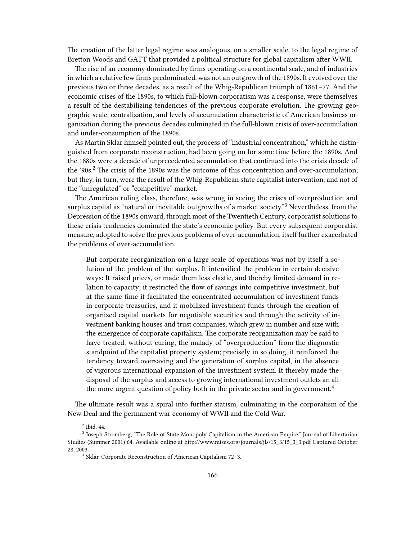The creation of the latter legal regime was analogous, on a smaller scale, to the legal regime of Bretton Woods and GATT that provided a political structure for global capitalism after WWII.

The rise of an economy dominated by firms operating on a continental scale, and of industries in which a relative few firms predominated, was not an outgrowth of the 1890s. It evolved over the previous two or three decades, as a result of the Whig-Republican triumph of 1861–77. And the economic crises of the 1890s, to which full-blown corporatism was a response, were themselves a result of the destabilizing tendencies of the previous corporate evolution. The growing geographic scale, centralization, and levels of accumulation characteristic of American business organization during the previous decades culminated in the full-blown crisis of over-accumulation and under-consumption of the 1890s.

As Martin Sklar himself pointed out, the process of "industrial concentration," which he distinguished from corporate reconstruction, had been going on for some time before the 1890s. And the 1880s were a decade of unprecedented accumulation that continued into the crisis decade of the '90s.<sup>2</sup> The crisis of the 1890s was the outcome of this concentration and over-accumulation; but they, in turn, were the result of the Whig-Republican state capitalist intervention, and not of the "unregulated" or "competitive" market.

The American ruling class, therefore, was wrong in seeing the crises of overproduction and surplus capital as "natural or inevitable outgrowths of a market society."<sup>3</sup> Nevertheless, from the Depression of the 1890s onward, through most of the Twentieth Century, corporatist solutions to these crisis tendencies dominated the state's economic policy. But every subsequent corporatist measure, adopted to solve the previous problems of over-accumulation, itself further exacerbated the problems of over-accumulation.

But corporate reorganization on a large scale of operations was not by itself a solution of the problem of the surplus. It intensified the problem in certain decisive ways: It raised prices, or made them less elastic, and thereby limited demand in relation to capacity; it restricted the flow of savings into competitive investment, but at the same time it facilitated the concentrated accumulation of investment funds in corporate treasuries, and it mobilized investment funds through the creation of organized capital markets for negotiable securities and through the activity of investment banking houses and trust companies, which grew in number and size with the emergence of corporate capitalism. The corporate reorganization may be said to have treated, without curing, the malady of "overproduction" from the diagnostic standpoint of the capitalist property system; precisely in so doing, it reinforced the tendency toward oversaving and the generation of surplus capital, in the absence of vigorous international expansion of the investment system. It thereby made the disposal of the surplus and access to growing international investment outlets an all the more urgent question of policy both in the private sector and in government.<sup>4</sup>

The ultimate result was a spiral into further statism, culminating in the corporatism of the New Deal and the permanent war economy of WWII and the Cold War.

 $<sup>2</sup>$  Ibid. 44.</sup>

<sup>3</sup> Joseph Stromberg, "The Role of State Monopoly Capitalism in the American Empire," Journal of Libertarian Studies (Summer 2001) 64. Available online at [http://www.mises.org/journals/jls/15\\_3/15\\_3\\_3.pdf](http://www.mises.org/journals/jls/15_3/15_3_3.pdf) Captured October 28, 2003.

<sup>4</sup> Sklar, Corporate Reconstruction of American Capitalism 72–3.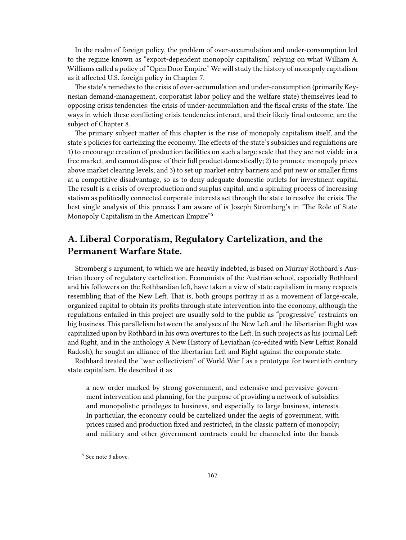In the realm of foreign policy, the problem of over-accumulation and under-consumption led to the regime known as "export-dependent monopoly capitalism," relying on what William A. Williams called a policy of "Open Door Empire." We will study the history of monopoly capitalism as it affected U.S. foreign policy in Chapter 7.

The state's remedies to the crisis of over-accumulation and under-consumption (primarily Keynesian demand-management, corporatist labor policy and the welfare state) themselves lead to opposing crisis tendencies: the crisis of under-accumulation and the fiscal crisis of the state. The ways in which these conflicting crisis tendencies interact, and their likely final outcome, are the subject of Chapter 8.

The primary subject matter of this chapter is the rise of monopoly capitalism itself, and the state's policies for cartelizing the economy. The effects of the state's subsidies and regulations are 1) to encourage creation of production facilities on such a large scale that they are not viable in a free market, and cannot dispose of their full product domestically; 2) to promote monopoly prices above market clearing levels; and 3) to set up market entry barriers and put new or smaller firms at a competitive disadvantage, so as to deny adequate domestic outlets for investment capital. The result is a crisis of overproduction and surplus capital, and a spiraling process of increasing statism as politically connected corporate interests act through the state to resolve the crisis. The best single analysis of this process I am aware of is Joseph Stromberg's in "The Role of State Monopoly Capitalism in the American Empire"<sup>5</sup>

## **A. Liberal Corporatism, Regulatory Cartelization, and the Permanent Warfare State.**

Stromberg's argument, to which we are heavily indebted, is based on Murray Rothbard's Austrian theory of regulatory cartelization. Economists of the Austrian school, especially Rothbard and his followers on the Rothbardian left, have taken a view of state capitalism in many respects resembling that of the New Left. That is, both groups portray it as a movement of large-scale, organized capital to obtain its profits through state intervention into the economy, although the regulations entailed in this project are usually sold to the public as "progressive" restraints on big business. This parallelism between the analyses of the New Left and the libertarian Right was capitalized upon by Rothbard in his own overtures to the Left. In such projects as his journal Left and Right, and in the anthology A New History of Leviathan (co-edited with New Leftist Ronald Radosh), he sought an alliance of the libertarian Left and Right against the corporate state.

Rothbard treated the "war collectivism" of World War I as a prototype for twentieth century state capitalism. He described it as

a new order marked by strong government, and extensive and pervasive government intervention and planning, for the purpose of providing a network of subsidies and monopolistic privileges to business, and especially to large business, interests. In particular, the economy could be cartelized under the aegis of government, with prices raised and production fixed and restricted, in the classic pattern of monopoly; and military and other government contracts could be channeled into the hands

<sup>5</sup> See note 3 above.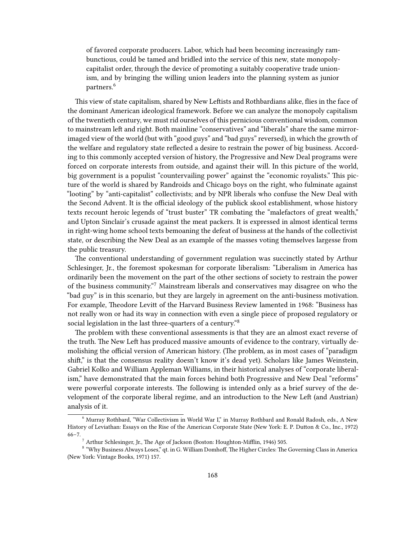of favored corporate producers. Labor, which had been becoming increasingly rambunctious, could be tamed and bridled into the service of this new, state monopolycapitalist order, through the device of promoting a suitably cooperative trade unionism, and by bringing the willing union leaders into the planning system as junior partners.<sup>6</sup>

This view of state capitalism, shared by New Leftists and Rothbardians alike, flies in the face of the dominant American ideological framework. Before we can analyze the monopoly capitalism of the twentieth century, we must rid ourselves of this pernicious conventional wisdom, common to mainstream left and right. Both mainline "conservatives" and "liberals" share the same mirrorimaged view of the world (but with "good guys" and "bad guys" reversed), in which the growth of the welfare and regulatory state reflected a desire to restrain the power of big business. According to this commonly accepted version of history, the Progressive and New Deal programs were forced on corporate interests from outside, and against their will. In this picture of the world, big government is a populist "countervailing power" against the "economic royalists." This picture of the world is shared by Randroids and Chicago boys on the right, who fulminate against "looting" by "anti-capitalist" collectivists; and by NPR liberals who confuse the New Deal with the Second Advent. It is the official ideology of the publick skool establishment, whose history texts recount heroic legends of "trust buster" TR combating the "malefactors of great wealth," and Upton Sinclair's crusade against the meat packers. It is expressed in almost identical terms in right-wing home school texts bemoaning the defeat of business at the hands of the collectivist state, or describing the New Deal as an example of the masses voting themselves largesse from the public treasury.

The conventional understanding of government regulation was succinctly stated by Arthur Schlesinger, Jr., the foremost spokesman for corporate liberalism: "Liberalism in America has ordinarily been the movement on the part of the other sections of society to restrain the power of the business community."<sup>7</sup> Mainstream liberals and conservatives may disagree on who the "bad guy" is in this scenario, but they are largely in agreement on the anti-business motivation. For example, Theodore Levitt of the Harvard Business Review lamented in 1968: "Business has not really won or had its way in connection with even a single piece of proposed regulatory or social legislation in the last three-quarters of a century."<sup>8</sup>

The problem with these conventional assessments is that they are an almost exact reverse of the truth. The New Left has produced massive amounts of evidence to the contrary, virtually demolishing the official version of American history. (The problem, as in most cases of "paradigm shift," is that the consensus reality doesn't know it's dead yet). Scholars like James Weinstein, Gabriel Kolko and William Appleman Williams, in their historical analyses of "corporate liberalism," have demonstrated that the main forces behind both Progressive and New Deal "reforms" were powerful corporate interests. The following is intended only as a brief survey of the development of the corporate liberal regime, and an introduction to the New Left (and Austrian) analysis of it.

<sup>6</sup> Murray Rothbard, "War Collectivism in World War I," in Murray Rothbard and Ronald Radosh, eds., A New History of Leviathan: Essays on the Rise of the American Corporate State (New York: E. P. Dutton & Co., Inc., 1972) 66–7.

 $^7$  Arthur Schlesinger, Jr., The Age of Jackson (Boston: Houghton-Mifflin, 1946) 505.

 $^8$  "Why Business Always Loses," qt. in G. William Domhoff, The Higher Circles: The Governing Class in America (New York: Vintage Books, 1971) 157.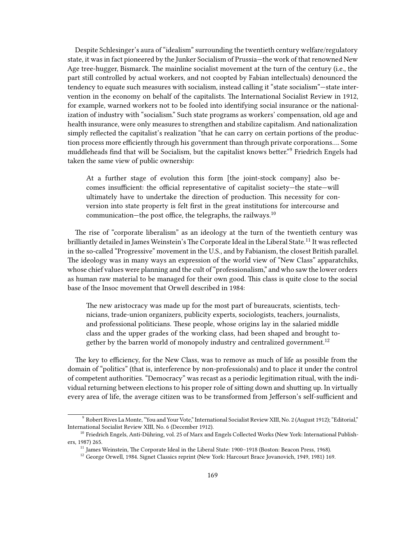Despite Schlesinger's aura of "idealism" surrounding the twentieth century welfare/regulatory state, it was in fact pioneered by the Junker Socialism of Prussia—the work of that renowned New Age tree-hugger, Bismarck. The mainline socialist movement at the turn of the century (i.e., the part still controlled by actual workers, and not coopted by Fabian intellectuals) denounced the tendency to equate such measures with socialism, instead calling it "state socialism"—state intervention in the economy on behalf of the capitalists. The International Socialist Review in 1912, for example, warned workers not to be fooled into identifying social insurance or the nationalization of industry with "socialism." Such state programs as workers' compensation, old age and health insurance, were only measures to strengthen and stabilize capitalism. And nationalization simply reflected the capitalist's realization "that he can carry on certain portions of the production process more efficiently through his government than through private corporations…. Some muddleheads find that will be Socialism, but the capitalist knows better."<sup>9</sup> Friedrich Engels had taken the same view of public ownership:

At a further stage of evolution this form [the joint-stock company] also becomes insufficient: the official representative of capitalist society—the state—will ultimately have to undertake the direction of production. This necessity for conversion into state property is felt first in the great institutions for intercourse and communication—the post office, the telegraphs, the railways. $10$ 

The rise of "corporate liberalism" as an ideology at the turn of the twentieth century was brilliantly detailed in James Weinstein's The Corporate Ideal in the Liberal State.<sup>11</sup> It was reflected in the so-called "Progressive" movement in the U.S., and by Fabianism, the closest British parallel. The ideology was in many ways an expression of the world view of "New Class" apparatchiks, whose chief values were planning and the cult of "professionalism," and who saw the lower orders as human raw material to be managed for their own good. This class is quite close to the social base of the Insoc movement that Orwell described in 1984:

The new aristocracy was made up for the most part of bureaucrats, scientists, technicians, trade-union organizers, publicity experts, sociologists, teachers, journalists, and professional politicians. These people, whose origins lay in the salaried middle class and the upper grades of the working class, had been shaped and brought together by the barren world of monopoly industry and centralized government.<sup>12</sup>

The key to efficiency, for the New Class, was to remove as much of life as possible from the domain of "politics" (that is, interference by non-professionals) and to place it under the control of competent authorities. "Democracy" was recast as a periodic legitimation ritual, with the individual returning between elections to his proper role of sitting down and shutting up. In virtually every area of life, the average citizen was to be transformed from Jefferson's self-sufficient and

<sup>9</sup> Robert Rives La Monte, "You and Your Vote," International Socialist Review XIII, No. 2 (August 1912); "Editorial," International Socialist Review XIII, No. 6 (December 1912).

<sup>&</sup>lt;sup>10</sup> Friedrich Engels, Anti-Dühring, vol. 25 of Marx and Engels Collected Works (New York: International Publishers, 1987) 265.

<sup>&</sup>lt;sup>11</sup> James Weinstein, The Corporate Ideal in the Liberal State: 1900-1918 (Boston: Beacon Press, 1968).

<sup>&</sup>lt;sup>12</sup> George Orwell, 1984. Signet Classics reprint (New York: Harcourt Brace Jovanovich, 1949, 1981) 169.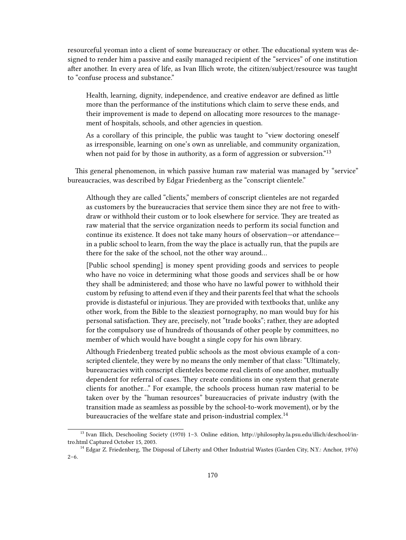resourceful yeoman into a client of some bureaucracy or other. The educational system was designed to render him a passive and easily managed recipient of the "services" of one institution after another. In every area of life, as Ivan Illich wrote, the citizen/subject/resource was taught to "confuse process and substance."

Health, learning, dignity, independence, and creative endeavor are defined as little more than the performance of the institutions which claim to serve these ends, and their improvement is made to depend on allocating more resources to the management of hospitals, schools, and other agencies in question.

As a corollary of this principle, the public was taught to "view doctoring oneself as irresponsible, learning on one's own as unreliable, and community organization, when not paid for by those in authority, as a form of aggression or subversion.<sup>"13</sup>

This general phenomenon, in which passive human raw material was managed by "service" bureaucracies, was described by Edgar Friedenberg as the "conscript clientele."

Although they are called "clients," members of conscript clienteles are not regarded as customers by the bureaucracies that service them since they are not free to withdraw or withhold their custom or to look elsewhere for service. They are treated as raw material that the service organization needs to perform its social function and continue its existence. It does not take many hours of observation—or attendance in a public school to learn, from the way the place is actually run, that the pupils are there for the sake of the school, not the other way around…

[Public school spending] is money spent providing goods and services to people who have no voice in determining what those goods and services shall be or how they shall be administered; and those who have no lawful power to withhold their custom by refusing to attend even if they and their parents feel that what the schools provide is distasteful or injurious. They are provided with textbooks that, unlike any other work, from the Bible to the sleaziest pornography, no man would buy for his personal satisfaction. They are, precisely, not "trade books"; rather, they are adopted for the compulsory use of hundreds of thousands of other people by committees, no member of which would have bought a single copy for his own library.

Although Friedenberg treated public schools as the most obvious example of a conscripted clientele, they were by no means the only member of that class: "Ultimately, bureaucracies with conscript clienteles become real clients of one another, mutually dependent for referral of cases. They create conditions in one system that generate clients for another…" For example, the schools process human raw material to be taken over by the "human resources" bureaucracies of private industry (with the transition made as seamless as possible by the school-to-work movement), or by the bureaucracies of the welfare state and prison-industrial complex.<sup>14</sup>

<sup>13</sup> Ivan Illich, Deschooling Society (1970) 1–3. Online edition, [http://philosophy.la.psu.edu/illich/deschool/in](http://philosophy.la.psu.edu/illich/deschool/intro.html)[tro.html](http://philosophy.la.psu.edu/illich/deschool/intro.html) Captured October 15, 2003.

<sup>&</sup>lt;sup>14</sup> Edgar Z. Friedenberg, The Disposal of Liberty and Other Industrial Wastes (Garden City, N.Y.: Anchor, 1976)  $2 - 6$ .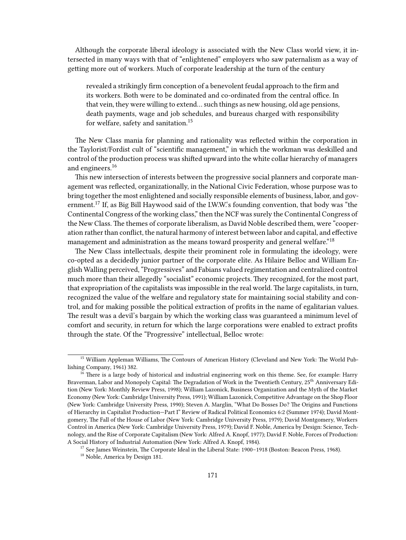Although the corporate liberal ideology is associated with the New Class world view, it intersected in many ways with that of "enlightened" employers who saw paternalism as a way of getting more out of workers. Much of corporate leadership at the turn of the century

revealed a strikingly firm conception of a benevolent feudal approach to the firm and its workers. Both were to be dominated and co-ordinated from the central office. In that vein, they were willing to extend… such things as new housing, old age pensions, death payments, wage and job schedules, and bureaus charged with responsibility for welfare, safety and sanitation.<sup>15</sup>

The New Class mania for planning and rationality was reflected within the corporation in the Taylorist/Fordist cult of "scientific management," in which the workman was deskilled and control of the production process was shifted upward into the white collar hierarchy of managers and engineers.<sup>16</sup>

This new intersection of interests between the progressive social planners and corporate management was reflected, organizationally, in the National Civic Federation, whose purpose was to bring together the most enlightened and socially responsible elements of business, labor, and government.<sup>17</sup> If, as Big Bill Haywood said of the I.W.W.'s founding convention, that body was "the Continental Congress of the working class," then the NCF was surely the Continental Congress of the New Class. The themes of corporate liberalism, as David Noble described them, were "cooperation rather than conflict, the natural harmony of interest between labor and capital, and effective management and administration as the means toward prosperity and general welfare.<sup>"18</sup>

The New Class intellectuals, despite their prominent role in formulating the ideology, were co-opted as a decidedly junior partner of the corporate elite. As Hilaire Belloc and William English Walling perceived, "Progressives" and Fabians valued regimentation and centralized control much more than their allegedly "socialist" economic projects. They recognized, for the most part, that expropriation of the capitalists was impossible in the real world. The large capitalists, in turn, recognized the value of the welfare and regulatory state for maintaining social stability and control, and for making possible the political extraction of profits in the name of egalitarian values. The result was a devil's bargain by which the working class was guaranteed a minimum level of comfort and security, in return for which the large corporations were enabled to extract profits through the state. Of the "Progressive" intellectual, Belloc wrote:

<sup>&</sup>lt;sup>15</sup> William Appleman Williams, The Contours of American History (Cleveland and New York: The World Publishing Company, 1961) 382.

<sup>&</sup>lt;sup>16</sup> There is a large body of historical and industrial engineering work on this theme. See, for example: Harry Braverman, Labor and Monopoly Capital: The Degradation of Work in the Twentieth Century, 25<sup>th</sup> Anniversary Edition (New York: Monthly Review Press, 1998); William Lazonick, Business Organization and the Myth of the Market Economy (New York: Cambridge University Press, 1991); William Lazonick, Competitive Advantage on the Shop Floor (New York: Cambridge University Press, 1990); Steven A. Marglin, "What Do Bosses Do? The Origins and Functions of Hierarchy in Capitalist Production—Part I" Review of Radical Political Economics 6:2 (Summer 1974); David Montgomery, The Fall of the House of Labor (New York: Cambridge University Press, 1979); David Montgomery, Workers Control in America (New York: Cambridge University Press, 1979); David F. Noble, America by Design: Science, Technology, and the Rise of Corporate Capitalism (New York: Alfred A. Knopf, 1977); David F. Noble, Forces of Production: A Social History of Industrial Automation (New York: Alfred A. Knopf, 1984).

<sup>&</sup>lt;sup>17</sup> See James Weinstein, The Corporate Ideal in the Liberal State: 1900-1918 (Boston: Beacon Press, 1968).

<sup>18</sup> Noble, America by Design 181.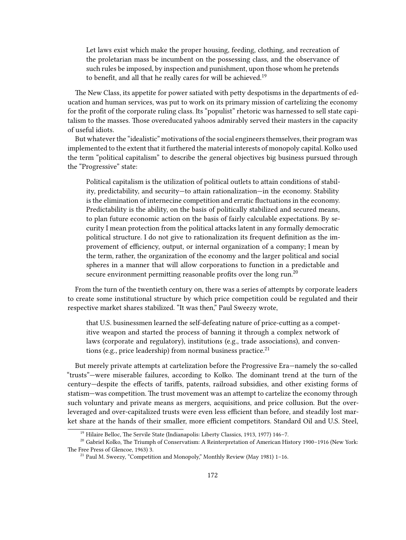Let laws exist which make the proper housing, feeding, clothing, and recreation of the proletarian mass be incumbent on the possessing class, and the observance of such rules be imposed, by inspection and punishment, upon those whom he pretends to benefit, and all that he really cares for will be achieved.<sup>19</sup>

The New Class, its appetite for power satiated with petty despotisms in the departments of education and human services, was put to work on its primary mission of cartelizing the economy for the profit of the corporate ruling class. Its "populist" rhetoric was harnessed to sell state capitalism to the masses. Those overeducated yahoos admirably served their masters in the capacity of useful idiots.

But whatever the "idealistic" motivations of the social engineers themselves, their program was implemented to the extent that it furthered the material interests of monopoly capital. Kolko used the term "political capitalism" to describe the general objectives big business pursued through the "Progressive" state:

Political capitalism is the utilization of political outlets to attain conditions of stability, predictability, and security—to attain rationalization—in the economy. Stability is the elimination of internecine competition and erratic fluctuations in the economy. Predictability is the ability, on the basis of politically stabilized and secured means, to plan future economic action on the basis of fairly calculable expectations. By security I mean protection from the political attacks latent in any formally democratic political structure. I do not give to rationalization its frequent definition as the improvement of efficiency, output, or internal organization of a company; I mean by the term, rather, the organization of the economy and the larger political and social spheres in a manner that will allow corporations to function in a predictable and secure environment permitting reasonable profits over the long run.<sup>20</sup>

From the turn of the twentieth century on, there was a series of attempts by corporate leaders to create some institutional structure by which price competition could be regulated and their respective market shares stabilized. "It was then," Paul Sweezy wrote,

that U.S. businessmen learned the self-defeating nature of price-cutting as a competitive weapon and started the process of banning it through a complex network of laws (corporate and regulatory), institutions (e.g., trade associations), and conventions (e.g., price leadership) from normal business practice. $^{21}$ 

But merely private attempts at cartelization before the Progressive Era—namely the so-called "trusts"—were miserable failures, according to Kolko. The dominant trend at the turn of the century—despite the effects of tariffs, patents, railroad subsidies, and other existing forms of statism—was competition. The trust movement was an attempt to cartelize the economy through such voluntary and private means as mergers, acquisitions, and price collusion. But the overleveraged and over-capitalized trusts were even less efficient than before, and steadily lost market share at the hands of their smaller, more efficient competitors. Standard Oil and U.S. Steel,

<sup>&</sup>lt;sup>19</sup> Hilaire Belloc, The Servile State (Indianapolis: Liberty Classics, 1913, 1977) 146-7.

<sup>&</sup>lt;sup>20</sup> Gabriel Kolko, The Triumph of Conservatism: A Reinterpretation of American History 1900-1916 (New York: The Free Press of Glencoe, 1963) 3.

<sup>21</sup> Paul M. Sweezy, "Competition and Monopoly," Monthly Review (May 1981) 1–16.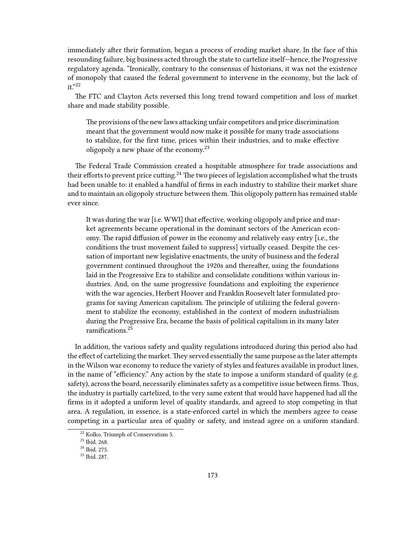immediately after their formation, began a process of eroding market share. In the face of this resounding failure, big business acted through the state to cartelize itself—hence, the Progressive regulatory agenda. "Ironically, contrary to the consensus of historians, it was not the existence of monopoly that caused the federal government to intervene in the economy, but the lack of  $it.$  "22

The FTC and Clayton Acts reversed this long trend toward competition and loss of market share and made stability possible.

The provisions of the new laws attacking unfair competitors and price discrimination meant that the government would now make it possible for many trade associations to stabilize, for the first time, prices within their industries, and to make effective oligopoly a new phase of the economy.<sup>23</sup>

The Federal Trade Commission created a hospitable atmosphere for trade associations and their efforts to prevent price cutting.<sup>24</sup> The two pieces of legislation accomplished what the trusts had been unable to: it enabled a handful of firms in each industry to stabilize their market share and to maintain an oligopoly structure between them. This oligopoly pattern has remained stable ever since.

It was during the war [i.e. WWI] that effective, working oligopoly and price and market agreements became operational in the dominant sectors of the American economy. The rapid diffusion of power in the economy and relatively easy entry [i.e., the conditions the trust movement failed to suppress] virtually ceased. Despite the cessation of important new legislative enactments, the unity of business and the federal government continued throughout the 1920s and thereafter, using the foundations laid in the Progressive Era to stabilize and consolidate conditions within various industries. And, on the same progressive foundations and exploiting the experience with the war agencies, Herbert Hoover and Franklin Roosevelt later formulated programs for saving American capitalism. The principle of utilizing the federal government to stabilize the economy, established in the context of modern industrialism during the Progressive Era, became the basis of political capitalism in its many later ramifications.<sup>25</sup>

In addition, the various safety and quality regulations introduced during this period also had the effect of cartelizing the market. They served essentially the same purpose as the later attempts in the Wilson war economy to reduce the variety of styles and features available in product lines, in the name of "efficiency." Any action by the state to impose a uniform standard of quality (e.g. safety), across the board, necessarily eliminates safety as a competitive issue between firms. Thus, the industry is partially cartelized, to the very same extent that would have happened had all the firms in it adopted a uniform level of quality standards, and agreed to stop competing in that area. A regulation, in essence, is a state-enforced cartel in which the members agree to cease competing in a particular area of quality or safety, and instead agree on a uniform standard.

<sup>&</sup>lt;sup>22</sup> Kolko, Triumph of Conservatism 5.

<sup>23</sup> Ibid. 268.

<sup>24</sup> Ibid. 275.

<sup>25</sup> Ibid. 287.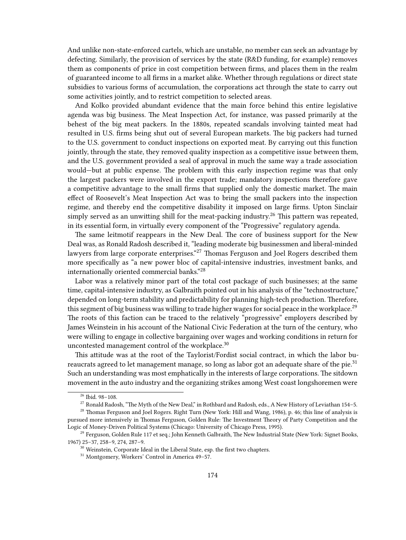And unlike non-state-enforced cartels, which are unstable, no member can seek an advantage by defecting. Similarly, the provision of services by the state (R&D funding, for example) removes them as components of price in cost competition between firms, and places them in the realm of guaranteed income to all firms in a market alike. Whether through regulations or direct state subsidies to various forms of accumulation, the corporations act through the state to carry out some activities jointly, and to restrict competition to selected areas.

And Kolko provided abundant evidence that the main force behind this entire legislative agenda was big business. The Meat Inspection Act, for instance, was passed primarily at the behest of the big meat packers. In the 1880s, repeated scandals involving tainted meat had resulted in U.S. firms being shut out of several European markets. The big packers had turned to the U.S. government to conduct inspections on exported meat. By carrying out this function jointly, through the state, they removed quality inspection as a competitive issue between them, and the U.S. government provided a seal of approval in much the same way a trade association would—but at public expense. The problem with this early inspection regime was that only the largest packers were involved in the export trade; mandatory inspections therefore gave a competitive advantage to the small firms that supplied only the domestic market. The main effect of Roosevelt's Meat Inspection Act was to bring the small packers into the inspection regime, and thereby end the competitive disability it imposed on large firms. Upton Sinclair simply served as an unwitting shill for the meat-packing industry.<sup>26</sup> This pattern was repeated, in its essential form, in virtually every component of the "Progressive" regulatory agenda.

The same leitmotif reappears in the New Deal. The core of business support for the New Deal was, as Ronald Radosh described it, "leading moderate big businessmen and liberal-minded lawyers from large corporate enterprises.<sup>"27</sup> Thomas Ferguson and Joel Rogers described them more specifically as "a new power bloc of capital-intensive industries, investment banks, and internationally oriented commercial banks."<sup>28</sup>

Labor was a relatively minor part of the total cost package of such businesses; at the same time, capital-intensive industry, as Galbraith pointed out in his analysis of the "technostructure," depended on long-term stability and predictability for planning high-tech production. Therefore, this segment of big business was willing to trade higher wages for social peace in the workplace.<sup>29</sup> The roots of this faction can be traced to the relatively "progressive" employers described by James Weinstein in his account of the National Civic Federation at the turn of the century, who were willing to engage in collective bargaining over wages and working conditions in return for uncontested management control of the workplace.<sup>30</sup>

This attitude was at the root of the Taylorist/Fordist social contract, in which the labor bureaucrats agreed to let management manage, so long as labor got an adequate share of the pie.<sup>31</sup> Such an understanding was most emphatically in the interests of large corporations. The sitdown movement in the auto industry and the organizing strikes among West coast longshoremen were

<sup>26</sup> Ibid. 98–108.

 $^{27}$  Ronald Radosh, "The Myth of the New Deal," in Rothbard and Radosh, eds., A New History of Leviathan 154–5.

<sup>&</sup>lt;sup>28</sup> Thomas Ferguson and Joel Rogers. Right Turn (New York: Hill and Wang, 1986), p. 46; this line of analysis is pursued more intensively in Thomas Ferguson, Golden Rule: The Investment Theory of Party Competition and the Logic of Money-Driven Political Systems (Chicago: University of Chicago Press, 1995).

 $^{29}$  Ferguson, Golden Rule 117 et seq.; John Kenneth Galbraith, The New Industrial State (New York: Signet Books, 1967) 25–37, 258–9, 274, 287–9.

<sup>&</sup>lt;sup>30</sup> Weinstein, Corporate Ideal in the Liberal State, esp. the first two chapters.

<sup>31</sup> Montgomery, Workers' Control in America 49–57.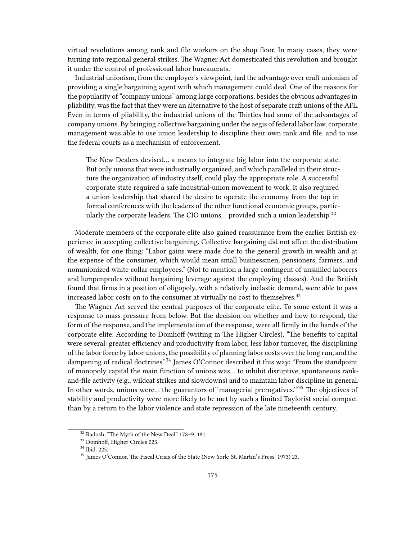virtual revolutions among rank and file workers on the shop floor. In many cases, they were turning into regional general strikes. The Wagner Act domesticated this revolution and brought it under the control of professional labor bureaucrats.

Industrial unionism, from the employer's viewpoint, had the advantage over craft unionism of providing a single bargaining agent with which management could deal. One of the reasons for the popularity of "company unions" among large corporations, besides the obvious advantages in pliability, was the fact that they were an alternative to the host of separate craft unions of the AFL. Even in terms of pliability, the industrial unions of the Thirties had some of the advantages of company unions. By bringing collective bargaining under the aegis of federal labor law, corporate management was able to use union leadership to discipline their own rank and file, and to use the federal courts as a mechanism of enforcement.

The New Dealers devised… a means to integrate big labor into the corporate state. But only unions that were industrially organized, and which paralleled in their structure the organization of industry itself, could play the appropriate role. A successful corporate state required a safe industrial-union movement to work. It also required a union leadership that shared the desire to operate the economy from the top in formal conferences with the leaders of the other functional economic groups, particularly the corporate leaders. The CIO unions... provided such a union leadership.<sup>32</sup>

Moderate members of the corporate elite also gained reassurance from the earlier British experience in accepting collective bargaining. Collective bargaining did not affect the distribution of wealth, for one thing: "Labor gains were made due to the general growth in wealth and at the expense of the consumer, which would mean small businessmen, pensioners, farmers, and nonunionized white collar employees." (Not to mention a large contingent of unskilled laborers and lumpenproles without bargaining leverage against the employing classes). And the British found that firms in a position of oligopoly, with a relatively inelastic demand, were able to pass increased labor costs on to the consumer at virtually no cost to themselves.<sup>33</sup>

The Wagner Act served the central purposes of the corporate elite. To some extent it was a response to mass pressure from below. But the decision on whether and how to respond, the form of the response, and the implementation of the response, were all firmly in the hands of the corporate elite. According to Domhoff (writing in The Higher Circles), "The benefits to capital were several: greater efficiency and productivity from labor, less labor turnover, the disciplining of the labor force by labor unions, the possibility of planning labor costs over the long run, and the dampening of radical doctrines."<sup>34</sup> James O'Connor described it this way: "From the standpoint of monopoly capital the main function of unions was… to inhibit disruptive, spontaneous rankand-file activity (e.g., wildcat strikes and slowdowns) and to maintain labor discipline in general. In other words, unions were... the guarantors of 'managerial prerogatives.<sup>435</sup> The objectives of stability and productivity were more likely to be met by such a limited Taylorist social compact than by a return to the labor violence and state repression of the late nineteenth century.

<sup>32</sup> Radosh, "The Myth of the New Deal" 178–9, 181.

<sup>33</sup> Domhoff, Higher Circles 223.

<sup>34</sup> Ibid. 225.

<sup>35</sup> James O'Connor, The Fiscal Crisis of the State (New York: St. Martin's Press, 1973) 23.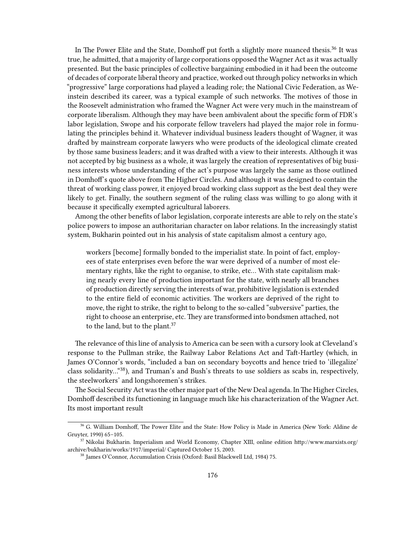In The Power Elite and the State, Domhoff put forth a slightly more nuanced thesis.<sup>36</sup> It was true, he admitted, that a majority of large corporations opposed the Wagner Act as it was actually presented. But the basic principles of collective bargaining embodied in it had been the outcome of decades of corporate liberal theory and practice, worked out through policy networks in which "progressive" large corporations had played a leading role; the National Civic Federation, as Weinstein described its career, was a typical example of such networks. The motives of those in the Roosevelt administration who framed the Wagner Act were very much in the mainstream of corporate liberalism. Although they may have been ambivalent about the specific form of FDR's labor legislation, Swope and his corporate fellow travelers had played the major role in formulating the principles behind it. Whatever individual business leaders thought of Wagner, it was drafted by mainstream corporate lawyers who were products of the ideological climate created by those same business leaders; and it was drafted with a view to their interests. Although it was not accepted by big business as a whole, it was largely the creation of representatives of big business interests whose understanding of the act's purpose was largely the same as those outlined in Domhoff's quote above from The Higher Circles. And although it was designed to contain the threat of working class power, it enjoyed broad working class support as the best deal they were likely to get. Finally, the southern segment of the ruling class was willing to go along with it because it specifically exempted agricultural laborers.

Among the other benefits of labor legislation, corporate interests are able to rely on the state's police powers to impose an authoritarian character on labor relations. In the increasingly statist system, Bukharin pointed out in his analysis of state capitalism almost a century ago,

workers [become] formally bonded to the imperialist state. In point of fact, employees of state enterprises even before the war were deprived of a number of most elementary rights, like the right to organise, to strike, etc… With state capitalism making nearly every line of production important for the state, with nearly all branches of production directly serving the interests of war, prohibitive legislation is extended to the entire field of economic activities. The workers are deprived of the right to move, the right to strike, the right to belong to the so-called "subversive" parties, the right to choose an enterprise, etc. They are transformed into bondsmen attached, not to the land, but to the plant.<sup>37</sup>

The relevance of this line of analysis to America can be seen with a cursory look at Cleveland's response to the Pullman strike, the Railway Labor Relations Act and Taft-Hartley (which, in James O'Connor's words, "included a ban on secondary boycotts and hence tried to 'illegalize' class solidarity…"38), and Truman's and Bush's threats to use soldiers as scabs in, respectively, the steelworkers' and longshoremen's strikes.

The Social Security Act was the other major part of the New Deal agenda. In The Higher Circles, Domhoff described its functioning in language much like his characterization of the Wagner Act. Its most important result

<sup>36</sup> G. William Domhoff, The Power Elite and the State: How Policy is Made in America (New York: Aldine de Gruyter, 1990) 65–105.

<sup>37</sup> Nikolai Bukharin. Imperialism and World Economy, Chapter XIII, online edition [http://www.marxists.org/](http://www.marxists.org/archive/bukharin/works/1917/imperial/) [archive/bukharin/works/1917/imperial/](http://www.marxists.org/archive/bukharin/works/1917/imperial/) Captured October 15, 2003.

<sup>38</sup> James O'Connor, Accumulation Crisis (Oxford: Basil Blackwell Ltd, 1984) 75.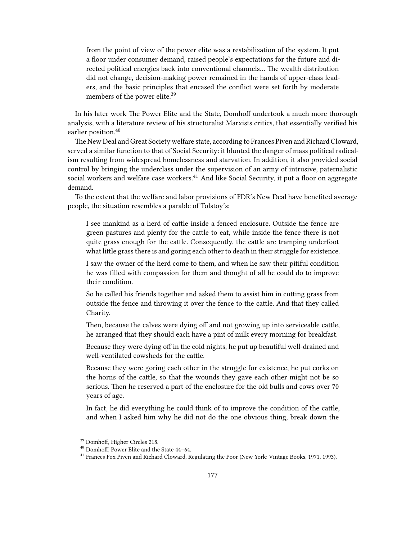from the point of view of the power elite was a restabilization of the system. It put a floor under consumer demand, raised people's expectations for the future and directed political energies back into conventional channels… The wealth distribution did not change, decision-making power remained in the hands of upper-class leaders, and the basic principles that encased the conflict were set forth by moderate members of the power elite.<sup>39</sup>

In his later work The Power Elite and the State, Domhoff undertook a much more thorough analysis, with a literature review of his structuralist Marxists critics, that essentially verified his earlier position.<sup>40</sup>

The New Deal and Great Society welfare state, according to Frances Piven and Richard Cloward, served a similar function to that of Social Security: it blunted the danger of mass political radicalism resulting from widespread homelessness and starvation. In addition, it also provided social control by bringing the underclass under the supervision of an army of intrusive, paternalistic social workers and welfare case workers.<sup>41</sup> And like Social Security, it put a floor on aggregate demand.

To the extent that the welfare and labor provisions of FDR's New Deal have benefited average people, the situation resembles a parable of Tolstoy's:

I see mankind as a herd of cattle inside a fenced enclosure. Outside the fence are green pastures and plenty for the cattle to eat, while inside the fence there is not quite grass enough for the cattle. Consequently, the cattle are tramping underfoot what little grass there is and goring each other to death in their struggle for existence.

I saw the owner of the herd come to them, and when he saw their pitiful condition he was filled with compassion for them and thought of all he could do to improve their condition.

So he called his friends together and asked them to assist him in cutting grass from outside the fence and throwing it over the fence to the cattle. And that they called Charity.

Then, because the calves were dying off and not growing up into serviceable cattle, he arranged that they should each have a pint of milk every morning for breakfast.

Because they were dying off in the cold nights, he put up beautiful well-drained and well-ventilated cowsheds for the cattle.

Because they were goring each other in the struggle for existence, he put corks on the horns of the cattle, so that the wounds they gave each other might not be so serious. Then he reserved a part of the enclosure for the old bulls and cows over 70 years of age.

In fact, he did everything he could think of to improve the condition of the cattle, and when I asked him why he did not do the one obvious thing, break down the

<sup>39</sup> Domhoff, Higher Circles 218.

<sup>40</sup> Domhoff, Power Elite and the State 44–64.

<sup>&</sup>lt;sup>41</sup> Frances Fox Piven and Richard Cloward, Regulating the Poor (New York: Vintage Books, 1971, 1993).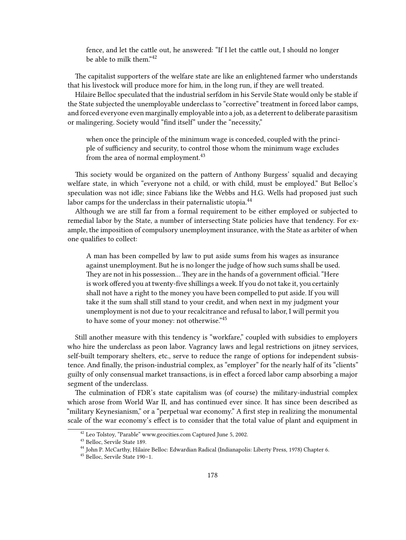fence, and let the cattle out, he answered: "If I let the cattle out, I should no longer be able to milk them."<sup>42</sup>

The capitalist supporters of the welfare state are like an enlightened farmer who understands that his livestock will produce more for him, in the long run, if they are well treated.

Hilaire Belloc speculated that the industrial serfdom in his Servile State would only be stable if the State subjected the unemployable underclass to "corrective" treatment in forced labor camps, and forced everyone even marginally employable into a job, as a deterrent to deliberate parasitism or malingering. Society would "find itself" under the "necessity,"

when once the principle of the minimum wage is conceded, coupled with the principle of sufficiency and security, to control those whom the minimum wage excludes from the area of normal employment.<sup>43</sup>

This society would be organized on the pattern of Anthony Burgess' squalid and decaying welfare state, in which "everyone not a child, or with child, must be employed." But Belloc's speculation was not idle; since Fabians like the Webbs and H.G. Wells had proposed just such labor camps for the underclass in their paternalistic utopia.<sup>44</sup>

Although we are still far from a formal requirement to be either employed or subjected to remedial labor by the State, a number of intersecting State policies have that tendency. For example, the imposition of compulsory unemployment insurance, with the State as arbiter of when one qualifies to collect:

A man has been compelled by law to put aside sums from his wages as insurance against unemployment. But he is no longer the judge of how such sums shall be used. They are not in his possession… They are in the hands of a government official. "Here is work offered you at twenty-five shillings a week. If you do not take it, you certainly shall not have a right to the money you have been compelled to put aside. If you will take it the sum shall still stand to your credit, and when next in my judgment your unemployment is not due to your recalcitrance and refusal to labor, I will permit you to have some of your money: not otherwise."<sup>45</sup>

Still another measure with this tendency is "workfare," coupled with subsidies to employers who hire the underclass as peon labor. Vagrancy laws and legal restrictions on jitney services, self-built temporary shelters, etc., serve to reduce the range of options for independent subsistence. And finally, the prison-industrial complex, as "employer" for the nearly half of its "clients" guilty of only consensual market transactions, is in effect a forced labor camp absorbing a major segment of the underclass.

The culmination of FDR's state capitalism was (of course) the military-industrial complex which arose from World War II, and has continued ever since. It has since been described as "military Keynesianism," or a "perpetual war economy." A first step in realizing the monumental scale of the war economy's effect is to consider that the total value of plant and equipment in

 $^{42}$  Leo Tolstoy, "Parable" [www.geocities.com](http://www.geocities.com/glasgowbranch/parable.html) Captured June 5, 2002.

<sup>43</sup> Belloc, Servile State 189.

<sup>44</sup> John P. McCarthy, Hilaire Belloc: Edwardian Radical (Indianapolis: Liberty Press, 1978) Chapter 6.

<sup>45</sup> Belloc, Servile State 190–1.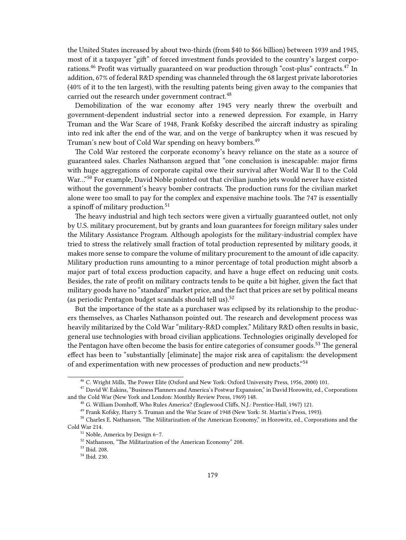the United States increased by about two-thirds (from \$40 to \$66 billion) between 1939 and 1945, most of it a taxpayer "gift" of forced investment funds provided to the country's largest corporations.<sup>46</sup> Profit was virtually guaranteed on war production through "cost-plus" contracts.<sup>47</sup> In addition, 67% of federal R&D spending was channeled through the 68 largest private laborotories (40% of it to the ten largest), with the resulting patents being given away to the companies that carried out the research under government contract.<sup>48</sup>

Demobilization of the war economy after 1945 very nearly threw the overbuilt and government-dependent industrial sector into a renewed depression. For example, in Harry Truman and the War Scare of 1948, Frank Kofsky described the aircraft industry as spiraling into red ink after the end of the war, and on the verge of bankruptcy when it was rescued by Truman's new bout of Cold War spending on heavy bombers.<sup>49</sup>

The Cold War restored the corporate economy's heavy reliance on the state as a source of guaranteed sales. Charles Nathanson argued that "one conclusion is inescapable: major firms with huge aggregations of corporate capital owe their survival after World War II to the Cold War…"<sup>50</sup> For example, David Noble pointed out that civilian jumbo jets would never have existed without the government's heavy bomber contracts. The production runs for the civilian market alone were too small to pay for the complex and expensive machine tools. The 747 is essentially a spinoff of military production.<sup>51</sup>

The heavy industrial and high tech sectors were given a virtually guaranteed outlet, not only by U.S. military procurement, but by grants and loan guarantees for foreign military sales under the Military Assistance Program. Although apologists for the military-industrial complex have tried to stress the relatively small fraction of total production represented by military goods, it makes more sense to compare the volume of military procurement to the amount of idle capacity. Military production runs amounting to a minor percentage of total production might absorb a major part of total excess production capacity, and have a huge effect on reducing unit costs. Besides, the rate of profit on military contracts tends to be quite a bit higher, given the fact that military goods have no "standard" market price, and the fact that prices are set by political means (as periodic Pentagon budget scandals should tell us). $52$ 

But the importance of the state as a purchaser was eclipsed by its relationship to the producers themselves, as Charles Nathanson pointed out. The research and development process was heavily militarized by the Cold War "military-R&D complex." Military R&D often results in basic, general use technologies with broad civilian applications. Technologies originally developed for the Pentagon have often become the basis for entire categories of consumer goods.<sup>53</sup> The general effect has been to "substantially [eliminate] the major risk area of capitalism: the development of and experimentation with new processes of production and new products."<sup>54</sup>

<sup>46</sup> C. Wright Mills, The Power Elite (Oxford and New York: Oxford University Press, 1956, 2000) 101.

<sup>&</sup>lt;sup>47</sup> David W. Eakins, "Business Planners and America's Postwar Expansion," in David Horowitz, ed., Corporations and the Cold War (New York and London: Monthly Review Press, 1969) 148.

<sup>48</sup> G. William Domhoff, Who Rules America? (Englewood Cliffs, N.J.: Prentice-Hall, 1967) 121.

<sup>49</sup> Frank Kofsky, Harry S. Truman and the War Scare of 1948 (New York: St. Martin's Press, 1993).

<sup>&</sup>lt;sup>50</sup> Charles E. Nathanson, "The Militarization of the American Economy," in Horowitz, ed., Corporations and the Cold War 214.

<sup>51</sup> Noble, America by Design 6–7.

 $^{52}$  Nathanson, "The Militarization of the American Economy" 208.

<sup>53</sup> Ibid. 208.

<sup>54</sup> Ibid. 230.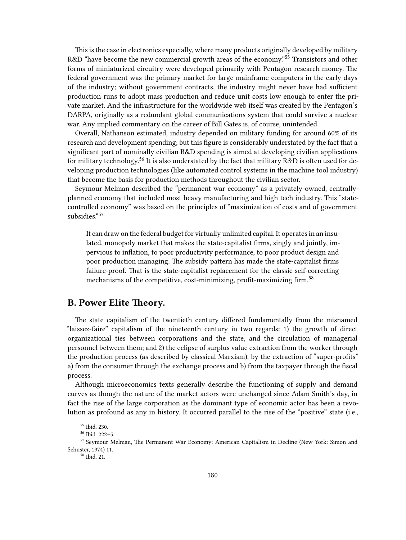This is the case in electronics especially, where many products originally developed by military R&D "have become the new commercial growth areas of the economy.<sup>"55</sup> Transistors and other forms of miniaturized circuitry were developed primarily with Pentagon research money. The federal government was the primary market for large mainframe computers in the early days of the industry; without government contracts, the industry might never have had sufficient production runs to adopt mass production and reduce unit costs low enough to enter the private market. And the infrastructure for the worldwide web itself was created by the Pentagon's DARPA, originally as a redundant global communications system that could survive a nuclear war. Any implied commentary on the career of Bill Gates is, of course, unintended.

Overall, Nathanson estimated, industry depended on military funding for around 60% of its research and development spending; but this figure is considerably understated by the fact that a significant part of nominally civilian R&D spending is aimed at developing civilian applications for military technology.<sup>56</sup> It is also understated by the fact that military R&D is often used for developing production technologies (like automated control systems in the machine tool industry) that become the basis for production methods throughout the civilian sector.

Seymour Melman described the "permanent war economy" as a privately-owned, centrallyplanned economy that included most heavy manufacturing and high tech industry. This "statecontrolled economy" was based on the principles of "maximization of costs and of government subsidies."<sup>57</sup>

It can draw on the federal budget for virtually unlimited capital. It operates in an insulated, monopoly market that makes the state-capitalist firms, singly and jointly, impervious to inflation, to poor productivity performance, to poor product design and poor production managing. The subsidy pattern has made the state-capitalist firms failure-proof. That is the state-capitalist replacement for the classic self-correcting mechanisms of the competitive, cost-minimizing, profit-maximizing firm.<sup>58</sup>

#### **B. Power Elite Theory.**

The state capitalism of the twentieth century differed fundamentally from the misnamed "laissez-faire" capitalism of the nineteenth century in two regards: 1) the growth of direct organizational ties between corporations and the state, and the circulation of managerial personnel between them; and 2) the eclipse of surplus value extraction from the worker through the production process (as described by classical Marxism), by the extraction of "super-profits" a) from the consumer through the exchange process and b) from the taxpayer through the fiscal process.

Although microeconomics texts generally describe the functioning of supply and demand curves as though the nature of the market actors were unchanged since Adam Smith's day, in fact the rise of the large corporation as the dominant type of economic actor has been a revolution as profound as any in history. It occurred parallel to the rise of the "positive" state (i.e.,

<sup>58</sup> Ibid. 21.

<sup>55</sup> Ibid. 230.

<sup>56</sup> Ibid. 222–5.

<sup>57</sup> Seymour Melman, The Permanent War Economy: American Capitalism in Decline (New York: Simon and Schuster, 1974) 11.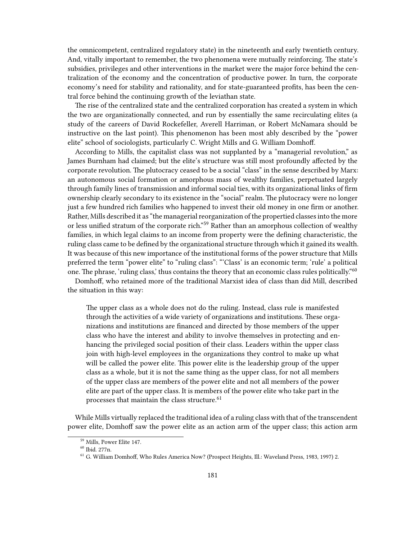the omnicompetent, centralized regulatory state) in the nineteenth and early twentieth century. And, vitally important to remember, the two phenomena were mutually reinforcing. The state's subsidies, privileges and other interventions in the market were the major force behind the centralization of the economy and the concentration of productive power. In turn, the corporate economy's need for stability and rationality, and for state-guaranteed profits, has been the central force behind the continuing growth of the leviathan state.

The rise of the centralized state and the centralized corporation has created a system in which the two are organizationally connected, and run by essentially the same recirculating elites (a study of the careers of David Rockefeller, Averell Harriman, or Robert McNamara should be instructive on the last point). This phenomenon has been most ably described by the "power elite" school of sociologists, particularly C. Wright Mills and G. William Domhoff.

According to Mills, the capitalist class was not supplanted by a "managerial revolution," as James Burnham had claimed; but the elite's structure was still most profoundly affected by the corporate revolution. The plutocracy ceased to be a social "class" in the sense described by Marx: an autonomous social formation or amorphous mass of wealthy families, perpetuated largely through family lines of transmission and informal social ties, with its organizational links of firm ownership clearly secondary to its existence in the "social" realm. The plutocracy were no longer just a few hundred rich families who happened to invest their old money in one firm or another. Rather, Mills described it as "the managerial reorganization of the propertied classes into the more or less unified stratum of the corporate rich."<sup>59</sup> Rather than an amorphous collection of wealthy families, in which legal claims to an income from property were the defining characteristic, the ruling class came to be defined by the organizational structure through which it gained its wealth. It was because of this new importance of the institutional forms of the power structure that Mills preferred the term "power elite" to "ruling class": "'Class' is an economic term; 'rule' a political one. The phrase, 'ruling class,' thus contains the theory that an economic class rules politically."<sup>60</sup>

Domhoff, who retained more of the traditional Marxist idea of class than did Mill, described the situation in this way:

The upper class as a whole does not do the ruling. Instead, class rule is manifested through the activities of a wide variety of organizations and institutions. These organizations and institutions are financed and directed by those members of the upper class who have the interest and ability to involve themselves in protecting and enhancing the privileged social position of their class. Leaders within the upper class join with high-level employees in the organizations they control to make up what will be called the power elite. This power elite is the leadership group of the upper class as a whole, but it is not the same thing as the upper class, for not all members of the upper class are members of the power elite and not all members of the power elite are part of the upper class. It is members of the power elite who take part in the processes that maintain the class structure.<sup>61</sup>

While Mills virtually replaced the traditional idea of a ruling class with that of the transcendent power elite, Domhoff saw the power elite as an action arm of the upper class; this action arm

<sup>59</sup> Mills, Power Elite 147.

<sup>60</sup> Ibid. 277n.

<sup>&</sup>lt;sup>61</sup> G. William Domhoff, Who Rules America Now? (Prospect Heights, Ill.: Waveland Press, 1983, 1997) 2.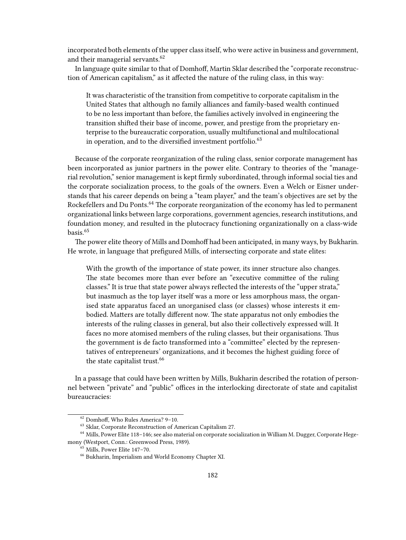incorporated both elements of the upper class itself, who were active in business and government, and their managerial servants.<sup>62</sup>

In language quite similar to that of Domhoff, Martin Sklar described the "corporate reconstruction of American capitalism," as it affected the nature of the ruling class, in this way:

It was characteristic of the transition from competitive to corporate capitalism in the United States that although no family alliances and family-based wealth continued to be no less important than before, the families actively involved in engineering the transition shifted their base of income, power, and prestige from the proprietary enterprise to the bureaucratic corporation, usually multifunctional and multilocational in operation, and to the diversified investment portfolio.<sup>63</sup>

Because of the corporate reorganization of the ruling class, senior corporate management has been incorporated as junior partners in the power elite. Contrary to theories of the "managerial revolution," senior management is kept firmly subordinated, through informal social ties and the corporate socialization process, to the goals of the owners. Even a Welch or Eisner understands that his career depends on being a "team player," and the team's objectives are set by the Rockefellers and Du Ponts.<sup>64</sup> The corporate reorganization of the economy has led to permanent organizational links between large corporations, government agencies, research institutions, and foundation money, and resulted in the plutocracy functioning organizationally on a class-wide basis.<sup>65</sup>

The power elite theory of Mills and Domhoff had been anticipated, in many ways, by Bukharin. He wrote, in language that prefigured Mills, of intersecting corporate and state elites:

With the growth of the importance of state power, its inner structure also changes. The state becomes more than ever before an "executive committee of the ruling classes." It is true that state power always reflected the interests of the "upper strata," but inasmuch as the top layer itself was a more or less amorphous mass, the organised state apparatus faced an unorganised class (or classes) whose interests it embodied. Matters are totally different now. The state apparatus not only embodies the interests of the ruling classes in general, but also their collectively expressed will. It faces no more atomised members of the ruling classes, but their organisations. Thus the government is de facto transformed into a "committee" elected by the representatives of entrepreneurs' organizations, and it becomes the highest guiding force of the state capitalist trust.<sup>66</sup>

In a passage that could have been written by Mills, Bukharin described the rotation of personnel between "private" and "public" offices in the interlocking directorate of state and capitalist bureaucracies:

<sup>62</sup> Domhoff, Who Rules America? 9–10.

<sup>&</sup>lt;sup>63</sup> Sklar, Corporate Reconstruction of American Capitalism 27.

<sup>&</sup>lt;sup>64</sup> Mills, Power Elite 118-146; see also material on corporate socialization in William M. Dugger, Corporate Hegemony (Westport, Conn.: Greenwood Press, 1989).

<sup>65</sup> Mills, Power Elite 147–70.

<sup>66</sup> Bukharin, Imperialism and World Economy Chapter XI.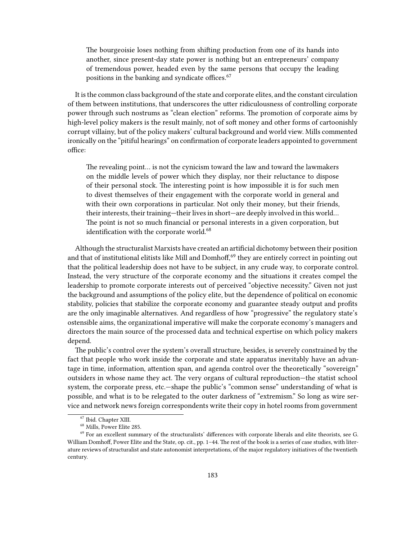The bourgeoisie loses nothing from shifting production from one of its hands into another, since present-day state power is nothing but an entrepreneurs' company of tremendous power, headed even by the same persons that occupy the leading positions in the banking and syndicate offices.<sup>67</sup>

It is the common class background of the state and corporate elites, and the constant circulation of them between institutions, that underscores the utter ridiculousness of controlling corporate power through such nostrums as "clean election" reforms. The promotion of corporate aims by high-level policy makers is the result mainly, not of soft money and other forms of cartoonishly corrupt villainy, but of the policy makers' cultural background and world view. Mills commented ironically on the "pitiful hearings" on confirmation of corporate leaders appointed to government office:

The revealing point… is not the cynicism toward the law and toward the lawmakers on the middle levels of power which they display, nor their reluctance to dispose of their personal stock. The interesting point is how impossible it is for such men to divest themselves of their engagement with the corporate world in general and with their own corporations in particular. Not only their money, but their friends, their interests, their training—their lives in short—are deeply involved in this world… The point is not so much financial or personal interests in a given corporation, but identification with the corporate world.<sup>68</sup>

Although the structuralist Marxists have created an artificial dichotomy between their position and that of institutional elitists like Mill and Domhoff,<sup>69</sup> they are entirely correct in pointing out that the political leadership does not have to be subject, in any crude way, to corporate control. Instead, the very structure of the corporate economy and the situations it creates compel the leadership to promote corporate interests out of perceived "objective necessity." Given not just the background and assumptions of the policy elite, but the dependence of political on economic stability, policies that stabilize the corporate economy and guarantee steady output and profits are the only imaginable alternatives. And regardless of how "progressive" the regulatory state's ostensible aims, the organizational imperative will make the corporate economy's managers and directors the main source of the processed data and technical expertise on which policy makers depend.

The public's control over the system's overall structure, besides, is severely constrained by the fact that people who work inside the corporate and state apparatus inevitably have an advantage in time, information, attention span, and agenda control over the theoretically "sovereign" outsiders in whose name they act. The very organs of cultural reproduction—the statist school system, the corporate press, etc.—shape the public's "common sense" understanding of what is possible, and what is to be relegated to the outer darkness of "extremism." So long as wire service and network news foreign correspondents write their copy in hotel rooms from government

<sup>67</sup> Ibid. Chapter XIII.

<sup>68</sup> Mills, Power Elite 285.

<sup>&</sup>lt;sup>69</sup> For an excellent summary of the structuralists' differences with corporate liberals and elite theorists, see G. William Domhoff, Power Elite and the State, op. cit., pp. 1–44. The rest of the book is a series of case studies, with literature reviews of structuralist and state autonomist interpretations, of the major regulatory initiatives of the twentieth century.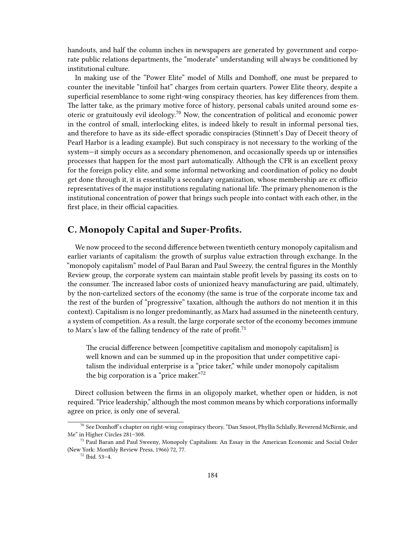handouts, and half the column inches in newspapers are generated by government and corporate public relations departments, the "moderate" understanding will always be conditioned by institutional culture.

In making use of the "Power Elite" model of Mills and Domhoff, one must be prepared to counter the inevitable "tinfoil hat" charges from certain quarters. Power Elite theory, despite a superficial resemblance to some right-wing conspiracy theories, has key differences from them. The latter take, as the primary motive force of history, personal cabals united around some esoteric or gratuitously evil ideology.<sup>70</sup> Now, the concentration of political and economic power in the control of small, interlocking elites, is indeed likely to result in informal personal ties, and therefore to have as its side-effect sporadic conspiracies (Stinnett's Day of Deceit theory of Pearl Harbor is a leading example). But such conspiracy is not necessary to the working of the system—it simply occurs as a secondary phenomenon, and occasionally speeds up or intensifies processes that happen for the most part automatically. Although the CFR is an excellent proxy for the foreign policy elite, and some informal networking and coordination of policy no doubt get done through it, it is essentially a secondary organization, whose membership are ex officio representatives of the major institutions regulating national life. The primary phenomenon is the institutional concentration of power that brings such people into contact with each other, in the first place, in their official capacities.

### **C. Monopoly Capital and Super-Profits.**

We now proceed to the second difference between twentieth century monopoly capitalism and earlier variants of capitalism: the growth of surplus value extraction through exchange. In the "monopoly capitalism" model of Paul Baran and Paul Sweezy, the central figures in the Monthly Review group, the corporate system can maintain stable profit levels by passing its costs on to the consumer. The increased labor costs of unionized heavy manufacturing are paid, ultimately, by the non-cartelized sectors of the economy (the same is true of the corporate income tax and the rest of the burden of "progressive" taxation, although the authors do not mention it in this context). Capitalism is no longer predominantly, as Marx had assumed in the nineteenth century, a system of competition. As a result, the large corporate sector of the economy becomes immune to Marx's law of the falling tendency of the rate of profit.<sup>71</sup>

The crucial difference between [competitive capitalism and monopoly capitalism] is well known and can be summed up in the proposition that under competitive capitalism the individual enterprise is a "price taker," while under monopoly capitalism the big corporation is a "price maker."<sup>72</sup>

Direct collusion between the firms in an oligopoly market, whether open or hidden, is not required. "Price leadership," although the most common means by which corporations informally agree on price, is only one of several.

 $^{70}$  See Domhoff's chapter on right-wing conspiracy theory, "Dan Smoot, Phyllis Schlafly, Reverend McBirnie, and Me" in Higher Circles 281–308.

<sup>71</sup> Paul Baran and Paul Sweeny, Monopoly Capitalism: An Essay in the American Economic and Social Order (New York: Monthly Review Press, 1966) 72, 77.

<sup>72</sup> Ibid. 53–4.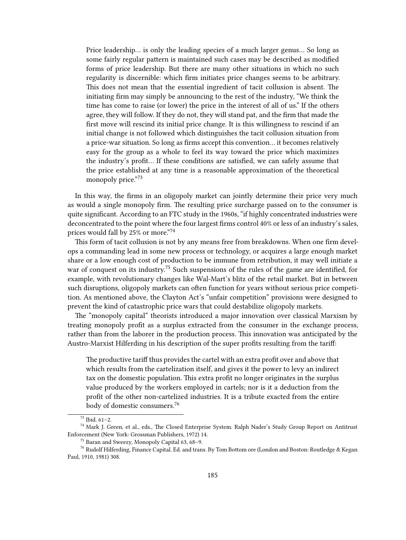Price leadership… is only the leading species of a much larger genus… So long as some fairly regular pattern is maintained such cases may be described as modified forms of price leadership. But there are many other situations in which no such regularity is discernible: which firm initiates price changes seems to be arbitrary. This does not mean that the essential ingredient of tacit collusion is absent. The initiating firm may simply be announcing to the rest of the industry, "We think the time has come to raise (or lower) the price in the interest of all of us." If the others agree, they will follow. If they do not, they will stand pat, and the firm that made the first move will rescind its initial price change. It is this willingness to rescind if an initial change is not followed which distinguishes the tacit collusion situation from a price-war situation. So long as firms accept this convention… it becomes relatively easy for the group as a whole to feel its way toward the price which maximizes the industry's profit… If these conditions are satisfied, we can safely assume that the price established at any time is a reasonable approximation of the theoretical monopoly price."73

In this way, the firms in an oligopoly market can jointly determine their price very much as would a single monopoly firm. The resulting price surcharge passed on to the consumer is quite significant. According to an FTC study in the 1960s, "if highly concentrated industries were deconcentrated to the point where the four largest firms control 40% or less of an industry's sales, prices would fall by 25% or more.<sup>"74</sup>

This form of tacit collusion is not by any means free from breakdowns. When one firm develops a commanding lead in some new process or technology, or acquires a large enough market share or a low enough cost of production to be immune from retribution, it may well initiate a war of conquest on its industry.<sup>75</sup> Such suspensions of the rules of the game are identified, for example, with revolutionary changes like Wal-Mart's blitz of the retail market. But in between such disruptions, oligopoly markets can often function for years without serious price competition. As mentioned above, the Clayton Act's "unfair competition" provisions were designed to prevent the kind of catastrophic price wars that could destabilize oligopoly markets.

The "monopoly capital" theorists introduced a major innovation over classical Marxism by treating monopoly profit as a surplus extracted from the consumer in the exchange process, rather than from the laborer in the production process. This innovation was anticipated by the Austro-Marxist Hilferding in his description of the super profits resulting from the tariff:

The productive tariff thus provides the cartel with an extra profit over and above that which results from the cartelization itself, and gives it the power to levy an indirect tax on the domestic population. This extra profit no longer originates in the surplus value produced by the workers employed in cartels; nor is it a deduction from the profit of the other non-cartelized industries. It is a tribute exacted from the entire body of domestic consumers.<sup>76</sup>

 $\frac{1}{73}$  Ibid. 61-2.

<sup>74</sup> Mark J. Green, et al., eds., The Closed Enterprise System. Ralph Nader's Study Group Report on Antitrust Enforcement (New York: Grossman Publishers, 1972) 14.

<sup>75</sup> Baran and Sweezy, Monopoly Capital 63, 68–9.

 $^{76}$  Rudolf Hilferding, Finance Capital. Ed. and trans. By Tom Bottom ore (London and Boston: Routledge & Kegan Paul, 1910, 1981) 308.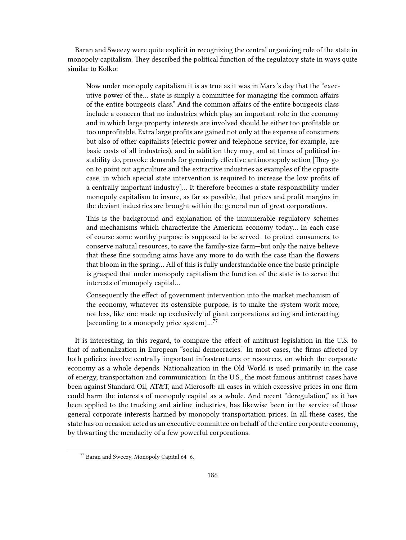Baran and Sweezy were quite explicit in recognizing the central organizing role of the state in monopoly capitalism. They described the political function of the regulatory state in ways quite similar to Kolko:

Now under monopoly capitalism it is as true as it was in Marx's day that the "executive power of the… state is simply a committee for managing the common affairs of the entire bourgeois class." And the common affairs of the entire bourgeois class include a concern that no industries which play an important role in the economy and in which large property interests are involved should be either too profitable or too unprofitable. Extra large profits are gained not only at the expense of consumers but also of other capitalists (electric power and telephone service, for example, are basic costs of all industries), and in addition they may, and at times of political instability do, provoke demands for genuinely effective antimonopoly action [They go on to point out agriculture and the extractive industries as examples of the opposite case, in which special state intervention is required to increase the low profits of a centrally important industry]… It therefore becomes a state responsibility under monopoly capitalism to insure, as far as possible, that prices and profit margins in the deviant industries are brought within the general run of great corporations.

This is the background and explanation of the innumerable regulatory schemes and mechanisms which characterize the American economy today… In each case of course some worthy purpose is supposed to be served—to protect consumers, to conserve natural resources, to save the family-size farm—but only the naive believe that these fine sounding aims have any more to do with the case than the flowers that bloom in the spring… All of this is fully understandable once the basic principle is grasped that under monopoly capitalism the function of the state is to serve the interests of monopoly capital…

Consequently the effect of government intervention into the market mechanism of the economy, whatever its ostensible purpose, is to make the system work more, not less, like one made up exclusively of giant corporations acting and interacting [according to a monopoly price system]...<sup>77</sup>

It is interesting, in this regard, to compare the effect of antitrust legislation in the U.S. to that of nationalization in European "social democracies." In most cases, the firms affected by both policies involve centrally important infrastructures or resources, on which the corporate economy as a whole depends. Nationalization in the Old World is used primarily in the case of energy, transportation and communication. In the U.S., the most famous antitrust cases have been against Standard Oil, AT&T, and Microsoft: all cases in which excessive prices in one firm could harm the interests of monopoly capital as a whole. And recent "deregulation," as it has been applied to the trucking and airline industries, has likewise been in the service of those general corporate interests harmed by monopoly transportation prices. In all these cases, the state has on occasion acted as an executive committee on behalf of the entire corporate economy, by thwarting the mendacity of a few powerful corporations.

<sup>77</sup> Baran and Sweezy, Monopoly Capital 64–6.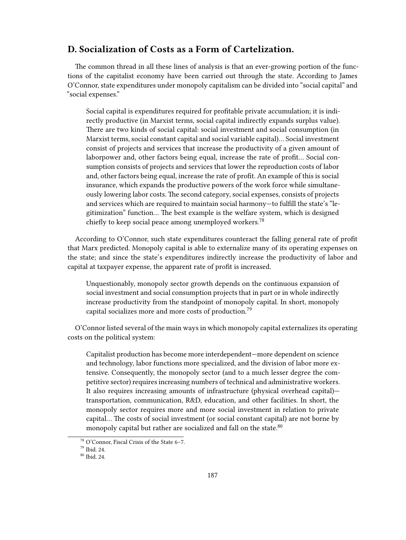### **D. Socialization of Costs as a Form of Cartelization.**

The common thread in all these lines of analysis is that an ever-growing portion of the functions of the capitalist economy have been carried out through the state. According to James O'Connor, state expenditures under monopoly capitalism can be divided into "social capital" and "social expenses."

Social capital is expenditures required for profitable private accumulation; it is indirectly productive (in Marxist terms, social capital indirectly expands surplus value). There are two kinds of social capital: social investment and social consumption (in Marxist terms, social constant capital and social variable capital)… Social investment consist of projects and services that increase the productivity of a given amount of laborpower and, other factors being equal, increase the rate of profit… Social consumption consists of projects and services that lower the reproduction costs of labor and, other factors being equal, increase the rate of profit. An example of this is social insurance, which expands the productive powers of the work force while simultaneously lowering labor costs. The second category, social expenses, consists of projects and services which are required to maintain social harmony—to fulfill the state's "legitimization" function… The best example is the welfare system, which is designed chiefly to keep social peace among unemployed workers.<sup>78</sup>

According to O'Connor, such state expenditures counteract the falling general rate of profit that Marx predicted. Monopoly capital is able to externalize many of its operating expenses on the state; and since the state's expenditures indirectly increase the productivity of labor and capital at taxpayer expense, the apparent rate of profit is increased.

Unquestionably, monopoly sector growth depends on the continuous expansion of social investment and social consumption projects that in part or in whole indirectly increase productivity from the standpoint of monopoly capital. In short, monopoly capital socializes more and more costs of production.<sup>79</sup>

O'Connor listed several of the main ways in which monopoly capital externalizes its operating costs on the political system:

Capitalist production has become more interdependent—more dependent on science and technology, labor functions more specialized, and the division of labor more extensive. Consequently, the monopoly sector (and to a much lesser degree the competitive sector) requires increasing numbers of technical and administrative workers. It also requires increasing amounts of infrastructure (physical overhead capital) transportation, communication, R&D, education, and other facilities. In short, the monopoly sector requires more and more social investment in relation to private capital… The costs of social investment (or social constant capital) are not borne by monopoly capital but rather are socialized and fall on the state.<sup>80</sup>

 $78$  O'Connor, Fiscal Crisis of the State 6–7.

<sup>79</sup> Ibid. 24.

<sup>80</sup> Ibid. 24.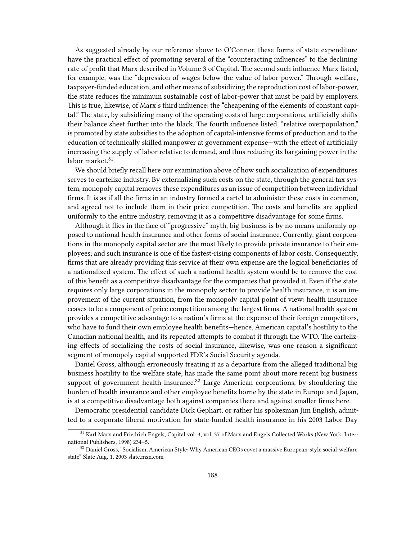As suggested already by our reference above to O'Connor, these forms of state expenditure have the practical effect of promoting several of the "counteracting influences" to the declining rate of profit that Marx described in Volume 3 of Capital. The second such influence Marx listed, for example, was the "depression of wages below the value of labor power." Through welfare, taxpayer-funded education, and other means of subsidizing the reproduction cost of labor-power, the state reduces the minimum sustainable cost of labor-power that must be paid by employers. This is true, likewise, of Marx's third influence: the "cheapening of the elements of constant capital." The state, by subsidizing many of the operating costs of large corporations, artificially shifts their balance sheet further into the black. The fourth influence listed, "relative overpopulation," is promoted by state subsidies to the adoption of capital-intensive forms of production and to the education of technically skilled manpower at government expense—with the effect of artificially increasing the supply of labor relative to demand, and thus reducing its bargaining power in the labor market. $81$ 

We should briefly recall here our examination above of how such socialization of expenditures serves to cartelize industry. By externalizing such costs on the state, through the general tax system, monopoly capital removes these expenditures as an issue of competition between individual firms. It is as if all the firms in an industry formed a cartel to administer these costs in common, and agreed not to include them in their price competition. The costs and benefits are applied uniformly to the entire industry, removing it as a competitive disadvantage for some firms.

Although it flies in the face of "progressive" myth, big business is by no means uniformly opposed to national health insurance and other forms of social insurance. Currently, giant corporations in the monopoly capital sector are the most likely to provide private insurance to their employees; and such insurance is one of the fastest-rising components of labor costs. Consequently, firms that are already providing this service at their own expense are the logical beneficiaries of a nationalized system. The effect of such a national health system would be to remove the cost of this benefit as a competitive disadvantage for the companies that provided it. Even if the state requires only large corporations in the monopoly sector to provide health insurance, it is an improvement of the current situation, from the monopoly capital point of view: health insurance ceases to be a component of price competition among the largest firms. A national health system provides a competitive advantage to a nation's firms at the expense of their foreign competitors, who have to fund their own employee health benefits—hence, American capital's hostility to the Canadian national health, and its repeated attempts to combat it through the WTO. The cartelizing effects of socializing the costs of social insurance, likewise, was one reason a significant segment of monopoly capital supported FDR's Social Security agenda.

Daniel Gross, although erroneously treating it as a departure from the alleged traditional big business hostility to the welfare state, has made the same point about more recent big business support of government health insurance.<sup>82</sup> Large American corporations, by shouldering the burden of health insurance and other employee benefits borne by the state in Europe and Japan, is at a competitive disadvantage both against companies there and against smaller firms here.

Democratic presidential candidate Dick Gephart, or rather his spokesman Jim English, admitted to a corporate liberal motivation for state-funded health insurance in his 2003 Labor Day

<sup>&</sup>lt;sup>81</sup> Karl Marx and Friedrich Engels, Capital vol. 3, vol. 37 of Marx and Engels Collected Works (New York: International Publishers, 1998) 234–5.

<sup>82</sup> Daniel Gross, "Socialism, American Style: Why American CEOs covet a massive European-style social-welfare state" Slate Aug. 1, 2003 [slate.msn.com](http://slate.msn.com/id/2086511/)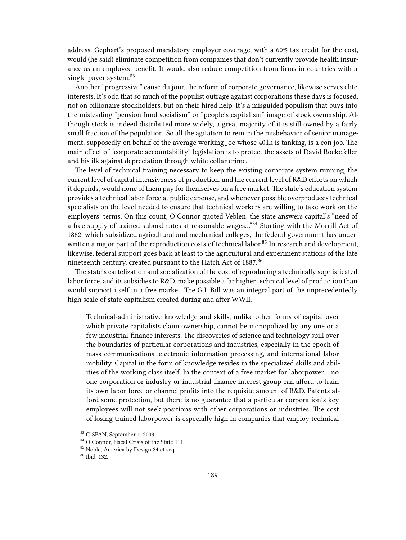address. Gephart's proposed mandatory employer coverage, with a 60% tax credit for the cost, would (he said) eliminate competition from companies that don't currently provide health insurance as an employee benefit. It would also reduce competition from firms in countries with a single-payer system.<sup>83</sup>

Another "progressive" cause du jour, the reform of corporate governance, likewise serves elite interests. It's odd that so much of the populist outrage against corporations these days is focused, not on billionaire stockholders, but on their hired help. It's a misguided populism that buys into the misleading "pension fund socialism" or "people's capitalism" image of stock ownership. Although stock is indeed distributed more widely, a great majority of it is still owned by a fairly small fraction of the population. So all the agitation to rein in the misbehavior of senior management, supposedly on behalf of the average working Joe whose 401k is tanking, is a con job. The main effect of "corporate accountability" legislation is to protect the assets of David Rockefeller and his ilk against depreciation through white collar crime.

The level of technical training necessary to keep the existing corporate system running, the current level of capital intensiveness of production, and the current level of R&D efforts on which it depends, would none of them pay for themselves on a free market. The state's education system provides a technical labor force at public expense, and whenever possible overproduces technical specialists on the level needed to ensure that technical workers are willing to take work on the employers' terms. On this count, O'Connor quoted Veblen: the state answers capital's "need of a free supply of trained subordinates at reasonable wages…"<sup>84</sup> Starting with the Morrill Act of 1862, which subsidized agricultural and mechanical colleges, the federal government has underwritten a major part of the reproduction costs of technical labor.<sup>85</sup> In research and development, likewise, federal support goes back at least to the agricultural and experiment stations of the late nineteenth century, created pursuant to the Hatch Act of 1887.<sup>86</sup>

The state's cartelization and socialization of the cost of reproducing a technically sophisticated labor force, and its subsidies to R&D, make possible a far higher technical level of production than would support itself in a free market. The G.I. Bill was an integral part of the unprecedentedly high scale of state capitalism created during and after WWII.

Technical-administrative knowledge and skills, unlike other forms of capital over which private capitalists claim ownership, cannot be monopolized by any one or a few industrial-finance interests. The discoveries of science and technology spill over the boundaries of particular corporations and industries, especially in the epoch of mass communications, electronic information processing, and international labor mobility. Capital in the form of knowledge resides in the specialized skills and abilities of the working class itself. In the context of a free market for laborpower… no one corporation or industry or industrial-finance interest group can afford to train its own labor force or channel profits into the requisite amount of R&D. Patents afford some protection, but there is no guarantee that a particular corporation's key employees will not seek positions with other corporations or industries. The cost of losing trained laborpower is especially high in companies that employ technical

<sup>83</sup> C-SPAN, September 1, 2003.

<sup>84</sup> O'Connor, Fiscal Crisis of the State 111.

<sup>&</sup>lt;sup>85</sup> Noble, America by Design 24 et seq.

<sup>86</sup> Ibid. 132.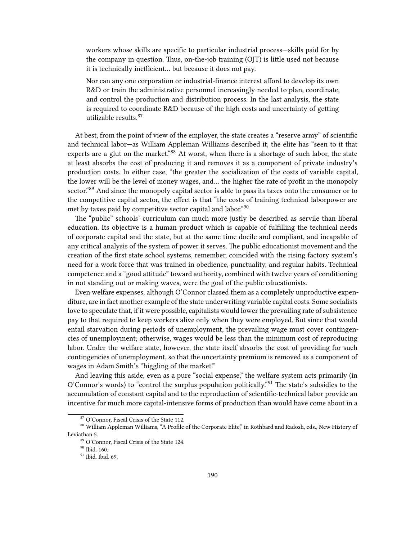workers whose skills are specific to particular industrial process—skills paid for by the company in question. Thus, on-the-job training (OJT) is little used not because it is technically inefficient… but because it does not pay.

Nor can any one corporation or industrial-finance interest afford to develop its own R&D or train the administrative personnel increasingly needed to plan, coordinate, and control the production and distribution process. In the last analysis, the state is required to coordinate R&D because of the high costs and uncertainty of getting utilizable results.<sup>87</sup>

At best, from the point of view of the employer, the state creates a "reserve army" of scientific and technical labor—as William Appleman Williams described it, the elite has "seen to it that experts are a glut on the market.<sup>"88</sup> At worst, when there is a shortage of such labor, the state at least absorbs the cost of producing it and removes it as a component of private industry's production costs. In either case, "the greater the socialization of the costs of variable capital, the lower will be the level of money wages, and… the higher the rate of profit in the monopoly sector.<sup>"89</sup> And since the monopoly capital sector is able to pass its taxes onto the consumer or to the competitive capital sector, the effect is that "the costs of training technical laborpower are met by taxes paid by competitive sector capital and labor. <sup>"90</sup>

The "public" schools' curriculum can much more justly be described as servile than liberal education. Its objective is a human product which is capable of fulfilling the technical needs of corporate capital and the state, but at the same time docile and compliant, and incapable of any critical analysis of the system of power it serves. The public educationist movement and the creation of the first state school systems, remember, coincided with the rising factory system's need for a work force that was trained in obedience, punctuality, and regular habits. Technical competence and a "good attitude" toward authority, combined with twelve years of conditioning in not standing out or making waves, were the goal of the public educationists.

Even welfare expenses, although O'Connor classed them as a completely unproductive expenditure, are in fact another example of the state underwriting variable capital costs. Some socialists love to speculate that, if it were possible, capitalists would lower the prevailing rate of subsistence pay to that required to keep workers alive only when they were employed. But since that would entail starvation during periods of unemployment, the prevailing wage must cover contingencies of unemployment; otherwise, wages would be less than the minimum cost of reproducing labor. Under the welfare state, however, the state itself absorbs the cost of providing for such contingencies of unemployment, so that the uncertainty premium is removed as a component of wages in Adam Smith's "higgling of the market."

And leaving this aside, even as a pure "social expense," the welfare system acts primarily (in O'Connor's words) to "control the surplus population politically."<sup>91</sup> The state's subsidies to the accumulation of constant capital and to the reproduction of scientific-technical labor provide an incentive for much more capital-intensive forms of production than would have come about in a

<sup>87</sup> O'Connor, Fiscal Crisis of the State 112.

<sup>88</sup> William Appleman Williams, "A Profile of the Corporate Elite," in Rothbard and Radosh, eds., New History of Leviathan 5.

<sup>89</sup> O'Connor, Fiscal Crisis of the State 124.

<sup>90</sup> Ibid. 160.

<sup>91</sup> Ibid. Ibid. 69.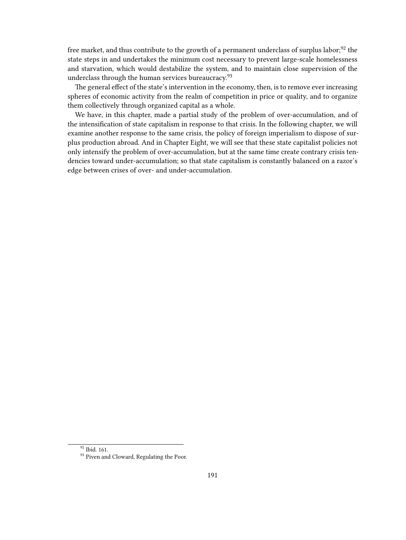free market, and thus contribute to the growth of a permanent underclass of surplus labor;  $92$  the state steps in and undertakes the minimum cost necessary to prevent large-scale homelessness and starvation, which would destabilize the system, and to maintain close supervision of the underclass through the human services bureaucracy.<sup>93</sup>

The general effect of the state's intervention in the economy, then, is to remove ever increasing spheres of economic activity from the realm of competition in price or quality, and to organize them collectively through organized capital as a whole.

We have, in this chapter, made a partial study of the problem of over-accumulation, and of the intensification of state capitalism in response to that crisis. In the following chapter, we will examine another response to the same crisis, the policy of foreign imperialism to dispose of surplus production abroad. And in Chapter Eight, we will see that these state capitalist policies not only intensify the problem of over-accumulation, but at the same time create contrary crisis tendencies toward under-accumulation; so that state capitalism is constantly balanced on a razor's edge between crises of over- and under-accumulation.

<sup>92</sup> Ibid. 161.

<sup>&</sup>lt;sup>93</sup> Piven and Cloward, Regulating the Poor.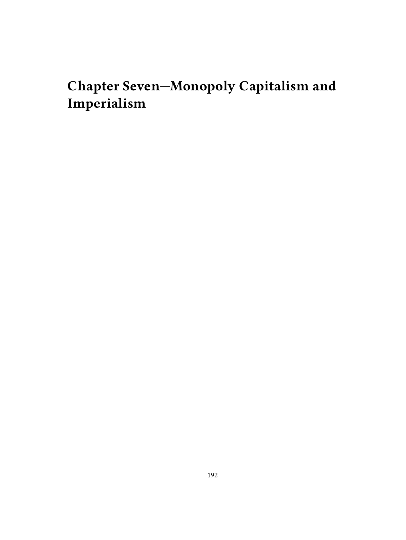# **Chapter Seven—Monopoly Capitalism and Imperialism**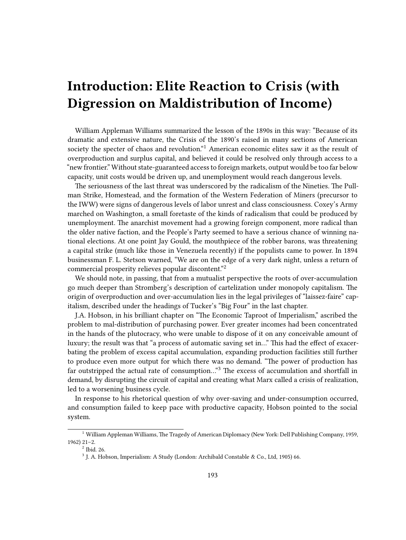## **Introduction: Elite Reaction to Crisis (with Digression on Maldistribution of Income)**

William Appleman Williams summarized the lesson of the 1890s in this way: "Because of its dramatic and extensive nature, the Crisis of the 1890's raised in many sections of American society the specter of chaos and revolution."<sup>1</sup> American economic elites saw it as the result of overproduction and surplus capital, and believed it could be resolved only through access to a "new frontier." Without state-guaranteed access to foreign markets, output would be too far below capacity, unit costs would be driven up, and unemployment would reach dangerous levels.

The seriousness of the last threat was underscored by the radicalism of the Nineties. The Pullman Strike, Homestead, and the formation of the Western Federation of Miners (precursor to the IWW) were signs of dangerous levels of labor unrest and class consciousness. Coxey's Army marched on Washington, a small foretaste of the kinds of radicalism that could be produced by unemployment. The anarchist movement had a growing foreign component, more radical than the older native faction, and the People's Party seemed to have a serious chance of winning national elections. At one point Jay Gould, the mouthpiece of the robber barons, was threatening a capital strike (much like those in Venezuela recently) if the populists came to power. In 1894 businessman F. L. Stetson warned, "We are on the edge of a very dark night, unless a return of commercial prosperity relieves popular discontent."<sup>2</sup>

We should note, in passing, that from a mutualist perspective the roots of over-accumulation go much deeper than Stromberg's description of cartelization under monopoly capitalism. The origin of overproduction and over-accumulation lies in the legal privileges of "laissez-faire" capitalism, described under the headings of Tucker's "Big Four" in the last chapter.

J.A. Hobson, in his brilliant chapter on "The Economic Taproot of Imperialism," ascribed the problem to mal-distribution of purchasing power. Ever greater incomes had been concentrated in the hands of the plutocracy, who were unable to dispose of it on any conceivable amount of luxury; the result was that "a process of automatic saving set in…" This had the effect of exacerbating the problem of excess capital accumulation, expanding production facilities still further to produce even more output for which there was no demand. "The power of production has far outstripped the actual rate of consumption...<sup>"3</sup> The excess of accumulation and shortfall in demand, by disrupting the circuit of capital and creating what Marx called a crisis of realization, led to a worsening business cycle.

In response to his rhetorical question of why over-saving and under-consumption occurred, and consumption failed to keep pace with productive capacity, Hobson pointed to the social system.

<sup>1</sup> William Appleman Williams, The Tragedy of American Diplomacy (New York: Dell Publishing Company, 1959, 1962) 21–2.

 $<sup>2</sup>$  Ibid. 26.</sup>

 $^3$  J. A. Hobson, Imperialism: A Study (London: Archibald Constable & Co., Ltd, 1905) 66.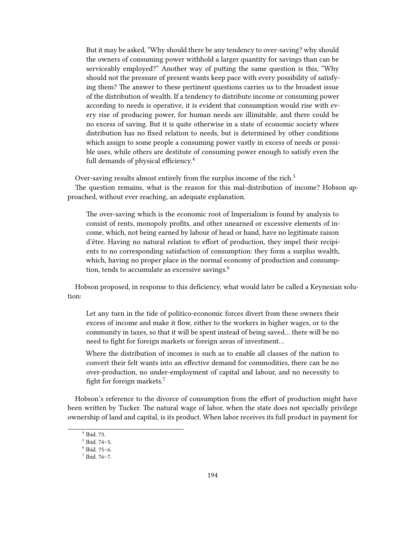But it may be asked, "Why should there be any tendency to over-saving? why should the owners of consuming power withhold a larger quantity for savings than can be serviceably employed?" Another way of putting the same question is this, "Why should not the pressure of present wants keep pace with every possibility of satisfying them? The answer to these pertinent questions carries us to the broadest issue of the distribution of wealth. If a tendency to distribute income or consuming power according to needs is operative, it is evident that consumption would rise with every rise of producing power, for human needs are illimitable, and there could be no excess of saving. But it is quite otherwise in a state of economic society where distribution has no fixed relation to needs, but is determined by other conditions which assign to some people a consuming power vastly in excess of needs or possible uses, while others are destitute of consuming power enough to satisfy even the full demands of physical efficiency.<sup>4</sup>

Over-saving results almost entirely from the surplus income of the rich.<sup>5</sup>

The question remains, what is the reason for this mal-distribution of income? Hobson approached, without ever reaching, an adequate explanation.

The over-saving which is the economic root of Imperialism is found by analysis to consist of rents, monopoly profits, and other unearned or excessive elements of income, which, not being earned by labour of head or hand, have no legitimate raison d'être. Having no natural relation to effort of production, they impel their recipients to no corresponding satisfaction of consumption: they form a surplus wealth, which, having no proper place in the normal economy of production and consumption, tends to accumulate as excessive savings.<sup>6</sup>

Hobson proposed, in response to this deficiency, what would later be called a Keynesian solution:

Let any turn in the tide of politico-economic forces divert from these owners their excess of income and make it flow, either to the workers in higher wages, or to the community in taxes, so that it will be spent instead of being saved… there will be no need to fight for foreign markets or foreign areas of investment…

Where the distribution of incomes is such as to enable all classes of the nation to convert their felt wants into an effective demand for commodities, there can be no over-production, no under-employment of capital and labour, and no necessity to fight for foreign markets.<sup>7</sup>

Hobson's reference to the divorce of consumption from the effort of production might have been written by Tucker. The natural wage of labor, when the state does not specially privilege ownership of land and capital, is its product. When labor receives its full product in payment for

<sup>4</sup> Ibid. 73.

<sup>5</sup> Ibid. 74–5.

<sup>6</sup> Ibid. 75–6.

 $7$  Ibid. 76-7.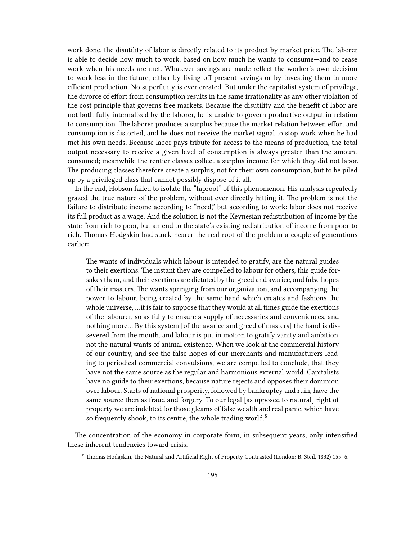work done, the disutility of labor is directly related to its product by market price. The laborer is able to decide how much to work, based on how much he wants to consume—and to cease work when his needs are met. Whatever savings are made reflect the worker's own decision to work less in the future, either by living off present savings or by investing them in more efficient production. No superfluity is ever created. But under the capitalist system of privilege, the divorce of effort from consumption results in the same irrationality as any other violation of the cost principle that governs free markets. Because the disutility and the benefit of labor are not both fully internalized by the laborer, he is unable to govern productive output in relation to consumption. The laborer produces a surplus because the market relation between effort and consumption is distorted, and he does not receive the market signal to stop work when he had met his own needs. Because labor pays tribute for access to the means of production, the total output necessary to receive a given level of consumption is always greater than the amount consumed; meanwhile the rentier classes collect a surplus income for which they did not labor. The producing classes therefore create a surplus, not for their own consumption, but to be piled up by a privileged class that cannot possibly dispose of it all.

In the end, Hobson failed to isolate the "taproot" of this phenomenon. His analysis repeatedly grazed the true nature of the problem, without ever directly hitting it. The problem is not the failure to distribute income according to "need," but according to work: labor does not receive its full product as a wage. And the solution is not the Keynesian redistribution of income by the state from rich to poor, but an end to the state's existing redistribution of income from poor to rich. Thomas Hodgskin had stuck nearer the real root of the problem a couple of generations earlier:

The wants of individuals which labour is intended to gratify, are the natural guides to their exertions. The instant they are compelled to labour for others, this guide forsakes them, and their exertions are dictated by the greed and avarice, and false hopes of their masters. The wants springing from our organization, and accompanying the power to labour, being created by the same hand which creates and fashions the whole universe, …it is fair to suppose that they would at all times guide the exertions of the labourer, so as fully to ensure a supply of necessaries and conveniences, and nothing more… By this system [of the avarice and greed of masters] the hand is dissevered from the mouth, and labour is put in motion to gratify vanity and ambition, not the natural wants of animal existence. When we look at the commercial history of our country, and see the false hopes of our merchants and manufacturers leading to periodical commercial convulsions, we are compelled to conclude, that they have not the same source as the regular and harmonious external world. Capitalists have no guide to their exertions, because nature rejects and opposes their dominion over labour. Starts of national prosperity, followed by bankruptcy and ruin, have the same source then as fraud and forgery. To our legal [as opposed to natural] right of property we are indebted for those gleams of false wealth and real panic, which have so frequently shook, to its centre, the whole trading world. $8$ 

The concentration of the economy in corporate form, in subsequent years, only intensified these inherent tendencies toward crisis.

<sup>8</sup> Thomas Hodgskin, The Natural and Artificial Right of Property Contrasted (London: B. Steil, 1832) 155–6.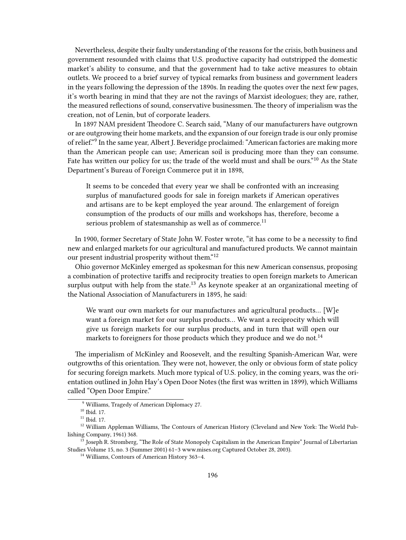Nevertheless, despite their faulty understanding of the reasons for the crisis, both business and government resounded with claims that U.S. productive capacity had outstripped the domestic market's ability to consume, and that the government had to take active measures to obtain outlets. We proceed to a brief survey of typical remarks from business and government leaders in the years following the depression of the 1890s. In reading the quotes over the next few pages, it's worth bearing in mind that they are not the ravings of Marxist ideologues; they are, rather, the measured reflections of sound, conservative businessmen. The theory of imperialism was the creation, not of Lenin, but of corporate leaders.

In 1897 NAM president Theodore C. Search said, "Many of our manufacturers have outgrown or are outgrowing their home markets, and the expansion of our foreign trade is our only promise of relief."<sup>9</sup> In the same year, Albert J. Beveridge proclaimed: "American factories are making more than the American people can use; American soil is producing more than they can consume. Fate has written our policy for us; the trade of the world must and shall be ours.<sup>"10</sup> As the State Department's Bureau of Foreign Commerce put it in 1898,

It seems to be conceded that every year we shall be confronted with an increasing surplus of manufactured goods for sale in foreign markets if American operatives and artisans are to be kept employed the year around. The enlargement of foreign consumption of the products of our mills and workshops has, therefore, become a serious problem of statesmanship as well as of commerce.<sup>11</sup>

In 1900, former Secretary of State John W. Foster wrote, "it has come to be a necessity to find new and enlarged markets for our agricultural and manufactured products. We cannot maintain our present industrial prosperity without them."<sup>12</sup>

Ohio governor McKinley emerged as spokesman for this new American consensus, proposing a combination of protective tariffs and reciprocity treaties to open foreign markets to American surplus output with help from the state.<sup>13</sup> As keynote speaker at an organizational meeting of the National Association of Manufacturers in 1895, he said:

We want our own markets for our manufactures and agricultural products… [W]e want a foreign market for our surplus products… We want a reciprocity which will give us foreign markets for our surplus products, and in turn that will open our markets to foreigners for those products which they produce and we do not.<sup>14</sup>

The imperialism of McKinley and Roosevelt, and the resulting Spanish-American War, were outgrowths of this orientation. They were not, however, the only or obvious form of state policy for securing foreign markets. Much more typical of U.S. policy, in the coming years, was the orientation outlined in John Hay's Open Door Notes (the first was written in 1899), which Williams called "Open Door Empire."

<sup>9</sup> Williams, Tragedy of American Diplomacy 27.

 $10$  Ibid. 17.

 $11$  Ibid. 17.

<sup>&</sup>lt;sup>12</sup> William Appleman Williams, The Contours of American History (Cleveland and New York: The World Publishing Company, 1961) 368.

<sup>&</sup>lt;sup>13</sup> Joseph R. Stromberg, "The Role of State Monopoly Capitalism in the American Empire" Journal of Libertarian Studies Volume 15, no. 3 (Summer 2001) 61–3 [www.mises.org](http://www.mises.org/journals/jls/15_3/15_3_3.pdf) Captured October 28, 2003).

<sup>14</sup> Williams, Contours of American History 363–4.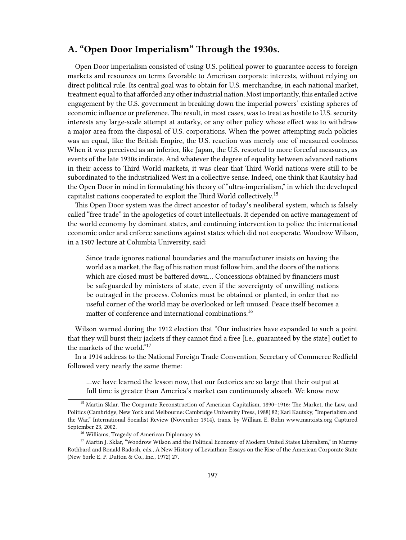## **A. "Open Door Imperialism" Through the 1930s.**

Open Door imperialism consisted of using U.S. political power to guarantee access to foreign markets and resources on terms favorable to American corporate interests, without relying on direct political rule. Its central goal was to obtain for U.S. merchandise, in each national market, treatment equal to that afforded any other industrial nation. Most importantly, this entailed active engagement by the U.S. government in breaking down the imperial powers' existing spheres of economic influence or preference. The result, in most cases, was to treat as hostile to U.S. security interests any large-scale attempt at autarky, or any other policy whose effect was to withdraw a major area from the disposal of U.S. corporations. When the power attempting such policies was an equal, like the British Empire, the U.S. reaction was merely one of measured coolness. When it was perceived as an inferior, like Japan, the U.S. resorted to more forceful measures, as events of the late 1930s indicate. And whatever the degree of equality between advanced nations in their access to Third World markets, it was clear that Third World nations were still to be subordinated to the industrialized West in a collective sense. Indeed, one think that Kautsky had the Open Door in mind in formulating his theory of "ultra-imperialism," in which the developed capitalist nations cooperated to exploit the Third World collectively.<sup>15</sup>

This Open Door system was the direct ancestor of today's neoliberal system, which is falsely called "free trade" in the apologetics of court intellectuals. It depended on active management of the world economy by dominant states, and continuing intervention to police the international economic order and enforce sanctions against states which did not cooperate. Woodrow Wilson, in a 1907 lecture at Columbia University, said:

Since trade ignores national boundaries and the manufacturer insists on having the world as a market, the flag of his nation must follow him, and the doors of the nations which are closed must be battered down… Concessions obtained by financiers must be safeguarded by ministers of state, even if the sovereignty of unwilling nations be outraged in the process. Colonies must be obtained or planted, in order that no useful corner of the world may be overlooked or left unused. Peace itself becomes a matter of conference and international combinations.<sup>16</sup>

Wilson warned during the 1912 election that "Our industries have expanded to such a point that they will burst their jackets if they cannot find a free [i.e., guaranteed by the state] outlet to the markets of the world."<sup>17</sup>

In a 1914 address to the National Foreign Trade Convention, Secretary of Commerce Redfield followed very nearly the same theme:

…we have learned the lesson now, that our factories are so large that their output at full time is greater than America's market can continuously absorb. We know now

<sup>&</sup>lt;sup>15</sup> Martin Sklar, The Corporate Reconstruction of American Capitalism, 1890-1916: The Market, the Law, and Politics (Cambridge, New York and Melbourne: Cambridge University Press, 1988) 82; Karl Kautsky, "Imperialism and the War," International Socialist Review (November 1914), trans. by William E. Bohn [www.marxists.org](http://www.marxists.org/archive/kautsky/works/1910s/war.html) Captured September 23, 2002.

 $^{16}$  Williams, Tragedy of American Diplomacy 66.

<sup>&</sup>lt;sup>17</sup> Martin J. Sklar, "Woodrow Wilson and the Political Economy of Modern United States Liberalism," in Murray Rothbard and Ronald Radosh, eds., A New History of Leviathan: Essays on the Rise of the American Corporate State (New York: E. P. Dutton & Co., Inc., 1972) 27.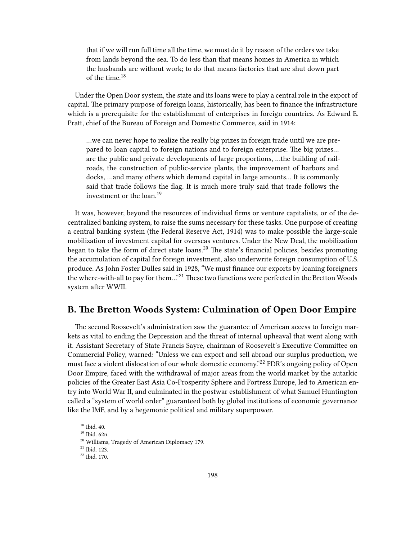that if we will run full time all the time, we must do it by reason of the orders we take from lands beyond the sea. To do less than that means homes in America in which the husbands are without work; to do that means factories that are shut down part of the time.<sup>18</sup>

Under the Open Door system, the state and its loans were to play a central role in the export of capital. The primary purpose of foreign loans, historically, has been to finance the infrastructure which is a prerequisite for the establishment of enterprises in foreign countries. As Edward E. Pratt, chief of the Bureau of Foreign and Domestic Commerce, said in 1914:

…we can never hope to realize the really big prizes in foreign trade until we are prepared to loan capital to foreign nations and to foreign enterprise. The big prizes… are the public and private developments of large proportions, …the building of railroads, the construction of public-service plants, the improvement of harbors and docks, …and many others which demand capital in large amounts… It is commonly said that trade follows the flag. It is much more truly said that trade follows the investment or the loan.<sup>19</sup>

It was, however, beyond the resources of individual firms or venture capitalists, or of the decentralized banking system, to raise the sums necessary for these tasks. One purpose of creating a central banking system (the Federal Reserve Act, 1914) was to make possible the large-scale mobilization of investment capital for overseas ventures. Under the New Deal, the mobilization began to take the form of direct state loans.<sup>20</sup> The state's financial policies, besides promoting the accumulation of capital for foreign investment, also underwrite foreign consumption of U.S. produce. As John Foster Dulles said in 1928, "We must finance our exports by loaning foreigners the where-with-all to pay for them…"<sup>21</sup> These two functions were perfected in the Bretton Woods system after WWII.

#### **B. The Bretton Woods System: Culmination of Open Door Empire**

The second Roosevelt's administration saw the guarantee of American access to foreign markets as vital to ending the Depression and the threat of internal upheaval that went along with it. Assistant Secretary of State Francis Sayre, chairman of Roosevelt's Executive Committee on Commercial Policy, warned: "Unless we can export and sell abroad our surplus production, we must face a violent dislocation of our whole domestic economy."<sup>22</sup> FDR's ongoing policy of Open Door Empire, faced with the withdrawal of major areas from the world market by the autarkic policies of the Greater East Asia Co-Prosperity Sphere and Fortress Europe, led to American entry into World War II, and culminated in the postwar establishment of what Samuel Huntington called a "system of world order" guaranteed both by global institutions of economic governance like the IMF, and by a hegemonic political and military superpower.

 $18$  Ibid. 40.

<sup>19</sup> Ibid. 62n.

<sup>&</sup>lt;sup>20</sup> Williams, Tragedy of American Diplomacy 179.

<sup>21</sup> Ibid. 123.

<sup>22</sup> Ibid. 170.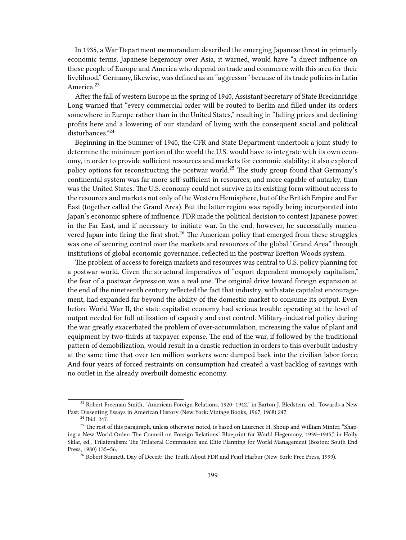In 1935, a War Department memorandum described the emerging Japanese threat in primarily economic terms. Japanese hegemony over Asia, it warned, would have "a direct influence on those people of Europe and America who depend on trade and commerce with this area for their livelihood." Germany, likewise, was defined as an "aggressor" because of its trade policies in Latin America.<sup>23</sup>

After the fall of western Europe in the spring of 1940, Assistant Secretary of State Breckinridge Long warned that "every commercial order will be routed to Berlin and filled under its orders somewhere in Europe rather than in the United States," resulting in "falling prices and declining profits here and a lowering of our standard of living with the consequent social and political disturbances."<sup>24</sup>

Beginning in the Summer of 1940, the CFR and State Department undertook a joint study to determine the minimum portion of the world the U.S. would have to integrate with its own economy, in order to provide sufficient resources and markets for economic stability; it also explored policy options for reconstructing the postwar world.<sup>25</sup> The study group found that Germany's continental system was far more self-sufficient in resources, and more capable of autarky, than was the United States. The U.S. economy could not survive in its existing form without access to the resources and markets not only of the Western Hemisphere, but of the British Empire and Far East (together called the Grand Area). But the latter region was rapidly being incorporated into Japan's economic sphere of influence. FDR made the political decision to contest Japanese power in the Far East, and if necessary to initiate war. In the end, however, he successfully maneuvered Japan into firing the first shot.<sup>26</sup> The American policy that emerged from these struggles was one of securing control over the markets and resources of the global "Grand Area" through institutions of global economic governance, reflected in the postwar Bretton Woods system.

The problem of access to foreign markets and resources was central to U.S. policy planning for a postwar world. Given the structural imperatives of "export dependent monopoly capitalism," the fear of a postwar depression was a real one. The original drive toward foreign expansion at the end of the nineteenth century reflected the fact that industry, with state capitalist encouragement, had expanded far beyond the ability of the domestic market to consume its output. Even before World War II, the state capitalist economy had serious trouble operating at the level of output needed for full utilization of capacity and cost control. Military-industrial policy during the war greatly exacerbated the problem of over-accumulation, increasing the value of plant and equipment by two-thirds at taxpayer expense. The end of the war, if followed by the traditional pattern of demobilization, would result in a drastic reduction in orders to this overbuilt industry at the same time that over ten million workers were dumped back into the civilian labor force. And four years of forced restraints on consumption had created a vast backlog of savings with no outlet in the already overbuilt domestic economy.

<sup>&</sup>lt;sup>23</sup> Robert Freeman Smith, "American Foreign Relations, 1920-1942," in Barton J. Bledstein, ed., Towards a New Past: Dissenting Essays in American History (New York: Vintage Books, 1967, 1968) 247.

<sup>24</sup> Ibid. 247.

<sup>&</sup>lt;sup>25</sup> The rest of this paragraph, unless otherwise noted, is based on Laurence H. Shoup and William Minter, "Shaping a New World Order: The Council on Foreign Relations' Blueprint for World Hegemony, 1939–1945," in Holly Sklar, ed., Trilateralism: The Trilateral Commission and Elite Planning for World Management (Boston: South End Press, 1980) 135–56.

<sup>&</sup>lt;sup>26</sup> Robert Stinnett, Day of Deceit: The Truth About FDR and Pearl Harbor (New York: Free Press, 1999).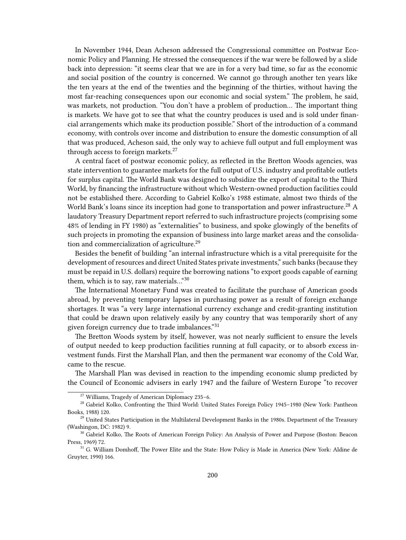In November 1944, Dean Acheson addressed the Congressional committee on Postwar Economic Policy and Planning. He stressed the consequences if the war were be followed by a slide back into depression: "it seems clear that we are in for a very bad time, so far as the economic and social position of the country is concerned. We cannot go through another ten years like the ten years at the end of the twenties and the beginning of the thirties, without having the most far-reaching consequences upon our economic and social system." The problem, he said, was markets, not production. "You don't have a problem of production… The important thing is markets. We have got to see that what the country produces is used and is sold under financial arrangements which make its production possible." Short of the introduction of a command economy, with controls over income and distribution to ensure the domestic consumption of all that was produced, Acheson said, the only way to achieve full output and full employment was through access to foreign markets.<sup>27</sup>

A central facet of postwar economic policy, as reflected in the Bretton Woods agencies, was state intervention to guarantee markets for the full output of U.S. industry and profitable outlets for surplus capital. The World Bank was designed to subsidize the export of capital to the Third World, by financing the infrastructure without which Western-owned production facilities could not be established there. According to Gabriel Kolko's 1988 estimate, almost two thirds of the World Bank's loans since its inception had gone to transportation and power infrastructure.<sup>28</sup> A laudatory Treasury Department report referred to such infrastructure projects (comprising some 48% of lending in FY 1980) as "externalities" to business, and spoke glowingly of the benefits of such projects in promoting the expansion of business into large market areas and the consolidation and commercialization of agriculture.<sup>29</sup>

Besides the benefit of building "an internal infrastructure which is a vital prerequisite for the development of resources and direct United States private investments," such banks (because they must be repaid in U.S. dollars) require the borrowing nations "to export goods capable of earning them, which is to say, raw materials…"<sup>30</sup>

The International Monetary Fund was created to facilitate the purchase of American goods abroad, by preventing temporary lapses in purchasing power as a result of foreign exchange shortages. It was "a very large international currency exchange and credit-granting institution that could be drawn upon relatively easily by any country that was temporarily short of any given foreign currency due to trade imbalances."<sup>31</sup>

The Bretton Woods system by itself, however, was not nearly sufficient to ensure the levels of output needed to keep production facilities running at full capacity, or to absorb excess investment funds. First the Marshall Plan, and then the permanent war economy of the Cold War, came to the rescue.

The Marshall Plan was devised in reaction to the impending economic slump predicted by the Council of Economic advisers in early 1947 and the failure of Western Europe "to recover

 $^{27}$  Williams, Tragedy of American Diplomacy 235-6.

<sup>&</sup>lt;sup>28</sup> Gabriel Kolko, Confronting the Third World: United States Foreign Policy 1945-1980 (New York: Pantheon Books, 1988) 120.

<sup>&</sup>lt;sup>29</sup> United States Participation in the Multilateral Development Banks in the 1980s. Department of the Treasury (Washingon, DC: 1982) 9.

<sup>&</sup>lt;sup>30</sup> Gabriel Kolko, The Roots of American Foreign Policy: An Analysis of Power and Purpose (Boston: Beacon Press, 1969) 72.

<sup>&</sup>lt;sup>31</sup> G. William Domhoff, The Power Elite and the State: How Policy is Made in America (New York: Aldine de Gruyter, 1990) 166.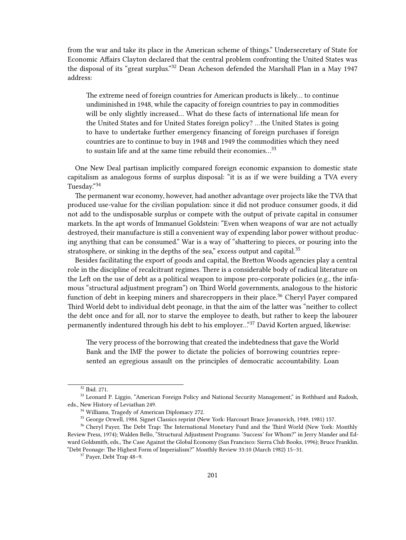from the war and take its place in the American scheme of things." Undersecretary of State for Economic Affairs Clayton declared that the central problem confronting the United States was the disposal of its "great surplus."<sup>32</sup> Dean Acheson defended the Marshall Plan in a May 1947 address:

The extreme need of foreign countries for American products is likely… to continue undiminished in 1948, while the capacity of foreign countries to pay in commodities will be only slightly increased… What do these facts of international life mean for the United States and for United States foreign policy? …the United States is going to have to undertake further emergency financing of foreign purchases if foreign countries are to continue to buy in 1948 and 1949 the commodities which they need to sustain life and at the same time rebuild their economies…<sup>33</sup>

One New Deal partisan implicitly compared foreign economic expansion to domestic state capitalism as analogous forms of surplus disposal: "it is as if we were building a TVA every Tuesday."<sup>34</sup>

The permanent war economy, however, had another advantage over projects like the TVA that produced use-value for the civilian population: since it did not produce consumer goods, it did not add to the undisposable surplus or compete with the output of private capital in consumer markets. In the apt words of Immanuel Goldstein: "Even when weapons of war are not actually destroyed, their manufacture is still a convenient way of expending labor power without producing anything that can be consumed." War is a way of "shattering to pieces, or pouring into the stratosphere, or sinking in the depths of the sea," excess output and capital.<sup>35</sup>

Besides facilitating the export of goods and capital, the Bretton Woods agencies play a central role in the discipline of recalcitrant regimes. There is a considerable body of radical literature on the Left on the use of debt as a political weapon to impose pro-corporate policies (e.g., the infamous "structural adjustment program") on Third World governments, analogous to the historic function of debt in keeping miners and sharecroppers in their place.<sup>36</sup> Cheryl Payer compared Third World debt to individual debt peonage, in that the aim of the latter was "neither to collect the debt once and for all, nor to starve the employee to death, but rather to keep the labourer permanently indentured through his debt to his employer…"<sup>37</sup> David Korten argued, likewise:

The very process of the borrowing that created the indebtedness that gave the World Bank and the IMF the power to dictate the policies of borrowing countries represented an egregious assault on the principles of democratic accountability. Loan

<sup>&</sup>lt;sup>32</sup> Ibid. 271.

<sup>&</sup>lt;sup>33</sup> Leonard P. Liggio, "American Foreign Policy and National Security Management," in Rothbard and Radosh, eds., New History of Leviathan 249.

<sup>&</sup>lt;sup>34</sup> Williams, Tragedy of American Diplomacy 272.

<sup>35</sup> George Orwell, 1984. Signet Classics reprint (New York: Harcourt Brace Jovanovich, 1949, 1981) 157.

<sup>&</sup>lt;sup>36</sup> Cheryl Payer, The Debt Trap: The International Monetary Fund and the Third World (New York: Monthly Review Press, 1974); Walden Bello, "Structural Adjustment Programs: 'Success' for Whom?" in Jerry Mander and Edward Goldsmith, eds., The Case Against the Global Economy (San Francisco: Sierra Club Books, 1996); Bruce Franklin. "Debt Peonage: The Highest Form of Imperialism?" Monthly Review 33:10 (March 1982) 15–31.

<sup>37</sup> Payer, Debt Trap 48–9.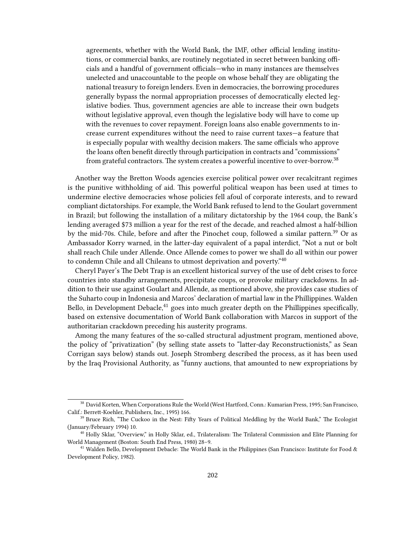agreements, whether with the World Bank, the IMF, other official lending institutions, or commercial banks, are routinely negotiated in secret between banking officials and a handful of government officials—who in many instances are themselves unelected and unaccountable to the people on whose behalf they are obligating the national treasury to foreign lenders. Even in democracies, the borrowing procedures generally bypass the normal appropriation processes of democratically elected legislative bodies. Thus, government agencies are able to increase their own budgets without legislative approval, even though the legislative body will have to come up with the revenues to cover repayment. Foreign loans also enable governments to increase current expenditures without the need to raise current taxes—a feature that is especially popular with wealthy decision makers. The same officials who approve the loans often benefit directly through participation in contracts and "commissions" from grateful contractors. The system creates a powerful incentive to over-borrow.<sup>38</sup>

Another way the Bretton Woods agencies exercise political power over recalcitrant regimes is the punitive withholding of aid. This powerful political weapon has been used at times to undermine elective democracies whose policies fell afoul of corporate interests, and to reward compliant dictatorships. For example, the World Bank refused to lend to the Goulart government in Brazil; but following the installation of a military dictatorship by the 1964 coup, the Bank's lending averaged \$73 million a year for the rest of the decade, and reached almost a half-billion by the mid-70s. Chile, before and after the Pinochet coup, followed a similar pattern.<sup>39</sup> Or as Ambassador Korry warned, in the latter-day equivalent of a papal interdict, "Not a nut or bolt shall reach Chile under Allende. Once Allende comes to power we shall do all within our power to condemn Chile and all Chileans to utmost deprivation and poverty."<sup>40</sup>

Cheryl Payer's The Debt Trap is an excellent historical survey of the use of debt crises to force countries into standby arrangements, precipitate coups, or provoke military crackdowns. In addition to their use against Goulart and Allende, as mentioned above, she provides case studies of the Suharto coup in Indonesia and Marcos' declaration of martial law in the Phillippines. Walden Bello, in Development Debacle, $^{41}$  goes into much greater depth on the Phillippines specifically, based on extensive documentation of World Bank collaboration with Marcos in support of the authoritarian crackdown preceding his austerity programs.

Among the many features of the so-called structural adjustment program, mentioned above, the policy of "privatization" (by selling state assets to "latter-day Reconstructionists," as Sean Corrigan says below) stands out. Joseph Stromberg described the process, as it has been used by the Iraq Provisional Authority, as "funny auctions, that amounted to new expropriations by

<sup>38</sup> David Korten, When Corporations Rule the World (West Hartford, Conn.: Kumarian Press, 1995; San Francisco, Calif.: Berrett-Koehler, Publishers, Inc., 1995) 166.

<sup>&</sup>lt;sup>39</sup> Bruce Rich, "The Cuckoo in the Nest: Fifty Years of Political Meddling by the World Bank," The Ecologist (January/February 1994) 10.

<sup>40</sup> Holly Sklar, "Overview," in Holly Sklar, ed., Trilateralism: The Trilateral Commission and Elite Planning for World Management (Boston: South End Press, 1980) 28–9.

<sup>&</sup>lt;sup>41</sup> Walden Bello, Development Debacle: The World Bank in the Philippines (San Francisco: Institute for Food & Development Policy, 1982).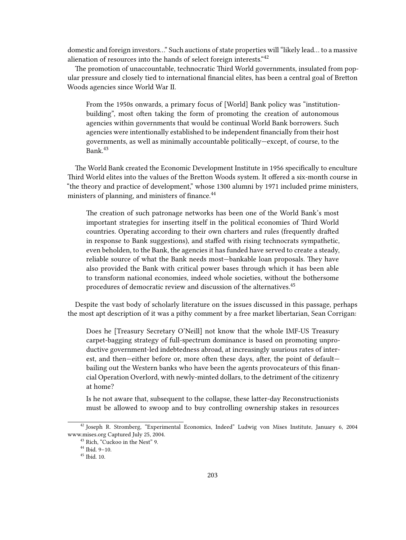domestic and foreign investors…" Such auctions of state properties will "likely lead… to a massive alienation of resources into the hands of select foreign interests."<sup>42</sup>

The promotion of unaccountable, technocratic Third World governments, insulated from popular pressure and closely tied to international financial elites, has been a central goal of Bretton Woods agencies since World War II.

From the 1950s onwards, a primary focus of [World] Bank policy was "institutionbuilding", most often taking the form of promoting the creation of autonomous agencies within governments that would be continual World Bank borrowers. Such agencies were intentionally established to be independent financially from their host governments, as well as minimally accountable politically—except, of course, to the Bank.<sup>43</sup>

The World Bank created the Economic Development Institute in 1956 specifically to enculture Third World elites into the values of the Bretton Woods system. It offered a six-month course in "the theory and practice of development," whose 1300 alumni by 1971 included prime ministers, ministers of planning, and ministers of finance.<sup>44</sup>

The creation of such patronage networks has been one of the World Bank's most important strategies for inserting itself in the political economies of Third World countries. Operating according to their own charters and rules (frequently drafted in response to Bank suggestions), and staffed with rising technocrats sympathetic, even beholden, to the Bank, the agencies it has funded have served to create a steady, reliable source of what the Bank needs most—bankable loan proposals. They have also provided the Bank with critical power bases through which it has been able to transform national economies, indeed whole societies, without the bothersome procedures of democratic review and discussion of the alternatives.<sup>45</sup>

Despite the vast body of scholarly literature on the issues discussed in this passage, perhaps the most apt description of it was a pithy comment by a free market libertarian, Sean Corrigan:

Does he [Treasury Secretary O'Neill] not know that the whole IMF-US Treasury carpet-bagging strategy of full-spectrum dominance is based on promoting unproductive government-led indebtedness abroad, at increasingly usurious rates of interest, and then—either before or, more often these days, after, the point of default bailing out the Western banks who have been the agents provocateurs of this financial Operation Overlord, with newly-minted dollars, to the detriment of the citizenry at home?

Is he not aware that, subsequent to the collapse, these latter-day Reconstructionists must be allowed to swoop and to buy controlling ownership stakes in resources

<sup>42</sup> Joseph R. Stromberg, "Experimental Economics, Indeed" Ludwig von Mises Institute, January 6, 2004 [www.mises.org](http://www.mises.org/fullstory.asp?control=1409) Captured July 25, 2004.

<sup>43</sup> Rich, "Cuckoo in the Nest" 9.

<sup>44</sup> Ibid. 9–10.

<sup>45</sup> Ibid. 10.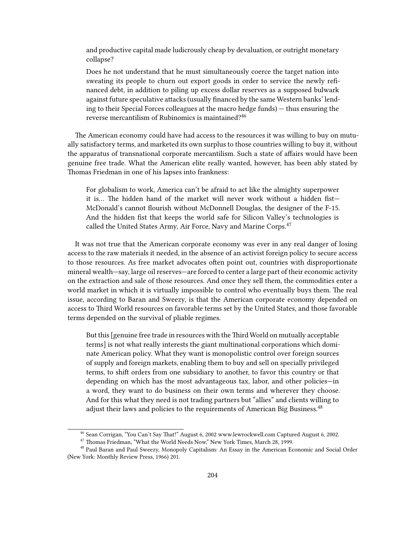and productive capital made ludicrously cheap by devaluation, or outright monetary collapse?

Does he not understand that he must simultaneously coerce the target nation into sweating its people to churn out export goods in order to service the newly refinanced debt, in addition to piling up excess dollar reserves as a supposed bulwark against future speculative attacks (usually financed by the same Western banks' lending to their Special Forces colleagues at the macro hedge funds) — thus ensuring the reverse mercantilism of Rubinomics is maintained?<sup>46</sup>

The American economy could have had access to the resources it was willing to buy on mutually satisfactory terms, and marketed its own surplus to those countries willing to buy it, without the apparatus of transnational corporate mercantilism. Such a state of affairs would have been genuine free trade. What the American elite really wanted, however, has been ably stated by Thomas Friedman in one of his lapses into frankness:

For globalism to work, America can't be afraid to act like the almighty superpower it is… The hidden hand of the market will never work without a hidden fist— McDonald's cannot flourish without McDonnell Douglas, the designer of the F-15. And the hidden fist that keeps the world safe for Silicon Valley's technologies is called the United States Army, Air Force, Navy and Marine Corps.<sup>47</sup>

It was not true that the American corporate economy was ever in any real danger of losing access to the raw materials it needed, in the absence of an activist foreign policy to secure access to those resources. As free market advocates often point out, countries with disproportionate mineral wealth—say, large oil reserves—are forced to center a large part of their economic activity on the extraction and sale of those resources. And once they sell them, the commodities enter a world market in which it is virtually impossible to control who eventually buys them. The real issue, according to Baran and Sweezy, is that the American corporate economy depended on access to Third World resources on favorable terms set by the United States, and those favorable terms depended on the survival of pliable regimes.

But this [genuine free trade in resources with the Third World on mutually acceptable terms] is not what really interests the giant multinational corporations which dominate American policy. What they want is monopolistic control over foreign sources of supply and foreign markets, enabling them to buy and sell on specially privileged terms, to shift orders from one subsidiary to another, to favor this country or that depending on which has the most advantageous tax, labor, and other policies—in a word, they want to do business on their own terms and wherever they choose. And for this what they need is not trading partners but "allies" and clients willing to adjust their laws and policies to the requirements of American Big Business.<sup>48</sup>

<sup>46</sup> Sean Corrigan, "You Can't Say That!" August 6, 2002 [www.lewrockwell.com](http://www.lewrockwell.com/corrigan/corrigan13.html) Captured August 6, 2002.

 $^{47}$  Thomas Friedman, "What the World Needs Now," New York Times, March 28, 1999.

<sup>48</sup> Paul Baran and Paul Sweezy, Monopoly Capitalism: An Essay in the American Economic and Social Order (New York: Monthly Review Press, 1966) 201.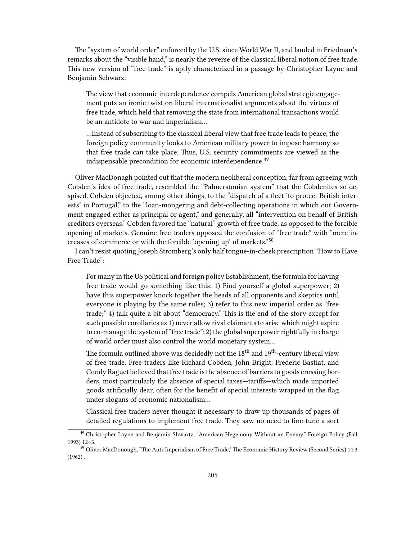The "system of world order" enforced by the U.S. since World War II, and lauded in Friedman's remarks about the "visible hand," is nearly the reverse of the classical liberal notion of free trade. This new version of "free trade" is aptly characterized in a passage by Christopher Layne and Benjamin Schwarz:

The view that economic interdependence compels American global strategic engagement puts an ironic twist on liberal internationalist arguments about the virtues of free trade, which held that removing the state from international transactions would be an antidote to war and imperialism…

…Instead of subscribing to the classical liberal view that free trade leads to peace, the foreign policy community looks to American military power to impose harmony so that free trade can take place. Thus, U.S. security commitments are viewed as the indispensable precondition for economic interdependence.<sup>49</sup>

Oliver MacDonagh pointed out that the modern neoliberal conception, far from agreeing with Cobden's idea of free trade, resembled the "Palmerstonian system" that the Cobdenites so despised. Cobden objected, among other things, to the "dispatch of a fleet 'to protect British interests' in Portugal," to the "loan-mongering and debt-collecting operations in which our Government engaged either as principal or agent," and generally, all "intervention on behalf of British creditors overseas." Cobden favored the "natural" growth of free trade, as opposed to the forcible opening of markets. Genuine free traders opposed the confusion of "free trade" with "mere increases of commerce or with the forcible 'opening up' of markets."<sup>50</sup>

I can't resist quoting Joseph Stromberg's only half tongue-in-cheek prescription "How to Have Free Trade":

For many in the US political and foreign policy Establishment, the formula for having free trade would go something like this: 1) Find yourself a global superpower; 2) have this superpower knock together the heads of all opponents and skeptics until everyone is playing by the same rules; 3) refer to this new imperial order as "free trade;" 4) talk quite a bit about "democracy." This is the end of the story except for such possible corollaries as 1) never allow rival claimants to arise which might aspire to co-manage the system of "free trade"; 2) the global superpower rightfully in charge of world order must also control the world monetary system…

The formula outlined above was decidedly not the  $18<sup>th</sup>$  and  $19<sup>th</sup>$ -century liberal view of free trade. Free traders like Richard Cobden, John Bright, Frederic Bastiat, and Condy Raguet believed that free trade is the absence of barriers to goods crossing borders, most particularly the absence of special taxes—tariffs—which made imported goods artificially dear, often for the benefit of special interests wrapped in the flag under slogans of economic nationalism…

Classical free traders never thought it necessary to draw up thousands of pages of detailed regulations to implement free trade. They saw no need to fine-tune a sort

<sup>&</sup>lt;sup>49</sup> Christopher Layne and Benjamin Shwartz, "American Hegemony Without an Enemy," Foreign Policy (Fall 1993) 12–3.

<sup>50</sup> Oliver MacDonough, "The Anti-Imperialism of Free Trade," The Economic History Review (Second Series) 14:3  $(1962)$ .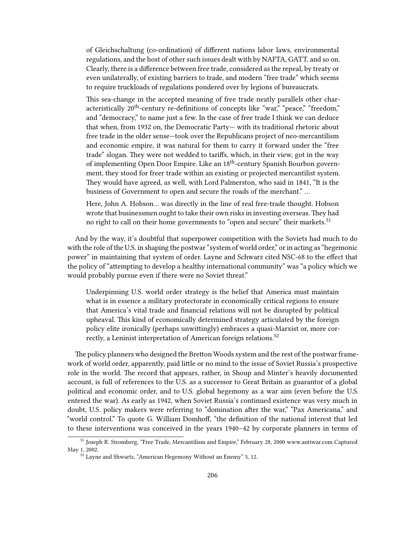of Gleichschaltung (co-ordination) of different nations labor laws, environmental regulations, and the host of other such issues dealt with by NAFTA, GATT, and so on. Clearly, there is a difference between free trade, considered as the repeal, by treaty or even unilaterally, of existing barriers to trade, and modern "free trade" which seems to require truckloads of regulations pondered over by legions of bureaucrats.

This sea-change in the accepted meaning of free trade neatly parallels other characteristically 20<sup>th</sup>-century re-definitions of concepts like "war," "peace," "freedom," and "democracy," to name just a few. In the case of free trade I think we can deduce that when, from 1932 on, the Democratic Party— with its traditional rhetoric about free trade in the older sense—took over the Republicans project of neo-mercantilism and economic empire, it was natural for them to carry it forward under the "free trade" slogan. They were not wedded to tariffs, which, in their view, got in the way of implementing Open Door Empire. Like an 18<sup>th</sup>-century Spanish Bourbon government, they stood for freer trade within an existing or projected mercantilist system. They would have agreed, as well, with Lord Palmerston, who said in 1841, "It is the business of Government to open and secure the roads of the merchant." ...

Here, John A. Hobson… was directly in the line of real free-trade thought. Hobson wrote that businessmen ought to take their own risks in investing overseas. They had no right to call on their home governments to "open and secure" their markets.<sup>51</sup>

And by the way, it's doubtful that superpower competition with the Soviets had much to do with the role of the U.S. in shaping the postwar "system of world order," or in acting as "hegemonic power" in maintaining that system of order. Layne and Schwarz cited NSC-68 to the effect that the policy of "attempting to develop a healthy international community" was "a policy which we would probably pursue even if there were no Soviet threat."

Underpinning U.S. world order strategy is the belief that America must maintain what is in essence a military protectorate in economically critical regions to ensure that America's vital trade and financial relations will not be disrupted by political upheaval. This kind of economically determined strategy articulated by the foreign policy elite ironically (perhaps unwittingly) embraces a quasi-Marxist or, more correctly, a Leninist interpretation of American foreign relations.<sup>52</sup>

The policy planners who designed the Bretton Woods system and the rest of the postwar framework of world order, apparently, paid little or no mind to the issue of Soviet Russia's prospective role in the world. The record that appears, rather, in Shoup and Minter's heavily documented account, is full of references to the U.S. as a successor to Great Britain as guarantor of a global political and economic order, and to U.S. global hegemony as a war aim (even before the U.S. entered the war). As early as 1942, when Soviet Russia's continued existence was very much in doubt, U.S. policy makers were referring to "domination after the war," "Pax Americana," and "world control." To quote G. William Domhoff, "the definition of the national interest that led to these interventions was conceived in the years 1940–42 by corporate planners in terms of

<sup>51</sup> Joseph R. Stromberg, "Free Trade, Mercantilism and Empire," February 28, 2000 [www.antiwar.com](http://www.antiwar.com/stromberg/s022800.html) Captured May 1, 2002.

<sup>52</sup> Layne and Shwartz, "American Hegemony Without an Enemy" 5, 12.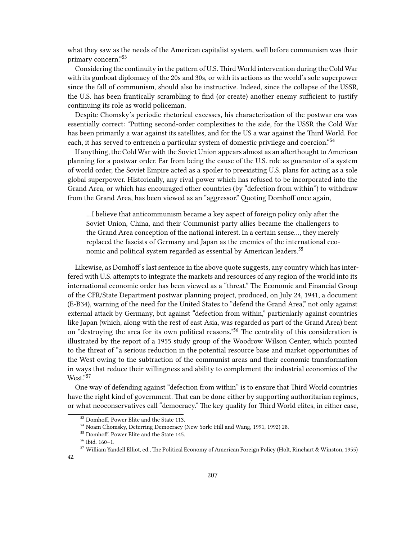what they saw as the needs of the American capitalist system, well before communism was their primary concern."<sup>53</sup>

Considering the continuity in the pattern of U.S. Third World intervention during the Cold War with its gunboat diplomacy of the 20s and 30s, or with its actions as the world's sole superpower since the fall of communism, should also be instructive. Indeed, since the collapse of the USSR, the U.S. has been frantically scrambling to find (or create) another enemy sufficient to justify continuing its role as world policeman.

Despite Chomsky's periodic rhetorical excesses, his characterization of the postwar era was essentially correct: "Putting second-order complexities to the side, for the USSR the Cold War has been primarily a war against its satellites, and for the US a war against the Third World. For each, it has served to entrench a particular system of domestic privilege and coercion."<sup>54</sup>

If anything, the Cold War with the Soviet Union appears almost as an afterthought to American planning for a postwar order. Far from being the cause of the U.S. role as guarantor of a system of world order, the Soviet Empire acted as a spoiler to preexisting U.S. plans for acting as a sole global superpower. Historically, any rival power which has refused to be incorporated into the Grand Area, or which has encouraged other countries (by "defection from within") to withdraw from the Grand Area, has been viewed as an "aggressor." Quoting Domhoff once again,

…I believe that anticommunism became a key aspect of foreign policy only after the Soviet Union, China, and their Communist party allies became the challengers to the Grand Area conception of the national interest. In a certain sense…, they merely replaced the fascists of Germany and Japan as the enemies of the international economic and political system regarded as essential by American leaders.<sup>55</sup>

Likewise, as Domhoff's last sentence in the above quote suggests, any country which has interfered with U.S. attempts to integrate the markets and resources of any region of the world into its international economic order has been viewed as a "threat." The Economic and Financial Group of the CFR/State Department postwar planning project, produced, on July 24, 1941, a document (E-B34), warning of the need for the United States to "defend the Grand Area," not only against external attack by Germany, but against "defection from within," particularly against countries like Japan (which, along with the rest of east Asia, was regarded as part of the Grand Area) bent on "destroying the area for its own political reasons."<sup>56</sup> The centrality of this consideration is illustrated by the report of a 1955 study group of the Woodrow Wilson Center, which pointed to the threat of "a serious reduction in the potential resource base and market opportunities of the West owing to the subtraction of the communist areas and their economic transformation in ways that reduce their willingness and ability to complement the industrial economies of the West."<sup>57</sup>

One way of defending against "defection from within" is to ensure that Third World countries have the right kind of government. That can be done either by supporting authoritarian regimes, or what neoconservatives call "democracy." The key quality for Third World elites, in either case,

<sup>53</sup> Domhoff, Power Elite and the State 113.

<sup>54</sup> Noam Chomsky, Deterring Democracy (New York: Hill and Wang, 1991, 1992) 28.

<sup>55</sup> Domhoff, Power Elite and the State 145.

<sup>56</sup> Ibid. 160–1.

<sup>57</sup> William Yandell Elliot, ed., The Political Economy of American Foreign Policy (Holt, Rinehart & Winston, 1955) 42.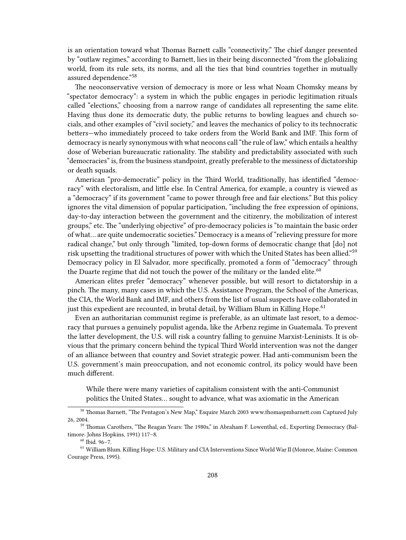is an orientation toward what Thomas Barnett calls "connectivity." The chief danger presented by "outlaw regimes," according to Barnett, lies in their being disconnected "from the globalizing world, from its rule sets, its norms, and all the ties that bind countries together in mutually assured dependence."<sup>58</sup>

The neoconservative version of democracy is more or less what Noam Chomsky means by "spectator democracy": a system in which the public engages in periodic legitimation rituals called "elections," choosing from a narrow range of candidates all representing the same elite. Having thus done its democratic duty, the public returns to bowling leagues and church socials, and other examples of "civil society," and leaves the mechanics of policy to its technocratic betters—who immediately proceed to take orders from the World Bank and IMF. This form of democracy is nearly synonymous with what neocons call "the rule of law," which entails a healthy dose of Weberian bureaucratic rationality. The stability and predictability associated with such "democracies" is, from the business standpoint, greatly preferable to the messiness of dictatorship or death squads.

American "pro-democratic" policy in the Third World, traditionally, has identified "democracy" with electoralism, and little else. In Central America, for example, a country is viewed as a "democracy" if its government "came to power through free and fair elections." But this policy ignores the vital dimension of popular participation, "including the free expression of opinions, day-to-day interaction between the government and the citizenry, the mobilization of interest groups," etc. The "underlying objective" of pro-democracy policies is "to maintain the basic order of what… are quite undemocratic societies." Democracy is a means of "relieving pressure for more radical change," but only through "limited, top-down forms of democratic change that [do] not risk upsetting the traditional structures of power with which the United States has been allied."<sup>59</sup> Democracy policy in El Salvador, more specifically, promoted a form of "democracy" through the Duarte regime that did not touch the power of the military or the landed elite. $60$ 

American elites prefer "democracy" whenever possible, but will resort to dictatorship in a pinch. The many, many cases in which the U.S. Assistance Program, the School of the Americas, the CIA, the World Bank and IMF, and others from the list of usual suspects have collaborated in just this expedient are recounted, in brutal detail, by William Blum in Killing Hope.<sup>61</sup>

Even an authoritarian communist regime is preferable, as an ultimate last resort, to a democracy that pursues a genuinely populist agenda, like the Arbenz regime in Guatemala. To prevent the latter development, the U.S. will risk a country falling to genuine Marxist-Leninists. It is obvious that the primary concern behind the typical Third World intervention was not the danger of an alliance between that country and Soviet strategic power. Had anti-communism been the U.S. government's main preoccupation, and not economic control, its policy would have been much different.

While there were many varieties of capitalism consistent with the anti-Communist politics the United States… sought to advance, what was axiomatic in the American

<sup>58</sup> Thomas Barnett, "The Pentagon's New Map," Esquire March 2003 [www.thomaspmbarnett.com](http://www.thomaspmbarnett.com/published/pentagonsnewmap.htm) Captured July 26, 2004.

<sup>&</sup>lt;sup>59</sup> Thomas Carothers, "The Reagan Years: The 1980s," in Abraham F. Lowenthal, ed., Exporting Democracy (Baltimore: Johns Hopkins, 1991) 117–8.

<sup>60</sup> Ibid. 96–7.

 $^{61}$  William Blum. Killing Hope: U.S. Military and CIA Interventions Since World War II (Monroe, Maine: Common Courage Press, 1995).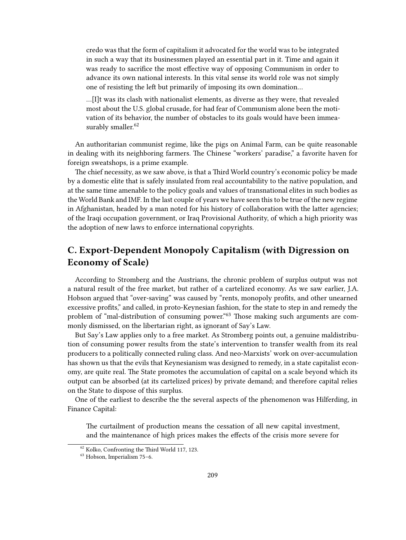credo was that the form of capitalism it advocated for the world was to be integrated in such a way that its businessmen played an essential part in it. Time and again it was ready to sacrifice the most effective way of opposing Communism in order to advance its own national interests. In this vital sense its world role was not simply one of resisting the left but primarily of imposing its own domination…

…[I]t was its clash with nationalist elements, as diverse as they were, that revealed most about the U.S. global crusade, for had fear of Communism alone been the motivation of its behavior, the number of obstacles to its goals would have been immeasurably smaller.<sup>62</sup>

An authoritarian communist regime, like the pigs on Animal Farm, can be quite reasonable in dealing with its neighboring farmers. The Chinese "workers' paradise," a favorite haven for foreign sweatshops, is a prime example.

The chief necessity, as we saw above, is that a Third World country's economic policy be made by a domestic elite that is safely insulated from real accountability to the native population, and at the same time amenable to the policy goals and values of transnational elites in such bodies as the World Bank and IMF. In the last couple of years we have seen this to be true of the new regime in Afghanistan, headed by a man noted for his history of collaboration with the latter agencies; of the Iraqi occupation government, or Iraq Provisional Authority, of which a high priority was the adoption of new laws to enforce international copyrights.

## **C. Export-Dependent Monopoly Capitalism (with Digression on Economy of Scale)**

According to Stromberg and the Austrians, the chronic problem of surplus output was not a natural result of the free market, but rather of a cartelized economy. As we saw earlier, J.A. Hobson argued that "over-saving" was caused by "rents, monopoly profits, and other unearned excessive profits," and called, in proto-Keynesian fashion, for the state to step in and remedy the problem of "mal-distribution of consuming power."<sup>63</sup> Those making such arguments are commonly dismissed, on the libertarian right, as ignorant of Say's Law.

But Say's Law applies only to a free market. As Stromberg points out, a genuine maldistribution of consuming power results from the state's intervention to transfer wealth from its real producers to a politically connected ruling class. And neo-Marxists' work on over-accumulation has shown us that the evils that Keynesianism was designed to remedy, in a state capitalist economy, are quite real. The State promotes the accumulation of capital on a scale beyond which its output can be absorbed (at its cartelized prices) by private demand; and therefore capital relies on the State to dispose of this surplus.

One of the earliest to describe the the several aspects of the phenomenon was Hilferding, in Finance Capital:

The curtailment of production means the cessation of all new capital investment, and the maintenance of high prices makes the effects of the crisis more severe for

<sup>62</sup> Kolko, Confronting the Third World 117, 123.

<sup>63</sup> Hobson, Imperialism 75–6.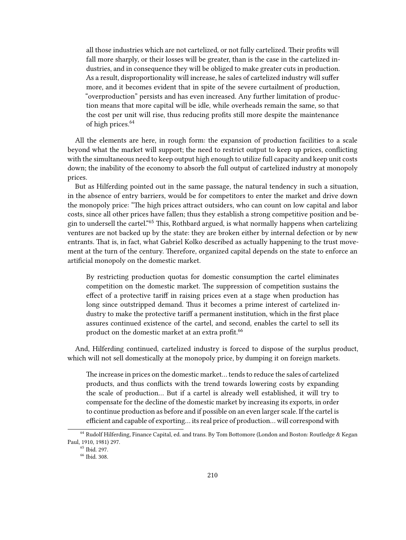all those industries which are not cartelized, or not fully cartelized. Their profits will fall more sharply, or their losses will be greater, than is the case in the cartelized industries, and in consequence they will be obliged to make greater cuts in production. As a result, disproportionality will increase, he sales of cartelized industry will suffer more, and it becomes evident that in spite of the severe curtailment of production, "overproduction" persists and has even increased. Any further limitation of production means that more capital will be idle, while overheads remain the same, so that the cost per unit will rise, thus reducing profits still more despite the maintenance of high prices.<sup>64</sup>

All the elements are here, in rough form: the expansion of production facilities to a scale beyond what the market will support; the need to restrict output to keep up prices, conflicting with the simultaneous need to keep output high enough to utilize full capacity and keep unit costs down; the inability of the economy to absorb the full output of cartelized industry at monopoly prices.

But as Hilferding pointed out in the same passage, the natural tendency in such a situation, in the absence of entry barriers, would be for competitors to enter the market and drive down the monopoly price: "The high prices attract outsiders, who can count on low capital and labor costs, since all other prices have fallen; thus they establish a strong competitive position and begin to undersell the cartel."<sup>65</sup> This, Rothbard argued, is what normally happens when cartelizing ventures are not backed up by the state: they are broken either by internal defection or by new entrants. That is, in fact, what Gabriel Kolko described as actually happening to the trust movement at the turn of the century. Therefore, organized capital depends on the state to enforce an artificial monopoly on the domestic market.

By restricting production quotas for domestic consumption the cartel eliminates competition on the domestic market. The suppression of competition sustains the effect of a protective tariff in raising prices even at a stage when production has long since outstripped demand. Thus it becomes a prime interest of cartelized industry to make the protective tariff a permanent institution, which in the first place assures continued existence of the cartel, and second, enables the cartel to sell its product on the domestic market at an extra profit.<sup>66</sup>

And, Hilferding continued, cartelized industry is forced to dispose of the surplus product, which will not sell domestically at the monopoly price, by dumping it on foreign markets.

The increase in prices on the domestic market… tends to reduce the sales of cartelized products, and thus conflicts with the trend towards lowering costs by expanding the scale of production… But if a cartel is already well established, it will try to compensate for the decline of the domestic market by increasing its exports, in order to continue production as before and if possible on an even larger scale. If the cartel is efficient and capable of exporting… its real price of production… will correspond with

<sup>64</sup> Rudolf Hilferding, Finance Capital, ed. and trans. By Tom Bottomore (London and Boston: Routledge & Kegan Paul, 1910, 1981) 297.

<sup>65</sup> Ibid. 297.

<sup>66</sup> Ibid. 308.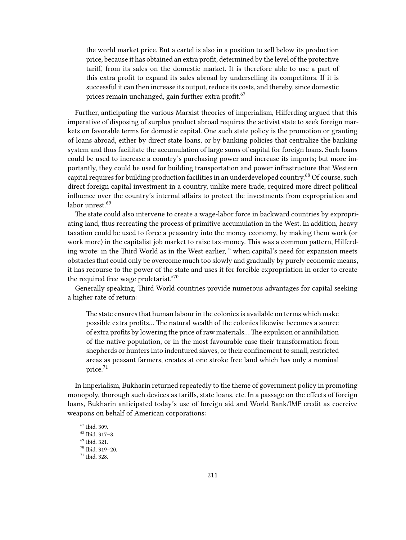the world market price. But a cartel is also in a position to sell below its production price, because it has obtained an extra profit, determined by the level of the protective tariff, from its sales on the domestic market. It is therefore able to use a part of this extra profit to expand its sales abroad by underselling its competitors. If it is successful it can then increase its output, reduce its costs, and thereby, since domestic prices remain unchanged, gain further extra profit.<sup>67</sup>

Further, anticipating the various Marxist theories of imperialism, Hilferding argued that this imperative of disposing of surplus product abroad requires the activist state to seek foreign markets on favorable terms for domestic capital. One such state policy is the promotion or granting of loans abroad, either by direct state loans, or by banking policies that centralize the banking system and thus facilitate the accumulation of large sums of capital for foreign loans. Such loans could be used to increase a country's purchasing power and increase its imports; but more importantly, they could be used for building transportation and power infrastructure that Western capital requires for building production facilities in an underdeveloped country.<sup>68</sup> Of course, such direct foreign capital investment in a country, unlike mere trade, required more direct political influence over the country's internal affairs to protect the investments from expropriation and labor unrest.<sup>69</sup>

The state could also intervene to create a wage-labor force in backward countries by expropriating land, thus recreating the process of primitive accumulation in the West. In addition, heavy taxation could be used to force a peasantry into the money economy, by making them work (or work more) in the capitalist job market to raise tax-money. This was a common pattern, Hilferding wrote: in the Third World as in the West earlier, " when capital's need for expansion meets obstacles that could only be overcome much too slowly and gradually by purely economic means, it has recourse to the power of the state and uses it for forcible expropriation in order to create the required free wage proletariat."<sup>70</sup>

Generally speaking, Third World countries provide numerous advantages for capital seeking a higher rate of return:

The state ensures that human labour in the colonies is available on terms which make possible extra profits… The natural wealth of the colonies likewise becomes a source of extra profits by lowering the price of raw materials…The expulsion or annihilation of the native population, or in the most favourable case their transformation from shepherds or hunters into indentured slaves, or their confinement to small, restricted areas as peasant farmers, creates at one stroke free land which has only a nominal price.<sup>71</sup>

In Imperialism, Bukharin returned repeatedly to the theme of government policy in promoting monopoly, thorough such devices as tariffs, state loans, etc. In a passage on the effects of foreign loans, Bukharin anticipated today's use of foreign aid and World Bank/IMF credit as coercive weapons on behalf of American corporations:

<sup>67</sup> Ibid. 309.

<sup>68</sup> Ibid. 317–8.

<sup>69</sup> Ibid. 321.

<sup>70</sup> Ibid. 319–20.

<sup>71</sup> Ibid. 328.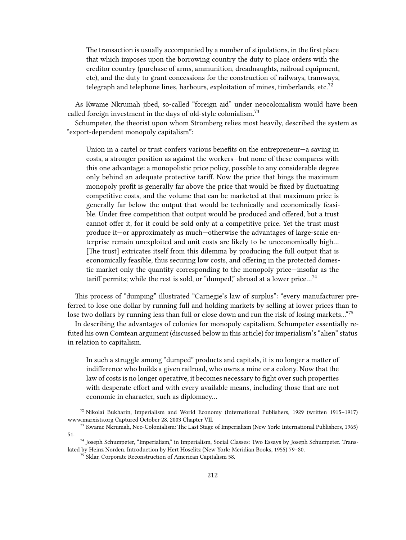The transaction is usually accompanied by a number of stipulations, in the first place that which imposes upon the borrowing country the duty to place orders with the creditor country (purchase of arms, ammunition, dreadnaughts, railroad equipment, etc), and the duty to grant concessions for the construction of railways, tramways, telegraph and telephone lines, harbours, exploitation of mines, timberlands, etc.<sup>72</sup>

As Kwame Nkrumah jibed, so-called "foreign aid" under neocolonialism would have been called foreign investment in the days of old-style colonialism.<sup>73</sup>

Schumpeter, the theorist upon whom Stromberg relies most heavily, described the system as "export-dependent monopoly capitalism":

Union in a cartel or trust confers various benefits on the entrepreneur—a saving in costs, a stronger position as against the workers—but none of these compares with this one advantage: a monopolistic price policy, possible to any considerable degree only behind an adequate protective tariff. Now the price that bings the maximum monopoly profit is generally far above the price that would be fixed by fluctuating competitive costs, and the volume that can be marketed at that maximum price is generally far below the output that would be technically and economically feasible. Under free competition that output would be produced and offered, but a trust cannot offer it, for it could be sold only at a competitive price. Yet the trust must produce it—or approximately as much—otherwise the advantages of large-scale enterprise remain unexploited and unit costs are likely to be uneconomically high… [The trust] extricates itself from this dilemma by producing the full output that is economically feasible, thus securing low costs, and offering in the protected domestic market only the quantity corresponding to the monopoly price—insofar as the tariff permits; while the rest is sold, or "dumped," abroad at a lower price...<sup>74</sup>

This process of "dumping" illustrated "Carnegie's law of surplus": "every manufacturer preferred to lose one dollar by running full and holding markets by selling at lower prices than to lose two dollars by running less than full or close down and run the risk of losing markets…"<sup>75</sup>

In describing the advantages of colonies for monopoly capitalism, Schumpeter essentially refuted his own Comtean argument (discussed below in this article) for imperialism's "alien" status in relation to capitalism.

In such a struggle among "dumped" products and capitals, it is no longer a matter of indifference who builds a given railroad, who owns a mine or a colony. Now that the law of costs is no longer operative, it becomes necessary to fight over such properties with desperate effort and with every available means, including those that are not economic in character, such as diplomacy…

 $72$  Nikolai Bukharin, Imperialism and World Economy (International Publishers, 1929 (written 1915–1917) [www.marxists.org](http://www.marxists.org/archive/bukharin/works/1917/imperial/) Captured October 28, 2003 Chapter VII.

<sup>73</sup> Kwame Nkrumah, Neo-Colonialism: The Last Stage of Imperialism (New York: International Publishers, 1965) 51.

<sup>&</sup>lt;sup>74</sup> Joseph Schumpeter, "Imperialism," in Imperialism, Social Classes: Two Essays by Joseph Schumpeter. Translated by Heinz Norden. Introduction by Hert Hoselitz (New York: Meridian Books, 1955) 79–80.

<sup>&</sup>lt;sup>75</sup> Sklar, Corporate Reconstruction of American Capitalism 58.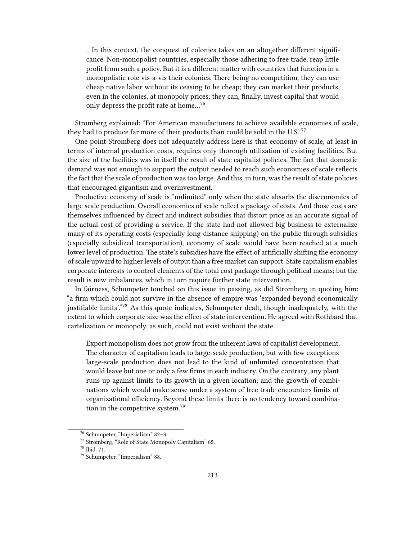…In this context, the conquest of colonies takes on an altogether different significance. Non-monopolist countries, especially those adhering to free trade, reap little profit from such a policy. But it is a different matter with countries that function in a monopolistic role vis-a-vis their colonies. There being no competition, they can use cheap native labor without its ceasing to be cheap; they can market their products, even in the colonies, at monopoly prices; they can, finally, invest capital that would only depress the profit rate at home...<sup>76</sup>

Stromberg explained: "For American manufacturers to achieve available economies of scale, they had to produce far more of their products than could be sold in the U.S."<sup>77</sup>

One point Stromberg does not adequately address here is that economy of scale, at least in terms of internal production costs, requires only thorough utilization of existing facilities. But the size of the facilities was in itself the result of state capitalist policies. The fact that domestic demand was not enough to support the output needed to reach such economies of scale reflects the fact that the scale of production was too large. And this, in turn, was the result of state policies that encouraged gigantism and overinvestment.

Productive economy of scale is "unlimited" only when the state absorbs the diseconomies of large scale production. Overall economies of scale reflect a package of costs. And those costs are themselves influenced by direct and indirect subsidies that distort price as an accurate signal of the actual cost of providing a service. If the state had not allowed big business to externalize many of its operating costs (especially long-distance shipping) on the public through subsidies (especially subsidized transportation), economy of scale would have been reached at a much lower level of production. The state's subsidies have the effect of artificially shifting the economy of scale upward to higher levels of output than a free market can support. State capitalism enables corporate interests to control elements of the total cost package through political means; but the result is new imbalances, which in turn require further state intervention.

In fairness, Schumpeter touched on this issue in passing, as did Stromberg in quoting him: "a firm which could not survive in the absence of empire was 'expanded beyond economically justifiable limits'."<sup>78</sup> As this quote indicates, Schumpeter dealt, though inadequately, with the extent to which corporate size was the effect of state intervention. He agreed with Rothbard that cartelization or monopoly, as such, could not exist without the state.

Export monopolism does not grow from the inherent laws of capitalist development. The character of capitalism leads to large-scale production, but with few exceptions large-scale production does not lead to the kind of unlimited concentration that would leave but one or only a few firms in each industry. On the contrary, any plant runs up against limits to its growth in a given location; and the growth of combinations which would make sense under a system of free trade encounters limits of organizational efficiency. Beyond these limits there is no tendency toward combination in the competitive system.<sup>79</sup>

<sup>76</sup> Schumpeter, "Imperialism" 82–3.

<sup>77</sup> Stromberg, "Role of State Monopoly Capitalism" 65.

<sup>78</sup> Ibid. 71.

<sup>79</sup> Schumpeter, "Imperialism" 88.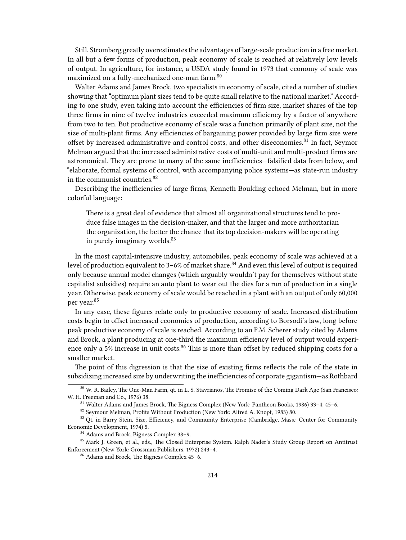Still, Stromberg greatly overestimates the advantages of large-scale production in a free market. In all but a few forms of production, peak economy of scale is reached at relatively low levels of output. In agriculture, for instance, a USDA study found in 1973 that economy of scale was maximized on a fully-mechanized one-man farm.<sup>80</sup>

Walter Adams and James Brock, two specialists in economy of scale, cited a number of studies showing that "optimum plant sizes tend to be quite small relative to the national market." According to one study, even taking into account the efficiencies of firm size, market shares of the top three firms in nine of twelve industries exceeded maximum efficiency by a factor of anywhere from two to ten. But productive economy of scale was a function primarily of plant size, not the size of multi-plant firms. Any efficiencies of bargaining power provided by large firm size were offset by increased administrative and control costs, and other diseconomies.<sup>81</sup> In fact, Seymor Melman argued that the increased administrative costs of multi-unit and multi-product firms are astronomical. They are prone to many of the same inefficiencies—falsified data from below, and "elaborate, formal systems of control, with accompanying police systems—as state-run industry in the communist countries.<sup>82</sup>

Describing the inefficiencies of large firms, Kenneth Boulding echoed Melman, but in more colorful language:

There is a great deal of evidence that almost all organizational structures tend to produce false images in the decision-maker, and that the larger and more authoritarian the organization, the better the chance that its top decision-makers will be operating in purely imaginary worlds.<sup>83</sup>

In the most capital-intensive industry, automobiles, peak economy of scale was achieved at a level of production equivalent to 3–6% of market share.<sup>84</sup> And even this level of output is required only because annual model changes (which arguably wouldn't pay for themselves without state capitalist subsidies) require an auto plant to wear out the dies for a run of production in a single year. Otherwise, peak economy of scale would be reached in a plant with an output of only 60,000 per year.<sup>85</sup>

In any case, these figures relate only to productive economy of scale. Increased distribution costs begin to offset increased economies of production, according to Borsodi's law, long before peak productive economy of scale is reached. According to an F.M. Scherer study cited by Adams and Brock, a plant producing at one-third the maximum efficiency level of output would experience only a 5% increase in unit costs.<sup>86</sup> This is more than offset by reduced shipping costs for a smaller market.

The point of this digression is that the size of existing firms reflects the role of the state in subsidizing increased size by underwriting the inefficiencies of corporate gigantism—as Rothbard

82 Seymour Melman, Profits Without Production (New York: Alfred A. Knopf, 1983) 80.

<sup>80</sup> W. R. Bailey, The One-Man Farm, qt. in L. S. Stavrianos, The Promise of the Coming Dark Age (San Francisco: W. H. Freeman and Co., 1976) 38.

<sup>81</sup> Walter Adams and James Brock, The Bigness Complex (New York: Pantheon Books, 1986) 33–4, 45–6.

<sup>&</sup>lt;sup>83</sup> Qt. in Barry Stein, Size, Efficiency, and Community Enterprise (Cambridge, Mass.: Center for Community Economic Development, 1974) 5.

<sup>84</sup> Adams and Brock, Bigness Complex 38–9.

<sup>&</sup>lt;sup>85</sup> Mark J. Green, et al., eds., The Closed Enterprise System. Ralph Nader's Study Group Report on Antitrust Enforcement (New York: Grossman Publishers, 1972) 243–4.

<sup>86</sup> Adams and Brock, The Bigness Complex 45–6.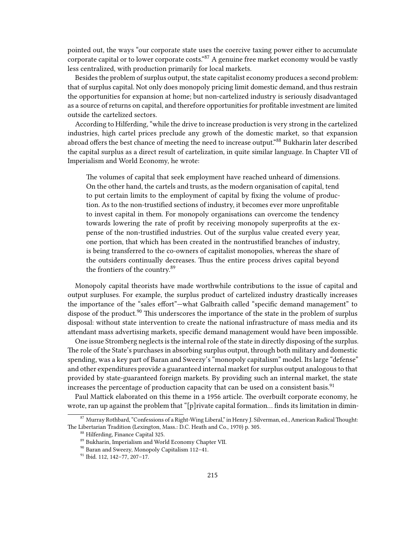pointed out, the ways "our corporate state uses the coercive taxing power either to accumulate corporate capital or to lower corporate costs. "87 A genuine free market economy would be vastly less centralized, with production primarily for local markets.

Besides the problem of surplus output, the state capitalist economy produces a second problem: that of surplus capital. Not only does monopoly pricing limit domestic demand, and thus restrain the opportunities for expansion at home; but non-cartelized industry is seriously disadvantaged as a source of returns on capital, and therefore opportunities for profitable investment are limited outside the cartelized sectors.

According to Hilferding, "while the drive to increase production is very strong in the cartelized industries, high cartel prices preclude any growh of the domestic market, so that expansion abroad offers the best chance of meeting the need to increase output."<sup>88</sup> Bukharin later described the capital surplus as a direct result of cartelization, in quite similar language. In Chapter VII of Imperialism and World Economy, he wrote:

The volumes of capital that seek employment have reached unheard of dimensions. On the other hand, the cartels and trusts, as the modern organisation of capital, tend to put certain limits to the employment of capital by fixing the volume of production. As to the non-trustified sections of industry, it becomes ever more unprofitable to invest capital in them. For monopoly organisations can overcome the tendency towards lowering the rate of profit by receiving monopoly superprofits at the expense of the non-trustified industries. Out of the surplus value created every year, one portion, that which has been created in the nontrustified branches of industry, is being transferred to the co-owners of capitalist monopolies, whereas the share of the outsiders continually decreases. Thus the entire process drives capital beyond the frontiers of the country.<sup>89</sup>

Monopoly capital theorists have made worthwhile contributions to the issue of capital and output surpluses. For example, the surplus product of cartelized industry drastically increases the importance of the "sales effort"—what Galbraith called "specific demand management" to dispose of the product.<sup>90</sup> This underscores the importance of the state in the problem of surplus disposal: without state intervention to create the national infrastructure of mass media and its attendant mass advertising markets, specific demand management would have been impossible.

One issue Stromberg neglects is the internal role of the state in directly disposing of the surplus. The role of the State's purchases in absorbing surplus output, through both military and domestic spending, was a key part of Baran and Sweezy's "monopoly capitalism" model. Its large "defense" and other expenditures provide a guaranteed internal market for surplus output analogous to that provided by state-guaranteed foreign markets. By providing such an internal market, the state increases the percentage of production capacity that can be used on a consistent basis.<sup>91</sup>

Paul Mattick elaborated on this theme in a 1956 article. The overbuilt corporate economy, he wrote, ran up against the problem that "[p]rivate capital formation... finds its limitation in dimin-

<sup>87</sup> Murray Rothbard, "Confessions of a Right-Wing Liberal," in Henry J. Silverman, ed., American Radical Thought: The Libertarian Tradition (Lexington, Mass.: D.C. Heath and Co., 1970) p. 305.

<sup>88</sup> Hilferding, Finance Capital 325.

<sup>89</sup> Bukharin, Imperialism and World Economy Chapter VII.

<sup>90</sup> Baran and Sweezy, Monopoly Capitalism 112–41.

<sup>91</sup> Ibid. 112, 142–77, 207–17.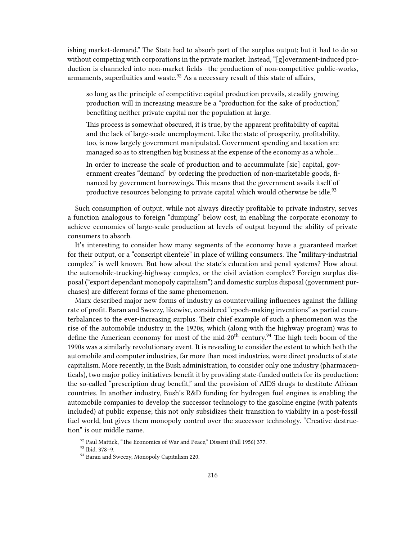ishing market-demand." The State had to absorb part of the surplus output; but it had to do so without competing with corporations in the private market. Instead, "[g]overnment-induced production is channeled into non-market fields—the production of non-competitive public-works, armaments, superfluities and waste. $92$  As a necessary result of this state of affairs,

so long as the principle of competitive capital production prevails, steadily growing production will in increasing measure be a "production for the sake of production," benefiting neither private capital nor the population at large.

This process is somewhat obscured, it is true, by the apparent profitability of capital and the lack of large-scale unemployment. Like the state of prosperity, profitability, too, is now largely government manipulated. Government spending and taxation are managed so as to strengthen big business at the expense of the economy as a whole…

In order to increase the scale of production and to accummulate [sic] capital, government creates "demand" by ordering the production of non-marketable goods, financed by government borrowings. This means that the government avails itself of productive resources belonging to private capital which would otherwise be idle.<sup>93</sup>

Such consumption of output, while not always directly profitable to private industry, serves a function analogous to foreign "dumping" below cost, in enabling the corporate economy to achieve economies of large-scale production at levels of output beyond the ability of private consumers to absorb.

It's interesting to consider how many segments of the economy have a guaranteed market for their output, or a "conscript clientele" in place of willing consumers. The "military-industrial complex" is well known. But how about the state's education and penal systems? How about the automobile-trucking-highway complex, or the civil aviation complex? Foreign surplus disposal ("export dependant monopoly capitalism") and domestic surplus disposal (government purchases) are different forms of the same phenomenon.

Marx described major new forms of industry as countervailing influences against the falling rate of profit. Baran and Sweezy, likewise, considered "epoch-making inventions" as partial counterbalances to the ever-increasing surplus. Their chief example of such a phenomenon was the rise of the automobile industry in the 1920s, which (along with the highway program) was to define the American economy for most of the mid-20<sup>th</sup> century.<sup>94</sup> The high tech boom of the 1990s was a similarly revolutionary event. It is revealing to consider the extent to which both the automobile and computer industries, far more than most industries, were direct products of state capitalism. More recently, in the Bush administration, to consider only one industry (pharmaceuticals), two major policy initiatives benefit it by providing state-funded outlets for its production: the so-called "prescription drug benefit," and the provision of AIDS drugs to destitute African countries. In another industry, Bush's R&D funding for hydrogen fuel engines is enabling the automobile companies to develop the successor technology to the gasoline engine (with patents included) at public expense; this not only subsidizes their transition to viability in a post-fossil fuel world, but gives them monopoly control over the successor technology. "Creative destruction" is our middle name.

<sup>&</sup>lt;sup>92</sup> Paul Mattick, "The Economics of War and Peace," Dissent (Fall 1956) 377.

<sup>93</sup> Ibid. 378–9.

<sup>&</sup>lt;sup>94</sup> Baran and Sweezy, Monopoly Capitalism 220.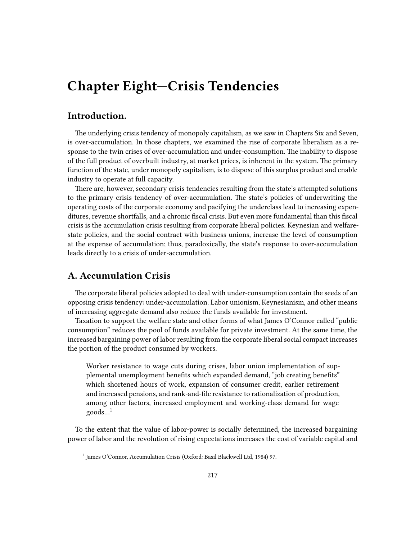# **Chapter Eight—Crisis Tendencies**

## **Introduction.**

The underlying crisis tendency of monopoly capitalism, as we saw in Chapters Six and Seven, is over-accumulation. In those chapters, we examined the rise of corporate liberalism as a response to the twin crises of over-accumulation and under-consumption. The inability to dispose of the full product of overbuilt industry, at market prices, is inherent in the system. The primary function of the state, under monopoly capitalism, is to dispose of this surplus product and enable industry to operate at full capacity.

There are, however, secondary crisis tendencies resulting from the state's attempted solutions to the primary crisis tendency of over-accumulation. The state's policies of underwriting the operating costs of the corporate economy and pacifying the underclass lead to increasing expenditures, revenue shortfalls, and a chronic fiscal crisis. But even more fundamental than this fiscal crisis is the accumulation crisis resulting from corporate liberal policies. Keynesian and welfarestate policies, and the social contract with business unions, increase the level of consumption at the expense of accumulation; thus, paradoxically, the state's response to over-accumulation leads directly to a crisis of under-accumulation.

## **A. Accumulation Crisis**

The corporate liberal policies adopted to deal with under-consumption contain the seeds of an opposing crisis tendency: under-accumulation. Labor unionism, Keynesianism, and other means of increasing aggregate demand also reduce the funds available for investment.

Taxation to support the welfare state and other forms of what James O'Connor called "public consumption" reduces the pool of funds available for private investment. At the same time, the increased bargaining power of labor resulting from the corporate liberal social compact increases the portion of the product consumed by workers.

Worker resistance to wage cuts during crises, labor union implementation of supplemental unemployment benefits which expanded demand, "job creating benefits" which shortened hours of work, expansion of consumer credit, earlier retirement and increased pensions, and rank-and-file resistance to rationalization of production, among other factors, increased employment and working-class demand for wage goods…<sup>1</sup>

To the extent that the value of labor-power is socially determined, the increased bargaining power of labor and the revolution of rising expectations increases the cost of variable capital and

<sup>&</sup>lt;sup>1</sup> James O'Connor, Accumulation Crisis (Oxford: Basil Blackwell Ltd, 1984) 97.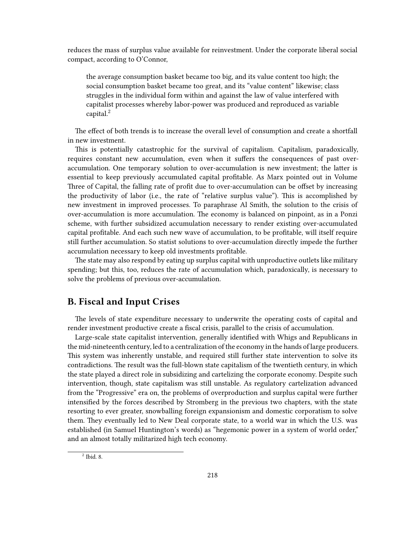reduces the mass of surplus value available for reinvestment. Under the corporate liberal social compact, according to O'Connor,

the average consumption basket became too big, and its value content too high; the social consumption basket became too great, and its "value content" likewise; class struggles in the individual form within and against the law of value interfered with capitalist processes whereby labor-power was produced and reproduced as variable capital.<sup>2</sup>

The effect of both trends is to increase the overall level of consumption and create a shortfall in new investment.

This is potentially catastrophic for the survival of capitalism. Capitalism, paradoxically, requires constant new accumulation, even when it suffers the consequences of past overaccumulation. One temporary solution to over-accumulation is new investment; the latter is essential to keep previously accumulated capital profitable. As Marx pointed out in Volume Three of Capital, the falling rate of profit due to over-accumulation can be offset by increasing the productivity of labor (i.e., the rate of "relative surplus value"). This is accomplished by new investment in improved processes. To paraphrase Al Smith, the solution to the crisis of over-accumulation is more accumulation. The economy is balanced on pinpoint, as in a Ponzi scheme, with further subsidized accumulation necessary to render existing over-accumulated capital profitable. And each such new wave of accumulation, to be profitable, will itself require still further accumulation. So statist solutions to over-accumulation directly impede the further accumulation necessary to keep old investments profitable.

The state may also respond by eating up surplus capital with unproductive outlets like military spending; but this, too, reduces the rate of accumulation which, paradoxically, is necessary to solve the problems of previous over-accumulation.

## **B. Fiscal and Input Crises**

The levels of state expenditure necessary to underwrite the operating costs of capital and render investment productive create a fiscal crisis, parallel to the crisis of accumulation.

Large-scale state capitalist intervention, generally identified with Whigs and Republicans in the mid-nineteenth century, led to a centralization of the economy in the hands of large producers. This system was inherently unstable, and required still further state intervention to solve its contradictions. The result was the full-blown state capitalism of the twentieth century, in which the state played a direct role in subsidizing and cartelizing the corporate economy. Despite such intervention, though, state capitalism was still unstable. As regulatory cartelization advanced from the "Progressive" era on, the problems of overproduction and surplus capital were further intensified by the forces described by Stromberg in the previous two chapters, with the state resorting to ever greater, snowballing foreign expansionism and domestic corporatism to solve them. They eventually led to New Deal corporate state, to a world war in which the U.S. was established (in Samuel Huntington's words) as "hegemonic power in a system of world order," and an almost totally militarized high tech economy.

 $<sup>2</sup>$  Ibid. 8.</sup>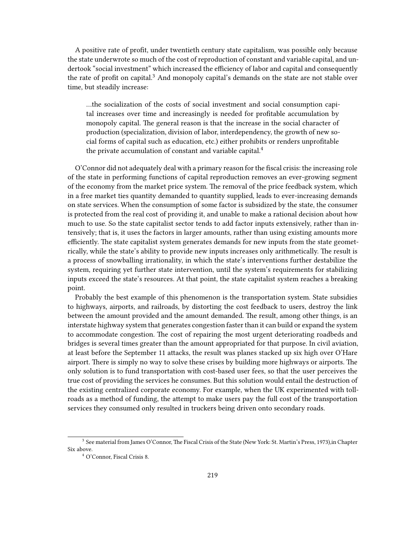A positive rate of profit, under twentieth century state capitalism, was possible only because the state underwrote so much of the cost of reproduction of constant and variable capital, and undertook "social investment" which increased the efficiency of labor and capital and consequently the rate of profit on capital.<sup>3</sup> And monopoly capital's demands on the state are not stable over time, but steadily increase:

…the socialization of the costs of social investment and social consumption capital increases over time and increasingly is needed for profitable accumulation by monopoly capital. The general reason is that the increase in the social character of production (specialization, division of labor, interdependency, the growth of new social forms of capital such as education, etc.) either prohibits or renders unprofitable the private accumulation of constant and variable capital.<sup>4</sup>

O'Connor did not adequately deal with a primary reason for the fiscal crisis: the increasing role of the state in performing functions of capital reproduction removes an ever-growing segment of the economy from the market price system. The removal of the price feedback system, which in a free market ties quantity demanded to quantity supplied, leads to ever-increasing demands on state services. When the consumption of some factor is subsidized by the state, the consumer is protected from the real cost of providing it, and unable to make a rational decision about how much to use. So the state capitalist sector tends to add factor inputs extensively, rather than intensively; that is, it uses the factors in larger amounts, rather than using existing amounts more efficiently. The state capitalist system generates demands for new inputs from the state geometrically, while the state's ability to provide new inputs increases only arithmetically. The result is a process of snowballing irrationality, in which the state's interventions further destabilize the system, requiring yet further state intervention, until the system's requirements for stabilizing inputs exceed the state's resources. At that point, the state capitalist system reaches a breaking point.

Probably the best example of this phenomenon is the transportation system. State subsidies to highways, airports, and railroads, by distorting the cost feedback to users, destroy the link between the amount provided and the amount demanded. The result, among other things, is an interstate highway system that generates congestion faster than it can build or expand the system to accommodate congestion. The cost of repairing the most urgent deteriorating roadbeds and bridges is several times greater than the amount appropriated for that purpose. In civil aviation, at least before the September 11 attacks, the result was planes stacked up six high over O'Hare airport. There is simply no way to solve these crises by building more highways or airports. The only solution is to fund transportation with cost-based user fees, so that the user perceives the true cost of providing the services he consumes. But this solution would entail the destruction of the existing centralized corporate economy. For example, when the UK experimented with tollroads as a method of funding, the attempt to make users pay the full cost of the transportation services they consumed only resulted in truckers being driven onto secondary roads.

<sup>3</sup> See material from James O'Connor, The Fiscal Crisis of the State (New York: St. Martin's Press, 1973),in Chapter Six above.

<sup>4</sup> O'Connor, Fiscal Crisis 8.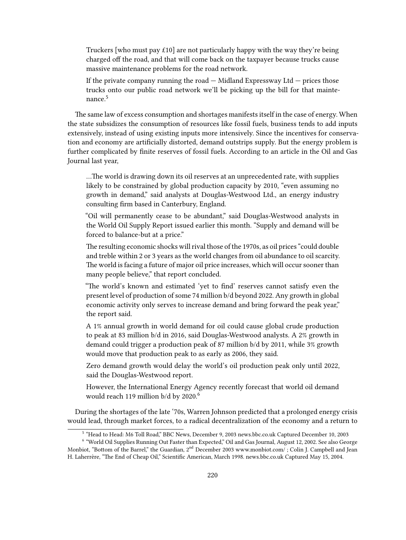Truckers [who must pay  $£10$ ] are not particularly happy with the way they're being charged off the road, and that will come back on the taxpayer because trucks cause massive maintenance problems for the road network.

If the private company running the road  $-$  Midland Expressway Ltd  $-$  prices those trucks onto our public road network we'll be picking up the bill for that maintenance.<sup>5</sup>

The same law of excess consumption and shortages manifests itself in the case of energy. When the state subsidizes the consumption of resources like fossil fuels, business tends to add inputs extensively, instead of using existing inputs more intensively. Since the incentives for conservation and economy are artificially distorted, demand outstrips supply. But the energy problem is further complicated by finite reserves of fossil fuels. According to an article in the Oil and Gas Journal last year,

…The world is drawing down its oil reserves at an unprecedented rate, with supplies likely to be constrained by global production capacity by 2010, "even assuming no growth in demand," said analysts at Douglas-Westwood Ltd., an energy industry consulting firm based in Canterbury, England.

"Oil will permanently cease to be abundant," said Douglas-Westwood analysts in the World Oil Supply Report issued earlier this month. "Supply and demand will be forced to balance-but at a price."

The resulting economic shocks will rival those of the 1970s, as oil prices "could double and treble within 2 or 3 years as the world changes from oil abundance to oil scarcity. The world is facing a future of major oil price increases, which will occur sooner than many people believe," that report concluded.

"The world's known and estimated 'yet to find' reserves cannot satisfy even the present level of production of some 74 million b/d beyond 2022. Any growth in global economic activity only serves to increase demand and bring forward the peak year," the report said.

A 1% annual growth in world demand for oil could cause global crude production to peak at 83 million b/d in 2016, said Douglas-Westwood analysts. A 2% growth in demand could trigger a production peak of 87 million b/d by 2011, while 3% growth would move that production peak to as early as 2006, they said.

Zero demand growth would delay the world's oil production peak only until 2022, said the Douglas-Westwood report.

However, the International Energy Agency recently forecast that world oil demand would reach 119 million b/d by 2020.<sup>6</sup>

During the shortages of the late '70s, Warren Johnson predicted that a prolonged energy crisis would lead, through market forces, to a radical decentralization of the economy and a return to

 $^{\rm 5}$  "Head to Head: M6 Toll Road," BBC News, December 9, 2003 [news.bbc.co.uk](http://news.bbc.co.uk/2/hi/uk_news/3303629.stm) Captured December 10, 2003

 $^6$  "World Oil Supplies Running Out Faster than Expected," Oil and Gas Journal, August 12, 2002. See also George Monbiot, "Bottom of the Barrel," the Guardian, 2<sup>nd</sup> December 2003 [www.monbiot.com](http://www.monbiot.com)/; Colin J. Campbell and Jean H. Laherrère, "The End of Cheap Oil," Scientific American, March 1998. [news.bbc.co.uk](http://news.bbc.co.uk/1/hi/business/3777413.stm) Captured May 15, 2004.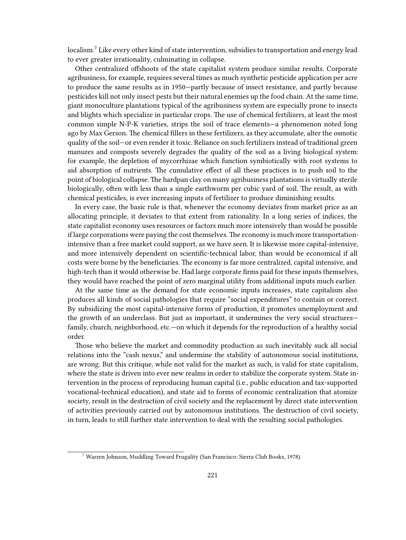localism.<sup>7</sup> Like every other kind of state intervention, subsidies to transportation and energy lead to ever greater irrationality, culminating in collapse.

Other centralized offshoots of the state capitalist system produce similar results. Corporate agribusiness, for example, requires several times as much synthetic pesticide application per acre to produce the same results as in 1950—partly because of insect resistance, and partly because pesticides kill not only insect pests but their natural enemies up the food chain. At the same time, giant monoculture plantations typical of the agribusiness system are especially prone to insects and blights which specialize in particular crops. The use of chemical fertilizers, at least the most common simple N-P-K varieties, strips the soil of trace elements—a phenomenon noted long ago by Max Gerson. The chemical fillers in these fertilizers, as they accumulate, alter the osmotic quality of the soil—or even render it toxic. Reliance on such fertilizers instead of traditional green manures and composts severely degrades the quality of the soil as a living biological system: for example, the depletion of mycorrhizae which function symbiotically with root systems to aid absorption of nutrients. The cumulative effect of all these practices is to push soil to the point of biological collapse. The hardpan clay on many agribusiness plantations is virtually sterile biologically, often with less than a single earthworm per cubic yard of soil. The result, as with chemical pesticides, is ever increasing inputs of fertilizer to produce diminishing results.

In every case, the basic rule is that, whenever the economy deviates from market price as an allocating principle, it deviates to that extent from rationality. In a long series of indices, the state capitalist economy uses resources or factors much more intensively than would be possible if large corporations were paying the cost themselves. The economy is much more transportationintensive than a free market could support, as we have seen. It is likewise more capital-intensive, and more intensively dependent on scientific-technical labor, than would be economical if all costs were borne by the beneficiaries. The economy is far more centralized, capital intensive, and high-tech than it would otherwise be. Had large corporate firms paid for these inputs themselves, they would have reached the point of zero marginal utility from additional inputs much earlier.

At the same time as the demand for state economic inputs increases, state capitalism also produces all kinds of social pathologies that require "social expenditures" to contain or correct. By subsidizing the most capital-intensive forms of production, it promotes unemployment and the growth of an underclass. But just as important, it undermines the very social structures family, church, neighborhood, etc.—on which it depends for the reproduction of a healthy social order.

Those who believe the market and commodity production as such inevitably suck all social relations into the "cash nexus," and undermine the stability of autonomous social institutions, are wrong. But this critique, while not valid for the market as such, is valid for state capitalism, where the state is driven into ever new realms in order to stabilize the corporate system. State intervention in the process of reproducing human capital (i.e., public education and tax-supported vocational-technical education), and state aid to forms of economic centralization that atomize society, result in the destruction of civil society and the replacement by direct state intervention of activities previously carried out by autonomous institutions. The destruction of civil society, in turn, leads to still further state intervention to deal with the resulting social pathologies.

<sup>7</sup> Warren Johnson, Muddling Toward Frugality (San Francisco: Sierra Club Books, 1978).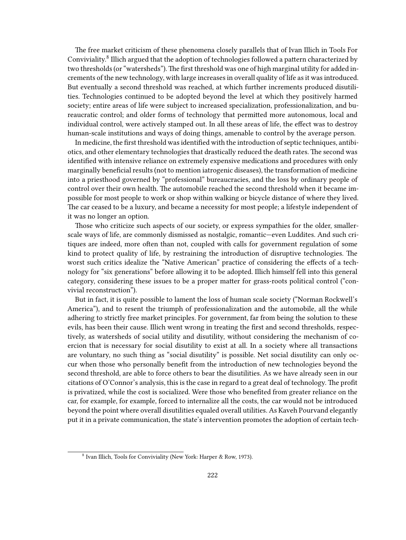The free market criticism of these phenomena closely parallels that of Ivan Illich in Tools For Conviviality.<sup>8</sup> Illich argued that the adoption of technologies followed a pattern characterized by two thresholds (or "watersheds"). The first threshold was one of high marginal utility for added increments of the new technology, with large increases in overall quality of life as it was introduced. But eventually a second threshold was reached, at which further increments produced disutilities. Technologies continued to be adopted beyond the level at which they positively harmed society; entire areas of life were subject to increased specialization, professionalization, and bureaucratic control; and older forms of technology that permitted more autonomous, local and individual control, were actively stamped out. In all these areas of life, the effect was to destroy human-scale institutions and ways of doing things, amenable to control by the average person.

In medicine, the first threshold was identified with the introduction of septic techniques, antibiotics, and other elementary technologies that drastically reduced the death rates. The second was identified with intensive reliance on extremely expensive medications and procedures with only marginally beneficial results (not to mention iatrogenic diseases), the transformation of medicine into a priesthood governed by "professional" bureaucracies, and the loss by ordinary people of control over their own health. The automobile reached the second threshold when it became impossible for most people to work or shop within walking or bicycle distance of where they lived. The car ceased to be a luxury, and became a necessity for most people; a lifestyle independent of it was no longer an option.

Those who criticize such aspects of our society, or express sympathies for the older, smallerscale ways of life, are commonly dismissed as nostalgic, romantic—even Luddites. And such critiques are indeed, more often than not, coupled with calls for government regulation of some kind to protect quality of life, by restraining the introduction of disruptive technologies. The worst such critics idealize the "Native American" practice of considering the effects of a technology for "six generations" before allowing it to be adopted. Illich himself fell into this general category, considering these issues to be a proper matter for grass-roots political control ("convivial reconstruction").

But in fact, it is quite possible to lament the loss of human scale society ("Norman Rockwell's America"), and to resent the triumph of professionalization and the automobile, all the while adhering to strictly free market principles. For government, far from being the solution to these evils, has been their cause. Illich went wrong in treating the first and second thresholds, respectively, as watersheds of social utility and disutility, without considering the mechanism of coercion that is necessary for social disutility to exist at all. In a society where all transactions are voluntary, no such thing as "social disutility" is possible. Net social disutility can only occur when those who personally benefit from the introduction of new technologies beyond the second threshold, are able to force others to bear the disutilities. As we have already seen in our citations of O'Connor's analysis, this is the case in regard to a great deal of technology. The profit is privatized, while the cost is socialized. Were those who benefited from greater reliance on the car, for example, for example, forced to internalize all the costs, the car would not be introduced beyond the point where overall disutilities equaled overall utilities. As Kaveh Pourvand elegantly put it in a private communication, the state's intervention promotes the adoption of certain tech-

<sup>8</sup> Ivan Illich, Tools for Conviviality (New York: Harper & Row, 1973).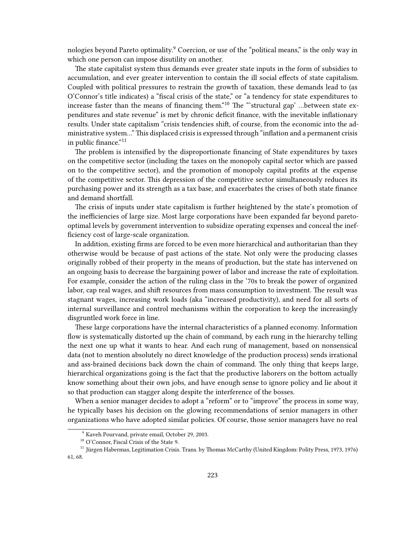nologies beyond Pareto optimality.<sup>9</sup> Coercion, or use of the "political means," is the only way in which one person can impose disutility on another.

The state capitalist system thus demands ever greater state inputs in the form of subsidies to accumulation, and ever greater intervention to contain the ill social effects of state capitalism. Coupled with political pressures to restrain the growth of taxation, these demands lead to (as O'Connor's title indicates) a "fiscal crisis of the state," or "a tendency for state expenditures to increase faster than the means of financing them.  $10$  The "structural gap' ... between state expenditures and state revenue" is met by chronic deficit finance, with the inevitable inflationary results. Under state capitalism "crisis tendencies shift, of course, from the economic into the administrative system…" This displaced crisis is expressed through "inflation and a permanent crisis in public finance."<sup>11</sup>

The problem is intensified by the disproportionate financing of State expenditures by taxes on the competitive sector (including the taxes on the monopoly capital sector which are passed on to the competitive sector), and the promotion of monopoly capital profits at the expense of the competitive sector. This depression of the competitive sector simultaneously reduces its purchasing power and its strength as a tax base, and exacerbates the crises of both state finance and demand shortfall.

The crisis of inputs under state capitalism is further heightened by the state's promotion of the inefficiencies of large size. Most large corporations have been expanded far beyond paretooptimal levels by government intervention to subsidize operating expenses and conceal the inefficiency cost of large-scale organization.

In addition, existing firms are forced to be even more hierarchical and authoritarian than they otherwise would be because of past actions of the state. Not only were the producing classes originally robbed of their property in the means of production, but the state has intervened on an ongoing basis to decrease the bargaining power of labor and increase the rate of exploitation. For example, consider the action of the ruling class in the '70s to break the power of organized labor, cap real wages, and shift resources from mass consumption to investment. The result was stagnant wages, increasing work loads (aka "increased productivity), and need for all sorts of internal surveillance and control mechanisms within the corporation to keep the increasingly disgruntled work force in line.

These large corporations have the internal characteristics of a planned economy. Information flow is systematically distorted up the chain of command, by each rung in the hierarchy telling the next one up what it wants to hear. And each rung of management, based on nonsensical data (not to mention absolutely no direct knowledge of the production process) sends irrational and ass-brained decisions back down the chain of command. The only thing that keeps large, hierarchical organizations going is the fact that the productive laborers on the bottom actually know something about their own jobs, and have enough sense to ignore policy and lie about it so that production can stagger along despite the interference of the bosses.

When a senior manager decides to adopt a "reform" or to "improve" the process in some way, he typically bases his decision on the glowing recommendations of senior managers in other organizations who have adopted similar policies. Of course, those senior managers have no real

<sup>9</sup> Kaveh Pourvand, private email, October 29, 2003.

<sup>&</sup>lt;sup>10</sup> O'Connor, Fiscal Crisis of the State 9.

<sup>&</sup>lt;sup>11</sup> Jürgen Habermas, Legitimation Crisis. Trans. by Thomas McCarthy (United Kingdom: Polity Press, 1973, 1976) 61, 68.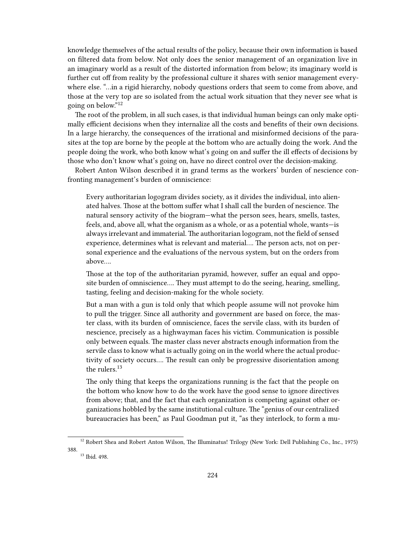knowledge themselves of the actual results of the policy, because their own information is based on filtered data from below. Not only does the senior management of an organization live in an imaginary world as a result of the distorted information from below; its imaginary world is further cut off from reality by the professional culture it shares with senior management everywhere else. "…in a rigid hierarchy, nobody questions orders that seem to come from above, and those at the very top are so isolated from the actual work situation that they never see what is going on below."<sup>12</sup>

The root of the problem, in all such cases, is that individual human beings can only make optimally efficient decisions when they internalize all the costs and benefits of their own decisions. In a large hierarchy, the consequences of the irrational and misinformed decisions of the parasites at the top are borne by the people at the bottom who are actually doing the work. And the people doing the work, who both know what's going on and suffer the ill effects of decisions by those who don't know what's going on, have no direct control over the decision-making.

Robert Anton Wilson described it in grand terms as the workers' burden of nescience confronting management's burden of omniscience:

Every authoritarian logogram divides society, as it divides the individual, into alienated halves. Those at the bottom suffer what I shall call the burden of nescience. The natural sensory activity of the biogram—what the person sees, hears, smells, tastes, feels, and, above all, what the organism as a whole, or as a potential whole, wants—is always irrelevant and immaterial. The authoritarian logogram, not the field of sensed experience, determines what is relevant and material…. The person acts, not on personal experience and the evaluations of the nervous system, but on the orders from above….

Those at the top of the authoritarian pyramid, however, suffer an equal and opposite burden of omniscience…. They must attempt to do the seeing, hearing, smelling, tasting, feeling and decision-making for the whole society.

But a man with a gun is told only that which people assume will not provoke him to pull the trigger. Since all authority and government are based on force, the master class, with its burden of omniscience, faces the servile class, with its burden of nescience, precisely as a highwayman faces his victim. Communication is possible only between equals. The master class never abstracts enough information from the servile class to know what is actually going on in the world where the actual productivity of society occurs…. The result can only be progressive disorientation among the rulers.<sup>13</sup>

The only thing that keeps the organizations running is the fact that the people on the bottom who know how to do the work have the good sense to ignore directives from above; that, and the fact that each organization is competing against other organizations hobbled by the same institutional culture. The "genius of our centralized bureaucracies has been," as Paul Goodman put it, "as they interlock, to form a mu-

<sup>12</sup> Robert Shea and Robert Anton Wilson, The Illuminatus! Trilogy (New York: Dell Publishing Co., Inc., 1975) 388.

<sup>&</sup>lt;sup>13</sup> Ibid. 498.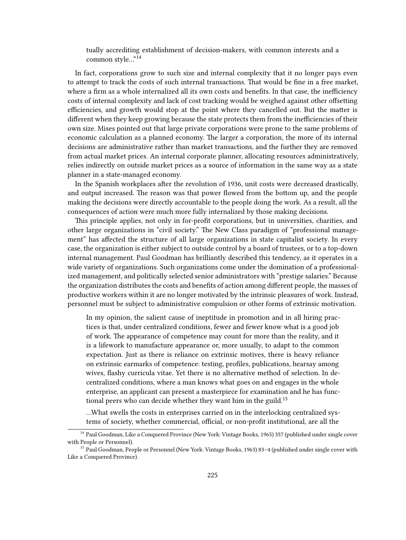tually accrediting establishment of decision-makers, with common interests and a common style…"<sup>14</sup>

In fact, corporations grow to such size and internal complexity that it no longer pays even to attempt to track the costs of such internal transactions. That would be fine in a free market, where a firm as a whole internalized all its own costs and benefits. In that case, the inefficiency costs of internal complexity and lack of cost tracking would be weighed against other offsetting efficiencies, and growth would stop at the point where they cancelled out. But the matter is different when they keep growing because the state protects them from the inefficiencies of their own size. Mises pointed out that large private corporations were prone to the same problems of economic calculation as a planned economy. The larger a corporation, the more of its internal decisions are administrative rather than market transactions, and the further they are removed from actual market prices. An internal corporate planner, allocating resources administratively, relies indirectly on outside market prices as a source of information in the same way as a state planner in a state-managed economy.

In the Spanish workplaces after the revolution of 1936, unit costs were decreased drastically, and output increased. The reason was that power flowed from the bottom up, and the people making the decisions were directly accountable to the people doing the work. As a result, all the consequences of action were much more fully internalized by those making decisions.

This principle applies, not only in for-profit corporations, but in universities, charities, and other large organizations in "civil society." The New Class paradigm of "professional management" has affected the structure of all large organizations in state capitalist society. In every case, the organization is either subject to outside control by a board of trustees, or to a top-down internal management. Paul Goodman has brilliantly described this tendency, as it operates in a wide variety of organizations. Such organizations come under the domination of a professionalized management, and politically selected senior administrators with "prestige salaries." Because the organization distributes the costs and benefits of action among different people, the masses of productive workers within it are no longer motivated by the intrinsic pleasures of work. Instead, personnel must be subject to administrative compulsion or other forms of extrinsic motivation.

In my opinion, the salient cause of ineptitude in promotion and in all hiring practices is that, under centralized conditions, fewer and fewer know what is a good job of work. The appearance of competence may count for more than the reality, and it is a lifework to manufacture appearance or, more usually, to adapt to the common expectation. Just as there is reliance on extrinsic motives, there is heavy reliance on extrinsic earmarks of competence: testing, profiles, publications, hearsay among wives, flashy curricula vitae. Yet there is no alternative method of selection. In decentralized conditions, where a man knows what goes on and engages in the whole enterprise, an applicant can present a masterpiece for examination and he has functional peers who can decide whether they want him in the guild.<sup>15</sup>

…What swells the costs in enterprises carried on in the interlocking centralized systems of society, whether commercial, official, or non-profit institutional, are all the

<sup>14</sup> Paul Goodman, Like a Conquered Province (New York: Vintage Books, 1965) 357 (published under single cover with People or Personnel).

<sup>&</sup>lt;sup>15</sup> Paul Goodman, People or Personnel (New York: Vintage Books, 1963) 83-4 (published under single cover with Like a Conquered Province).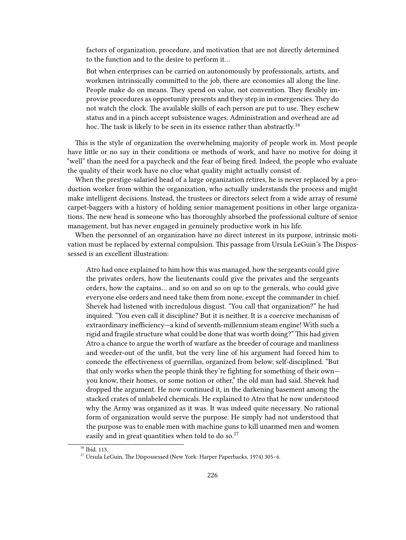factors of organization, procedure, and motivation that are not directly determined to the function and to the desire to perform it…

But when enterprises can be carried on autonomously by professionals, artists, and workmen intrinsically committed to the job, there are economies all along the line. People make do on means. They spend on value, not convention. They flexibly improvise procedures as opportunity presents and they step in in emergencies. They do not watch the clock. The available skills of each person are put to use. They eschew status and in a pinch accept subsistence wages. Administration and overhead are ad hoc. The task is likely to be seen in its essence rather than abstractly.<sup>16</sup>

This is the style of organization the overwhelming majority of people work in. Most people have little or no say in their conditions or methods of work, and have no motive for doing it "well" than the need for a paycheck and the fear of being fired. Indeed, the people who evaluate the quality of their work have no clue what quality might actually consist of.

When the prestige-salaried head of a large organization retires, he is never replaced by a production worker from within the organization, who actually understands the process and might make intelligent decisions. Instead, the trustees or directors select from a wide array of resumè carpet-baggers with a history of holding senior management positions in other large organizations. The new head is someone who has thoroughly absorbed the professional culture of senior management, but has never engaged in genuinely productive work in his life.

When the personnel of an organization have no direct interest in its purpose, intrinsic motivation must be replaced by external compulsion. This passage from Ursula LeGuin's The Dispossessed is an excellent illustration:

Atro had once explained to him how this was managed, how the sergeants could give the privates orders, how the lieutenants could give the privates and the sergeants orders, how the captains… and so on and so on up to the generals, who could give everyone else orders and need take them from none, except the commander in chief. Shevek had listened with incredulous disgust. "You call that organization?" he had inquired. "You even call it discipline? But it is neither. It is a coercive mechanism of extraordinary inefficiency—a kind of seventh-millennium steam engine! With such a rigid and fragile structure what could be done that was worth doing?" This had given Atro a chance to argue the worth of warfare as the breeder of courage and manliness and weeder-out of the unfit, but the very line of his argument had forced him to concede the effectiveness of guerrillas, organized from below, self-disciplined. "But that only works when the people think they're fighting for something of their own you know, their homes, or some notion or other," the old man had said. Shevek had dropped the argument. He now continued it, in the darkening basement among the stacked crates of unlabeled chemicals. He explained to Atro that he now understood why the Army was organized as it was. It was indeed quite necessary. No rational form of organization would serve the purpose. He simply had not understood that the purpose was to enable men with machine guns to kill unarmed men and women easily and in great quantities when told to do so.<sup>17</sup>

<sup>16</sup> Ibid. 113.

<sup>&</sup>lt;sup>17</sup> Ursula LeGuin, The Dispossessed (New York: Harper Paperbacks, 1974) 305-6.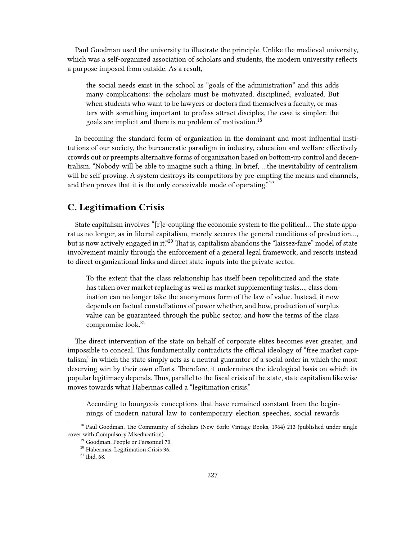Paul Goodman used the university to illustrate the principle. Unlike the medieval university, which was a self-organized association of scholars and students, the modern university reflects a purpose imposed from outside. As a result,

the social needs exist in the school as "goals of the administration" and this adds many complications: the scholars must be motivated, disciplined, evaluated. But when students who want to be lawyers or doctors find themselves a faculty, or masters with something important to profess attract disciples, the case is simpler: the goals are implicit and there is no problem of motivation.<sup>18</sup>

In becoming the standard form of organization in the dominant and most influential institutions of our society, the bureaucratic paradigm in industry, education and welfare effectively crowds out or preempts alternative forms of organization based on bottom-up control and decentralism. "Nobody will be able to imagine such a thing. In brief, …the inevitability of centralism will be self-proving. A system destroys its competitors by pre-empting the means and channels, and then proves that it is the only conceivable mode of operating.<sup>"19</sup>

# **C. Legitimation Crisis**

State capitalism involves "[r]e-coupling the economic system to the political… The state apparatus no longer, as in liberal capitalism, merely secures the general conditions of production…, but is now actively engaged in it.<sup>"20</sup> That is, capitalism abandons the "laissez-faire" model of state involvement mainly through the enforcement of a general legal framework, and resorts instead to direct organizational links and direct state inputs into the private sector.

To the extent that the class relationship has itself been repoliticized and the state has taken over market replacing as well as market supplementing tasks…, class domination can no longer take the anonymous form of the law of value. Instead, it now depends on factual constellations of power whether, and how, production of surplus value can be guaranteed through the public sector, and how the terms of the class compromise look.<sup>21</sup>

The direct intervention of the state on behalf of corporate elites becomes ever greater, and impossible to conceal. This fundamentally contradicts the official ideology of "free market capitalism," in which the state simply acts as a neutral guarantor of a social order in which the most deserving win by their own efforts. Therefore, it undermines the ideological basis on which its popular legitimacy depends. Thus, parallel to the fiscal crisis of the state, state capitalism likewise moves towards what Habermas called a "legitimation crisis."

According to bourgeois conceptions that have remained constant from the beginnings of modern natural law to contemporary election speeches, social rewards

<sup>&</sup>lt;sup>18</sup> Paul Goodman, The Community of Scholars (New York: Vintage Books, 1964) 213 (published under single cover with Compulsory Miseducation).

<sup>&</sup>lt;sup>19</sup> Goodman, People or Personnel 70.

<sup>&</sup>lt;sup>20</sup> Habermas, Legitimation Crisis 36.

 $21$  Ibid. 68.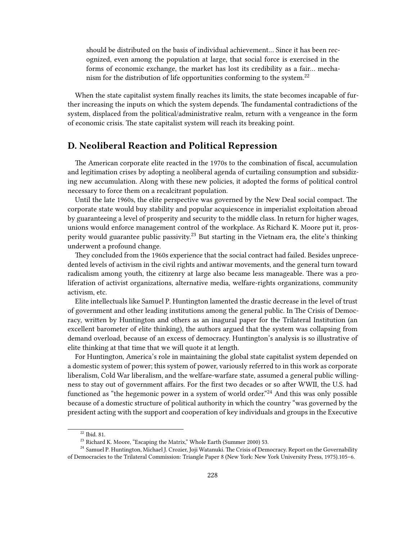should be distributed on the basis of individual achievement… Since it has been recognized, even among the population at large, that social force is exercised in the forms of economic exchange, the market has lost its credibility as a fair… mechanism for the distribution of life opportunities conforming to the system.<sup>22</sup>

When the state capitalist system finally reaches its limits, the state becomes incapable of further increasing the inputs on which the system depends. The fundamental contradictions of the system, displaced from the political/administrative realm, return with a vengeance in the form of economic crisis. The state capitalist system will reach its breaking point.

## **D. Neoliberal Reaction and Political Repression**

The American corporate elite reacted in the 1970s to the combination of fiscal, accumulation and legitimation crises by adopting a neoliberal agenda of curtailing consumption and subsidizing new accumulation. Along with these new policies, it adopted the forms of political control necessary to force them on a recalcitrant population.

Until the late 1960s, the elite perspective was governed by the New Deal social compact. The corporate state would buy stability and popular acquiescence in imperialist exploitation abroad by guaranteeing a level of prosperity and security to the middle class. In return for higher wages, unions would enforce management control of the workplace. As Richard K. Moore put it, prosperity would guarantee public passivity.<sup>23</sup> But starting in the Vietnam era, the elite's thinking underwent a profound change.

They concluded from the 1960s experience that the social contract had failed. Besides unprecedented levels of activism in the civil rights and antiwar movements, and the general turn toward radicalism among youth, the citizenry at large also became less manageable. There was a proliferation of activist organizations, alternative media, welfare-rights organizations, community activism, etc.

Elite intellectuals like Samuel P. Huntington lamented the drastic decrease in the level of trust of government and other leading institutions among the general public. In The Crisis of Democracy, written by Huntington and others as an inagural paper for the Trilateral Institution (an excellent barometer of elite thinking), the authors argued that the system was collapsing from demand overload, because of an excess of democracy. Huntington's analysis is so illustrative of elite thinking at that time that we will quote it at length.

For Huntington, America's role in maintaining the global state capitalist system depended on a domestic system of power; this system of power, variously referred to in this work as corporate liberalism, Cold War liberalism, and the welfare-warfare state, assumed a general public willingness to stay out of government affairs. For the first two decades or so after WWII, the U.S. had functioned as "the hegemonic power in a system of world order."<sup>24</sup> And this was only possible because of a domestic structure of political authority in which the country "was governed by the president acting with the support and cooperation of key individuals and groups in the Executive

<sup>22</sup> Ibid. 81.

<sup>&</sup>lt;sup>23</sup> Richard K. Moore, "Escaping the Matrix," Whole Earth (Summer 2000) 53.

<sup>&</sup>lt;sup>24</sup> Samuel P. Huntington, Michael J. Crozier, Joji Watanuki. The Crisis of Democracy. Report on the Governability of Democracies to the Trilateral Commission: Triangle Paper 8 (New York: New York University Press, 1975).105–6.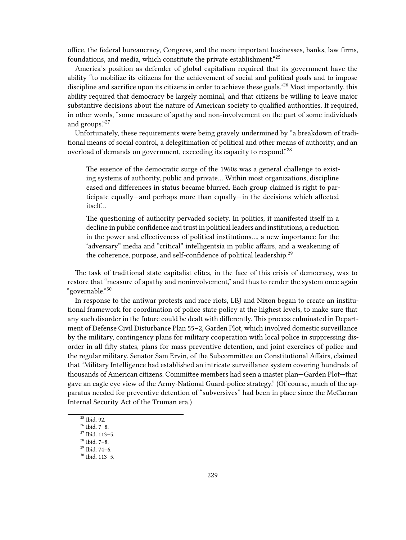office, the federal bureaucracy, Congress, and the more important businesses, banks, law firms, foundations, and media, which constitute the private establishment."<sup>25</sup>

America's position as defender of global capitalism required that its government have the ability "to mobilize its citizens for the achievement of social and political goals and to impose discipline and sacrifice upon its citizens in order to achieve these goals."<sup>26</sup> Most importantly, this ability required that democracy be largely nominal, and that citizens be willing to leave major substantive decisions about the nature of American society to qualified authorities. It required, in other words, "some measure of apathy and non-involvement on the part of some individuals and groups."<sup>27</sup>

Unfortunately, these requirements were being gravely undermined by "a breakdown of traditional means of social control, a delegitimation of political and other means of authority, and an overload of demands on government, exceeding its capacity to respond."<sup>28</sup>

The essence of the democratic surge of the 1960s was a general challenge to existing systems of authority, public and private… Within most organizations, discipline eased and differences in status became blurred. Each group claimed is right to participate equally—and perhaps more than equally—in the decisions which affected itself…

The questioning of authority pervaded society. In politics, it manifested itself in a decline in public confidence and trust in political leaders and institutions, a reduction in the power and effectiveness of political institutions…, a new importance for the "adversary" media and "critical" intelligentsia in public affairs, and a weakening of the coherence, purpose, and self-confidence of political leadership.<sup>29</sup>

The task of traditional state capitalist elites, in the face of this crisis of democracy, was to restore that "measure of apathy and noninvolvement," and thus to render the system once again "governable."<sup>30</sup>

In response to the antiwar protests and race riots, LBJ and Nixon began to create an institutional framework for coordination of police state policy at the highest levels, to make sure that any such disorder in the future could be dealt with differently. This process culminated in Department of Defense Civil Disturbance Plan 55–2, Garden Plot, which involved domestic surveillance by the military, contingency plans for military cooperation with local police in suppressing disorder in all fifty states, plans for mass preventive detention, and joint exercises of police and the regular military. Senator Sam Ervin, of the Subcommittee on Constitutional Affairs, claimed that "Military Intelligence had established an intricate surveillance system covering hundreds of thousands of American citizens. Committee members had seen a master plan—Garden Plot—that gave an eagle eye view of the Army-National Guard-police strategy." (Of course, much of the apparatus needed for preventive detention of "subversives" had been in place since the McCarran Internal Security Act of the Truman era.)

 $\overline{\frac{25}{}}$  Ibid. 92.

<sup>26</sup> Ibid. 7–8.

<sup>27</sup> Ibid. 113–5.

 $28$  Ibid. 7–8.

 $29$  Ibid. 74-6.

<sup>30</sup> Ibid. 113–5.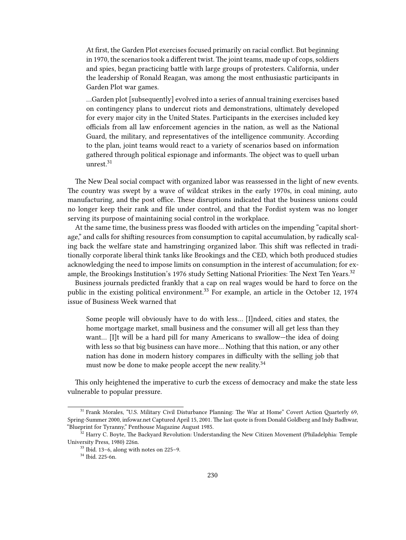At first, the Garden Plot exercises focused primarily on racial conflict. But beginning in 1970, the scenarios took a different twist. The joint teams, made up of cops, soldiers and spies, began practicing battle with large groups of protesters. California, under the leadership of Ronald Reagan, was among the most enthusiastic participants in Garden Plot war games.

…Garden plot [subsequently] evolved into a series of annual training exercises based on contingency plans to undercut riots and demonstrations, ultimately developed for every major city in the United States. Participants in the exercises included key officials from all law enforcement agencies in the nation, as well as the National Guard, the military, and representatives of the intelligence community. According to the plan, joint teams would react to a variety of scenarios based on information gathered through political espionage and informants. The object was to quell urban unrest.<sup>31</sup>

The New Deal social compact with organized labor was reassessed in the light of new events. The country was swept by a wave of wildcat strikes in the early 1970s, in coal mining, auto manufacturing, and the post office. These disruptions indicated that the business unions could no longer keep their rank and file under control, and that the Fordist system was no longer serving its purpose of maintaining social control in the workplace.

At the same time, the business press was flooded with articles on the impending "capital shortage," and calls for shifting resources from consumption to capital accumulation, by radically scaling back the welfare state and hamstringing organized labor. This shift was reflected in traditionally corporate liberal think tanks like Brookings and the CED, which both produced studies acknowledging the need to impose limits on consumption in the interest of accumulation; for example, the Brookings Institution's 1976 study Setting National Priorities: The Next Ten Years.<sup>32</sup>

Business journals predicted frankly that a cap on real wages would be hard to force on the public in the existing political environment.<sup>33</sup> For example, an article in the October 12, 1974 issue of Business Week warned that

Some people will obviously have to do with less… [I]ndeed, cities and states, the home mortgage market, small business and the consumer will all get less than they want… [I]t will be a hard pill for many Americans to swallow—the idea of doing with less so that big business can have more… Nothing that this nation, or any other nation has done in modern history compares in difficulty with the selling job that must now be done to make people accept the new reality.<sup>34</sup>

This only heightened the imperative to curb the excess of democracy and make the state less vulnerable to popular pressure.

<sup>&</sup>lt;sup>31</sup> Frank Morales, "U.S. Military Civil Disturbance Planning: The War at Home" Covert Action Quarterly 69, Spring-Summer 2000, [infowar.net](http://infowar.net/warathome/warathome.html) Captured April 15, 2001. The last quote is from Donald Goldberg and Indy Badhwar, "Blueprint for Tyranny," Penthouse Magazine August 1985.

<sup>&</sup>lt;sup>32</sup> Harry C. Boyte, The Backyard Revolution: Understanding the New Citizen Movement (Philadelphia: Temple University Press, 1980) 226n.

 $33$  Ibid. 13-6, along with notes on 225-9.

<sup>34</sup> Ibid. 225-6n.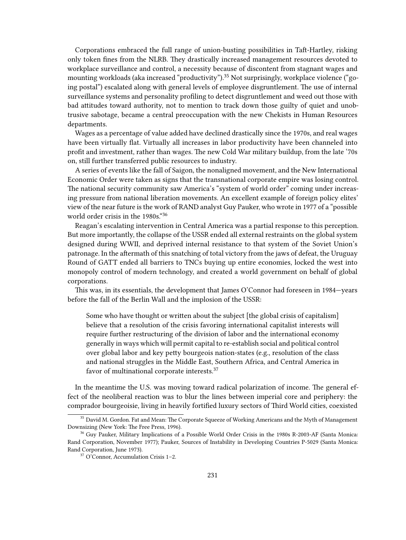Corporations embraced the full range of union-busting possibilities in Taft-Hartley, risking only token fines from the NLRB. They drastically increased management resources devoted to workplace surveillance and control, a necessity because of discontent from stagnant wages and mounting workloads (aka increased "productivity").<sup>35</sup> Not surprisingly, workplace violence ("going postal") escalated along with general levels of employee disgruntlement. The use of internal surveillance systems and personality profiling to detect disgruntlement and weed out those with bad attitudes toward authority, not to mention to track down those guilty of quiet and unobtrusive sabotage, became a central preoccupation with the new Chekists in Human Resources departments.

Wages as a percentage of value added have declined drastically since the 1970s, and real wages have been virtually flat. Virtually all increases in labor productivity have been channeled into profit and investment, rather than wages. The new Cold War military buildup, from the late '70s on, still further transferred public resources to industry.

A series of events like the fall of Saigon, the nonaligned movement, and the New International Economic Order were taken as signs that the transnational corporate empire was losing control. The national security community saw America's "system of world order" coming under increasing pressure from national liberation movements. An excellent example of foreign policy elites' view of the near future is the work of RAND analyst Guy Pauker, who wrote in 1977 of a "possible world order crisis in the 1980s."<sup>36</sup>

Reagan's escalating intervention in Central America was a partial response to this perception. But more importantly, the collapse of the USSR ended all external restraints on the global system designed during WWII, and deprived internal resistance to that system of the Soviet Union's patronage. In the aftermath of this snatching of total victory from the jaws of defeat, the Uruguay Round of GATT ended all barriers to TNCs buying up entire economies, locked the west into monopoly control of modern technology, and created a world government on behalf of global corporations.

This was, in its essentials, the development that James O'Connor had foreseen in 1984—years before the fall of the Berlin Wall and the implosion of the USSR:

Some who have thought or written about the subject [the global crisis of capitalism] believe that a resolution of the crisis favoring international capitalist interests will require further restructuring of the division of labor and the international economy generally in ways which will permit capital to re-establish social and political control over global labor and key petty bourgeois nation-states (e.g., resolution of the class and national struggles in the Middle East, Southern Africa, and Central America in favor of multinational corporate interests.<sup>37</sup>

In the meantime the U.S. was moving toward radical polarization of income. The general effect of the neoliberal reaction was to blur the lines between imperial core and periphery: the comprador bourgeoisie, living in heavily fortified luxury sectors of Third World cities, coexisted

<sup>&</sup>lt;sup>35</sup> David M. Gordon. Fat and Mean: The Corporate Squeeze of Working Americans and the Myth of Management Downsizing (New York: The Free Press, 1996).

<sup>&</sup>lt;sup>36</sup> Guy Pauker, Military Implications of a Possible World Order Crisis in the 1980s R-2003-AF (Santa Monica: Rand Corporation, November 1977); Pauker, Sources of Instability in Developing Countries P-5029 (Santa Monica: Rand Corporation, June 1973).

<sup>37</sup> O'Connor, Accumulation Crisis 1–2.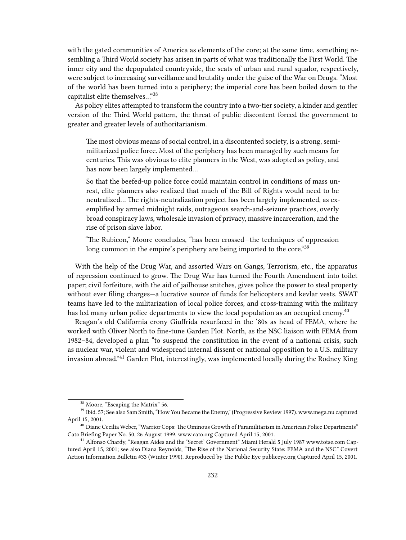with the gated communities of America as elements of the core; at the same time, something resembling a Third World society has arisen in parts of what was traditionally the First World. The inner city and the depopulated countryside, the seats of urban and rural squalor, respectively, were subject to increasing surveillance and brutality under the guise of the War on Drugs. "Most of the world has been turned into a periphery; the imperial core has been boiled down to the capitalist elite themselves…"<sup>38</sup>

As policy elites attempted to transform the country into a two-tier society, a kinder and gentler version of the Third World pattern, the threat of public discontent forced the government to greater and greater levels of authoritarianism.

The most obvious means of social control, in a discontented society, is a strong, semimilitarized police force. Most of the periphery has been managed by such means for centuries. This was obvious to elite planners in the West, was adopted as policy, and has now been largely implemented…

So that the beefed-up police force could maintain control in conditions of mass unrest, elite planners also realized that much of the Bill of Rights would need to be neutralized… The rights-neutralization project has been largely implemented, as exemplified by armed midnight raids, outrageous search-and-seizure practices, overly broad conspiracy laws, wholesale invasion of privacy, massive incarceration, and the rise of prison slave labor.

"The Rubicon," Moore concludes, "has been crossed—the techniques of oppression long common in the empire's periphery are being imported to the core. <sup>39</sup>

With the help of the Drug War, and assorted Wars on Gangs, Terrorism, etc., the apparatus of repression continued to grow. The Drug War has turned the Fourth Amendment into toilet paper; civil forfeiture, with the aid of jailhouse snitches, gives police the power to steal property without ever filing charges—a lucrative source of funds for helicopters and kevlar vests. SWAT teams have led to the militarization of local police forces, and cross-training with the military has led many urban police departments to view the local population as an occupied enemy.<sup>40</sup>

Reagan's old California crony Giuffrida resurfaced in the '80s as head of FEMA, where he worked with Oliver North to fine-tune Garden Plot. North, as the NSC liaison with FEMA from 1982–84, developed a plan "to suspend the constitution in the event of a national crisis, such as nuclear war, violent and widespread internal dissent or national opposition to a U.S. military invasion abroad."<sup>41</sup> Garden Plot, interestingly, was implemented locally during the Rodney King

<sup>38</sup> Moore, "Escaping the Matrix" 56.

<sup>39</sup> Ibid. 57; See also Sam Smith, "How You Became the Enemy," (Progressive Review 1997). [www.mega.nu](http://www.mega.nu:8080/ampp/enemy.html) captured April 15, 2001.

<sup>&</sup>lt;sup>40</sup> Diane Cecilia Weber, "Warrior Cops: The Ominous Growth of Paramilitarism in American Police Departments" Cato Briefing Paper No. 50, 26 August 1999. [www.cato.org](http://www.cato.org/pubs/briefs/bp-050es.html) Captured April 15, 2001.

<sup>41</sup> Alfonso Chardy, "Reagan Aides and the 'Secret' Government" Miami Herald 5 July 1987 [www.totse.com](http://www.totse.com/en/conspiracy/the_new_world_order/scrtgovt.html) Captured April 15, 2001; see also Diana Reynolds, "The Rise of the National Security State: FEMA and the NSC" Covert Action Information Bulletin #33 (Winter 1990). Reproduced by The Public Eye [publiceye.org](http://publiceye.org/liberty/fema/Fema_1.htm) Captured April 15, 2001.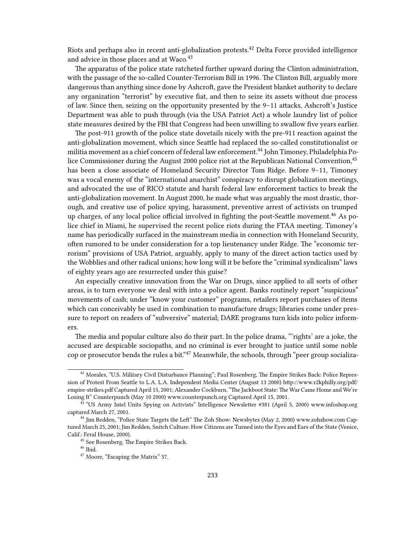Riots and perhaps also in recent anti-globalization protests.<sup>42</sup> Delta Force provided intelligence and advice in those places and at Waco.<sup>43</sup>

The apparatus of the police state ratcheted further upward during the Clinton administration, with the passage of the so-called Counter-Terrorism Bill in 1996. The Clinton Bill, arguably more dangerous than anything since done by Ashcroft, gave the President blanket authority to declare any organization "terrorist" by executive fiat, and then to seize its assets without due process of law. Since then, seizing on the opportunity presented by the 9–11 attacks, Ashcroft's Justice Department was able to push through (via the USA Patriot Act) a whole laundry list of police state measures desired by the FBI that Congress had been unwilling to swallow five years earlier.

The post-911 growth of the police state dovetails nicely with the pre-911 reaction against the anti-globalization movement, which since Seattle had replaced the so-called constitutionalist or militia movement as a chief concern of federal law enforcement.<sup>44</sup> John Timoney, Philadelphia Police Commissioner during the August 2000 police riot at the Republican National Convention,<sup>45</sup> has been a close associate of Homeland Security Director Tom Ridge. Before 9–11, Timoney was a vocal enemy of the "international anarchist" conspiracy to disrupt globalization meetings, and advocated the use of RICO statute and harsh federal law enforcement tactics to break the anti-globalization movement. In August 2000, he made what was arguably the most drastic, thorough, and creative use of police spying, harassment, preventive arrest of activists on trumped up charges, of any local police official involved in fighting the post-Seattle movement.<sup>46</sup> As police chief in Miami, he supervised the recent police riots during the FTAA meeting. Timoney's name has periodically surfaced in the mainstream media in connection with Homeland Security, often rumored to be under consideration for a top lieutenancy under Ridge. The "economic terrorism" provisions of USA Patriot, arguably, apply to many of the direct action tactics used by the Wobblies and other radical unions; how long will it be before the "criminal syndicalism" laws of eighty years ago are resurrected under this guise?

An especially creative innovation from the War on Drugs, since applied to all sorts of other areas, is to turn everyone we deal with into a police agent. Banks routinely report "suspicious" movements of cash; under "know your customer" programs, retailers report purchases of items which can conceivably be used in combination to manufacture drugs; libraries come under pressure to report on readers of "subversive" material; DARE programs turn kids into police informers.

The media and popular culture also do their part. In the police drama, "'rights' are a joke, the accused are despicable sociopaths, and no criminal is ever brought to justice until some noble cop or prosecutor bends the rules a bit."<sup>47</sup> Meanwhile, the schools, through "peer group socializa-

<sup>&</sup>lt;sup>42</sup> Morales, "U.S. Military Civil Disturbance Planning"; Paul Rosenberg, The Empire Strikes Back: Police Repression of Protest From Seattle to L.A. L.A. Independent Media Center (August 13 2000) [http://www.r2kphilly.org/pdf/](http://www.r2kphilly.org/pdf/empire-strikes.pdf) [empire-strikes.pdf](http://www.r2kphilly.org/pdf/empire-strikes.pdf) Captured April 15, 2001; Alexander Cockburn, "The Jackboot State: The War Came Home and We're Losing It" Counterpunch (May 10 2000) [www.counterpunch.org](http://www.counterpunch.org/jackboot.html) Captured April 15, 2001.

<sup>43</sup> "US Army Intel Units Spying on Activists" Intelligence Newsletter #381 (April 5, 2000) [www.infoshop.org](http://www.infoshop.org/news5/army_intel.html) captured March 27, 2001.

<sup>&</sup>lt;sup>44</sup> Jim Redden, "Police State Targets the Left" The Zoh Show: Newsbytes (May 2, 2000) [www.zohshow.com](http://www.zohshow.com/News/Newsbytes/tidbits050200b.htm) Captured March 25, 2001; Jim Redden, Snitch Culture: How Citizens are Turned into the Eyes and Ears of the State (Venice, Calif.: Feral House, 2000).

<sup>&</sup>lt;sup>45</sup> See Rosenberg, The Empire Strikes Back.

 $46$  Ibid.

<sup>47</sup> Moore, "Escaping the Matrix" 57.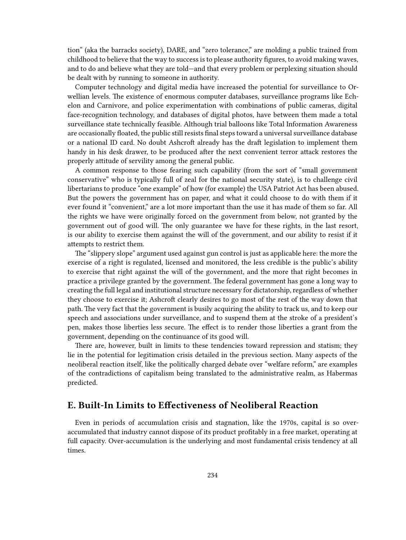tion" (aka the barracks society), DARE, and "zero tolerance," are molding a public trained from childhood to believe that the way to success is to please authority figures, to avoid making waves, and to do and believe what they are told—and that every problem or perplexing situation should be dealt with by running to someone in authority.

Computer technology and digital media have increased the potential for surveillance to Orwellian levels. The existence of enormous computer databases, surveillance programs like Echelon and Carnivore, and police experimentation with combinations of public cameras, digital face-recognition technology, and databases of digital photos, have between them made a total surveillance state technically feasible. Although trial balloons like Total Information Awareness are occasionally floated, the public still resists final steps toward a universal surveillance database or a national ID card. No doubt Ashcroft already has the draft legislation to implement them handy in his desk drawer, to be produced after the next convenient terror attack restores the properly attitude of servility among the general public.

A common response to those fearing such capability (from the sort of "small government conservative" who is typically full of zeal for the national security state), is to challenge civil libertarians to produce "one example" of how (for example) the USA Patriot Act has been abused. But the powers the government has on paper, and what it could choose to do with them if it ever found it "convenient," are a lot more important than the use it has made of them so far. All the rights we have were originally forced on the government from below, not granted by the government out of good will. The only guarantee we have for these rights, in the last resort, is our ability to exercise them against the will of the government, and our ability to resist if it attempts to restrict them.

The "slippery slope" argument used against gun control is just as applicable here: the more the exercise of a right is regulated, licensed and monitored, the less credible is the public's ability to exercise that right against the will of the government, and the more that right becomes in practice a privilege granted by the government. The federal government has gone a long way to creating the full legal and institutional structure necessary for dictatorship, regardless of whether they choose to exercise it; Ashcroft clearly desires to go most of the rest of the way down that path. The very fact that the government is busily acquiring the ability to track us, and to keep our speech and associations under surveillance, and to suspend them at the stroke of a president's pen, makes those liberties less secure. The effect is to render those liberties a grant from the government, depending on the continuance of its good will.

There are, however, built in limits to these tendencies toward repression and statism; they lie in the potential for legitimation crisis detailed in the previous section. Many aspects of the neoliberal reaction itself, like the politically charged debate over "welfare reform," are examples of the contradictions of capitalism being translated to the administrative realm, as Habermas predicted.

#### **E. Built-In Limits to Effectiveness of Neoliberal Reaction**

Even in periods of accumulation crisis and stagnation, like the 1970s, capital is so overaccumulated that industry cannot dispose of its product profitably in a free market, operating at full capacity. Over-accumulation is the underlying and most fundamental crisis tendency at all times.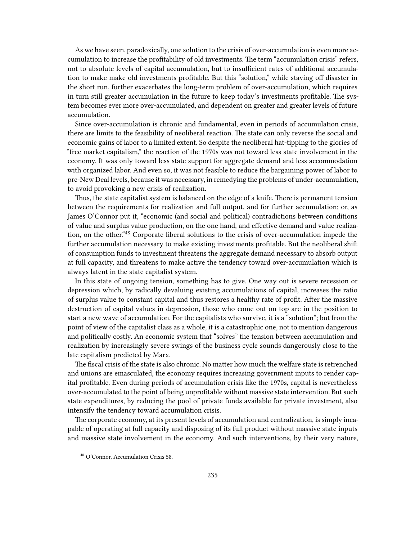As we have seen, paradoxically, one solution to the crisis of over-accumulation is even more accumulation to increase the profitability of old investments. The term "accumulation crisis" refers, not to absolute levels of capital accumulation, but to insufficient rates of additional accumulation to make make old investments profitable. But this "solution," while staving off disaster in the short run, further exacerbates the long-term problem of over-accumulation, which requires in turn still greater accumulation in the future to keep today's investments profitable. The system becomes ever more over-accumulated, and dependent on greater and greater levels of future accumulation.

Since over-accumulation is chronic and fundamental, even in periods of accumulation crisis, there are limits to the feasibility of neoliberal reaction. The state can only reverse the social and economic gains of labor to a limited extent. So despite the neoliberal hat-tipping to the glories of "free market capitalism," the reaction of the 1970s was not toward less state involvement in the economy. It was only toward less state support for aggregate demand and less accommodation with organized labor. And even so, it was not feasible to reduce the bargaining power of labor to pre-New Deal levels, because it was necessary, in remedying the problems of under-accumulation, to avoid provoking a new crisis of realization.

Thus, the state capitalist system is balanced on the edge of a knife. There is permanent tension between the requirements for realization and full output, and for further accumulation; or, as James O'Connor put it, "economic (and social and political) contradictions between conditions of value and surplus value production, on the one hand, and effective demand and value realization, on the other."<sup>48</sup> Corporate liberal solutions to the crisis of over-accumulation impede the further accumulation necessary to make existing investments profitable. But the neoliberal shift of consumption funds to investment threatens the aggregate demand necessary to absorb output at full capacity, and threatens to make active the tendency toward over-accumulation which is always latent in the state capitalist system.

In this state of ongoing tension, something has to give. One way out is severe recession or depression which, by radically devaluing existing accumulations of capital, increases the ratio of surplus value to constant capital and thus restores a healthy rate of profit. After the massive destruction of capital values in depression, those who come out on top are in the position to start a new wave of accumulation. For the capitalists who survive, it is a "solution"; but from the point of view of the capitalist class as a whole, it is a catastrophic one, not to mention dangerous and politically costly. An economic system that "solves" the tension between accumulation and realization by increasingly severe swings of the business cycle sounds dangerously close to the late capitalism predicted by Marx.

The fiscal crisis of the state is also chronic. No matter how much the welfare state is retrenched and unions are emasculated, the economy requires increasing government inputs to render capital profitable. Even during periods of accumulation crisis like the 1970s, capital is nevertheless over-accumulated to the point of being unprofitable without massive state intervention. But such state expenditures, by reducing the pool of private funds available for private investment, also intensify the tendency toward accumulation crisis.

The corporate economy, at its present levels of accumulation and centralization, is simply incapable of operating at full capacity and disposing of its full product without massive state inputs and massive state involvement in the economy. And such interventions, by their very nature,

<sup>48</sup> O'Connor, Accumulation Crisis 58.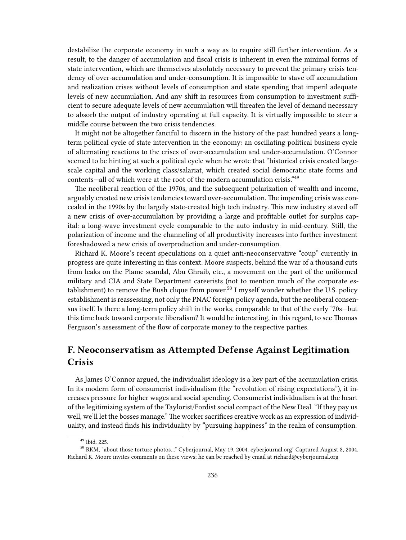destabilize the corporate economy in such a way as to require still further intervention. As a result, to the danger of accumulation and fiscal crisis is inherent in even the minimal forms of state intervention, which are themselves absolutely necessary to prevent the primary crisis tendency of over-accumulation and under-consumption. It is impossible to stave off accumulation and realization crises without levels of consumption and state spending that imperil adequate levels of new accumulation. And any shift in resources from consumption to investment sufficient to secure adequate levels of new accumulation will threaten the level of demand necessary to absorb the output of industry operating at full capacity. It is virtually impossible to steer a middle course between the two crisis tendencies.

It might not be altogether fanciful to discern in the history of the past hundred years a longterm political cycle of state intervention in the economy: an oscillating political business cycle of alternating reactions to the crises of over-accumulation and under-accumulation. O'Connor seemed to be hinting at such a political cycle when he wrote that "historical crisis created largescale capital and the working class/salariat, which created social democratic state forms and contents—all of which were at the root of the modern accumulation crisis."<sup>49</sup>

The neoliberal reaction of the 1970s, and the subsequent polarization of wealth and income, arguably created new crisis tendencies toward over-accumulation. The impending crisis was concealed in the 1990s by the largely state-created high tech industry. This new industry staved off a new crisis of over-accumulation by providing a large and profitable outlet for surplus capital: a long-wave investment cycle comparable to the auto industry in mid-century. Still, the polarization of income and the channeling of all productivity increases into further investment foreshadowed a new crisis of overproduction and under-consumption.

Richard K. Moore's recent speculations on a quiet anti-neoconservative "coup" currently in progress are quite interesting in this context. Moore suspects, behind the war of a thousand cuts from leaks on the Plame scandal, Abu Ghraib, etc., a movement on the part of the uniformed military and CIA and State Department careerists (not to mention much of the corporate establishment) to remove the Bush clique from power.<sup>50</sup> I myself wonder whether the U.S. policy establishment is reassessing, not only the PNAC foreign policy agenda, but the neoliberal consensus itself. Is there a long-term policy shift in the works, comparable to that of the early '70s—but this time back toward corporate liberalism? It would be interesting, in this regard, to see Thomas Ferguson's assessment of the flow of corporate money to the respective parties.

# **F. Neoconservatism as Attempted Defense Against Legitimation Crisis**

As James O'Connor argued, the individualist ideology is a key part of the accumulation crisis. In its modern form of consumerist individualism (the "revolution of rising expectations"), it increases pressure for higher wages and social spending. Consumerist individualism is at the heart of the legitimizing system of the Taylorist/Fordist social compact of the New Deal. "If they pay us well, we'll let the bosses manage." The worker sacrifices creative work as an expression of individuality, and instead finds his individuality by "pursuing happiness" in the realm of consumption.

<sup>49</sup> Ibid. 225.

<sup>50</sup> RKM, "about those torture photos…" Cyberjournal, May 19, 2004. [cyberjournal.org'](http://cyberjournal.org/cj/show_archives/?id=%E2%80%98811%E2%80%99&batch=%E2%80%9916%E2%80%99&lists=%E2%80%98cj) Captured August 8, 2004. Richard K. Moore invites comments on these views; he can be reached by email at richard@cyberjournal.org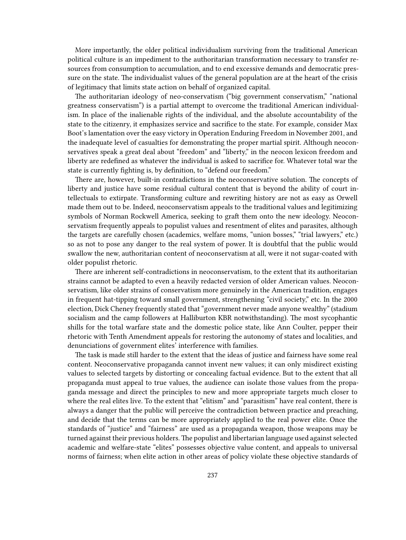More importantly, the older political individualism surviving from the traditional American political culture is an impediment to the authoritarian transformation necessary to transfer resources from consumption to accumulation, and to end excessive demands and democratic pressure on the state. The individualist values of the general population are at the heart of the crisis of legitimacy that limits state action on behalf of organized capital.

The authoritarian ideology of neo-conservatism ("big government conservatism," "national greatness conservatism") is a partial attempt to overcome the traditional American individualism. In place of the inalienable rights of the individual, and the absolute accountability of the state to the citizenry, it emphasizes service and sacrifice to the state. For example, consider Max Boot's lamentation over the easy victory in Operation Enduring Freedom in November 2001, and the inadequate level of casualties for demonstrating the proper martial spirit. Although neoconservatives speak a great deal about "freedom" and "liberty," in the neocon lexicon freedom and liberty are redefined as whatever the individual is asked to sacrifice for. Whatever total war the state is currently fighting is, by definition, to "defend our freedom."

There are, however, built-in contradictions in the neoconservative solution. The concepts of liberty and justice have some residual cultural content that is beyond the ability of court intellectuals to extirpate. Transforming culture and rewriting history are not as easy as Orwell made them out to be. Indeed, neoconservatism appeals to the traditional values and legitimizing symbols of Norman Rockwell America, seeking to graft them onto the new ideology. Neoconservatism frequently appeals to populist values and resentment of elites and parasites, although the targets are carefully chosen (academics, welfare moms, "union bosses," "trial lawyers," etc.) so as not to pose any danger to the real system of power. It is doubtful that the public would swallow the new, authoritarian content of neoconservatism at all, were it not sugar-coated with older populist rhetoric.

There are inherent self-contradictions in neoconservatism, to the extent that its authoritarian strains cannot be adapted to even a heavily redacted version of older American values. Neoconservatism, like older strains of conservatism more genuinely in the American tradition, engages in frequent hat-tipping toward small government, strengthening "civil society," etc. In the 2000 election, Dick Cheney frequently stated that "government never made anyone wealthy" (stadium socialism and the camp followers at Halliburton KBR notwithstanding). The most sycophantic shills for the total warfare state and the domestic police state, like Ann Coulter, pepper their rhetoric with Tenth Amendment appeals for restoring the autonomy of states and localities, and denunciations of government elites' interference with families.

The task is made still harder to the extent that the ideas of justice and fairness have some real content. Neoconservative propaganda cannot invent new values; it can only misdirect existing values to selected targets by distorting or concealing factual evidence. But to the extent that all propaganda must appeal to true values, the audience can isolate those values from the propaganda message and direct the principles to new and more appropriate targets much closer to where the real elites live. To the extent that "elitism" and "parasitism" have real content, there is always a danger that the public will perceive the contradiction between practice and preaching, and decide that the terms can be more appropriately applied to the real power elite. Once the standards of "justice" and "fairness" are used as a propaganda weapon, those weapons may be turned against their previous holders. The populist and libertarian language used against selected academic and welfare-state "elites" possesses objective value content, and appeals to universal norms of fairness; when elite action in other areas of policy violate these objective standards of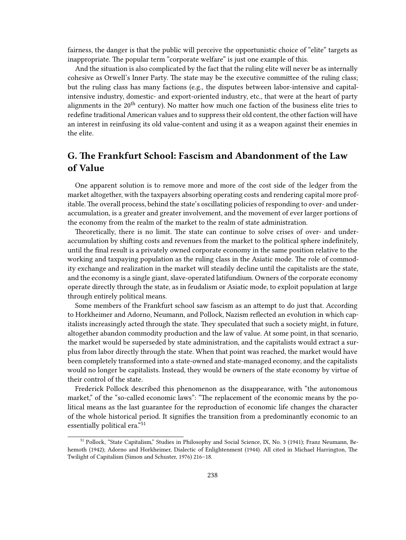fairness, the danger is that the public will perceive the opportunistic choice of "elite" targets as inappropriate. The popular term "corporate welfare" is just one example of this.

And the situation is also complicated by the fact that the ruling elite will never be as internally cohesive as Orwell's Inner Party. The state may be the executive committee of the ruling class; but the ruling class has many factions (e.g., the disputes between labor-intensive and capitalintensive industry, domestic- and export-oriented industry, etc., that were at the heart of party alignments in the  $20<sup>th</sup>$  century). No matter how much one faction of the business elite tries to redefine traditional American values and to suppress their old content, the other faction will have an interest in reinfusing its old value-content and using it as a weapon against their enemies in the elite.

# **G. The Frankfurt School: Fascism and Abandonment of the Law of Value**

One apparent solution is to remove more and more of the cost side of the ledger from the market altogether, with the taxpayers absorbing operating costs and rendering capital more profitable. The overall process, behind the state's oscillating policies of responding to over- and underaccumulation, is a greater and greater involvement, and the movement of ever larger portions of the economy from the realm of the market to the realm of state administration.

Theoretically, there is no limit. The state can continue to solve crises of over- and underaccumulation by shifting costs and revenues from the market to the political sphere indefinitely, until the final result is a privately owned corporate economy in the same position relative to the working and taxpaying population as the ruling class in the Asiatic mode. The role of commodity exchange and realization in the market will steadily decline until the capitalists are the state, and the economy is a single giant, slave-operated latifundium. Owners of the corporate economy operate directly through the state, as in feudalism or Asiatic mode, to exploit population at large through entirely political means.

Some members of the Frankfurt school saw fascism as an attempt to do just that. According to Horkheimer and Adorno, Neumann, and Pollock, Nazism reflected an evolution in which capitalists increasingly acted through the state. They speculated that such a society might, in future, altogether abandon commodity production and the law of value. At some point, in that scenario, the market would be superseded by state administration, and the capitalists would extract a surplus from labor directly through the state. When that point was reached, the market would have been completely transformed into a state-owned and state-managed economy, and the capitalists would no longer be capitalists. Instead, they would be owners of the state economy by virtue of their control of the state.

Frederick Pollock described this phenomenon as the disappearance, with "the autonomous market," of the "so-called economic laws": "The replacement of the economic means by the political means as the last guarantee for the reproduction of economic life changes the character of the whole historical period. It signifies the transition from a predominantly economic to an essentially political era.<sup>"51</sup>

<sup>51</sup> Pollock, "State Capitalism," Studies in Philosophy and Social Science, IX, No. 3 (1941); Franz Neumann, Behemoth (1942); Adorno and Horkheimer, Dialectic of Enlightenment (1944). All cited in Michael Harrington, The Twilight of Capitalism (Simon and Schuster, 1976) 216–18.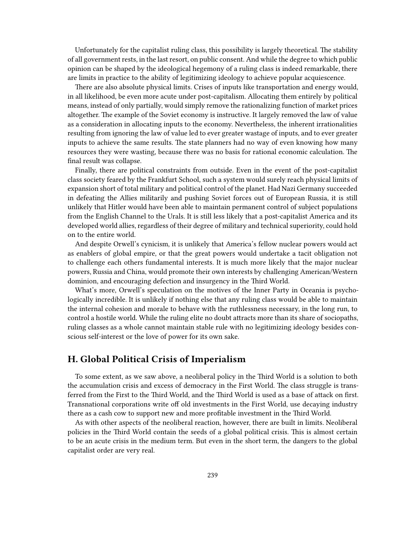Unfortunately for the capitalist ruling class, this possibility is largely theoretical. The stability of all government rests, in the last resort, on public consent. And while the degree to which public opinion can be shaped by the ideological hegemony of a ruling class is indeed remarkable, there are limits in practice to the ability of legitimizing ideology to achieve popular acquiescence.

There are also absolute physical limits. Crises of inputs like transportation and energy would, in all likelihood, be even more acute under post-capitalism. Allocating them entirely by political means, instead of only partially, would simply remove the rationalizing function of market prices altogether. The example of the Soviet economy is instructive. It largely removed the law of value as a consideration in allocating inputs to the economy. Nevertheless, the inherent irrationalities resulting from ignoring the law of value led to ever greater wastage of inputs, and to ever greater inputs to achieve the same results. The state planners had no way of even knowing how many resources they were wasting, because there was no basis for rational economic calculation. The final result was collapse.

Finally, there are political constraints from outside. Even in the event of the post-capitalist class society feared by the Frankfurt School, such a system would surely reach physical limits of expansion short of total military and political control of the planet. Had Nazi Germany succeeded in defeating the Allies militarily and pushing Soviet forces out of European Russia, it is still unlikely that Hitler would have been able to maintain permanent control of subject populations from the English Channel to the Urals. It is still less likely that a post-capitalist America and its developed world allies, regardless of their degree of military and technical superiority, could hold on to the entire world.

And despite Orwell's cynicism, it is unlikely that America's fellow nuclear powers would act as enablers of global empire, or that the great powers would undertake a tacit obligation not to challenge each others fundamental interests. It is much more likely that the major nuclear powers, Russia and China, would promote their own interests by challenging American/Western dominion, and encouraging defection and insurgency in the Third World.

What's more, Orwell's speculation on the motives of the Inner Party in Oceania is psychologically incredible. It is unlikely if nothing else that any ruling class would be able to maintain the internal cohesion and morale to behave with the ruthlessness necessary, in the long run, to control a hostile world. While the ruling elite no doubt attracts more than its share of sociopaths, ruling classes as a whole cannot maintain stable rule with no legitimizing ideology besides conscious self-interest or the love of power for its own sake.

# **H. Global Political Crisis of Imperialism**

To some extent, as we saw above, a neoliberal policy in the Third World is a solution to both the accumulation crisis and excess of democracy in the First World. The class struggle is transferred from the First to the Third World, and the Third World is used as a base of attack on first. Transnational corporations write off old investments in the First World, use decaying industry there as a cash cow to support new and more profitable investment in the Third World.

As with other aspects of the neoliberal reaction, however, there are built in limits. Neoliberal policies in the Third World contain the seeds of a global political crisis. This is almost certain to be an acute crisis in the medium term. But even in the short term, the dangers to the global capitalist order are very real.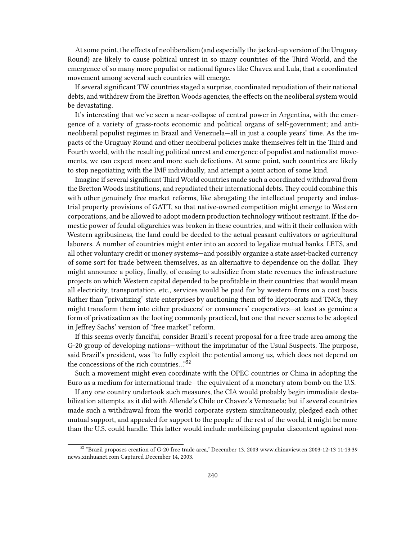At some point, the effects of neoliberalism (and especially the jacked-up version of the Uruguay Round) are likely to cause political unrest in so many countries of the Third World, and the emergence of so many more populist or national figures like Chavez and Lula, that a coordinated movement among several such countries will emerge.

If several significant TW countries staged a surprise, coordinated repudiation of their national debts, and withdrew from the Bretton Woods agencies, the effects on the neoliberal system would be devastating.

It's interesting that we've seen a near-collapse of central power in Argentina, with the emergence of a variety of grass-roots economic and political organs of self-government; and antineoliberal populist regimes in Brazil and Venezuela—all in just a couple years' time. As the impacts of the Uruguay Round and other neoliberal policies make themselves felt in the Third and Fourth world, with the resulting political unrest and emergence of populist and nationalist movements, we can expect more and more such defections. At some point, such countries are likely to stop negotiating with the IMF individually, and attempt a joint action of some kind.

Imagine if several significant Third World countries made such a coordinated withdrawal from the Bretton Woods institutions, and repudiated their international debts. They could combine this with other genuinely free market reforms, like abrogating the intellectual property and industrial property provisions of GATT, so that native-owned competition might emerge to Western corporations, and be allowed to adopt modern production technology without restraint. If the domestic power of feudal oligarchies was broken in these countries, and with it their collusion with Western agribusiness, the land could be deeded to the actual peasant cultivators or agricultural laborers. A number of countries might enter into an accord to legalize mutual banks, LETS, and all other voluntary credit or money systems—and possibly organize a state asset-backed currency of some sort for trade between themselves, as an alternative to dependence on the dollar. They might announce a policy, finally, of ceasing to subsidize from state revenues the infrastructure projects on which Western capital depended to be profitable in their countries: that would mean all electricity, transportation, etc., services would be paid for by western firms on a cost basis. Rather than "privatizing" state enterprises by auctioning them off to kleptocrats and TNCs, they might transform them into either producers' or consumers' cooperatives—at least as genuine a form of privatization as the looting commonly practiced, but one that never seems to be adopted in Jeffrey Sachs' version of "free market" reform.

If this seems overly fanciful, consider Brazil's recent proposal for a free trade area among the G-20 group of developing nations—without the imprimatur of the Usual Suspects. The purpose, said Brazil's president, was "to fully exploit the potential among us, which does not depend on the concessions of the rich countries…"<sup>52</sup>

Such a movement might even coordinate with the OPEC countries or China in adopting the Euro as a medium for international trade—the equivalent of a monetary atom bomb on the U.S.

If any one country undertook such measures, the CIA would probably begin immediate destabilization attempts, as it did with Allende's Chile or Chavez's Venezuela; but if several countries made such a withdrawal from the world corporate system simultaneously, pledged each other mutual support, and appealed for support to the people of the rest of the world, it might be more than the U.S. could handle. This latter would include mobilizing popular discontent against non-

<sup>52</sup> "Brazil proposes creation of G-20 free trade area," December 13, 2003 www.chinaview.cn 2003-12-13 11:13:39 [news.xinhuanet.com](http://news.xinhuanet.com/english/2003-12/13/content_1229296.htm) Captured December 14, 2003.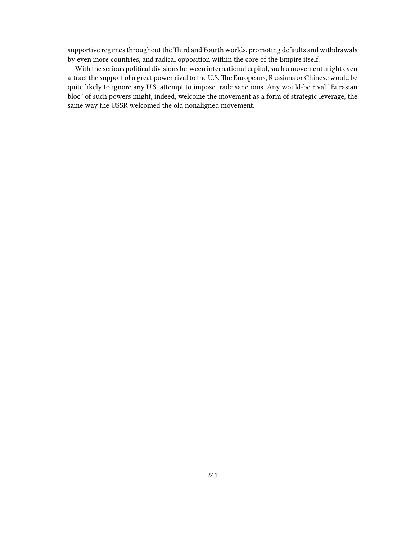supportive regimes throughout the Third and Fourth worlds, promoting defaults and withdrawals by even more countries, and radical opposition within the core of the Empire itself.

With the serious political divisions between international capital, such a movement might even attract the support of a great power rival to the U.S. The Europeans, Russians or Chinese would be quite likely to ignore any U.S. attempt to impose trade sanctions. Any would-be rival "Eurasian bloc" of such powers might, indeed, welcome the movement as a form of strategic leverage, the same way the USSR welcomed the old nonaligned movement.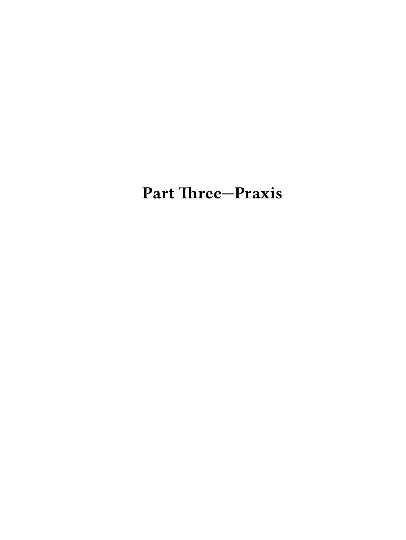**Part Three—Praxis**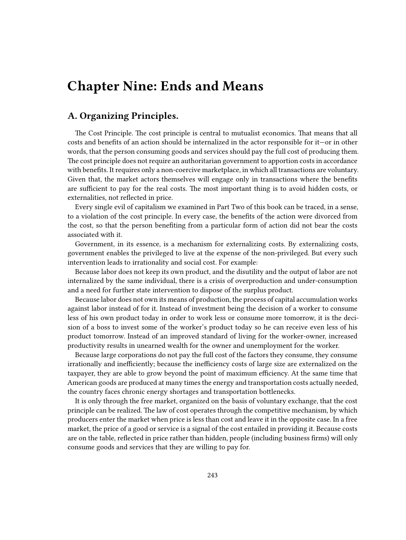# **Chapter Nine: Ends and Means**

### **A. Organizing Principles.**

The Cost Principle. The cost principle is central to mutualist economics. That means that all costs and benefits of an action should be internalized in the actor responsible for it—or in other words, that the person consuming goods and services should pay the full cost of producing them. The cost principle does not require an authoritarian government to apportion costs in accordance with benefits. It requires only a non-coercive marketplace, in which all transactions are voluntary. Given that, the market actors themselves will engage only in transactions where the benefits are sufficient to pay for the real costs. The most important thing is to avoid hidden costs, or externalities, not reflected in price.

Every single evil of capitalism we examined in Part Two of this book can be traced, in a sense, to a violation of the cost principle. In every case, the benefits of the action were divorced from the cost, so that the person benefiting from a particular form of action did not bear the costs associated with it.

Government, in its essence, is a mechanism for externalizing costs. By externalizing costs, government enables the privileged to live at the expense of the non-privileged. But every such intervention leads to irrationality and social cost. For example:

Because labor does not keep its own product, and the disutility and the output of labor are not internalized by the same individual, there is a crisis of overproduction and under-consumption and a need for further state intervention to dispose of the surplus product.

Because labor does not own its means of production, the process of capital accumulation works against labor instead of for it. Instead of investment being the decision of a worker to consume less of his own product today in order to work less or consume more tomorrow, it is the decision of a boss to invest some of the worker's product today so he can receive even less of his product tomorrow. Instead of an improved standard of living for the worker-owner, increased productivity results in unearned wealth for the owner and unemployment for the worker.

Because large corporations do not pay the full cost of the factors they consume, they consume irrationally and inefficiently; because the inefficiency costs of large size are externalized on the taxpayer, they are able to grow beyond the point of maximum efficiency. At the same time that American goods are produced at many times the energy and transportation costs actually needed, the country faces chronic energy shortages and transportation bottlenecks.

It is only through the free market, organized on the basis of voluntary exchange, that the cost principle can be realized. The law of cost operates through the competitive mechanism, by which producers enter the market when price is less than cost and leave it in the opposite case. In a free market, the price of a good or service is a signal of the cost entailed in providing it. Because costs are on the table, reflected in price rather than hidden, people (including business firms) will only consume goods and services that they are willing to pay for.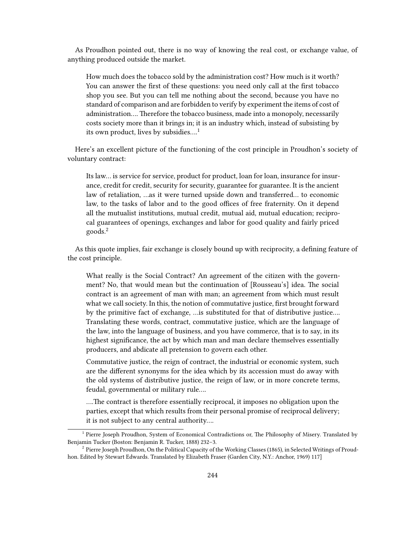As Proudhon pointed out, there is no way of knowing the real cost, or exchange value, of anything produced outside the market.

How much does the tobacco sold by the administration cost? How much is it worth? You can answer the first of these questions: you need only call at the first tobacco shop you see. But you can tell me nothing about the second, because you have no standard of comparison and are forbidden to verify by experiment the items of cost of administration…. Therefore the tobacco business, made into a monopoly, necessarily costs society more than it brings in; it is an industry which, instead of subsisting by its own product, lives by subsidies....<sup>1</sup>

Here's an excellent picture of the functioning of the cost principle in Proudhon's society of voluntary contract:

Its law… is service for service, product for product, loan for loan, insurance for insurance, credit for credit, security for security, guarantee for guarantee. It is the ancient law of retaliation, …as it were turned upside down and transferred… to economic law, to the tasks of labor and to the good offices of free fraternity. On it depend all the mutualist institutions, mutual credit, mutual aid, mutual education; reciprocal guarantees of openings, exchanges and labor for good quality and fairly priced goods.<sup>2</sup>

As this quote implies, fair exchange is closely bound up with reciprocity, a defining feature of the cost principle.

What really is the Social Contract? An agreement of the citizen with the government? No, that would mean but the continuation of [Rousseau's] idea. The social contract is an agreement of man with man; an agreement from which must result what we call society. In this, the notion of commutative justice, first brought forward by the primitive fact of exchange, …is substituted for that of distributive justice…. Translating these words, contract, commutative justice, which are the language of the law, into the language of business, and you have commerce, that is to say, in its highest significance, the act by which man and man declare themselves essentially producers, and abdicate all pretension to govern each other.

Commutative justice, the reign of contract, the industrial or economic system, such are the different synonyms for the idea which by its accession must do away with the old systems of distributive justice, the reign of law, or in more concrete terms, feudal, governmental or military rule….

….The contract is therefore essentially reciprocal, it imposes no obligation upon the parties, except that which results from their personal promise of reciprocal delivery; it is not subject to any central authority….

<sup>&</sup>lt;sup>1</sup> Pierre Joseph Proudhon, System of Economical Contradictions or, The Philosophy of Misery. Translated by Benjamin Tucker (Boston: Benjamin R. Tucker, 1888) 232–3.

<sup>&</sup>lt;sup>2</sup> Pierre Joseph Proudhon, On the Political Capacity of the Working Classes (1865), in Selected Writings of Proudhon. Edited by Stewart Edwards. Translated by Elizabeth Fraser (Garden City, N.Y.: Anchor, 1969) 117]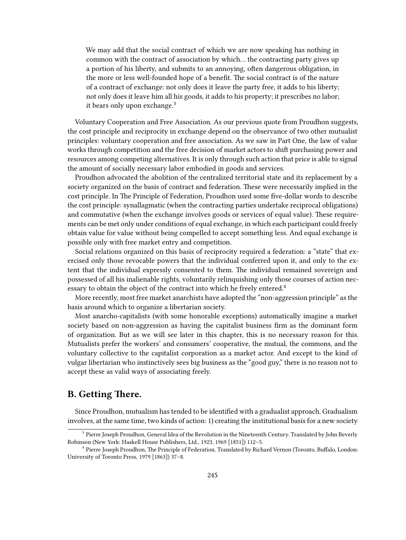We may add that the social contract of which we are now speaking has nothing in common with the contract of association by which… the contracting party gives up a portion of his liberty, and submits to an annoying, often dangerous obligation, in the more or less well-founded hope of a benefit. The social contract is of the nature of a contract of exchange: not only does it leave the party free, it adds to his liberty; not only does it leave him all his goods, it adds to his property; it prescribes no labor; it bears only upon exchange.<sup>3</sup>

Voluntary Cooperation and Free Association. As our previous quote from Proudhon suggests, the cost principle and reciprocity in exchange depend on the observance of two other mutualist principles: voluntary cooperation and free association. As we saw in Part One, the law of value works through competition and the free decision of market actors to shift purchasing power and resources among competing alternatives. It is only through such action that price is able to signal the amount of socially necessary labor embodied in goods and services.

Proudhon advocated the abolition of the centralized territorial state and its replacement by a society organized on the basis of contract and federation. These were necessarily implied in the cost principle. In The Principle of Federation, Proudhon used some five-dollar words to describe the cost principle: synallagmatic (when the contracting parties undertake reciprocal obligations) and commutative (when the exchange involves goods or services of equal value). These requirements can be met only under conditions of equal exchange, in which each participant could freely obtain value for value without being compelled to accept something less. And equal exchange is possible only with free market entry and competition.

Social relations organized on this basis of reciprocity required a federation: a "state" that exercised only those revocable powers that the individual conferred upon it, and only to the extent that the individual expressly consented to them. The individual remained sovereign and possessed of all his inalienable rights, voluntarily relinquishing only those courses of action necessary to obtain the object of the contract into which he freely entered.<sup>4</sup>

More recently, most free market anarchists have adopted the "non-aggression principle" as the basis around which to organize a libertarian society.

Most anarcho-capitalists (with some honorable exceptions) automatically imagine a market society based on non-aggression as having the capitalist business firm as the dominant form of organization. But as we will see later in this chapter, this is no necessary reason for this. Mutualists prefer the workers' and consumers' cooperative, the mutual, the commons, and the voluntary collective to the capitalist corporation as a market actor. And except to the kind of vulgar libertarian who instinctively sees big business as the "good guy," there is no reason not to accept these as valid ways of associating freely.

## **B. Getting There.**

Since Proudhon, mutualism has tended to be identified with a gradualist approach. Gradualism involves, at the same time, two kinds of action: 1) creating the institutional basis for a new society

<sup>&</sup>lt;sup>3</sup> Pierre Joseph Proudhon, General Idea of the Revolution in the Nineteenth Century. Translated by John Beverly Robinson (New York: Haskell House Publishers, Ltd., 1923, 1969 [1851]) 112–5.

<sup>4</sup> Pierre Joseph Proudhon, The Principle of Federation. Translated by Richard Vernon (Toronto, Buffalo, London: University of Toronto Press, 1979 [1863]) 37–8.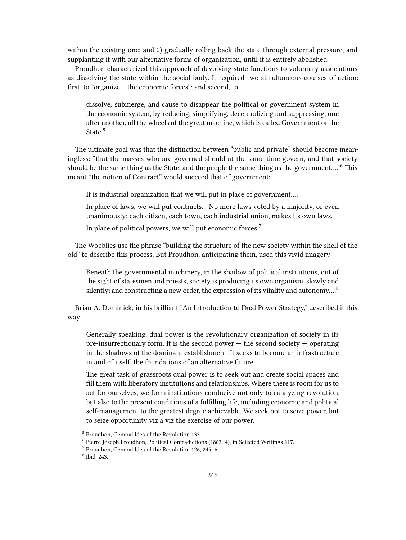within the existing one; and 2) gradually rolling back the state through external pressure, and supplanting it with our alternative forms of organization, until it is entirely abolished.

Proudhon characterized this approach of devolving state functions to voluntary associations as dissolving the state within the social body. It required two simultaneous courses of action: first, to "organize… the economic forces"; and second, to

dissolve, submerge, and cause to disappear the political or government system in the economic system, by reducing, simplifying, decentralizing and suppressing, one after another, all the wheels of the great machine, which is called Government or the State.<sup>5</sup>

The ultimate goal was that the distinction between "public and private" should become meaningless: "that the masses who are governed should at the same time govern, and that society should be the same thing as the State, and the people the same thing as the government…."<sup>6</sup> This meant "the notion of Contract" would succeed that of government:

It is industrial organization that we will put in place of government….

In place of laws, we will put contracts.—No more laws voted by a majority, or even unanimously; each citizen, each town, each industrial union, makes its own laws.

In place of political powers, we will put economic forces.<sup>7</sup>

The Wobblies use the phrase "building the structure of the new society within the shell of the old" to describe this process. But Proudhon, anticipating them, used this vivid imagery:

Beneath the governmental machinery, in the shadow of political institutions, out of the sight of statesmen and priests, society is producing its own organism, slowly and silently; and constructing a new order, the expression of its vitality and autonomy....<sup>8</sup>

Brian A. Dominick, in his brilliant "An Introduction to Dual Power Strategy," described it this way:

Generally speaking, dual power is the revolutionary organization of society in its pre-insurrectionary form. It is the second power  $-$  the second society  $-$  operating in the shadows of the dominant establishment. It seeks to become an infrastructure in and of itself, the foundations of an alternative future…

The great task of grassroots dual power is to seek out and create social spaces and fill them with liberatory institutions and relationships. Where there is room for us to act for ourselves, we form institutions conducive not only to catalyzing revolution, but also to the present conditions of a fulfilling life, including economic and political self-management to the greatest degree achievable. We seek not to seize power, but to seize opportunity viz a viz the exercise of our power.

<sup>5</sup> Proudhon, General Idea of the Revolution 133.

<sup>&</sup>lt;sup>6</sup> Pierre Joseph Proudhon, Political Contradictions (1863-4), in Selected Writings 117.

<sup>7</sup> Proudhon, General Idea of the Revolution 126, 245–6.

<sup>8</sup> Ibid. 243.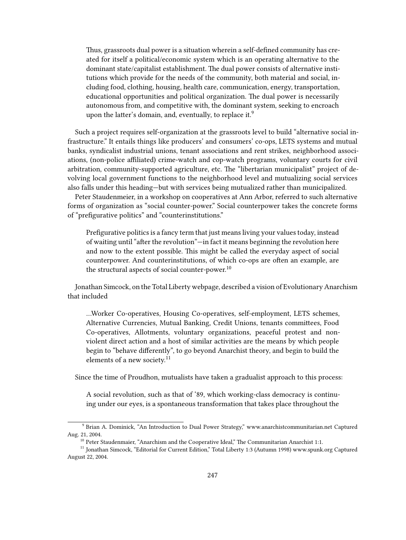Thus, grassroots dual power is a situation wherein a self-defined community has created for itself a political/economic system which is an operating alternative to the dominant state/capitalist establishment. The dual power consists of alternative institutions which provide for the needs of the community, both material and social, including food, clothing, housing, health care, communication, energy, transportation, educational opportunities and political organization. The dual power is necessarily autonomous from, and competitive with, the dominant system, seeking to encroach upon the latter's domain, and, eventually, to replace it.<sup>9</sup>

Such a project requires self-organization at the grassroots level to build "alternative social infrastructure." It entails things like producers' and consumers' co-ops, LETS systems and mutual banks, syndicalist industrial unions, tenant associations and rent strikes, neighborhood associations, (non-police affiliated) crime-watch and cop-watch programs, voluntary courts for civil arbitration, community-supported agriculture, etc. The "libertarian municipalist" project of devolving local government functions to the neighborhood level and mutualizing social services also falls under this heading—but with services being mutualized rather than municipalized.

Peter Staudenmeier, in a workshop on cooperatives at Ann Arbor, referred to such alternative forms of organization as "social counter-power." Social counterpower takes the concrete forms of "prefigurative politics" and "counterinstitutions."

Prefigurative politics is a fancy term that just means living your values today, instead of waiting until "after the revolution"—in fact it means beginning the revolution here and now to the extent possible. This might be called the everyday aspect of social counterpower. And counterinstitutions, of which co-ops are often an example, are the structural aspects of social counter-power.<sup>10</sup>

Jonathan Simcock, on the Total Liberty webpage, described a vision of Evolutionary Anarchism that included

…Worker Co-operatives, Housing Co-operatives, self-employment, LETS schemes, Alternative Currencies, Mutual Banking, Credit Unions, tenants committees, Food Co-operatives, Allotments, voluntary organizations, peaceful protest and nonviolent direct action and a host of similar activities are the means by which people begin to "behave differently", to go beyond Anarchist theory, and begin to build the elements of a new society.<sup>11</sup>

Since the time of Proudhon, mutualists have taken a gradualist approach to this process:

A social revolution, such as that of '89, which working-class democracy is continuing under our eyes, is a spontaneous transformation that takes place throughout the

<sup>9</sup> Brian A. Dominick, "An Introduction to Dual Power Strategy," [www.anarchistcommunitarian.net](http://www.anarchistcommunitarian.net/articles/theory/bdsdp.shtml) Captured Aug. 21, 2004.

 $10$  Peter Staudenmaier, "Anarchism and the Cooperative Ideal," The Communitarian Anarchist 1:1.

<sup>&</sup>lt;sup>11</sup> Jonathan Simcock, "Editorial for Current Edition," Total Liberty 1:3 (Autumn 1998) [www.spunk.org](http://www.spunk.org/library/pubs/tl/sp001872.html) Captured August 22, 2004.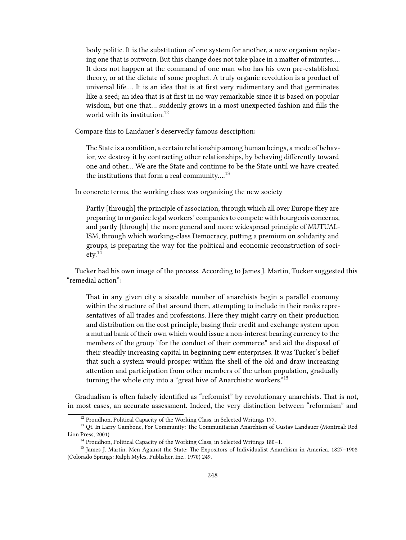body politic. It is the substitution of one system for another, a new organism replacing one that is outworn. But this change does not take place in a matter of minutes…. It does not happen at the command of one man who has his own pre-established theory, or at the dictate of some prophet. A truly organic revolution is a product of universal life…. It is an idea that is at first very rudimentary and that germinates like a seed; an idea that is at first in no way remarkable since it is based on popular wisdom, but one that… suddenly grows in a most unexpected fashion and fills the world with its institution.<sup>12</sup>

Compare this to Landauer's deservedly famous description:

The State is a condition, a certain relationship among human beings, a mode of behavior, we destroy it by contracting other relationships, by behaving differently toward one and other… We are the State and continue to be the State until we have created the institutions that form a real community....<sup>13</sup>

In concrete terms, the working class was organizing the new society

Partly [through] the principle of association, through which all over Europe they are preparing to organize legal workers' companies to compete with bourgeois concerns, and partly [through] the more general and more widespread principle of MUTUAL-ISM, through which working-class Democracy, putting a premium on solidarity and groups, is preparing the way for the political and economic reconstruction of soci- $\text{ety.}^{14}$ 

Tucker had his own image of the process. According to James J. Martin, Tucker suggested this "remedial action":

That in any given city a sizeable number of anarchists begin a parallel economy within the structure of that around them, attempting to include in their ranks representatives of all trades and professions. Here they might carry on their production and distribution on the cost principle, basing their credit and exchange system upon a mutual bank of their own which would issue a non-interest bearing currency to the members of the group "for the conduct of their commerce," and aid the disposal of their steadily increasing capital in beginning new enterprises. It was Tucker's belief that such a system would prosper within the shell of the old and draw increasing attention and participation from other members of the urban population, gradually turning the whole city into a "great hive of Anarchistic workers.<sup>"15</sup>

Gradualism is often falsely identified as "reformist" by revolutionary anarchists. That is not, in most cases, an accurate assessment. Indeed, the very distinction between "reformism" and

<sup>&</sup>lt;sup>12</sup> Proudhon, Political Capacity of the Working Class, in Selected Writings 177.

<sup>&</sup>lt;sup>13</sup> Qt. In Larry Gambone, For Community: The Communitarian Anarchism of Gustav Landauer (Montreal: Red Lion Press, 2001)

 $14$  Proudhon, Political Capacity of the Working Class, in Selected Writings 180-1.

<sup>15</sup> James J. Martin, Men Against the State: The Expositors of Individualist Anarchism in America, 1827–1908 (Colorado Springs: Ralph Myles, Publisher, Inc., 1970) 249.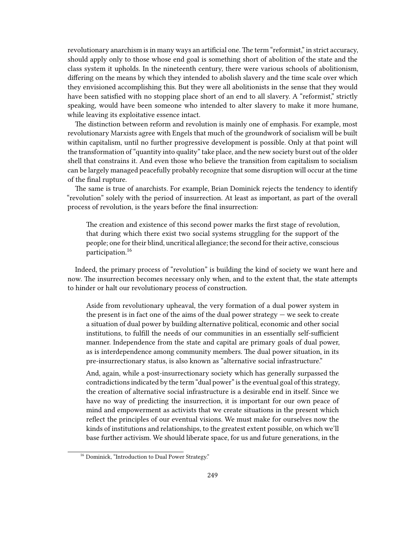revolutionary anarchism is in many ways an artificial one. The term "reformist," in strict accuracy, should apply only to those whose end goal is something short of abolition of the state and the class system it upholds. In the nineteenth century, there were various schools of abolitionism, differing on the means by which they intended to abolish slavery and the time scale over which they envisioned accomplishing this. But they were all abolitionists in the sense that they would have been satisfied with no stopping place short of an end to all slavery. A "reformist," strictly speaking, would have been someone who intended to alter slavery to make it more humane, while leaving its exploitative essence intact.

The distinction between reform and revolution is mainly one of emphasis. For example, most revolutionary Marxists agree with Engels that much of the groundwork of socialism will be built within capitalism, until no further progressive development is possible. Only at that point will the transformation of "quantity into quality" take place, and the new society burst out of the older shell that constrains it. And even those who believe the transition from capitalism to socialism can be largely managed peacefully probably recognize that some disruption will occur at the time of the final rupture.

The same is true of anarchists. For example, Brian Dominick rejects the tendency to identify "revolution" solely with the period of insurrection. At least as important, as part of the overall process of revolution, is the years before the final insurrection:

The creation and existence of this second power marks the first stage of revolution, that during which there exist two social systems struggling for the support of the people; one for their blind, uncritical allegiance; the second for their active, conscious participation.<sup>16</sup>

Indeed, the primary process of "revolution" is building the kind of society we want here and now. The insurrection becomes necessary only when, and to the extent that, the state attempts to hinder or halt our revolutionary process of construction.

Aside from revolutionary upheaval, the very formation of a dual power system in the present is in fact one of the aims of the dual power strategy  $-$  we seek to create a situation of dual power by building alternative political, economic and other social institutions, to fulfill the needs of our communities in an essentially self-sufficient manner. Independence from the state and capital are primary goals of dual power, as is interdependence among community members. The dual power situation, in its pre-insurrectionary status, is also known as "alternative social infrastructure."

And, again, while a post-insurrectionary society which has generally surpassed the contradictions indicated by the term "dual power" is the eventual goal of this strategy, the creation of alternative social infrastructure is a desirable end in itself. Since we have no way of predicting the insurrection, it is important for our own peace of mind and empowerment as activists that we create situations in the present which reflect the principles of our eventual visions. We must make for ourselves now the kinds of institutions and relationships, to the greatest extent possible, on which we'll base further activism. We should liberate space, for us and future generations, in the

<sup>&</sup>lt;sup>16</sup> Dominick, "Introduction to Dual Power Strategy."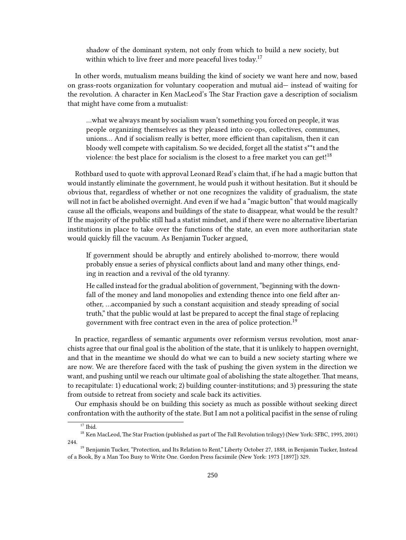shadow of the dominant system, not only from which to build a new society, but within which to live freer and more peaceful lives today.<sup>17</sup>

In other words, mutualism means building the kind of society we want here and now, based on grass-roots organization for voluntary cooperation and mutual aid— instead of waiting for the revolution. A character in Ken MacLeod's The Star Fraction gave a description of socialism that might have come from a mutualist:

…what we always meant by socialism wasn't something you forced on people, it was people organizing themselves as they pleased into co-ops, collectives, communes, unions… And if socialism really is better, more efficient than capitalism, then it can bloody well compete with capitalism. So we decided, forget all the statist s\*\*t and the violence: the best place for socialism is the closest to a free market you can get!<sup>18</sup>

Rothbard used to quote with approval Leonard Read's claim that, if he had a magic button that would instantly eliminate the government, he would push it without hesitation. But it should be obvious that, regardless of whether or not one recognizes the validity of gradualism, the state will not in fact be abolished overnight. And even if we had a "magic button" that would magically cause all the officials, weapons and buildings of the state to disappear, what would be the result? If the majority of the public still had a statist mindset, and if there were no alternative libertarian institutions in place to take over the functions of the state, an even more authoritarian state would quickly fill the vacuum. As Benjamin Tucker argued,

If government should be abruptly and entirely abolished to-morrow, there would probably ensue a series of physical conflicts about land and many other things, ending in reaction and a revival of the old tyranny.

He called instead for the gradual abolition of government, "beginning with the downfall of the money and land monopolies and extending thence into one field after another, …accompanied by such a constant acquisition and steady spreading of social truth," that the public would at last be prepared to accept the final stage of replacing government with free contract even in the area of police protection.<sup>19</sup>

In practice, regardless of semantic arguments over reformism versus revolution, most anarchists agree that our final goal is the abolition of the state, that it is unlikely to happen overnight, and that in the meantime we should do what we can to build a new society starting where we are now. We are therefore faced with the task of pushing the given system in the direction we want, and pushing until we reach our ultimate goal of abolishing the state altogether. That means, to recapitulate: 1) educational work; 2) building counter-institutions; and 3) pressuring the state from outside to retreat from society and scale back its activities.

Our emphasis should be on building this society as much as possible without seeking direct confrontation with the authority of the state. But I am not a political pacifist in the sense of ruling

 $17$  Ibid.

<sup>&</sup>lt;sup>18</sup> Ken MacLeod, The Star Fraction (published as part of The Fall Revolution trilogy) (New York: SFBC, 1995, 2001) 244.

<sup>&</sup>lt;sup>19</sup> Benjamin Tucker, "Protection, and Its Relation to Rent," Liberty October 27, 1888, in Benjamin Tucker, Instead of a Book, By a Man Too Busy to Write One. Gordon Press facsimile (New York: 1973 [1897]) 329.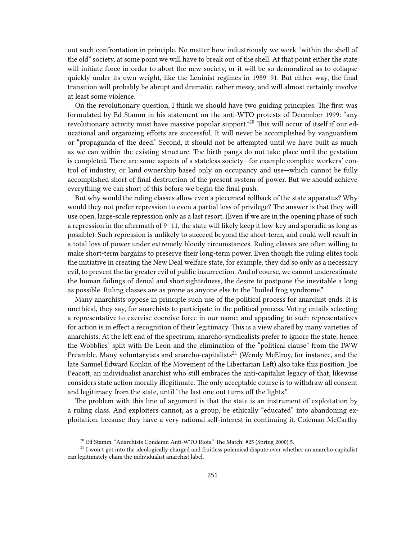out such confrontation in principle. No matter how industriously we work "within the shell of the old" society, at some point we will have to break out of the shell. At that point either the state will initiate force in order to abort the new society, or it will be so demoralized as to collapse quickly under its own weight, like the Leninist regimes in 1989–91. But either way, the final transition will probably be abrupt and dramatic, rather messy, and will almost certainly involve at least some violence.

On the revolutionary question, I think we should have two guiding principles. The first was formulated by Ed Stamm in his statement on the anti-WTO protests of December 1999: "any revolutionary activity must have massive popular support.<sup>"20</sup> This will occur of itself if our educational and organizing efforts are successful. It will never be accomplished by vanguardism or "propaganda of the deed." Second, it should not be attempted until we have built as much as we can within the existing structure. The birth pangs do not take place until the gestation is completed. There are some aspects of a stateless society—for example complete workers' control of industry, or land ownership based only on occupancy and use—which cannot be fully accomplished short of final destruction of the present system of power. But we should achieve everything we can short of this before we begin the final push.

But why would the ruling classes allow even a piecemeal rollback of the state apparatus? Why would they not prefer repression to even a partial loss of privilege? The answer is that they will use open, large-scale repression only as a last resort. (Even if we are in the opening phase of such a repression in the aftermath of 9–11, the state will likely keep it low-key and sporadic as long as possible). Such repression is unlikely to succeed beyond the short-term, and could well result in a total loss of power under extremely bloody circumstances. Ruling classes are often willing to make short-term bargains to preserve their long-term power. Even though the ruling elites took the initiative in creating the New Deal welfare state, for example, they did so only as a necessary evil, to prevent the far greater evil of public insurrection. And of course, we cannot underestimate the human failings of denial and shortsightedness, the desire to postpone the inevitable a long as possible. Ruling classes are as prone as anyone else to the "boiled frog syndrome."

Many anarchists oppose in principle such use of the political process for anarchist ends. It is unethical, they say, for anarchists to participate in the political process. Voting entails selecting a representative to exercise coercive force in our name; and appealing to such representatives for action is in effect a recognition of their legitimacy. This is a view shared by many varieties of anarchists. At the left end of the spectrum, anarcho-syndicalists prefer to ignore the state; hence the Wobblies' split with De Leon and the elimination of the "political clause" from the IWW Preamble. Many voluntaryists and anarcho-capitalists<sup>21</sup> (Wendy McElroy, for instance, and the late Samuel Edward Konkin of the Movement of the Libertarian Left) also take this position. Joe Peacott, an individualist anarchist who still embraces the anti-capitalist legacy of that, likewise considers state action morally illegitimate. The only acceptable course is to withdraw all consent and legitimacy from the state, until "the last one out turns off the lights."

The problem with this line of argument is that the state is an instrument of exploitation by a ruling class. And exploiters cannot, as a group, be ethically "educated" into abandoning exploitation, because they have a very rational self-interest in continuing it. Coleman McCarthy

<sup>&</sup>lt;sup>20</sup> Ed Stamm. "Anarchists Condemn Anti-WTO Riots," The Match! #25 (Spring 2000) 5.

 $21$  I won't get into the ideologically charged and fruitless polemical dispute over whether an anarcho-capitalist can legitimately claim the individualist anarchist label.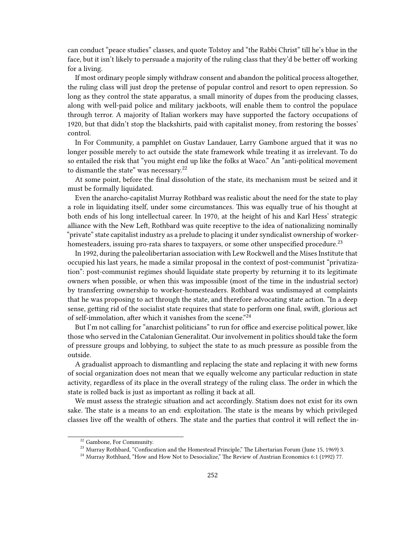can conduct "peace studies" classes, and quote Tolstoy and "the Rabbi Christ" till he's blue in the face, but it isn't likely to persuade a majority of the ruling class that they'd be better off working for a living.

If most ordinary people simply withdraw consent and abandon the political process altogether, the ruling class will just drop the pretense of popular control and resort to open repression. So long as they control the state apparatus, a small minority of dupes from the producing classes, along with well-paid police and military jackboots, will enable them to control the populace through terror. A majority of Italian workers may have supported the factory occupations of 1920, but that didn't stop the blackshirts, paid with capitalist money, from restoring the bosses' control.

In For Community, a pamphlet on Gustav Landauer, Larry Gambone argued that it was no longer possible merely to act outside the state framework while treating it as irrelevant. To do so entailed the risk that "you might end up like the folks at Waco." An "anti-political movement to dismantle the state" was necessary.<sup>22</sup>

At some point, before the final dissolution of the state, its mechanism must be seized and it must be formally liquidated.

Even the anarcho-capitalist Murray Rothbard was realistic about the need for the state to play a role in liquidating itself, under some circumstances. This was equally true of his thought at both ends of his long intellectual career. In 1970, at the height of his and Karl Hess' strategic alliance with the New Left, Rothbard was quite receptive to the idea of nationalizing nominally "private" state capitalist industry as a prelude to placing it under syndicalist ownership of workerhomesteaders, issuing pro-rata shares to taxpayers, or some other unspecified procedure.<sup>23</sup>

In 1992, during the paleolibertarian association with Lew Rockwell and the Mises Institute that occupied his last years, he made a similar proposal in the context of post-communist "privatization": post-communist regimes should liquidate state property by returning it to its legitimate owners when possible, or when this was impossible (most of the time in the industrial sector) by transferring ownership to worker-homesteaders. Rothbard was undismayed at complaints that he was proposing to act through the state, and therefore advocating state action. "In a deep sense, getting rid of the socialist state requires that state to perform one final, swift, glorious act of self-immolation, after which it vanishes from the scene.<sup>"24</sup>

But I'm not calling for "anarchist politicians" to run for office and exercise political power, like those who served in the Catalonian Generalitat. Our involvement in politics should take the form of pressure groups and lobbying, to subject the state to as much pressure as possible from the outside.

A gradualist approach to dismantling and replacing the state and replacing it with new forms of social organization does not mean that we equally welcome any particular reduction in state activity, regardless of its place in the overall strategy of the ruling class. The order in which the state is rolled back is just as important as rolling it back at all.

We must assess the strategic situation and act accordingly. Statism does not exist for its own sake. The state is a means to an end: exploitation. The state is the means by which privileged classes live off the wealth of others. The state and the parties that control it will reflect the in-

<sup>&</sup>lt;sup>22</sup> Gambone, For Community.

<sup>&</sup>lt;sup>23</sup> Murray Rothbard, "Confiscation and the Homestead Principle," The Libertarian Forum (June 15, 1969) 3.

<sup>&</sup>lt;sup>24</sup> Murray Rothbard, "How and How Not to Desocialize," The Review of Austrian Economics 6:1 (1992) 77.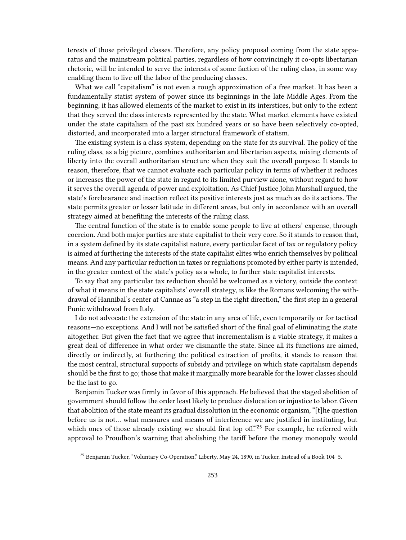terests of those privileged classes. Therefore, any policy proposal coming from the state apparatus and the mainstream political parties, regardless of how convincingly it co-opts libertarian rhetoric, will be intended to serve the interests of some faction of the ruling class, in some way enabling them to live off the labor of the producing classes.

What we call "capitalism" is not even a rough approximation of a free market. It has been a fundamentally statist system of power since its beginnings in the late Middle Ages. From the beginning, it has allowed elements of the market to exist in its interstices, but only to the extent that they served the class interests represented by the state. What market elements have existed under the state capitalism of the past six hundred years or so have been selectively co-opted, distorted, and incorporated into a larger structural framework of statism.

The existing system is a class system, depending on the state for its survival. The policy of the ruling class, as a big picture, combines authoritarian and libertarian aspects, mixing elements of liberty into the overall authoritarian structure when they suit the overall purpose. It stands to reason, therefore, that we cannot evaluate each particular policy in terms of whether it reduces or increases the power of the state in regard to its limited purview alone, without regard to how it serves the overall agenda of power and exploitation. As Chief Justice John Marshall argued, the state's forebearance and inaction reflect its positive interests just as much as do its actions. The state permits greater or lesser latitude in different areas, but only in accordance with an overall strategy aimed at benefiting the interests of the ruling class.

The central function of the state is to enable some people to live at others' expense, through coercion. And both major parties are state capitalist to their very core. So it stands to reason that, in a system defined by its state capitalist nature, every particular facet of tax or regulatory policy is aimed at furthering the interests of the state capitalist elites who enrich themselves by political means. And any particular reduction in taxes or regulations promoted by either party is intended, in the greater context of the state's policy as a whole, to further state capitalist interests.

To say that any particular tax reduction should be welcomed as a victory, outside the context of what it means in the state capitalists' overall strategy, is like the Romans welcoming the withdrawal of Hannibal's center at Cannae as "a step in the right direction," the first step in a general Punic withdrawal from Italy.

I do not advocate the extension of the state in any area of life, even temporarily or for tactical reasons—no exceptions. And I will not be satisfied short of the final goal of eliminating the state altogether. But given the fact that we agree that incrementalism is a viable strategy, it makes a great deal of difference in what order we dismantle the state. Since all its functions are aimed, directly or indirectly, at furthering the political extraction of profits, it stands to reason that the most central, structural supports of subsidy and privilege on which state capitalism depends should be the first to go; those that make it marginally more bearable for the lower classes should be the last to go.

Benjamin Tucker was firmly in favor of this approach. He believed that the staged abolition of government should follow the order least likely to produce dislocation or injustice to labor. Given that abolition of the state meant its gradual dissolution in the economic organism, "[t]he question before us is not… what measures and means of interference we are justified in instituting, but which ones of those already existing we should first lop off.<sup> $425$ </sup> For example, he referred with approval to Proudhon's warning that abolishing the tariff before the money monopoly would

<sup>&</sup>lt;sup>25</sup> Benjamin Tucker, "Voluntary Co-Operation," Liberty, May 24, 1890, in Tucker, Instead of a Book 104-5.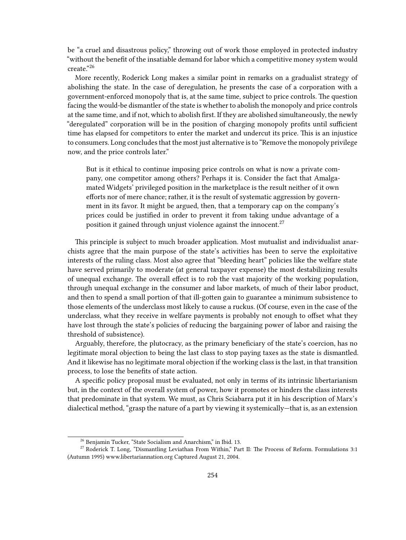be "a cruel and disastrous policy," throwing out of work those employed in protected industry "without the benefit of the insatiable demand for labor which a competitive money system would create."<sup>26</sup>

More recently, Roderick Long makes a similar point in remarks on a gradualist strategy of abolishing the state. In the case of deregulation, he presents the case of a corporation with a government-enforced monopoly that is, at the same time, subject to price controls. The question facing the would-be dismantler of the state is whether to abolish the monopoly and price controls at the same time, and if not, which to abolish first. If they are abolished simultaneously, the newly "deregulated" corporation will be in the position of charging monopoly profits until sufficient time has elapsed for competitors to enter the market and undercut its price. This is an injustice to consumers. Long concludes that the most just alternative is to "Remove the monopoly privilege now, and the price controls later."

But is it ethical to continue imposing price controls on what is now a private company, one competitor among others? Perhaps it is. Consider the fact that Amalgamated Widgets' privileged position in the marketplace is the result neither of it own efforts nor of mere chance; rather, it is the result of systematic aggression by government in its favor. It might be argued, then, that a temporary cap on the company's prices could be justified in order to prevent it from taking undue advantage of a position it gained through unjust violence against the innocent.<sup>27</sup>

This principle is subject to much broader application. Most mutualist and individualist anarchists agree that the main purpose of the state's activities has been to serve the exploitative interests of the ruling class. Most also agree that "bleeding heart" policies like the welfare state have served primarily to moderate (at general taxpayer expense) the most destabilizing results of unequal exchange. The overall effect is to rob the vast majority of the working population, through unequal exchange in the consumer and labor markets, of much of their labor product, and then to spend a small portion of that ill-gotten gain to guarantee a minimum subsistence to those elements of the underclass most likely to cause a ruckus. (Of course, even in the case of the underclass, what they receive in welfare payments is probably not enough to offset what they have lost through the state's policies of reducing the bargaining power of labor and raising the threshold of subsistence).

Arguably, therefore, the plutocracy, as the primary beneficiary of the state's coercion, has no legitimate moral objection to being the last class to stop paying taxes as the state is dismantled. And it likewise has no legitimate moral objection if the working class is the last, in that transition process, to lose the benefits of state action.

A specific policy proposal must be evaluated, not only in terms of its intrinsic libertarianism but, in the context of the overall system of power, how it promotes or hinders the class interests that predominate in that system. We must, as Chris Sciabarra put it in his description of Marx's dialectical method, "grasp the nature of a part by viewing it systemically—that is, as an extension

<sup>&</sup>lt;sup>26</sup> Benjamin Tucker, "State Socialism and Anarchism," in Ibid. 13.

<sup>&</sup>lt;sup>27</sup> Roderick T. Long, "Dismantling Leviathan From Within," Part II: The Process of Reform. Formulations 3:1 (Autumn 1995) [www.libertariannation.org](http://www.libertariannation.org/a/f31l3.html) Captured August 21, 2004.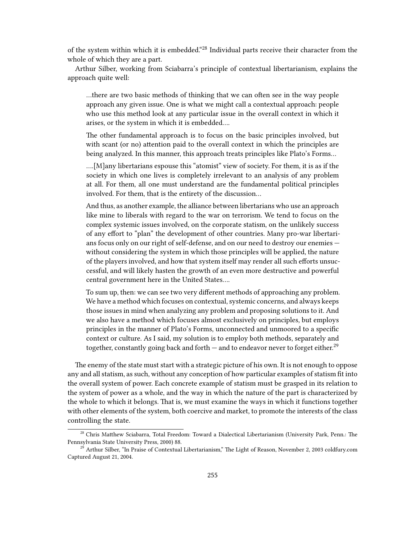of the system within which it is embedded."<sup>28</sup> Individual parts receive their character from the whole of which they are a part.

Arthur Silber, working from Sciabarra's principle of contextual libertarianism, explains the approach quite well:

…there are two basic methods of thinking that we can often see in the way people approach any given issue. One is what we might call a contextual approach: people who use this method look at any particular issue in the overall context in which it arises, or the system in which it is embedded….

The other fundamental approach is to focus on the basic principles involved, but with scant (or no) attention paid to the overall context in which the principles are being analyzed. In this manner, this approach treats principles like Plato's Forms…

….[M]any libertarians espouse this "atomist" view of society. For them, it is as if the society in which one lives is completely irrelevant to an analysis of any problem at all. For them, all one must understand are the fundamental political principles involved. For them, that is the entirety of the discussion…

And thus, as another example, the alliance between libertarians who use an approach like mine to liberals with regard to the war on terrorism. We tend to focus on the complex systemic issues involved, on the corporate statism, on the unlikely success of any effort to "plan" the development of other countries. Many pro-war libertarians focus only on our right of self-defense, and on our need to destroy our enemies without considering the system in which those principles will be applied, the nature of the players involved, and how that system itself may render all such efforts unsuccessful, and will likely hasten the growth of an even more destructive and powerful central government here in the United States….

To sum up, then: we can see two very different methods of approaching any problem. We have a method which focuses on contextual, systemic concerns, and always keeps those issues in mind when analyzing any problem and proposing solutions to it. And we also have a method which focuses almost exclusively on principles, but employs principles in the manner of Plato's Forms, unconnected and unmoored to a specific context or culture. As I said, my solution is to employ both methods, separately and together, constantly going back and forth — and to endeavor never to forget either.<sup>29</sup>

The enemy of the state must start with a strategic picture of his own. It is not enough to oppose any and all statism, as such, without any conception of how particular examples of statism fit into the overall system of power. Each concrete example of statism must be grasped in its relation to the system of power as a whole, and the way in which the nature of the part is characterized by the whole to which it belongs. That is, we must examine the ways in which it functions together with other elements of the system, both coercive and market, to promote the interests of the class controlling the state.

<sup>&</sup>lt;sup>28</sup> Chris Matthew Sciabarra, Total Freedom: Toward a Dialectical Libertarianism (University Park, Penn.: The Pennsylvania State University Press, 2000) 88.

<sup>&</sup>lt;sup>29</sup> Arthur Silber, "In Praise of Contextual Libertarianism," The Light of Reason, November 2, 2003 [coldfury.com](http://coldfury.com/reason/comments.php?id=P1229_0_1_0_C) Captured August 21, 2004.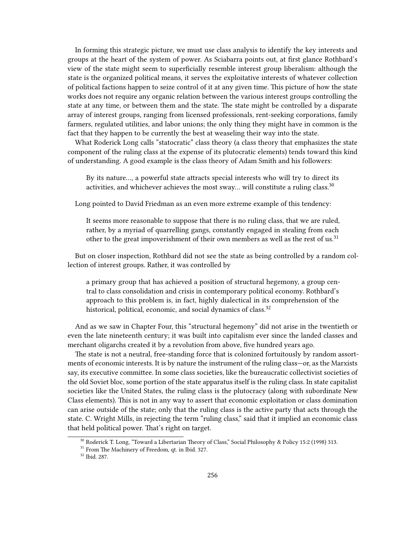In forming this strategic picture, we must use class analysis to identify the key interests and groups at the heart of the system of power. As Sciabarra points out, at first glance Rothbard's view of the state might seem to superficially resemble interest group liberalism: although the state is the organized political means, it serves the exploitative interests of whatever collection of political factions happen to seize control of it at any given time. This picture of how the state works does not require any organic relation between the various interest groups controlling the state at any time, or between them and the state. The state might be controlled by a disparate array of interest groups, ranging from licensed professionals, rent-seeking corporations, family farmers, regulated utilities, and labor unions; the only thing they might have in common is the fact that they happen to be currently the best at weaseling their way into the state.

What Roderick Long calls "statocratic" class theory (a class theory that emphasizes the state component of the ruling class at the expense of its plutocratic elements) tends toward this kind of understanding. A good example is the class theory of Adam Smith and his followers:

By its nature…, a powerful state attracts special interests who will try to direct its activities, and whichever achieves the most sway... will constitute a ruling class.<sup>30</sup>

Long pointed to David Friedman as an even more extreme example of this tendency:

It seems more reasonable to suppose that there is no ruling class, that we are ruled, rather, by a myriad of quarrelling gangs, constantly engaged in stealing from each other to the great impoverishment of their own members as well as the rest of us.<sup>31</sup>

But on closer inspection, Rothbard did not see the state as being controlled by a random collection of interest groups. Rather, it was controlled by

a primary group that has achieved a position of structural hegemony, a group central to class consolidation and crisis in contemporary political economy. Rothbard's approach to this problem is, in fact, highly dialectical in its comprehension of the historical, political, economic, and social dynamics of class.<sup>32</sup>

And as we saw in Chapter Four, this "structural hegemony" did not arise in the twentieth or even the late nineteenth century; it was built into capitalism ever since the landed classes and merchant oligarchs created it by a revolution from above, five hundred years ago.

The state is not a neutral, free-standing force that is colonized fortuitously by random assortments of economic interests. It is by nature the instrument of the ruling class—or, as the Marxists say, its executive committee. In some class societies, like the bureaucratic collectivist societies of the old Soviet bloc, some portion of the state apparatus itself is the ruling class. In state capitalist societies like the United States, the ruling class is the plutocracy (along with subordinate New Class elements). This is not in any way to assert that economic exploitation or class domination can arise outside of the state; only that the ruling class is the active party that acts through the state. C. Wright Mills, in rejecting the term "ruling class," said that it implied an economic class that held political power. That's right on target.

<sup>30</sup> Roderick T. Long, "Toward a Libertarian Theory of Class," Social Philosophy & Policy 15:2 (1998) 313.

<sup>&</sup>lt;sup>31</sup> From The Machinery of Freedom, qt. in Ibid. 327.

<sup>32</sup> Ibid. 287.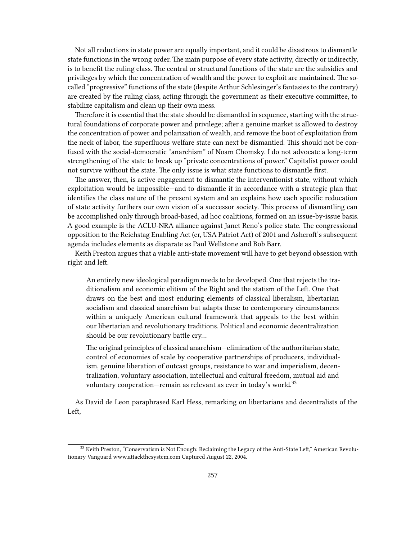Not all reductions in state power are equally important, and it could be disastrous to dismantle state functions in the wrong order. The main purpose of every state activity, directly or indirectly, is to benefit the ruling class. The central or structural functions of the state are the subsidies and privileges by which the concentration of wealth and the power to exploit are maintained. The socalled "progressive" functions of the state (despite Arthur Schlesinger's fantasies to the contrary) are created by the ruling class, acting through the government as their executive committee, to stabilize capitalism and clean up their own mess.

Therefore it is essential that the state should be dismantled in sequence, starting with the structural foundations of corporate power and privilege; after a genuine market is allowed to destroy the concentration of power and polarization of wealth, and remove the boot of exploitation from the neck of labor, the superfluous welfare state can next be dismantled. This should not be confused with the social-democratic "anarchism" of Noam Chomsky. I do not advocate a long-term strengthening of the state to break up "private concentrations of power." Capitalist power could not survive without the state. The only issue is what state functions to dismantle first.

The answer, then, is active engagement to dismantle the interventionist state, without which exploitation would be impossible—and to dismantle it in accordance with a strategic plan that identifies the class nature of the present system and an explains how each specific reducation of state activity furthers our own vision of a successor society. This process of dismantling can be accomplished only through broad-based, ad hoc coalitions, formed on an issue-by-issue basis. A good example is the ACLU-NRA alliance against Janet Reno's police state. The congressional opposition to the Reichstag Enabling Act (er, USA Patriot Act) of 2001 and Ashcroft's subsequent agenda includes elements as disparate as Paul Wellstone and Bob Barr.

Keith Preston argues that a viable anti-state movement will have to get beyond obsession with right and left.

An entirely new ideological paradigm needs to be developed. One that rejects the traditionalism and economic elitism of the Right and the statism of the Left. One that draws on the best and most enduring elements of classical liberalism, libertarian socialism and classical anarchism but adapts these to contemporary circumstances within a uniquely American cultural framework that appeals to the best within our libertarian and revolutionary traditions. Political and economic decentralization should be our revolutionary battle cry…

The original principles of classical anarchism—elimination of the authoritarian state, control of economies of scale by cooperative partnerships of producers, individualism, genuine liberation of outcast groups, resistance to war and imperialism, decentralization, voluntary association, intellectual and cultural freedom, mutual aid and voluntary cooperation—remain as relevant as ever in today's world.<sup>33</sup>

As David de Leon paraphrased Karl Hess, remarking on libertarians and decentralists of the Left,

<sup>&</sup>lt;sup>33</sup> Keith Preston, "Conservatism is Not Enough: Reclaiming the Legacy of the Anti-State Left," American Revolutionary Vanguard [www.attackthesystem.com](http://www.attackthesystem.com/conservatism.html) Captured August 22, 2004.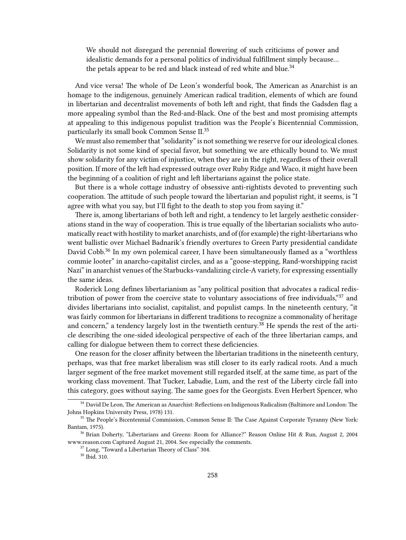We should not disregard the perennial flowering of such criticisms of power and idealistic demands for a personal politics of individual fulfillment simply because… the petals appear to be red and black instead of red white and blue.<sup>34</sup>

And vice versa! The whole of De Leon's wonderful book, The American as Anarchist is an homage to the indigenous, genuinely American radical tradition, elements of which are found in libertarian and decentralist movements of both left and right, that finds the Gadsden flag a more appealing symbol than the Red-and-Black. One of the best and most promising attempts at appealing to this indigenous populist tradition was the People's Bicentennial Commission, particularly its small book Common Sense II.<sup>35</sup>

We must also remember that "solidarity" is not something we reserve for our ideological clones. Solidarity is not some kind of special favor, but something we are ethically bound to. We must show solidarity for any victim of injustice, when they are in the right, regardless of their overall position. If more of the left had expressed outrage over Ruby Ridge and Waco, it might have been the beginning of a coalition of right and left libertarians against the police state.

But there is a whole cottage industry of obsessive anti-rightists devoted to preventing such cooperation. The attitude of such people toward the libertarian and populist right, it seems, is "I agree with what you say, but I'll fight to the death to stop you from saying it."

There is, among libertarians of both left and right, a tendency to let largely aesthetic considerations stand in the way of cooperation. This is true equally of the libertarian socialists who automatically react with hostility to market anarchists, and of (for example) the right-libertarians who went ballistic over Michael Badnarik's friendly overtures to Green Party presidential candidate David Cobb.<sup>36</sup> In my own polemical career, I have been simultaneously flamed as a "worthless" commie looter" in anarcho-capitalist circles, and as a "goose-stepping, Rand-worshipping racist Nazi" in anarchist venues of the Starbucks-vandalizing circle-A variety, for expressing essentially the same ideas.

Roderick Long defines libertarianism as "any political position that advocates a radical redistribution of power from the coercive state to voluntary associations of free individuals, <sup>37</sup> and divides libertarians into socialist, capitalist, and populist camps. In the nineteenth century, "it was fairly common for libertarians in different traditions to recognize a commonality of heritage and concern," a tendency largely lost in the twentieth century.<sup>38</sup> He spends the rest of the article describing the one-sided ideological perspective of each of the three libertarian camps, and calling for dialogue between them to correct these deficiencies.

One reason for the closer affinity between the libertarian traditions in the nineteenth century, perhaps, was that free market liberalism was still closer to its early radical roots. And a much larger segment of the free market movement still regarded itself, at the same time, as part of the working class movement. That Tucker, Labadie, Lum, and the rest of the Liberty circle fall into this category, goes without saying. The same goes for the Georgists. Even Herbert Spencer, who

<sup>34</sup> David De Leon, The American as Anarchist: Reflections on Indigenous Radicalism (Baltimore and London: The Johns Hopkins University Press, 1978) 131.

<sup>&</sup>lt;sup>35</sup> The People's Bicentennial Commission, Common Sense II: The Case Against Corporate Tyranny (New York: Bantam, 1975).

<sup>36</sup> Brian Doherty, "Libertarians and Greens: Room for Alliance?" Reason Online Hit & Run, August 2, 2004 [www.reason.com](http://www.reason.com/hitandrun/006330.shtml) Captured August 21, 2004. See especially the comments.

 $^{37}$  Long, "Toward a Libertarian Theory of Class" 304.

<sup>38</sup> Ibid. 310.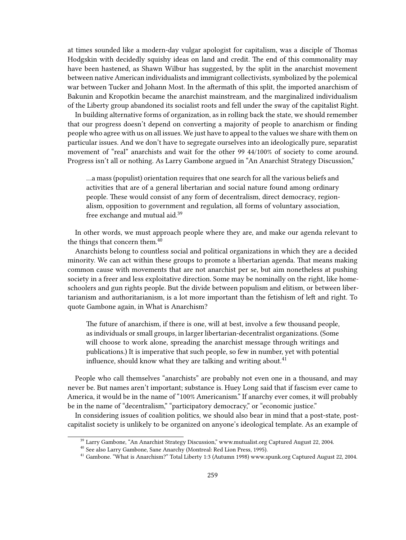at times sounded like a modern-day vulgar apologist for capitalism, was a disciple of Thomas Hodgskin with decidedly squishy ideas on land and credit. The end of this commonality may have been hastened, as Shawn Wilbur has suggested, by the split in the anarchist movement between native American individualists and immigrant collectivists, symbolized by the polemical war between Tucker and Johann Most. In the aftermath of this split, the imported anarchism of Bakunin and Kropotkin became the anarchist mainstream, and the marginalized individualism of the Liberty group abandoned its socialist roots and fell under the sway of the capitalist Right.

In building alternative forms of organization, as in rolling back the state, we should remember that our progress doesn't depend on converting a majority of people to anarchism or finding people who agree with us on all issues. We just have to appeal to the values we share with them on particular issues. And we don't have to segregate ourselves into an ideologically pure, separatist movement of "real" anarchists and wait for the other 99 44/100% of society to come around. Progress isn't all or nothing. As Larry Gambone argued in "An Anarchist Strategy Discussion,"

…a mass (populist) orientation requires that one search for all the various beliefs and activities that are of a general libertarian and social nature found among ordinary people. These would consist of any form of decentralism, direct democracy, regionalism, opposition to government and regulation, all forms of voluntary association, free exchange and mutual aid.<sup>39</sup>

In other words, we must approach people where they are, and make our agenda relevant to the things that concern them.<sup>40</sup>

Anarchists belong to countless social and political organizations in which they are a decided minority. We can act within these groups to promote a libertarian agenda. That means making common cause with movements that are not anarchist per se, but aim nonetheless at pushing society in a freer and less exploitative direction. Some may be nominally on the right, like homeschoolers and gun rights people. But the divide between populism and elitism, or between libertarianism and authoritarianism, is a lot more important than the fetishism of left and right. To quote Gambone again, in What is Anarchism?

The future of anarchism, if there is one, will at best, involve a few thousand people, as individuals or small groups, in larger libertarian-decentralist organizations. (Some will choose to work alone, spreading the anarchist message through writings and publications.) It is imperative that such people, so few in number, yet with potential influence, should know what they are talking and writing about.<sup>41</sup>

People who call themselves "anarchists" are probably not even one in a thousand, and may never be. But names aren't important; substance is. Huey Long said that if fascism ever came to America, it would be in the name of "100% Americanism." If anarchy ever comes, it will probably be in the name of "decentralism," "participatory democracy," or "economic justice."

In considering issues of coalition politics, we should also bear in mind that a post-state, postcapitalist society is unlikely to be organized on anyone's ideological template. As an example of

<sup>&</sup>lt;sup>39</sup> Larry Gambone, "An Anarchist Strategy Discussion," [www.mutualist.org](http://www.mutualist.org/id13.html) Captured August 22, 2004.

<sup>&</sup>lt;sup>40</sup> See also Larry Gambone, Sane Anarchy (Montreal: Red Lion Press, 1995).

<sup>41</sup> Gambone. "What is Anarchism?" Total Liberty 1:3 (Autumn 1998) [www.spunk.org](http://www.spunk.org/library/pubs/tl/sp001872.html) Captured August 22, 2004.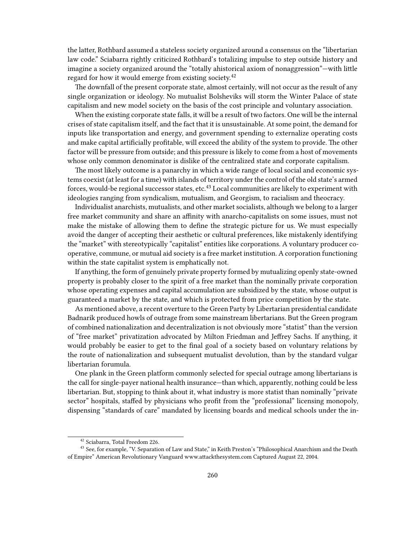the latter, Rothbard assumed a stateless society organized around a consensus on the "libertarian law code." Sciabarra rightly criticized Rothbard's totalizing impulse to step outside history and imagine a society organized around the "totally ahistorical axiom of nonaggression"—with little regard for how it would emerge from existing society.<sup>42</sup>

The downfall of the present corporate state, almost certainly, will not occur as the result of any single organization or ideology. No mutualist Bolsheviks will storm the Winter Palace of state capitalism and new model society on the basis of the cost principle and voluntary association.

When the existing corporate state falls, it will be a result of two factors. One will be the internal crises of state capitalism itself, and the fact that it is unsustainable. At some point, the demand for inputs like transportation and energy, and government spending to externalize operating costs and make capital artificially profitable, will exceed the ability of the system to provide. The other factor will be pressure from outside; and this pressure is likely to come from a host of movements whose only common denominator is dislike of the centralized state and corporate capitalism.

The most likely outcome is a panarchy in which a wide range of local social and economic systems coexist (at least for a time) with islands of territory under the control of the old state's armed forces, would-be regional successor states, etc.<sup>43</sup> Local communities are likely to experiment with ideologies ranging from syndicalism, mutualism, and Georgism, to racialism and theocracy.

Individualist anarchists, mutualists, and other market socialists, although we belong to a larger free market community and share an affinity with anarcho-capitalists on some issues, must not make the mistake of allowing them to define the strategic picture for us. We must especially avoid the danger of accepting their aesthetic or cultural preferences, like mistakenly identifying the "market" with stereotypically "capitalist" entities like corporations. A voluntary producer cooperative, commune, or mutual aid society is a free market institution. A corporation functioning within the state capitalist system is emphatically not.

If anything, the form of genuinely private property formed by mutualizing openly state-owned property is probably closer to the spirit of a free market than the nominally private corporation whose operating expenses and capital accumulation are subsidized by the state, whose output is guaranteed a market by the state, and which is protected from price competition by the state.

As mentioned above, a recent overture to the Green Party by Libertarian presidential candidate Badnarik produced howls of outrage from some mainstream libertarians. But the Green program of combined nationalization and decentralization is not obviously more "statist" than the version of "free market" privatization advocated by Milton Friedman and Jeffrey Sachs. If anything, it would probably be easier to get to the final goal of a society based on voluntary relations by the route of nationalization and subsequent mutualist devolution, than by the standard vulgar libertarian forumula.

One plank in the Green platform commonly selected for special outrage among libertarians is the call for single-payer national health insurance—than which, apparently, nothing could be less libertarian. But, stopping to think about it, what industry is more statist than nominally "private sector" hospitals, staffed by physicians who profit from the "professional" licensing monopoly, dispensing "standards of care" mandated by licensing boards and medical schools under the in-

<sup>42</sup> Sciabarra, Total Freedom 226.

<sup>&</sup>lt;sup>43</sup> See, for example, "V. Separation of Law and State," in Keith Preston's "Philosophical Anarchism and the Death of Empire" American Revolutionary Vanguard [www.attackthesystem.com](http://www.attackthesystem.com/philo.html) Captured August 22, 2004.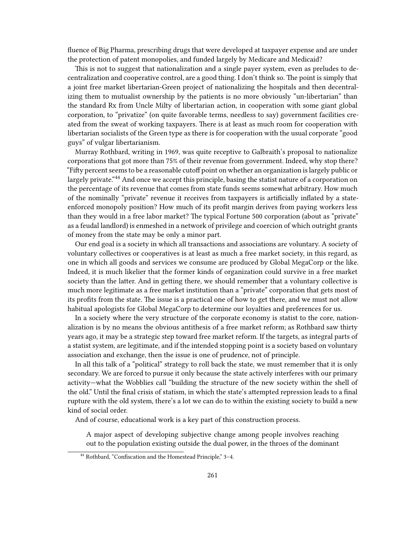fluence of Big Pharma, prescribing drugs that were developed at taxpayer expense and are under the protection of patent monopolies, and funded largely by Medicare and Medicaid?

This is not to suggest that nationalization and a single payer system, even as preludes to decentralization and cooperative control, are a good thing. I don't think so. The point is simply that a joint free market libertarian-Green project of nationalizing the hospitals and then decentralizing them to mutualist ownership by the patients is no more obviously "un-libertarian" than the standard Rx from Uncle Milty of libertarian action, in cooperation with some giant global corporation, to "privatize" (on quite favorable terms, needless to say) government facilities created from the sweat of working taxpayers. There is at least as much room for cooperation with libertarian socialists of the Green type as there is for cooperation with the usual corporate "good guys" of vulgar libertarianism.

Murray Rothbard, writing in 1969, was quite receptive to Galbraith's proposal to nationalize corporations that got more than 75% of their revenue from government. Indeed, why stop there? "Fifty percent seems to be a reasonable cutoff point on whether an organization is largely public or largely private."<sup>44</sup> And once we accept this principle, basing the statist nature of a corporation on the percentage of its revenue that comes from state funds seems somewhat arbitrary. How much of the nominally "private" revenue it receives from taxpayers is artificially inflated by a stateenforced monopoly position? How much of its profit margin derives from paying workers less than they would in a free labor market? The typical Fortune 500 corporation (about as "private" as a feudal landlord) is enmeshed in a network of privilege and coercion of which outright grants of money from the state may be only a minor part.

Our end goal is a society in which all transactions and associations are voluntary. A society of voluntary collectives or cooperatives is at least as much a free market society, in this regard, as one in which all goods and services we consume are produced by Global MegaCorp or the like. Indeed, it is much likelier that the former kinds of organization could survive in a free market society than the latter. And in getting there, we should remember that a voluntary collective is much more legitimate as a free market institution than a "private" corporation that gets most of its profits from the state. The issue is a practical one of how to get there, and we must not allow habitual apologists for Global MegaCorp to determine our loyalties and preferences for us.

In a society where the very structure of the corporate economy is statist to the core, nationalization is by no means the obvious antithesis of a free market reform; as Rothbard saw thirty years ago, it may be a strategic step toward free market reform. If the targets, as integral parts of a statist system, are legitimate, and if the intended stopping point is a society based on voluntary association and exchange, then the issue is one of prudence, not of principle.

In all this talk of a "political" strategy to roll back the state, we must remember that it is only secondary. We are forced to pursue it only because the state actively interferes with our primary activity—what the Wobblies call "building the structure of the new society within the shell of the old." Until the final crisis of statism, in which the state's attempted repression leads to a final rupture with the old system, there's a lot we can do to within the existing society to build a new kind of social order.

And of course, educational work is a key part of this construction process.

A major aspect of developing subjective change among people involves reaching out to the population existing outside the dual power, in the throes of the dominant

<sup>44</sup> Rothbard, "Confiscation and the Homestead Principle," 3–4.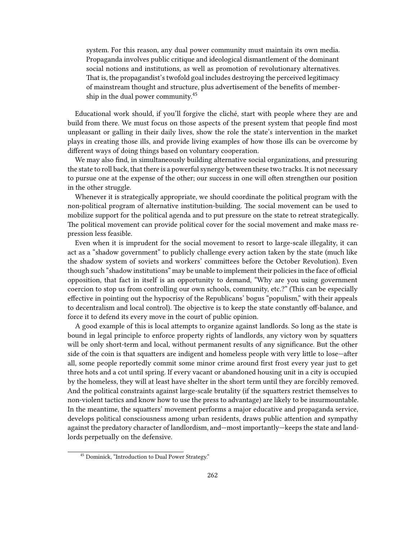system. For this reason, any dual power community must maintain its own media. Propaganda involves public critique and ideological dismantlement of the dominant social notions and institutions, as well as promotion of revolutionary alternatives. That is, the propagandist's twofold goal includes destroying the perceived legitimacy of mainstream thought and structure, plus advertisement of the benefits of membership in the dual power community.<sup>45</sup>

Educational work should, if you'll forgive the cliché, start with people where they are and build from there. We must focus on those aspects of the present system that people find most unpleasant or galling in their daily lives, show the role the state's intervention in the market plays in creating those ills, and provide living examples of how those ills can be overcome by different ways of doing things based on voluntary cooperation.

We may also find, in simultaneously building alternative social organizations, and pressuring the state to roll back, that there is a powerful synergy between these two tracks. It is not necessary to pursue one at the expense of the other; our success in one will often strengthen our position in the other struggle.

Whenever it is strategically appropriate, we should coordinate the political program with the non-political program of alternative institution-building. The social movement can be used to mobilize support for the political agenda and to put pressure on the state to retreat strategically. The political movement can provide political cover for the social movement and make mass repression less feasible.

Even when it is imprudent for the social movement to resort to large-scale illegality, it can act as a "shadow government" to publicly challenge every action taken by the state (much like the shadow system of soviets and workers' committees before the October Revolution). Even though such "shadow institutions" may be unable to implement their policies in the face of official opposition, that fact in itself is an opportunity to demand, "Why are you using government coercion to stop us from controlling our own schools, community, etc.?" (This can be especially effective in pointing out the hypocrisy of the Republicans' bogus "populism," with their appeals to decentralism and local control). The objective is to keep the state constantly off-balance, and force it to defend its every move in the court of public opinion.

A good example of this is local attempts to organize against landlords. So long as the state is bound in legal principle to enforce property rights of landlords, any victory won by squatters will be only short-term and local, without permanent results of any significance. But the other side of the coin is that squatters are indigent and homeless people with very little to lose—after all, some people reportedly commit some minor crime around first frost every year just to get three hots and a cot until spring. If every vacant or abandoned housing unit in a city is occupied by the homeless, they will at least have shelter in the short term until they are forcibly removed. And the political constraints against large-scale brutality (if the squatters restrict themselves to non-violent tactics and know how to use the press to advantage) are likely to be insurmountable. In the meantime, the squatters' movement performs a major educative and propaganda service, develops political consciousness among urban residents, draws public attention and sympathy against the predatory character of landlordism, and—most importantly—keeps the state and landlords perpetually on the defensive.

<sup>45</sup> Dominick, "Introduction to Dual Power Strategy."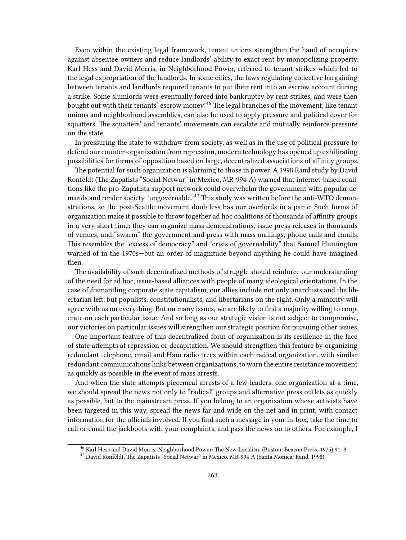Even within the existing legal framework, tenant unions strengthen the hand of occupiers against absentee owners and reduce landlords' ability to exact rent by monopolizing property. Karl Hess and David Morris, in Neighborhood Power, referred to tenant strikes which led to the legal expropriation of the landlords. In some cities, the laws regulating collective bargaining between tenants and landlords required tenants to put their rent into an escrow account during a strike. Some slumlords were eventually forced into bankruptcy by rent strikes, and were then bought out with their tenants' escrow money!<sup>46</sup> The legal branches of the movement, like tenant unions and neighborhood assemblies, can also be used to apply pressure and political cover for squatters. The squatters' and tenants' movements can escalate and mutually reinforce pressure on the state.

In pressuring the state to withdraw from society, as well as in the use of political pressure to defend our counter-organization from repression, modern technology has opened up exhilirating possibilities for forms of opposition based on large, decentralized associations of affinity groups.

The potential for such organization is alarming to those in power. A 1998 Rand study by David Ronfeldt (The Zapatists "Social Netwar" in Mexico, MR-994-A) warned that internet-based coalitions like the pro-Zapatista support network could overwhelm the government with popular demands and render society "ungovernable."<sup>47</sup> This study was written before the anti-WTO demonstrations, so the post-Seattle movement doubtless has our overlords in a panic. Such forms of organization make it possible to throw together ad hoc coalitions of thousands of affinity groups in a very short time; they can organize mass demonstrations, issue press releases in thousands of venues, and "swarm" the government and press with mass mailings, phone calls and emails. This resembles the "excess of democracy" and "crisis of governability" that Samuel Huntington warned of in the 1970s—but an order of magnitude beyond anything he could have imagined then.

The availability of such decentralized methods of struggle should reinforce our understanding of the need for ad hoc, issue-based alliances with people of many ideological orientations. In the case of dismantling corporate state capitalism, our allies include not only anarchists and the libertarian left, but populists, constitutionalists, and libertarians on the right. Only a minority will agree with us on everything. But on many issues, we are likely to find a majority willing to cooperate on each particular issue. And so long as our strategic vision is not subject to compromise, our victories on particular issues will strengthen our strategic position for pursuing other issues.

One important feature of this decentralized form of organization is its resilience in the face of state attempts at repression or decapitation. We should strengthen this feature by organizing redundant telephone, email and Ham radio trees within each radical organization, with similar redundant communications links between organizations, to warn the entire resistance movement as quickly as possible in the event of mass arrests.

And when the state attempts piecemeal arrests of a few leaders, one organization at a time, we should spread the news not only to "radical" groups and alternative press outlets as quickly as possible, but to the mainstream press. If you belong to an organization whose activists have been targeted in this way, spread the news far and wide on the net and in print, with contact information for the officials involved. If you find such a message in your in-box, take the time to call or email the jackboots with your complaints, and pass the news on to others. For example, I

<sup>46</sup> Karl Hess and David Morris, Neighborhood Power: The New Localism (Boston: Beacon Press, 1975) 91–3.

<sup>&</sup>lt;sup>47</sup> David Ronfeldt, The Zapatists "Social Netwar" in Mexico. MR-994-A (Santa Monica: Rand, 1998).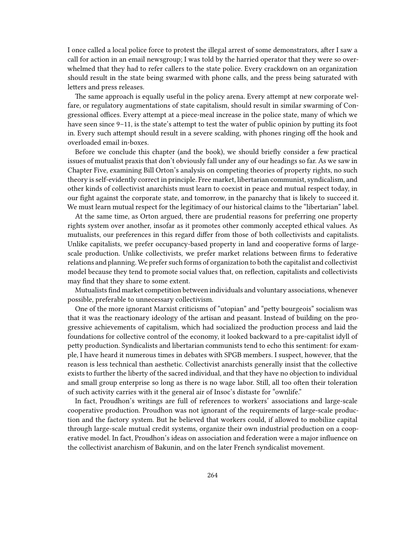I once called a local police force to protest the illegal arrest of some demonstrators, after I saw a call for action in an email newsgroup; I was told by the harried operator that they were so overwhelmed that they had to refer callers to the state police. Every crackdown on an organization should result in the state being swarmed with phone calls, and the press being saturated with letters and press releases.

The same approach is equally useful in the policy arena. Every attempt at new corporate welfare, or regulatory augmentations of state capitalism, should result in similar swarming of Congressional offices. Every attempt at a piece-meal increase in the police state, many of which we have seen since 9–11, is the state's attempt to test the water of public opinion by putting its foot in. Every such attempt should result in a severe scalding, with phones ringing off the hook and overloaded email in-boxes.

Before we conclude this chapter (and the book), we should briefly consider a few practical issues of mutualist praxis that don't obviously fall under any of our headings so far. As we saw in Chapter Five, examining Bill Orton's analysis on competing theories of property rights, no such theory is self-evidently correct in principle. Free market, libertarian communist, syndicalism, and other kinds of collectivist anarchists must learn to coexist in peace and mutual respect today, in our fight against the corporate state, and tomorrow, in the panarchy that is likely to succeed it. We must learn mutual respect for the legitimacy of our historical claims to the "libertarian" label.

At the same time, as Orton argued, there are prudential reasons for preferring one property rights system over another, insofar as it promotes other commonly accepted ethical values. As mutualists, our preferences in this regard differ from those of both collectivists and capitalists. Unlike capitalists, we prefer occupancy-based property in land and cooperative forms of largescale production. Unlike collectivists, we prefer market relations between firms to federative relations and planning. We prefer such forms of organization to both the capitalist and collectivist model because they tend to promote social values that, on reflection, capitalists and collectivists may find that they share to some extent.

Mutualists find market competition between individuals and voluntary associations, whenever possible, preferable to unnecessary collectivism.

One of the more ignorant Marxist criticisms of "utopian" and "petty bourgeois" socialism was that it was the reactionary ideology of the artisan and peasant. Instead of building on the progressive achievements of capitalism, which had socialized the production process and laid the foundations for collective control of the economy, it looked backward to a pre-capitalist idyll of petty production. Syndicalists and libertarian communists tend to echo this sentiment: for example, I have heard it numerous times in debates with SPGB members. I suspect, however, that the reason is less technical than aesthetic. Collectivist anarchists generally insist that the collective exists to further the liberty of the sacred individual, and that they have no objection to individual and small group enterprise so long as there is no wage labor. Still, all too often their toleration of such activity carries with it the general air of Insoc's distaste for "ownlife."

In fact, Proudhon's writings are full of references to workers' associations and large-scale cooperative production. Proudhon was not ignorant of the requirements of large-scale production and the factory system. But he believed that workers could, if allowed to mobilize capital through large-scale mutual credit systems, organize their own industrial production on a cooperative model. In fact, Proudhon's ideas on association and federation were a major influence on the collectivist anarchism of Bakunin, and on the later French syndicalist movement.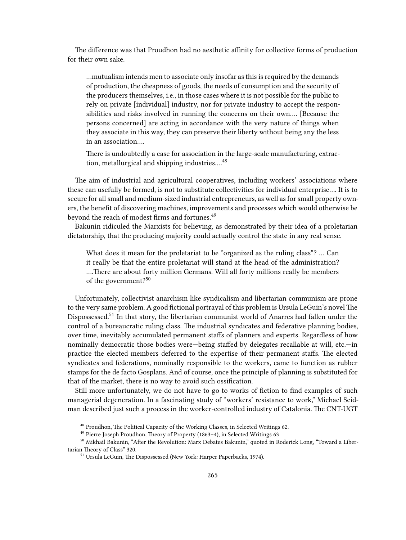The difference was that Proudhon had no aesthetic affinity for collective forms of production for their own sake.

…mutualism intends men to associate only insofar as this is required by the demands of production, the cheapness of goods, the needs of consumption and the security of the producers themselves, i.e., in those cases where it is not possible for the public to rely on private [individual] industry, nor for private industry to accept the responsibilities and risks involved in running the concerns on their own…. [Because the persons concerned] are acting in accordance with the very nature of things when they associate in this way, they can preserve their liberty without being any the less in an association….

There is undoubtedly a case for association in the large-scale manufacturing, extraction, metallurgical and shipping industries....<sup>48</sup>

The aim of industrial and agricultural cooperatives, including workers' associations where these can usefully be formed, is not to substitute collectivities for individual enterprise…. It is to secure for all small and medium-sized industrial entrepreneurs, as well as for small property owners, the benefit of discovering machines, improvements and processes which would otherwise be beyond the reach of modest firms and fortunes.<sup>49</sup>

Bakunin ridiculed the Marxists for believing, as demonstrated by their idea of a proletarian dictatorship, that the producing majority could actually control the state in any real sense.

What does it mean for the proletariat to be "organized as the ruling class"? … Can it really be that the entire proletariat will stand at the head of the administration? ….There are about forty million Germans. Will all forty millions really be members of the government?<sup>50</sup>

Unfortunately, collectivist anarchism like syndicalism and libertarian communism are prone to the very same problem. A good fictional portrayal of this problem is Ursula LeGuin's novel The Dispossessed.<sup>51</sup> In that story, the libertarian communist world of Anarres had fallen under the control of a bureaucratic ruling class. The industrial syndicates and federative planning bodies, over time, inevitably accumulated permanent staffs of planners and experts. Regardless of how nominally democratic those bodies were—being staffed by delegates recallable at will, etc.—in practice the elected members deferred to the expertise of their permanent staffs. The elected syndicates and federations, nominally responsible to the workers, came to function as rubber stamps for the de facto Gosplans. And of course, once the principle of planning is substituted for that of the market, there is no way to avoid such ossification.

Still more unfortunately, we do not have to go to works of fiction to find examples of such managerial degeneration. In a fascinating study of "workers' resistance to work," Michael Seidman described just such a process in the worker-controlled industry of Catalonia. The CNT-UGT

<sup>&</sup>lt;sup>48</sup> Proudhon, The Political Capacity of the Working Classes, in Selected Writings 62.

<sup>49</sup> Pierre Joseph Proudhon, Theory of Property (1863–4), in Selected Writings 63

<sup>&</sup>lt;sup>50</sup> Mikhail Bakunin, "After the Revolution: Marx Debates Bakunin," quoted in Roderick Long, "Toward a Libertarian Theory of Class" 320.

<sup>&</sup>lt;sup>51</sup> Ursula LeGuin, The Dispossessed (New York: Harper Paperbacks, 1974).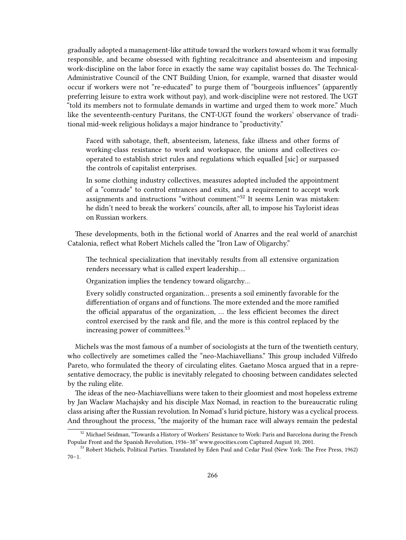gradually adopted a management-like attitude toward the workers toward whom it was formally responsible, and became obsessed with fighting recalcitrance and absenteeism and imposing work-discipline on the labor force in exactly the same way capitalist bosses do. The Technical-Administrative Council of the CNT Building Union, for example, warned that disaster would occur if workers were not "re-educated" to purge them of "bourgeois influences" (apparently preferring leisure to extra work without pay), and work-discipline were not restored. The UGT "told its members not to formulate demands in wartime and urged them to work more." Much like the seventeenth-century Puritans, the CNT-UGT found the workers' observance of traditional mid-week religious holidays a major hindrance to "productivity."

Faced with sabotage, theft, absenteeism, lateness, fake illness and other forms of working-class resistance to work and workspace, the unions and collectives cooperated to establish strict rules and regulations which equalled [sic] or surpassed the controls of capitalist enterprises.

In some clothing industry collectives, measures adopted included the appointment of a "comrade" to control entrances and exits, and a requirement to accept work assignments and instructions "without comment."<sup>52</sup> It seems Lenin was mistaken: he didn't need to break the workers' councils, after all, to impose his Taylorist ideas on Russian workers.

These developments, both in the fictional world of Anarres and the real world of anarchist Catalonia, reflect what Robert Michels called the "Iron Law of Oligarchy."

The technical specialization that inevitably results from all extensive organization renders necessary what is called expert leadership….

Organization implies the tendency toward oligarchy…

Every solidly constructed organization… presents a soil eminently favorable for the differentiation of organs and of functions. The more extended and the more ramified the official apparatus of the organization, … the less efficient becomes the direct control exercised by the rank and file, and the more is this control replaced by the increasing power of committees.<sup>53</sup>

Michels was the most famous of a number of sociologists at the turn of the twentieth century, who collectively are sometimes called the "neo-Machiavellians." This group included Vilfredo Pareto, who formulated the theory of circulating elites. Gaetano Mosca argued that in a representative democracy, the public is inevitably relegated to choosing between candidates selected by the ruling elite.

The ideas of the neo-Machiavellians were taken to their gloomiest and most hopeless extreme by Jan Waclaw Machajsky and his disciple Max Nomad, in reaction to the bureaucratic ruling class arising after the Russian revolution. In Nomad's lurid picture, history was a cyclical process. And throughout the process, "the majority of the human race will always remain the pedestal

 $52$  Michael Seidman, "Towards a History of Workers' Resistance to Work: Paris and Barcelona during the French Popular Front and the Spanish Revolution, 1936–38" [www.geocities.com](http://www.geocities.com/CapitolHill/Lobby/2379/seid2.htm) Captured August 10, 2001.

<sup>53</sup> Robert Michels, Political Parties. Translated by Eden Paul and Cedar Paul (New York: The Free Press, 1962)  $70 - 1$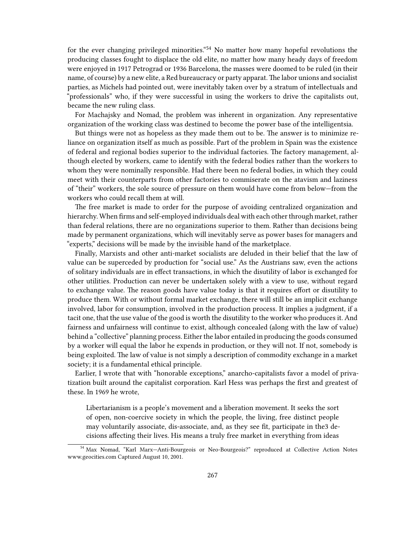for the ever changing privileged minorities."<sup>54</sup> No matter how many hopeful revolutions the producing classes fought to displace the old elite, no matter how many heady days of freedom were enjoyed in 1917 Petrograd or 1936 Barcelona, the masses were doomed to be ruled (in their name, of course) by a new elite, a Red bureaucracy or party apparat. The labor unions and socialist parties, as Michels had pointed out, were inevitably taken over by a stratum of intellectuals and "professionals" who, if they were successful in using the workers to drive the capitalists out, became the new ruling class.

For Machajsky and Nomad, the problem was inherent in organization. Any representative organization of the working class was destined to become the power base of the intelligentsia.

But things were not as hopeless as they made them out to be. The answer is to minimize reliance on organization itself as much as possible. Part of the problem in Spain was the existence of federal and regional bodies superior to the individual factories. The factory management, although elected by workers, came to identify with the federal bodies rather than the workers to whom they were nominally responsible. Had there been no federal bodies, in which they could meet with their counterparts from other factories to commiserate on the atavism and laziness of "their" workers, the sole source of pressure on them would have come from below—from the workers who could recall them at will.

The free market is made to order for the purpose of avoiding centralized organization and hierarchy. When firms and self-employed individuals deal with each other through market, rather than federal relations, there are no organizations superior to them. Rather than decisions being made by permanent organizations, which will inevitably serve as power bases for managers and "experts," decisions will be made by the invisible hand of the marketplace.

Finally, Marxists and other anti-market socialists are deluded in their belief that the law of value can be superceded by production for "social use." As the Austrians saw, even the actions of solitary individuals are in effect transactions, in which the disutility of labor is exchanged for other utilities. Production can never be undertaken solely with a view to use, without regard to exchange value. The reason goods have value today is that it requires effort or disutility to produce them. With or without formal market exchange, there will still be an implicit exchange involved, labor for consumption, involved in the production process. It implies a judgment, if a tacit one, that the use value of the good is worth the disutility to the worker who produces it. And fairness and unfairness will continue to exist, although concealed (along with the law of value) behind a "collective" planning process. Either the labor entailed in producing the goods consumed by a worker will equal the labor he expends in production, or they will not. If not, somebody is being exploited. The law of value is not simply a description of commodity exchange in a market society; it is a fundamental ethical principle.

Earlier, I wrote that with "honorable exceptions," anarcho-capitalists favor a model of privatization built around the capitalist corporation. Karl Hess was perhaps the first and greatest of these. In 1969 he wrote,

Libertarianism is a people's movement and a liberation movement. It seeks the sort of open, non-coercive society in which the people, the living, free distinct people may voluntarily associate, dis-associate, and, as they see fit, participate in the3 decisions affecting their lives. His means a truly free market in everything from ideas

<sup>54</sup> Max Nomad, "Karl Marx—Anti-Bourgeois or Neo-Bourgeois?" reproduced at Collective Action Notes [www.geocities.com](http://www.geocities.com/CapitolHill/Lobby/2379/nomad.htm) Captured August 10, 2001.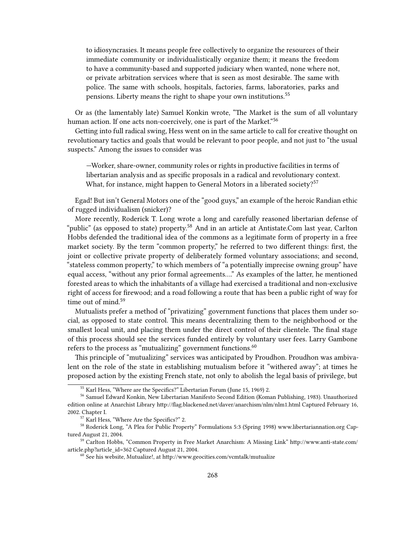to idiosyncrasies. It means people free collectively to organize the resources of their immediate community or individualistically organize them; it means the freedom to have a community-based and supported judiciary when wanted, none where not, or private arbitration services where that is seen as most desirable. The same with police. The same with schools, hospitals, factories, farms, laboratories, parks and pensions. Liberty means the right to shape your own institutions.<sup>55</sup>

Or as (the lamentably late) Samuel Konkin wrote, "The Market is the sum of all voluntary human action. If one acts non-coercively, one is part of the Market."<sup>56</sup>

Getting into full radical swing, Hess went on in the same article to call for creative thought on revolutionary tactics and goals that would be relevant to poor people, and not just to "the usual suspects." Among the issues to consider was

—Worker, share-owner, community roles or rights in productive facilities in terms of libertarian analysis and as specific proposals in a radical and revolutionary context. What, for instance, might happen to General Motors in a liberated society?<sup>57</sup>

Egad! But isn't General Motors one of the "good guys," an example of the heroic Randian ethic of rugged individualism (snicker)?

More recently, Roderick T. Long wrote a long and carefully reasoned libertarian defense of "public" (as opposed to state) property.<sup>58</sup> And in an article at Antistate.Com last year, Carlton Hobbs defended the traditional idea of the commons as a legitimate form of property in a free market society. By the term "common property," he referred to two different things: first, the joint or collective private property of deliberately formed voluntary associations; and second, "stateless common property," to which members of "a potentially imprecise owning group" have equal access, "without any prior formal agreements…." As examples of the latter, he mentioned forested areas to which the inhabitants of a village had exercised a traditional and non-exclusive right of access for firewood; and a road following a route that has been a public right of way for time out of mind. $59$ 

Mutualists prefer a method of "privatizing" government functions that places them under social, as opposed to state control. This means decentralizing them to the neighborhood or the smallest local unit, and placing them under the direct control of their clientele. The final stage of this process should see the services funded entirely by voluntary user fees. Larry Gambone refers to the process as "mutualizing" government functions.<sup>60</sup>

This principle of "mutualizing" services was anticipated by Proudhon. Proudhon was ambivalent on the role of the state in establishing mutualism before it "withered away"; at times he proposed action by the existing French state, not only to abolish the legal basis of privilege, but

<sup>55</sup> Karl Hess, "Where are the Specifics?" Libertarian Forum (June 15, 1969) 2.

<sup>56</sup> Samuel Edward Konkin, New Libertarian Manifesto Second Edition (Koman Publishing, 1983). Unauthorized edition online at Anarchist Library <http://flag.blackened.net/daver/anarchism/nlm/nlm1.html> Captured February 16, 2002. Chapter I.

<sup>57</sup> Karl Hess, "Where Are the Specifics?" 2.

<sup>58</sup> Roderick Long, "A Plea for Public Property" Formulations 5:3 (Spring 1998) [www.libertariannation.org](http://www.libertariannation.org/a/f53l1.html) Captured August 21, 2004.

<sup>59</sup> Carlton Hobbs, "Common Property in Free Market Anarchism: A Missing Link" [http://www.anti-state.com/](http://www.anti-state.com/article.php?article_id=362) [article.php?article\\_id=362](http://www.anti-state.com/article.php?article_id=362) Captured August 21, 2004.

 $60$  See his website, Mutualize!, at <http://www.geocities.com/vcmtalk/mutualize>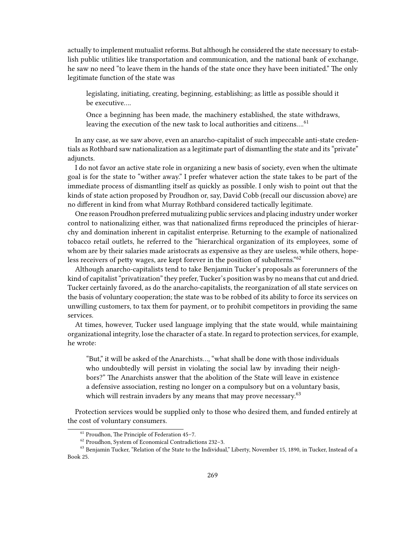actually to implement mutualist reforms. But although he considered the state necessary to establish public utilities like transportation and communication, and the national bank of exchange, he saw no need "to leave them in the hands of the state once they have been initiated." The only legitimate function of the state was

legislating, initiating, creating, beginning, establishing; as little as possible should it be executive….

Once a beginning has been made, the machinery established, the state withdraws, leaving the execution of the new task to local authorities and citizens....<sup>61</sup>

In any case, as we saw above, even an anarcho-capitalist of such impeccable anti-state credentials as Rothbard saw nationalization as a legitimate part of dismantling the state and its "private" adjuncts.

I do not favor an active state role in organizing a new basis of society, even when the ultimate goal is for the state to "wither away." I prefer whatever action the state takes to be part of the immediate process of dismantling itself as quickly as possible. I only wish to point out that the kinds of state action proposed by Proudhon or, say, David Cobb (recall our discussion above) are no different in kind from what Murray Rothbard considered tactically legitimate.

One reason Proudhon preferred mutualizing public services and placing industry under worker control to nationalizing either, was that nationalized firms reproduced the principles of hierarchy and domination inherent in capitalist enterprise. Returning to the example of nationalized tobacco retail outlets, he referred to the "hierarchical organization of its employees, some of whom are by their salaries made aristocrats as expensive as they are useless, while others, hopeless receivers of petty wages, are kept forever in the position of subalterns."<sup>62</sup>

Although anarcho-capitalists tend to take Benjamin Tucker's proposals as forerunners of the kind of capitalist "privatization" they prefer, Tucker's position was by no means that cut and dried. Tucker certainly favored, as do the anarcho-capitalists, the reorganization of all state services on the basis of voluntary cooperation; the state was to be robbed of its ability to force its services on unwilling customers, to tax them for payment, or to prohibit competitors in providing the same services.

At times, however, Tucker used language implying that the state would, while maintaining organizational integrity, lose the character of a state. In regard to protection services, for example, he wrote:

"But," it will be asked of the Anarchists…, "what shall be done with those individuals who undoubtedly will persist in violating the social law by invading their neighbors?" The Anarchists answer that the abolition of the State will leave in existence a defensive association, resting no longer on a compulsory but on a voluntary basis, which will restrain invaders by any means that may prove necessary.<sup>63</sup>

Protection services would be supplied only to those who desired them, and funded entirely at the cost of voluntary consumers.

<sup>61</sup> Proudhon, The Principle of Federation 45–7.

<sup>62</sup> Proudhon, System of Economical Contradictions 232–3.

 $^{63}$  Benjamin Tucker, "Relation of the State to the Individual," Liberty, November 15, 1890, in Tucker, Instead of a Book 25.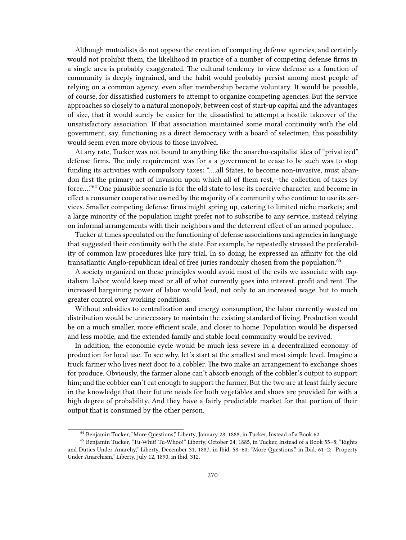Although mutualists do not oppose the creation of competing defense agencies, and certainly would not prohibit them, the likelihood in practice of a number of competing defense firms in a single area is probably exaggerated. The cultural tendency to view defense as a function of community is deeply ingrained, and the habit would probably persist among most people of relying on a common agency, even after membership became voluntary. It would be possible, of course, for dissatisfied customers to attempt to organize competing agencies. But the service approaches so closely to a natural monopoly, between cost of start-up capital and the advantages of size, that it would surely be easier for the dissatisfied to attempt a hostile takeover of the unsatisfactory association. If that association maintained some moral continuity with the old government, say, functioning as a direct democracy with a board of selectmen, this possibility would seem even more obvious to those involved.

At any rate, Tucker was not bound to anything like the anarcho-capitalist idea of "privatized" defense firms. The only requirement was for a a government to cease to be such was to stop funding its activities with compulsory taxes: "….all States, to become non-invasive, must abandon first the primary act of invasion upon which all of them rest,—the collection of taxes by force…."<sup>64</sup> One plausible scenario is for the old state to lose its coercive character, and become in effect a consumer cooperative owned by the majority of a community who continue to use its services. Smaller competing defense firms might spring up, catering to limited niche markets; and a large minority of the population might prefer not to subscribe to any service, instead relying on informal arrangements with their neighbors and the deterrent effect of an armed populace.

Tucker at times speculated on the functioning of defense associations and agencies in language that suggested their continuity with the state. For example, he repeatedly stressed the preferability of common law procedures like jury trial. In so doing, he expressed an affinity for the old transatlantic Anglo-republican ideal of free juries randomly chosen from the population.<sup>65</sup>

A society organized on these principles would avoid most of the evils we associate with capitalism. Labor would keep most or all of what currently goes into interest, profit and rent. The increased bargaining power of labor would lead, not only to an increased wage, but to much greater control over working conditions.

Without subsidies to centralization and energy consumption, the labor currently wasted on distribution would be unnecessary to maintain the existing standard of living. Production would be on a much smaller, more efficient scale, and closer to home. Population would be dispersed and less mobile, and the extended family and stable local community would be revived.

In addition, the economic cycle would be much less severe in a decentralized economy of production for local use. To see why, let's start at the smallest and most simple level. Imagine a truck farmer who lives next door to a cobbler. The two make an arrangement to exchange shoes for produce. Obviously, the farmer alone can't absorb enough of the cobbler's output to support him; and the cobbler can't eat enough to support the farmer. But the two are at least fairly secure in the knowledge that their future needs for both vegetables and shoes are provided for with a high degree of probability. And they have a fairly predictable market for that portion of their output that is consumed by the other person.

<sup>&</sup>lt;sup>64</sup> Benjamin Tucker, "More Questions," Liberty, January 28, 1888, in Tucker, Instead of a Book 62.

<sup>65</sup> Benjamin Tucker, "Tu-Whit! Tu-Whoo!" Liberty, October 24, 1885, in Tucker, Instead of a Book 55–8; "Rights and Duties Under Anarchy," Liberty, December 31, 1887, in Ibid. 58–60; "More Questions," in Ibid. 61–2; "Property Under Anarchism," Liberty, July 12, 1890, in Ibid. 312.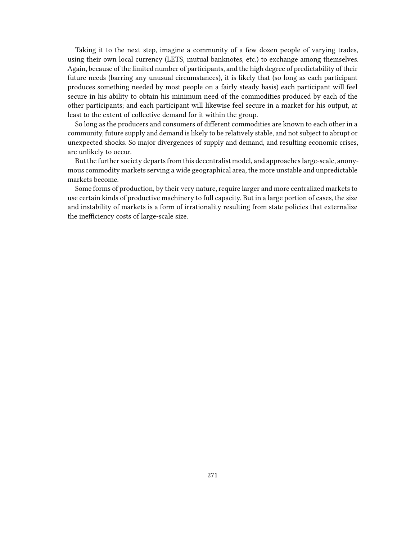Taking it to the next step, imagine a community of a few dozen people of varying trades, using their own local currency (LETS, mutual banknotes, etc.) to exchange among themselves. Again, because of the limited number of participants, and the high degree of predictability of their future needs (barring any unusual circumstances), it is likely that (so long as each participant produces something needed by most people on a fairly steady basis) each participant will feel secure in his ability to obtain his minimum need of the commodities produced by each of the other participants; and each participant will likewise feel secure in a market for his output, at least to the extent of collective demand for it within the group.

So long as the producers and consumers of different commodities are known to each other in a community, future supply and demand is likely to be relatively stable, and not subject to abrupt or unexpected shocks. So major divergences of supply and demand, and resulting economic crises, are unlikely to occur.

But the further society departs from this decentralist model, and approaches large-scale, anonymous commodity markets serving a wide geographical area, the more unstable and unpredictable markets become.

Some forms of production, by their very nature, require larger and more centralized markets to use certain kinds of productive machinery to full capacity. But in a large portion of cases, the size and instability of markets is a form of irrationality resulting from state policies that externalize the inefficiency costs of large-scale size.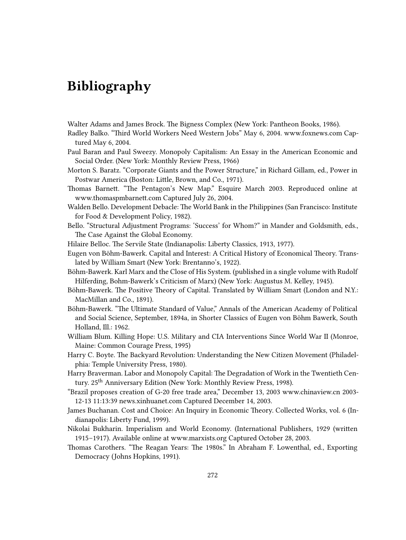## **Bibliography**

Walter Adams and James Brock. The Bigness Complex (New York: Pantheon Books, 1986).

- Radley Balko. "Third World Workers Need Western Jobs" May 6, 2004. [www.foxnews.com](http://www.foxnews.com/story/0%2C2933%2C119125%2C00.html) Captured May 6, 2004.
- Paul Baran and Paul Sweezy. Monopoly Capitalism: An Essay in the American Economic and Social Order. (New York: Monthly Review Press, 1966)
- Morton S. Baratz. "Corporate Giants and the Power Structure," in Richard Gillam, ed., Power in Postwar America (Boston: Little, Brown, and Co., 1971).
- Thomas Barnett. "The Pentagon's New Map." Esquire March 2003. Reproduced online at [www.thomaspmbarnett.com](http://www.thomaspmbarnett.com/published/pentagonsnewmap.htm) Captured July 26, 2004.
- Walden Bello. Development Debacle: The World Bank in the Philippines (San Francisco: Institute for Food & Development Policy, 1982).
- Bello. "Structural Adjustment Programs: 'Success' for Whom?" in Mander and Goldsmith, eds., The Case Against the Global Economy.
- Hilaire Belloc. The Servile State (Indianapolis: Liberty Classics, 1913, 1977).
- Eugen von Böhm-Bawerk. Capital and Interest: A Critical History of Economical Theory. Translated by William Smart (New York: Brentanno's, 1922).
- Böhm-Bawerk. Karl Marx and the Close of His System. (published in a single volume with Rudolf Hilferding, Bohm-Bawerk's Criticism of Marx) (New York: Augustus M. Kelley, 1945).
- Böhm-Bawerk. The Positive Theory of Capital. Translated by William Smart (London and N.Y.: MacMillan and Co., 1891).
- Böhm-Bawerk. "The Ultimate Standard of Value," Annals of the American Academy of Political and Social Science, September, 1894a, in Shorter Classics of Eugen von Böhm Bawerk, South Holland, Ill.: 1962.
- William Blum. Killing Hope: U.S. Military and CIA Interventions Since World War II (Monroe, Maine: Common Courage Press, 1995)
- Harry C. Boyte. The Backyard Revolution: Understanding the New Citizen Movement (Philadelphia: Temple University Press, 1980).
- Harry Braverman. Labor and Monopoly Capital: The Degradation of Work in the Twentieth Century. 25<sup>th</sup> Anniversary Edition (New York: Monthly Review Press, 1998).
- "Brazil proposes creation of G-20 free trade area," December 13, 2003 www.chinaview.cn 2003- 12-13 11:13:39 [news.xinhuanet.com](http://news.xinhuanet.com/english/2003-12/13/content_1229296.htm) Captured December 14, 2003.
- James Buchanan. Cost and Choice: An Inquiry in Economic Theory. Collected Works, vol. 6 (Indianapolis: Liberty Fund, 1999).
- Nikolai Bukharin. Imperialism and World Economy. (International Publishers, 1929 (written 1915–1917). Available online at [www.marxists.org](http://www.marxists.org/archive/bukharin/works/1917/imperial/) Captured October 28, 2003.
- Thomas Carothers. "The Reagan Years: The 1980s." In Abraham F. Lowenthal, ed., Exporting Democracy (Johns Hopkins, 1991).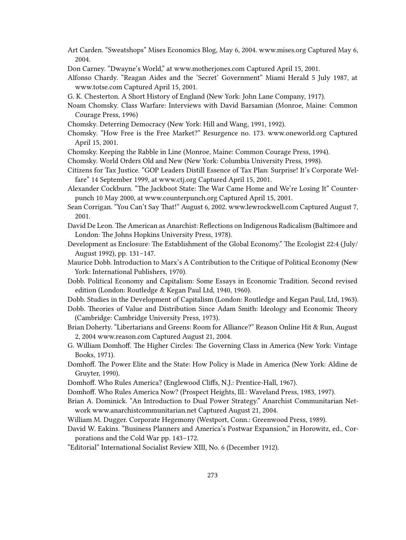- Art Carden. "Sweatshops" Mises Economics Blog, May 6, 2004. [www.mises.org](http://www.mises.org/blog/archives/001956.asp#more) Captured May 6, 2004.
- Don Carney. "Dwayne's World," at [www.motherjones.com](http://www.motherjones.com/mother_jones/JA95/carney.html) Captured April 15, 2001.
- Alfonso Chardy. "Reagan Aides and the 'Secret' Government" Miami Herald 5 July 1987, at [www.totse.com](http://www.totse.com/en/conspiracy/the_new_world_order/scrtgovt.html) Captured April 15, 2001.
- G. K. Chesterton. A Short History of England (New York: John Lane Company, 1917).
- Noam Chomsky. Class Warfare: Interviews with David Barsamian (Monroe, Maine: Common Courage Press, 1996)
- Chomsky. Deterring Democracy (New York: Hill and Wang, 1991, 1992).
- Chomsky. "How Free is the Free Market?" Resurgence no. 173. [www.oneworld.org](http://www.oneworld.org/second_opinion/chomsky.html) Captured April 15, 2001.
- Chomsky. Keeping the Rabble in Line (Monroe, Maine: Common Courage Press, 1994).
- Chomsky. World Orders Old and New (New York: Columbia University Press, 1998).
- Citizens for Tax Justice. "GOP Leaders Distill Essence of Tax Plan: Surprise! It's Corporate Welfare" 14 September 1999, at [www.ctj.org](http://www.ctj.org/pdf/corp0999.pdf) Captured April 15, 2001.
- Alexander Cockburn. "The Jackboot State: The War Came Home and We're Losing It" Counterpunch 10 May 2000, at [www.counterpunch.org](http://www.counterpunch.org/jackboot.html) Captured April 15, 2001.
- Sean Corrigan. "You Can't Say That!" August 6, 2002. [www.lewrockwell.com](http://www.lewrockwell.com/corrigan/corrigan13.html) Captured August 7, 2001.
- David De Leon. The American as Anarchist: Reflections on Indigenous Radicalism (Baltimore and London: The Johns Hopkins University Press, 1978).
- Development as Enclosure: The Establishment of the Global Economy." The Ecologist 22:4 (July/ August 1992), pp. 131–147.
- Maurice Dobb. Introduction to Marx's A Contribution to the Critique of Political Economy (New York: International Publishers, 1970).
- Dobb. Political Economy and Capitalism: Some Essays in Economic Tradition. Second revised edition (London: Routledge & Kegan Paul Ltd, 1940, 1960).
- Dobb. Studies in the Development of Capitalism (London: Routledge and Kegan Paul, Ltd, 1963).
- Dobb. Theories of Value and Distribution Since Adam Smith: Ideology and Economic Theory (Cambridge: Cambridge University Press, 1973).
- Brian Doherty. "Libertarians and Greens: Room for Alliance?" Reason Online Hit & Run, August 2, 2004 [www.reason.com](http://www.reason.com/hitandrun/006330.shtml) Captured August 21, 2004.
- G. William Domhoff. The Higher Circles: The Governing Class in America (New York: Vintage Books, 1971).
- Domhoff. The Power Elite and the State: How Policy is Made in America (New York: Aldine de Gruyter, 1990).
- Domhoff. Who Rules America? (Englewood Cliffs, N.J.: Prentice-Hall, 1967).
- Domhoff. Who Rules America Now? (Prospect Heights, Ill.: Waveland Press, 1983, 1997).
- Brian A. Dominick. "An Introduction to Dual Power Strategy." Anarchist Communitarian Network [www.anarchistcommunitarian.net](http://www.anarchistcommunitarian.net/articles/theory/bdsdp.shtml) Captured August 21, 2004.
- William M. Dugger. Corporate Hegemony (Westport, Conn.: Greenwood Press, 1989).
- David W. Eakins. "Business Planners and America's Postwar Expansion," in Horowitz, ed., Corporations and the Cold War pp. 143–172.
- "Editorial" International Socialist Review XIII, No. 6 (December 1912).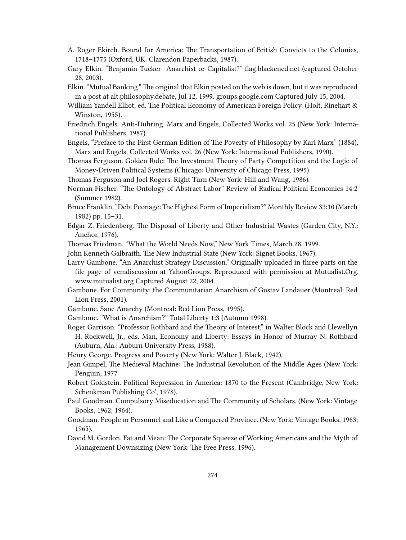- A. Roger Ekirch. Bound for America: The Transportation of British Convicts to the Colonies, 1718–1775 (Oxford, UK: Clarendon Paperbacks, 1987).
- Gary Elkin. "Benjamin Tucker—Anarchist or Capitalist?" [flag.blackened.net](http://flag.blackened.net/daver/anarchism/tucker/an_or_cap.html) (captured October 28, 2003).
- Elkin. "Mutual Banking." The original that Elkin posted on the web is down, but it was reproduced in a post at alt.philosophy.debate, Jul 12, 1999. [groups.google.com](http://groups.google.com/groups?q=%22gary%2Belkin%22%2B%22mutual%2Bbanking%22&hl=en&lr=&ie=UTF-8&oe=UTF-8&safe=off&selm=37897B99.1B1E%40columbia-center.org&rnum=7&filter=0) Captured July 15, 2004.
- William Yandell Elliot, ed. The Political Economy of American Foreign Policy. (Holt, Rinehart & Winston, 1955).
- Friedrich Engels. Anti-Dühring. Marx and Engels, Collected Works vol. 25 (New York: International Publishers, 1987).
- Engels, "Preface to the First German Edition of The Poverty of Philosophy by Karl Marx" (1884), Marx and Engels, Collected Works vol. 26 (New York: International Publishers, 1990).
- Thomas Ferguson. Golden Rule: The Investment Theory of Party Competition and the Logic of Money-Driven Political Systems (Chicago: University of Chicago Press, 1995).
- Thomas Ferguson and Joel Rogers. Right Turn (New York: Hill and Wang, 1986).
- Norman Fischer. "The Ontology of Abstract Labor" Review of Radical Political Economics 14:2 (Summer 1982).
- Bruce Franklin. "Debt Peonage:The Highest Form of Imperialism?" Monthly Review 33:10 (March 1982) pp. 15–31.
- Edgar Z. Friedenberg. The Disposal of Liberty and Other Industrial Wastes (Garden City, N.Y.: Anchor, 1976).
- Thomas Friedman. "What the World Needs Now," New York Times, March 28, 1999.
- John Kenneth Galbraith. The New Industrial State (New York: Signet Books, 1967).
- Larry Gambone. "An Anarchist Strategy Discussion." Originally uploaded in three parts on the file page of vcmdiscussion at YahooGroups. Reproduced with permission at Mutualist.Org. [www.mutualist.org](http://www.mutualist.org/id13.html) Captured August 22, 2004.
- Gambone. For Community: the Communitarian Anarchism of Gustav Landauer (Montreal: Red Lion Press, 2001).
- Gambone. Sane Anarchy (Montreal: Red Lion Press, 1995).
- Gambone. "What is Anarchism?" Total Liberty 1:3 (Autumn 1998).
- Roger Garrison. "Professor Rothbard and the Theory of Interest," in Walter Block and Llewellyn H. Rockwell, Jr., eds. Man, Economy and Liberty: Essays in Honor of Murray N. Rothbard (Auburn, Ala.: Auburn University Press, 1988).
- Henry George. Progress and Poverty (New York: Walter J. Black, 1942).
- Jean Gimpel, The Medieval Machine: The Industrial Revolution of the Middle Ages (New York: Penguin, 1977
- Robert Goldstein. Political Repression in America: 1870 to the Present (Cambridge, New York: Schenkman Publishing Co', 1978).
- Paul Goodman. Compulsory Miseducation and The Community of Scholars. (New York: Vintage Books, 1962; 1964).
- Goodman. People or Personnel and Like a Conquered Province. (New York: Vintage Books, 1963; 1965).
- David M. Gordon. Fat and Mean: The Corporate Squeeze of Working Americans and the Myth of Management Downsizing (New York: The Free Press, 1996).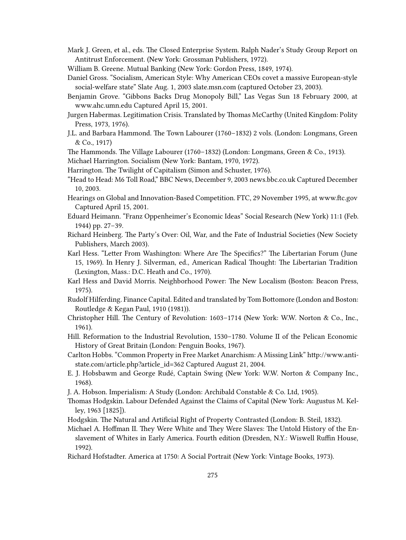- Mark J. Green, et al., eds. The Closed Enterprise System. Ralph Nader's Study Group Report on Antitrust Enforcement. (New York: Grossman Publishers, 1972).
- William B. Greene. Mutual Banking (New York: Gordon Press, 1849, 1974).
- Daniel Gross. "Socialism, American Style: Why American CEOs covet a massive European-style social-welfare state" Slate Aug. 1, 2003 [slate.msn.com](http://slate.msn.com/id/2086511/) (captured October 23, 2003).
- Benjamin Grove. "Gibbons Backs Drug Monopoly Bill," Las Vegas Sun 18 February 2000, at [www.ahc.umn.edu](http://www.ahc.umn.edu/NewsAlert/Feb00/022100NewsAlert/44500.htm) Captured April 15, 2001.
- Jurgen Habermas. Legitimation Crisis. Translated by Thomas McCarthy (United Kingdom: Polity Press, 1973, 1976).
- J.L. and Barbara Hammond. The Town Labourer (1760–1832) 2 vols. (London: Longmans, Green & Co., 1917)
- The Hammonds. The Village Labourer (1760–1832) (London: Longmans, Green & Co., 1913).

Michael Harrington. Socialism (New York: Bantam, 1970, 1972).

- Harrington. The Twilight of Capitalism (Simon and Schuster, 1976).
- "Head to Head: M6 Toll Road," BBC News, December 9, 2003 [news.bbc.co.uk](http://news.bbc.co.uk/2/hi/uk_news/3303629.stm) Captured December 10, 2003.
- Hearings on Global and Innovation-Based Competition. FTC, 29 November 1995, at [www.ftc.gov](http://www.ftc.gov/opp/gc112195.pdf) Captured April 15, 2001.
- Eduard Heimann. "Franz Oppenheimer's Economic Ideas" Social Research (New York) 11:1 (Feb. 1944) pp. 27–39.
- Richard Heinberg. The Party's Over: Oil, War, and the Fate of Industrial Societies (New Society Publishers, March 2003).
- Karl Hess. "Letter From Washington: Where Are The Specifics?" The Libertarian Forum (June 15, 1969). In Henry J. Silverman, ed., American Radical Thought: The Libertarian Tradition (Lexington, Mass.: D.C. Heath and Co., 1970).
- Karl Hess and David Morris. Neighborhood Power: The New Localism (Boston: Beacon Press, 1975).
- Rudolf Hilferding. Finance Capital. Edited and translated by Tom Bottomore (London and Boston: Routledge & Kegan Paul, 1910 (1981)).
- Christopher Hill. The Century of Revolution: 1603–1714 (New York: W.W. Norton & Co., Inc., 1961).
- Hill. Reformation to the Industrial Revolution, 1530–1780. Volume II of the Pelican Economic History of Great Britain (London: Penguin Books, 1967).
- Carlton Hobbs. "Common Property in Free Market Anarchism: A Missing Link" [http://www.anti](http://www.anti-state.com/article.php?article_id=362)[state.com/article.php?article\\_id=362](http://www.anti-state.com/article.php?article_id=362) Captured August 21, 2004.
- E. J. Hobsbawm and George Rudé, Captain Swing (New York: W.W. Norton & Company Inc., 1968).
- J. A. Hobson. Imperialism: A Study (London: Archibald Constable & Co. Ltd, 1905).
- Thomas Hodgskin. Labour Defended Against the Claims of Capital (New York: Augustus M. Kelley, 1963 [1825]).
- Hodgskin. The Natural and Artificial Right of Property Contrasted (London: B. Steil, 1832).
- Michael A. Hoffman II. They Were White and They Were Slaves: The Untold History of the Enslavement of Whites in Early America. Fourth edition (Dresden, N.Y.: Wiswell Ruffin House, 1992).
- Richard Hofstadter. America at 1750: A Social Portrait (New York: Vintage Books, 1973).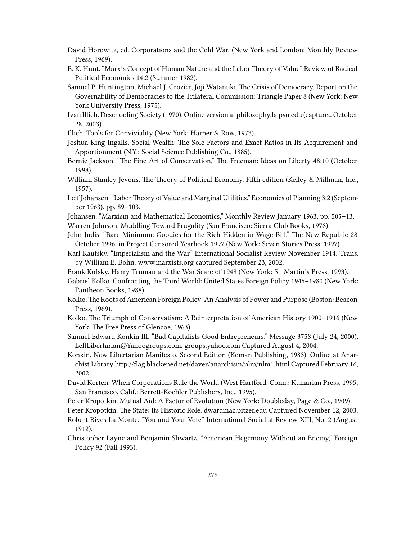David Horowitz, ed. Corporations and the Cold War. (New York and London: Monthly Review Press, 1969).

- E. K. Hunt. "Marx's Concept of Human Nature and the Labor Theory of Value" Review of Radical Political Economics 14:2 (Summer 1982).
- Samuel P. Huntington, Michael J. Crozier, Joji Watanuki. The Crisis of Democracy. Report on the Governability of Democracies to the Trilateral Commission: Triangle Paper 8 (New York: New York University Press, 1975).
- Ivan Illich. Deschooling Society (1970). Online version at [philosophy.la.psu.edu](http://philosophy.la.psu.edu/illich/deschool/intro.html) (captured October 28, 2003).
- Illich. Tools for Conviviality (New York: Harper & Row, 1973).
- Joshua King Ingalls. Social Wealth: The Sole Factors and Exact Ratios in Its Acquirement and Apportionment (N.Y.: Social Science Publishing Co., 1885).
- Bernie Jackson. "The Fine Art of Conservation," The Freeman: Ideas on Liberty 48:10 (October 1998).
- William Stanley Jevons. The Theory of Political Economy. Fifth edition (Kelley & Millman, Inc., 1957).
- Leif Johansen. "Labor Theory of Value and Marginal Utilities," Economics of Planning 3:2 (September 1963), pp. 89–103.
- Johansen. "Marxism and Mathematical Economics," Monthly Review January 1963, pp. 505–13. Warren Johnson. Muddling Toward Frugality (San Francisco: Sierra Club Books, 1978).
- John Judis. "Bare Minimum: Goodies for the Rich Hidden in Wage Bill," The New Republic 28 October 1996, in Project Censored Yearbook 1997 (New York: Seven Stories Press, 1997).
- Karl Kautsky. "Imperialism and the War" International Socialist Review November 1914. Trans. by William E. Bohn. [www.marxists.org](http://www.marxists.org/archive/kautsky/works/1910s/war.html) captured September 23, 2002.
- Frank Kofsky. Harry Truman and the War Scare of 1948 (New York: St. Martin's Press, 1993).
- Gabriel Kolko. Confronting the Third World: United States Foreign Policy 1945–1980 (New York: Pantheon Books, 1988).
- Kolko. The Roots of American Foreign Policy: An Analysis of Power and Purpose (Boston: Beacon Press, 1969).
- Kolko. The Triumph of Conservatism: A Reinterpretation of American History 1900–1916 (New York: The Free Press of Glencoe, 1963).
- Samuel Edward Konkin III. "Bad Capitalists Good Entrepreneurs." Message 3758 (July 24, 2000), LeftLibertarian@Yahoogroups.com. [groups.yahoo.com](http://groups.yahoo.com/group/LeftLibertarian/message/3758) Captured August 4, 2004.
- Konkin. New Libertarian Manifesto. Second Edition (Koman Publishing, 1983). Online at Anarchist Library <http://flag.blackened.net/daver/anarchism/nlm/nlm1.html> Captured February 16, 2002.
- David Korten. When Corporations Rule the World (West Hartford, Conn.: Kumarian Press, 1995; San Francisco, Calif.: Berrett-Koehler Publishers, Inc., 1995).
- Peter Kropotkin. Mutual Aid: A Factor of Evolution (New York: Doubleday, Page & Co., 1909).
- Peter Kropotkin. The State: Its Historic Role. [dwardmac.pitzer.edu](http://dwardmac.pitzer.edu/Anarchist_Archives/kropotkin/state/state_toc.html) Captured November 12, 2003. Robert Rives La Monte. "You and Your Vote" International Socialist Review XIII, No. 2 (August
- 1912).
- Christopher Layne and Benjamin Shwartz. "American Hegemony Without an Enemy," Foreign Policy 92 (Fall 1993).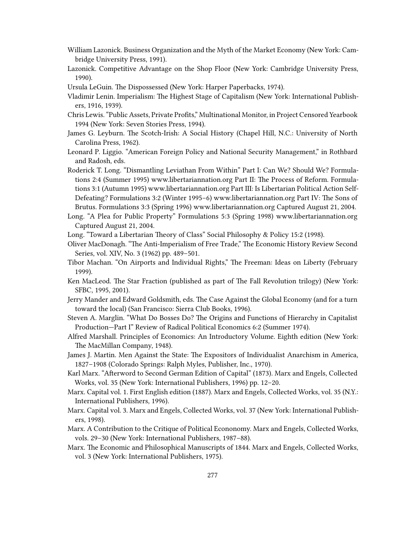- William Lazonick. Business Organization and the Myth of the Market Economy (New York: Cambridge University Press, 1991).
- Lazonick. Competitive Advantage on the Shop Floor (New York: Cambridge University Press, 1990).
- Ursula LeGuin. The Dispossessed (New York: Harper Paperbacks, 1974).
- Vladimir Lenin. Imperialism: The Highest Stage of Capitalism (New York: International Publishers, 1916, 1939).
- Chris Lewis. "Public Assets, Private Profits," Multinational Monitor, in Project Censored Yearbook 1994 (New York: Seven Stories Press, 1994).
- James G. Leyburn. The Scotch-Irish: A Social History (Chapel Hill, N.C.: University of North Carolina Press, 1962).
- Leonard P. Liggio. "American Foreign Policy and National Security Management," in Rothbard and Radosh, eds.
- Roderick T. Long. "Dismantling Leviathan From Within" Part I: Can We? Should We? Formulations 2:4 (Summer 1995) [www.libertariannation.org](http://www.libertariannation.org/a/f24l3.html) Part II: The Process of Reform. Formulations 3:1 (Autumn 1995) [www.libertariannation.org](http://www.libertariannation.org/a/f31l3.html) Part III: Is Libertarian Political Action Self-Defeating? Formulations 3:2 (Winter 1995–6) [www.libertariannation.org](http://www.libertariannation.org/a/f32l1.html) Part IV: The Sons of Brutus. Formulations 3:3 (Spring 1996) [www.libertariannation.org](http://www.libertariannation.org/a/f33l3.html) Captured August 21, 2004.
- Long. "A Plea for Public Property" Formulations 5:3 (Spring 1998) [www.libertariannation.org](http://www.libertariannation.org/a/f53l1.html) Captured August 21, 2004.
- Long. "Toward a Libertarian Theory of Class" Social Philosophy & Policy 15:2 (1998).
- Oliver MacDonagh. "The Anti-Imperialism of Free Trade," The Economic History Review Second Series, vol. XIV, No. 3 (1962) pp. 489–501.
- Tibor Machan. "On Airports and Individual Rights," The Freeman: Ideas on Liberty (February 1999).
- Ken MacLeod. The Star Fraction (published as part of The Fall Revolution trilogy) (New York: SFBC, 1995, 2001).
- Jerry Mander and Edward Goldsmith, eds. The Case Against the Global Economy (and for a turn toward the local) (San Francisco: Sierra Club Books, 1996).
- Steven A. Marglin. "What Do Bosses Do? The Origins and Functions of Hierarchy in Capitalist Production—Part I" Review of Radical Political Economics 6:2 (Summer 1974).
- Alfred Marshall. Principles of Economics: An Introductory Volume. Eighth edition (New York: The MacMillan Company, 1948).
- James J. Martin. Men Against the State: The Expositors of Individualist Anarchism in America, 1827–1908 (Colorado Springs: Ralph Myles, Publisher, Inc., 1970).
- Karl Marx. "Afterword to Second German Edition of Capital" (1873). Marx and Engels, Collected Works, vol. 35 (New York: International Publishers, 1996) pp. 12–20.
- Marx. Capital vol. 1. First English edition (1887). Marx and Engels, Collected Works, vol. 35 (N.Y.: International Publishers, 1996).
- Marx. Capital vol. 3. Marx and Engels, Collected Works, vol. 37 (New York: International Publishers, 1998).
- Marx. A Contribution to the Critique of Political Econonomy. Marx and Engels, Collected Works, vols. 29–30 (New York: International Publishers, 1987–88).
- Marx. The Economic and Philosophical Manuscripts of 1844. Marx and Engels, Collected Works, vol. 3 (New York: International Publishers, 1975).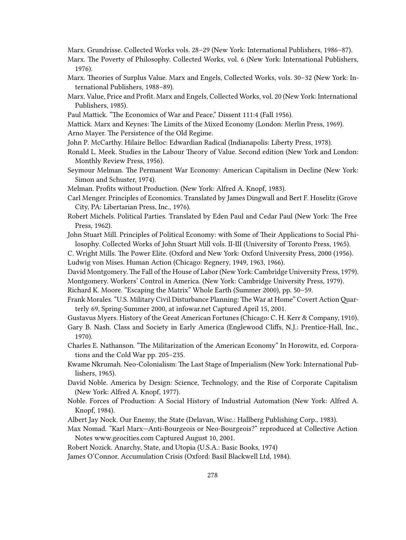Marx. Grundrisse. Collected Works vols. 28–29 (New York: International Publishers, 1986–87).

- Marx. The Poverty of Philosophy. Collected Works, vol. 6 (New York: International Publishers, 1976).
- Marx. Theories of Surplus Value. Marx and Engels, Collected Works, vols. 30–32 (New York: International Publishers, 1988–89).
- Marx. Value, Price and Profit. Marx and Engels, Collected Works, vol. 20 (New York: International Publishers, 1985).
- Paul Mattick. "The Economics of War and Peace," Dissent 111:4 (Fall 1956).
- Mattick. Marx and Keynes: The Limits of the Mixed Economy (London: Merlin Press, 1969).

Arno Mayer. The Persistence of the Old Regime.

- John P. McCarthy. Hilaire Belloc: Edwardian Radical (Indianapolis: Liberty Press, 1978).
- Ronald L. Meek. Studies in the Labour Theory of Value. Second edition (New York and London: Monthly Review Press, 1956).
- Seymour Melman. The Permanent War Economy: American Capitalism in Decline (New York: Simon and Schuster, 1974).
- Melman. Profits without Production. (New York: Alfred A. Knopf, 1983).
- Carl Menger. Principles of Economics. Translated by James Dingwall and Bert F. Hoselitz (Grove City, PA: Libertarian Press, Inc., 1976).
- Robert Michels. Political Parties. Translated by Eden Paul and Cedar Paul (New York: The Free Press, 1962).
- John Stuart Mill. Principles of Political Economy: with Some of Their Applications to Social Philosophy. Collected Works of John Stuart Mill vols. II-III (University of Toronto Press, 1965).
- C. Wright Mills. The Power Elite. (Oxford and New York: Oxford University Press, 2000 (1956). Ludwig von Mises. Human Action (Chicago: Regnery, 1949, 1963, 1966).
- David Montgomery. The Fall of the House of Labor (New York: Cambridge University Press, 1979). Montgomery. Workers' Control in America. (New York: Cambridge University Press, 1979).
- Richard K. Moore. "Escaping the Matrix" Whole Earth (Summer 2000), pp. 50–59.
- Frank Morales. "U.S. Military Civil Disturbance Planning: The War at Home" Covert ActionQuarterly 69, Spring-Summer 2000, at [infowar.net](http://infowar.net/warathome/warathome.html) Captured April 15, 2001.

Gustavus Myers. History of the Great American Fortunes (Chicago: C. H. Kerr & Company, 1910). Gary B. Nash. Class and Society in Early America (Englewood Cliffs, N.J.: Prentice-Hall, Inc., 1970).

- Charles E. Nathanson. "The Militarization of the American Economy" In Horowitz, ed. Corporations and the Cold War pp. 205–235.
- Kwame Nkrumah. Neo-Colonialism: The Last Stage of Imperialism (New York: International Publishers, 1965).
- David Noble. America by Design: Science, Technology, and the Rise of Corporate Capitalism (New York: Alfred A. Knopf, 1977).
- Noble. Forces of Production: A Social History of Industrial Automation (New York: Alfred A. Knopf, 1984).
- Albert Jay Nock. Our Enemy, the State (Delavan, Wisc.: Hallberg Publishing Corp., 1983).

Max Nomad. "Karl Marx—Anti-Bourgeois or Neo-Bourgeois?" reproduced at Collective Action Notes [www.geocities.com](http://www.geocities.com/CapitolHill/Lobby/2379/nomad.htm) Captured August 10, 2001.

Robert Nozick. Anarchy, State, and Utopia (U.S.A.: Basic Books, 1974)

James O'Connor. Accumulation Crisis (Oxford: Basil Blackwell Ltd, 1984).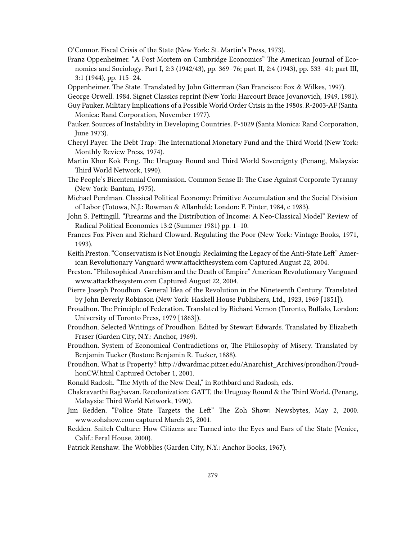O'Connor. Fiscal Crisis of the State (New York: St. Martin's Press, 1973).

- Franz Oppenheimer. "A Post Mortem on Cambridge Economics" The American Journal of Economics and Sociology. Part I, 2:3 (1942/43), pp. 369–76; part II, 2:4 (1943), pp. 533–41; part III, 3:1 (1944), pp. 115–24.
- Oppenheimer. The State. Translated by John Gitterman (San Francisco: Fox & Wilkes, 1997).
- George Orwell. 1984. Signet Classics reprint (New York: Harcourt Brace Jovanovich, 1949, 1981). Guy Pauker. Military Implications of a Possible World Order Crisis in the 1980s. R-2003-AF (Santa Monica: Rand Corporation, November 1977).
- Pauker. Sources of Instability in Developing Countries. P-5029 (Santa Monica: Rand Corporation, June 1973).
- Cheryl Payer. The Debt Trap: The International Monetary Fund and the Third World (New York: Monthly Review Press, 1974).
- Martin Khor Kok Peng. The Uruguay Round and Third World Sovereignty (Penang, Malaysia: Third World Network, 1990).
- The People's Bicentennial Commission. Common Sense II: The Case Against Corporate Tyranny (New York: Bantam, 1975).
- Michael Perelman. Classical Political Economy: Primitive Accumulation and the Social Division of Labor (Totowa, N.J.: Rowman & Allanheld; London: F. Pinter, 1984, c 1983).
- John S. Pettingill. "Firearms and the Distribution of Income: A Neo-Classical Model" Review of Radical Political Economics 13:2 (Summer 1981) pp. 1–10.
- Frances Fox Piven and Richard Cloward. Regulating the Poor (New York: Vintage Books, 1971, 1993).
- Keith Preston. "Conservatism is Not Enough: Reclaiming the Legacy of the Anti-State Left" American Revolutionary Vanguard [www.attackthesystem.com](http://www.attackthesystem.com/conservatism.html) Captured August 22, 2004.
- Preston. "Philosophical Anarchism and the Death of Empire" American Revolutionary Vanguard [www.attackthesystem.com](http://www.attackthesystem.com/philo.html) Captured August 22, 2004.
- Pierre Joseph Proudhon. General Idea of the Revolution in the Nineteenth Century. Translated by John Beverly Robinson (New York: Haskell House Publishers, Ltd., 1923, 1969 [1851]).
- Proudhon. The Principle of Federation. Translated by Richard Vernon (Toronto, Buffalo, London: University of Toronto Press, 1979 [1863]).
- Proudhon. Selected Writings of Proudhon. Edited by Stewart Edwards. Translated by Elizabeth Fraser (Garden City, N.Y.: Anchor, 1969).
- Proudhon. System of Economical Contradictions or, The Philosophy of Misery. Translated by Benjamin Tucker (Boston: Benjamin R. Tucker, 1888).
- Proudhon. What is Property? [http://dwardmac.pitzer.edu/Anarchist\\_Archives/proudhon/Proud](http://dwardmac.pitzer.edu/Anarchist_Archives/proudhon/ProudhonCW.html)[honCW.html](http://dwardmac.pitzer.edu/Anarchist_Archives/proudhon/ProudhonCW.html) Captured October 1, 2001.
- Ronald Radosh. "The Myth of the New Deal," in Rothbard and Radosh, eds.
- Chakravarthi Raghavan. Recolonization: GATT, the Uruguay Round & the Third World. (Penang, Malaysia: Third World Network, 1990).
- Jim Redden. "Police State Targets the Left" The Zoh Show: Newsbytes, May 2, 2000. [www.zohshow.com](http://www.zohshow.com/News/Newsbytes/tidbits050200b.htm) captured March 25, 2001.
- Redden. Snitch Culture: How Citizens are Turned into the Eyes and Ears of the State (Venice, Calif.: Feral House, 2000).
- Patrick Renshaw. The Wobblies (Garden City, N.Y.: Anchor Books, 1967).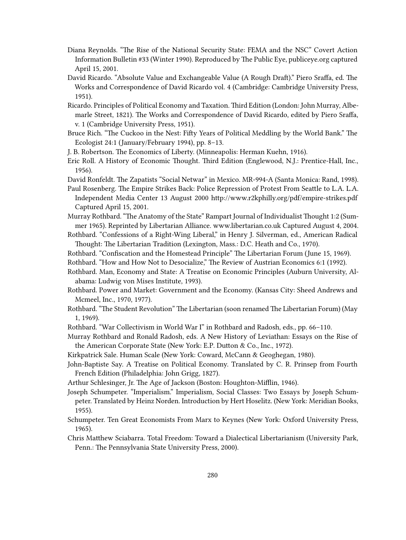- Diana Reynolds. "The Rise of the National Security State: FEMA and the NSC" Covert Action Information Bulletin #33 (Winter 1990). Reproduced by The Public Eye, [publiceye.org](http://publiceye.org/liberty/fema/Fema_1.htm) captured April 15, 2001.
- David Ricardo. "Absolute Value and Exchangeable Value (A Rough Draft)." Piero Sraffa, ed. The Works and Correspondence of David Ricardo vol. 4 (Cambridge: Cambridge University Press, 1951).
- Ricardo. Principles of Political Economy and Taxation. Third Edition (London: John Murray, Albemarle Street, 1821). The Works and Correspondence of David Ricardo, edited by Piero Sraffa, v. 1 (Cambridge University Press, 1951).
- Bruce Rich. "The Cuckoo in the Nest: Fifty Years of Political Meddling by the World Bank." The Ecologist 24:1 (January/February 1994), pp. 8–13.
- J. B. Robertson. The Economics of Liberty. (Minneapolis: Herman Kuehn, 1916).
- Eric Roll. A History of Economic Thought. Third Edition (Englewood, N.J.: Prentice-Hall, Inc., 1956).
- David Ronfeldt. The Zapatists "Social Netwar" in Mexico. MR-994-A (Santa Monica: Rand, 1998).
- Paul Rosenberg. The Empire Strikes Back: Police Repression of Protest From Seattle to L.A. L.A. Independent Media Center 13 August 2000 <http://www.r2kphilly.org/pdf/empire-strikes.pdf> Captured April 15, 2001.
- Murray Rothbard. "The Anatomy of the State" Rampart Journal of Individualist Thought 1:2 (Summer 1965). Reprinted by Libertarian Alliance. [www.libertarian.co.uk](http://www.libertarian.co.uk/lapubs/socin/socin001.pdf) Captured August 4, 2004.
- Rothbard. "Confessions of a Right-Wing Liberal," in Henry J. Silverman, ed., American Radical Thought: The Libertarian Tradition (Lexington, Mass.: D.C. Heath and Co., 1970).
- Rothbard. "Confiscation and the Homestead Principle" The Libertarian Forum (June 15, 1969).
- Rothbard. "How and How Not to Desocialize," The Review of Austrian Economics 6:1 (1992).
- Rothbard. Man, Economy and State: A Treatise on Economic Principles (Auburn University, Alabama: Ludwig von Mises Institute, 1993).
- Rothbard. Power and Market: Government and the Economy. (Kansas City: Sheed Andrews and Mcmeel, Inc., 1970, 1977).
- Rothbard. "The Student Revolution" The Libertarian (soon renamed The Libertarian Forum) (May 1, 1969).
- Rothbard. "War Collectivism in World War I" in Rothbard and Radosh, eds., pp. 66–110.
- Murray Rothbard and Ronald Radosh, eds. A New History of Leviathan: Essays on the Rise of the American Corporate State (New York: E.P. Dutton & Co., Inc., 1972).
- Kirkpatrick Sale. Human Scale (New York: Coward, McCann & Geoghegan, 1980).
- John-Baptiste Say. A Treatise on Political Economy. Translated by C. R. Prinsep from Fourth French Edition (Philadelphia: John Grigg, 1827).
- Arthur Schlesinger, Jr. The Age of Jackson (Boston: Houghton-Mifflin, 1946).
- Joseph Schumpeter. "Imperialism." Imperialism, Social Classes: Two Essays by Joseph Schumpeter. Translated by Heinz Norden. Introduction by Hert Hoselitz. (New York: Meridian Books, 1955).
- Schumpeter. Ten Great Economists From Marx to Keynes (New York: Oxford University Press, 1965).
- Chris Matthew Sciabarra. Total Freedom: Toward a Dialectical Libertarianism (University Park, Penn.: The Pennsylvania State University Press, 2000).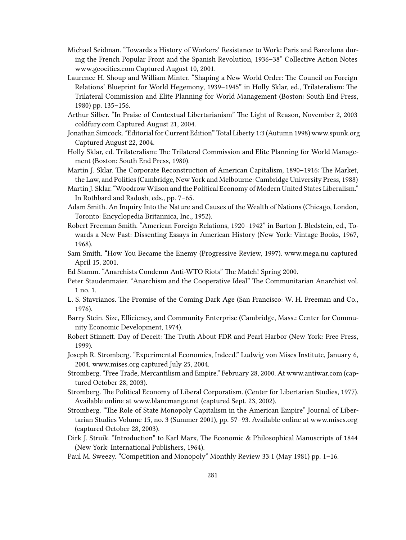- Michael Seidman. "Towards a History of Workers' Resistance to Work: Paris and Barcelona during the French Popular Front and the Spanish Revolution, 1936–38" Collective Action Notes [www.geocities.com](http://www.geocities.com/CapitolHill/Lobby/2379/seid2.htm) Captured August 10, 2001.
- Laurence H. Shoup and William Minter. "Shaping a New World Order: The Council on Foreign Relations' Blueprint for World Hegemony, 1939–1945" in Holly Sklar, ed., Trilateralism: The Trilateral Commission and Elite Planning for World Management (Boston: South End Press, 1980) pp. 135–156.
- Arthur Silber. "In Praise of Contextual Libertarianism" The Light of Reason, November 2, 2003 [coldfury.com](http://coldfury.com/reason/comments.php?id=P1229_0_1_0_C) Captured August 21, 2004.
- Jonathan Simcock. "Editorial for Current Edition" Total Liberty 1:3 (Autumn 1998) [www.spunk.org](http://www.spunk.org/library/pubs/tl/sp001872.html) Captured August 22, 2004.
- Holly Sklar, ed. Trilateralism: The Trilateral Commission and Elite Planning for World Management (Boston: South End Press, 1980).
- Martin J. Sklar. The Corporate Reconstruction of American Capitalism, 1890–1916: The Market, the Law, and Politics (Cambridge, New York and Melbourne: Cambridge University Press, 1988)
- Martin J. Sklar. "Woodrow Wilson and the Political Economy of Modern United States Liberalism." In Rothbard and Radosh, eds., pp. 7–65.
- Adam Smith. An Inquiry Into the Nature and Causes of the Wealth of Nations (Chicago, London, Toronto: Encyclopedia Britannica, Inc., 1952).
- Robert Freeman Smith. "American Foreign Relations, 1920–1942" in Barton J. Bledstein, ed., Towards a New Past: Dissenting Essays in American History (New York: Vintage Books, 1967, 1968).
- Sam Smith. "How You Became the Enemy (Progressive Review, 1997). [www.mega.nu](http://www.mega.nu:8080/ampp/enemy.html) captured April 15, 2001.
- Ed Stamm. "Anarchists Condemn Anti-WTO Riots" The Match! Spring 2000.
- Peter Staudenmaier. "Anarchism and the Cooperative Ideal" The Communitarian Anarchist vol. 1 no. 1.
- L. S. Stavrianos. The Promise of the Coming Dark Age (San Francisco: W. H. Freeman and Co., 1976).
- Barry Stein. Size, Efficiency, and Community Enterprise (Cambridge, Mass.: Center for Community Economic Development, 1974).
- Robert Stinnett. Day of Deceit: The Truth About FDR and Pearl Harbor (New York: Free Press, 1999).
- Joseph R. Stromberg. "Experimental Economics, Indeed." Ludwig von Mises Institute, January 6, 2004. [www.mises.org](http://www.mises.org/fullstory.asp?control=1409) captured July 25, 2004.
- Stromberg. "Free Trade, Mercantilism and Empire." February 28, 2000. At [www.antiwar.com](http://www.antiwar.com/stromberg/s022800.html) (captured October 28, 2003).
- Stromberg. The Political Economy of Liberal Corporatism. (Center for Libertarian Studies, 1977). Available online at [www.blancmange.net](http://www.blancmange.net/tmh/articles/stromberg.html) (captured Sept. 23, 2002).
- Stromberg. "The Role of State Monopoly Capitalism in the American Empire" Journal of Libertarian Studies Volume 15, no. 3 (Summer 2001), pp. 57–93. Available online at [www.mises.org](http://www.mises.org/journals/jls/15_3/15_3_3.pdf) (captured October 28, 2003).
- Dirk J. Struik. "Introduction" to Karl Marx, The Economic & Philosophical Manuscripts of 1844 (New York: International Publishers, 1964).
- Paul M. Sweezy. "Competition and Monopoly" Monthly Review 33:1 (May 1981) pp. 1–16.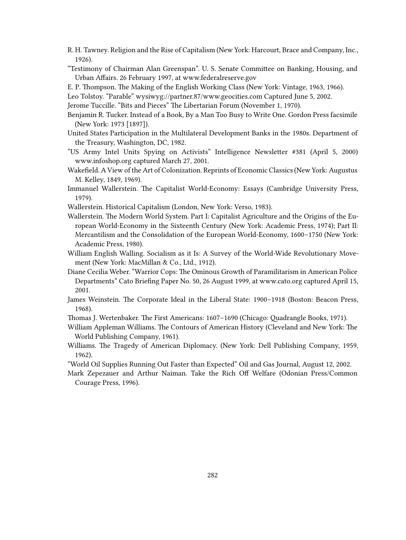- R. H. Tawney. Religion and the Rise of Capitalism (New York: Harcourt, Brace and Company, Inc., 1926).
- "Testimony of Chairman Alan Greenspan". U. S. Senate Committee on Banking, Housing, and Urban Affairs. 26 February 1997, at [www.federalreserve.gov](http://www.federalreserve.gov//boarddocs/hh/1997/february/testimony/htm)
- E. P. Thompson. The Making of the English Working Class (New York: Vintage, 1963, 1966).
- Leo Tolstoy. "Parable" wysiwyg://partner.87/[www.geocities.com](http://www.geocities.com/glasgowbranch/parable.html) Captured June 5, 2002.

Jerome Tuccille. "Bits and Pieces" The Libertarian Forum (November 1, 1970).

- Benjamin R. Tucker. Instead of a Book, By a Man Too Busy to Write One. Gordon Press facsimile (New York: 1973 [1897]).
- United States Participation in the Multilateral Development Banks in the 1980s. Department of the Treasury, Washington, DC, 1982.
- "US Army Intel Units Spying on Activists" Intelligence Newsletter #381 (April 5, 2000) [www.infoshop.org](http://www.infoshop.org/news5/army_intel.html) captured March 27, 2001.
- Wakefield. A View of the Art of Colonization. Reprints of Economic Classics (New York: Augustus M. Kelley, 1849, 1969).
- Immanuel Wallerstein. The Capitalist World-Economy: Essays (Cambridge University Press, 1979).

Wallerstein. Historical Capitalism (London, New York: Verso, 1983).

- Wallerstein. The Modern World System. Part I: Capitalist Agriculture and the Origins of the European World-Economy in the Sixteenth Century (New York: Academic Press, 1974); Part II: Mercantilism and the Consolidation of the European World-Economy, 1600–1750 (New York: Academic Press, 1980).
- William English Walling. Socialism as it Is: A Survey of the World-Wide Revolutionary Movement (New York: MacMillan & Co., Ltd., 1912).
- Diane Cecilia Weber. "Warrior Cops: The Ominous Growth of Paramilitarism in American Police Departments" Cato Briefing Paper No. 50, 26 August 1999, at [www.cato.org](http://www.cato.org/pubs/briefs/bp-050es.html) captured April 15, 2001.
- James Weinstein. The Corporate Ideal in the Liberal State: 1900–1918 (Boston: Beacon Press, 1968).

Thomas J. Wertenbaker. The First Americans: 1607–1690 (Chicago: Quadrangle Books, 1971).

- William Appleman Williams. The Contours of American History (Cleveland and New York: The World Publishing Company, 1961).
- Williams. The Tragedy of American Diplomacy. (New York: Dell Publishing Company, 1959, 1962).

"World Oil Supplies Running Out Faster than Expected" Oil and Gas Journal, August 12, 2002.

Mark Zepezauer and Arthur Naiman. Take the Rich Off Welfare (Odonian Press/Common Courage Press, 1996).